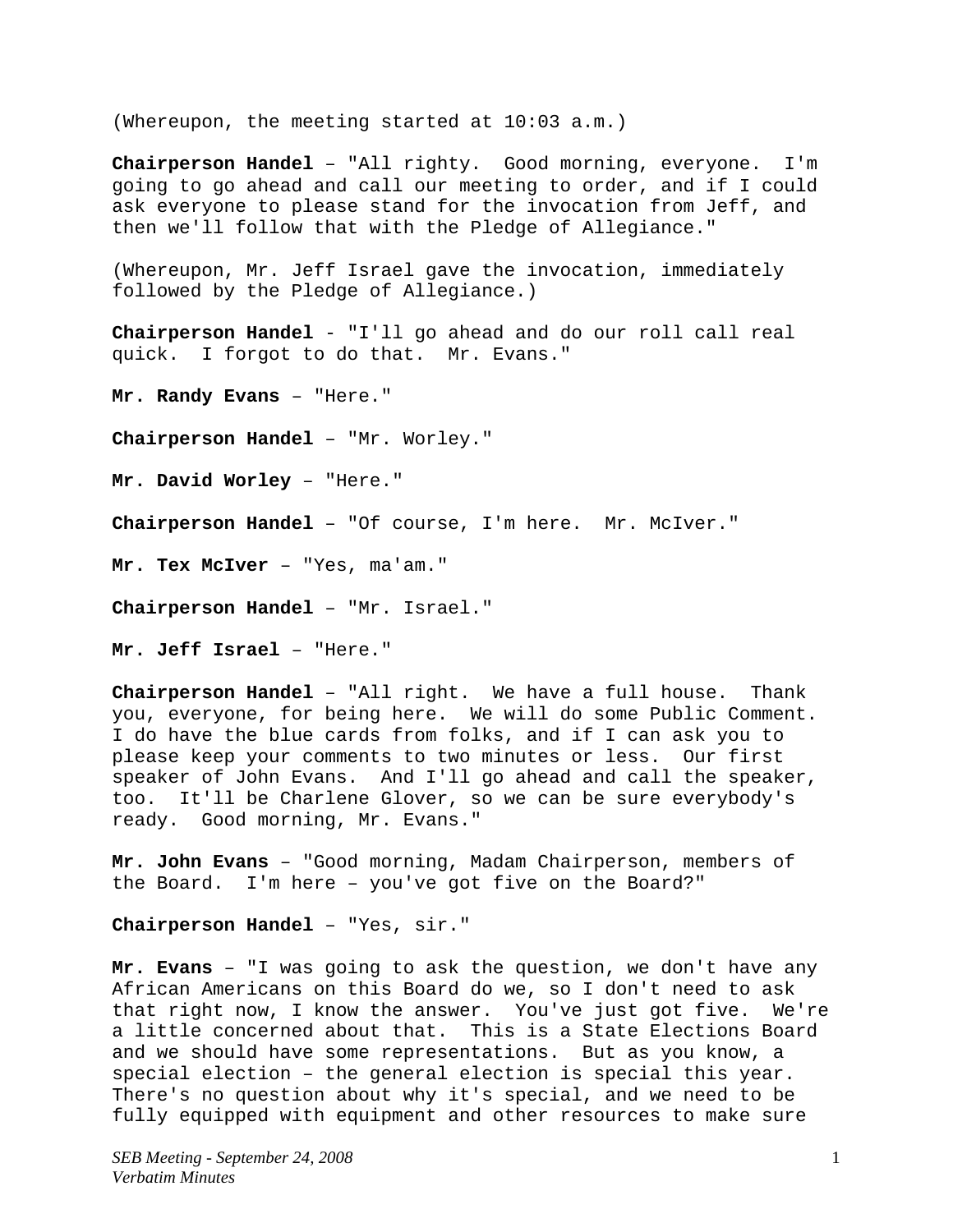(Whereupon, the meeting started at 10:03 a.m.)

**Chairperson Handel** – "All righty. Good morning, everyone. I'm going to go ahead and call our meeting to order, and if I could ask everyone to please stand for the invocation from Jeff, and then we'll follow that with the Pledge of Allegiance."

(Whereupon, Mr. Jeff Israel gave the invocation, immediately followed by the Pledge of Allegiance.)

**Chairperson Handel** - "I'll go ahead and do our roll call real quick. I forgot to do that. Mr. Evans."

**Mr. Randy Evans** – "Here."

**Chairperson Handel** – "Mr. Worley."

**Mr. David Worley** – "Here."

**Chairperson Handel** – "Of course, I'm here. Mr. McIver."

**Mr. Tex McIver** – "Yes, ma'am."

**Chairperson Handel** – "Mr. Israel."

**Mr. Jeff Israel** – "Here."

**Chairperson Handel** – "All right. We have a full house. Thank you, everyone, for being here. We will do some Public Comment. I do have the blue cards from folks, and if I can ask you to please keep your comments to two minutes or less. Our first speaker of John Evans. And I'll go ahead and call the speaker, too. It'll be Charlene Glover, so we can be sure everybody's ready. Good morning, Mr. Evans."

**Mr. John Evans** – "Good morning, Madam Chairperson, members of the Board. I'm here – you've got five on the Board?"

**Chairperson Handel** – "Yes, sir."

**Mr. Evans** – "I was going to ask the question, we don't have any African Americans on this Board do we, so I don't need to ask that right now, I know the answer. You've just got five. We're a little concerned about that. This is a State Elections Board and we should have some representations. But as you know, a special election – the general election is special this year. There's no question about why it's special, and we need to be fully equipped with equipment and other resources to make sure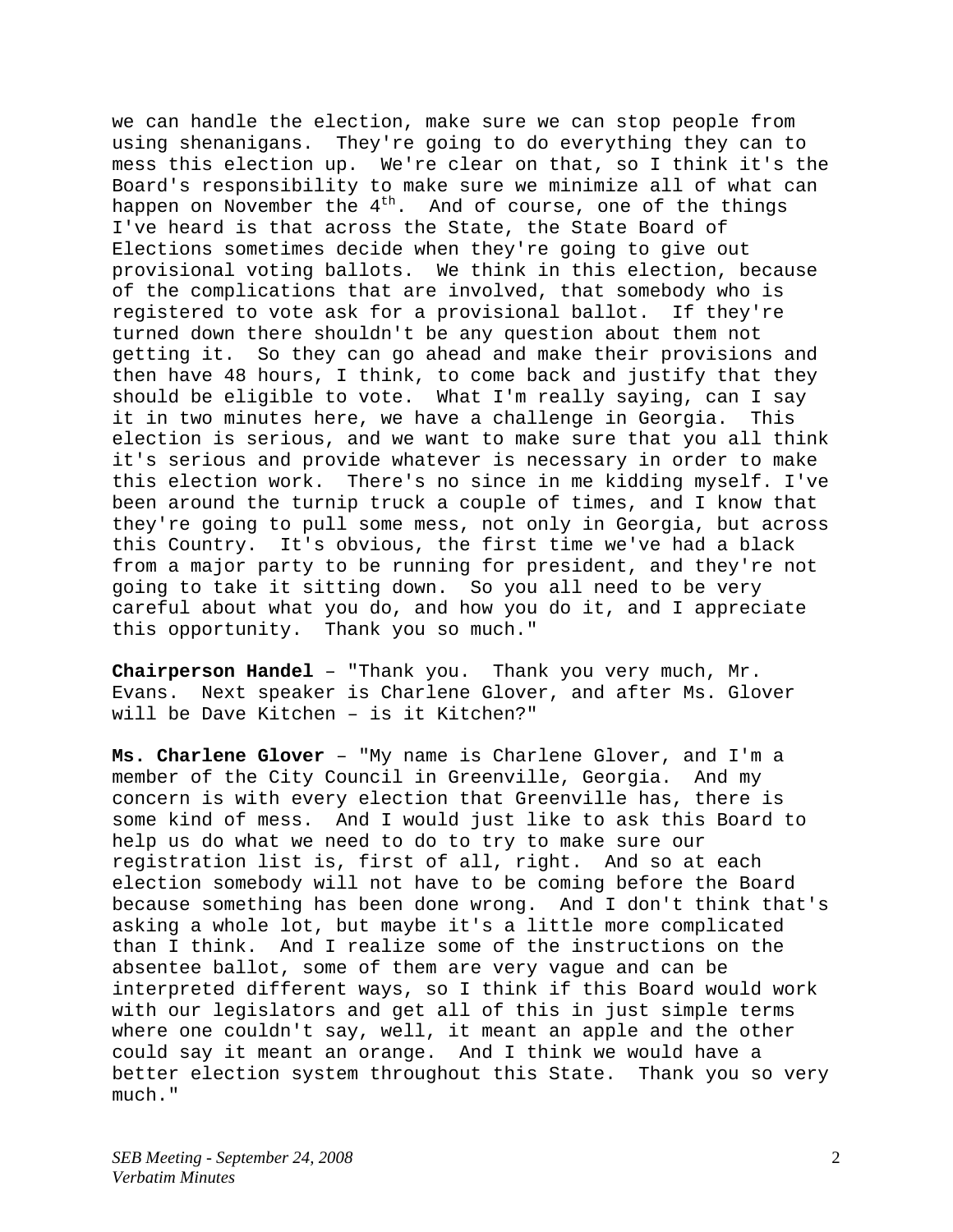we can handle the election, make sure we can stop people from using shenanigans. They're going to do everything they can to mess this election up. We're clear on that, so I think it's the Board's responsibility to make sure we minimize all of what can happen on November the  $4<sup>th</sup>$ . And of course, one of the things I've heard is that across the State, the State Board of Elections sometimes decide when they're going to give out provisional voting ballots. We think in this election, because of the complications that are involved, that somebody who is registered to vote ask for a provisional ballot. If they're turned down there shouldn't be any question about them not getting it. So they can go ahead and make their provisions and then have 48 hours, I think, to come back and justify that they should be eligible to vote. What I'm really saying, can I say it in two minutes here, we have a challenge in Georgia. This election is serious, and we want to make sure that you all think it's serious and provide whatever is necessary in order to make this election work. There's no since in me kidding myself. I've been around the turnip truck a couple of times, and I know that they're going to pull some mess, not only in Georgia, but across this Country. It's obvious, the first time we've had a black from a major party to be running for president, and they're not going to take it sitting down. So you all need to be very careful about what you do, and how you do it, and I appreciate this opportunity. Thank you so much."

**Chairperson Handel** – "Thank you. Thank you very much, Mr. Evans. Next speaker is Charlene Glover, and after Ms. Glover will be Dave Kitchen – is it Kitchen?"

**Ms. Charlene Glover** – "My name is Charlene Glover, and I'm a member of the City Council in Greenville, Georgia. And my concern is with every election that Greenville has, there is some kind of mess. And I would just like to ask this Board to help us do what we need to do to try to make sure our registration list is, first of all, right. And so at each election somebody will not have to be coming before the Board because something has been done wrong. And I don't think that's asking a whole lot, but maybe it's a little more complicated than I think. And I realize some of the instructions on the absentee ballot, some of them are very vague and can be interpreted different ways, so I think if this Board would work with our legislators and get all of this in just simple terms where one couldn't say, well, it meant an apple and the other could say it meant an orange. And I think we would have a better election system throughout this State. Thank you so very much."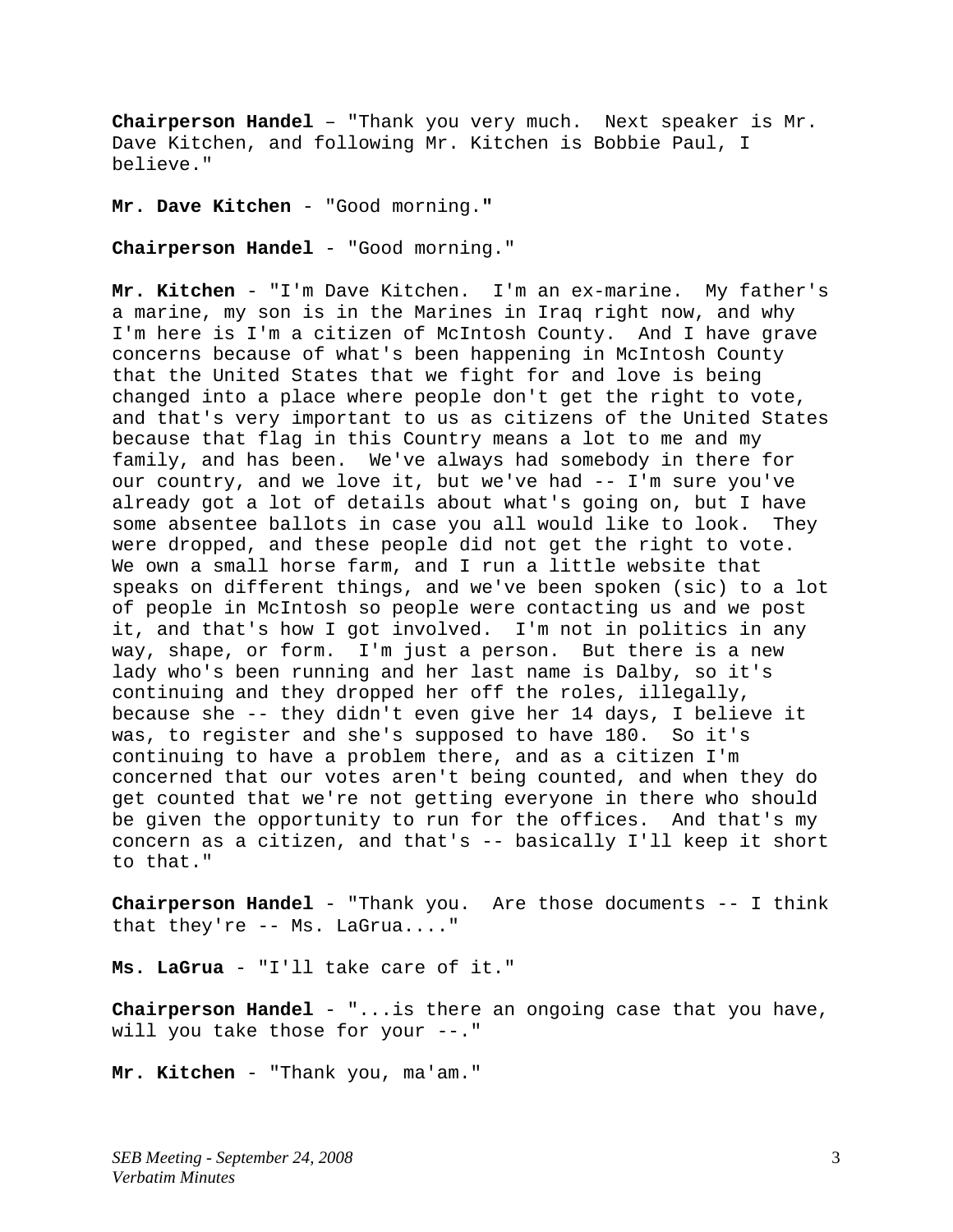**Chairperson Handel** – "Thank you very much. Next speaker is Mr. Dave Kitchen, and following Mr. Kitchen is Bobbie Paul, I believe."

**Mr. Dave Kitchen** - "Good morning.**"** 

**Chairperson Handel** - "Good morning."

**Mr. Kitchen** - "I'm Dave Kitchen. I'm an ex-marine. My father's a marine, my son is in the Marines in Iraq right now, and why I'm here is I'm a citizen of McIntosh County. And I have grave concerns because of what's been happening in McIntosh County that the United States that we fight for and love is being changed into a place where people don't get the right to vote, and that's very important to us as citizens of the United States because that flag in this Country means a lot to me and my family, and has been. We've always had somebody in there for our country, and we love it, but we've had -- I'm sure you've already got a lot of details about what's going on, but I have some absentee ballots in case you all would like to look. They were dropped, and these people did not get the right to vote. We own a small horse farm, and I run a little website that speaks on different things, and we've been spoken (sic) to a lot of people in McIntosh so people were contacting us and we post it, and that's how I got involved. I'm not in politics in any way, shape, or form. I'm just a person. But there is a new lady who's been running and her last name is Dalby, so it's continuing and they dropped her off the roles, illegally, because she -- they didn't even give her 14 days, I believe it was, to register and she's supposed to have 180. So it's continuing to have a problem there, and as a citizen I'm concerned that our votes aren't being counted, and when they do get counted that we're not getting everyone in there who should be given the opportunity to run for the offices. And that's my concern as a citizen, and that's -- basically I'll keep it short to that."

**Chairperson Handel** - "Thank you. Are those documents -- I think that they're -- Ms. LaGrua...."

**Ms. LaGrua** - "I'll take care of it."

**Chairperson Handel** - "...is there an ongoing case that you have, will you take those for your --."

**Mr. Kitchen** - "Thank you, ma'am."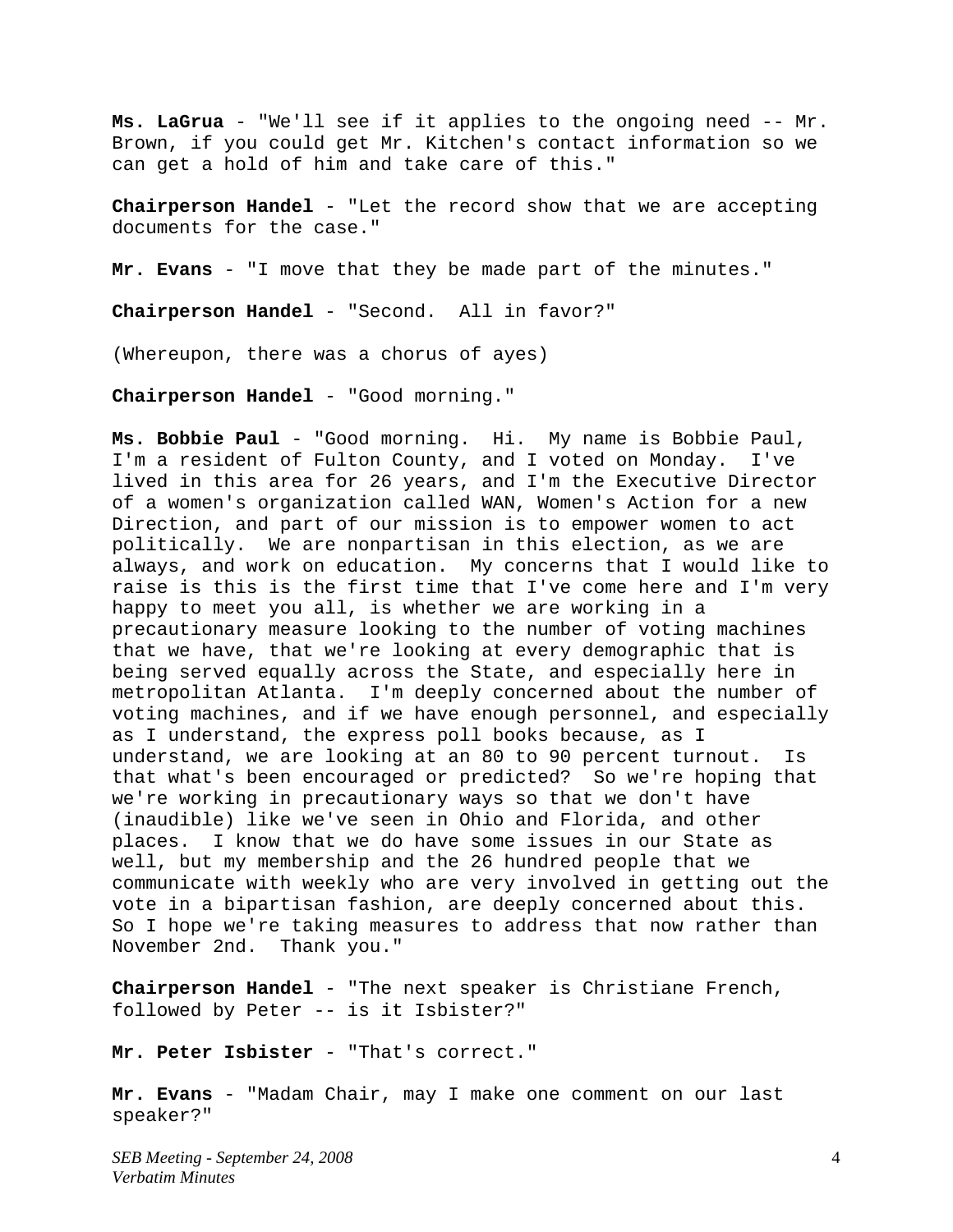**Ms. LaGrua** - "We'll see if it applies to the ongoing need -- Mr. Brown, if you could get Mr. Kitchen's contact information so we can get a hold of him and take care of this."

**Chairperson Handel** - "Let the record show that we are accepting documents for the case."

**Mr. Evans** - "I move that they be made part of the minutes."

**Chairperson Handel** - "Second. All in favor?"

(Whereupon, there was a chorus of ayes)

**Chairperson Handel** - "Good morning."

**Ms. Bobbie Paul** - "Good morning. Hi. My name is Bobbie Paul, I'm a resident of Fulton County, and I voted on Monday. I've lived in this area for 26 years, and I'm the Executive Director of a women's organization called WAN, Women's Action for a new Direction, and part of our mission is to empower women to act politically. We are nonpartisan in this election, as we are always, and work on education. My concerns that I would like to raise is this is the first time that I've come here and I'm very happy to meet you all, is whether we are working in a precautionary measure looking to the number of voting machines that we have, that we're looking at every demographic that is being served equally across the State, and especially here in metropolitan Atlanta. I'm deeply concerned about the number of voting machines, and if we have enough personnel, and especially as I understand, the express poll books because, as I understand, we are looking at an 80 to 90 percent turnout. Is that what's been encouraged or predicted? So we're hoping that we're working in precautionary ways so that we don't have (inaudible) like we've seen in Ohio and Florida, and other places. I know that we do have some issues in our State as well, but my membership and the 26 hundred people that we communicate with weekly who are very involved in getting out the vote in a bipartisan fashion, are deeply concerned about this. So I hope we're taking measures to address that now rather than November 2nd. Thank you."

**Chairperson Handel** - "The next speaker is Christiane French, followed by Peter -- is it Isbister?"

**Mr. Peter Isbister** - "That's correct."

**Mr. Evans** - "Madam Chair, may I make one comment on our last speaker?"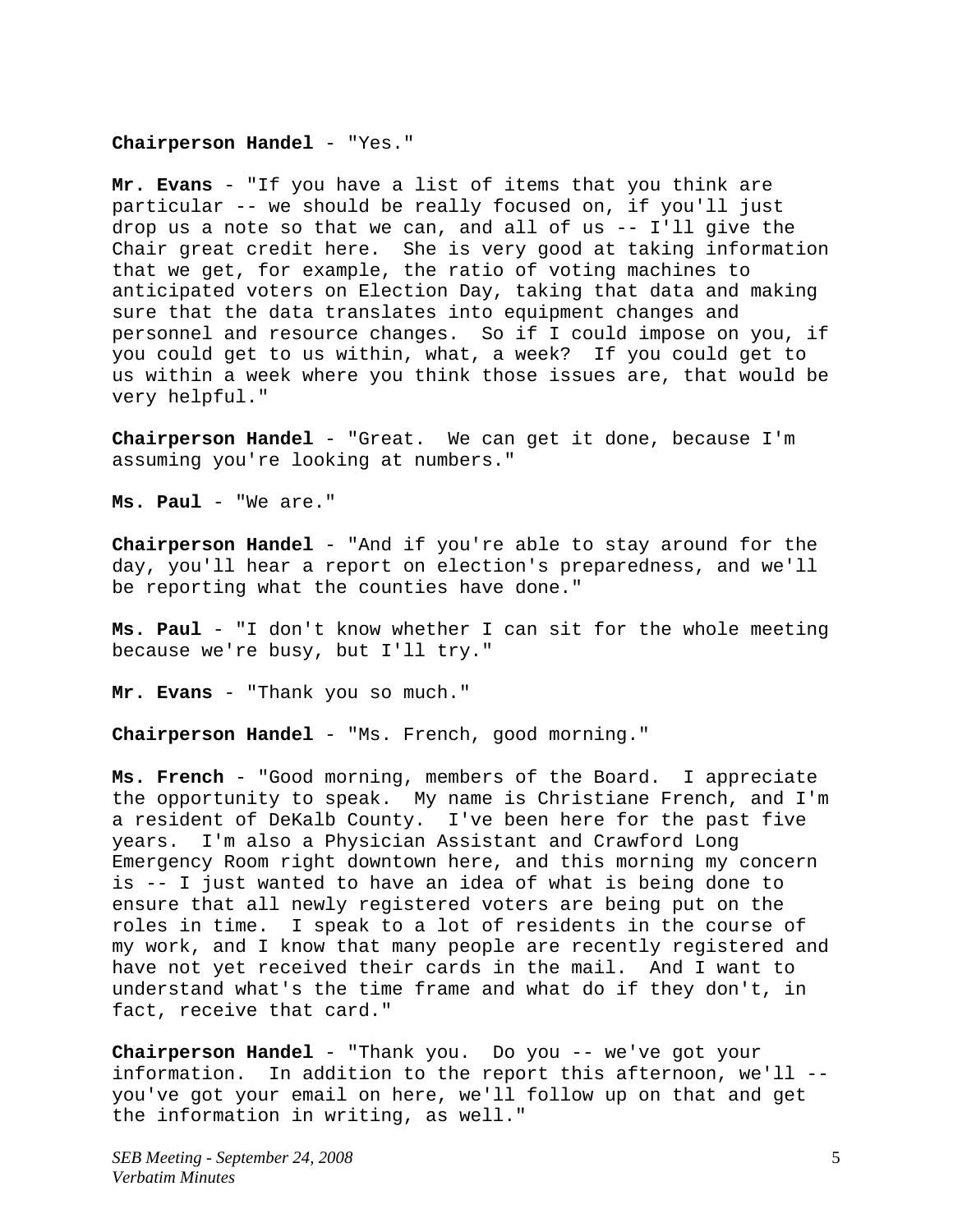#### **Chairperson Handel** - "Yes."

**Mr. Evans** - "If you have a list of items that you think are particular -- we should be really focused on, if you'll just drop us a note so that we can, and all of us  $-1$  I'll give the Chair great credit here. She is very good at taking information that we get, for example, the ratio of voting machines to anticipated voters on Election Day, taking that data and making sure that the data translates into equipment changes and personnel and resource changes. So if I could impose on you, if you could get to us within, what, a week? If you could get to us within a week where you think those issues are, that would be very helpful."

**Chairperson Handel** - "Great. We can get it done, because I'm assuming you're looking at numbers."

**Ms. Paul** - "We are."

**Chairperson Handel** - "And if you're able to stay around for the day, you'll hear a report on election's preparedness, and we'll be reporting what the counties have done."

**Ms. Paul** - "I don't know whether I can sit for the whole meeting because we're busy, but I'll try."

**Mr. Evans** - "Thank you so much."

**Chairperson Handel** - "Ms. French, good morning."

**Ms. French** - "Good morning, members of the Board. I appreciate the opportunity to speak. My name is Christiane French, and I'm a resident of DeKalb County. I've been here for the past five years. I'm also a Physician Assistant and Crawford Long Emergency Room right downtown here, and this morning my concern is -- I just wanted to have an idea of what is being done to ensure that all newly registered voters are being put on the roles in time. I speak to a lot of residents in the course of my work, and I know that many people are recently registered and have not yet received their cards in the mail. And I want to understand what's the time frame and what do if they don't, in fact, receive that card."

**Chairperson Handel** - "Thank you. Do you -- we've got your information. In addition to the report this afternoon, we'll - you've got your email on here, we'll follow up on that and get the information in writing, as well."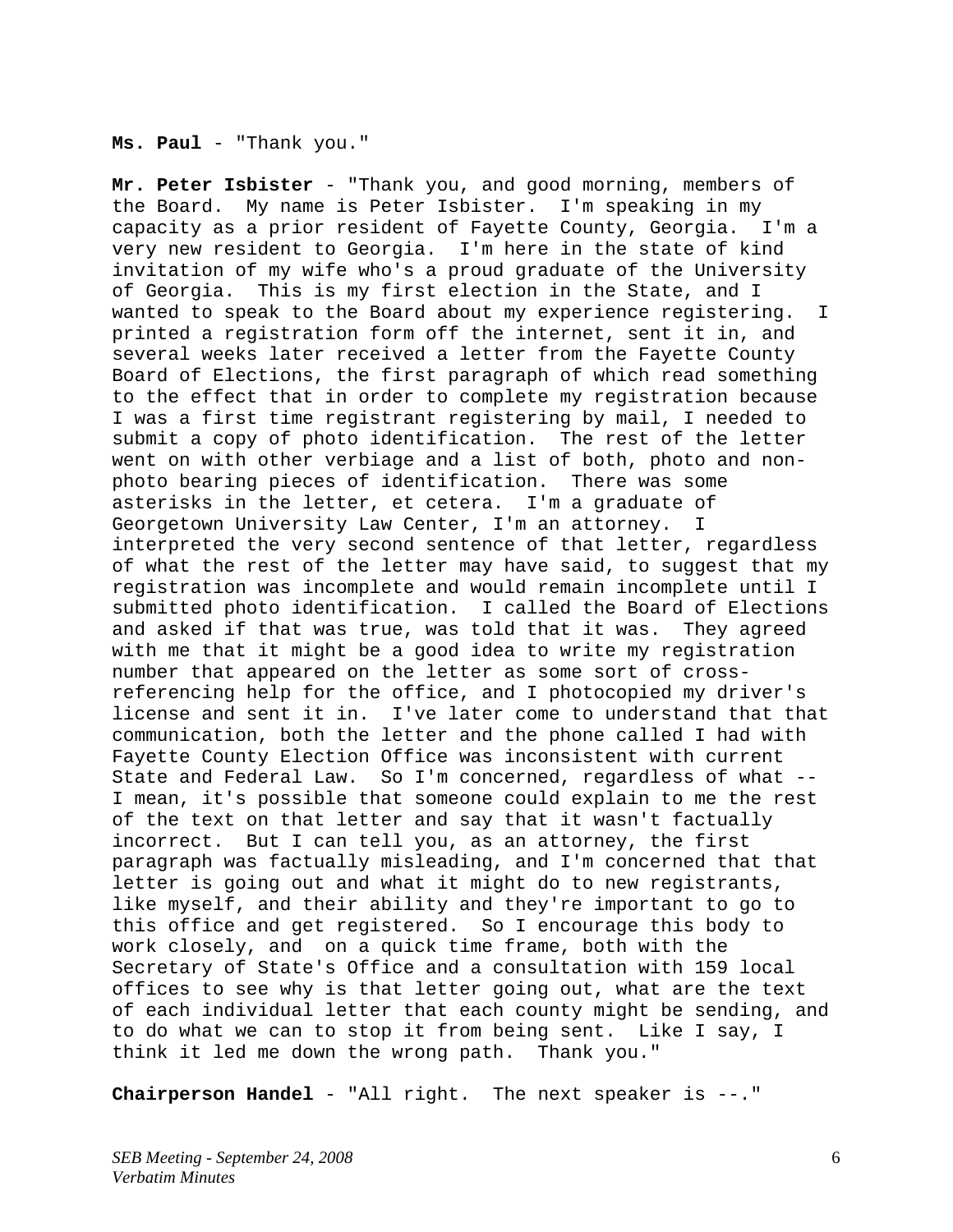#### **Ms. Paul** - "Thank you."

**Mr. Peter Isbister** - "Thank you, and good morning, members of the Board. My name is Peter Isbister. I'm speaking in my capacity as a prior resident of Fayette County, Georgia. I'm a very new resident to Georgia. I'm here in the state of kind invitation of my wife who's a proud graduate of the University of Georgia. This is my first election in the State, and I wanted to speak to the Board about my experience registering. I printed a registration form off the internet, sent it in, and several weeks later received a letter from the Fayette County Board of Elections, the first paragraph of which read something to the effect that in order to complete my registration because I was a first time registrant registering by mail, I needed to submit a copy of photo identification. The rest of the letter went on with other verbiage and a list of both, photo and nonphoto bearing pieces of identification. There was some asterisks in the letter, et cetera. I'm a graduate of Georgetown University Law Center, I'm an attorney. I interpreted the very second sentence of that letter, regardless of what the rest of the letter may have said, to suggest that my registration was incomplete and would remain incomplete until I submitted photo identification. I called the Board of Elections and asked if that was true, was told that it was. They agreed with me that it might be a good idea to write my registration number that appeared on the letter as some sort of crossreferencing help for the office, and I photocopied my driver's license and sent it in. I've later come to understand that that communication, both the letter and the phone called I had with Fayette County Election Office was inconsistent with current State and Federal Law. So I'm concerned, regardless of what -- I mean, it's possible that someone could explain to me the rest of the text on that letter and say that it wasn't factually incorrect. But I can tell you, as an attorney, the first paragraph was factually misleading, and I'm concerned that that letter is going out and what it might do to new registrants, like myself, and their ability and they're important to go to this office and get registered. So I encourage this body to work closely, and on a quick time frame, both with the Secretary of State's Office and a consultation with 159 local offices to see why is that letter going out, what are the text of each individual letter that each county might be sending, and to do what we can to stop it from being sent. Like I say, I think it led me down the wrong path. Thank you."

**Chairperson Handel** - "All right. The next speaker is --."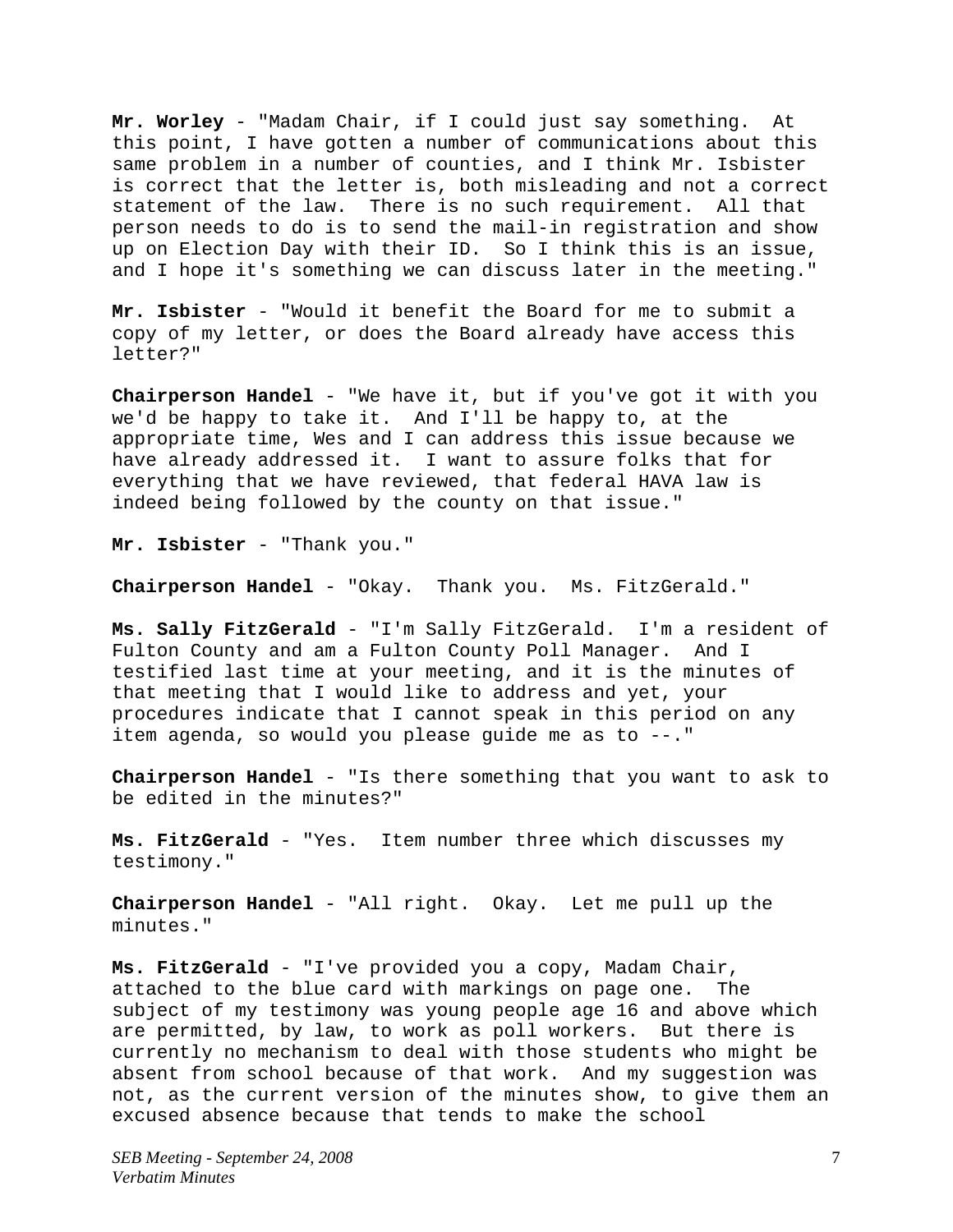**Mr. Worley** - "Madam Chair, if I could just say something. At this point, I have gotten a number of communications about this same problem in a number of counties, and I think Mr. Isbister is correct that the letter is, both misleading and not a correct statement of the law. There is no such requirement. All that person needs to do is to send the mail-in registration and show up on Election Day with their ID. So I think this is an issue, and I hope it's something we can discuss later in the meeting."

**Mr. Isbister** - "Would it benefit the Board for me to submit a copy of my letter, or does the Board already have access this letter?"

**Chairperson Handel** - "We have it, but if you've got it with you we'd be happy to take it. And I'll be happy to, at the appropriate time, Wes and I can address this issue because we have already addressed it. I want to assure folks that for everything that we have reviewed, that federal HAVA law is indeed being followed by the county on that issue."

**Mr. Isbister** - "Thank you."

**Chairperson Handel** - "Okay. Thank you. Ms. FitzGerald."

**Ms. Sally FitzGerald** - "I'm Sally FitzGerald. I'm a resident of Fulton County and am a Fulton County Poll Manager. And I testified last time at your meeting, and it is the minutes of that meeting that I would like to address and yet, your procedures indicate that I cannot speak in this period on any item agenda, so would you please guide me as to --."

**Chairperson Handel** - "Is there something that you want to ask to be edited in the minutes?"

**Ms. FitzGerald** - "Yes. Item number three which discusses my testimony."

**Chairperson Handel** - "All right. Okay. Let me pull up the minutes."

**Ms. FitzGerald** - "I've provided you a copy, Madam Chair, attached to the blue card with markings on page one. The subject of my testimony was young people age 16 and above which are permitted, by law, to work as poll workers. But there is currently no mechanism to deal with those students who might be absent from school because of that work. And my suggestion was not, as the current version of the minutes show, to give them an excused absence because that tends to make the school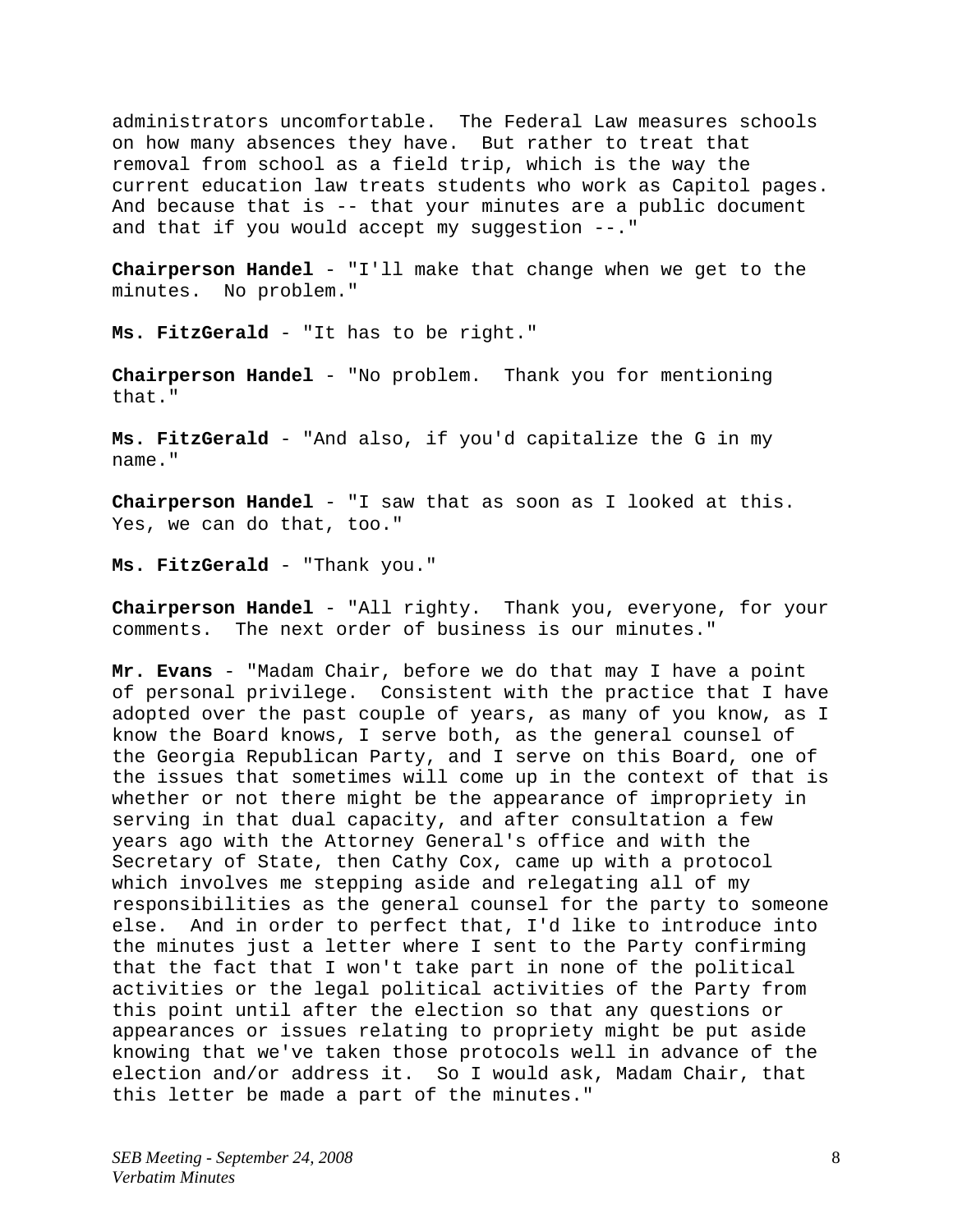administrators uncomfortable. The Federal Law measures schools on how many absences they have. But rather to treat that removal from school as a field trip, which is the way the current education law treats students who work as Capitol pages. And because that is -- that your minutes are a public document and that if you would accept my suggestion --."

**Chairperson Handel** - "I'll make that change when we get to the minutes. No problem."

**Ms. FitzGerald** - "It has to be right."

**Chairperson Handel** - "No problem. Thank you for mentioning that."

**Ms. FitzGerald** - "And also, if you'd capitalize the G in my name."

**Chairperson Handel** - "I saw that as soon as I looked at this. Yes, we can do that, too."

**Ms. FitzGerald** - "Thank you."

**Chairperson Handel** - "All righty. Thank you, everyone, for your comments. The next order of business is our minutes."

**Mr. Evans** - "Madam Chair, before we do that may I have a point of personal privilege. Consistent with the practice that I have adopted over the past couple of years, as many of you know, as I know the Board knows, I serve both, as the general counsel of the Georgia Republican Party, and I serve on this Board, one of the issues that sometimes will come up in the context of that is whether or not there might be the appearance of impropriety in serving in that dual capacity, and after consultation a few years ago with the Attorney General's office and with the Secretary of State, then Cathy Cox, came up with a protocol which involves me stepping aside and relegating all of my responsibilities as the general counsel for the party to someone else. And in order to perfect that, I'd like to introduce into the minutes just a letter where I sent to the Party confirming that the fact that I won't take part in none of the political activities or the legal political activities of the Party from this point until after the election so that any questions or appearances or issues relating to propriety might be put aside knowing that we've taken those protocols well in advance of the election and/or address it. So I would ask, Madam Chair, that this letter be made a part of the minutes."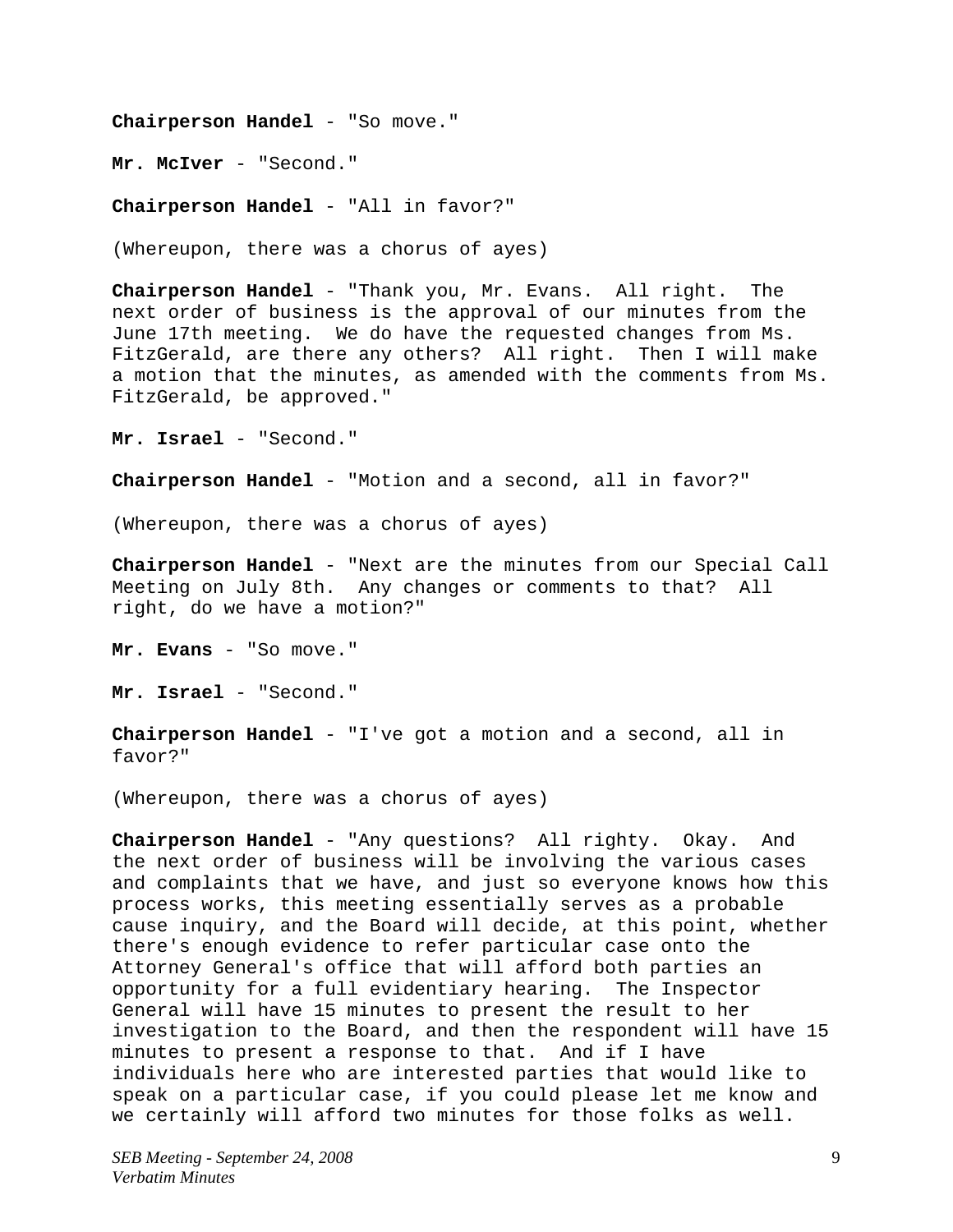**Chairperson Handel** - "So move."

**Mr. McIver** - "Second."

**Chairperson Handel** - "All in favor?"

(Whereupon, there was a chorus of ayes)

**Chairperson Handel** - "Thank you, Mr. Evans. All right. The next order of business is the approval of our minutes from the June 17th meeting. We do have the requested changes from Ms. FitzGerald, are there any others? All right. Then I will make a motion that the minutes, as amended with the comments from Ms. FitzGerald, be approved."

Mr. Israel - "Second."

**Chairperson Handel** - "Motion and a second, all in favor?"

(Whereupon, there was a chorus of ayes)

**Chairperson Handel** - "Next are the minutes from our Special Call Meeting on July 8th. Any changes or comments to that? All right, do we have a motion?"

Mr. Evans - "So move."

Mr. Israel - "Second."

**Chairperson Handel** - "I've got a motion and a second, all in favor?"

(Whereupon, there was a chorus of ayes)

**Chairperson Handel** - "Any questions? All righty. Okay. And the next order of business will be involving the various cases and complaints that we have, and just so everyone knows how this process works, this meeting essentially serves as a probable cause inquiry, and the Board will decide, at this point, whether there's enough evidence to refer particular case onto the Attorney General's office that will afford both parties an opportunity for a full evidentiary hearing. The Inspector General will have 15 minutes to present the result to her investigation to the Board, and then the respondent will have 15 minutes to present a response to that. And if I have individuals here who are interested parties that would like to speak on a particular case, if you could please let me know and we certainly will afford two minutes for those folks as well.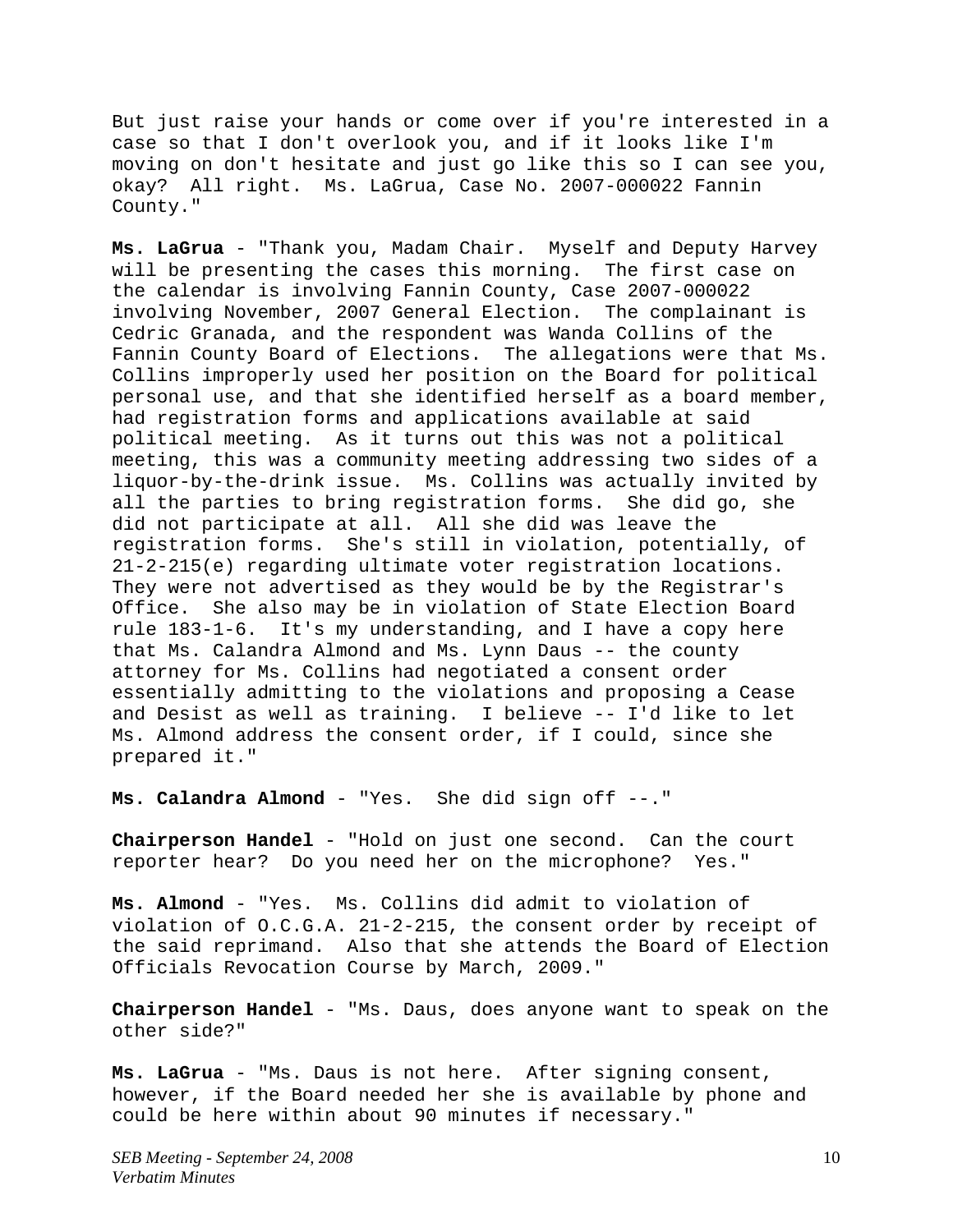But just raise your hands or come over if you're interested in a case so that I don't overlook you, and if it looks like I'm moving on don't hesitate and just go like this so I can see you, okay? All right. Ms. LaGrua, Case No. 2007-000022 Fannin County."

**Ms. LaGrua** - "Thank you, Madam Chair. Myself and Deputy Harvey will be presenting the cases this morning. The first case on the calendar is involving Fannin County, Case 2007-000022 involving November, 2007 General Election. The complainant is Cedric Granada, and the respondent was Wanda Collins of the Fannin County Board of Elections. The allegations were that Ms. Collins improperly used her position on the Board for political personal use, and that she identified herself as a board member, had registration forms and applications available at said political meeting. As it turns out this was not a political meeting, this was a community meeting addressing two sides of a liquor-by-the-drink issue. Ms. Collins was actually invited by all the parties to bring registration forms. She did go, she did not participate at all. All she did was leave the registration forms. She's still in violation, potentially, of 21-2-215(e) regarding ultimate voter registration locations. They were not advertised as they would be by the Registrar's Office. She also may be in violation of State Election Board rule 183-1-6. It's my understanding, and I have a copy here that Ms. Calandra Almond and Ms. Lynn Daus -- the county attorney for Ms. Collins had negotiated a consent order essentially admitting to the violations and proposing a Cease and Desist as well as training. I believe -- I'd like to let Ms. Almond address the consent order, if I could, since she prepared it."

**Ms. Calandra Almond** - "Yes. She did sign off --."

**Chairperson Handel** - "Hold on just one second. Can the court reporter hear? Do you need her on the microphone? Yes."

**Ms. Almond** - "Yes. Ms. Collins did admit to violation of violation of O.C.G.A. 21-2-215, the consent order by receipt of the said reprimand. Also that she attends the Board of Election Officials Revocation Course by March, 2009."

**Chairperson Handel** - "Ms. Daus, does anyone want to speak on the other side?"

**Ms. LaGrua** - "Ms. Daus is not here. After signing consent, however, if the Board needed her she is available by phone and could be here within about 90 minutes if necessary."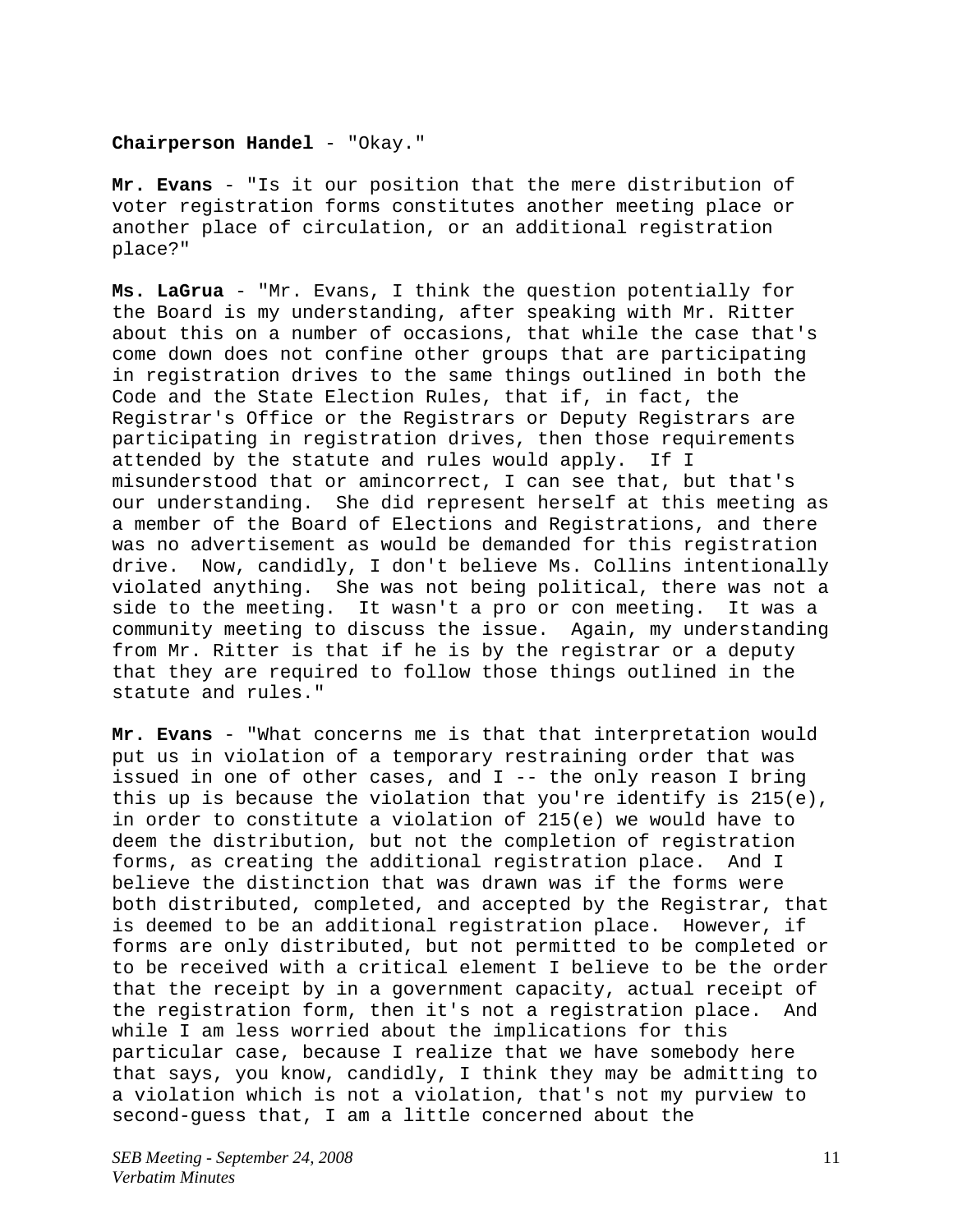#### **Chairperson Handel** - "Okay."

**Mr. Evans** - "Is it our position that the mere distribution of voter registration forms constitutes another meeting place or another place of circulation, or an additional registration place?"

**Ms. LaGrua** - "Mr. Evans, I think the question potentially for the Board is my understanding, after speaking with Mr. Ritter about this on a number of occasions, that while the case that's come down does not confine other groups that are participating in registration drives to the same things outlined in both the Code and the State Election Rules, that if, in fact, the Registrar's Office or the Registrars or Deputy Registrars are participating in registration drives, then those requirements attended by the statute and rules would apply. If I misunderstood that or amincorrect, I can see that, but that's our understanding. She did represent herself at this meeting as a member of the Board of Elections and Registrations, and there was no advertisement as would be demanded for this registration drive. Now, candidly, I don't believe Ms. Collins intentionally violated anything. She was not being political, there was not a side to the meeting. It wasn't a pro or con meeting. It was a community meeting to discuss the issue. Again, my understanding from Mr. Ritter is that if he is by the registrar or a deputy that they are required to follow those things outlined in the statute and rules."

**Mr. Evans** - "What concerns me is that that interpretation would put us in violation of a temporary restraining order that was issued in one of other cases, and I -- the only reason I bring this up is because the violation that you're identify is 215(e), in order to constitute a violation of 215(e) we would have to deem the distribution, but not the completion of registration forms, as creating the additional registration place. And I believe the distinction that was drawn was if the forms were both distributed, completed, and accepted by the Registrar, that is deemed to be an additional registration place. However, if forms are only distributed, but not permitted to be completed or to be received with a critical element I believe to be the order that the receipt by in a government capacity, actual receipt of the registration form, then it's not a registration place. And while I am less worried about the implications for this particular case, because I realize that we have somebody here that says, you know, candidly, I think they may be admitting to a violation which is not a violation, that's not my purview to second-guess that, I am a little concerned about the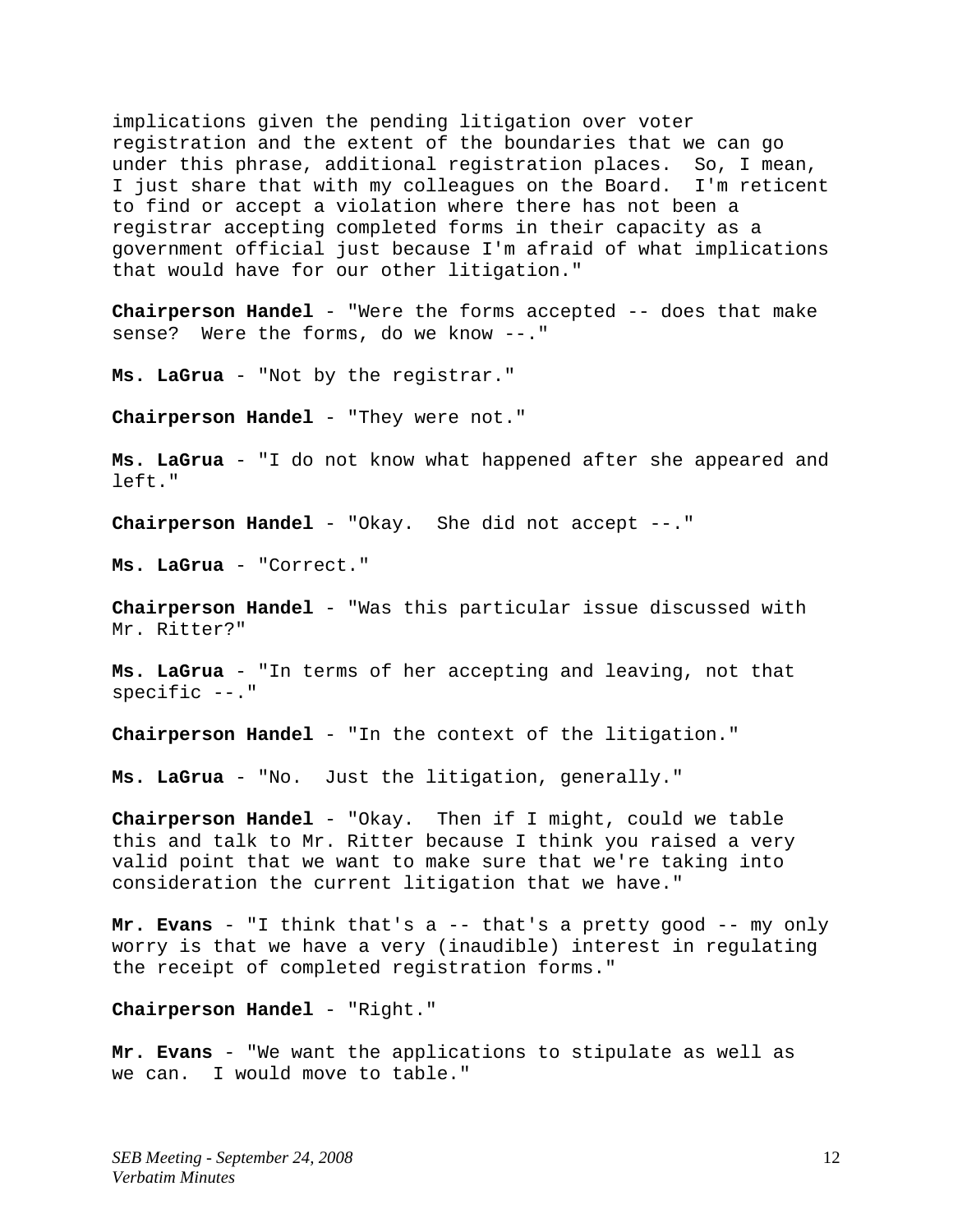implications given the pending litigation over voter registration and the extent of the boundaries that we can go under this phrase, additional registration places. So, I mean, I just share that with my colleagues on the Board. I'm reticent to find or accept a violation where there has not been a registrar accepting completed forms in their capacity as a government official just because I'm afraid of what implications that would have for our other litigation."

**Chairperson Handel** - "Were the forms accepted -- does that make sense? Were the forms, do we know --."

**Ms. LaGrua** - "Not by the registrar."

**Chairperson Handel** - "They were not."

**Ms. LaGrua** - "I do not know what happened after she appeared and left."

**Chairperson Handel** - "Okay. She did not accept --."

**Ms. LaGrua** - "Correct."

**Chairperson Handel** - "Was this particular issue discussed with Mr. Ritter?"

**Ms. LaGrua** - "In terms of her accepting and leaving, not that specific --."

**Chairperson Handel** - "In the context of the litigation."

**Ms. LaGrua** - "No. Just the litigation, generally."

**Chairperson Handel** - "Okay. Then if I might, could we table this and talk to Mr. Ritter because I think you raised a very valid point that we want to make sure that we're taking into consideration the current litigation that we have."

**Mr. Evans** - "I think that's a -- that's a pretty good -- my only worry is that we have a very (inaudible) interest in regulating the receipt of completed registration forms."

**Chairperson Handel** - "Right."

**Mr. Evans** - "We want the applications to stipulate as well as we can. I would move to table."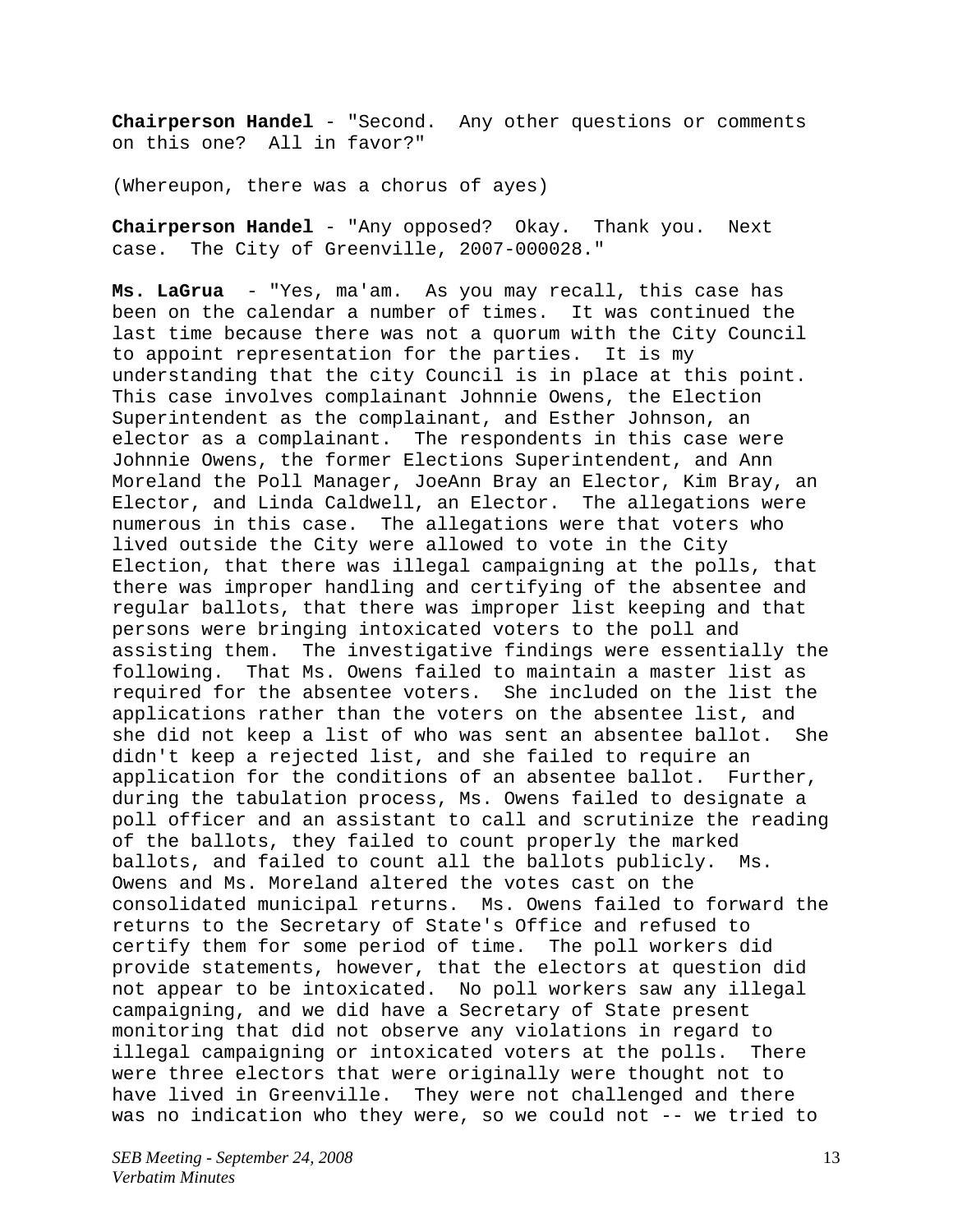**Chairperson Handel** - "Second. Any other questions or comments on this one? All in favor?"

(Whereupon, there was a chorus of ayes)

**Chairperson Handel** - "Any opposed? Okay. Thank you. Next case. The City of Greenville, 2007-000028."

**Ms. LaGrua** - "Yes, ma'am. As you may recall, this case has been on the calendar a number of times. It was continued the last time because there was not a quorum with the City Council to appoint representation for the parties. It is my understanding that the city Council is in place at this point. This case involves complainant Johnnie Owens, the Election Superintendent as the complainant, and Esther Johnson, an elector as a complainant. The respondents in this case were Johnnie Owens, the former Elections Superintendent, and Ann Moreland the Poll Manager, JoeAnn Bray an Elector, Kim Bray, an Elector, and Linda Caldwell, an Elector. The allegations were numerous in this case. The allegations were that voters who lived outside the City were allowed to vote in the City Election, that there was illegal campaigning at the polls, that there was improper handling and certifying of the absentee and regular ballots, that there was improper list keeping and that persons were bringing intoxicated voters to the poll and assisting them. The investigative findings were essentially the following. That Ms. Owens failed to maintain a master list as required for the absentee voters. She included on the list the applications rather than the voters on the absentee list, and she did not keep a list of who was sent an absentee ballot. She didn't keep a rejected list, and she failed to require an application for the conditions of an absentee ballot. Further, during the tabulation process, Ms. Owens failed to designate a poll officer and an assistant to call and scrutinize the reading of the ballots, they failed to count properly the marked ballots, and failed to count all the ballots publicly. Ms. Owens and Ms. Moreland altered the votes cast on the consolidated municipal returns. Ms. Owens failed to forward the returns to the Secretary of State's Office and refused to certify them for some period of time. The poll workers did provide statements, however, that the electors at question did not appear to be intoxicated. No poll workers saw any illegal campaigning, and we did have a Secretary of State present monitoring that did not observe any violations in regard to illegal campaigning or intoxicated voters at the polls. There were three electors that were originally were thought not to have lived in Greenville. They were not challenged and there was no indication who they were, so we could not -- we tried to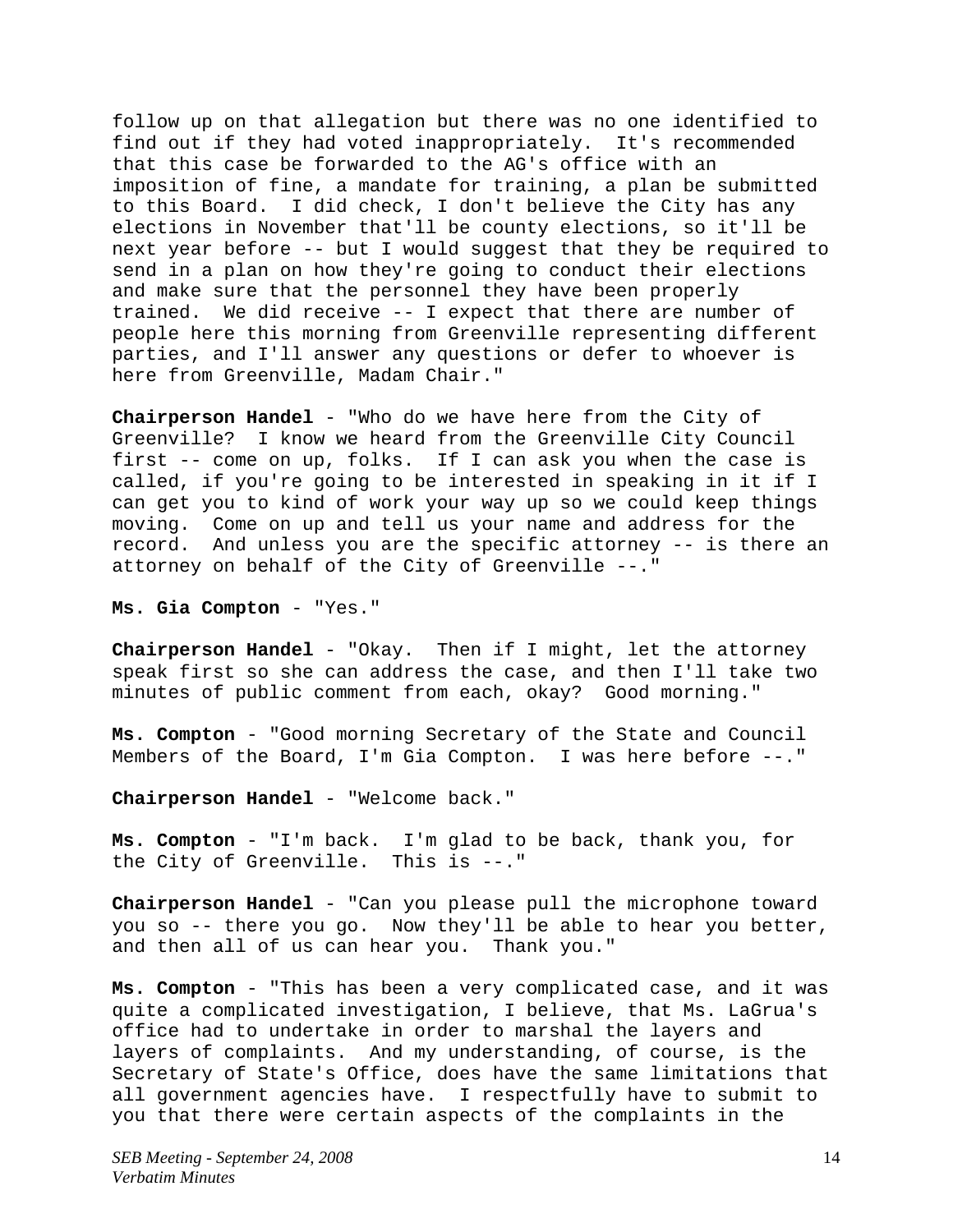follow up on that allegation but there was no one identified to find out if they had voted inappropriately. It's recommended that this case be forwarded to the AG's office with an imposition of fine, a mandate for training, a plan be submitted to this Board. I did check, I don't believe the City has any elections in November that'll be county elections, so it'll be next year before -- but I would suggest that they be required to send in a plan on how they're going to conduct their elections and make sure that the personnel they have been properly trained. We did receive -- I expect that there are number of people here this morning from Greenville representing different parties, and I'll answer any questions or defer to whoever is here from Greenville, Madam Chair."

**Chairperson Handel** - "Who do we have here from the City of Greenville? I know we heard from the Greenville City Council first -- come on up, folks. If I can ask you when the case is called, if you're going to be interested in speaking in it if I can get you to kind of work your way up so we could keep things moving. Come on up and tell us your name and address for the record. And unless you are the specific attorney -- is there an attorney on behalf of the City of Greenville --."

**Ms. Gia Compton** - "Yes."

**Chairperson Handel** - "Okay. Then if I might, let the attorney speak first so she can address the case, and then I'll take two minutes of public comment from each, okay? Good morning."

**Ms. Compton** - "Good morning Secretary of the State and Council Members of the Board, I'm Gia Compton. I was here before --."

**Chairperson Handel** - "Welcome back."

**Ms. Compton** - "I'm back. I'm glad to be back, thank you, for the City of Greenville. This is --."

**Chairperson Handel** - "Can you please pull the microphone toward you so -- there you go. Now they'll be able to hear you better, and then all of us can hear you. Thank you."

**Ms. Compton** - "This has been a very complicated case, and it was quite a complicated investigation, I believe, that Ms. LaGrua's office had to undertake in order to marshal the layers and layers of complaints. And my understanding, of course, is the Secretary of State's Office, does have the same limitations that all government agencies have. I respectfully have to submit to you that there were certain aspects of the complaints in the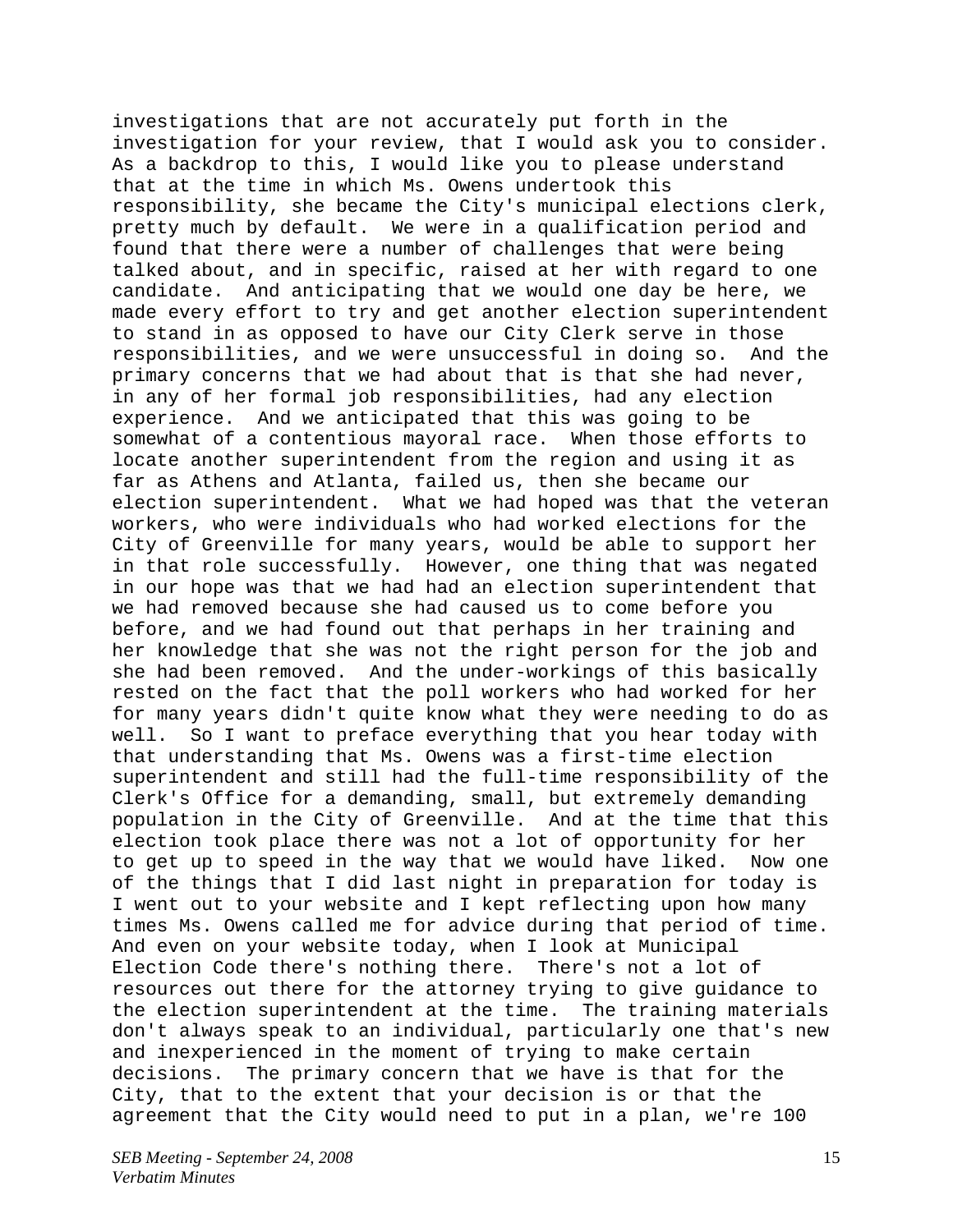investigations that are not accurately put forth in the investigation for your review, that I would ask you to consider. As a backdrop to this, I would like you to please understand that at the time in which Ms. Owens undertook this responsibility, she became the City's municipal elections clerk, pretty much by default. We were in a qualification period and found that there were a number of challenges that were being talked about, and in specific, raised at her with regard to one candidate. And anticipating that we would one day be here, we made every effort to try and get another election superintendent to stand in as opposed to have our City Clerk serve in those responsibilities, and we were unsuccessful in doing so. And the primary concerns that we had about that is that she had never, in any of her formal job responsibilities, had any election experience. And we anticipated that this was going to be somewhat of a contentious mayoral race. When those efforts to locate another superintendent from the region and using it as far as Athens and Atlanta, failed us, then she became our election superintendent. What we had hoped was that the veteran workers, who were individuals who had worked elections for the City of Greenville for many years, would be able to support her in that role successfully. However, one thing that was negated in our hope was that we had had an election superintendent that we had removed because she had caused us to come before you before, and we had found out that perhaps in her training and her knowledge that she was not the right person for the job and she had been removed. And the under-workings of this basically rested on the fact that the poll workers who had worked for her for many years didn't quite know what they were needing to do as well. So I want to preface everything that you hear today with that understanding that Ms. Owens was a first-time election superintendent and still had the full-time responsibility of the Clerk's Office for a demanding, small, but extremely demanding population in the City of Greenville. And at the time that this election took place there was not a lot of opportunity for her to get up to speed in the way that we would have liked. Now one of the things that I did last night in preparation for today is I went out to your website and I kept reflecting upon how many times Ms. Owens called me for advice during that period of time. And even on your website today, when I look at Municipal Election Code there's nothing there. There's not a lot of resources out there for the attorney trying to give guidance to the election superintendent at the time. The training materials don't always speak to an individual, particularly one that's new and inexperienced in the moment of trying to make certain decisions. The primary concern that we have is that for the City, that to the extent that your decision is or that the agreement that the City would need to put in a plan, we're 100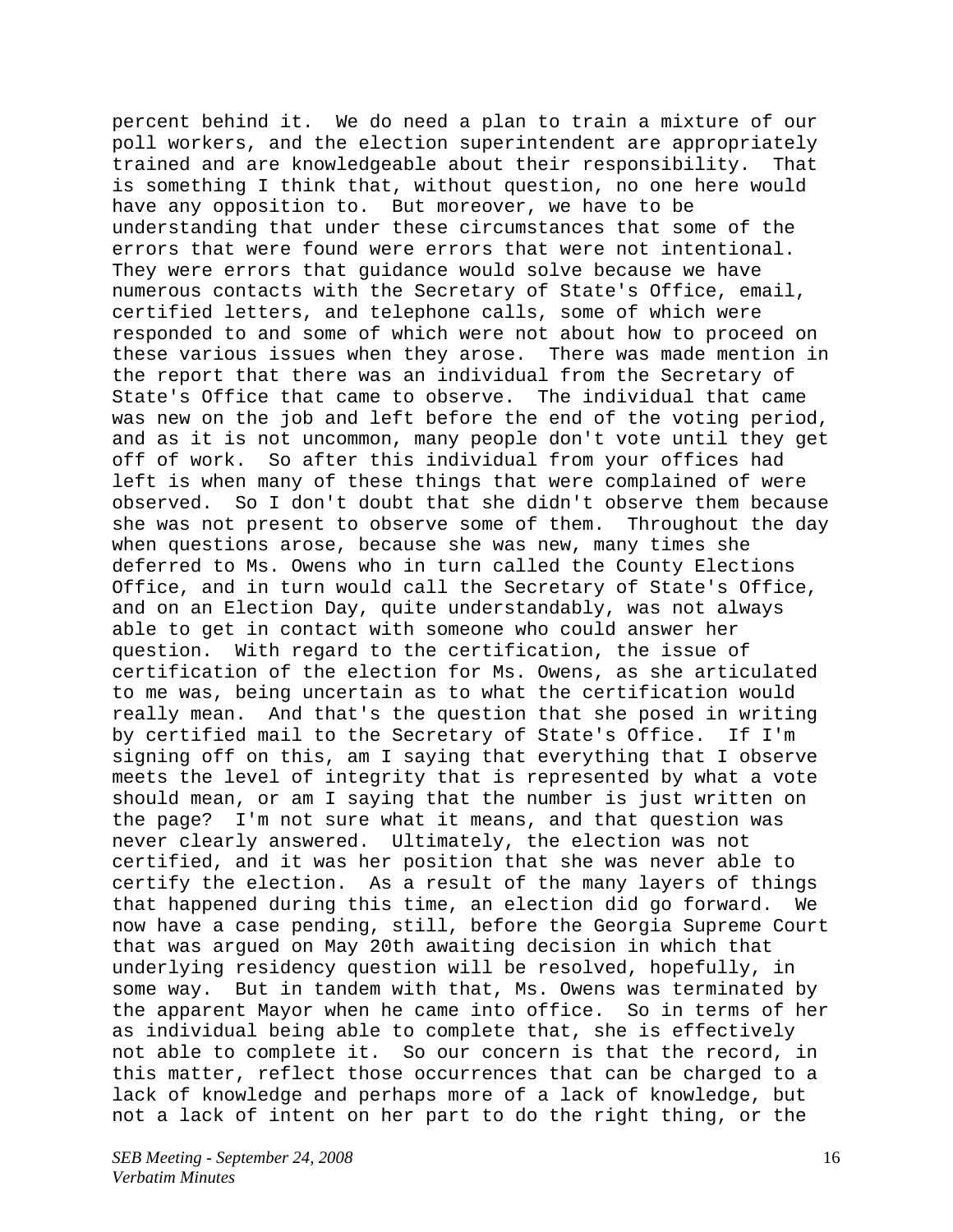percent behind it. We do need a plan to train a mixture of our poll workers, and the election superintendent are appropriately trained and are knowledgeable about their responsibility. That is something I think that, without question, no one here would have any opposition to. But moreover, we have to be understanding that under these circumstances that some of the errors that were found were errors that were not intentional. They were errors that guidance would solve because we have numerous contacts with the Secretary of State's Office, email, certified letters, and telephone calls, some of which were responded to and some of which were not about how to proceed on these various issues when they arose. There was made mention in the report that there was an individual from the Secretary of State's Office that came to observe. The individual that came was new on the job and left before the end of the voting period, and as it is not uncommon, many people don't vote until they get off of work. So after this individual from your offices had left is when many of these things that were complained of were observed. So I don't doubt that she didn't observe them because she was not present to observe some of them. Throughout the day when questions arose, because she was new, many times she deferred to Ms. Owens who in turn called the County Elections Office, and in turn would call the Secretary of State's Office, and on an Election Day, quite understandably, was not always able to get in contact with someone who could answer her question. With regard to the certification, the issue of certification of the election for Ms. Owens, as she articulated to me was, being uncertain as to what the certification would really mean. And that's the question that she posed in writing by certified mail to the Secretary of State's Office. If I'm signing off on this, am I saying that everything that I observe meets the level of integrity that is represented by what a vote should mean, or am I saying that the number is just written on the page? I'm not sure what it means, and that question was never clearly answered. Ultimately, the election was not certified, and it was her position that she was never able to certify the election. As a result of the many layers of things that happened during this time, an election did go forward. We now have a case pending, still, before the Georgia Supreme Court that was argued on May 20th awaiting decision in which that underlying residency question will be resolved, hopefully, in some way. But in tandem with that, Ms. Owens was terminated by the apparent Mayor when he came into office. So in terms of her as individual being able to complete that, she is effectively not able to complete it. So our concern is that the record, in this matter, reflect those occurrences that can be charged to a lack of knowledge and perhaps more of a lack of knowledge, but not a lack of intent on her part to do the right thing, or the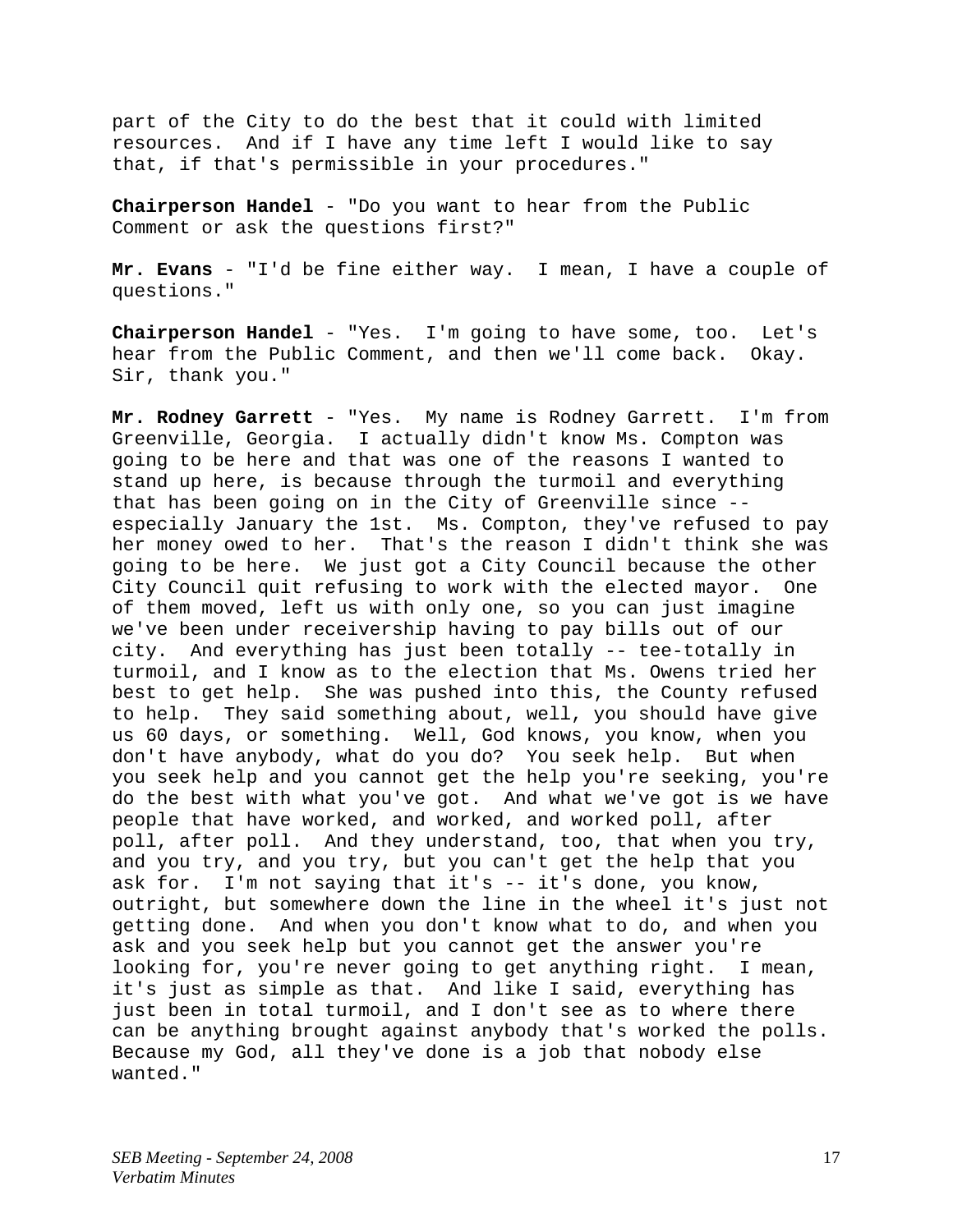part of the City to do the best that it could with limited resources. And if I have any time left I would like to say that, if that's permissible in your procedures."

**Chairperson Handel** - "Do you want to hear from the Public Comment or ask the questions first?"

**Mr. Evans** - "I'd be fine either way. I mean, I have a couple of questions."

**Chairperson Handel** - "Yes. I'm going to have some, too. Let's hear from the Public Comment, and then we'll come back. Okay. Sir, thank you."

**Mr. Rodney Garrett** - "Yes. My name is Rodney Garrett. I'm from Greenville, Georgia. I actually didn't know Ms. Compton was going to be here and that was one of the reasons I wanted to stand up here, is because through the turmoil and everything that has been going on in the City of Greenville since - especially January the 1st. Ms. Compton, they've refused to pay her money owed to her. That's the reason I didn't think she was going to be here. We just got a City Council because the other City Council quit refusing to work with the elected mayor. One of them moved, left us with only one, so you can just imagine we've been under receivership having to pay bills out of our city. And everything has just been totally -- tee-totally in turmoil, and I know as to the election that Ms. Owens tried her best to get help. She was pushed into this, the County refused to help. They said something about, well, you should have give us 60 days, or something. Well, God knows, you know, when you don't have anybody, what do you do? You seek help. But when you seek help and you cannot get the help you're seeking, you're do the best with what you've got. And what we've got is we have people that have worked, and worked, and worked poll, after poll, after poll. And they understand, too, that when you try, and you try, and you try, but you can't get the help that you ask for. I'm not saying that it's -- it's done, you know, outright, but somewhere down the line in the wheel it's just not getting done. And when you don't know what to do, and when you ask and you seek help but you cannot get the answer you're looking for, you're never going to get anything right. I mean, it's just as simple as that. And like I said, everything has just been in total turmoil, and I don't see as to where there can be anything brought against anybody that's worked the polls. Because my God, all they've done is a job that nobody else wanted."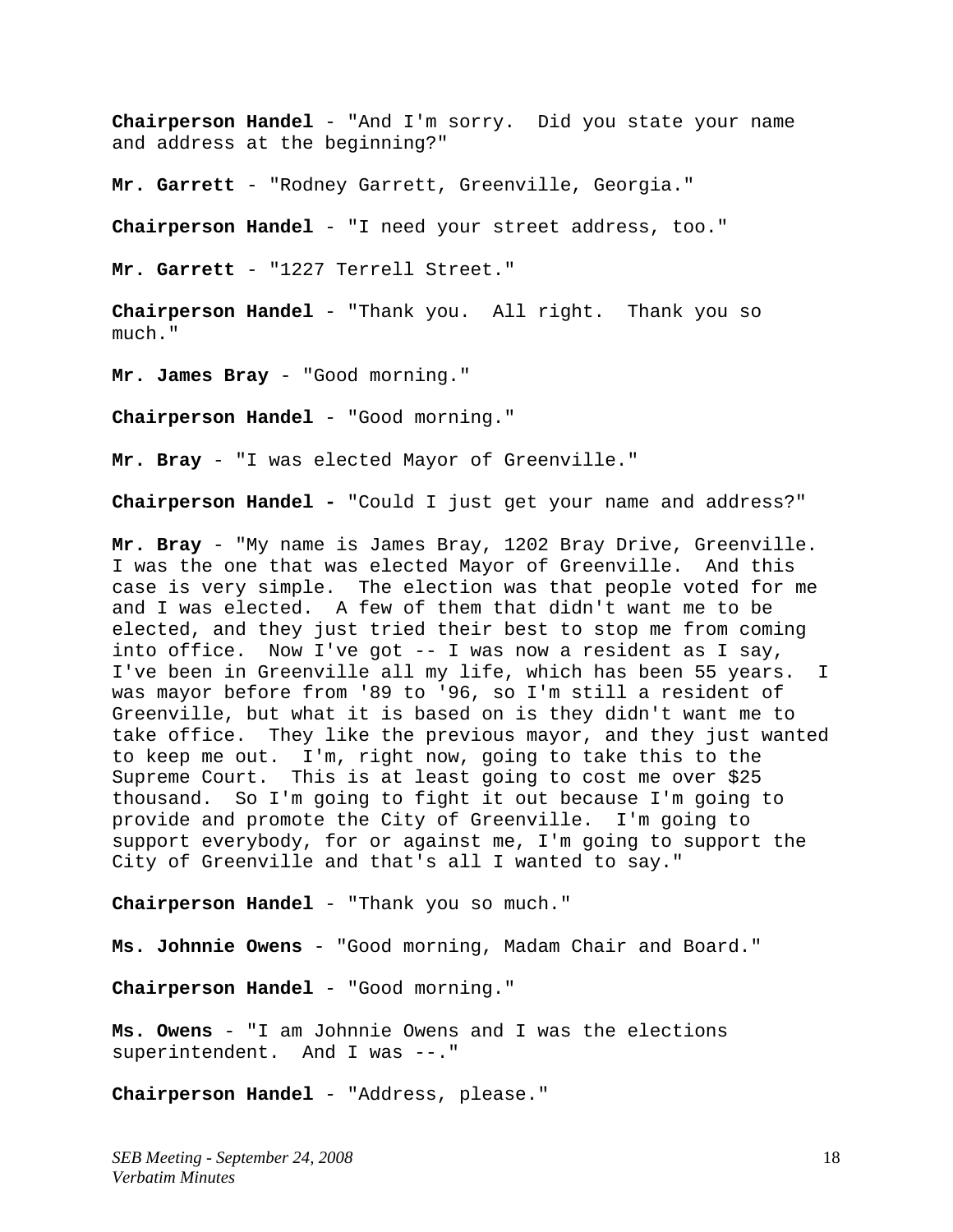**Chairperson Handel** - "And I'm sorry. Did you state your name and address at the beginning?"

**Mr. Garrett** - "Rodney Garrett, Greenville, Georgia."

**Chairperson Handel** - "I need your street address, too."

**Mr. Garrett** - "1227 Terrell Street."

**Chairperson Handel** - "Thank you. All right. Thank you so much."

**Mr. James Bray** - "Good morning."

**Chairperson Handel** - "Good morning."

**Mr. Bray** - "I was elected Mayor of Greenville."

**Chairperson Handel -** "Could I just get your name and address?"

**Mr. Bray** - "My name is James Bray, 1202 Bray Drive, Greenville. I was the one that was elected Mayor of Greenville. And this case is very simple. The election was that people voted for me and I was elected. A few of them that didn't want me to be elected, and they just tried their best to stop me from coming into office. Now I've got -- I was now a resident as I say, I've been in Greenville all my life, which has been 55 years. I was mayor before from '89 to '96, so I'm still a resident of Greenville, but what it is based on is they didn't want me to take office. They like the previous mayor, and they just wanted to keep me out. I'm, right now, going to take this to the Supreme Court. This is at least going to cost me over \$25 thousand. So I'm going to fight it out because I'm going to provide and promote the City of Greenville. I'm going to support everybody, for or against me, I'm going to support the City of Greenville and that's all I wanted to say."

**Chairperson Handel** - "Thank you so much."

**Ms. Johnnie Owens** - "Good morning, Madam Chair and Board."

**Chairperson Handel** - "Good morning."

**Ms. Owens** - "I am Johnnie Owens and I was the elections superintendent. And I was --."

**Chairperson Handel** - "Address, please."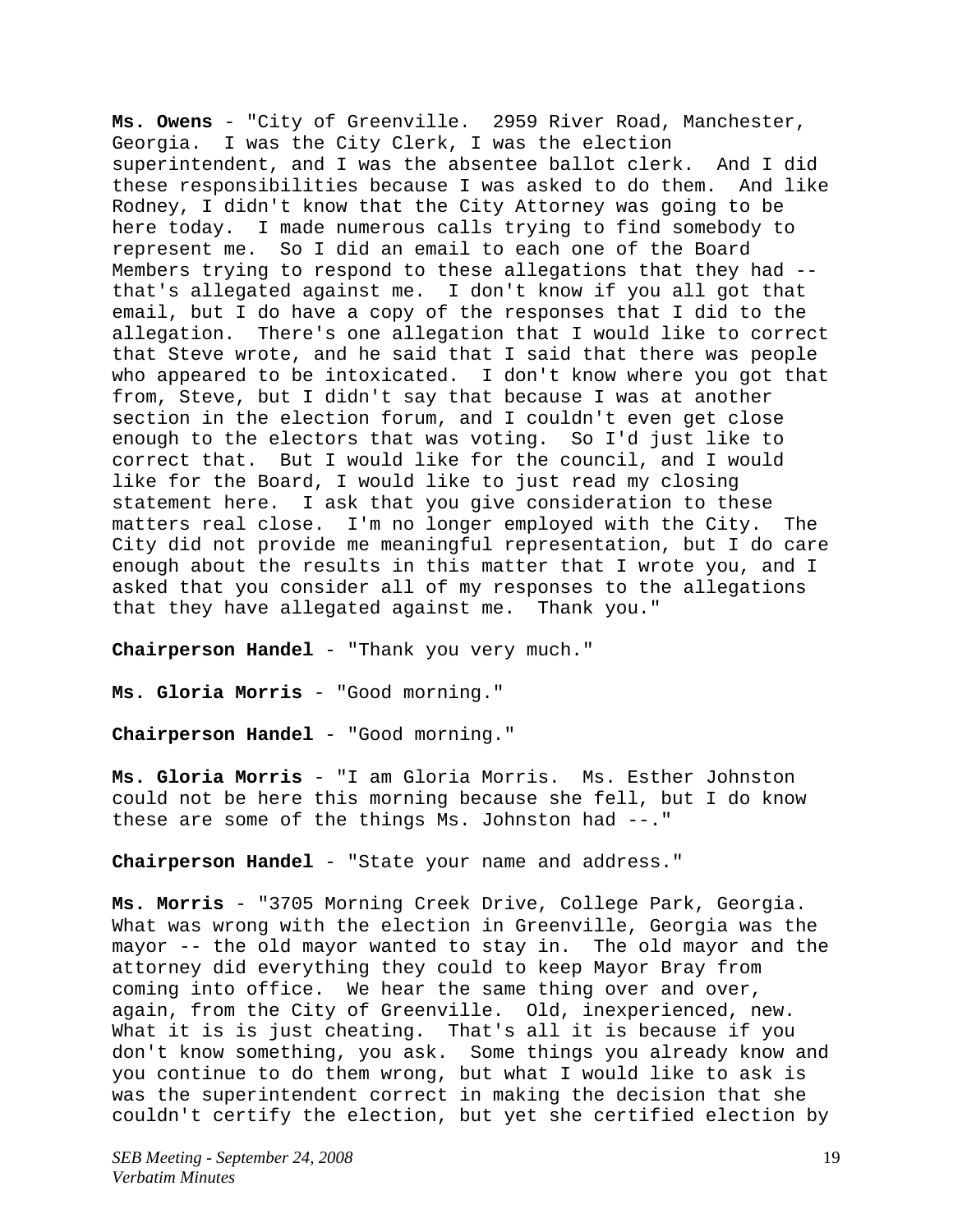**Ms. Owens** - "City of Greenville. 2959 River Road, Manchester, Georgia. I was the City Clerk, I was the election superintendent, and I was the absentee ballot clerk. And I did these responsibilities because I was asked to do them. And like Rodney, I didn't know that the City Attorney was going to be here today. I made numerous calls trying to find somebody to represent me. So I did an email to each one of the Board Members trying to respond to these allegations that they had - that's allegated against me. I don't know if you all got that email, but I do have a copy of the responses that I did to the allegation. There's one allegation that I would like to correct that Steve wrote, and he said that I said that there was people who appeared to be intoxicated. I don't know where you got that from, Steve, but I didn't say that because I was at another section in the election forum, and I couldn't even get close enough to the electors that was voting. So I'd just like to correct that. But I would like for the council, and I would like for the Board, I would like to just read my closing statement here. I ask that you give consideration to these matters real close. I'm no longer employed with the City. The City did not provide me meaningful representation, but I do care enough about the results in this matter that I wrote you, and I asked that you consider all of my responses to the allegations that they have allegated against me. Thank you."

**Chairperson Handel** - "Thank you very much."

**Ms. Gloria Morris** - "Good morning."

**Chairperson Handel** - "Good morning."

**Ms. Gloria Morris** - "I am Gloria Morris. Ms. Esther Johnston could not be here this morning because she fell, but I do know these are some of the things Ms. Johnston had --."

**Chairperson Handel** - "State your name and address."

**Ms. Morris** - "3705 Morning Creek Drive, College Park, Georgia. What was wrong with the election in Greenville, Georgia was the mayor -- the old mayor wanted to stay in. The old mayor and the attorney did everything they could to keep Mayor Bray from coming into office. We hear the same thing over and over, again, from the City of Greenville. Old, inexperienced, new. What it is is just cheating. That's all it is because if you don't know something, you ask. Some things you already know and you continue to do them wrong, but what I would like to ask is was the superintendent correct in making the decision that she couldn't certify the election, but yet she certified election by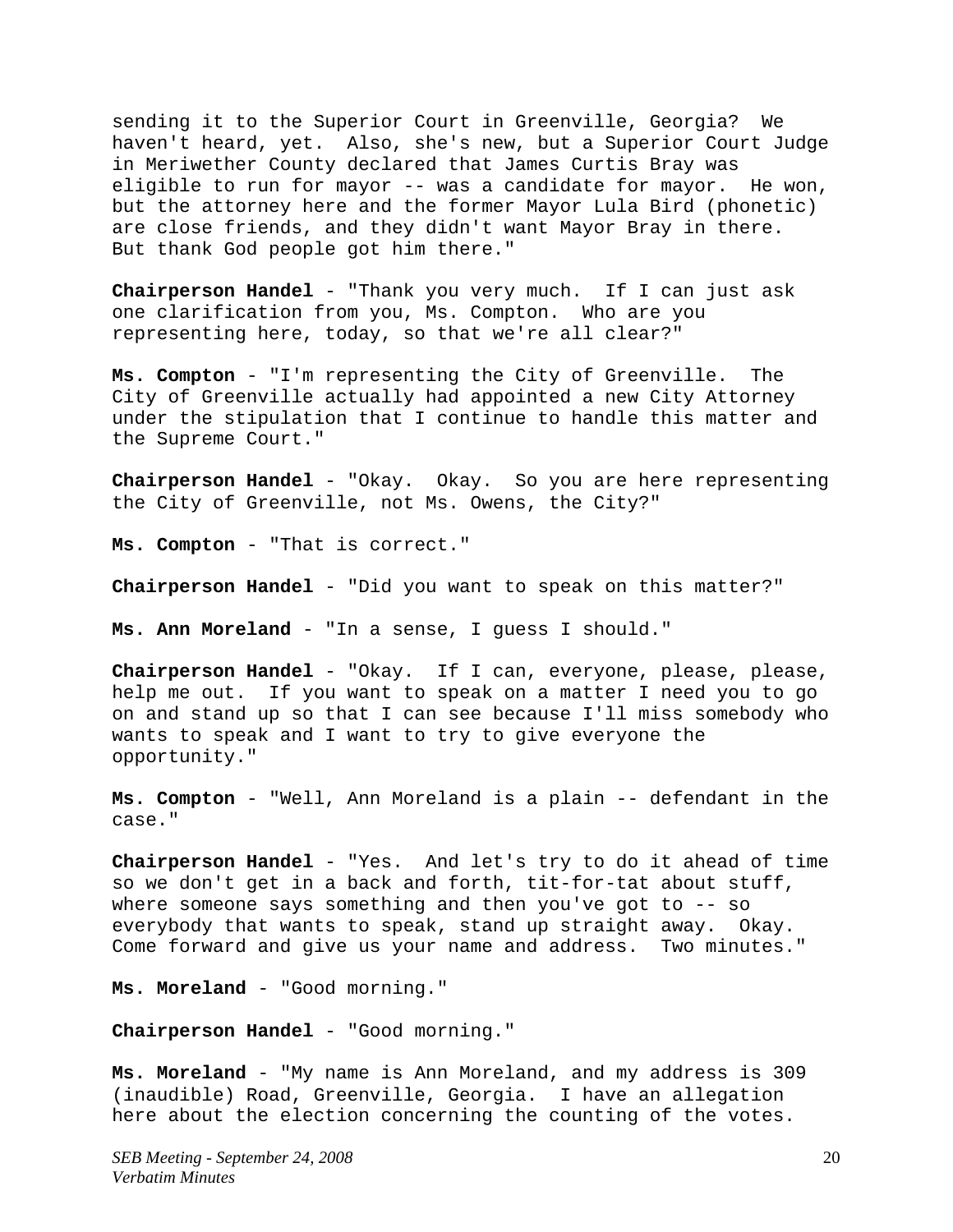sending it to the Superior Court in Greenville, Georgia? We haven't heard, yet. Also, she's new, but a Superior Court Judge in Meriwether County declared that James Curtis Bray was eligible to run for mayor -- was a candidate for mayor. He won, but the attorney here and the former Mayor Lula Bird (phonetic) are close friends, and they didn't want Mayor Bray in there. But thank God people got him there."

**Chairperson Handel** - "Thank you very much. If I can just ask one clarification from you, Ms. Compton. Who are you representing here, today, so that we're all clear?"

**Ms. Compton** - "I'm representing the City of Greenville. The City of Greenville actually had appointed a new City Attorney under the stipulation that I continue to handle this matter and the Supreme Court."

**Chairperson Handel** - "Okay. Okay. So you are here representing the City of Greenville, not Ms. Owens, the City?"

**Ms. Compton** - "That is correct."

**Chairperson Handel** - "Did you want to speak on this matter?"

**Ms. Ann Moreland** - "In a sense, I guess I should."

**Chairperson Handel** - "Okay. If I can, everyone, please, please, help me out. If you want to speak on a matter I need you to go on and stand up so that I can see because I'll miss somebody who wants to speak and I want to try to give everyone the opportunity."

**Ms. Compton** - "Well, Ann Moreland is a plain -- defendant in the case."

**Chairperson Handel** - "Yes. And let's try to do it ahead of time so we don't get in a back and forth, tit-for-tat about stuff, where someone says something and then you've got to -- so everybody that wants to speak, stand up straight away. Okay. Come forward and give us your name and address. Two minutes."

**Ms. Moreland** - "Good morning."

**Chairperson Handel** - "Good morning."

**Ms. Moreland** - "My name is Ann Moreland, and my address is 309 (inaudible) Road, Greenville, Georgia. I have an allegation here about the election concerning the counting of the votes.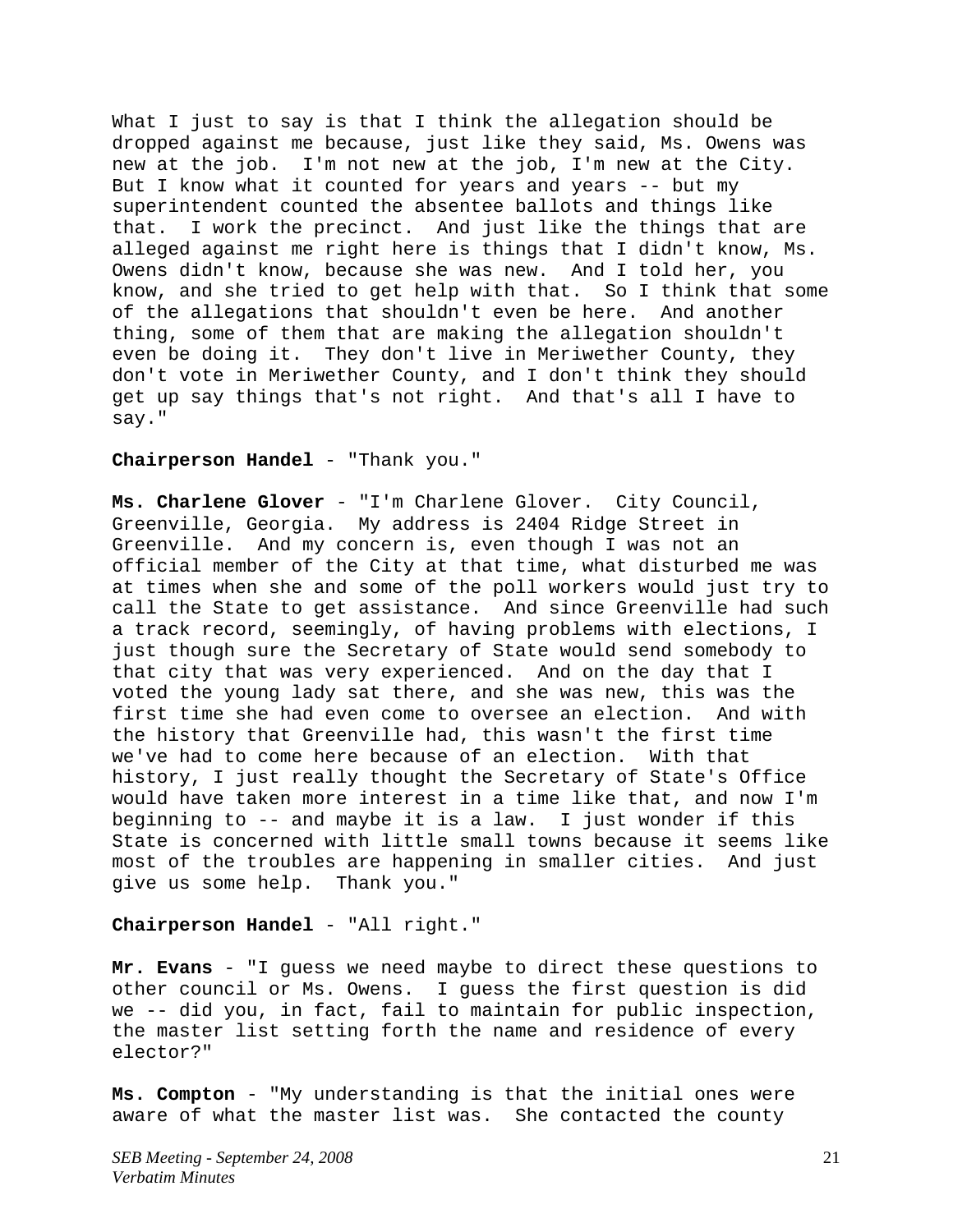What I just to say is that I think the allegation should be dropped against me because, just like they said, Ms. Owens was new at the job. I'm not new at the job, I'm new at the City. But I know what it counted for years and years -- but my superintendent counted the absentee ballots and things like that. I work the precinct. And just like the things that are alleged against me right here is things that I didn't know, Ms. Owens didn't know, because she was new. And I told her, you know, and she tried to get help with that. So I think that some of the allegations that shouldn't even be here. And another thing, some of them that are making the allegation shouldn't even be doing it. They don't live in Meriwether County, they don't vote in Meriwether County, and I don't think they should get up say things that's not right. And that's all I have to say."

### **Chairperson Handel** - "Thank you."

**Ms. Charlene Glover** - "I'm Charlene Glover. City Council, Greenville, Georgia. My address is 2404 Ridge Street in Greenville. And my concern is, even though I was not an official member of the City at that time, what disturbed me was at times when she and some of the poll workers would just try to call the State to get assistance. And since Greenville had such a track record, seemingly, of having problems with elections, I just though sure the Secretary of State would send somebody to that city that was very experienced. And on the day that I voted the young lady sat there, and she was new, this was the first time she had even come to oversee an election. And with the history that Greenville had, this wasn't the first time we've had to come here because of an election. With that history, I just really thought the Secretary of State's Office would have taken more interest in a time like that, and now I'm beginning to -- and maybe it is a law. I just wonder if this State is concerned with little small towns because it seems like most of the troubles are happening in smaller cities. And just give us some help. Thank you."

# **Chairperson Handel** - "All right."

**Mr. Evans** - "I guess we need maybe to direct these questions to other council or Ms. Owens. I guess the first question is did we -- did you, in fact, fail to maintain for public inspection, the master list setting forth the name and residence of every elector?"

**Ms. Compton** - "My understanding is that the initial ones were aware of what the master list was. She contacted the county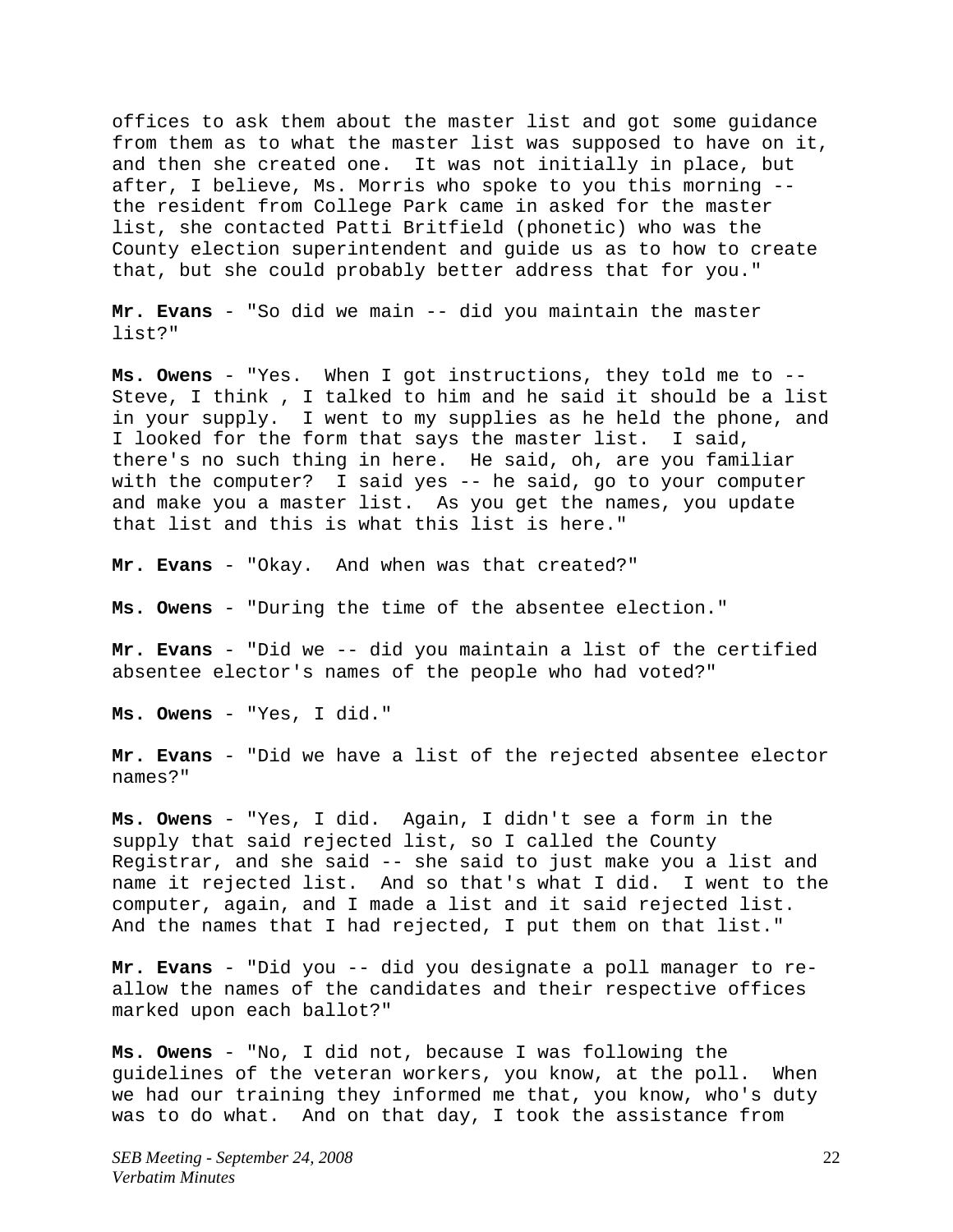offices to ask them about the master list and got some guidance from them as to what the master list was supposed to have on it, and then she created one. It was not initially in place, but after, I believe, Ms. Morris who spoke to you this morning - the resident from College Park came in asked for the master list, she contacted Patti Britfield (phonetic) who was the County election superintendent and guide us as to how to create that, but she could probably better address that for you."

**Mr. Evans** - "So did we main -- did you maintain the master list?"

**Ms. Owens** - "Yes. When I got instructions, they told me to -- Steve, I think , I talked to him and he said it should be a list in your supply. I went to my supplies as he held the phone, and I looked for the form that says the master list. I said, there's no such thing in here. He said, oh, are you familiar with the computer? I said yes -- he said, go to your computer and make you a master list. As you get the names, you update that list and this is what this list is here."

**Mr. Evans** - "Okay. And when was that created?"

**Ms. Owens** - "During the time of the absentee election."

**Mr. Evans** - "Did we -- did you maintain a list of the certified absentee elector's names of the people who had voted?"

**Ms. Owens** - "Yes, I did."

**Mr. Evans** - "Did we have a list of the rejected absentee elector names?"

**Ms. Owens** - "Yes, I did. Again, I didn't see a form in the supply that said rejected list, so I called the County Registrar, and she said -- she said to just make you a list and name it rejected list. And so that's what I did. I went to the computer, again, and I made a list and it said rejected list. And the names that I had rejected, I put them on that list."

**Mr. Evans** - "Did you -- did you designate a poll manager to reallow the names of the candidates and their respective offices marked upon each ballot?"

**Ms. Owens** - "No, I did not, because I was following the guidelines of the veteran workers, you know, at the poll. When we had our training they informed me that, you know, who's duty was to do what. And on that day, I took the assistance from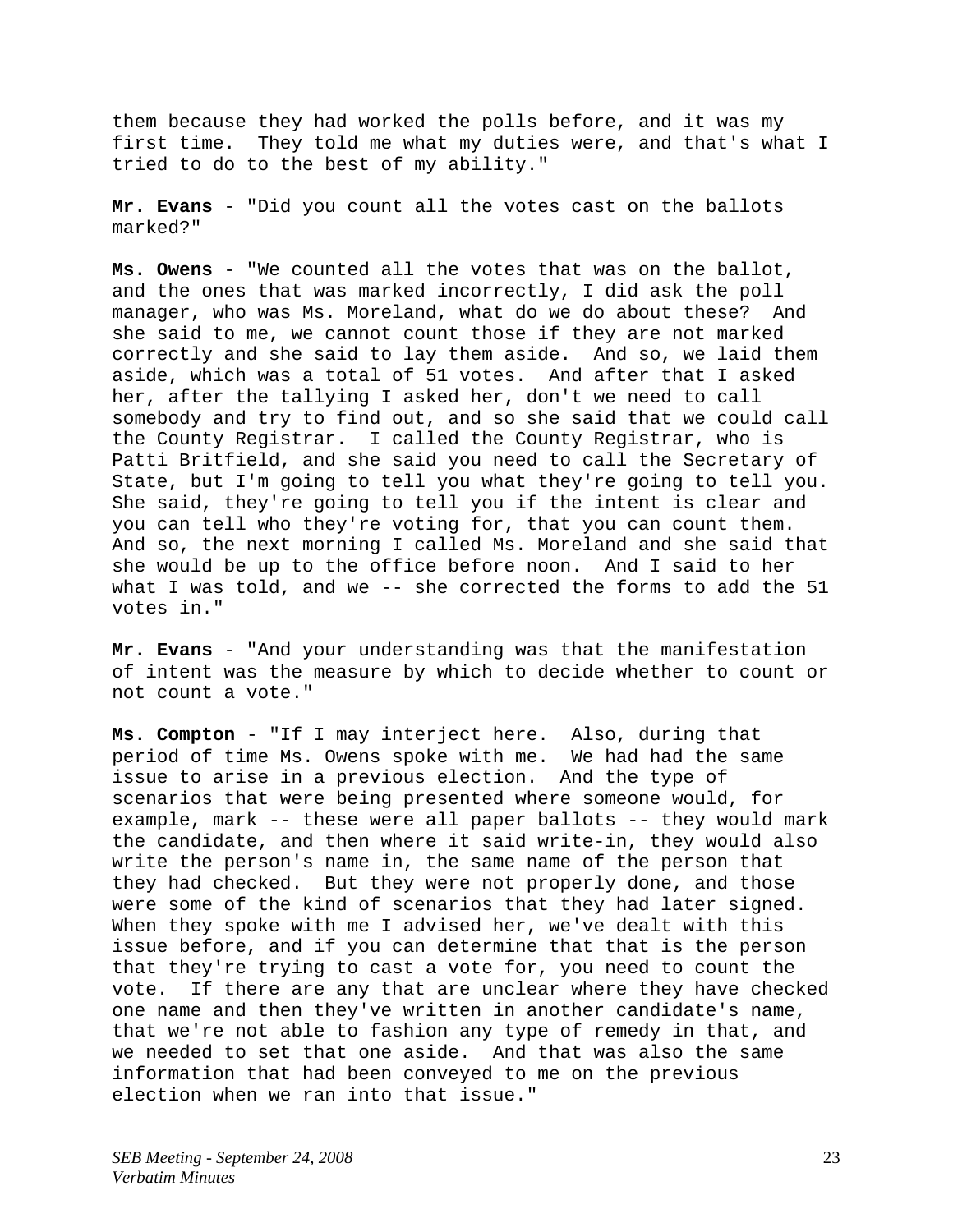them because they had worked the polls before, and it was my first time. They told me what my duties were, and that's what I tried to do to the best of my ability."

**Mr. Evans** - "Did you count all the votes cast on the ballots marked?"

**Ms. Owens** - "We counted all the votes that was on the ballot, and the ones that was marked incorrectly, I did ask the poll manager, who was Ms. Moreland, what do we do about these? And she said to me, we cannot count those if they are not marked correctly and she said to lay them aside. And so, we laid them aside, which was a total of 51 votes. And after that I asked her, after the tallying I asked her, don't we need to call somebody and try to find out, and so she said that we could call the County Registrar. I called the County Registrar, who is Patti Britfield, and she said you need to call the Secretary of State, but I'm going to tell you what they're going to tell you. She said, they're going to tell you if the intent is clear and you can tell who they're voting for, that you can count them. And so, the next morning I called Ms. Moreland and she said that she would be up to the office before noon. And I said to her what I was told, and we -- she corrected the forms to add the 51 votes in."

**Mr. Evans** - "And your understanding was that the manifestation of intent was the measure by which to decide whether to count or not count a vote."

**Ms. Compton** - "If I may interject here. Also, during that period of time Ms. Owens spoke with me. We had had the same issue to arise in a previous election. And the type of scenarios that were being presented where someone would, for example, mark -- these were all paper ballots -- they would mark the candidate, and then where it said write-in, they would also write the person's name in, the same name of the person that they had checked. But they were not properly done, and those were some of the kind of scenarios that they had later signed. When they spoke with me I advised her, we've dealt with this issue before, and if you can determine that that is the person that they're trying to cast a vote for, you need to count the vote. If there are any that are unclear where they have checked one name and then they've written in another candidate's name, that we're not able to fashion any type of remedy in that, and we needed to set that one aside. And that was also the same information that had been conveyed to me on the previous election when we ran into that issue."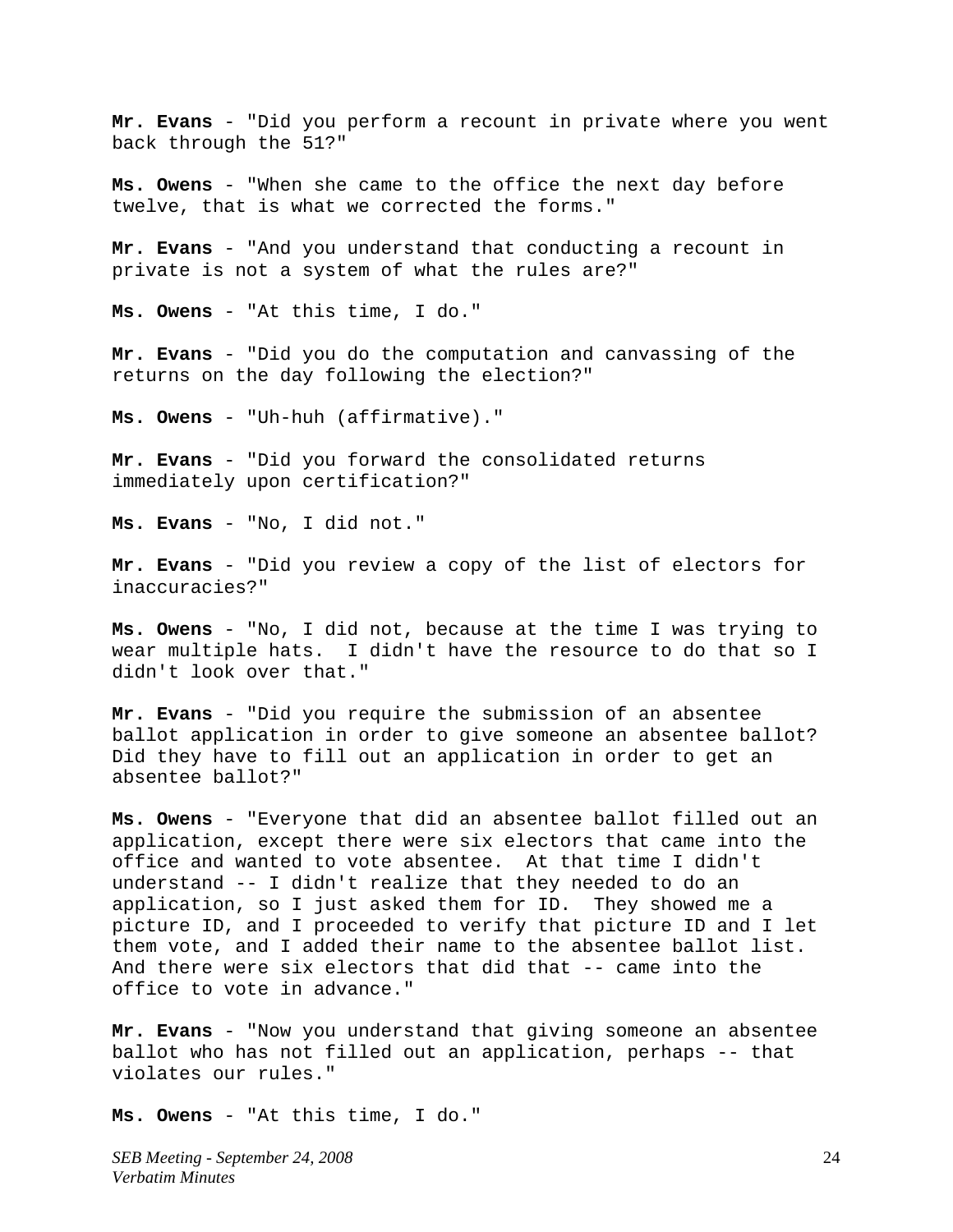**Mr. Evans** - "Did you perform a recount in private where you went back through the 51?"

**Ms. Owens** - "When she came to the office the next day before twelve, that is what we corrected the forms."

**Mr. Evans** - "And you understand that conducting a recount in private is not a system of what the rules are?"

**Ms. Owens** - "At this time, I do."

**Mr. Evans** - "Did you do the computation and canvassing of the returns on the day following the election?"

**Ms. Owens** - "Uh-huh (affirmative)."

**Mr. Evans** - "Did you forward the consolidated returns immediately upon certification?"

**Ms. Evans** - "No, I did not."

**Mr. Evans** - "Did you review a copy of the list of electors for inaccuracies?"

**Ms. Owens** - "No, I did not, because at the time I was trying to wear multiple hats. I didn't have the resource to do that so I didn't look over that."

**Mr. Evans** - "Did you require the submission of an absentee ballot application in order to give someone an absentee ballot? Did they have to fill out an application in order to get an absentee ballot?"

**Ms. Owens** - "Everyone that did an absentee ballot filled out an application, except there were six electors that came into the office and wanted to vote absentee. At that time I didn't understand -- I didn't realize that they needed to do an application, so I just asked them for ID. They showed me a picture ID, and I proceeded to verify that picture ID and I let them vote, and I added their name to the absentee ballot list. And there were six electors that did that -- came into the office to vote in advance."

**Mr. Evans** - "Now you understand that giving someone an absentee ballot who has not filled out an application, perhaps -- that violates our rules."

**Ms. Owens** - "At this time, I do."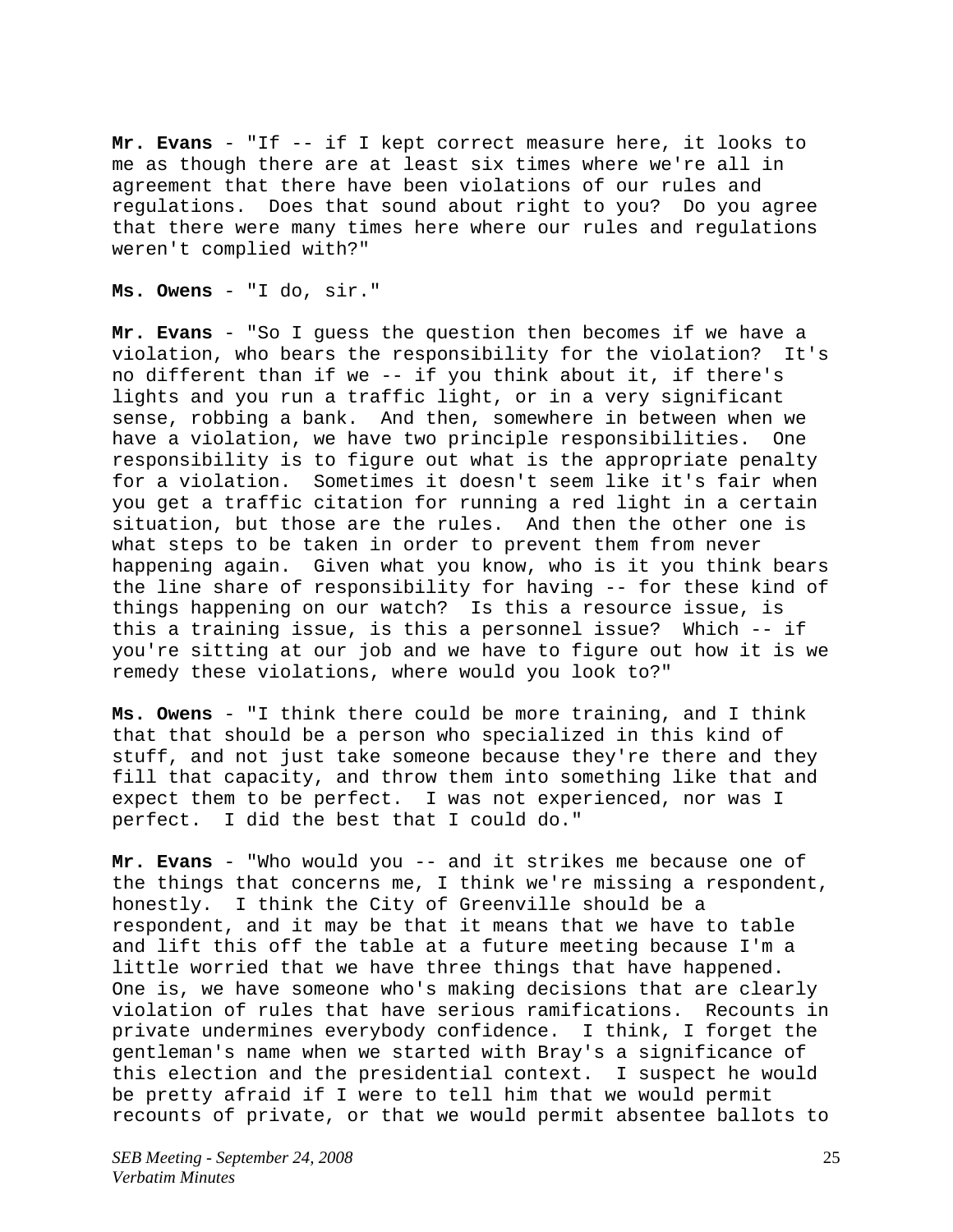**Mr. Evans** - "If -- if I kept correct measure here, it looks to me as though there are at least six times where we're all in agreement that there have been violations of our rules and regulations. Does that sound about right to you? Do you agree that there were many times here where our rules and regulations weren't complied with?"

**Ms. Owens** - "I do, sir."

**Mr. Evans** - "So I guess the question then becomes if we have a violation, who bears the responsibility for the violation? It's no different than if we -- if you think about it, if there's lights and you run a traffic light, or in a very significant sense, robbing a bank. And then, somewhere in between when we have a violation, we have two principle responsibilities. One responsibility is to figure out what is the appropriate penalty for a violation. Sometimes it doesn't seem like it's fair when you get a traffic citation for running a red light in a certain situation, but those are the rules. And then the other one is what steps to be taken in order to prevent them from never happening again. Given what you know, who is it you think bears the line share of responsibility for having -- for these kind of things happening on our watch? Is this a resource issue, is this a training issue, is this a personnel issue? Which -- if you're sitting at our job and we have to figure out how it is we remedy these violations, where would you look to?"

**Ms. Owens** - "I think there could be more training, and I think that that should be a person who specialized in this kind of stuff, and not just take someone because they're there and they fill that capacity, and throw them into something like that and expect them to be perfect. I was not experienced, nor was I perfect. I did the best that I could do."

**Mr. Evans** - "Who would you -- and it strikes me because one of the things that concerns me, I think we're missing a respondent, honestly. I think the City of Greenville should be a respondent, and it may be that it means that we have to table and lift this off the table at a future meeting because I'm a little worried that we have three things that have happened. One is, we have someone who's making decisions that are clearly violation of rules that have serious ramifications. Recounts in private undermines everybody confidence. I think, I forget the gentleman's name when we started with Bray's a significance of this election and the presidential context. I suspect he would be pretty afraid if I were to tell him that we would permit recounts of private, or that we would permit absentee ballots to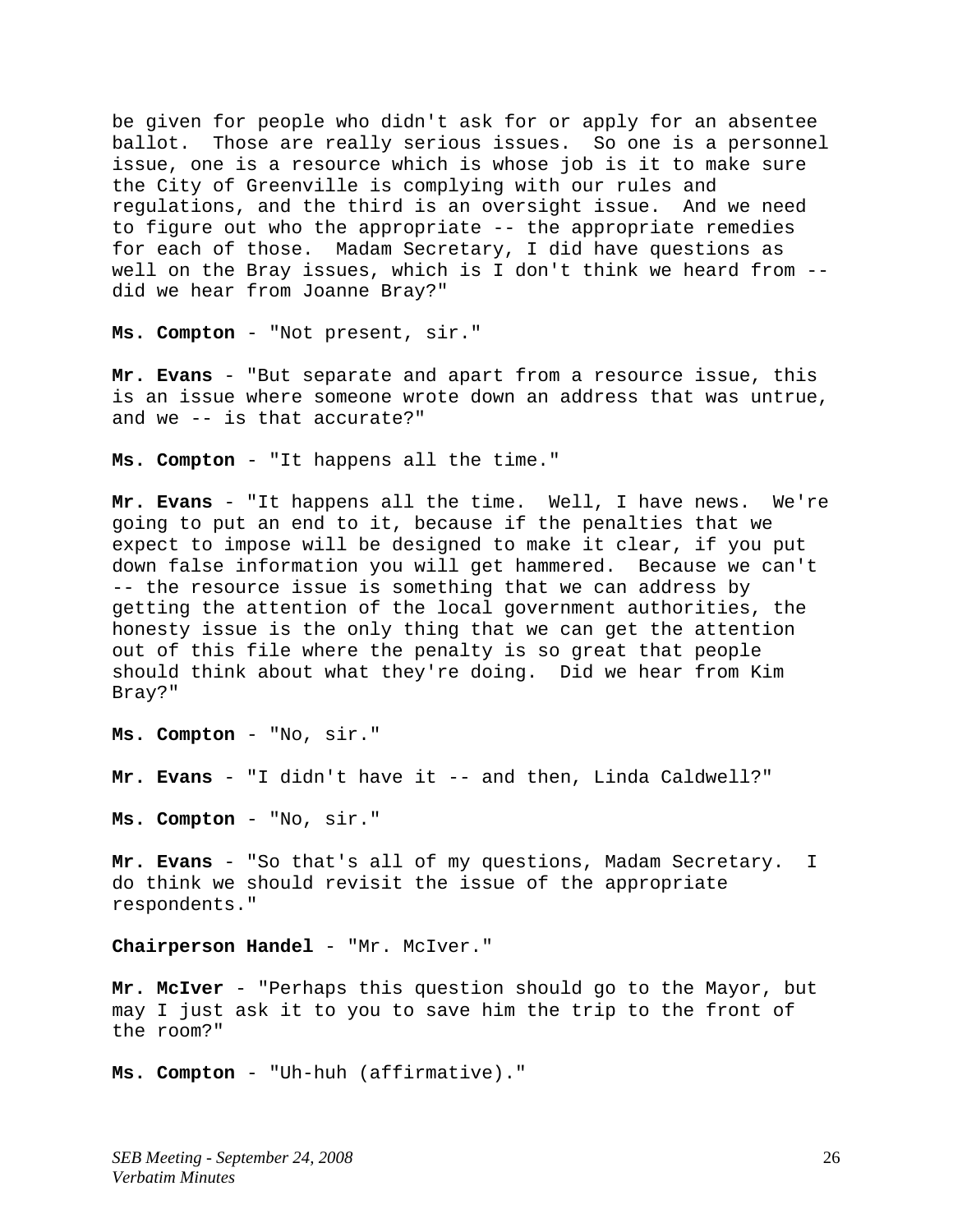be given for people who didn't ask for or apply for an absentee ballot. Those are really serious issues. So one is a personnel issue, one is a resource which is whose job is it to make sure the City of Greenville is complying with our rules and regulations, and the third is an oversight issue. And we need to figure out who the appropriate -- the appropriate remedies for each of those. Madam Secretary, I did have questions as well on the Bray issues, which is I don't think we heard from - did we hear from Joanne Bray?"

**Ms. Compton** - "Not present, sir."

**Mr. Evans** - "But separate and apart from a resource issue, this is an issue where someone wrote down an address that was untrue, and we -- is that accurate?"

**Ms. Compton** - "It happens all the time."

**Mr. Evans** - "It happens all the time. Well, I have news. We're going to put an end to it, because if the penalties that we expect to impose will be designed to make it clear, if you put down false information you will get hammered. Because we can't -- the resource issue is something that we can address by getting the attention of the local government authorities, the honesty issue is the only thing that we can get the attention out of this file where the penalty is so great that people should think about what they're doing. Did we hear from Kim Bray?"

**Ms. Compton** - "No, sir."

**Mr. Evans** - "I didn't have it -- and then, Linda Caldwell?"

**Ms. Compton** - "No, sir."

**Mr. Evans** - "So that's all of my questions, Madam Secretary. I do think we should revisit the issue of the appropriate respondents."

**Chairperson Handel** - "Mr. McIver."

**Mr. McIver** - "Perhaps this question should go to the Mayor, but may I just ask it to you to save him the trip to the front of the room?"

**Ms. Compton** - "Uh-huh (affirmative)."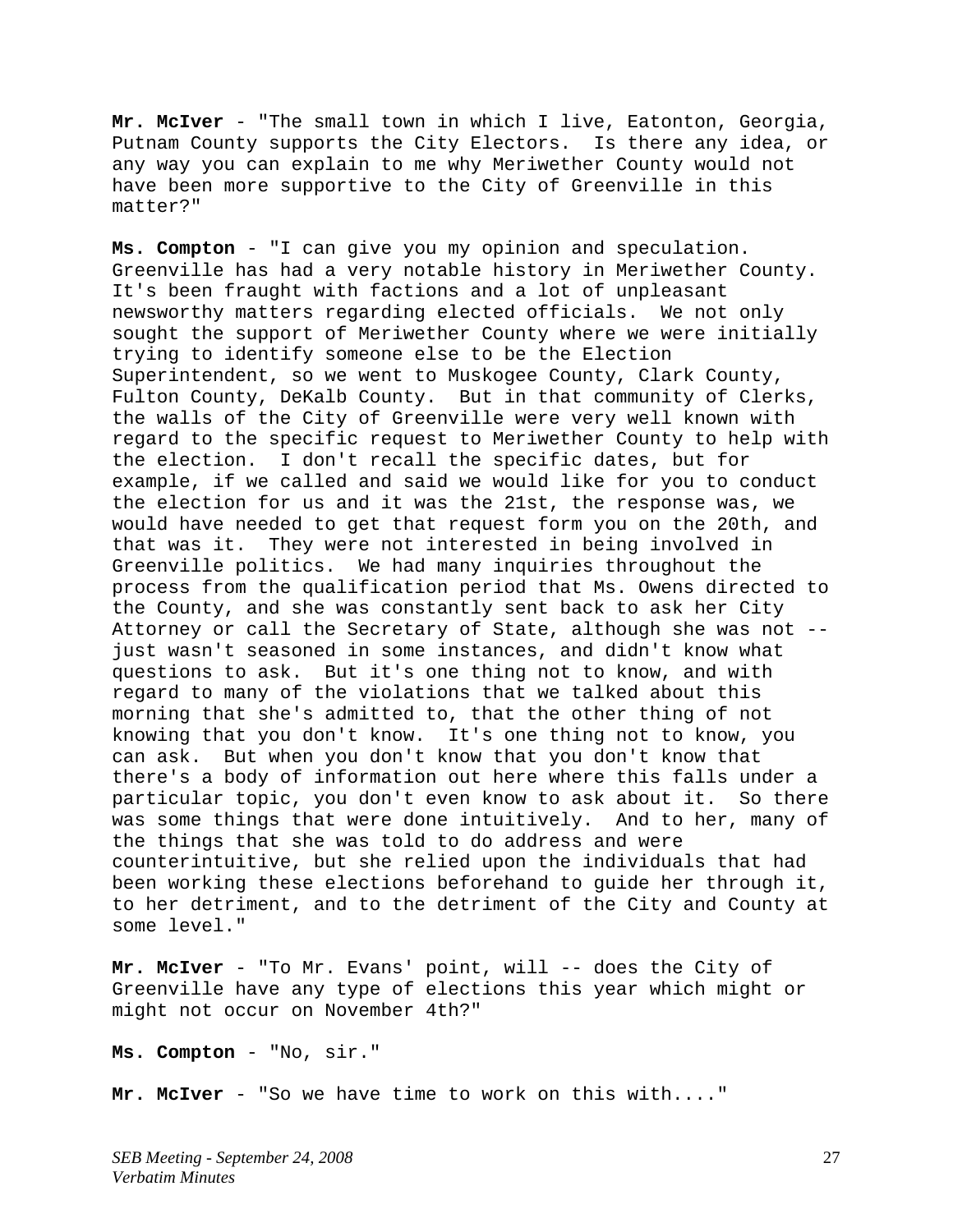**Mr. McIver** - "The small town in which I live, Eatonton, Georgia, Putnam County supports the City Electors. Is there any idea, or any way you can explain to me why Meriwether County would not have been more supportive to the City of Greenville in this matter?"

**Ms. Compton** - "I can give you my opinion and speculation. Greenville has had a very notable history in Meriwether County. It's been fraught with factions and a lot of unpleasant newsworthy matters regarding elected officials. We not only sought the support of Meriwether County where we were initially trying to identify someone else to be the Election Superintendent, so we went to Muskogee County, Clark County, Fulton County, DeKalb County. But in that community of Clerks, the walls of the City of Greenville were very well known with regard to the specific request to Meriwether County to help with the election. I don't recall the specific dates, but for example, if we called and said we would like for you to conduct the election for us and it was the 21st, the response was, we would have needed to get that request form you on the 20th, and that was it. They were not interested in being involved in Greenville politics. We had many inquiries throughout the process from the qualification period that Ms. Owens directed to the County, and she was constantly sent back to ask her City Attorney or call the Secretary of State, although she was not - just wasn't seasoned in some instances, and didn't know what questions to ask. But it's one thing not to know, and with regard to many of the violations that we talked about this morning that she's admitted to, that the other thing of not knowing that you don't know. It's one thing not to know, you can ask. But when you don't know that you don't know that there's a body of information out here where this falls under a particular topic, you don't even know to ask about it. So there was some things that were done intuitively. And to her, many of the things that she was told to do address and were counterintuitive, but she relied upon the individuals that had been working these elections beforehand to guide her through it, to her detriment, and to the detriment of the City and County at some level."

**Mr. McIver** - "To Mr. Evans' point, will -- does the City of Greenville have any type of elections this year which might or might not occur on November 4th?"

**Ms. Compton** - "No, sir."

**Mr. McIver** - "So we have time to work on this with...."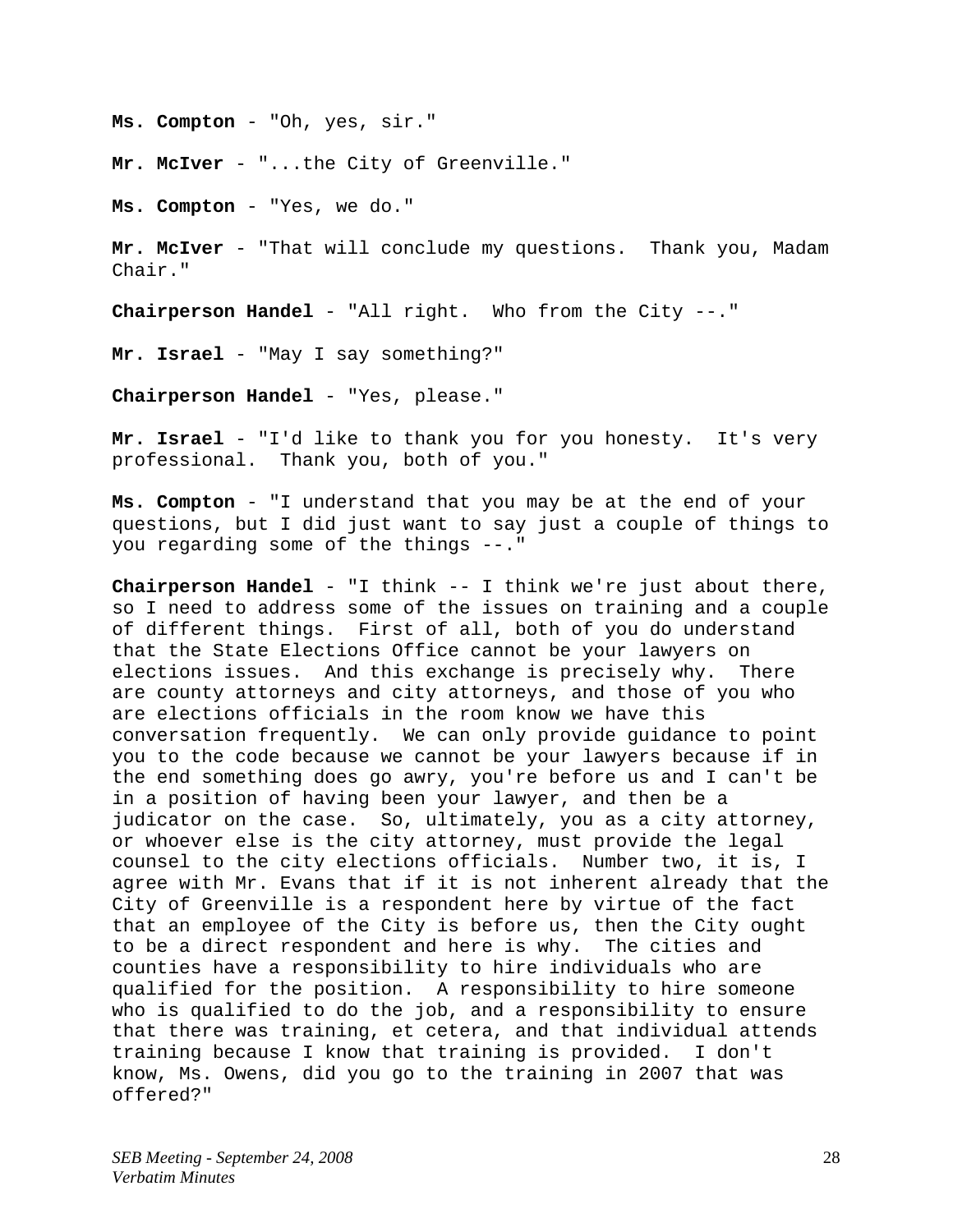**Ms. Compton** - "Oh, yes, sir."

**Mr. McIver** - "...the City of Greenville."

**Ms. Compton** - "Yes, we do."

**Mr. McIver** - "That will conclude my questions. Thank you, Madam Chair."

**Chairperson Handel** - "All right. Who from the City --."

**Mr. Israel** - "May I say something?"

**Chairperson Handel** - "Yes, please."

**Mr. Israel** - "I'd like to thank you for you honesty. It's very professional. Thank you, both of you."

**Ms. Compton** - "I understand that you may be at the end of your questions, but I did just want to say just a couple of things to you regarding some of the things --."

**Chairperson Handel** - "I think -- I think we're just about there, so I need to address some of the issues on training and a couple of different things. First of all, both of you do understand that the State Elections Office cannot be your lawyers on elections issues. And this exchange is precisely why. There are county attorneys and city attorneys, and those of you who are elections officials in the room know we have this conversation frequently. We can only provide guidance to point you to the code because we cannot be your lawyers because if in the end something does go awry, you're before us and I can't be in a position of having been your lawyer, and then be a judicator on the case. So, ultimately, you as a city attorney, or whoever else is the city attorney, must provide the legal counsel to the city elections officials. Number two, it is, I agree with Mr. Evans that if it is not inherent already that the City of Greenville is a respondent here by virtue of the fact that an employee of the City is before us, then the City ought to be a direct respondent and here is why. The cities and counties have a responsibility to hire individuals who are qualified for the position. A responsibility to hire someone who is qualified to do the job, and a responsibility to ensure that there was training, et cetera, and that individual attends training because I know that training is provided. I don't know, Ms. Owens, did you go to the training in 2007 that was offered?"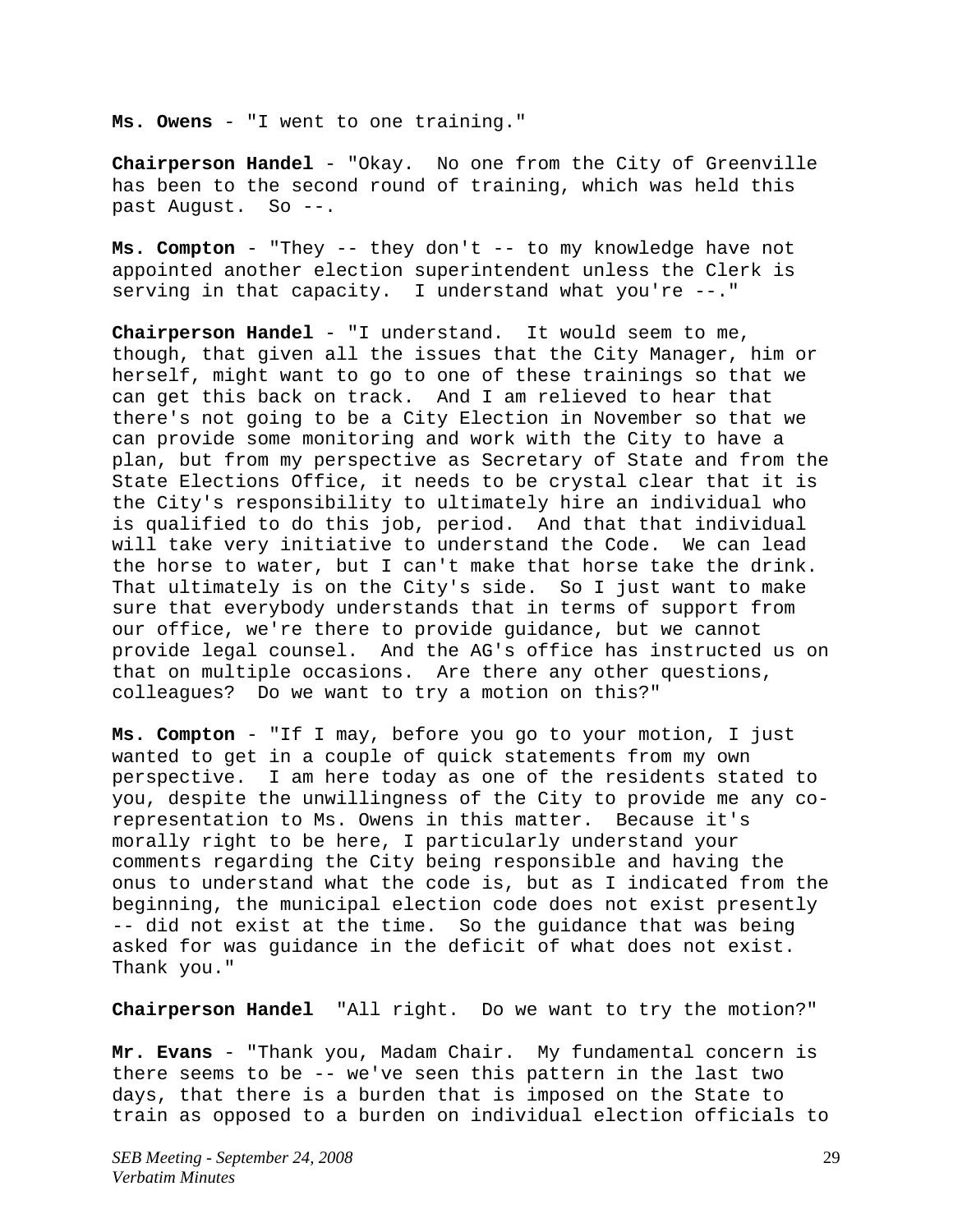**Ms. Owens** - "I went to one training."

**Chairperson Handel** - "Okay. No one from the City of Greenville has been to the second round of training, which was held this past August. So --.

**Ms. Compton** - "They -- they don't -- to my knowledge have not appointed another election superintendent unless the Clerk is serving in that capacity. I understand what you're --."

**Chairperson Handel** - "I understand. It would seem to me, though, that given all the issues that the City Manager, him or herself, might want to go to one of these trainings so that we can get this back on track. And I am relieved to hear that there's not going to be a City Election in November so that we can provide some monitoring and work with the City to have a plan, but from my perspective as Secretary of State and from the State Elections Office, it needs to be crystal clear that it is the City's responsibility to ultimately hire an individual who is qualified to do this job, period. And that that individual will take very initiative to understand the Code. We can lead the horse to water, but I can't make that horse take the drink. That ultimately is on the City's side. So I just want to make sure that everybody understands that in terms of support from our office, we're there to provide guidance, but we cannot provide legal counsel. And the AG's office has instructed us on that on multiple occasions. Are there any other questions, colleagues? Do we want to try a motion on this?"

**Ms. Compton** - "If I may, before you go to your motion, I just wanted to get in a couple of quick statements from my own perspective. I am here today as one of the residents stated to you, despite the unwillingness of the City to provide me any corepresentation to Ms. Owens in this matter. Because it's morally right to be here, I particularly understand your comments regarding the City being responsible and having the onus to understand what the code is, but as I indicated from the beginning, the municipal election code does not exist presently -- did not exist at the time. So the guidance that was being asked for was guidance in the deficit of what does not exist. Thank you."

**Chairperson Handel** "All right. Do we want to try the motion?"

**Mr. Evans** - "Thank you, Madam Chair. My fundamental concern is there seems to be -- we've seen this pattern in the last two days, that there is a burden that is imposed on the State to train as opposed to a burden on individual election officials to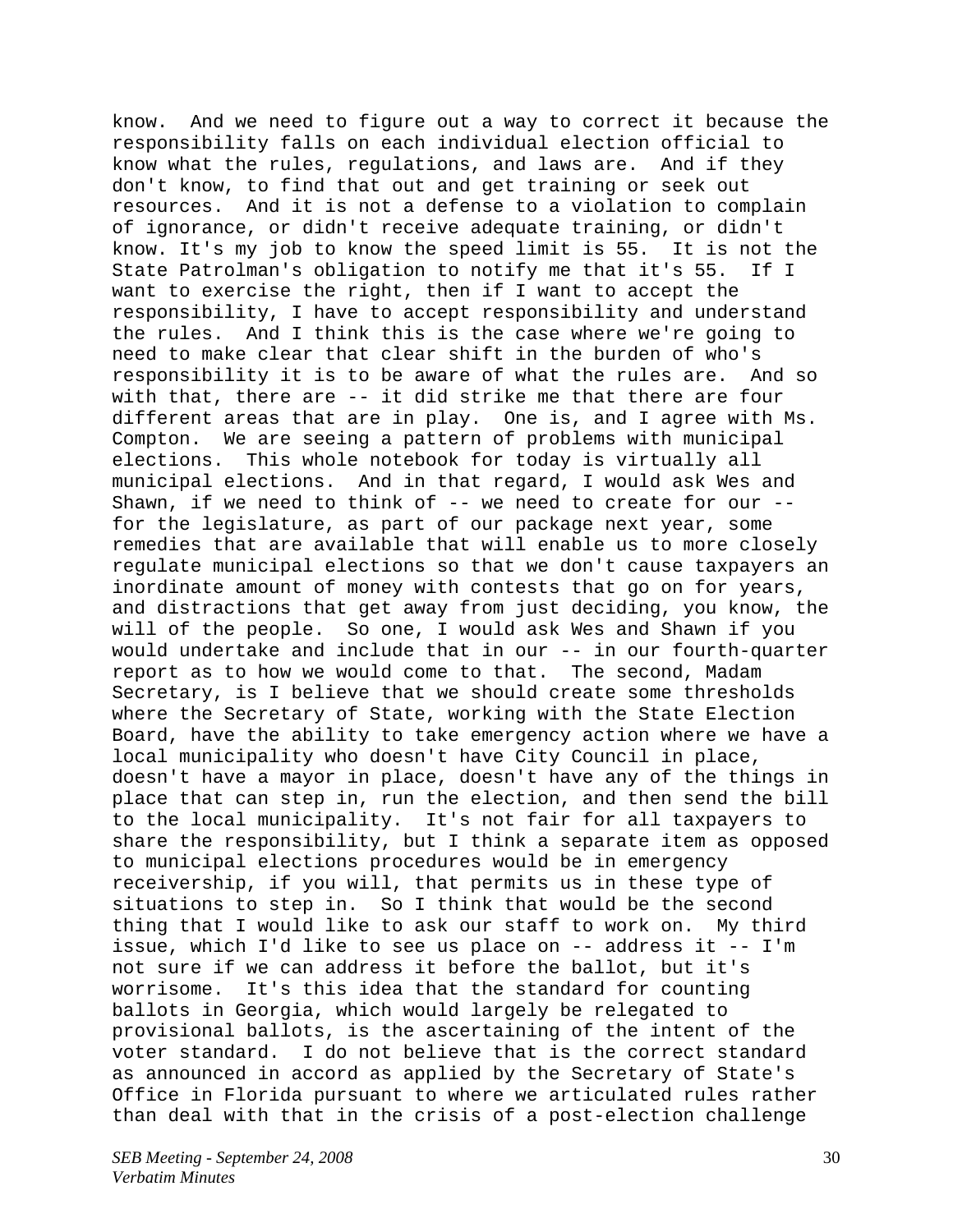know. And we need to figure out a way to correct it because the responsibility falls on each individual election official to know what the rules, regulations, and laws are. And if they don't know, to find that out and get training or seek out resources. And it is not a defense to a violation to complain of ignorance, or didn't receive adequate training, or didn't know. It's my job to know the speed limit is 55. It is not the State Patrolman's obligation to notify me that it's 55. If I want to exercise the right, then if I want to accept the responsibility, I have to accept responsibility and understand the rules. And I think this is the case where we're going to need to make clear that clear shift in the burden of who's responsibility it is to be aware of what the rules are. And so with that, there are -- it did strike me that there are four different areas that are in play. One is, and I agree with Ms. Compton. We are seeing a pattern of problems with municipal elections. This whole notebook for today is virtually all municipal elections. And in that regard, I would ask Wes and Shawn, if we need to think of  $-$ - we need to create for our  $-$ for the legislature, as part of our package next year, some remedies that are available that will enable us to more closely regulate municipal elections so that we don't cause taxpayers an inordinate amount of money with contests that go on for years, and distractions that get away from just deciding, you know, the will of the people. So one, I would ask Wes and Shawn if you would undertake and include that in our -- in our fourth-quarter report as to how we would come to that. The second, Madam Secretary, is I believe that we should create some thresholds where the Secretary of State, working with the State Election Board, have the ability to take emergency action where we have a local municipality who doesn't have City Council in place, doesn't have a mayor in place, doesn't have any of the things in place that can step in, run the election, and then send the bill to the local municipality. It's not fair for all taxpayers to share the responsibility, but I think a separate item as opposed to municipal elections procedures would be in emergency receivership, if you will, that permits us in these type of situations to step in. So I think that would be the second thing that I would like to ask our staff to work on. My third issue, which I'd like to see us place on -- address it -- I'm not sure if we can address it before the ballot, but it's worrisome. It's this idea that the standard for counting ballots in Georgia, which would largely be relegated to provisional ballots, is the ascertaining of the intent of the voter standard. I do not believe that is the correct standard as announced in accord as applied by the Secretary of State's Office in Florida pursuant to where we articulated rules rather than deal with that in the crisis of a post-election challenge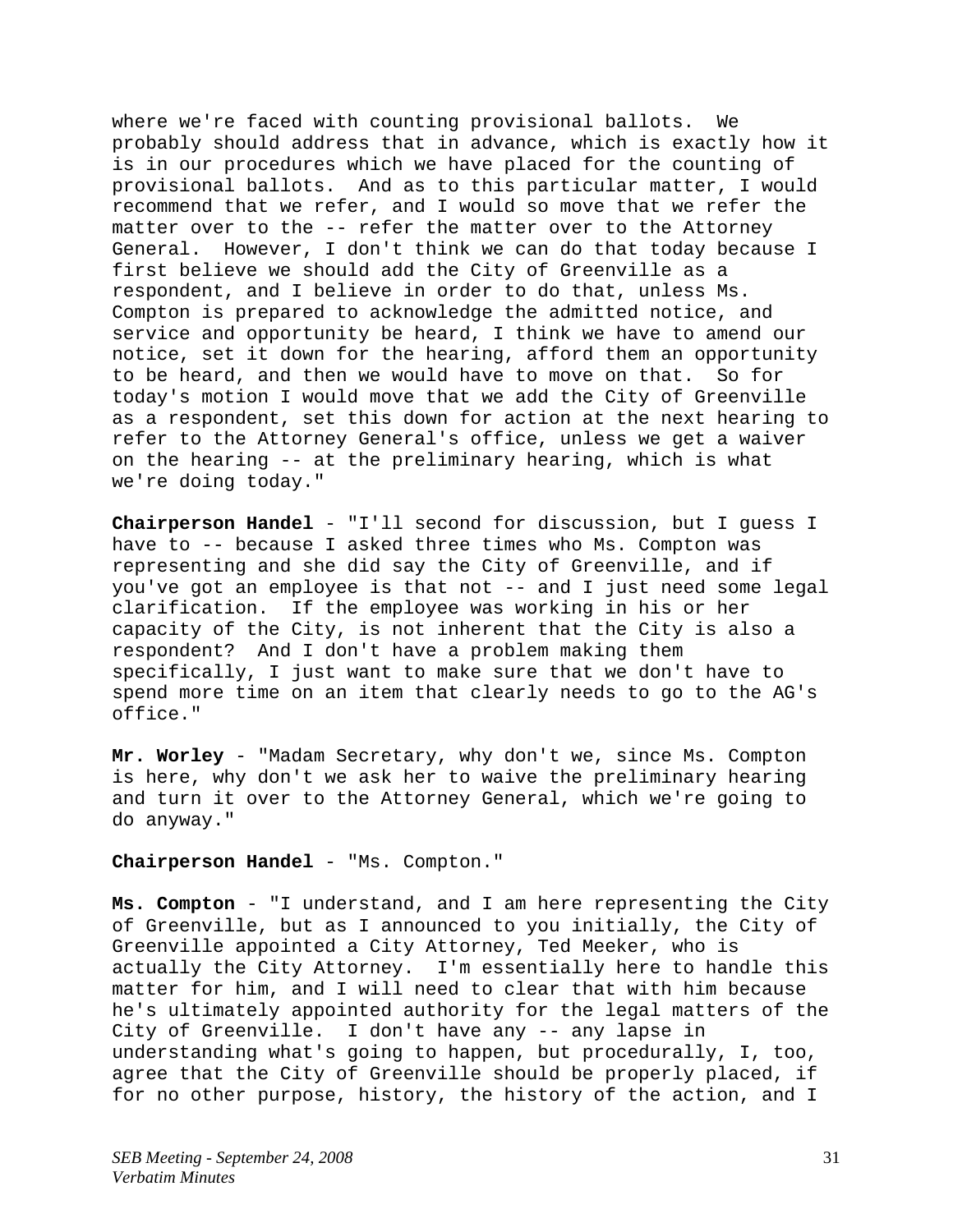where we're faced with counting provisional ballots. We probably should address that in advance, which is exactly how it is in our procedures which we have placed for the counting of provisional ballots. And as to this particular matter, I would recommend that we refer, and I would so move that we refer the matter over to the -- refer the matter over to the Attorney General. However, I don't think we can do that today because I first believe we should add the City of Greenville as a respondent, and I believe in order to do that, unless Ms. Compton is prepared to acknowledge the admitted notice, and service and opportunity be heard, I think we have to amend our notice, set it down for the hearing, afford them an opportunity to be heard, and then we would have to move on that. So for today's motion I would move that we add the City of Greenville as a respondent, set this down for action at the next hearing to refer to the Attorney General's office, unless we get a waiver on the hearing -- at the preliminary hearing, which is what we're doing today."

**Chairperson Handel** - "I'll second for discussion, but I guess I have to -- because I asked three times who Ms. Compton was representing and she did say the City of Greenville, and if you've got an employee is that not -- and I just need some legal clarification. If the employee was working in his or her capacity of the City, is not inherent that the City is also a respondent? And I don't have a problem making them specifically, I just want to make sure that we don't have to spend more time on an item that clearly needs to go to the AG's office."

**Mr. Worley** - "Madam Secretary, why don't we, since Ms. Compton is here, why don't we ask her to waive the preliminary hearing and turn it over to the Attorney General, which we're going to do anyway."

### **Chairperson Handel** - "Ms. Compton."

**Ms. Compton** - "I understand, and I am here representing the City of Greenville, but as I announced to you initially, the City of Greenville appointed a City Attorney, Ted Meeker, who is actually the City Attorney. I'm essentially here to handle this matter for him, and I will need to clear that with him because he's ultimately appointed authority for the legal matters of the City of Greenville. I don't have any -- any lapse in understanding what's going to happen, but procedurally, I, too, agree that the City of Greenville should be properly placed, if for no other purpose, history, the history of the action, and I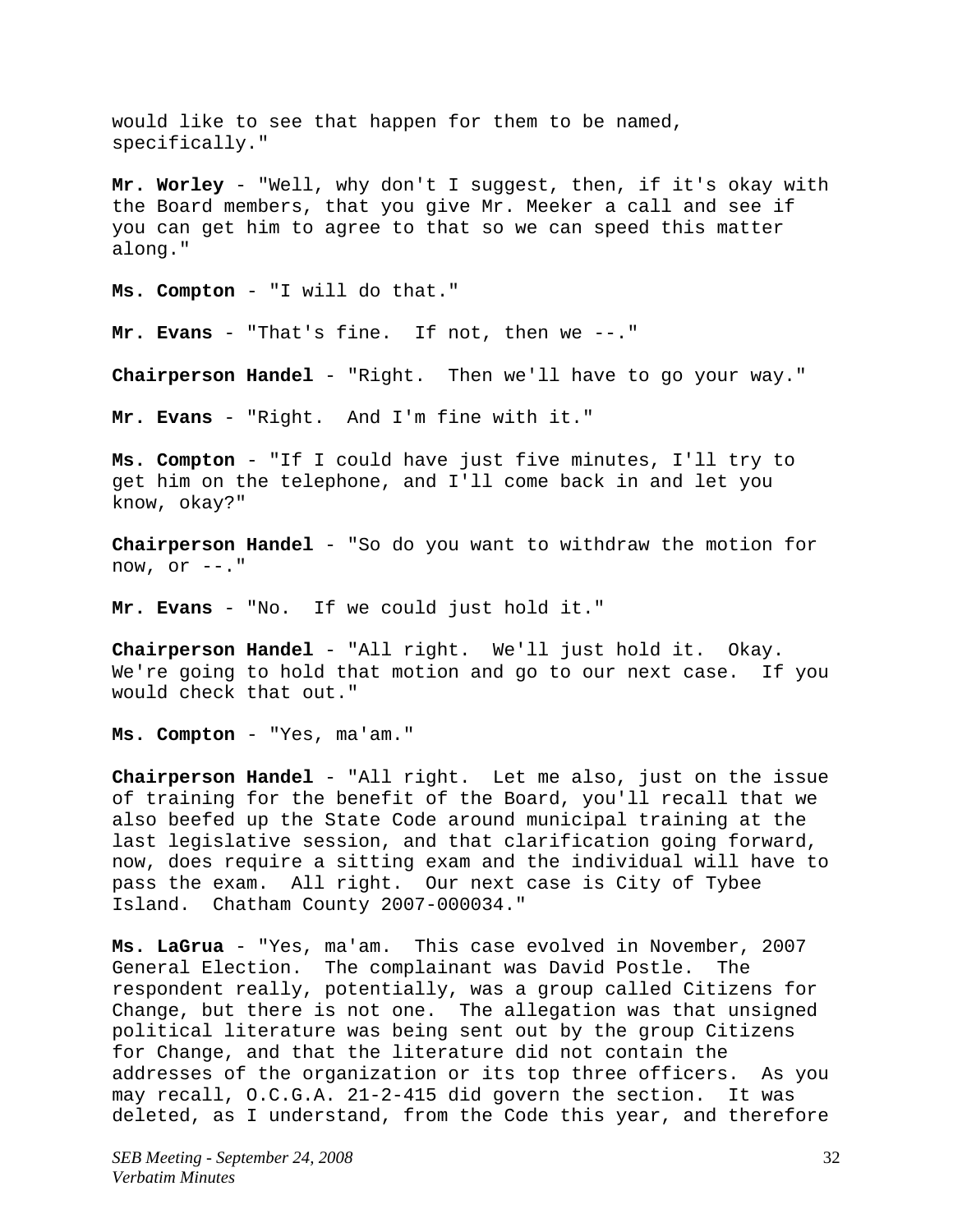would like to see that happen for them to be named, specifically." **Mr. Worley** - "Well, why don't I suggest, then, if it's okay with the Board members, that you give Mr. Meeker a call and see if you can get him to agree to that so we can speed this matter along." **Ms. Compton** - "I will do that." **Mr. Evans** - "That's fine. If not, then we --." **Chairperson Handel** - "Right. Then we'll have to go your way." **Mr. Evans** - "Right. And I'm fine with it." **Ms. Compton** - "If I could have just five minutes, I'll try to get him on the telephone, and I'll come back in and let you know, okay?" **Chairperson Handel** - "So do you want to withdraw the motion for now, or  $--$ ." **Mr. Evans** - "No. If we could just hold it." **Chairperson Handel** - "All right. We'll just hold it. Okay. We're going to hold that motion and go to our next case. If you would check that out." **Ms. Compton** - "Yes, ma'am." **Chairperson Handel** - "All right. Let me also, just on the issue of training for the benefit of the Board, you'll recall that we also beefed up the State Code around municipal training at the last legislative session, and that clarification going forward, now, does require a sitting exam and the individual will have to pass the exam. All right. Our next case is City of Tybee Island. Chatham County 2007-000034." **Ms. LaGrua** - "Yes, ma'am. This case evolved in November, 2007 General Election. The complainant was David Postle. The respondent really, potentially, was a group called Citizens for Change, but there is not one. The allegation was that unsigned political literature was being sent out by the group Citizens for Change, and that the literature did not contain the addresses of the organization or its top three officers. As you may recall, O.C.G.A. 21-2-415 did govern the section. It was

deleted, as I understand, from the Code this year, and therefore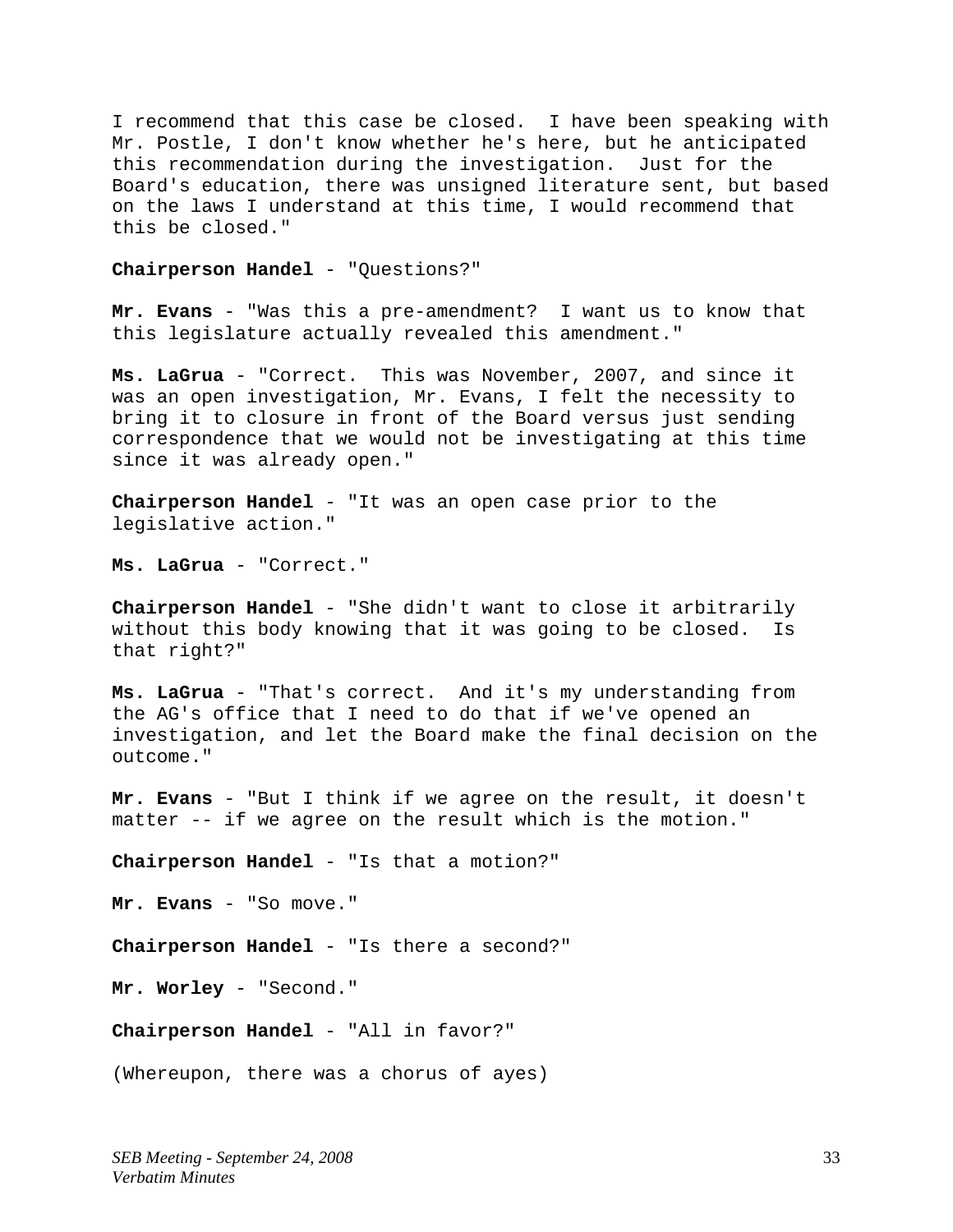I recommend that this case be closed. I have been speaking with Mr. Postle, I don't know whether he's here, but he anticipated this recommendation during the investigation. Just for the Board's education, there was unsigned literature sent, but based on the laws I understand at this time, I would recommend that this be closed."

## **Chairperson Handel** - "Questions?"

**Mr. Evans** - "Was this a pre-amendment? I want us to know that this legislature actually revealed this amendment."

**Ms. LaGrua** - "Correct. This was November, 2007, and since it was an open investigation, Mr. Evans, I felt the necessity to bring it to closure in front of the Board versus just sending correspondence that we would not be investigating at this time since it was already open."

**Chairperson Handel** - "It was an open case prior to the legislative action."

**Ms. LaGrua** - "Correct."

**Chairperson Handel** - "She didn't want to close it arbitrarily without this body knowing that it was going to be closed. Is that right?"

**Ms. LaGrua** - "That's correct. And it's my understanding from the AG's office that I need to do that if we've opened an investigation, and let the Board make the final decision on the outcome."

**Mr. Evans** - "But I think if we agree on the result, it doesn't matter -- if we agree on the result which is the motion."

**Chairperson Handel** - "Is that a motion?"

Mr. Evans - "So move."

**Chairperson Handel** - "Is there a second?"

**Mr. Worley** - "Second."

**Chairperson Handel** - "All in favor?"

(Whereupon, there was a chorus of ayes)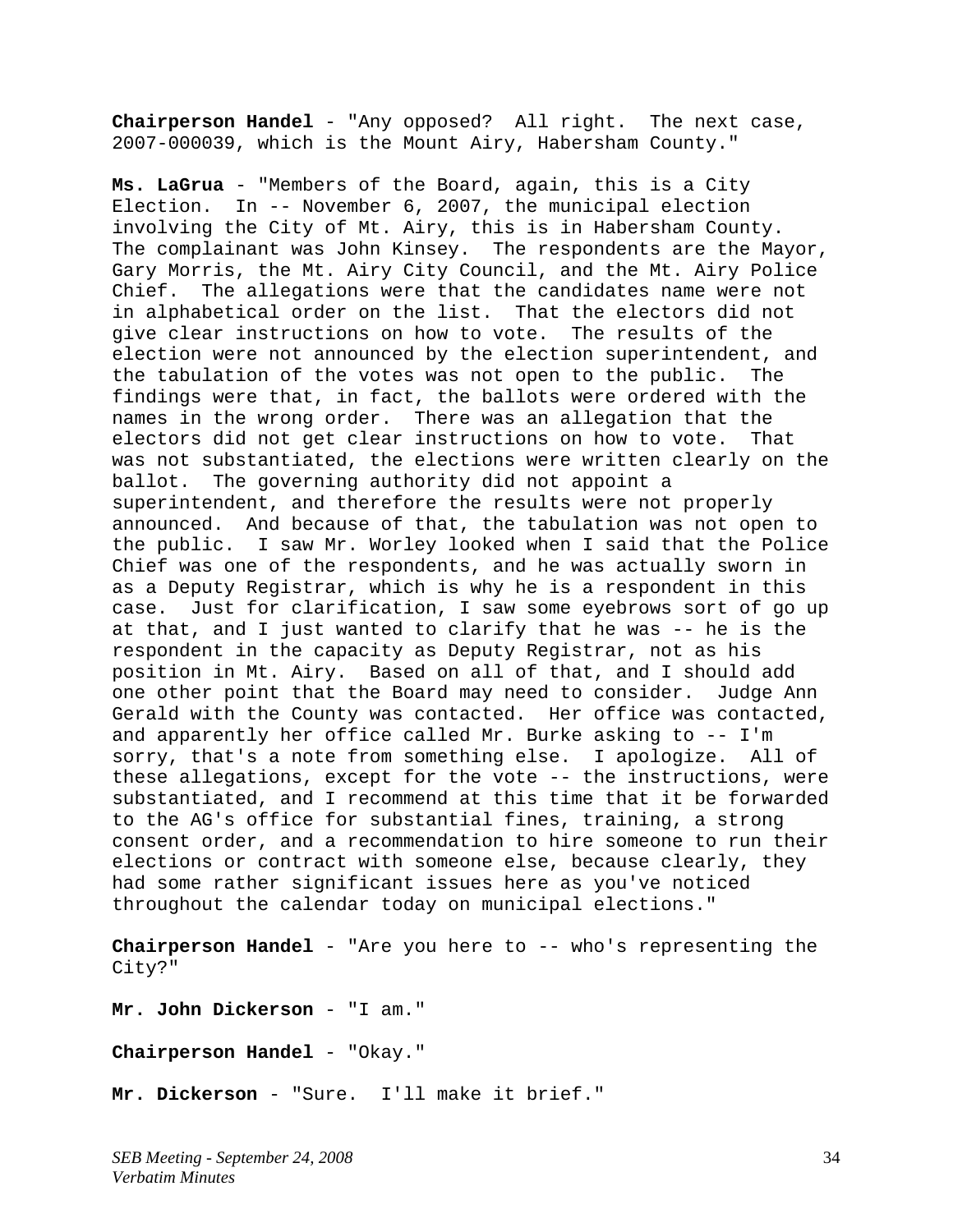**Chairperson Handel** - "Any opposed? All right. The next case, 2007-000039, which is the Mount Airy, Habersham County."

**Ms. LaGrua** - "Members of the Board, again, this is a City Election. In -- November 6, 2007, the municipal election involving the City of Mt. Airy, this is in Habersham County. The complainant was John Kinsey. The respondents are the Mayor, Gary Morris, the Mt. Airy City Council, and the Mt. Airy Police Chief. The allegations were that the candidates name were not in alphabetical order on the list. That the electors did not give clear instructions on how to vote. The results of the election were not announced by the election superintendent, and the tabulation of the votes was not open to the public. The findings were that, in fact, the ballots were ordered with the names in the wrong order. There was an allegation that the electors did not get clear instructions on how to vote. That was not substantiated, the elections were written clearly on the ballot. The governing authority did not appoint a superintendent, and therefore the results were not properly announced. And because of that, the tabulation was not open to the public. I saw Mr. Worley looked when I said that the Police Chief was one of the respondents, and he was actually sworn in as a Deputy Registrar, which is why he is a respondent in this case. Just for clarification, I saw some eyebrows sort of go up at that, and I just wanted to clarify that he was -- he is the respondent in the capacity as Deputy Registrar, not as his position in Mt. Airy. Based on all of that, and I should add one other point that the Board may need to consider. Judge Ann Gerald with the County was contacted. Her office was contacted, and apparently her office called Mr. Burke asking to -- I'm sorry, that's a note from something else. I apologize. All of these allegations, except for the vote -- the instructions, were substantiated, and I recommend at this time that it be forwarded to the AG's office for substantial fines, training, a strong consent order, and a recommendation to hire someone to run their elections or contract with someone else, because clearly, they had some rather significant issues here as you've noticed throughout the calendar today on municipal elections."

**Chairperson Handel** - "Are you here to -- who's representing the City?"

**Mr. John Dickerson** - "I am."

**Chairperson Handel** - "Okay."

**Mr. Dickerson** - "Sure. I'll make it brief."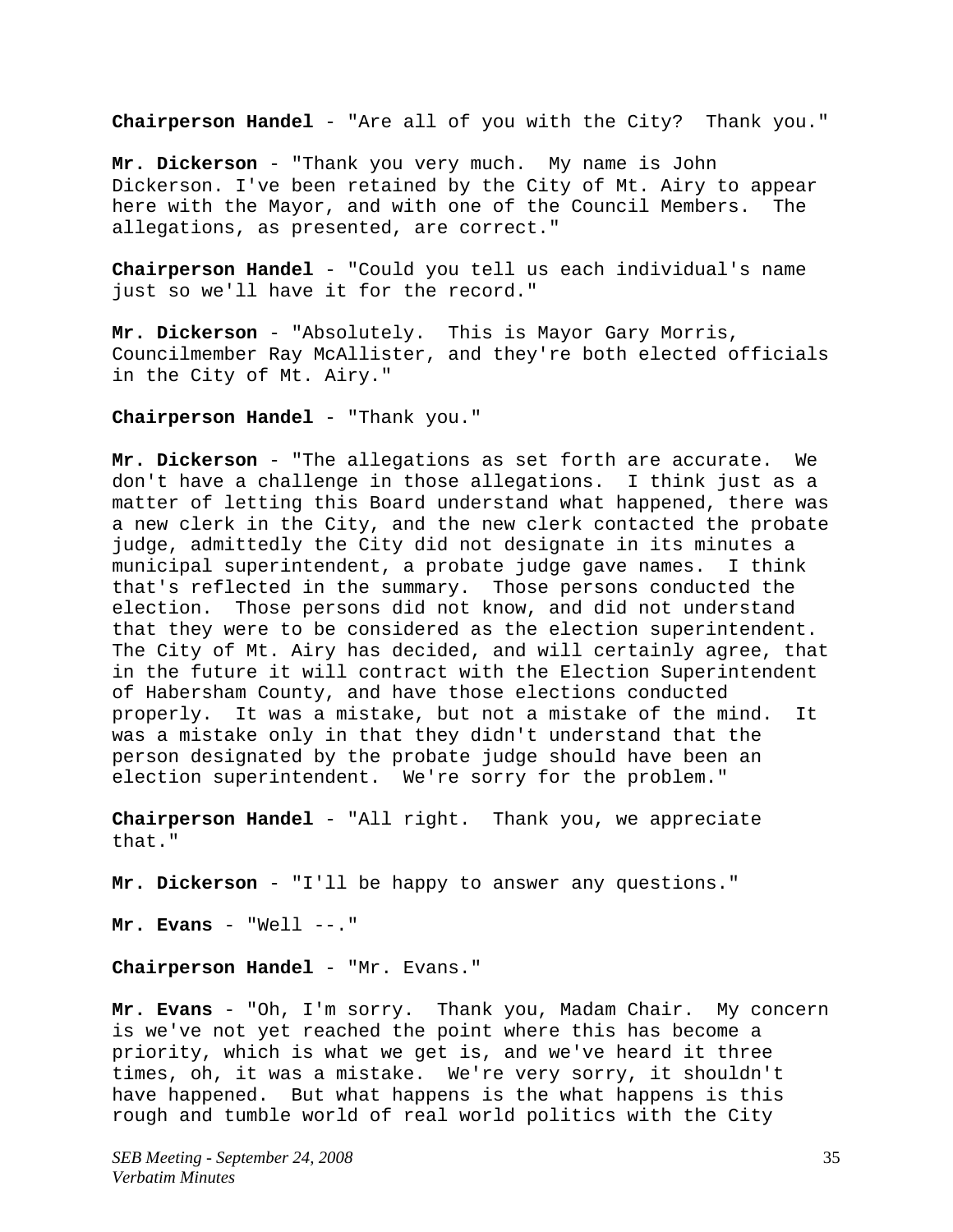**Chairperson Handel** - "Are all of you with the City? Thank you."

**Mr. Dickerson** - "Thank you very much. My name is John Dickerson. I've been retained by the City of Mt. Airy to appear here with the Mayor, and with one of the Council Members. The allegations, as presented, are correct."

**Chairperson Handel** - "Could you tell us each individual's name just so we'll have it for the record."

**Mr. Dickerson** - "Absolutely. This is Mayor Gary Morris, Councilmember Ray McAllister, and they're both elected officials in the City of Mt. Airy."

**Chairperson Handel** - "Thank you."

**Mr. Dickerson** - "The allegations as set forth are accurate. We don't have a challenge in those allegations. I think just as a matter of letting this Board understand what happened, there was a new clerk in the City, and the new clerk contacted the probate judge, admittedly the City did not designate in its minutes a municipal superintendent, a probate judge gave names. I think that's reflected in the summary. Those persons conducted the election. Those persons did not know, and did not understand that they were to be considered as the election superintendent. The City of Mt. Airy has decided, and will certainly agree, that in the future it will contract with the Election Superintendent of Habersham County, and have those elections conducted properly. It was a mistake, but not a mistake of the mind. It was a mistake only in that they didn't understand that the person designated by the probate judge should have been an election superintendent. We're sorry for the problem."

**Chairperson Handel** - "All right. Thank you, we appreciate that."

**Mr. Dickerson** - "I'll be happy to answer any questions."

**Mr. Evans** - "Well --."

**Chairperson Handel** - "Mr. Evans."

**Mr. Evans** - "Oh, I'm sorry. Thank you, Madam Chair. My concern is we've not yet reached the point where this has become a priority, which is what we get is, and we've heard it three times, oh, it was a mistake. We're very sorry, it shouldn't have happened. But what happens is the what happens is this rough and tumble world of real world politics with the City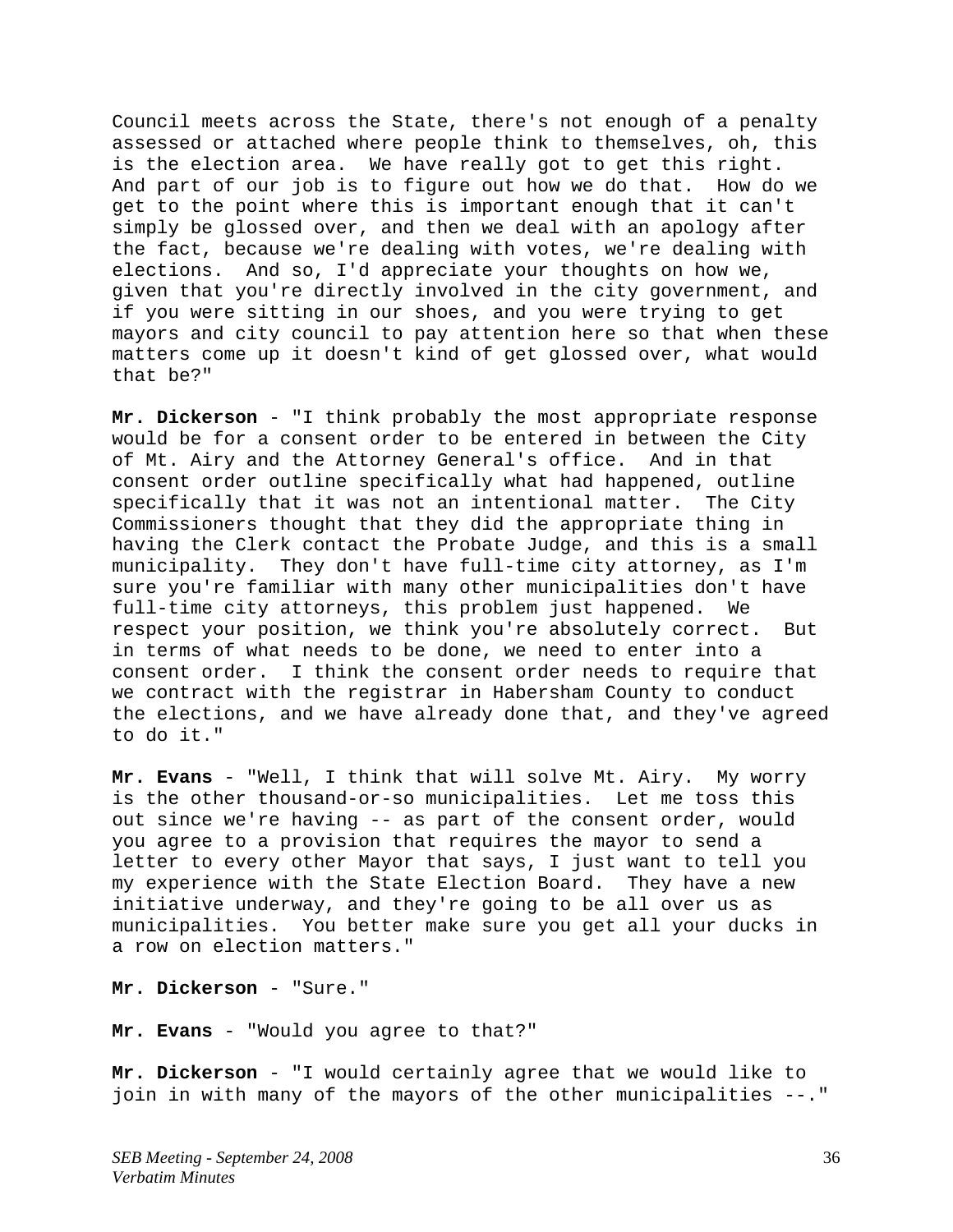Council meets across the State, there's not enough of a penalty assessed or attached where people think to themselves, oh, this is the election area. We have really got to get this right. And part of our job is to figure out how we do that. How do we get to the point where this is important enough that it can't simply be glossed over, and then we deal with an apology after the fact, because we're dealing with votes, we're dealing with elections. And so, I'd appreciate your thoughts on how we, given that you're directly involved in the city government, and if you were sitting in our shoes, and you were trying to get mayors and city council to pay attention here so that when these matters come up it doesn't kind of get glossed over, what would that be?"

**Mr. Dickerson** - "I think probably the most appropriate response would be for a consent order to be entered in between the City of Mt. Airy and the Attorney General's office. And in that consent order outline specifically what had happened, outline specifically that it was not an intentional matter. The City Commissioners thought that they did the appropriate thing in having the Clerk contact the Probate Judge, and this is a small municipality. They don't have full-time city attorney, as I'm sure you're familiar with many other municipalities don't have full-time city attorneys, this problem just happened. We respect your position, we think you're absolutely correct. But in terms of what needs to be done, we need to enter into a consent order. I think the consent order needs to require that we contract with the registrar in Habersham County to conduct the elections, and we have already done that, and they've agreed to do it."

**Mr. Evans** - "Well, I think that will solve Mt. Airy. My worry is the other thousand-or-so municipalities. Let me toss this out since we're having -- as part of the consent order, would you agree to a provision that requires the mayor to send a letter to every other Mayor that says, I just want to tell you my experience with the State Election Board. They have a new initiative underway, and they're going to be all over us as municipalities. You better make sure you get all your ducks in a row on election matters."

**Mr. Dickerson** - "Sure."

**Mr. Evans** - "Would you agree to that?"

**Mr. Dickerson** - "I would certainly agree that we would like to join in with many of the mayors of the other municipalities --."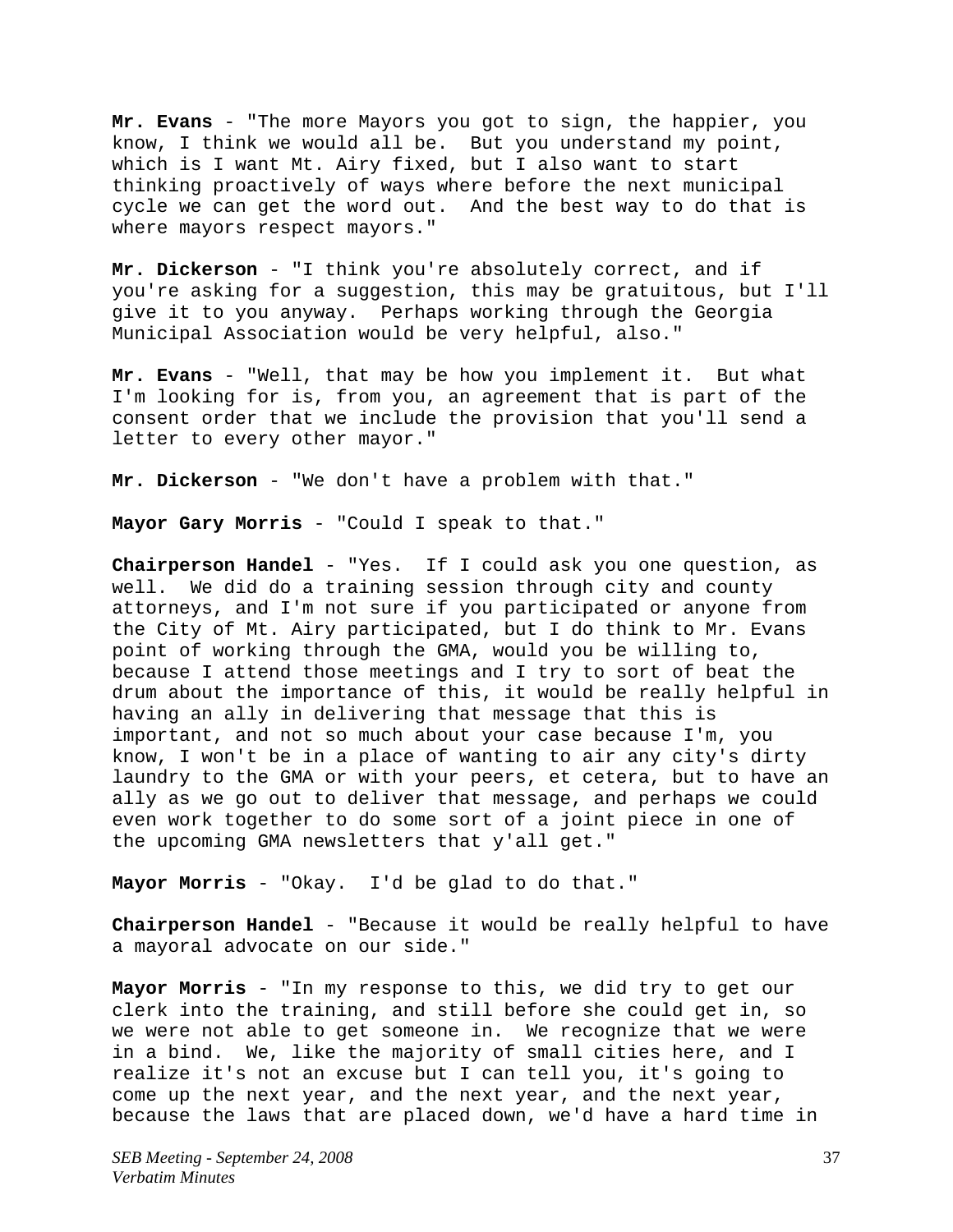**Mr. Evans** - "The more Mayors you got to sign, the happier, you know, I think we would all be. But you understand my point, which is I want Mt. Airy fixed, but I also want to start thinking proactively of ways where before the next municipal cycle we can get the word out. And the best way to do that is where mayors respect mayors."

**Mr. Dickerson** - "I think you're absolutely correct, and if you're asking for a suggestion, this may be gratuitous, but I'll give it to you anyway. Perhaps working through the Georgia Municipal Association would be very helpful, also."

**Mr. Evans** - "Well, that may be how you implement it. But what I'm looking for is, from you, an agreement that is part of the consent order that we include the provision that you'll send a letter to every other mayor."

**Mr. Dickerson** - "We don't have a problem with that."

**Mayor Gary Morris** - "Could I speak to that."

**Chairperson Handel** - "Yes. If I could ask you one question, as well. We did do a training session through city and county attorneys, and I'm not sure if you participated or anyone from the City of Mt. Airy participated, but I do think to Mr. Evans point of working through the GMA, would you be willing to, because I attend those meetings and I try to sort of beat the drum about the importance of this, it would be really helpful in having an ally in delivering that message that this is important, and not so much about your case because I'm, you know, I won't be in a place of wanting to air any city's dirty laundry to the GMA or with your peers, et cetera, but to have an ally as we go out to deliver that message, and perhaps we could even work together to do some sort of a joint piece in one of the upcoming GMA newsletters that y'all get."

**Mayor Morris** - "Okay. I'd be glad to do that."

**Chairperson Handel** - "Because it would be really helpful to have a mayoral advocate on our side."

**Mayor Morris** - "In my response to this, we did try to get our clerk into the training, and still before she could get in, so we were not able to get someone in. We recognize that we were in a bind. We, like the majority of small cities here, and I realize it's not an excuse but I can tell you, it's going to come up the next year, and the next year, and the next year, because the laws that are placed down, we'd have a hard time in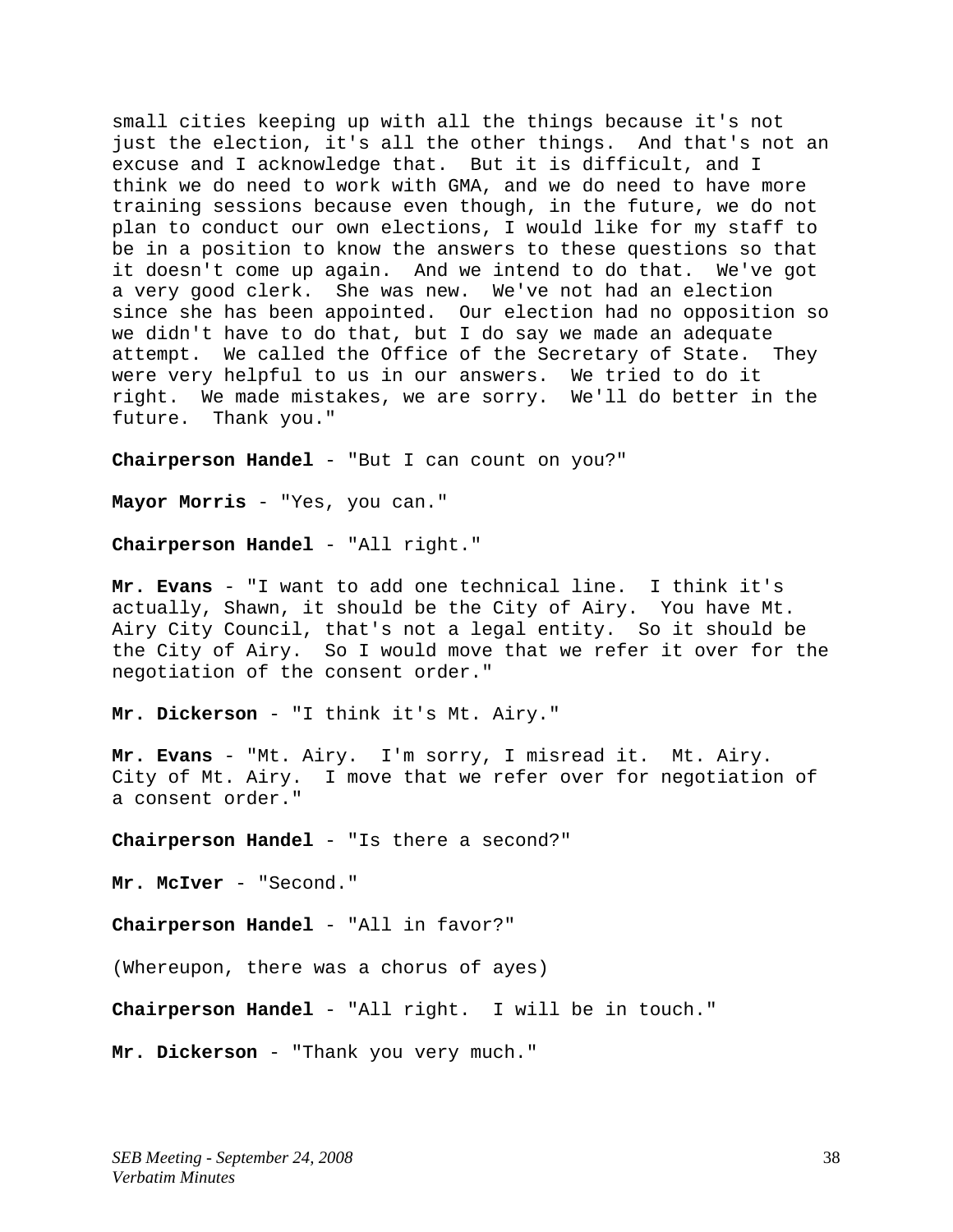small cities keeping up with all the things because it's not just the election, it's all the other things. And that's not an excuse and I acknowledge that. But it is difficult, and I think we do need to work with GMA, and we do need to have more training sessions because even though, in the future, we do not plan to conduct our own elections, I would like for my staff to be in a position to know the answers to these questions so that it doesn't come up again. And we intend to do that. We've got a very good clerk. She was new. We've not had an election since she has been appointed. Our election had no opposition so we didn't have to do that, but I do say we made an adequate attempt. We called the Office of the Secretary of State. They were very helpful to us in our answers. We tried to do it right. We made mistakes, we are sorry. We'll do better in the future. Thank you."

**Chairperson Handel** - "But I can count on you?"

**Mayor Morris** - "Yes, you can."

**Chairperson Handel** - "All right."

**Mr. Evans** - "I want to add one technical line. I think it's actually, Shawn, it should be the City of Airy. You have Mt. Airy City Council, that's not a legal entity. So it should be the City of Airy. So I would move that we refer it over for the negotiation of the consent order."

**Mr. Dickerson** - "I think it's Mt. Airy."

**Mr. Evans** - "Mt. Airy. I'm sorry, I misread it. Mt. Airy. City of Mt. Airy. I move that we refer over for negotiation of a consent order."

**Chairperson Handel** - "Is there a second?"

Mr. McIver - "Second."

**Chairperson Handel** - "All in favor?"

(Whereupon, there was a chorus of ayes)

**Chairperson Handel** - "All right. I will be in touch."

**Mr. Dickerson** - "Thank you very much."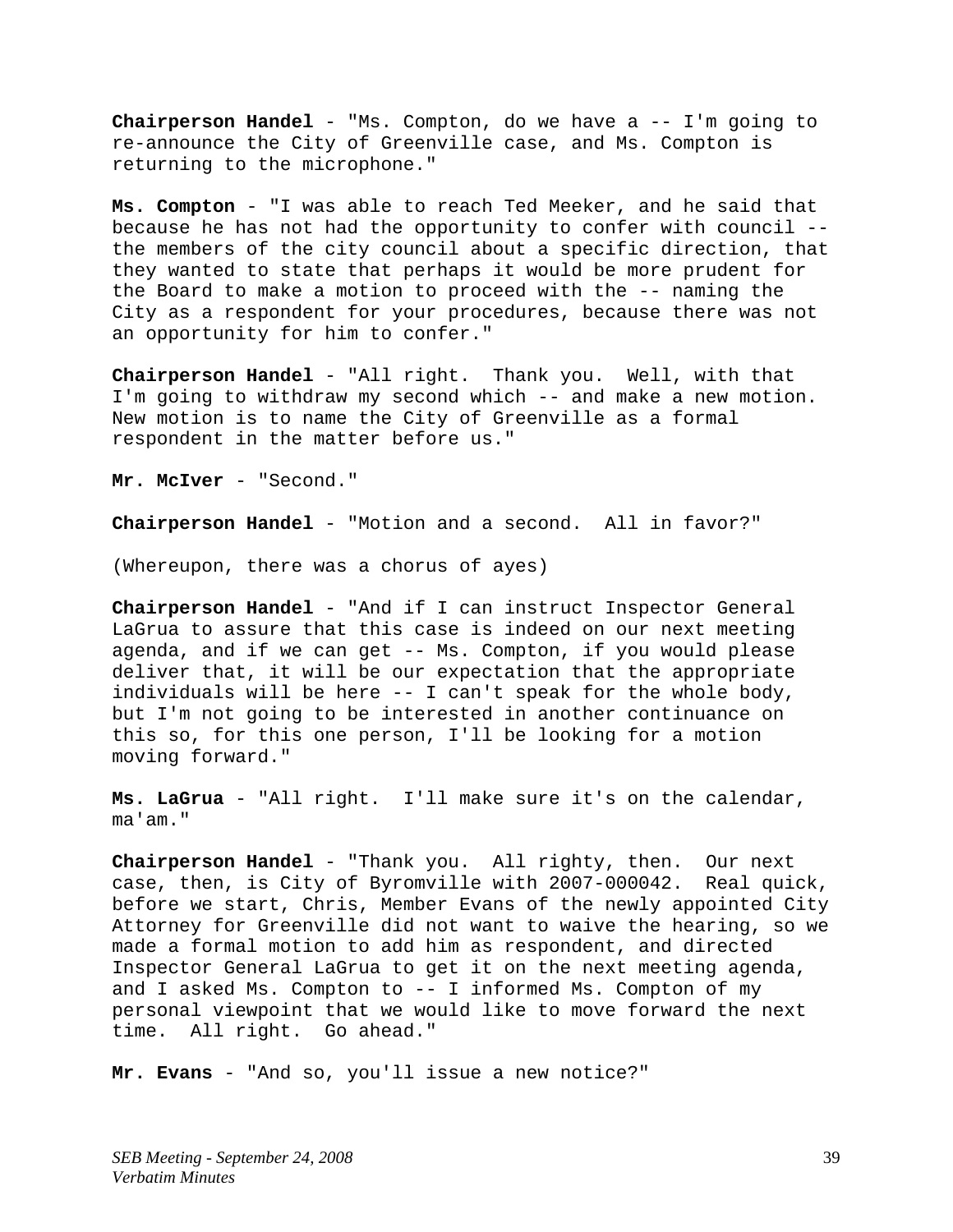**Chairperson Handel** - "Ms. Compton, do we have a -- I'm going to re-announce the City of Greenville case, and Ms. Compton is returning to the microphone."

**Ms. Compton** - "I was able to reach Ted Meeker, and he said that because he has not had the opportunity to confer with council - the members of the city council about a specific direction, that they wanted to state that perhaps it would be more prudent for the Board to make a motion to proceed with the -- naming the City as a respondent for your procedures, because there was not an opportunity for him to confer."

**Chairperson Handel** - "All right. Thank you. Well, with that I'm going to withdraw my second which -- and make a new motion. New motion is to name the City of Greenville as a formal respondent in the matter before us."

**Mr. McIver** - "Second."

**Chairperson Handel** - "Motion and a second. All in favor?"

(Whereupon, there was a chorus of ayes)

**Chairperson Handel** - "And if I can instruct Inspector General LaGrua to assure that this case is indeed on our next meeting agenda, and if we can get -- Ms. Compton, if you would please deliver that, it will be our expectation that the appropriate individuals will be here -- I can't speak for the whole body, but I'm not going to be interested in another continuance on this so, for this one person, I'll be looking for a motion moving forward."

**Ms. LaGrua** - "All right. I'll make sure it's on the calendar, ma'am."

**Chairperson Handel** - "Thank you. All righty, then. Our next case, then, is City of Byromville with 2007-000042. Real quick, before we start, Chris, Member Evans of the newly appointed City Attorney for Greenville did not want to waive the hearing, so we made a formal motion to add him as respondent, and directed Inspector General LaGrua to get it on the next meeting agenda, and I asked Ms. Compton to  $-$  I informed Ms. Compton of my personal viewpoint that we would like to move forward the next time. All right. Go ahead."

**Mr. Evans** - "And so, you'll issue a new notice?"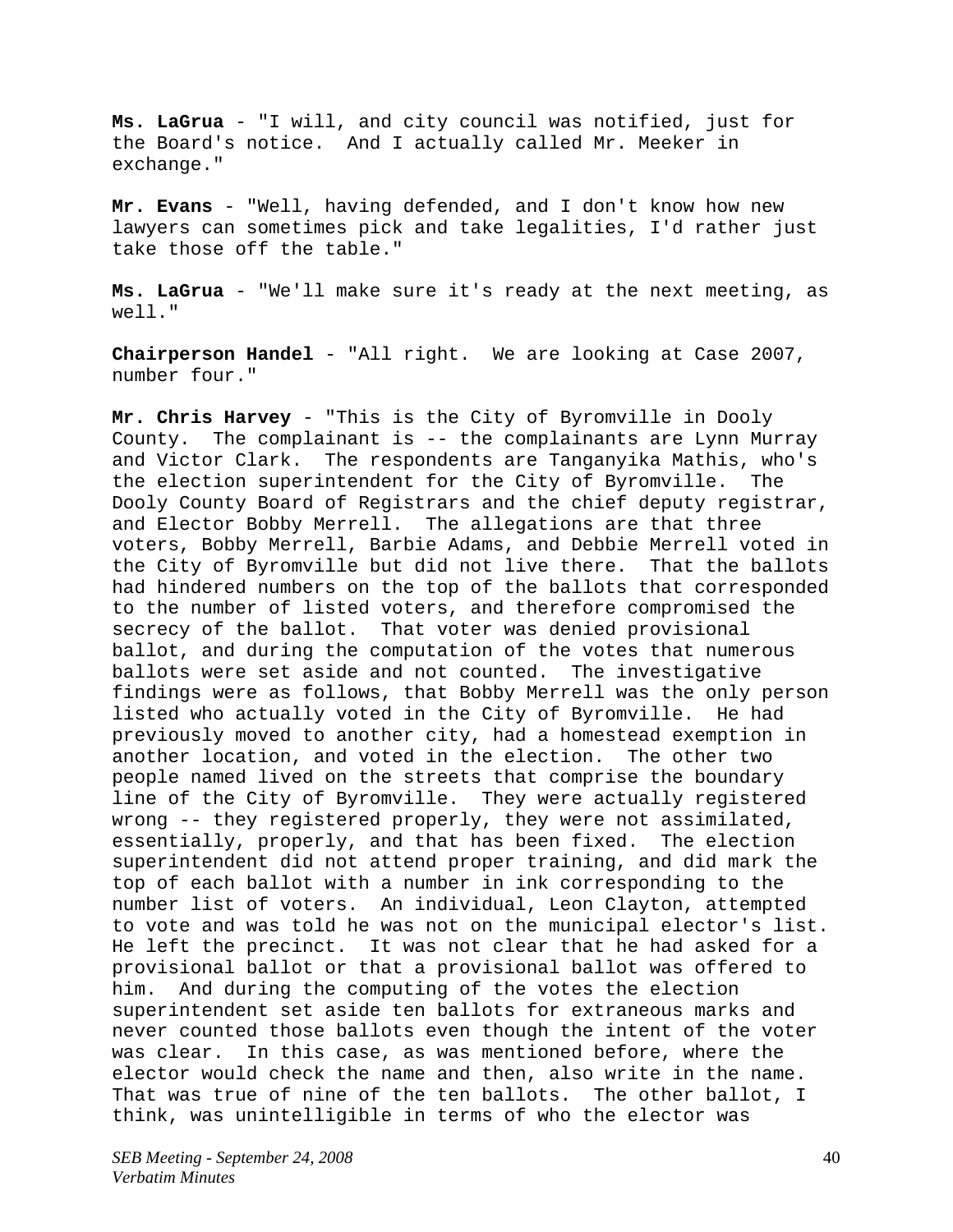**Ms. LaGrua** - "I will, and city council was notified, just for the Board's notice. And I actually called Mr. Meeker in exchange."

**Mr. Evans** - "Well, having defended, and I don't know how new lawyers can sometimes pick and take legalities, I'd rather just take those off the table."

**Ms. LaGrua** - "We'll make sure it's ready at the next meeting, as well."

**Chairperson Handel** - "All right. We are looking at Case 2007, number four."

**Mr. Chris Harvey** - "This is the City of Byromville in Dooly County. The complainant is -- the complainants are Lynn Murray and Victor Clark. The respondents are Tanganyika Mathis, who's the election superintendent for the City of Byromville. The Dooly County Board of Registrars and the chief deputy registrar, and Elector Bobby Merrell. The allegations are that three voters, Bobby Merrell, Barbie Adams, and Debbie Merrell voted in the City of Byromville but did not live there. That the ballots had hindered numbers on the top of the ballots that corresponded to the number of listed voters, and therefore compromised the secrecy of the ballot. That voter was denied provisional ballot, and during the computation of the votes that numerous ballots were set aside and not counted. The investigative findings were as follows, that Bobby Merrell was the only person listed who actually voted in the City of Byromville. He had previously moved to another city, had a homestead exemption in another location, and voted in the election. The other two people named lived on the streets that comprise the boundary line of the City of Byromville. They were actually registered wrong -- they registered properly, they were not assimilated, essentially, properly, and that has been fixed. The election superintendent did not attend proper training, and did mark the top of each ballot with a number in ink corresponding to the number list of voters. An individual, Leon Clayton, attempted to vote and was told he was not on the municipal elector's list. He left the precinct. It was not clear that he had asked for a provisional ballot or that a provisional ballot was offered to him. And during the computing of the votes the election superintendent set aside ten ballots for extraneous marks and never counted those ballots even though the intent of the voter was clear. In this case, as was mentioned before, where the elector would check the name and then, also write in the name. That was true of nine of the ten ballots. The other ballot, I think, was unintelligible in terms of who the elector was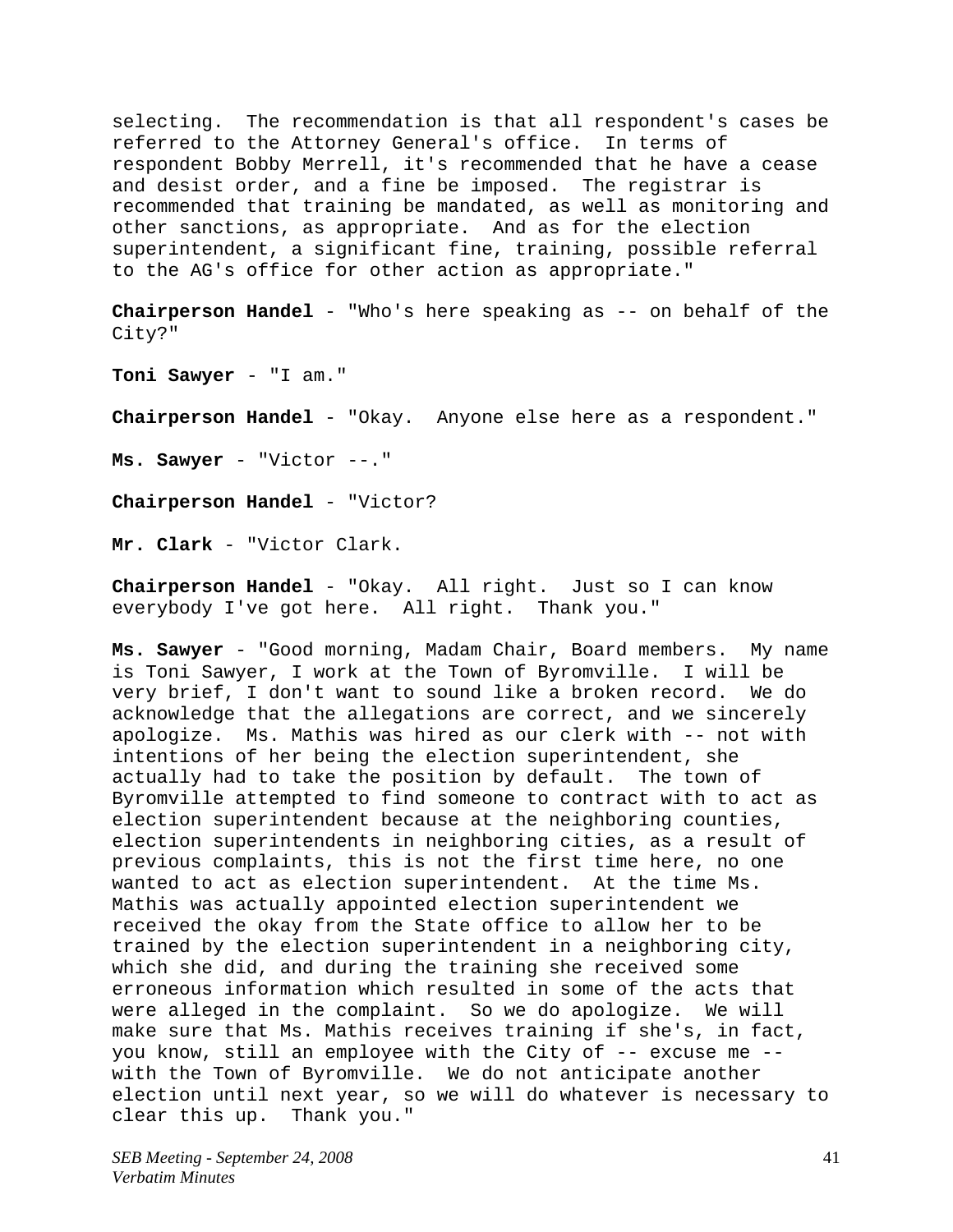selecting. The recommendation is that all respondent's cases be referred to the Attorney General's office. In terms of respondent Bobby Merrell, it's recommended that he have a cease and desist order, and a fine be imposed. The registrar is recommended that training be mandated, as well as monitoring and other sanctions, as appropriate. And as for the election superintendent, a significant fine, training, possible referral to the AG's office for other action as appropriate."

**Chairperson Handel** - "Who's here speaking as -- on behalf of the City?"

**Toni Sawyer** - "I am."

**Chairperson Handel** - "Okay. Anyone else here as a respondent."

**Ms. Sawyer** - "Victor --."

**Chairperson Handel** - "Victor?

**Mr. Clark** - "Victor Clark.

**Chairperson Handel** - "Okay. All right. Just so I can know everybody I've got here. All right. Thank you."

**Ms. Sawyer** - "Good morning, Madam Chair, Board members. My name is Toni Sawyer, I work at the Town of Byromville. I will be very brief, I don't want to sound like a broken record. We do acknowledge that the allegations are correct, and we sincerely apologize. Ms. Mathis was hired as our clerk with -- not with intentions of her being the election superintendent, she actually had to take the position by default. The town of Byromville attempted to find someone to contract with to act as election superintendent because at the neighboring counties, election superintendents in neighboring cities, as a result of previous complaints, this is not the first time here, no one wanted to act as election superintendent. At the time Ms. Mathis was actually appointed election superintendent we received the okay from the State office to allow her to be trained by the election superintendent in a neighboring city, which she did, and during the training she received some erroneous information which resulted in some of the acts that were alleged in the complaint. So we do apologize. We will make sure that Ms. Mathis receives training if she's, in fact, you know, still an employee with the City of -- excuse me - with the Town of Byromville. We do not anticipate another election until next year, so we will do whatever is necessary to clear this up. Thank you."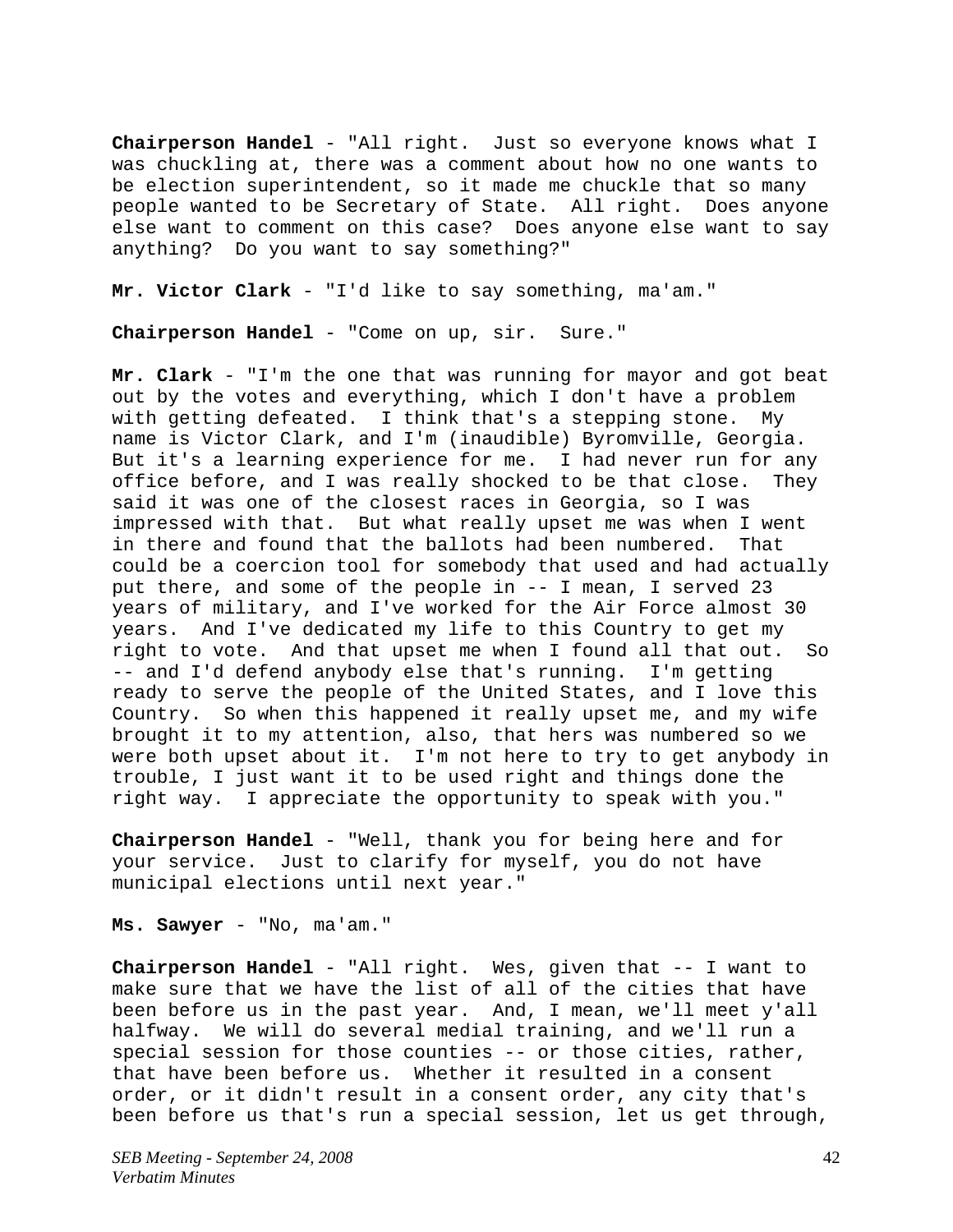**Chairperson Handel** - "All right. Just so everyone knows what I was chuckling at, there was a comment about how no one wants to be election superintendent, so it made me chuckle that so many people wanted to be Secretary of State. All right. Does anyone else want to comment on this case? Does anyone else want to say anything? Do you want to say something?"

**Mr. Victor Clark** - "I'd like to say something, ma'am."

**Chairperson Handel** - "Come on up, sir. Sure."

**Mr. Clark** - "I'm the one that was running for mayor and got beat out by the votes and everything, which I don't have a problem with getting defeated. I think that's a stepping stone. My name is Victor Clark, and I'm (inaudible) Byromville, Georgia. But it's a learning experience for me. I had never run for any office before, and I was really shocked to be that close. They said it was one of the closest races in Georgia, so I was impressed with that. But what really upset me was when I went in there and found that the ballots had been numbered. That could be a coercion tool for somebody that used and had actually put there, and some of the people in -- I mean, I served 23 years of military, and I've worked for the Air Force almost 30 years. And I've dedicated my life to this Country to get my right to vote. And that upset me when I found all that out. So -- and I'd defend anybody else that's running. I'm getting ready to serve the people of the United States, and I love this Country. So when this happened it really upset me, and my wife brought it to my attention, also, that hers was numbered so we were both upset about it. I'm not here to try to get anybody in trouble, I just want it to be used right and things done the right way. I appreciate the opportunity to speak with you."

**Chairperson Handel** - "Well, thank you for being here and for your service. Just to clarify for myself, you do not have municipal elections until next year."

**Ms. Sawyer** - "No, ma'am."

**Chairperson Handel** - "All right. Wes, given that -- I want to make sure that we have the list of all of the cities that have been before us in the past year. And, I mean, we'll meet y'all halfway. We will do several medial training, and we'll run a special session for those counties -- or those cities, rather, that have been before us. Whether it resulted in a consent order, or it didn't result in a consent order, any city that's been before us that's run a special session, let us get through,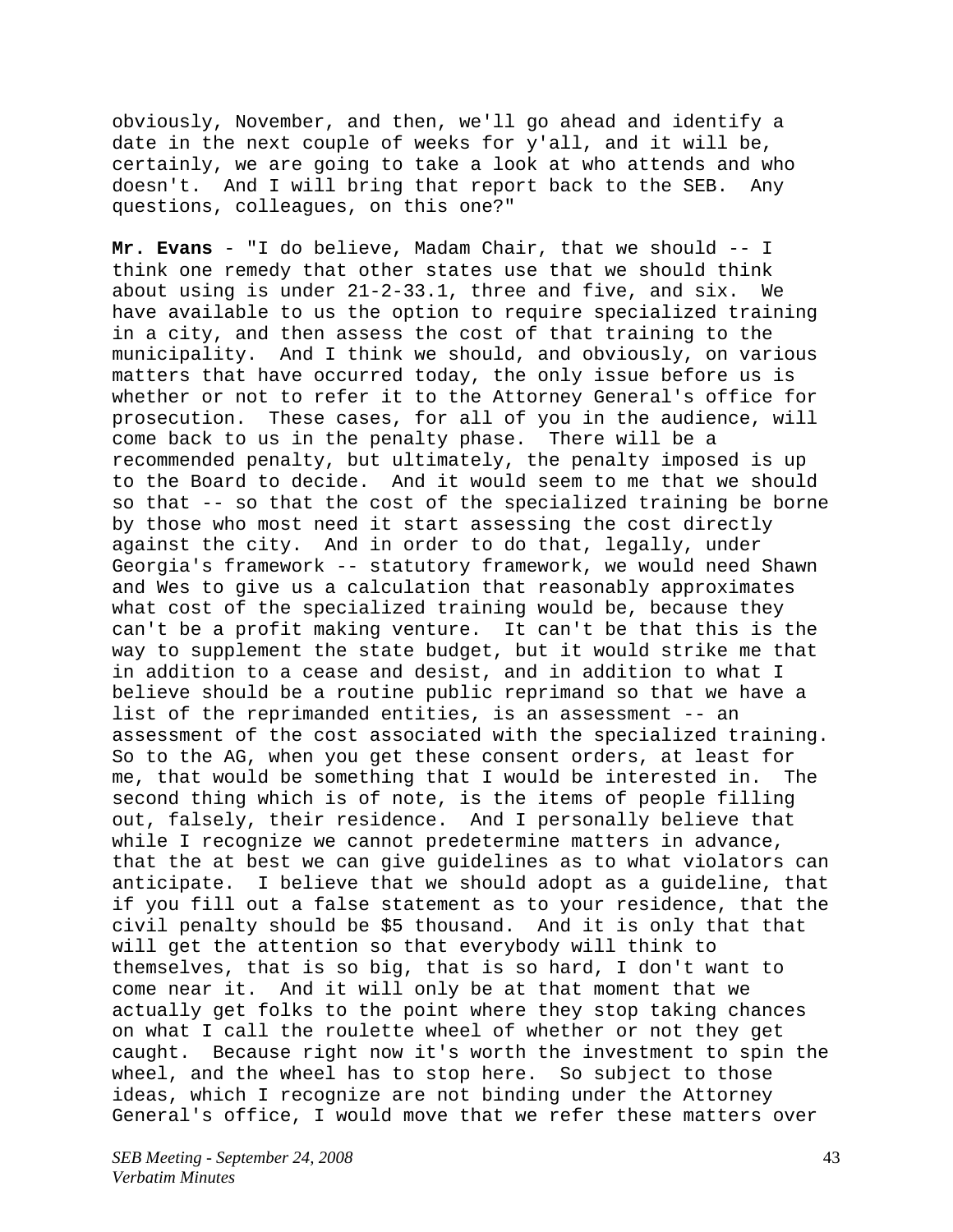obviously, November, and then, we'll go ahead and identify a date in the next couple of weeks for y'all, and it will be, certainly, we are going to take a look at who attends and who doesn't. And I will bring that report back to the SEB. Any questions, colleagues, on this one?"

**Mr. Evans** - "I do believe, Madam Chair, that we should -- I think one remedy that other states use that we should think about using is under 21-2-33.1, three and five, and six. We have available to us the option to require specialized training in a city, and then assess the cost of that training to the municipality. And I think we should, and obviously, on various matters that have occurred today, the only issue before us is whether or not to refer it to the Attorney General's office for prosecution. These cases, for all of you in the audience, will come back to us in the penalty phase. There will be a recommended penalty, but ultimately, the penalty imposed is up to the Board to decide. And it would seem to me that we should so that -- so that the cost of the specialized training be borne by those who most need it start assessing the cost directly against the city. And in order to do that, legally, under Georgia's framework -- statutory framework, we would need Shawn and Wes to give us a calculation that reasonably approximates what cost of the specialized training would be, because they can't be a profit making venture. It can't be that this is the way to supplement the state budget, but it would strike me that in addition to a cease and desist, and in addition to what I believe should be a routine public reprimand so that we have a list of the reprimanded entities, is an assessment -- an assessment of the cost associated with the specialized training. So to the AG, when you get these consent orders, at least for me, that would be something that I would be interested in. The second thing which is of note, is the items of people filling out, falsely, their residence. And I personally believe that while I recognize we cannot predetermine matters in advance, that the at best we can give guidelines as to what violators can anticipate. I believe that we should adopt as a guideline, that if you fill out a false statement as to your residence, that the civil penalty should be \$5 thousand. And it is only that that will get the attention so that everybody will think to themselves, that is so big, that is so hard, I don't want to come near it. And it will only be at that moment that we actually get folks to the point where they stop taking chances on what I call the roulette wheel of whether or not they get caught. Because right now it's worth the investment to spin the wheel, and the wheel has to stop here. So subject to those ideas, which I recognize are not binding under the Attorney General's office, I would move that we refer these matters over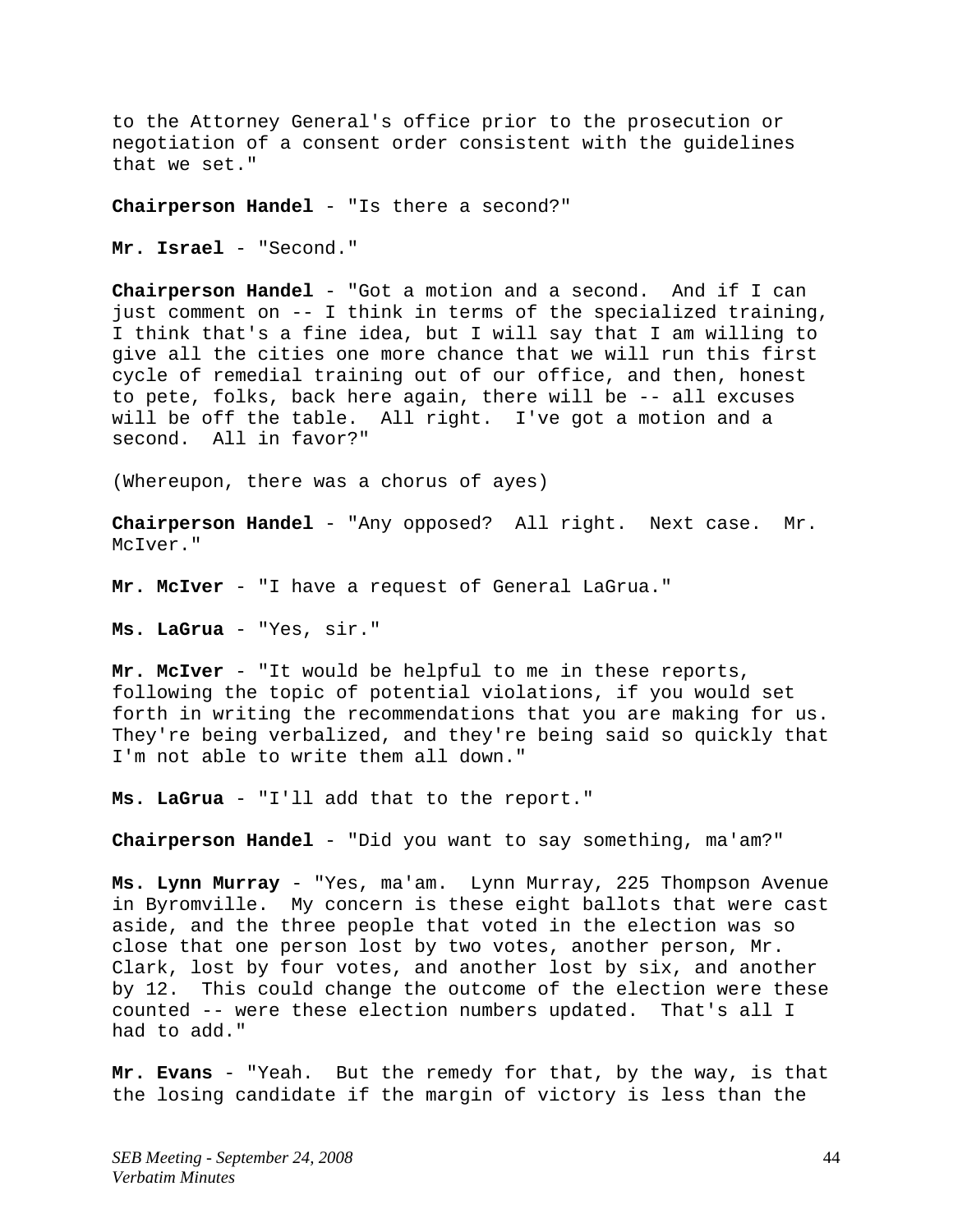to the Attorney General's office prior to the prosecution or negotiation of a consent order consistent with the guidelines that we set."

**Chairperson Handel** - "Is there a second?"

Mr. Israel - "Second."

**Chairperson Handel** - "Got a motion and a second. And if I can just comment on -- I think in terms of the specialized training, I think that's a fine idea, but I will say that I am willing to give all the cities one more chance that we will run this first cycle of remedial training out of our office, and then, honest to pete, folks, back here again, there will be -- all excuses will be off the table. All right. I've got a motion and a second. All in favor?"

(Whereupon, there was a chorus of ayes)

**Chairperson Handel** - "Any opposed? All right. Next case. Mr. McIver."

**Mr. McIver** - "I have a request of General LaGrua."

**Ms. LaGrua** - "Yes, sir."

**Mr. McIver** - "It would be helpful to me in these reports, following the topic of potential violations, if you would set forth in writing the recommendations that you are making for us. They're being verbalized, and they're being said so quickly that I'm not able to write them all down."

**Ms. LaGrua** - "I'll add that to the report."

**Chairperson Handel** - "Did you want to say something, ma'am?"

**Ms. Lynn Murray** - "Yes, ma'am. Lynn Murray, 225 Thompson Avenue in Byromville. My concern is these eight ballots that were cast aside, and the three people that voted in the election was so close that one person lost by two votes, another person, Mr. Clark, lost by four votes, and another lost by six, and another by 12. This could change the outcome of the election were these counted -- were these election numbers updated. That's all I had to add."

**Mr. Evans** - "Yeah. But the remedy for that, by the way, is that the losing candidate if the margin of victory is less than the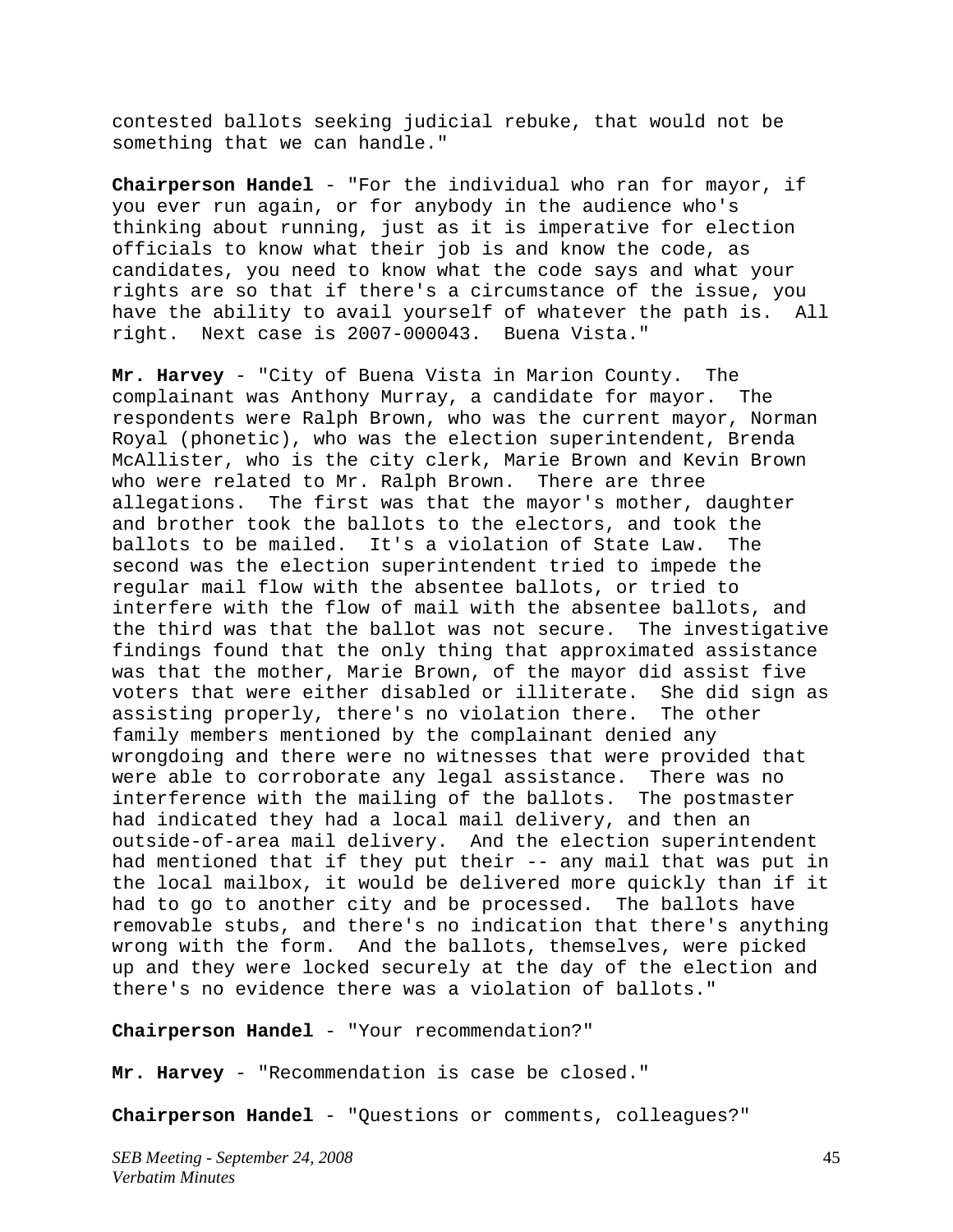contested ballots seeking judicial rebuke, that would not be something that we can handle."

**Chairperson Handel** - "For the individual who ran for mayor, if you ever run again, or for anybody in the audience who's thinking about running, just as it is imperative for election officials to know what their job is and know the code, as candidates, you need to know what the code says and what your rights are so that if there's a circumstance of the issue, you have the ability to avail yourself of whatever the path is. All right. Next case is 2007-000043. Buena Vista."

**Mr. Harvey** - "City of Buena Vista in Marion County. The complainant was Anthony Murray, a candidate for mayor. The respondents were Ralph Brown, who was the current mayor, Norman Royal (phonetic), who was the election superintendent, Brenda McAllister, who is the city clerk, Marie Brown and Kevin Brown who were related to Mr. Ralph Brown. There are three allegations. The first was that the mayor's mother, daughter and brother took the ballots to the electors, and took the ballots to be mailed. It's a violation of State Law. The second was the election superintendent tried to impede the regular mail flow with the absentee ballots, or tried to interfere with the flow of mail with the absentee ballots, and the third was that the ballot was not secure. The investigative findings found that the only thing that approximated assistance was that the mother, Marie Brown, of the mayor did assist five voters that were either disabled or illiterate. She did sign as assisting properly, there's no violation there. The other family members mentioned by the complainant denied any wrongdoing and there were no witnesses that were provided that were able to corroborate any legal assistance. There was no interference with the mailing of the ballots. The postmaster had indicated they had a local mail delivery, and then an outside-of-area mail delivery. And the election superintendent had mentioned that if they put their -- any mail that was put in the local mailbox, it would be delivered more quickly than if it had to go to another city and be processed. The ballots have removable stubs, and there's no indication that there's anything wrong with the form. And the ballots, themselves, were picked up and they were locked securely at the day of the election and there's no evidence there was a violation of ballots."

**Chairperson Handel** - "Your recommendation?"

**Mr. Harvey** - "Recommendation is case be closed."

**Chairperson Handel** - "Questions or comments, colleagues?"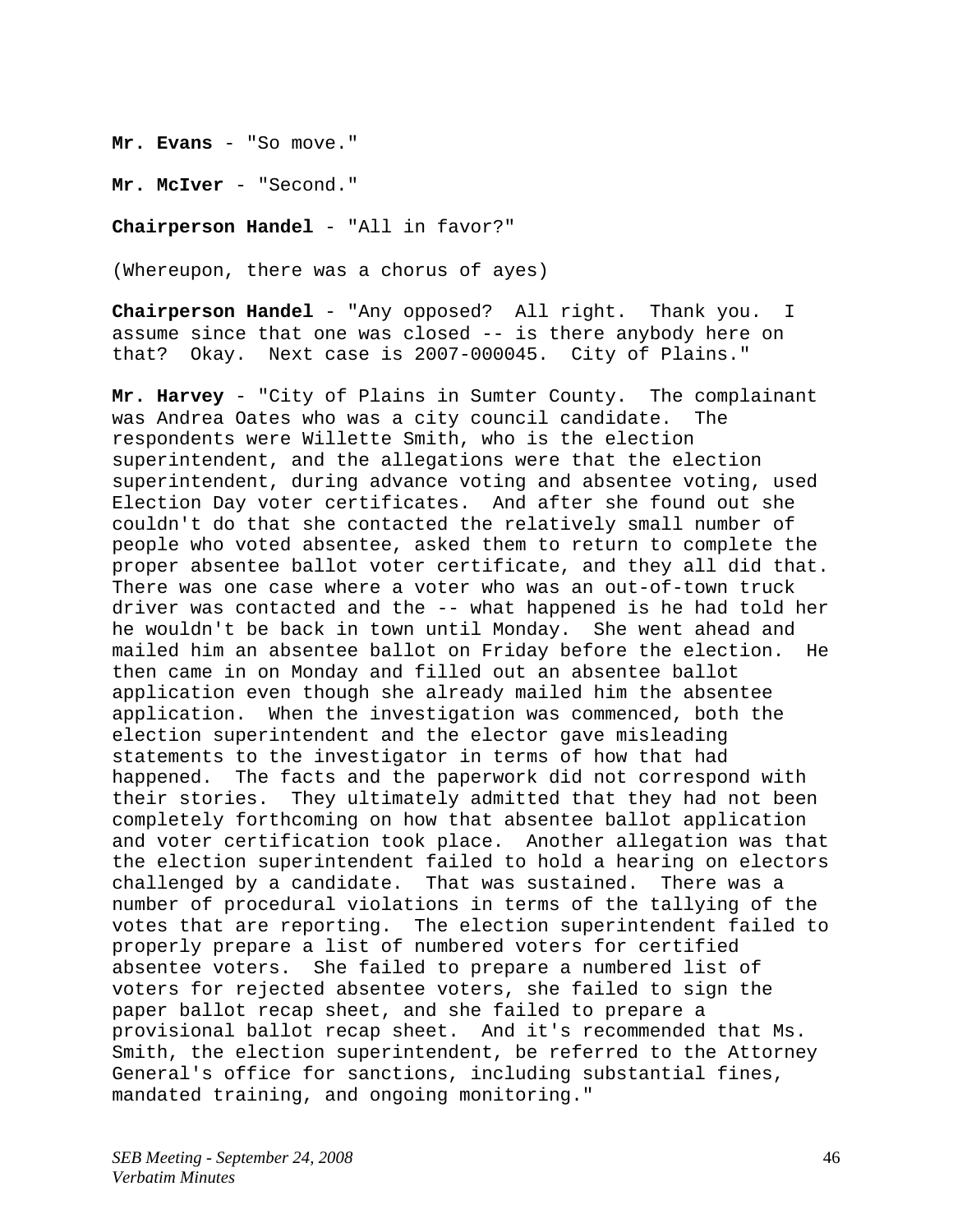Mr. Evans - "So move."

**Mr. McIver** - "Second."

**Chairperson Handel** - "All in favor?"

(Whereupon, there was a chorus of ayes)

**Chairperson Handel** - "Any opposed? All right. Thank you. I assume since that one was closed -- is there anybody here on that? Okay. Next case is 2007-000045. City of Plains."

**Mr. Harvey** - "City of Plains in Sumter County. The complainant was Andrea Oates who was a city council candidate. The respondents were Willette Smith, who is the election superintendent, and the allegations were that the election superintendent, during advance voting and absentee voting, used Election Day voter certificates. And after she found out she couldn't do that she contacted the relatively small number of people who voted absentee, asked them to return to complete the proper absentee ballot voter certificate, and they all did that. There was one case where a voter who was an out-of-town truck driver was contacted and the -- what happened is he had told her he wouldn't be back in town until Monday. She went ahead and mailed him an absentee ballot on Friday before the election. He then came in on Monday and filled out an absentee ballot application even though she already mailed him the absentee application. When the investigation was commenced, both the election superintendent and the elector gave misleading statements to the investigator in terms of how that had happened. The facts and the paperwork did not correspond with their stories. They ultimately admitted that they had not been completely forthcoming on how that absentee ballot application and voter certification took place. Another allegation was that the election superintendent failed to hold a hearing on electors challenged by a candidate. That was sustained. There was a number of procedural violations in terms of the tallying of the votes that are reporting. The election superintendent failed to properly prepare a list of numbered voters for certified absentee voters. She failed to prepare a numbered list of voters for rejected absentee voters, she failed to sign the paper ballot recap sheet, and she failed to prepare a provisional ballot recap sheet. And it's recommended that Ms. Smith, the election superintendent, be referred to the Attorney General's office for sanctions, including substantial fines, mandated training, and ongoing monitoring."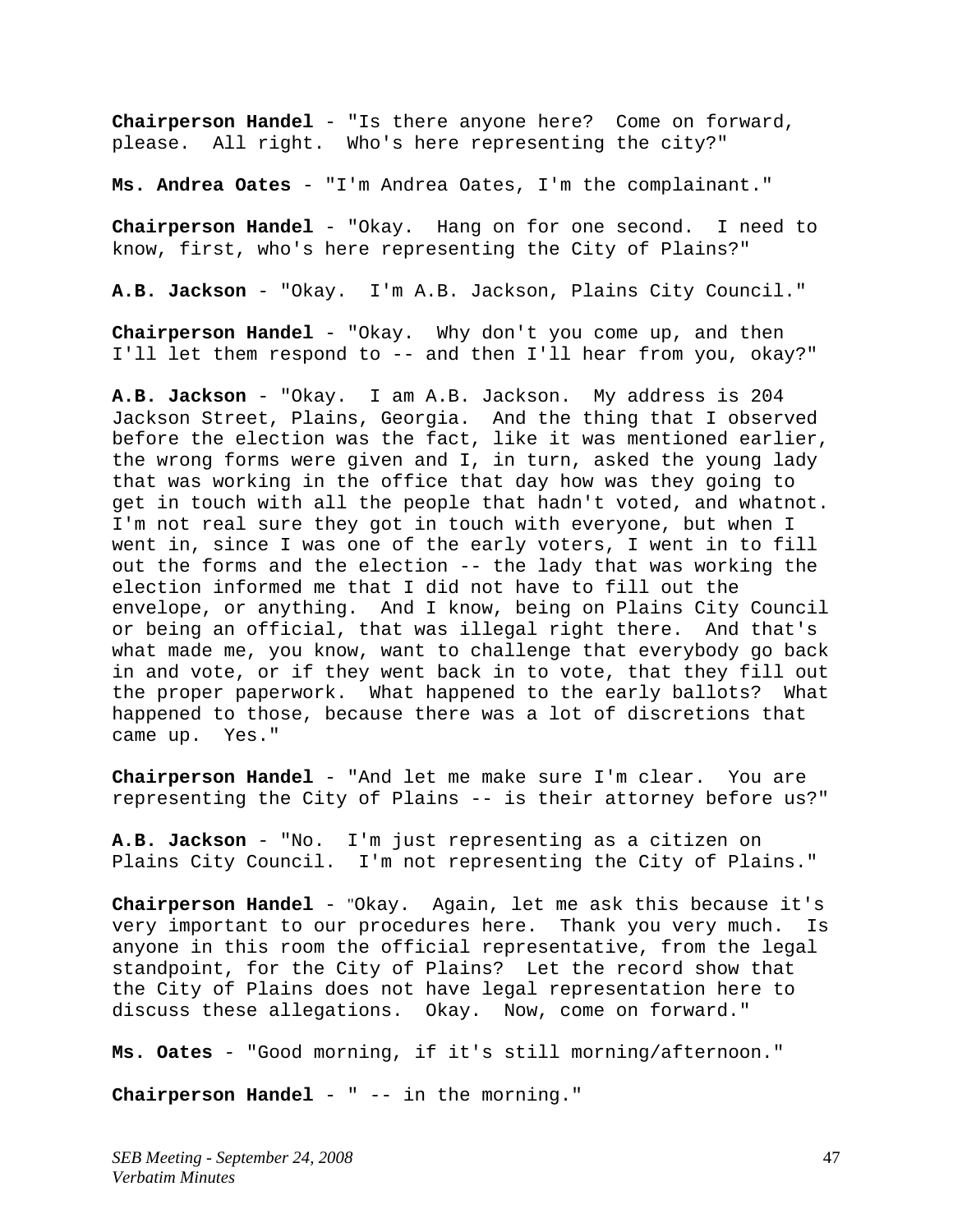**Chairperson Handel** - "Is there anyone here? Come on forward, please. All right. Who's here representing the city?"

**Ms. Andrea Oates** - "I'm Andrea Oates, I'm the complainant."

**Chairperson Handel** - "Okay. Hang on for one second. I need to know, first, who's here representing the City of Plains?"

**A.B. Jackson** - "Okay. I'm A.B. Jackson, Plains City Council."

**Chairperson Handel** - "Okay. Why don't you come up, and then I'll let them respond to -- and then I'll hear from you, okay?"

**A.B. Jackson** - "Okay. I am A.B. Jackson. My address is 204 Jackson Street, Plains, Georgia. And the thing that I observed before the election was the fact, like it was mentioned earlier, the wrong forms were given and I, in turn, asked the young lady that was working in the office that day how was they going to get in touch with all the people that hadn't voted, and whatnot. I'm not real sure they got in touch with everyone, but when I went in, since I was one of the early voters, I went in to fill out the forms and the election -- the lady that was working the election informed me that I did not have to fill out the envelope, or anything. And I know, being on Plains City Council or being an official, that was illegal right there. And that's what made me, you know, want to challenge that everybody go back in and vote, or if they went back in to vote, that they fill out the proper paperwork. What happened to the early ballots? What happened to those, because there was a lot of discretions that came up. Yes."

**Chairperson Handel** - "And let me make sure I'm clear. You are representing the City of Plains -- is their attorney before us?"

**A.B. Jackson** - "No. I'm just representing as a citizen on Plains City Council. I'm not representing the City of Plains."

**Chairperson Handel** - "Okay. Again, let me ask this because it's very important to our procedures here. Thank you very much. Is anyone in this room the official representative, from the legal standpoint, for the City of Plains? Let the record show that the City of Plains does not have legal representation here to discuss these allegations. Okay. Now, come on forward."

**Ms. Oates** - "Good morning, if it's still morning/afternoon."

**Chairperson Handel** - " -- in the morning."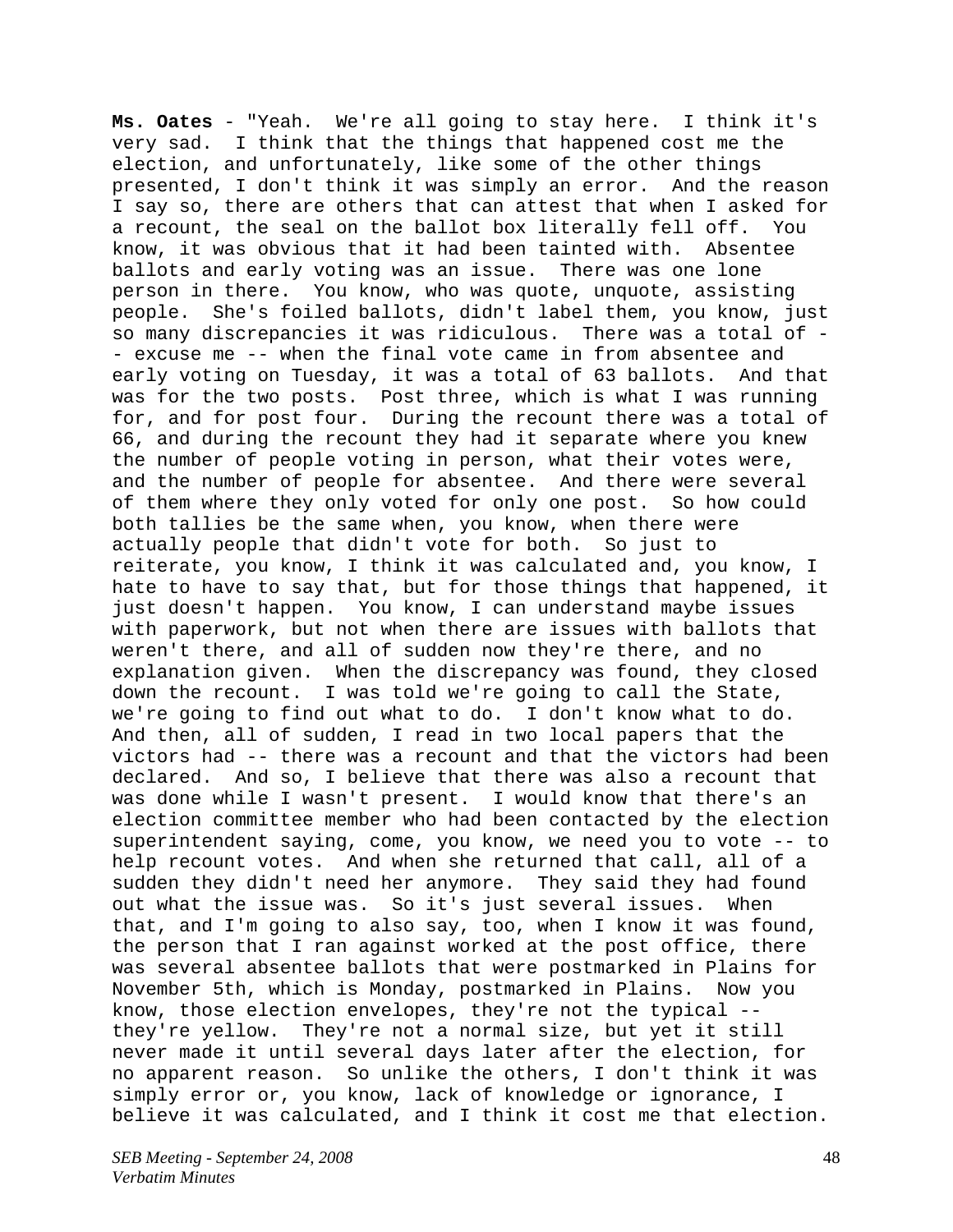**Ms. Oates** - "Yeah. We're all going to stay here. I think it's very sad. I think that the things that happened cost me the election, and unfortunately, like some of the other things presented, I don't think it was simply an error. And the reason I say so, there are others that can attest that when I asked for a recount, the seal on the ballot box literally fell off. You know, it was obvious that it had been tainted with. Absentee ballots and early voting was an issue. There was one lone person in there. You know, who was quote, unquote, assisting people. She's foiled ballots, didn't label them, you know, just so many discrepancies it was ridiculous. There was a total of - - excuse me -- when the final vote came in from absentee and early voting on Tuesday, it was a total of 63 ballots. And that was for the two posts. Post three, which is what I was running for, and for post four. During the recount there was a total of 66, and during the recount they had it separate where you knew the number of people voting in person, what their votes were, and the number of people for absentee. And there were several of them where they only voted for only one post. So how could both tallies be the same when, you know, when there were actually people that didn't vote for both. So just to reiterate, you know, I think it was calculated and, you know, I hate to have to say that, but for those things that happened, it just doesn't happen. You know, I can understand maybe issues with paperwork, but not when there are issues with ballots that weren't there, and all of sudden now they're there, and no explanation given. When the discrepancy was found, they closed down the recount. I was told we're going to call the State, we're going to find out what to do. I don't know what to do. And then, all of sudden, I read in two local papers that the victors had -- there was a recount and that the victors had been declared. And so, I believe that there was also a recount that was done while I wasn't present. I would know that there's an election committee member who had been contacted by the election superintendent saying, come, you know, we need you to vote -- to help recount votes. And when she returned that call, all of a sudden they didn't need her anymore. They said they had found out what the issue was. So it's just several issues. When that, and I'm going to also say, too, when I know it was found, the person that I ran against worked at the post office, there was several absentee ballots that were postmarked in Plains for November 5th, which is Monday, postmarked in Plains. Now you know, those election envelopes, they're not the typical - they're yellow. They're not a normal size, but yet it still never made it until several days later after the election, for no apparent reason. So unlike the others, I don't think it was simply error or, you know, lack of knowledge or ignorance, I believe it was calculated, and I think it cost me that election.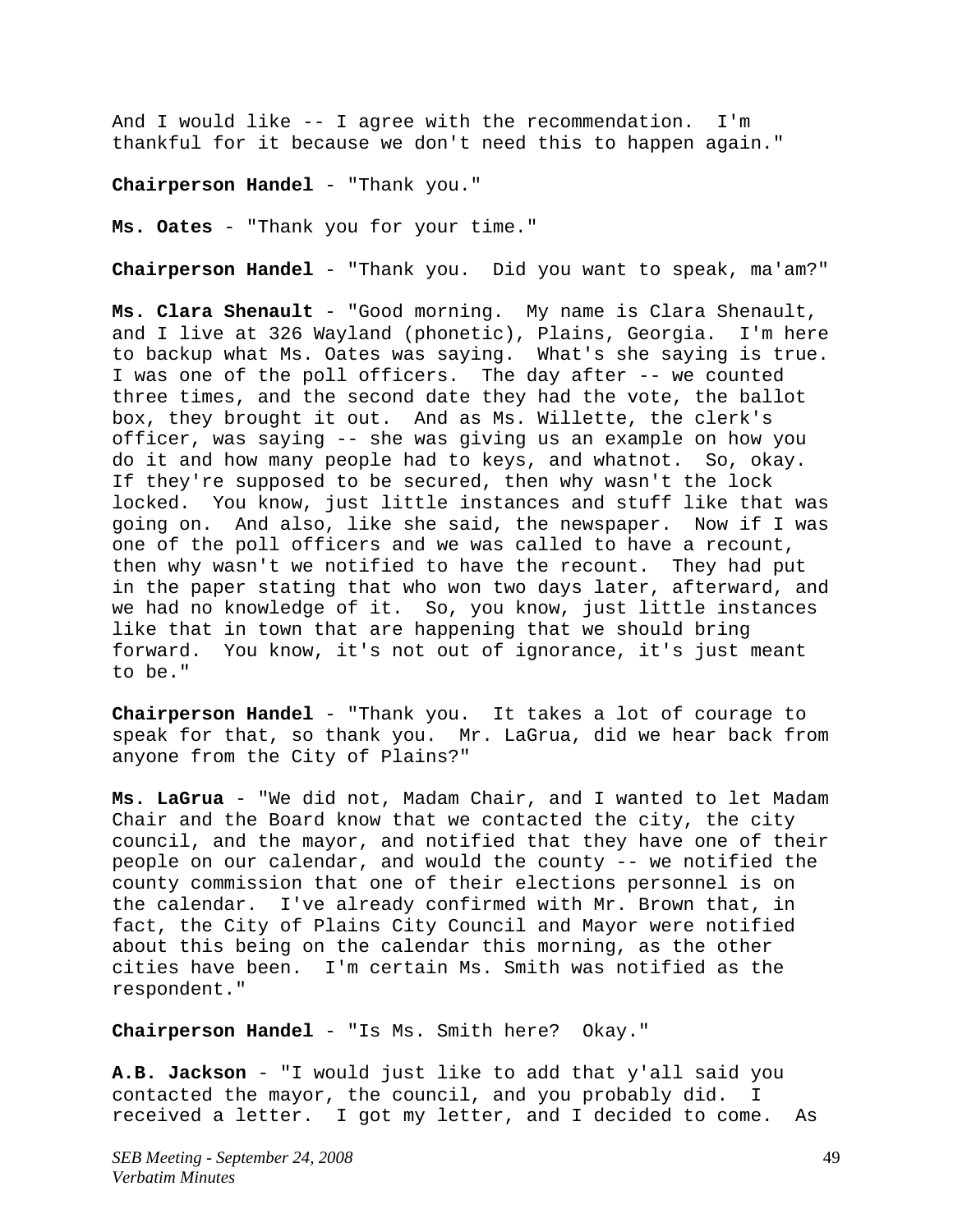And I would like -- I agree with the recommendation. I'm thankful for it because we don't need this to happen again."

**Chairperson Handel** - "Thank you."

**Ms. Oates** - "Thank you for your time."

**Chairperson Handel** - "Thank you. Did you want to speak, ma'am?"

**Ms. Clara Shenault** - "Good morning. My name is Clara Shenault, and I live at 326 Wayland (phonetic), Plains, Georgia. I'm here to backup what Ms. Oates was saying. What's she saying is true. I was one of the poll officers. The day after -- we counted three times, and the second date they had the vote, the ballot box, they brought it out. And as Ms. Willette, the clerk's officer, was saying -- she was giving us an example on how you do it and how many people had to keys, and whatnot. So, okay. If they're supposed to be secured, then why wasn't the lock locked. You know, just little instances and stuff like that was going on. And also, like she said, the newspaper. Now if I was one of the poll officers and we was called to have a recount, then why wasn't we notified to have the recount. They had put in the paper stating that who won two days later, afterward, and we had no knowledge of it. So, you know, just little instances like that in town that are happening that we should bring forward. You know, it's not out of ignorance, it's just meant to be."

**Chairperson Handel** - "Thank you. It takes a lot of courage to speak for that, so thank you. Mr. LaGrua, did we hear back from anyone from the City of Plains?"

**Ms. LaGrua** - "We did not, Madam Chair, and I wanted to let Madam Chair and the Board know that we contacted the city, the city council, and the mayor, and notified that they have one of their people on our calendar, and would the county -- we notified the county commission that one of their elections personnel is on the calendar. I've already confirmed with Mr. Brown that, in fact, the City of Plains City Council and Mayor were notified about this being on the calendar this morning, as the other cities have been. I'm certain Ms. Smith was notified as the respondent."

**Chairperson Handel** - "Is Ms. Smith here? Okay."

**A.B. Jackson** - "I would just like to add that y'all said you contacted the mayor, the council, and you probably did. I received a letter. I got my letter, and I decided to come. As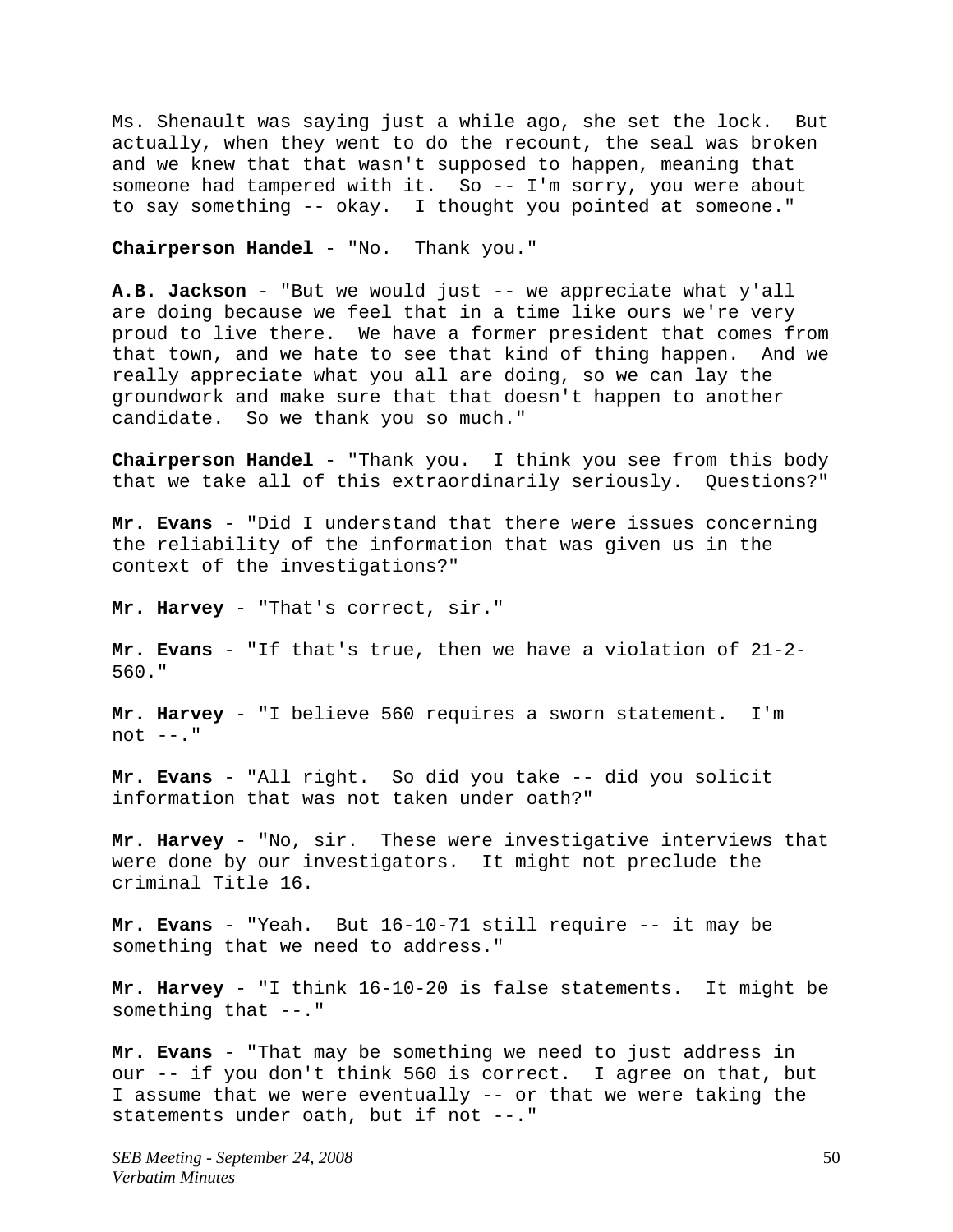Ms. Shenault was saying just a while ago, she set the lock. But actually, when they went to do the recount, the seal was broken and we knew that that wasn't supposed to happen, meaning that someone had tampered with it. So -- I'm sorry, you were about to say something -- okay. I thought you pointed at someone."

## **Chairperson Handel** - "No. Thank you."

**A.B. Jackson** - "But we would just -- we appreciate what y'all are doing because we feel that in a time like ours we're very proud to live there. We have a former president that comes from that town, and we hate to see that kind of thing happen. And we really appreciate what you all are doing, so we can lay the groundwork and make sure that that doesn't happen to another candidate. So we thank you so much."

**Chairperson Handel** - "Thank you. I think you see from this body that we take all of this extraordinarily seriously. Questions?"

**Mr. Evans** - "Did I understand that there were issues concerning the reliability of the information that was given us in the context of the investigations?"

**Mr. Harvey** - "That's correct, sir."

**Mr. Evans** - "If that's true, then we have a violation of 21-2- 560."

**Mr. Harvey** - "I believe 560 requires a sworn statement. I'm not  $--$ ."

**Mr. Evans** - "All right. So did you take -- did you solicit information that was not taken under oath?"

**Mr. Harvey** - "No, sir. These were investigative interviews that were done by our investigators. It might not preclude the criminal Title 16.

**Mr. Evans** - "Yeah. But 16-10-71 still require -- it may be something that we need to address."

**Mr. Harvey** - "I think 16-10-20 is false statements. It might be something that --."

**Mr. Evans** - "That may be something we need to just address in our -- if you don't think 560 is correct. I agree on that, but I assume that we were eventually -- or that we were taking the statements under oath, but if not --."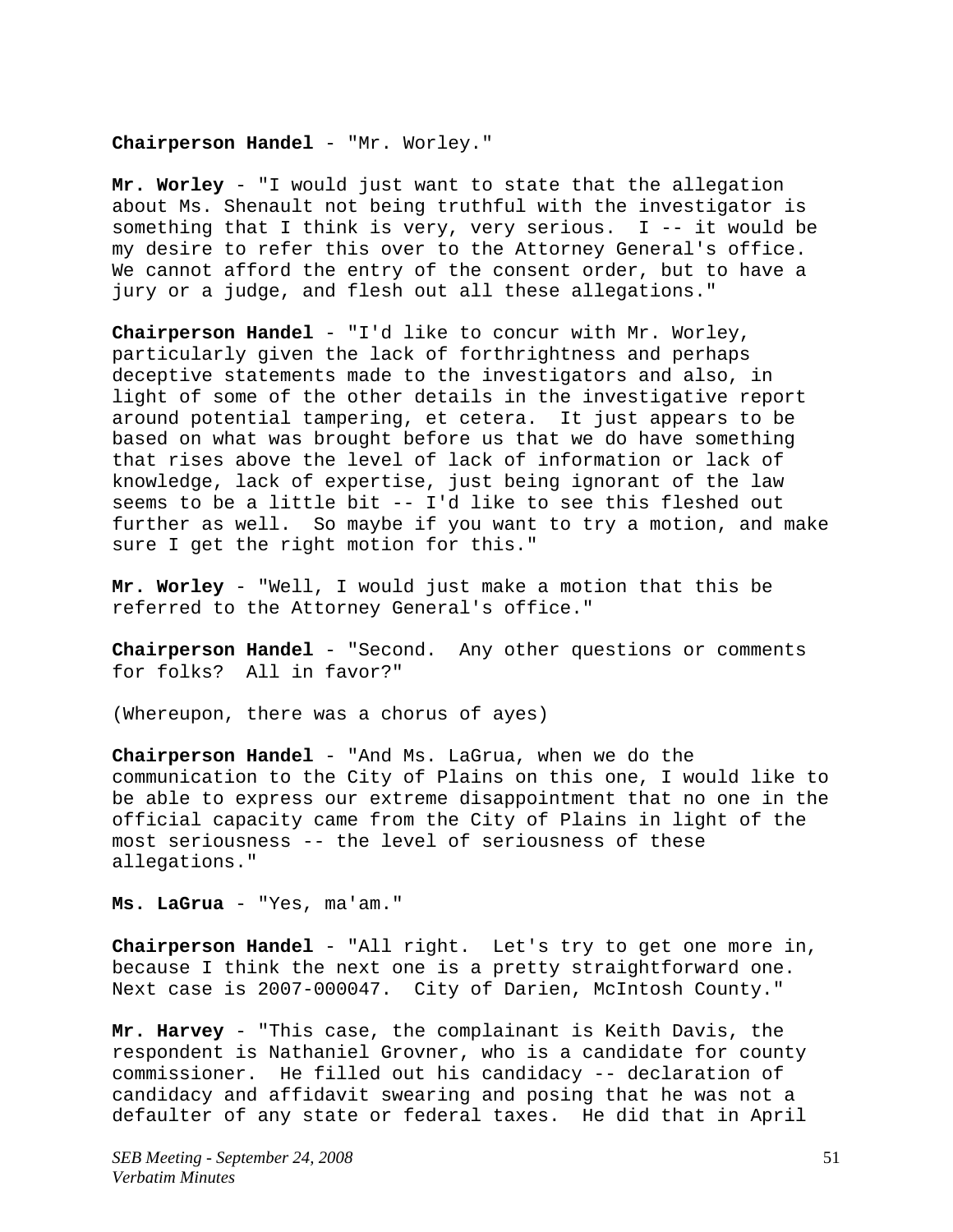## **Chairperson Handel** - "Mr. Worley."

**Mr. Worley** - "I would just want to state that the allegation about Ms. Shenault not being truthful with the investigator is something that I think is very, very serious. I -- it would be my desire to refer this over to the Attorney General's office. We cannot afford the entry of the consent order, but to have a jury or a judge, and flesh out all these allegations."

**Chairperson Handel** - "I'd like to concur with Mr. Worley, particularly given the lack of forthrightness and perhaps deceptive statements made to the investigators and also, in light of some of the other details in the investigative report around potential tampering, et cetera. It just appears to be based on what was brought before us that we do have something that rises above the level of lack of information or lack of knowledge, lack of expertise, just being ignorant of the law seems to be a little bit -- I'd like to see this fleshed out further as well. So maybe if you want to try a motion, and make sure I get the right motion for this."

**Mr. Worley** - "Well, I would just make a motion that this be referred to the Attorney General's office."

**Chairperson Handel** - "Second. Any other questions or comments for folks? All in favor?"

(Whereupon, there was a chorus of ayes)

**Chairperson Handel** - "And Ms. LaGrua, when we do the communication to the City of Plains on this one, I would like to be able to express our extreme disappointment that no one in the official capacity came from the City of Plains in light of the most seriousness -- the level of seriousness of these allegations."

**Ms. LaGrua** - "Yes, ma'am."

**Chairperson Handel** - "All right. Let's try to get one more in, because I think the next one is a pretty straightforward one. Next case is 2007-000047. City of Darien, McIntosh County."

**Mr. Harvey** - "This case, the complainant is Keith Davis, the respondent is Nathaniel Grovner, who is a candidate for county commissioner. He filled out his candidacy -- declaration of candidacy and affidavit swearing and posing that he was not a defaulter of any state or federal taxes. He did that in April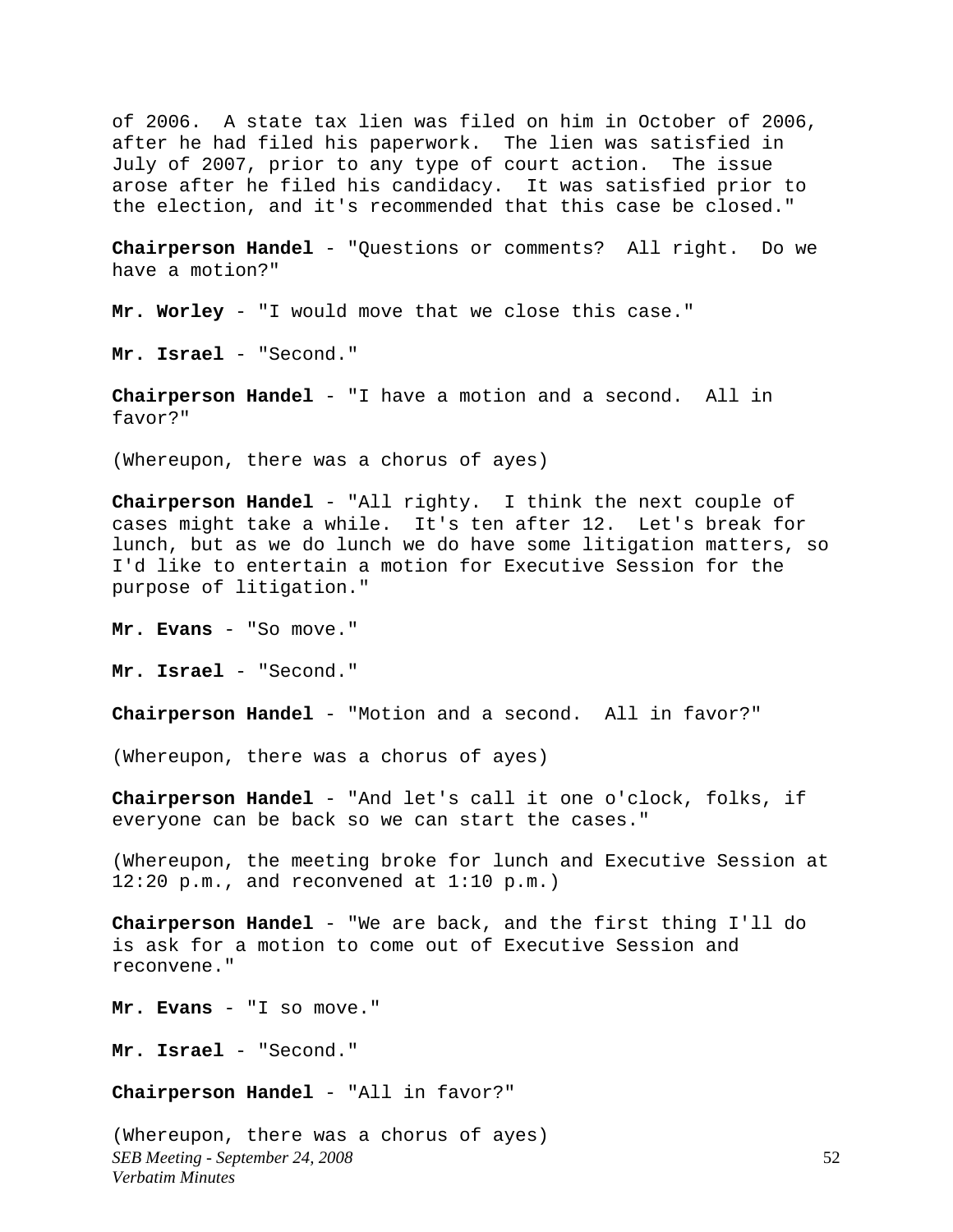of 2006. A state tax lien was filed on him in October of 2006, after he had filed his paperwork. The lien was satisfied in July of 2007, prior to any type of court action. The issue arose after he filed his candidacy. It was satisfied prior to the election, and it's recommended that this case be closed."

**Chairperson Handel** - "Questions or comments? All right. Do we have a motion?"

**Mr. Worley** - "I would move that we close this case."

**Mr. Israel** - "Second."

**Chairperson Handel** - "I have a motion and a second. All in favor?"

(Whereupon, there was a chorus of ayes)

**Chairperson Handel** - "All righty. I think the next couple of cases might take a while. It's ten after 12. Let's break for lunch, but as we do lunch we do have some litigation matters, so I'd like to entertain a motion for Executive Session for the purpose of litigation."

Mr. Evans - "So move."

**Mr. Israel** - "Second."

**Chairperson Handel** - "Motion and a second. All in favor?"

(Whereupon, there was a chorus of ayes)

**Chairperson Handel** - "And let's call it one o'clock, folks, if everyone can be back so we can start the cases."

(Whereupon, the meeting broke for lunch and Executive Session at 12:20 p.m., and reconvened at 1:10 p.m.)

**Chairperson Handel** - "We are back, and the first thing I'll do is ask for a motion to come out of Executive Session and reconvene."

Mr. Evans - "I so move."

**Mr. Israel** - "Second."

**Chairperson Handel** - "All in favor?"

*SEB Meeting - September 24, 2008 Verbatim Minutes*  (Whereupon, there was a chorus of ayes)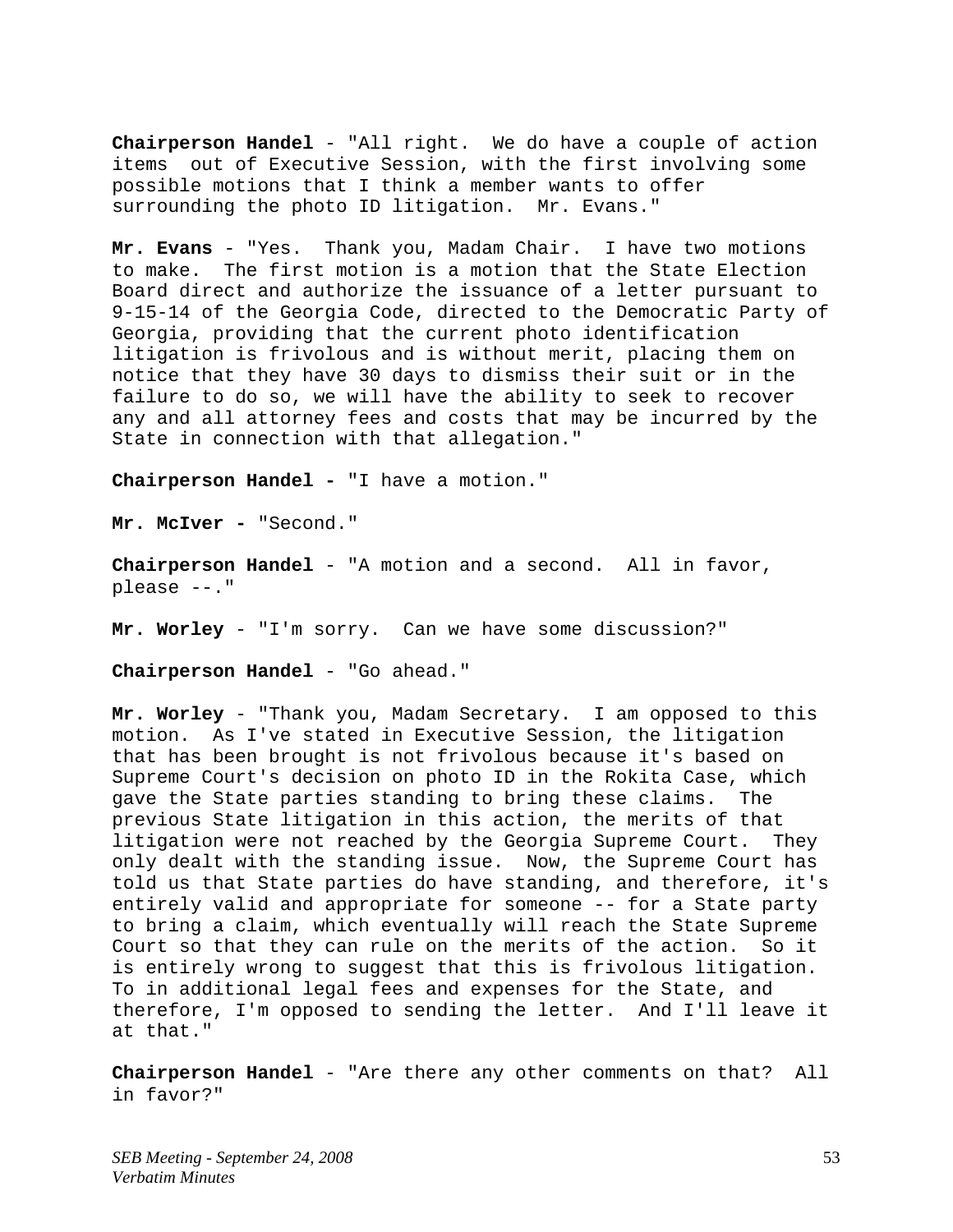**Chairperson Handel** - "All right. We do have a couple of action items out of Executive Session, with the first involving some possible motions that I think a member wants to offer surrounding the photo ID litigation. Mr. Evans."

**Mr. Evans** - "Yes. Thank you, Madam Chair. I have two motions to make. The first motion is a motion that the State Election Board direct and authorize the issuance of a letter pursuant to 9-15-14 of the Georgia Code, directed to the Democratic Party of Georgia, providing that the current photo identification litigation is frivolous and is without merit, placing them on notice that they have 30 days to dismiss their suit or in the failure to do so, we will have the ability to seek to recover any and all attorney fees and costs that may be incurred by the State in connection with that allegation."

**Chairperson Handel -** "I have a motion."

**Mr. McIver -** "Second."

**Chairperson Handel** - "A motion and a second. All in favor, please --."

**Mr. Worley** - "I'm sorry. Can we have some discussion?"

**Chairperson Handel** - "Go ahead."

**Mr. Worley** - "Thank you, Madam Secretary. I am opposed to this motion. As I've stated in Executive Session, the litigation that has been brought is not frivolous because it's based on Supreme Court's decision on photo ID in the Rokita Case, which gave the State parties standing to bring these claims. The previous State litigation in this action, the merits of that litigation were not reached by the Georgia Supreme Court. They only dealt with the standing issue. Now, the Supreme Court has told us that State parties do have standing, and therefore, it's entirely valid and appropriate for someone -- for a State party to bring a claim, which eventually will reach the State Supreme Court so that they can rule on the merits of the action. So it is entirely wrong to suggest that this is frivolous litigation. To in additional legal fees and expenses for the State, and therefore, I'm opposed to sending the letter. And I'll leave it at that."

**Chairperson Handel** - "Are there any other comments on that? All in favor?"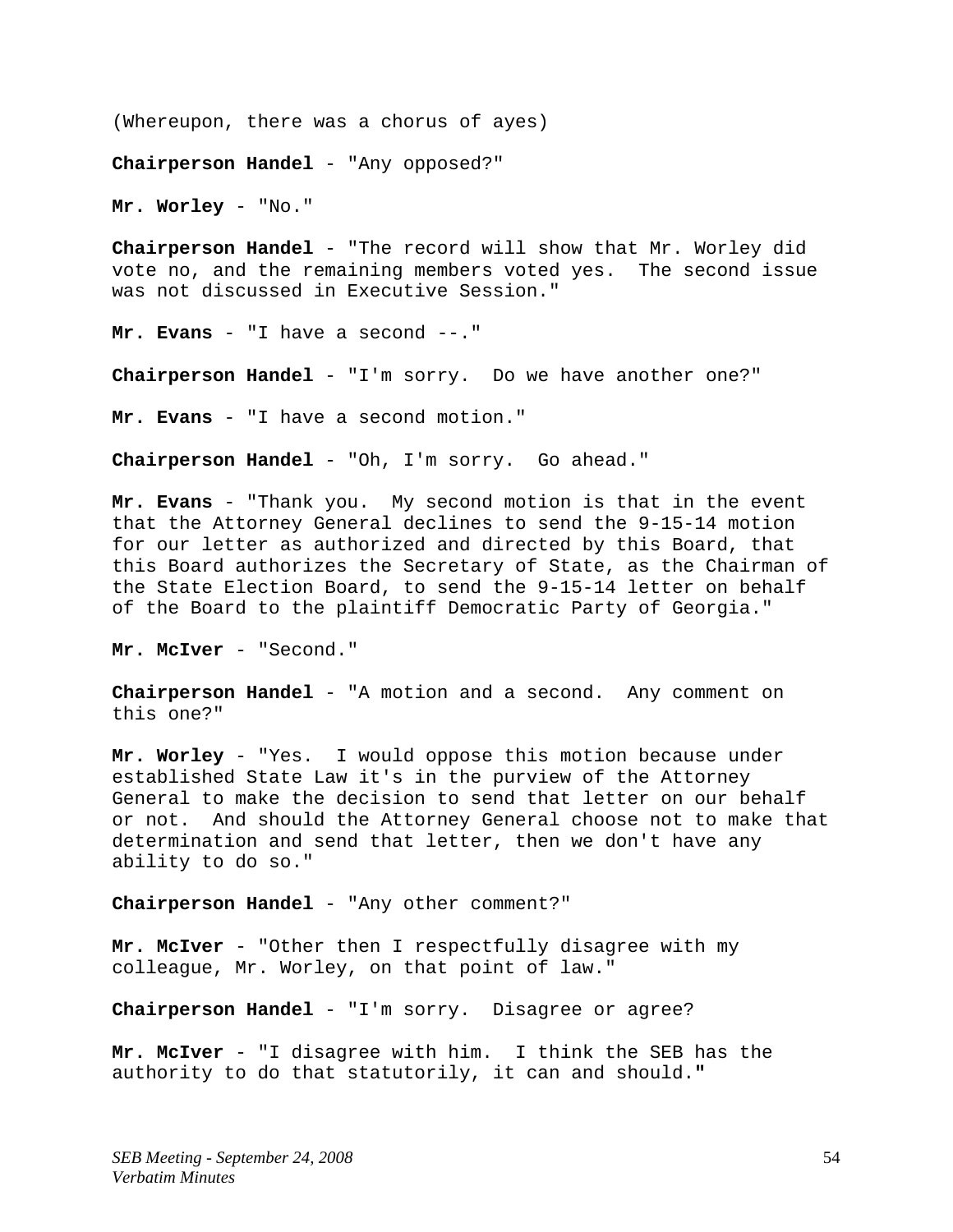(Whereupon, there was a chorus of ayes)

**Chairperson Handel** - "Any opposed?"

**Mr. Worley** - "No."

**Chairperson Handel** - "The record will show that Mr. Worley did vote no, and the remaining members voted yes. The second issue was not discussed in Executive Session."

**Mr. Evans** - "I have a second --."

**Chairperson Handel** - "I'm sorry. Do we have another one?"

**Mr. Evans** - "I have a second motion."

**Chairperson Handel** - "Oh, I'm sorry. Go ahead."

**Mr. Evans** - "Thank you. My second motion is that in the event that the Attorney General declines to send the 9-15-14 motion for our letter as authorized and directed by this Board, that this Board authorizes the Secretary of State, as the Chairman of the State Election Board, to send the 9-15-14 letter on behalf of the Board to the plaintiff Democratic Party of Georgia."

**Mr. McIver** - "Second."

**Chairperson Handel** - "A motion and a second. Any comment on this one?"

**Mr. Worley** - "Yes. I would oppose this motion because under established State Law it's in the purview of the Attorney General to make the decision to send that letter on our behalf or not. And should the Attorney General choose not to make that determination and send that letter, then we don't have any ability to do so."

**Chairperson Handel** - "Any other comment?"

**Mr. McIver** - "Other then I respectfully disagree with my colleague, Mr. Worley, on that point of law."

**Chairperson Handel** - "I'm sorry. Disagree or agree?

**Mr. McIver** - "I disagree with him. I think the SEB has the authority to do that statutorily, it can and should.**"**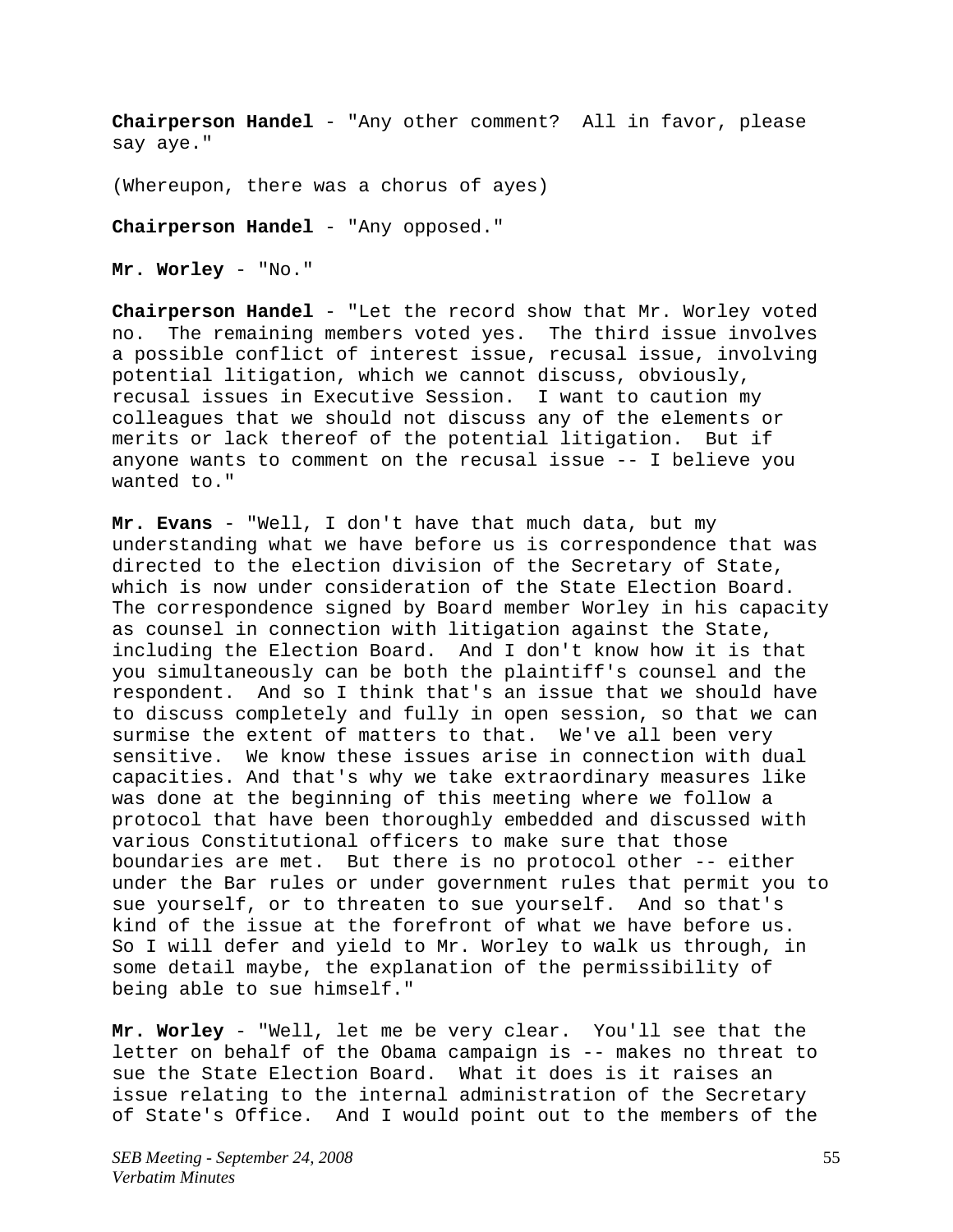**Chairperson Handel** - "Any other comment? All in favor, please say aye."

(Whereupon, there was a chorus of ayes)

**Chairperson Handel** - "Any opposed."

**Mr. Worley** - "No."

**Chairperson Handel** - "Let the record show that Mr. Worley voted no. The remaining members voted yes. The third issue involves a possible conflict of interest issue, recusal issue, involving potential litigation, which we cannot discuss, obviously, recusal issues in Executive Session. I want to caution my colleagues that we should not discuss any of the elements or merits or lack thereof of the potential litigation. But if anyone wants to comment on the recusal issue -- I believe you wanted to."

**Mr. Evans** - "Well, I don't have that much data, but my understanding what we have before us is correspondence that was directed to the election division of the Secretary of State, which is now under consideration of the State Election Board. The correspondence signed by Board member Worley in his capacity as counsel in connection with litigation against the State, including the Election Board. And I don't know how it is that you simultaneously can be both the plaintiff's counsel and the respondent. And so I think that's an issue that we should have to discuss completely and fully in open session, so that we can surmise the extent of matters to that. We've all been very sensitive. We know these issues arise in connection with dual capacities. And that's why we take extraordinary measures like was done at the beginning of this meeting where we follow a protocol that have been thoroughly embedded and discussed with various Constitutional officers to make sure that those boundaries are met. But there is no protocol other -- either under the Bar rules or under government rules that permit you to sue yourself, or to threaten to sue yourself. And so that's kind of the issue at the forefront of what we have before us. So I will defer and yield to Mr. Worley to walk us through, in some detail maybe, the explanation of the permissibility of being able to sue himself."

**Mr. Worley** - "Well, let me be very clear. You'll see that the letter on behalf of the Obama campaign is -- makes no threat to sue the State Election Board. What it does is it raises an issue relating to the internal administration of the Secretary of State's Office. And I would point out to the members of the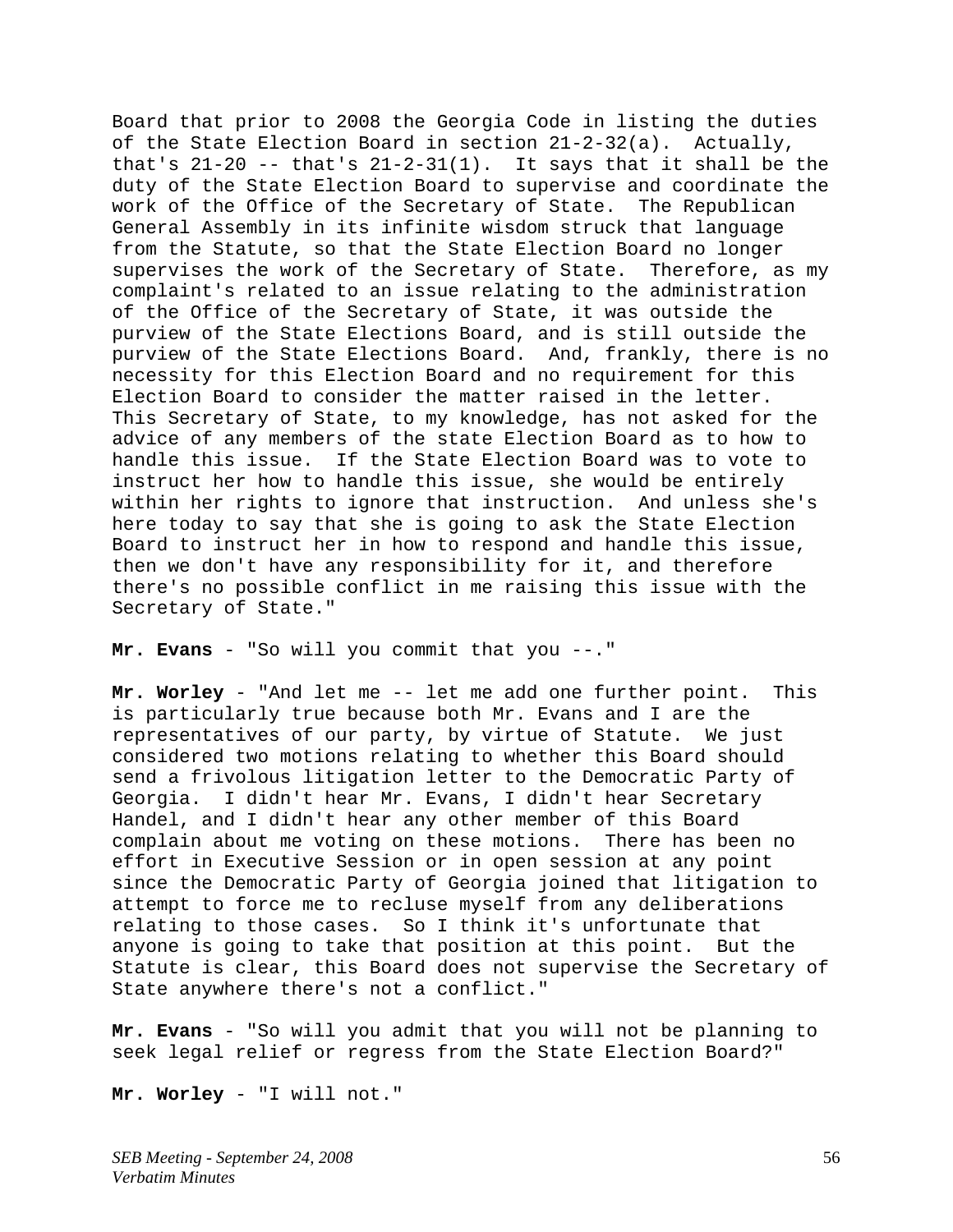Board that prior to 2008 the Georgia Code in listing the duties of the State Election Board in section 21-2-32(a). Actually, that's  $21-20$  -- that's  $21-2-31(1)$ . It says that it shall be the duty of the State Election Board to supervise and coordinate the work of the Office of the Secretary of State. The Republican General Assembly in its infinite wisdom struck that language from the Statute, so that the State Election Board no longer supervises the work of the Secretary of State. Therefore, as my complaint's related to an issue relating to the administration of the Office of the Secretary of State, it was outside the purview of the State Elections Board, and is still outside the purview of the State Elections Board. And, frankly, there is no necessity for this Election Board and no requirement for this Election Board to consider the matter raised in the letter. This Secretary of State, to my knowledge, has not asked for the advice of any members of the state Election Board as to how to handle this issue. If the State Election Board was to vote to instruct her how to handle this issue, she would be entirely within her rights to ignore that instruction. And unless she's here today to say that she is going to ask the State Election Board to instruct her in how to respond and handle this issue, then we don't have any responsibility for it, and therefore there's no possible conflict in me raising this issue with the Secretary of State."

**Mr. Evans** - "So will you commit that you --."

**Mr. Worley** - "And let me -- let me add one further point. This is particularly true because both Mr. Evans and I are the representatives of our party, by virtue of Statute. We just considered two motions relating to whether this Board should send a frivolous litigation letter to the Democratic Party of Georgia. I didn't hear Mr. Evans, I didn't hear Secretary Handel, and I didn't hear any other member of this Board complain about me voting on these motions. There has been no effort in Executive Session or in open session at any point since the Democratic Party of Georgia joined that litigation to attempt to force me to recluse myself from any deliberations relating to those cases. So I think it's unfortunate that anyone is going to take that position at this point. But the Statute is clear, this Board does not supervise the Secretary of State anywhere there's not a conflict."

**Mr. Evans** - "So will you admit that you will not be planning to seek legal relief or regress from the State Election Board?"

**Mr. Worley** - "I will not."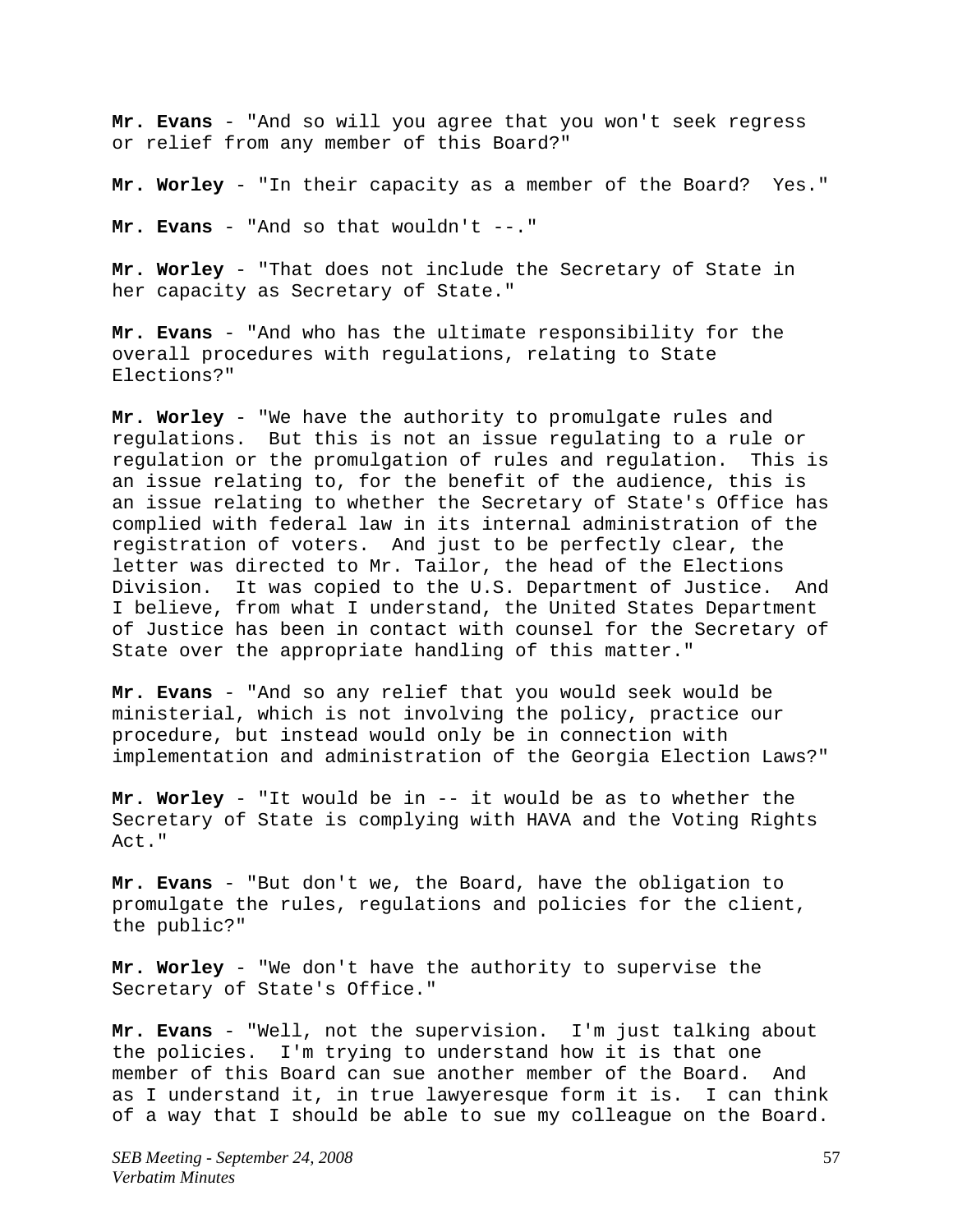**Mr. Evans** - "And so will you agree that you won't seek regress or relief from any member of this Board?"

**Mr. Worley** - "In their capacity as a member of the Board? Yes."

**Mr. Evans** - "And so that wouldn't --."

**Mr. Worley** - "That does not include the Secretary of State in her capacity as Secretary of State."

**Mr. Evans** - "And who has the ultimate responsibility for the overall procedures with regulations, relating to State Elections?"

**Mr. Worley** - "We have the authority to promulgate rules and regulations. But this is not an issue regulating to a rule or regulation or the promulgation of rules and regulation. This is an issue relating to, for the benefit of the audience, this is an issue relating to whether the Secretary of State's Office has complied with federal law in its internal administration of the registration of voters. And just to be perfectly clear, the letter was directed to Mr. Tailor, the head of the Elections Division. It was copied to the U.S. Department of Justice. And I believe, from what I understand, the United States Department of Justice has been in contact with counsel for the Secretary of State over the appropriate handling of this matter."

**Mr. Evans** - "And so any relief that you would seek would be ministerial, which is not involving the policy, practice our procedure, but instead would only be in connection with implementation and administration of the Georgia Election Laws?"

**Mr. Worley** - "It would be in -- it would be as to whether the Secretary of State is complying with HAVA and the Voting Rights Act."

**Mr. Evans** - "But don't we, the Board, have the obligation to promulgate the rules, regulations and policies for the client, the public?"

**Mr. Worley** - "We don't have the authority to supervise the Secretary of State's Office."

**Mr. Evans** - "Well, not the supervision. I'm just talking about the policies. I'm trying to understand how it is that one member of this Board can sue another member of the Board. And as I understand it, in true lawyeresque form it is. I can think of a way that I should be able to sue my colleague on the Board.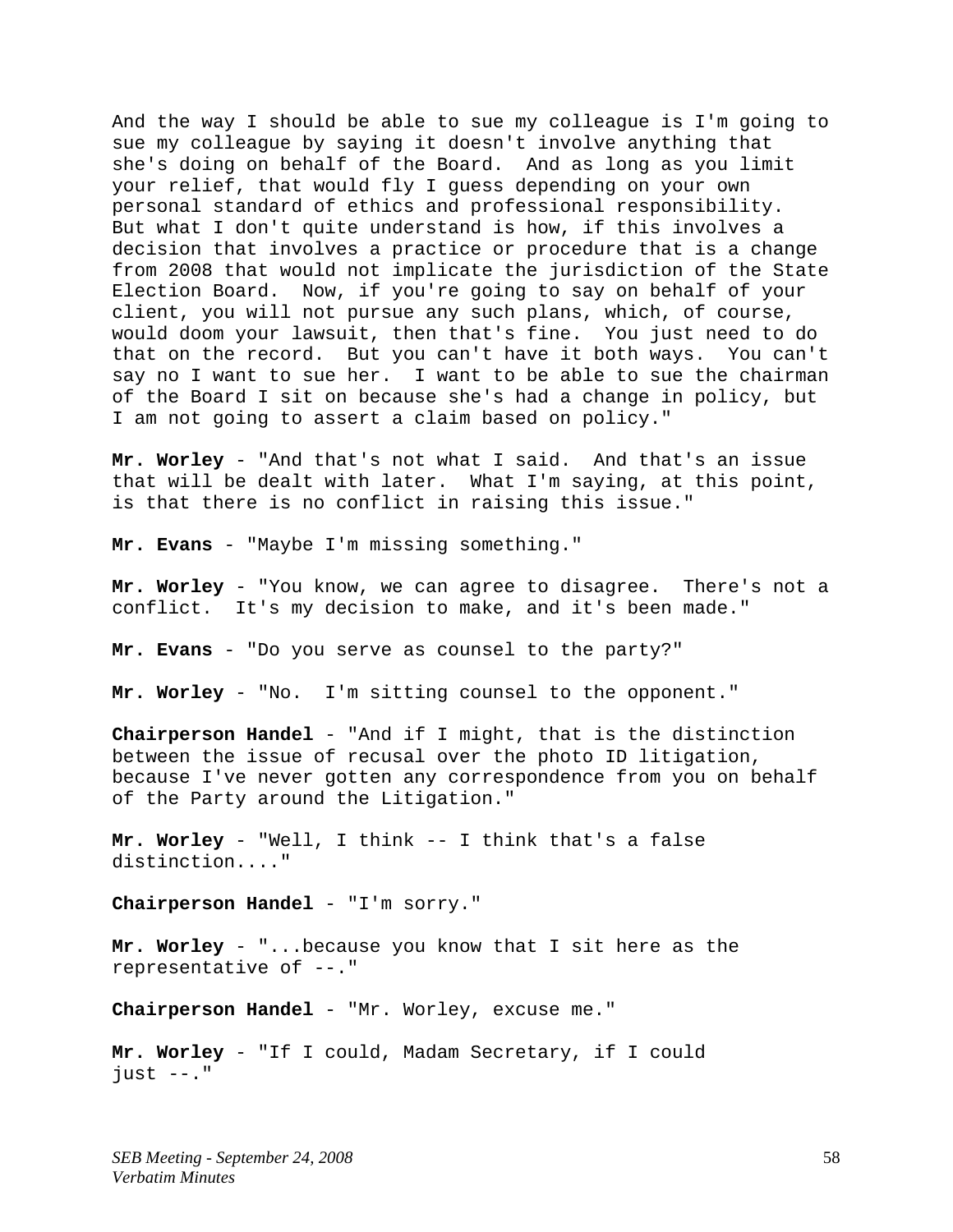And the way I should be able to sue my colleague is I'm going to sue my colleague by saying it doesn't involve anything that she's doing on behalf of the Board. And as long as you limit your relief, that would fly I guess depending on your own personal standard of ethics and professional responsibility. But what I don't quite understand is how, if this involves a decision that involves a practice or procedure that is a change from 2008 that would not implicate the jurisdiction of the State Election Board. Now, if you're going to say on behalf of your client, you will not pursue any such plans, which, of course, would doom your lawsuit, then that's fine. You just need to do that on the record. But you can't have it both ways. You can't say no I want to sue her. I want to be able to sue the chairman of the Board I sit on because she's had a change in policy, but I am not going to assert a claim based on policy."

**Mr. Worley** - "And that's not what I said. And that's an issue that will be dealt with later. What I'm saying, at this point, is that there is no conflict in raising this issue."

**Mr. Evans** - "Maybe I'm missing something."

**Mr. Worley** - "You know, we can agree to disagree. There's not a conflict. It's my decision to make, and it's been made."

**Mr. Evans** - "Do you serve as counsel to the party?"

**Mr. Worley** - "No. I'm sitting counsel to the opponent."

**Chairperson Handel** - "And if I might, that is the distinction between the issue of recusal over the photo ID litigation, because I've never gotten any correspondence from you on behalf of the Party around the Litigation."

**Mr. Worley** - "Well, I think -- I think that's a false distinction...."

**Chairperson Handel** - "I'm sorry."

**Mr. Worley** - "...because you know that I sit here as the representative of --."

**Chairperson Handel** - "Mr. Worley, excuse me."

**Mr. Worley** - "If I could, Madam Secretary, if I could  $just --."$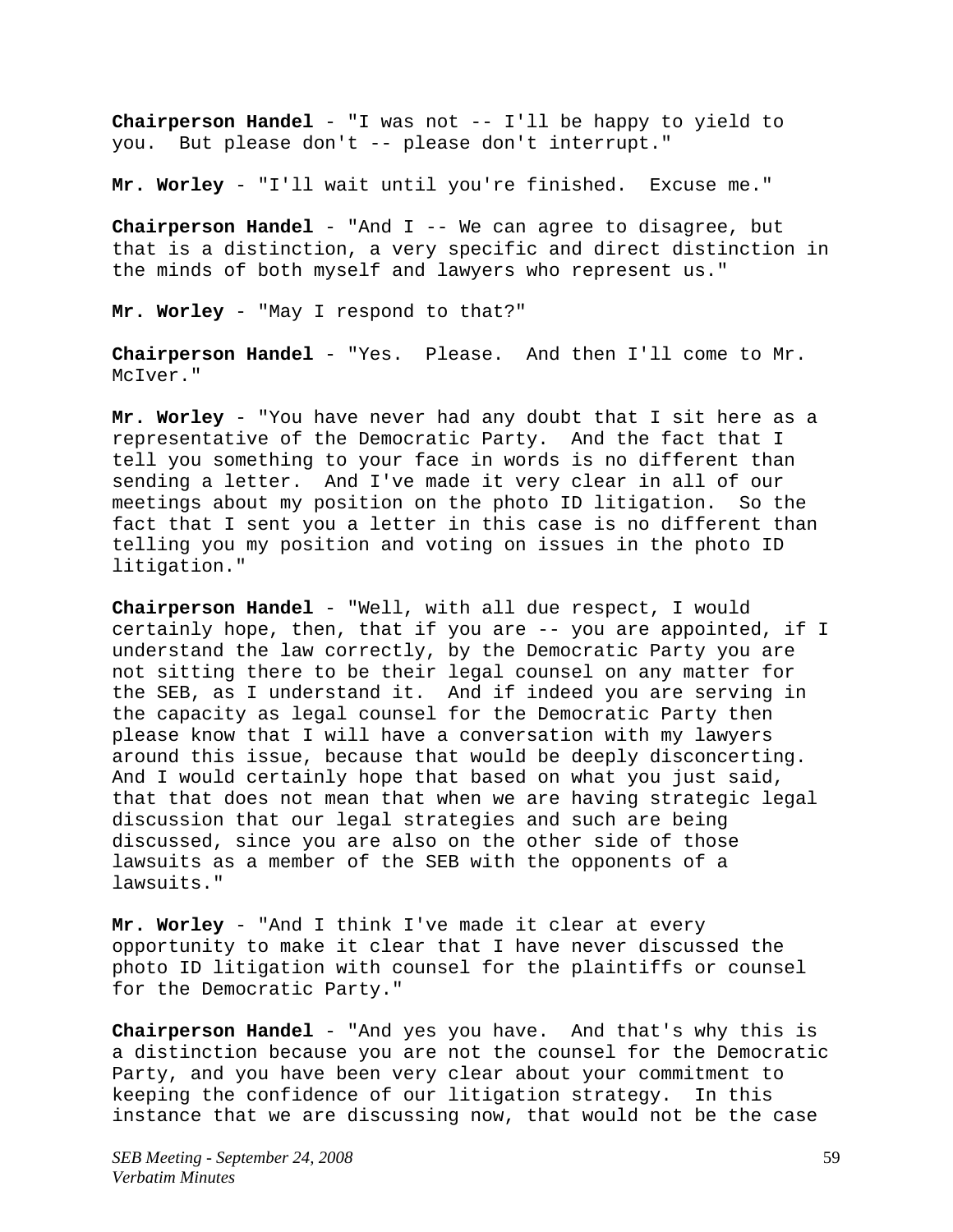**Chairperson Handel** - "I was not -- I'll be happy to yield to you. But please don't -- please don't interrupt."

**Mr. Worley** - "I'll wait until you're finished. Excuse me."

**Chairperson Handel** - "And I -- We can agree to disagree, but that is a distinction, a very specific and direct distinction in the minds of both myself and lawyers who represent us."

**Mr. Worley** - "May I respond to that?"

**Chairperson Handel** - "Yes. Please. And then I'll come to Mr. McIver."

**Mr. Worley** - "You have never had any doubt that I sit here as a representative of the Democratic Party. And the fact that I tell you something to your face in words is no different than sending a letter. And I've made it very clear in all of our meetings about my position on the photo ID litigation. So the fact that I sent you a letter in this case is no different than telling you my position and voting on issues in the photo ID litigation."

**Chairperson Handel** - "Well, with all due respect, I would certainly hope, then, that if you are -- you are appointed, if I understand the law correctly, by the Democratic Party you are not sitting there to be their legal counsel on any matter for the SEB, as I understand it. And if indeed you are serving in the capacity as legal counsel for the Democratic Party then please know that I will have a conversation with my lawyers around this issue, because that would be deeply disconcerting. And I would certainly hope that based on what you just said, that that does not mean that when we are having strategic legal discussion that our legal strategies and such are being discussed, since you are also on the other side of those lawsuits as a member of the SEB with the opponents of a lawsuits."

**Mr. Worley** - "And I think I've made it clear at every opportunity to make it clear that I have never discussed the photo ID litigation with counsel for the plaintiffs or counsel for the Democratic Party."

**Chairperson Handel** - "And yes you have. And that's why this is a distinction because you are not the counsel for the Democratic Party, and you have been very clear about your commitment to keeping the confidence of our litigation strategy. In this instance that we are discussing now, that would not be the case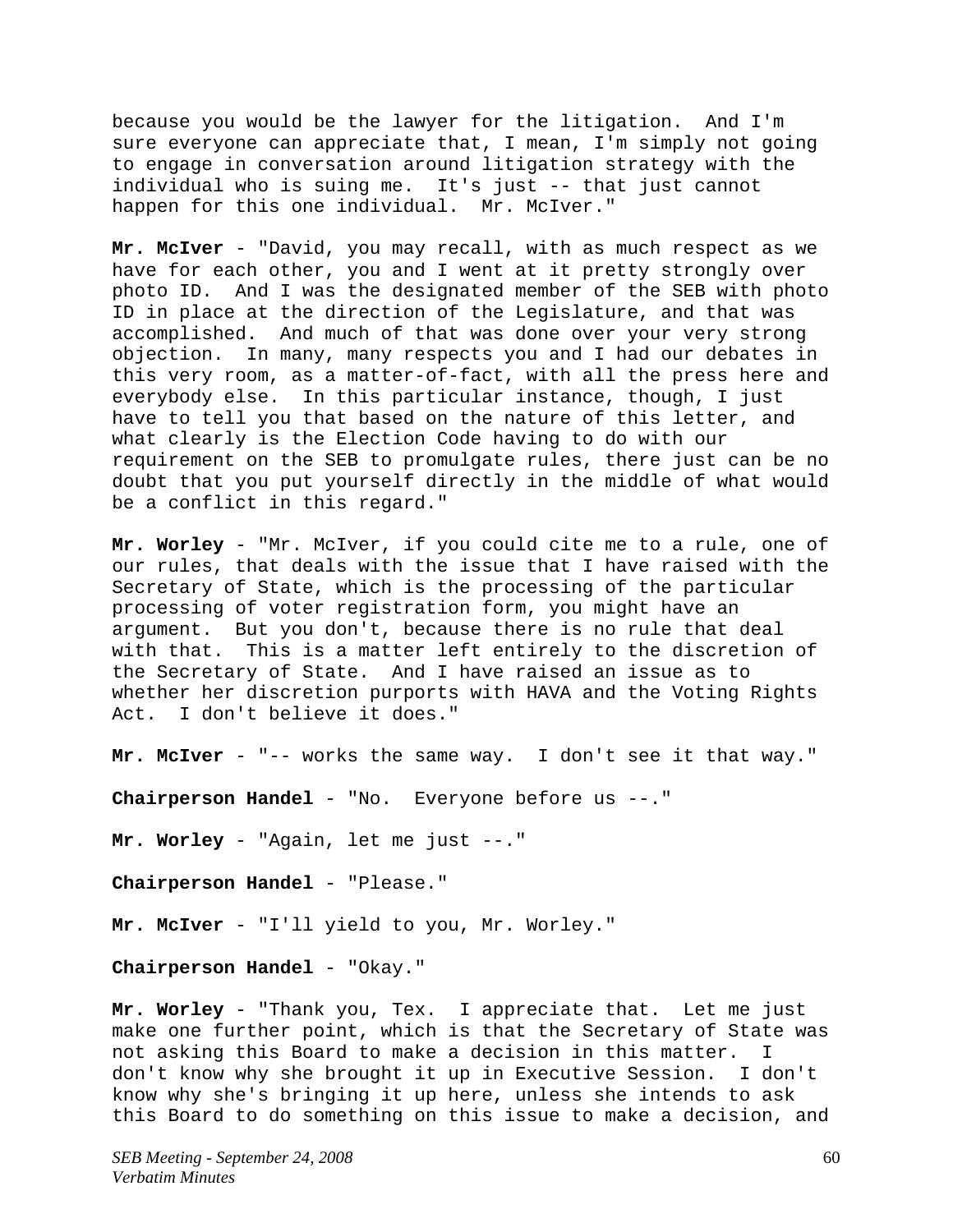because you would be the lawyer for the litigation. And I'm sure everyone can appreciate that, I mean, I'm simply not going to engage in conversation around litigation strategy with the individual who is suing me. It's just -- that just cannot happen for this one individual. Mr. McIver."

**Mr. McIver** - "David, you may recall, with as much respect as we have for each other, you and I went at it pretty strongly over photo ID. And I was the designated member of the SEB with photo ID in place at the direction of the Legislature, and that was accomplished. And much of that was done over your very strong objection. In many, many respects you and I had our debates in this very room, as a matter-of-fact, with all the press here and everybody else. In this particular instance, though, I just have to tell you that based on the nature of this letter, and what clearly is the Election Code having to do with our requirement on the SEB to promulgate rules, there just can be no doubt that you put yourself directly in the middle of what would be a conflict in this regard."

**Mr. Worley** - "Mr. McIver, if you could cite me to a rule, one of our rules, that deals with the issue that I have raised with the Secretary of State, which is the processing of the particular processing of voter registration form, you might have an argument. But you don't, because there is no rule that deal with that. This is a matter left entirely to the discretion of the Secretary of State. And I have raised an issue as to whether her discretion purports with HAVA and the Voting Rights Act. I don't believe it does."

**Mr. McIver** - "-- works the same way. I don't see it that way."

**Chairperson Handel** - "No. Everyone before us --."

**Mr. Worley** - "Again, let me just --."

**Chairperson Handel** - "Please."

**Mr. McIver** - "I'll yield to you, Mr. Worley."

**Chairperson Handel** - "Okay."

**Mr. Worley** - "Thank you, Tex. I appreciate that. Let me just make one further point, which is that the Secretary of State was not asking this Board to make a decision in this matter. I don't know why she brought it up in Executive Session. I don't know why she's bringing it up here, unless she intends to ask this Board to do something on this issue to make a decision, and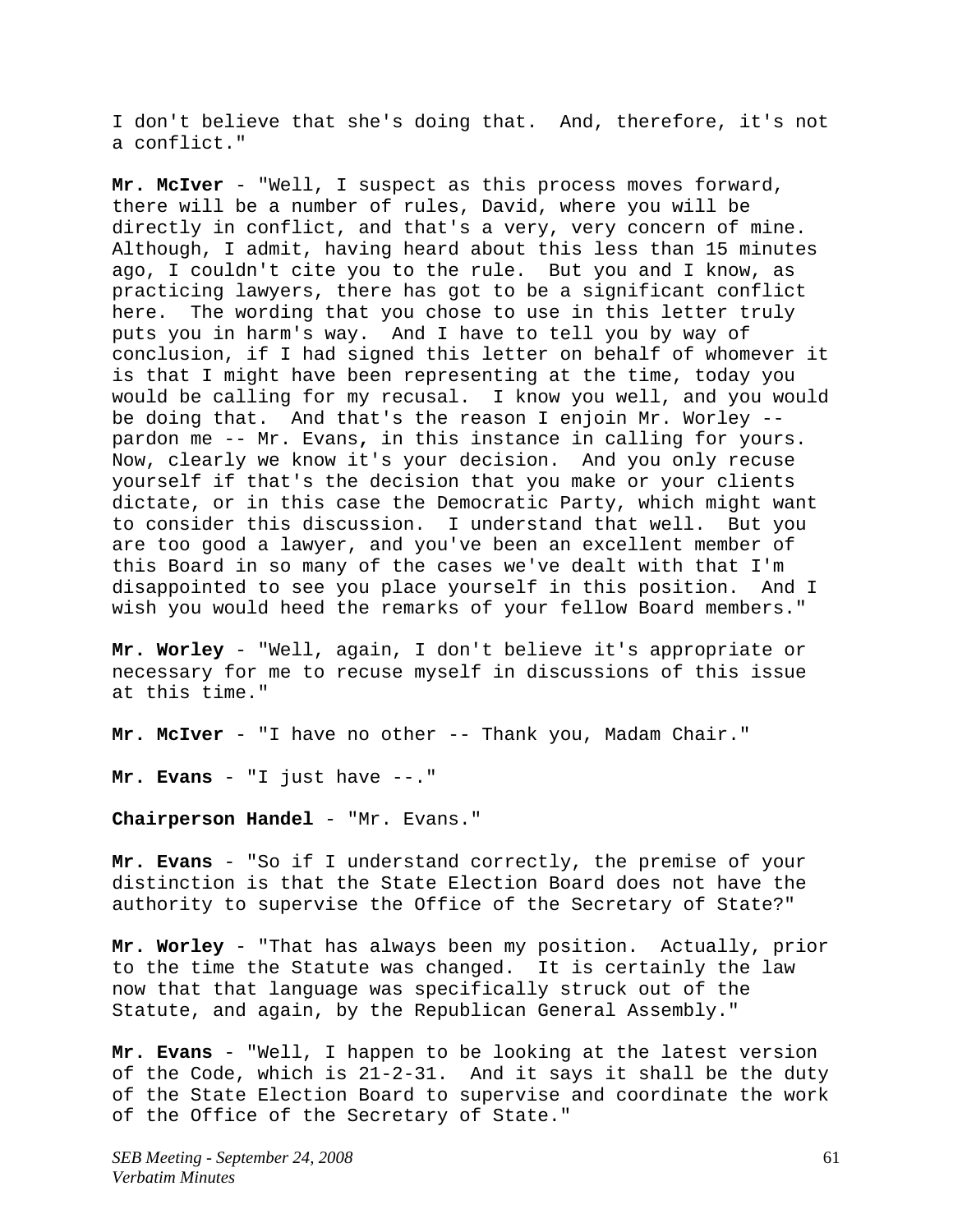I don't believe that she's doing that. And, therefore, it's not a conflict."

**Mr. McIver** - "Well, I suspect as this process moves forward, there will be a number of rules, David, where you will be directly in conflict, and that's a very, very concern of mine. Although, I admit, having heard about this less than 15 minutes ago, I couldn't cite you to the rule. But you and I know, as practicing lawyers, there has got to be a significant conflict here. The wording that you chose to use in this letter truly puts you in harm's way. And I have to tell you by way of conclusion, if I had signed this letter on behalf of whomever it is that I might have been representing at the time, today you would be calling for my recusal. I know you well, and you would be doing that. And that's the reason I enjoin Mr. Worley - pardon me -- Mr. Evans**,** in this instance in calling for yours. Now, clearly we know it's your decision. And you only recuse yourself if that's the decision that you make or your clients dictate, or in this case the Democratic Party, which might want to consider this discussion. I understand that well. But you are too good a lawyer, and you've been an excellent member of this Board in so many of the cases we've dealt with that I'm disappointed to see you place yourself in this position. And I wish you would heed the remarks of your fellow Board members."

**Mr. Worley** - "Well, again, I don't believe it's appropriate or necessary for me to recuse myself in discussions of this issue at this time."

**Mr. McIver** - "I have no other -- Thank you, Madam Chair."

**Mr. Evans** - "I just have --."

**Chairperson Handel** - "Mr. Evans."

**Mr. Evans** - "So if I understand correctly, the premise of your distinction is that the State Election Board does not have the authority to supervise the Office of the Secretary of State?"

**Mr. Worley** - "That has always been my position. Actually, prior to the time the Statute was changed. It is certainly the law now that that language was specifically struck out of the Statute, and again, by the Republican General Assembly."

**Mr. Evans** - "Well, I happen to be looking at the latest version of the Code, which is 21-2-31. And it says it shall be the duty of the State Election Board to supervise and coordinate the work of the Office of the Secretary of State."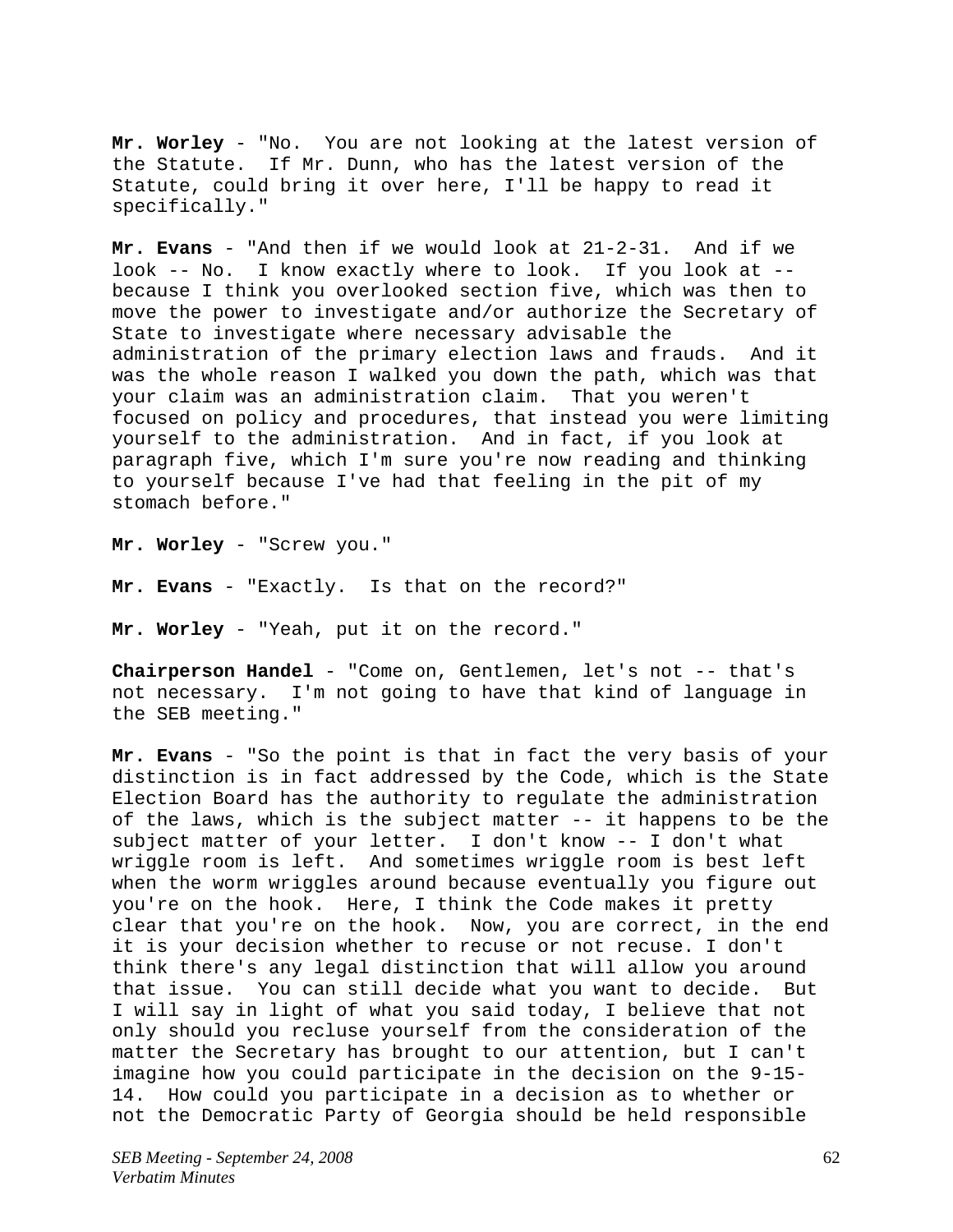**Mr. Worley** - "No. You are not looking at the latest version of the Statute. If Mr. Dunn, who has the latest version of the Statute, could bring it over here, I'll be happy to read it specifically."

**Mr. Evans** - "And then if we would look at 21-2-31. And if we look -- No. I know exactly where to look. If you look at - because I think you overlooked section five, which was then to move the power to investigate and/or authorize the Secretary of State to investigate where necessary advisable the administration of the primary election laws and frauds. And it was the whole reason I walked you down the path, which was that your claim was an administration claim. That you weren't focused on policy and procedures, that instead you were limiting yourself to the administration. And in fact, if you look at paragraph five, which I'm sure you're now reading and thinking to yourself because I've had that feeling in the pit of my stomach before."

**Mr. Worley** - "Screw you."

**Mr. Evans** - "Exactly. Is that on the record?"

**Mr. Worley** - "Yeah, put it on the record."

**Chairperson Handel** - "Come on, Gentlemen, let's not -- that's not necessary. I'm not going to have that kind of language in the SEB meeting."

**Mr. Evans** - "So the point is that in fact the very basis of your distinction is in fact addressed by the Code, which is the State Election Board has the authority to regulate the administration of the laws, which is the subject matter -- it happens to be the subject matter of your letter. I don't know -- I don't what wriggle room is left. And sometimes wriggle room is best left when the worm wriggles around because eventually you figure out you're on the hook. Here, I think the Code makes it pretty clear that you're on the hook. Now, you are correct, in the end it is your decision whether to recuse or not recuse. I don't think there's any legal distinction that will allow you around that issue. You can still decide what you want to decide. But I will say in light of what you said today, I believe that not only should you recluse yourself from the consideration of the matter the Secretary has brought to our attention, but I can't imagine how you could participate in the decision on the 9-15- 14. How could you participate in a decision as to whether or not the Democratic Party of Georgia should be held responsible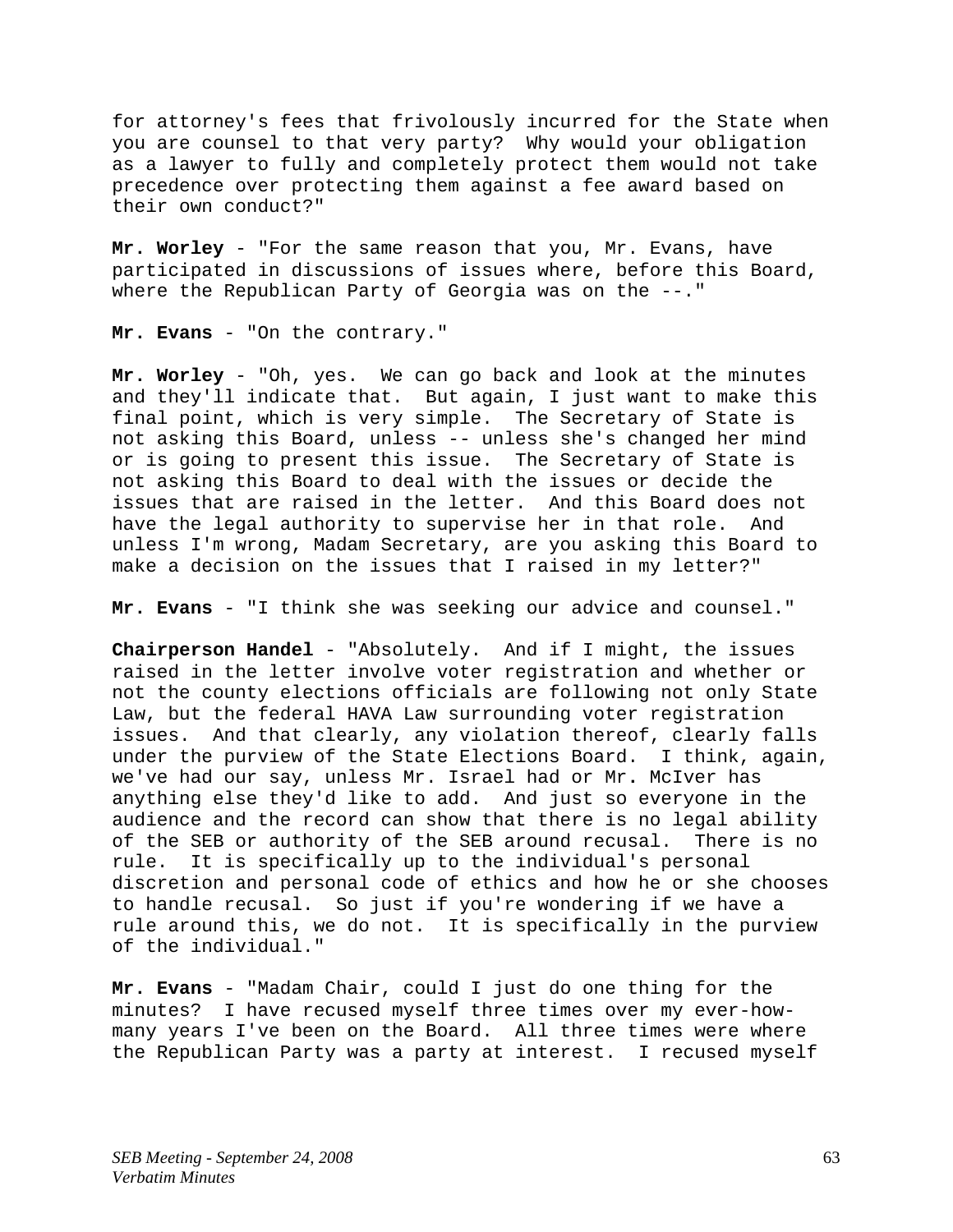for attorney's fees that frivolously incurred for the State when you are counsel to that very party? Why would your obligation as a lawyer to fully and completely protect them would not take precedence over protecting them against a fee award based on their own conduct?"

**Mr. Worley** - "For the same reason that you, Mr. Evans, have participated in discussions of issues where, before this Board, where the Republican Party of Georgia was on the --."

**Mr. Evans** - "On the contrary."

**Mr. Worley** - "Oh, yes. We can go back and look at the minutes and they'll indicate that. But again, I just want to make this final point, which is very simple. The Secretary of State is not asking this Board, unless -- unless she's changed her mind or is going to present this issue. The Secretary of State is not asking this Board to deal with the issues or decide the issues that are raised in the letter. And this Board does not have the legal authority to supervise her in that role. And unless I'm wrong, Madam Secretary, are you asking this Board to make a decision on the issues that I raised in my letter?"

**Mr. Evans** - "I think she was seeking our advice and counsel."

**Chairperson Handel** - "Absolutely. And if I might, the issues raised in the letter involve voter registration and whether or not the county elections officials are following not only State Law, but the federal HAVA Law surrounding voter registration issues. And that clearly, any violation thereof, clearly falls under the purview of the State Elections Board. I think, again, we've had our say, unless Mr. Israel had or Mr**.** McIver has anything else they'd like to add. And just so everyone in the audience and the record can show that there is no legal ability of the SEB or authority of the SEB around recusal. There is no rule. It is specifically up to the individual's personal discretion and personal code of ethics and how he or she chooses to handle recusal. So just if you're wondering if we have a rule around this, we do not. It is specifically in the purview of the individual."

**Mr. Evans** - "Madam Chair, could I just do one thing for the minutes? I have recused myself three times over my ever-howmany years I've been on the Board. All three times were where the Republican Party was a party at interest. I recused myself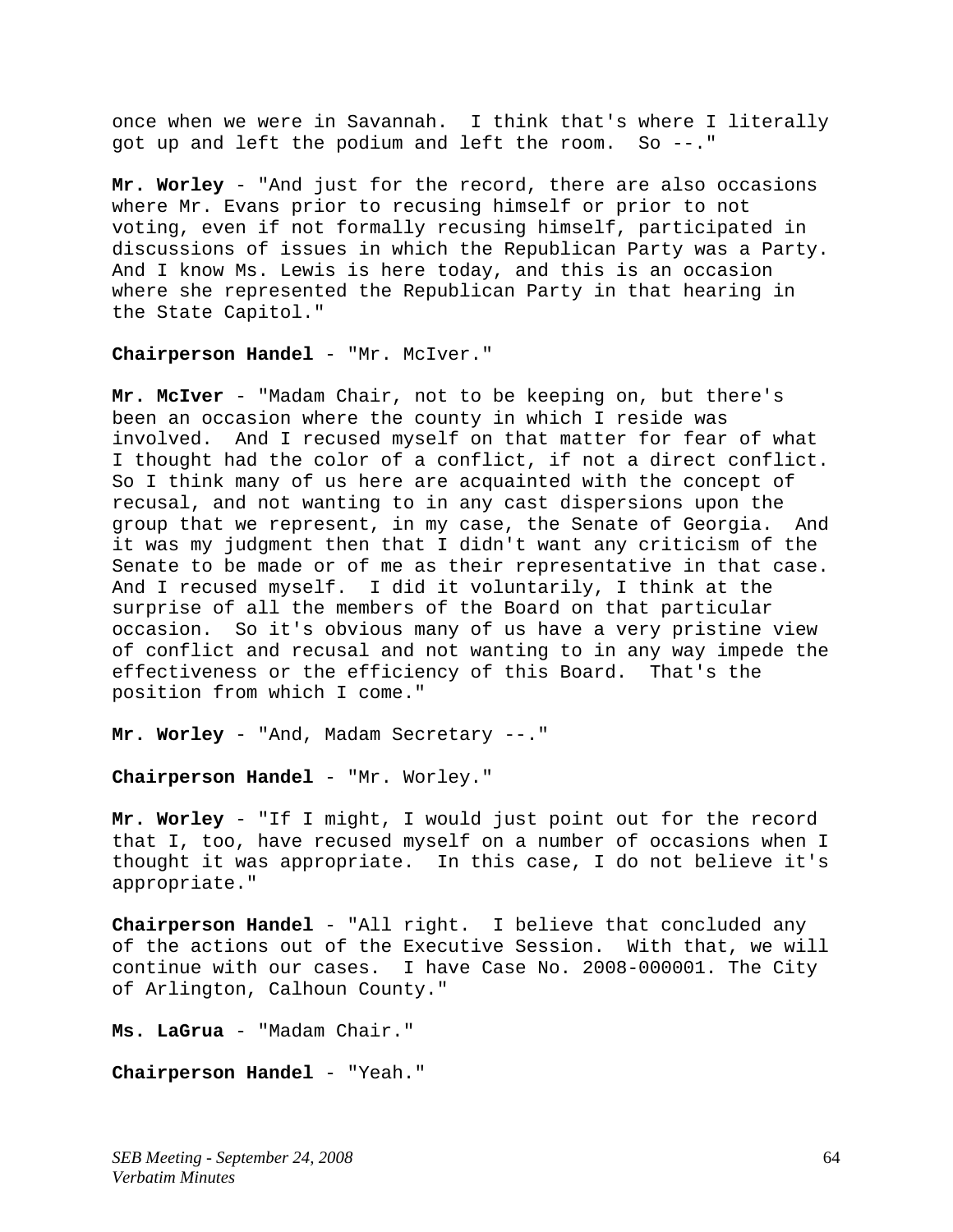once when we were in Savannah. I think that's where I literally got up and left the podium and left the room. So --."

**Mr. Worley** - "And just for the record, there are also occasions where Mr. Evans prior to recusing himself or prior to not voting, even if not formally recusing himself, participated in discussions of issues in which the Republican Party was a Party. And I know Ms. Lewis is here today, and this is an occasion where she represented the Republican Party in that hearing in the State Capitol."

## **Chairperson Handel** - "Mr. McIver."

**Mr. McIver** - "Madam Chair, not to be keeping on, but there's been an occasion where the county in which I reside was involved. And I recused myself on that matter for fear of what I thought had the color of a conflict, if not a direct conflict. So I think many of us here are acquainted with the concept of recusal, and not wanting to in any cast dispersions upon the group that we represent, in my case, the Senate of Georgia. And it was my judgment then that I didn't want any criticism of the Senate to be made or of me as their representative in that case. And I recused myself. I did it voluntarily, I think at the surprise of all the members of the Board on that particular occasion. So it's obvious many of us have a very pristine view of conflict and recusal and not wanting to in any way impede the effectiveness or the efficiency of this Board. That's the position from which I come."

**Mr. Worley** - "And, Madam Secretary --."

**Chairperson Handel** - "Mr. Worley."

**Mr. Worley** - "If I might, I would just point out for the record that I, too, have recused myself on a number of occasions when I thought it was appropriate. In this case, I do not believe it's appropriate."

**Chairperson Handel** - "All right. I believe that concluded any of the actions out of the Executive Session. With that, we will continue with our cases. I have Case No. 2008-000001. The City of Arlington, Calhoun County."

**Ms. LaGrua** - "Madam Chair."

**Chairperson Handel** - "Yeah."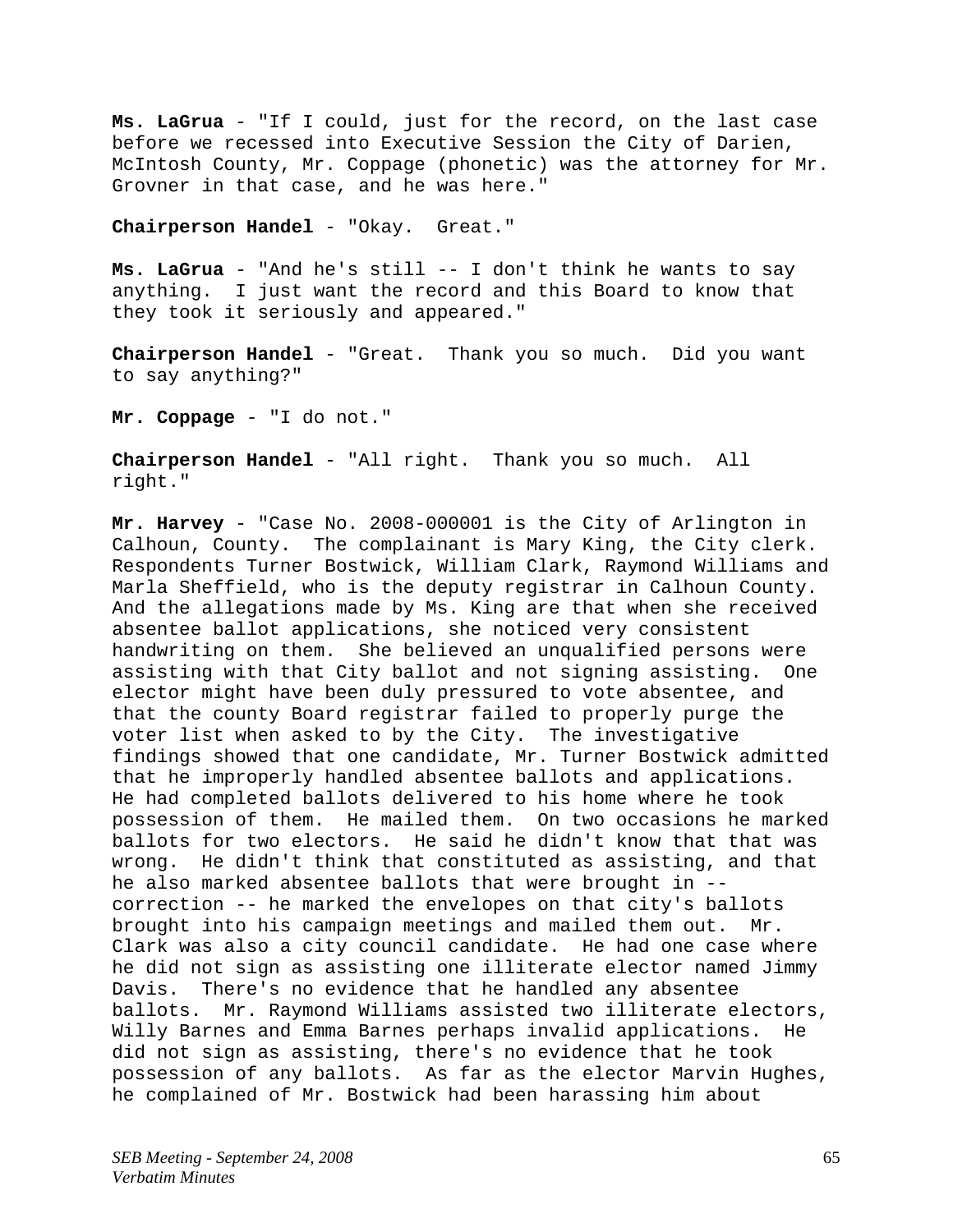**Ms. LaGrua** - "If I could, just for the record, on the last case before we recessed into Executive Session the City of Darien, McIntosh County, Mr. Coppage (phonetic) was the attorney for Mr. Grovner in that case, and he was here."

**Chairperson Handel** - "Okay. Great."

**Ms. LaGrua** - "And he's still -- I don't think he wants to say anything. I just want the record and this Board to know that they took it seriously and appeared."

**Chairperson Handel** - "Great. Thank you so much. Did you want to say anything?"

**Mr. Coppage** - "I do not."

**Chairperson Handel** - "All right. Thank you so much. All right."

**Mr. Harvey** - "Case No. 2008-000001 is the City of Arlington in Calhoun, County. The complainant is Mary King, the City clerk. Respondents Turner Bostwick, William Clark, Raymond Williams and Marla Sheffield, who is the deputy registrar in Calhoun County. And the allegations made by Ms. King are that when she received absentee ballot applications, she noticed very consistent handwriting on them. She believed an unqualified persons were assisting with that City ballot and not signing assisting. One elector might have been duly pressured to vote absentee, and that the county Board registrar failed to properly purge the voter list when asked to by the City. The investigative findings showed that one candidate, Mr. Turner Bostwick admitted that he improperly handled absentee ballots and applications. He had completed ballots delivered to his home where he took possession of them. He mailed them. On two occasions he marked ballots for two electors. He said he didn't know that that was wrong. He didn't think that constituted as assisting, and that he also marked absentee ballots that were brought in - correction -- he marked the envelopes on that city's ballots brought into his campaign meetings and mailed them out. Mr. Clark was also a city council candidate. He had one case where he did not sign as assisting one illiterate elector named Jimmy Davis. There's no evidence that he handled any absentee ballots. Mr. Raymond Williams assisted two illiterate electors, Willy Barnes and Emma Barnes perhaps invalid applications. He did not sign as assisting, there's no evidence that he took possession of any ballots. As far as the elector Marvin Hughes, he complained of Mr. Bostwick had been harassing him about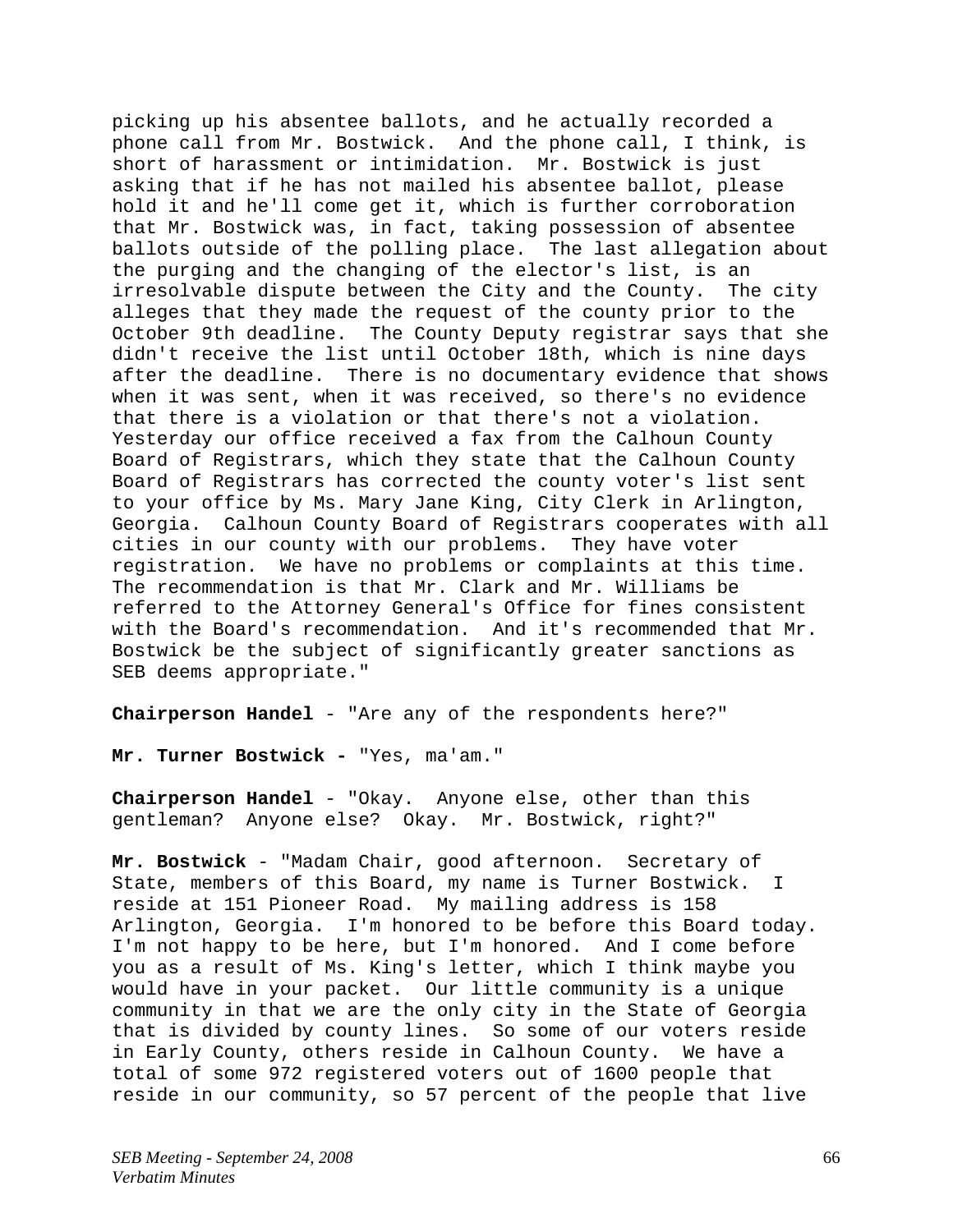picking up his absentee ballots, and he actually recorded a phone call from Mr. Bostwick. And the phone call, I think, is short of harassment or intimidation. Mr. Bostwick is just asking that if he has not mailed his absentee ballot, please hold it and he'll come get it, which is further corroboration that Mr. Bostwick was, in fact, taking possession of absentee ballots outside of the polling place. The last allegation about the purging and the changing of the elector's list, is an irresolvable dispute between the City and the County. The city alleges that they made the request of the county prior to the October 9th deadline. The County Deputy registrar says that she didn't receive the list until October 18th, which is nine days after the deadline. There is no documentary evidence that shows when it was sent, when it was received, so there's no evidence that there is a violation or that there's not a violation. Yesterday our office received a fax from the Calhoun County Board of Registrars, which they state that the Calhoun County Board of Registrars has corrected the county voter's list sent to your office by Ms. Mary Jane King, City Clerk in Arlington, Georgia. Calhoun County Board of Registrars cooperates with all cities in our county with our problems. They have voter registration. We have no problems or complaints at this time. The recommendation is that Mr. Clark and Mr. Williams be referred to the Attorney General's Office for fines consistent with the Board's recommendation. And it's recommended that Mr. Bostwick be the subject of significantly greater sanctions as SEB deems appropriate."

**Chairperson Handel** - "Are any of the respondents here?"

**Mr. Turner Bostwick -** "Yes, ma'am."

**Chairperson Handel** - "Okay. Anyone else, other than this gentleman? Anyone else? Okay. Mr. Bostwick, right?"

**Mr. Bostwick** - "Madam Chair, good afternoon. Secretary of State, members of this Board, my name is Turner Bostwick. I reside at 151 Pioneer Road. My mailing address is 158 Arlington, Georgia. I'm honored to be before this Board today. I'm not happy to be here, but I'm honored. And I come before you as a result of Ms. King's letter, which I think maybe you would have in your packet. Our little community is a unique community in that we are the only city in the State of Georgia that is divided by county lines. So some of our voters reside in Early County, others reside in Calhoun County. We have a total of some 972 registered voters out of 1600 people that reside in our community, so 57 percent of the people that live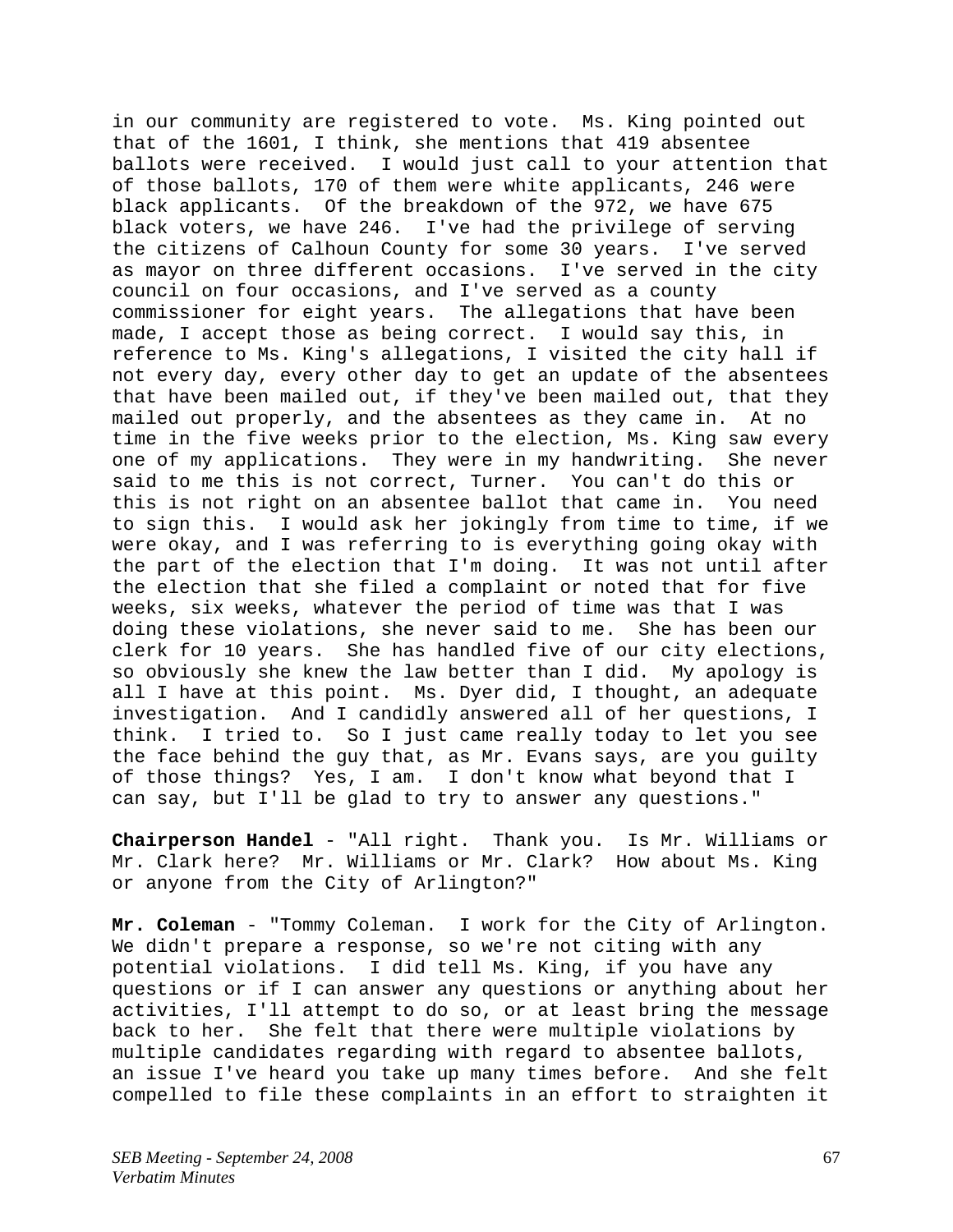in our community are registered to vote. Ms. King pointed out that of the 1601, I think, she mentions that 419 absentee ballots were received. I would just call to your attention that of those ballots, 170 of them were white applicants, 246 were black applicants. Of the breakdown of the 972, we have 675 black voters, we have 246. I've had the privilege of serving the citizens of Calhoun County for some 30 years. I've served as mayor on three different occasions. I've served in the city council on four occasions, and I've served as a county commissioner for eight years. The allegations that have been made, I accept those as being correct. I would say this, in reference to Ms. King's allegations, I visited the city hall if not every day, every other day to get an update of the absentees that have been mailed out, if they've been mailed out, that they mailed out properly, and the absentees as they came in. At no time in the five weeks prior to the election, Ms. King saw every one of my applications. They were in my handwriting. She never said to me this is not correct, Turner. You can't do this or this is not right on an absentee ballot that came in. You need to sign this. I would ask her jokingly from time to time, if we were okay, and I was referring to is everything going okay with the part of the election that I'm doing. It was not until after the election that she filed a complaint or noted that for five weeks, six weeks, whatever the period of time was that I was doing these violations, she never said to me. She has been our clerk for 10 years. She has handled five of our city elections, so obviously she knew the law better than I did. My apology is all I have at this point. Ms. Dyer did, I thought, an adequate investigation. And I candidly answered all of her questions, I think. I tried to. So I just came really today to let you see the face behind the guy that, as Mr. Evans says, are you guilty of those things? Yes, I am. I don't know what beyond that I can say, but I'll be glad to try to answer any questions."

**Chairperson Handel** - "All right. Thank you. Is Mr. Williams or Mr. Clark here? Mr. Williams or Mr. Clark? How about Ms. King or anyone from the City of Arlington?"

**Mr. Coleman** - "Tommy Coleman. I work for the City of Arlington. We didn't prepare a response, so we're not citing with any potential violations. I did tell Ms. King, if you have any questions or if I can answer any questions or anything about her activities, I'll attempt to do so, or at least bring the message back to her. She felt that there were multiple violations by multiple candidates regarding with regard to absentee ballots, an issue I've heard you take up many times before. And she felt compelled to file these complaints in an effort to straighten it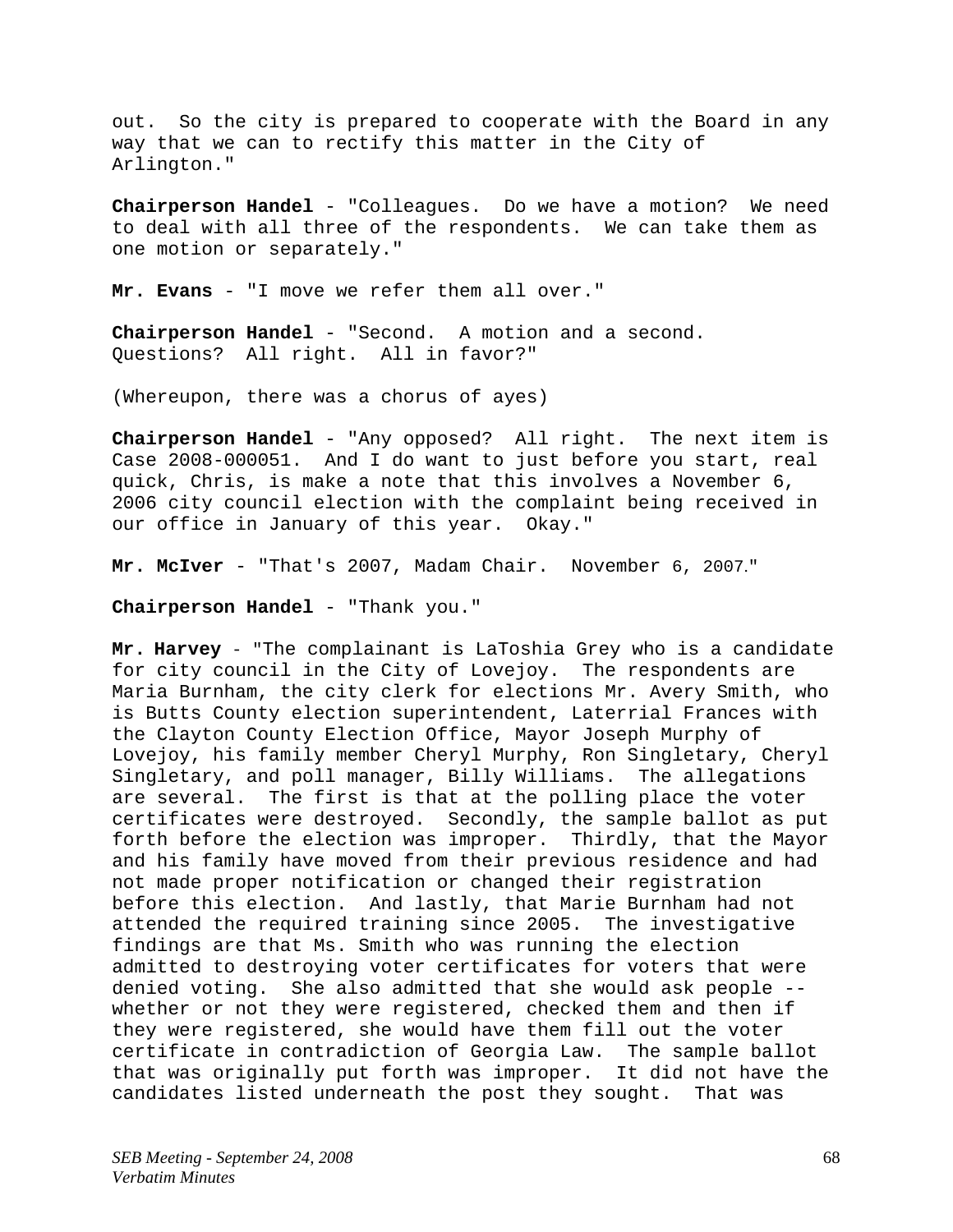out. So the city is prepared to cooperate with the Board in any way that we can to rectify this matter in the City of Arlington."

**Chairperson Handel** - "Colleagues. Do we have a motion? We need to deal with all three of the respondents. We can take them as one motion or separately."

**Mr. Evans** - "I move we refer them all over."

**Chairperson Handel** - "Second. A motion and a second. Questions? All right. All in favor?"

(Whereupon, there was a chorus of ayes)

**Chairperson Handel** - "Any opposed? All right. The next item is Case 2008-000051. And I do want to just before you start, real quick, Chris, is make a note that this involves a November 6, 2006 city council election with the complaint being received in our office in January of this year. Okay."

**Mr. McIver** - "That's 2007, Madam Chair. November 6, 2007."

**Chairperson Handel** - "Thank you."

**Mr. Harvey** - "The complainant is LaToshia Grey who is a candidate for city council in the City of Lovejoy. The respondents are Maria Burnham, the city clerk for elections Mr. Avery Smith, who is Butts County election superintendent, Laterrial Frances with the Clayton County Election Office, Mayor Joseph Murphy of Lovejoy, his family member Cheryl Murphy, Ron Singletary, Cheryl Singletary, and poll manager, Billy Williams. The allegations are several. The first is that at the polling place the voter certificates were destroyed. Secondly, the sample ballot as put forth before the election was improper. Thirdly, that the Mayor and his family have moved from their previous residence and had not made proper notification or changed their registration before this election. And lastly, that Marie Burnham had not attended the required training since 2005. The investigative findings are that Ms. Smith who was running the election admitted to destroying voter certificates for voters that were denied voting. She also admitted that she would ask people - whether or not they were registered, checked them and then if they were registered, she would have them fill out the voter certificate in contradiction of Georgia Law. The sample ballot that was originally put forth was improper. It did not have the candidates listed underneath the post they sought. That was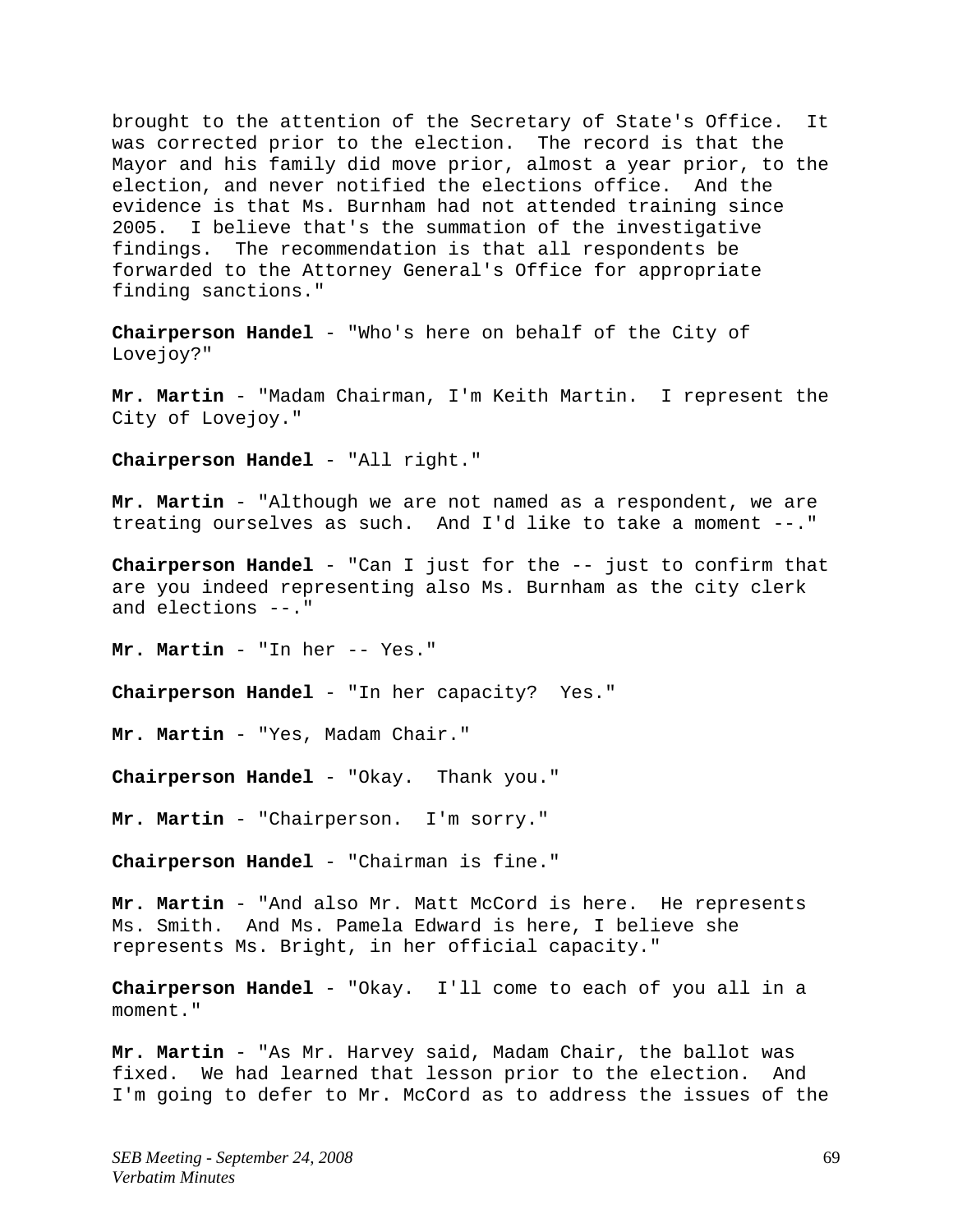brought to the attention of the Secretary of State's Office. It was corrected prior to the election. The record is that the Mayor and his family did move prior, almost a year prior, to the election, and never notified the elections office. And the evidence is that Ms. Burnham had not attended training since 2005. I believe that's the summation of the investigative findings. The recommendation is that all respondents be forwarded to the Attorney General's Office for appropriate finding sanctions."

**Chairperson Handel** - "Who's here on behalf of the City of Lovejoy?"

**Mr. Martin** - "Madam Chairman, I'm Keith Martin. I represent the City of Lovejoy."

**Chairperson Handel** - "All right."

**Mr. Martin** - "Although we are not named as a respondent, we are treating ourselves as such. And I'd like to take a moment --."

**Chairperson Handel** - "Can I just for the -- just to confirm that are you indeed representing also Ms. Burnham as the city clerk and elections --."

**Mr. Martin** - "In her -- Yes."

**Chairperson Handel** - "In her capacity? Yes."

**Mr. Martin** - "Yes, Madam Chair."

**Chairperson Handel** - "Okay. Thank you."

**Mr. Martin** - "Chairperson. I'm sorry."

**Chairperson Handel** - "Chairman is fine."

**Mr. Martin** - "And also Mr. Matt McCord is here. He represents Ms. Smith. And Ms. Pamela Edward is here, I believe she represents Ms. Bright, in her official capacity."

**Chairperson Handel** - "Okay. I'll come to each of you all in a moment."

**Mr. Martin** - "As Mr. Harvey said, Madam Chair, the ballot was fixed. We had learned that lesson prior to the election. And I'm going to defer to Mr. McCord as to address the issues of the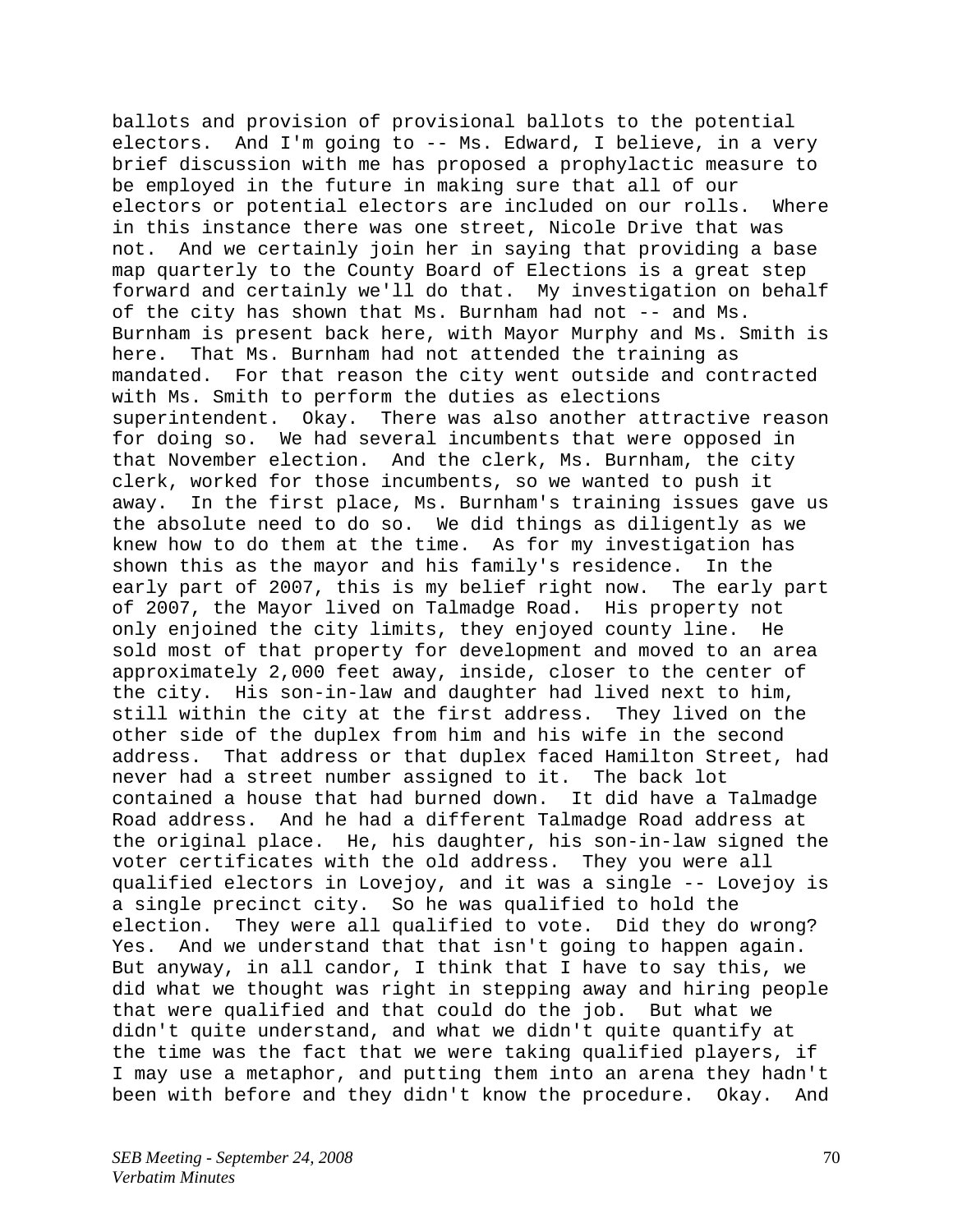ballots and provision of provisional ballots to the potential electors. And I'm going to -- Ms. Edward, I believe, in a very brief discussion with me has proposed a prophylactic measure to be employed in the future in making sure that all of our electors or potential electors are included on our rolls. Where in this instance there was one street, Nicole Drive that was not. And we certainly join her in saying that providing a base map quarterly to the County Board of Elections is a great step forward and certainly we'll do that. My investigation on behalf of the city has shown that Ms. Burnham had not -- and Ms. Burnham is present back here, with Mayor Murphy and Ms. Smith is here. That Ms. Burnham had not attended the training as mandated. For that reason the city went outside and contracted with Ms. Smith to perform the duties as elections superintendent. Okay. There was also another attractive reason for doing so. We had several incumbents that were opposed in that November election. And the clerk, Ms. Burnham, the city clerk, worked for those incumbents, so we wanted to push it away. In the first place, Ms. Burnham's training issues gave us the absolute need to do so. We did things as diligently as we knew how to do them at the time. As for my investigation has shown this as the mayor and his family's residence. In the early part of 2007, this is my belief right now. The early part of 2007, the Mayor lived on Talmadge Road. His property not only enjoined the city limits, they enjoyed county line. He sold most of that property for development and moved to an area approximately 2,000 feet away, inside, closer to the center of the city. His son-in-law and daughter had lived next to him, still within the city at the first address. They lived on the other side of the duplex from him and his wife in the second address. That address or that duplex faced Hamilton Street, had never had a street number assigned to it. The back lot contained a house that had burned down. It did have a Talmadge Road address. And he had a different Talmadge Road address at the original place. He, his daughter, his son-in-law signed the voter certificates with the old address. They you were all qualified electors in Lovejoy, and it was a single -- Lovejoy is a single precinct city. So he was qualified to hold the election. They were all qualified to vote. Did they do wrong? Yes. And we understand that that isn't going to happen again. But anyway, in all candor, I think that I have to say this, we did what we thought was right in stepping away and hiring people that were qualified and that could do the job. But what we didn't quite understand, and what we didn't quite quantify at the time was the fact that we were taking qualified players, if I may use a metaphor, and putting them into an arena they hadn't been with before and they didn't know the procedure. Okay. And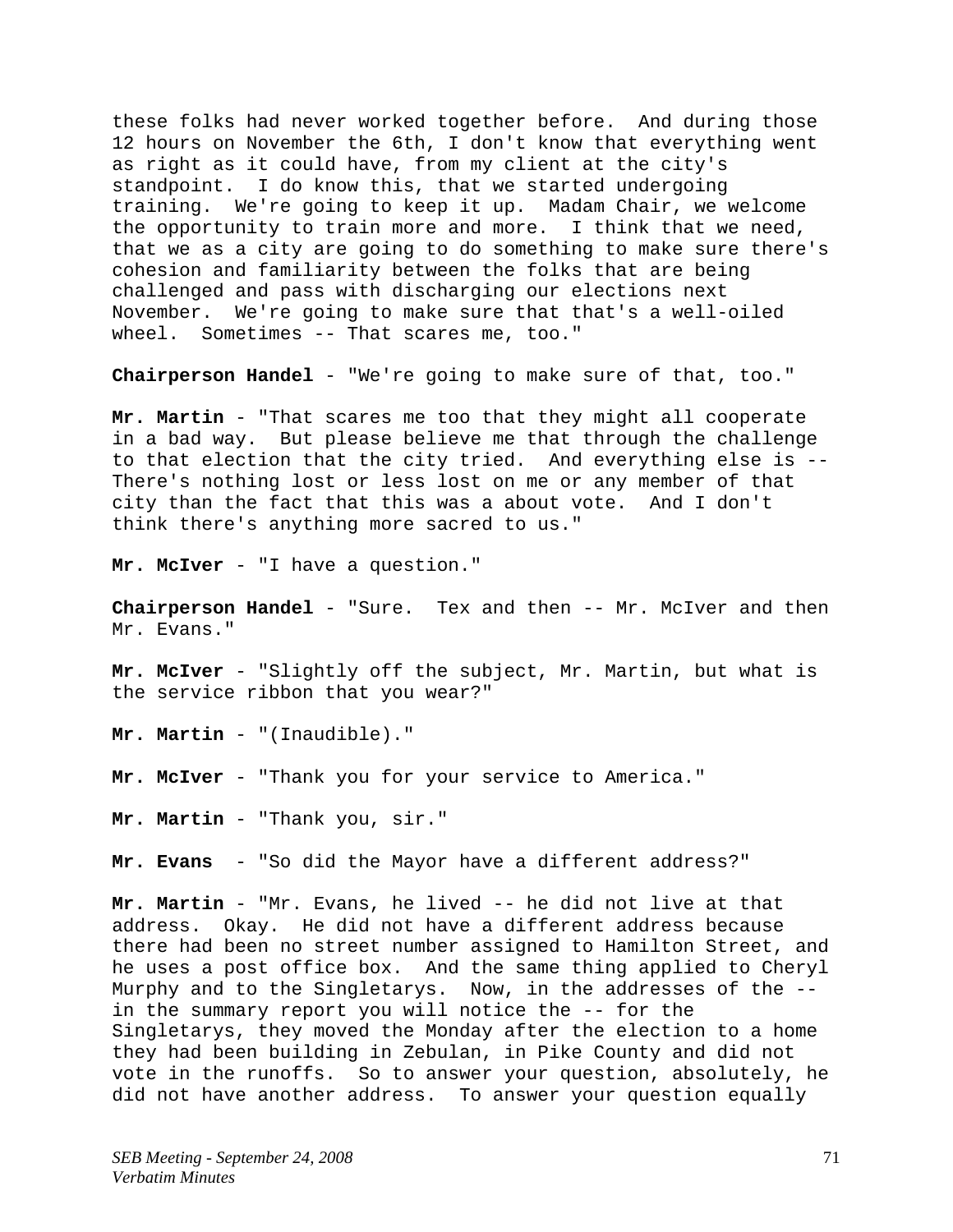these folks had never worked together before. And during those 12 hours on November the 6th, I don't know that everything went as right as it could have, from my client at the city's standpoint. I do know this, that we started undergoing training. We're going to keep it up. Madam Chair, we welcome the opportunity to train more and more. I think that we need, that we as a city are going to do something to make sure there's cohesion and familiarity between the folks that are being challenged and pass with discharging our elections next November. We're going to make sure that that's a well-oiled wheel. Sometimes -- That scares me, too."

**Chairperson Handel** - "We're going to make sure of that, too."

**Mr. Martin** - "That scares me too that they might all cooperate in a bad way. But please believe me that through the challenge to that election that the city tried. And everything else is -- There's nothing lost or less lost on me or any member of that city than the fact that this was a about vote. And I don't think there's anything more sacred to us."

**Mr. McIver** - "I have a question."

**Chairperson Handel** - "Sure. Tex and then -- Mr. McIver and then Mr. Evans."

**Mr. McIver** - "Slightly off the subject, Mr. Martin, but what is the service ribbon that you wear?"

**Mr. Martin** - "(Inaudible)."

**Mr. McIver** - "Thank you for your service to America."

**Mr. Martin** - "Thank you, sir."

**Mr. Evans** - "So did the Mayor have a different address?"

**Mr. Martin** - "Mr. Evans, he lived -- he did not live at that address. Okay. He did not have a different address because there had been no street number assigned to Hamilton Street, and he uses a post office box. And the same thing applied to Cheryl Murphy and to the Singletarys. Now, in the addresses of the - in the summary report you will notice the -- for the Singletarys, they moved the Monday after the election to a home they had been building in Zebulan, in Pike County and did not vote in the runoffs. So to answer your question, absolutely, he did not have another address. To answer your question equally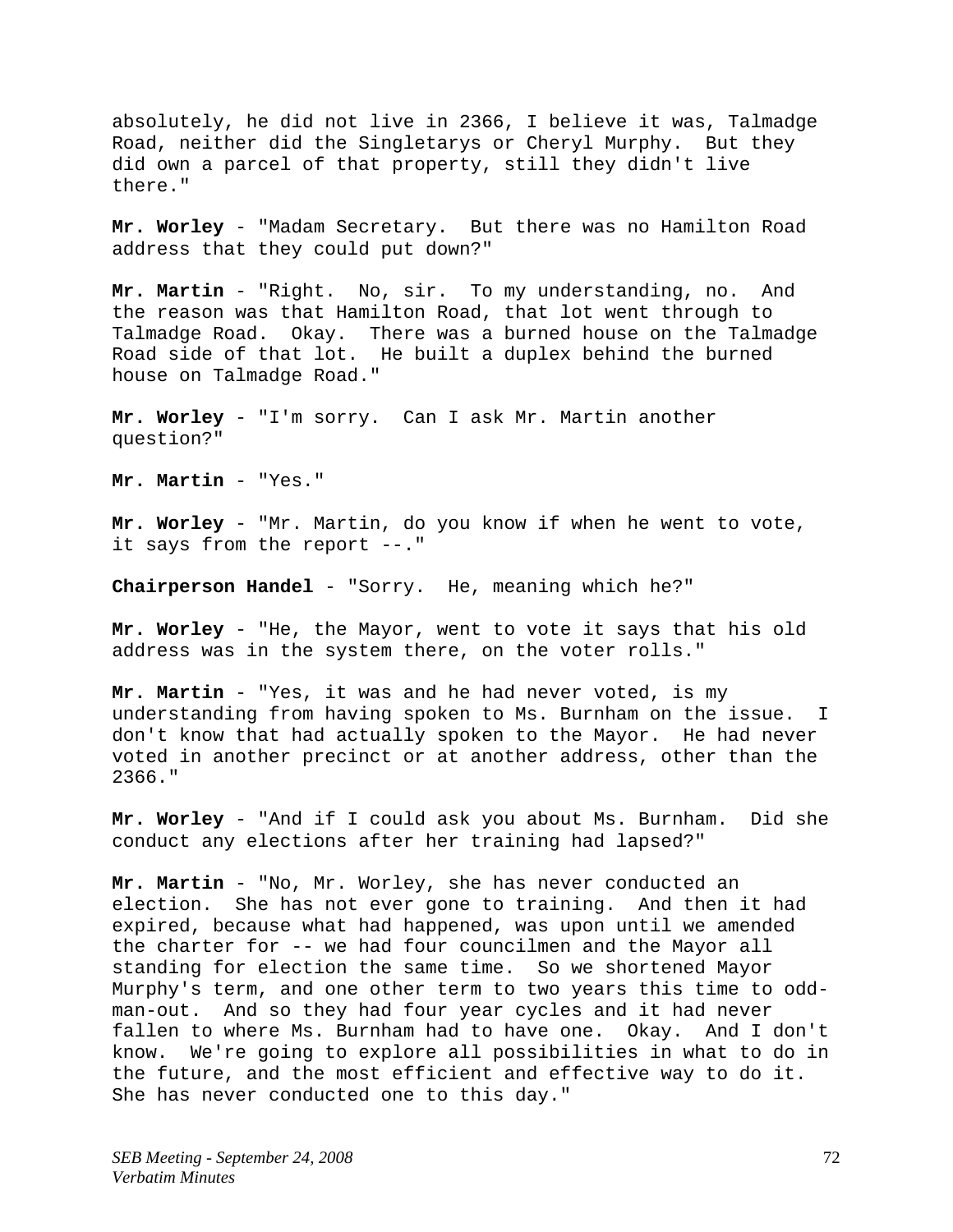absolutely, he did not live in 2366, I believe it was, Talmadge Road, neither did the Singletarys or Cheryl Murphy. But they did own a parcel of that property, still they didn't live there."

**Mr. Worley** - "Madam Secretary. But there was no Hamilton Road address that they could put down?"

**Mr. Martin** - "Right. No, sir. To my understanding, no. And the reason was that Hamilton Road, that lot went through to Talmadge Road. Okay. There was a burned house on the Talmadge Road side of that lot. He built a duplex behind the burned house on Talmadge Road."

**Mr. Worley** - "I'm sorry. Can I ask Mr. Martin another question?"

**Mr. Martin** - "Yes."

**Mr. Worley** - "Mr. Martin, do you know if when he went to vote, it says from the report --."

**Chairperson Handel** - "Sorry. He, meaning which he?"

**Mr. Worley** - "He, the Mayor, went to vote it says that his old address was in the system there, on the voter rolls."

**Mr. Martin** - "Yes, it was and he had never voted, is my understanding from having spoken to Ms. Burnham on the issue. I don't know that had actually spoken to the Mayor. He had never voted in another precinct or at another address, other than the 2366."

**Mr. Worley** - "And if I could ask you about Ms. Burnham. Did she conduct any elections after her training had lapsed?"

**Mr. Martin** - "No, Mr. Worley, she has never conducted an election. She has not ever gone to training. And then it had expired, because what had happened, was upon until we amended the charter for -- we had four councilmen and the Mayor all standing for election the same time. So we shortened Mayor Murphy's term, and one other term to two years this time to oddman-out. And so they had four year cycles and it had never fallen to where Ms. Burnham had to have one. Okay. And I don't know. We're going to explore all possibilities in what to do in the future, and the most efficient and effective way to do it. She has never conducted one to this day."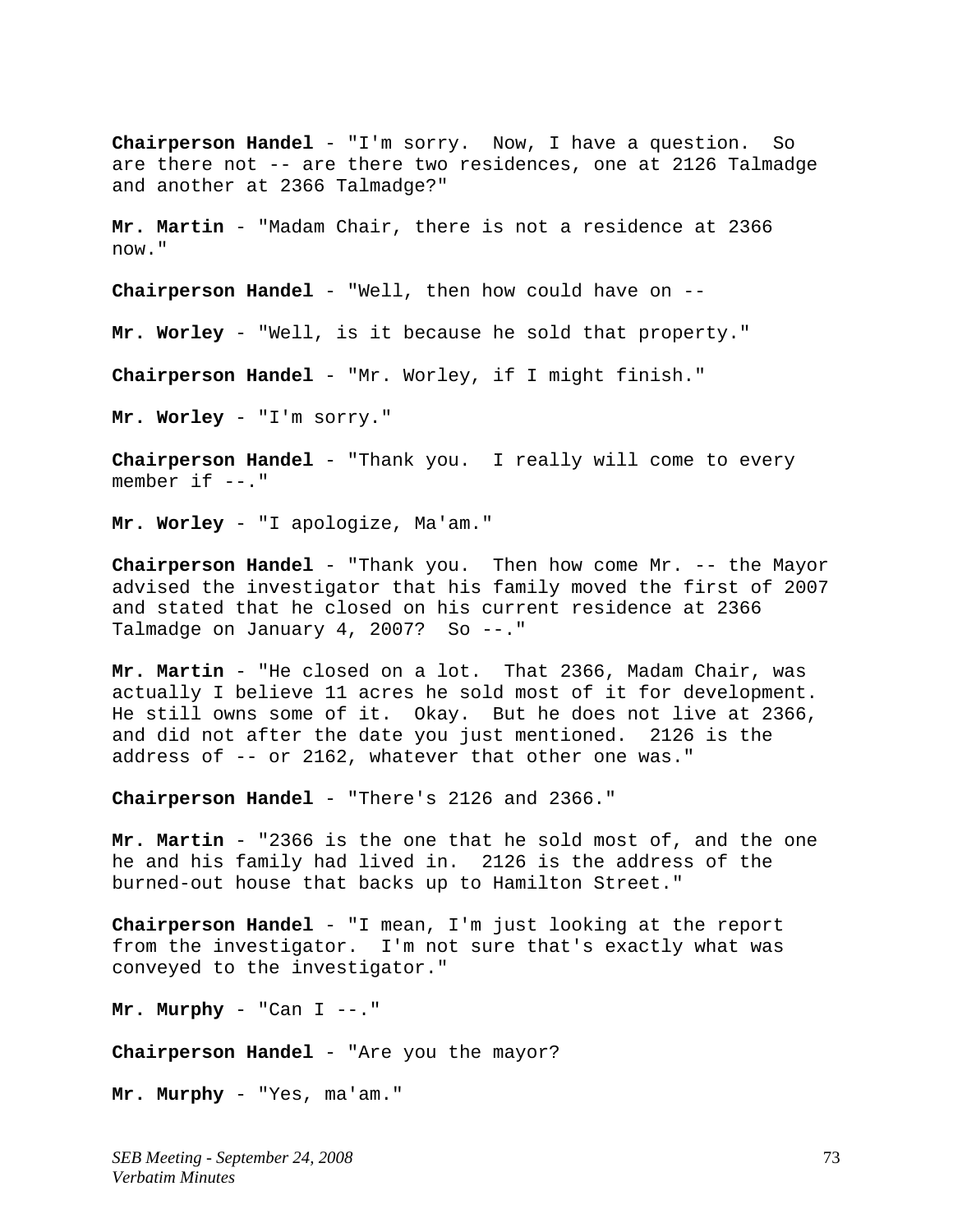**Chairperson Handel** - "I'm sorry. Now, I have a question. So are there not -- are there two residences, one at 2126 Talmadge and another at 2366 Talmadge?"

**Mr. Martin** - "Madam Chair, there is not a residence at 2366 now."

**Chairperson Handel** - "Well, then how could have on --

**Mr. Worley** - "Well, is it because he sold that property."

**Chairperson Handel** - "Mr. Worley, if I might finish."

**Mr. Worley** - "I'm sorry."

**Chairperson Handel** - "Thank you. I really will come to every member if  $--$ ."

**Mr. Worley** - "I apologize, Ma'am."

**Chairperson Handel** - "Thank you. Then how come Mr. -- the Mayor advised the investigator that his family moved the first of 2007 and stated that he closed on his current residence at 2366 Talmadge on January 4, 2007? So --."

**Mr. Martin** - "He closed on a lot. That 2366, Madam Chair, was actually I believe 11 acres he sold most of it for development. He still owns some of it. Okay. But he does not live at 2366, and did not after the date you just mentioned. 2126 is the address of -- or 2162, whatever that other one was."

**Chairperson Handel** - "There's 2126 and 2366."

**Mr. Martin** - "2366 is the one that he sold most of, and the one he and his family had lived in. 2126 is the address of the burned-out house that backs up to Hamilton Street."

**Chairperson Handel** - "I mean, I'm just looking at the report from the investigator. I'm not sure that's exactly what was conveyed to the investigator."

**Mr. Murphy** - "Can I --."

**Chairperson Handel** - "Are you the mayor?

**Mr. Murphy** - "Yes, ma'am."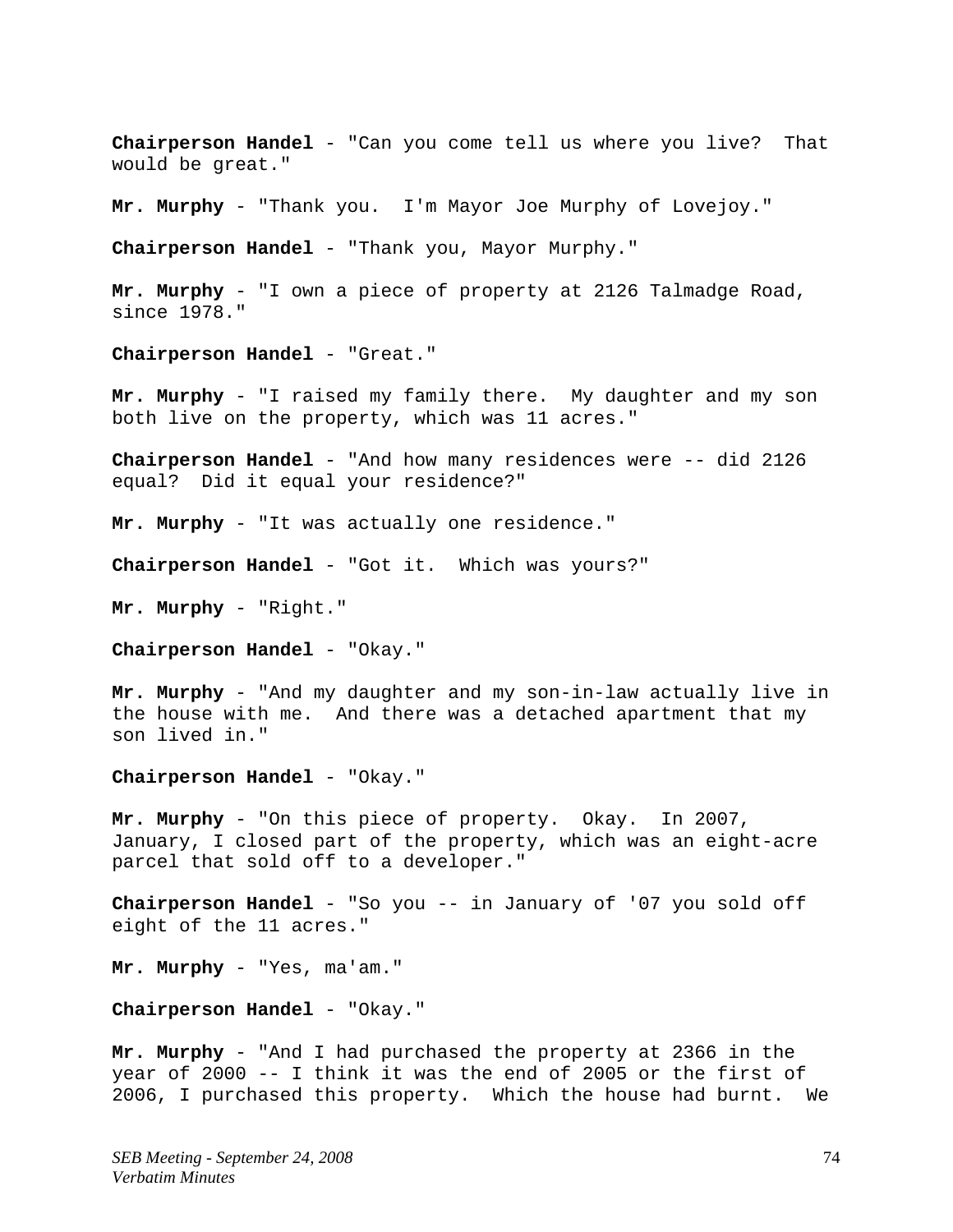**Chairperson Handel** - "Can you come tell us where you live? That would be great."

**Mr. Murphy** - "Thank you. I'm Mayor Joe Murphy of Lovejoy."

**Chairperson Handel** - "Thank you, Mayor Murphy."

**Mr. Murphy** - "I own a piece of property at 2126 Talmadge Road, since 1978."

**Chairperson Handel** - "Great."

**Mr. Murphy** - "I raised my family there. My daughter and my son both live on the property, which was 11 acres."

**Chairperson Handel** - "And how many residences were -- did 2126 equal? Did it equal your residence?"

**Mr. Murphy** - "It was actually one residence."

**Chairperson Handel** - "Got it. Which was yours?"

**Mr. Murphy** - "Right."

**Chairperson Handel** - "Okay."

**Mr. Murphy** - "And my daughter and my son-in-law actually live in the house with me. And there was a detached apartment that my son lived in."

**Chairperson Handel** - "Okay."

**Mr. Murphy** - "On this piece of property. Okay. In 2007, January, I closed part of the property, which was an eight-acre parcel that sold off to a developer."

**Chairperson Handel** - "So you -- in January of '07 you sold off eight of the 11 acres."

**Mr. Murphy** - "Yes, ma'am."

**Chairperson Handel** - "Okay."

**Mr. Murphy** - "And I had purchased the property at 2366 in the year of 2000 -- I think it was the end of 2005 or the first of 2006, I purchased this property. Which the house had burnt. We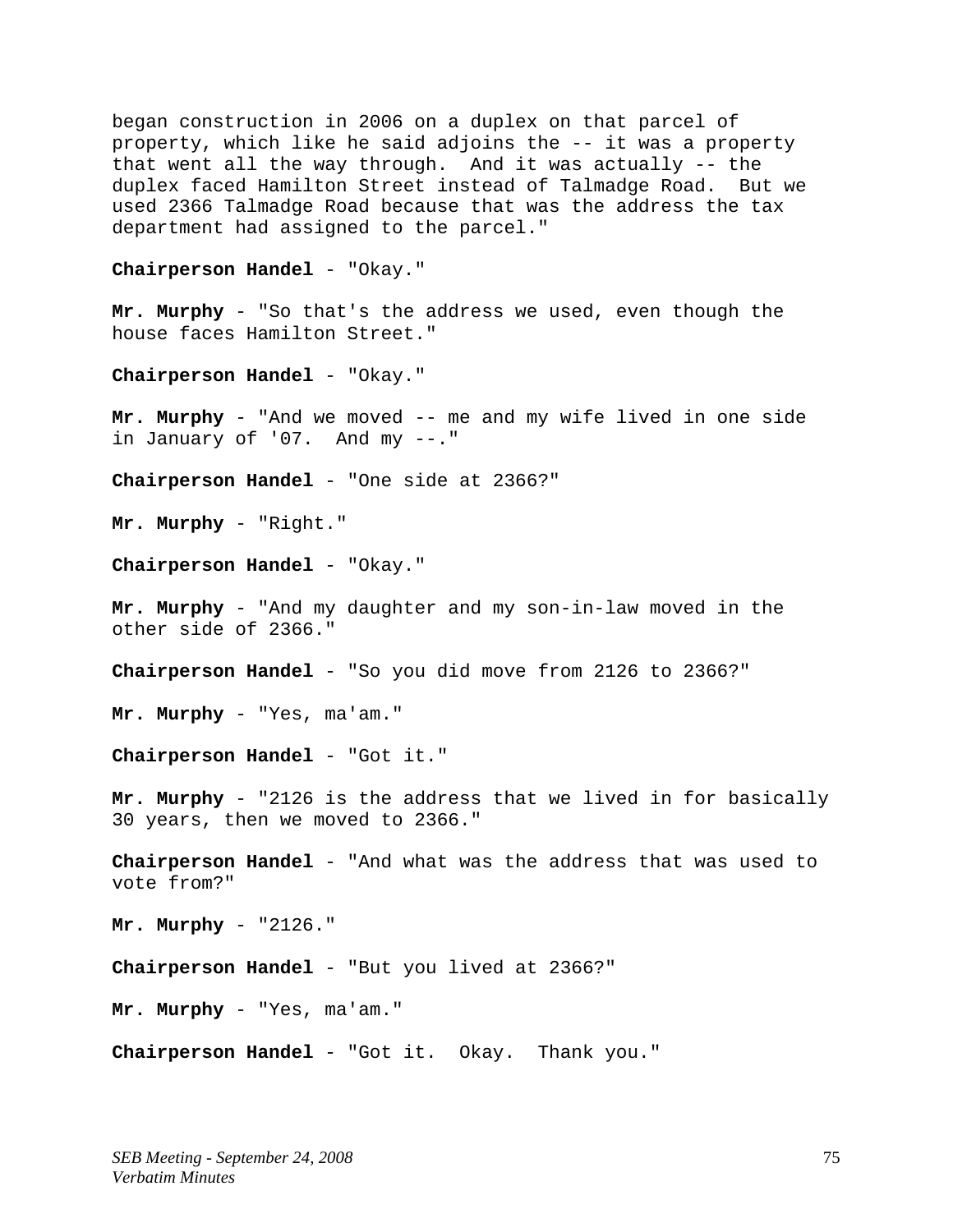began construction in 2006 on a duplex on that parcel of property, which like he said adjoins the -- it was a property that went all the way through. And it was actually -- the duplex faced Hamilton Street instead of Talmadge Road. But we used 2366 Talmadge Road because that was the address the tax department had assigned to the parcel." **Chairperson Handel** - "Okay." **Mr. Murphy** - "So that's the address we used, even though the house faces Hamilton Street."

**Chairperson Handel** - "Okay."

**Mr. Murphy** - "And we moved -- me and my wife lived in one side in January of '07. And my --."

**Chairperson Handel** - "One side at 2366?"

**Mr. Murphy** - "Right."

**Chairperson Handel** - "Okay."

**Mr. Murphy** - "And my daughter and my son-in-law moved in the other side of 2366."

**Chairperson Handel** - "So you did move from 2126 to 2366?"

**Mr. Murphy** - "Yes, ma'am."

**Chairperson Handel** - "Got it."

**Mr. Murphy** - "2126 is the address that we lived in for basically 30 years, then we moved to 2366."

**Chairperson Handel** - "And what was the address that was used to vote from?"

**Mr. Murphy** - "2126."

**Chairperson Handel** - "But you lived at 2366?"

**Mr. Murphy** - "Yes, ma'am."

**Chairperson Handel** - "Got it. Okay. Thank you."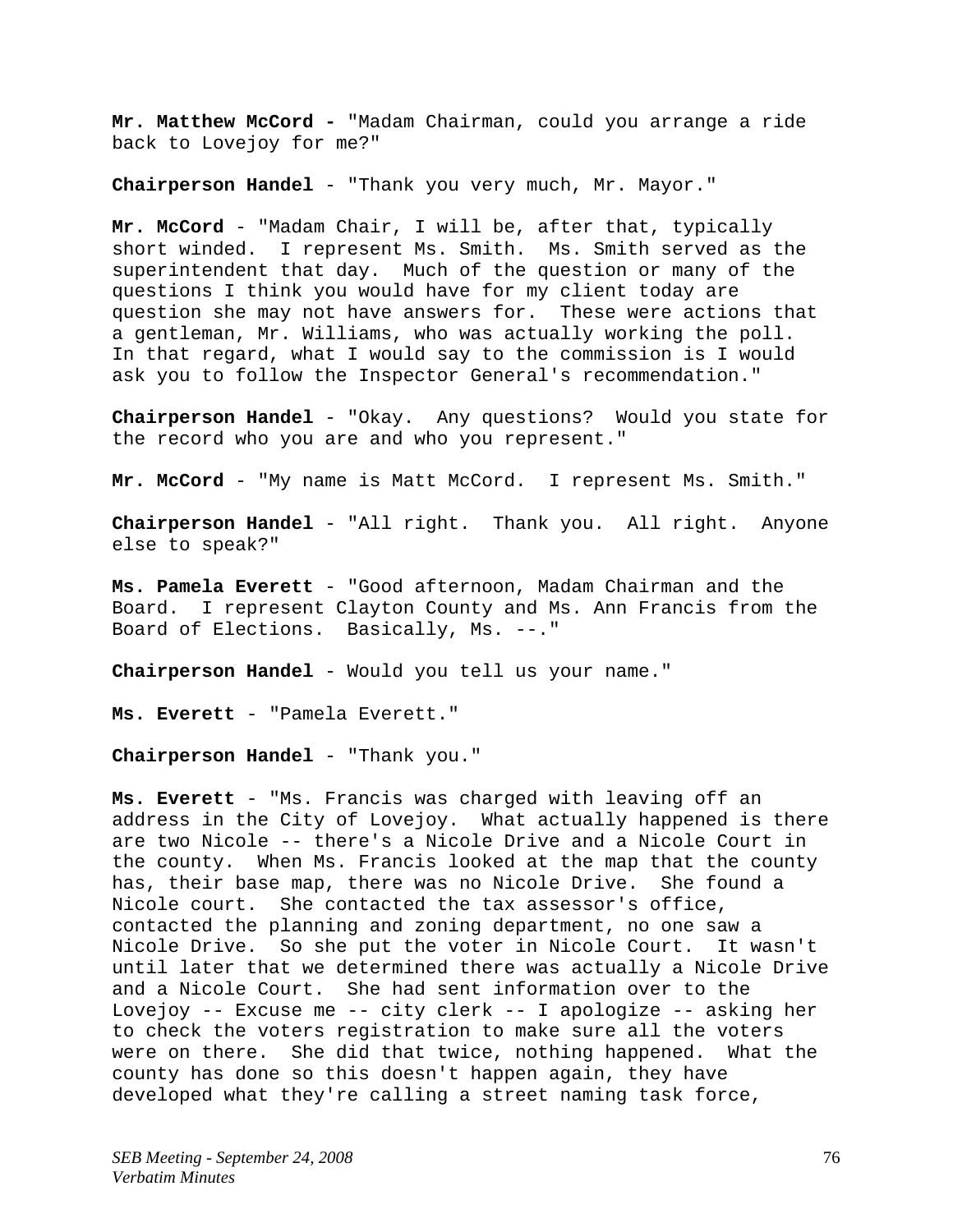**Mr. Matthew McCord -** "Madam Chairman, could you arrange a ride back to Lovejoy for me?"

**Chairperson Handel** - "Thank you very much, Mr. Mayor."

**Mr. McCord** - "Madam Chair, I will be, after that, typically short winded. I represent Ms. Smith. Ms. Smith served as the superintendent that day. Much of the question or many of the questions I think you would have for my client today are question she may not have answers for. These were actions that a gentleman, Mr. Williams, who was actually working the poll. In that regard, what I would say to the commission is I would ask you to follow the Inspector General's recommendation."

**Chairperson Handel** - "Okay. Any questions? Would you state for the record who you are and who you represent."

**Mr. McCord** - "My name is Matt McCord. I represent Ms. Smith."

**Chairperson Handel** - "All right. Thank you. All right. Anyone else to speak?"

**Ms. Pamela Everett** - "Good afternoon, Madam Chairman and the Board. I represent Clayton County and Ms. Ann Francis from the Board of Elections. Basically, Ms. --."

**Chairperson Handel** - Would you tell us your name."

**Ms. Everett** - "Pamela Everett."

**Chairperson Handel** - "Thank you."

**Ms. Everett** - "Ms. Francis was charged with leaving off an address in the City of Lovejoy. What actually happened is there are two Nicole -- there's a Nicole Drive and a Nicole Court in the county. When Ms. Francis looked at the map that the county has, their base map, there was no Nicole Drive. She found a Nicole court. She contacted the tax assessor's office, contacted the planning and zoning department, no one saw a Nicole Drive. So she put the voter in Nicole Court. It wasn't until later that we determined there was actually a Nicole Drive and a Nicole Court. She had sent information over to the Lovejoy -- Excuse me -- city clerk -- I apologize -- asking her to check the voters registration to make sure all the voters were on there. She did that twice, nothing happened. What the county has done so this doesn't happen again, they have developed what they're calling a street naming task force,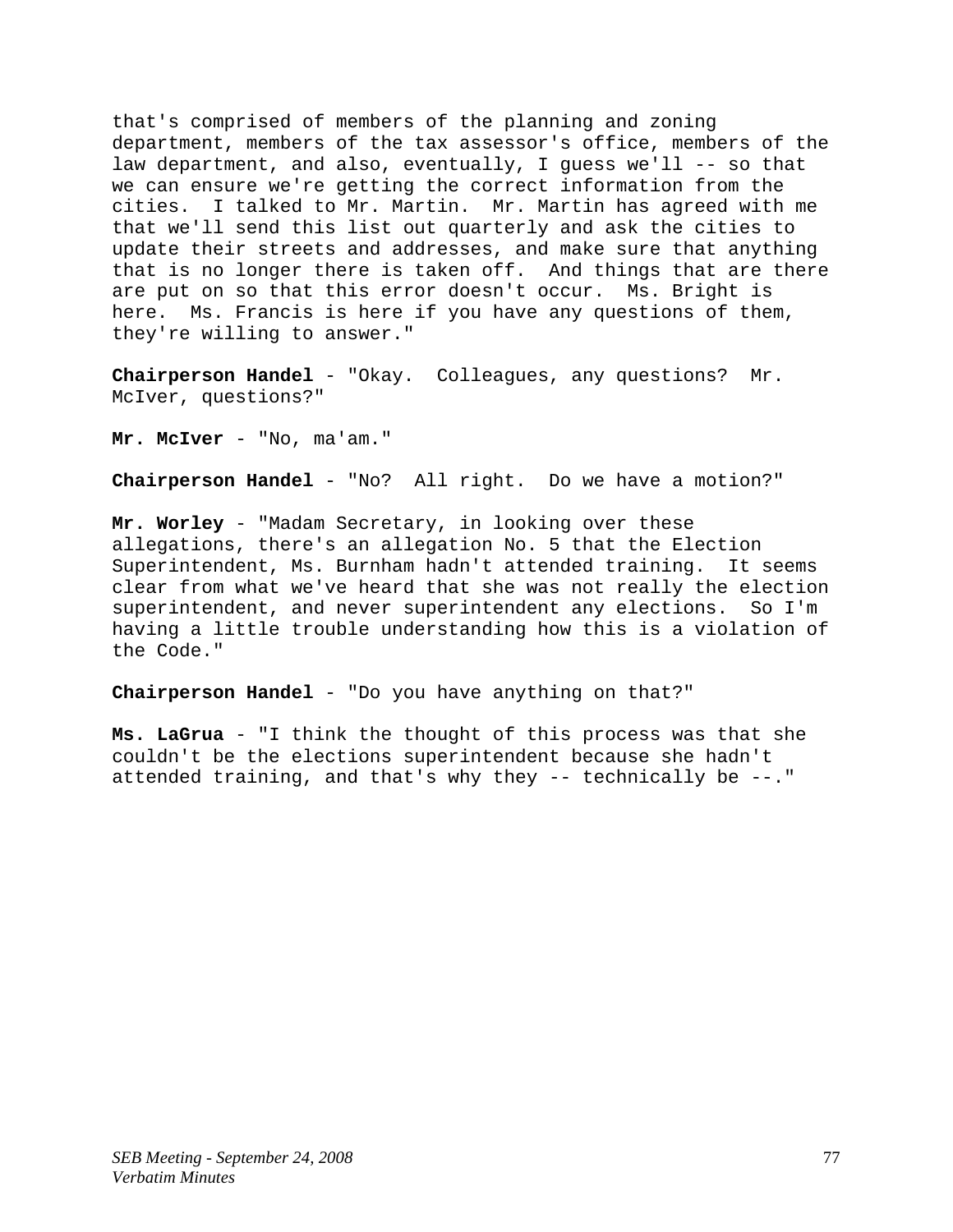that's comprised of members of the planning and zoning department, members of the tax assessor's office, members of the law department, and also, eventually, I guess we'll -- so that we can ensure we're getting the correct information from the cities. I talked to Mr. Martin. Mr. Martin has agreed with me that we'll send this list out quarterly and ask the cities to update their streets and addresses, and make sure that anything that is no longer there is taken off. And things that are there are put on so that this error doesn't occur. Ms. Bright is here. Ms. Francis is here if you have any questions of them, they're willing to answer."

**Chairperson Handel** - "Okay. Colleagues, any questions? Mr. McIver, questions?"

**Mr. McIver** - "No, ma'am."

**Chairperson Handel** - "No? All right. Do we have a motion?"

**Mr. Worley** - "Madam Secretary, in looking over these allegations, there's an allegation No. 5 that the Election Superintendent, Ms. Burnham hadn't attended training. It seems clear from what we've heard that she was not really the election superintendent, and never superintendent any elections. So I'm having a little trouble understanding how this is a violation of the Code."

**Chairperson Handel** - "Do you have anything on that?"

**Ms. LaGrua** - "I think the thought of this process was that she couldn't be the elections superintendent because she hadn't attended training, and that's why they -- technically be --."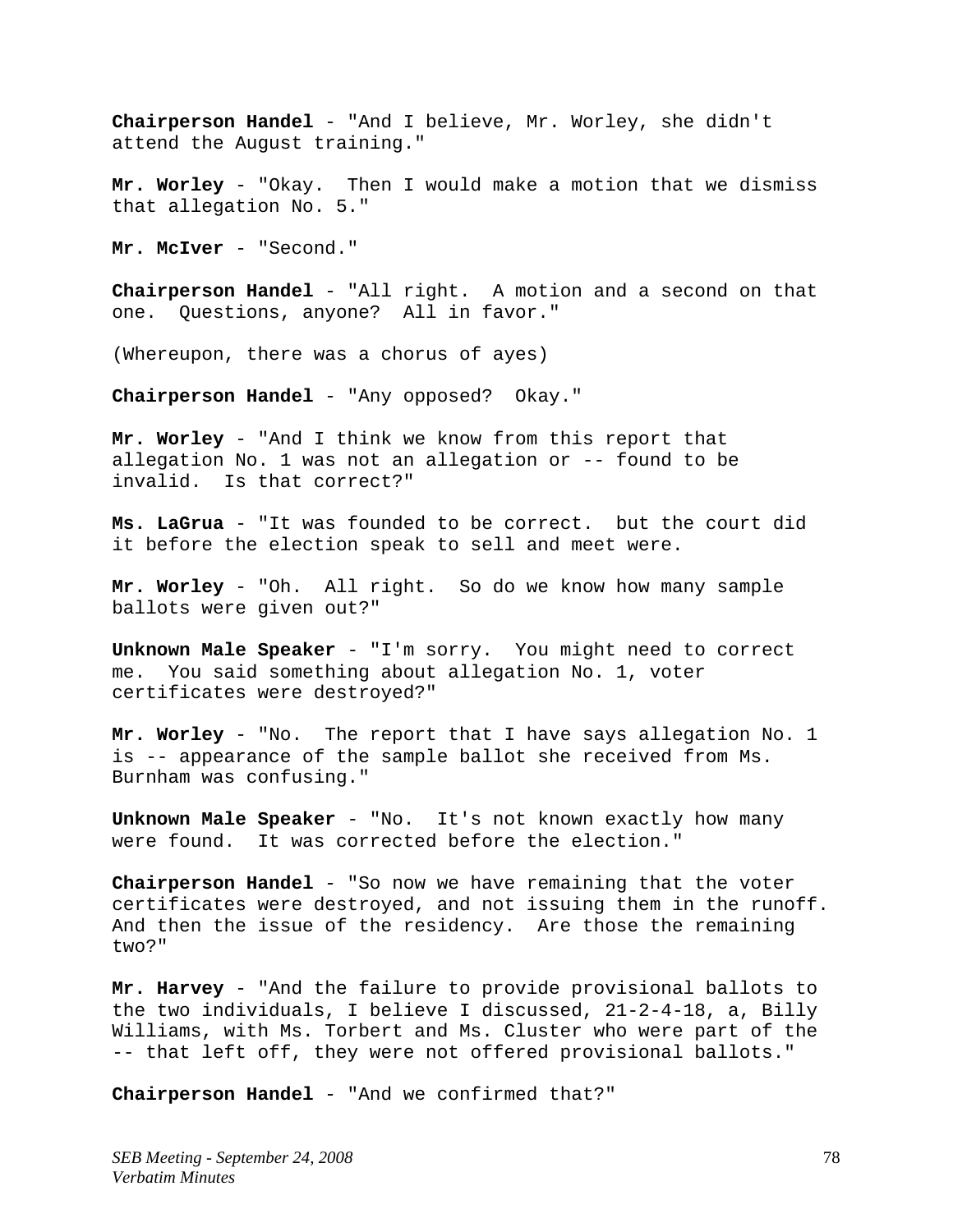**Chairperson Handel** - "And I believe, Mr. Worley, she didn't attend the August training."

**Mr. Worley** - "Okay. Then I would make a motion that we dismiss that allegation No. 5."

**Mr. McIver** - "Second."

**Chairperson Handel** - "All right. A motion and a second on that one. Questions, anyone? All in favor."

(Whereupon, there was a chorus of ayes)

**Chairperson Handel** - "Any opposed? Okay."

**Mr. Worley** - "And I think we know from this report that allegation No. 1 was not an allegation or -- found to be invalid. Is that correct?"

**Ms. LaGrua** - "It was founded to be correct. but the court did it before the election speak to sell and meet were.

**Mr. Worley** - "Oh. All right. So do we know how many sample ballots were given out?"

**Unknown Male Speaker** - "I'm sorry. You might need to correct me. You said something about allegation No. 1, voter certificates were destroyed?"

**Mr. Worley** - "No. The report that I have says allegation No. 1 is -- appearance of the sample ballot she received from Ms. Burnham was confusing."

**Unknown Male Speaker** - "No. It's not known exactly how many were found. It was corrected before the election."

**Chairperson Handel** - "So now we have remaining that the voter certificates were destroyed, and not issuing them in the runoff. And then the issue of the residency. Are those the remaining two?"

**Mr. Harvey** - "And the failure to provide provisional ballots to the two individuals, I believe I discussed, 21-2-4-18, a, Billy Williams, with Ms. Torbert and Ms. Cluster who were part of the -- that left off, they were not offered provisional ballots."

**Chairperson Handel** - "And we confirmed that?"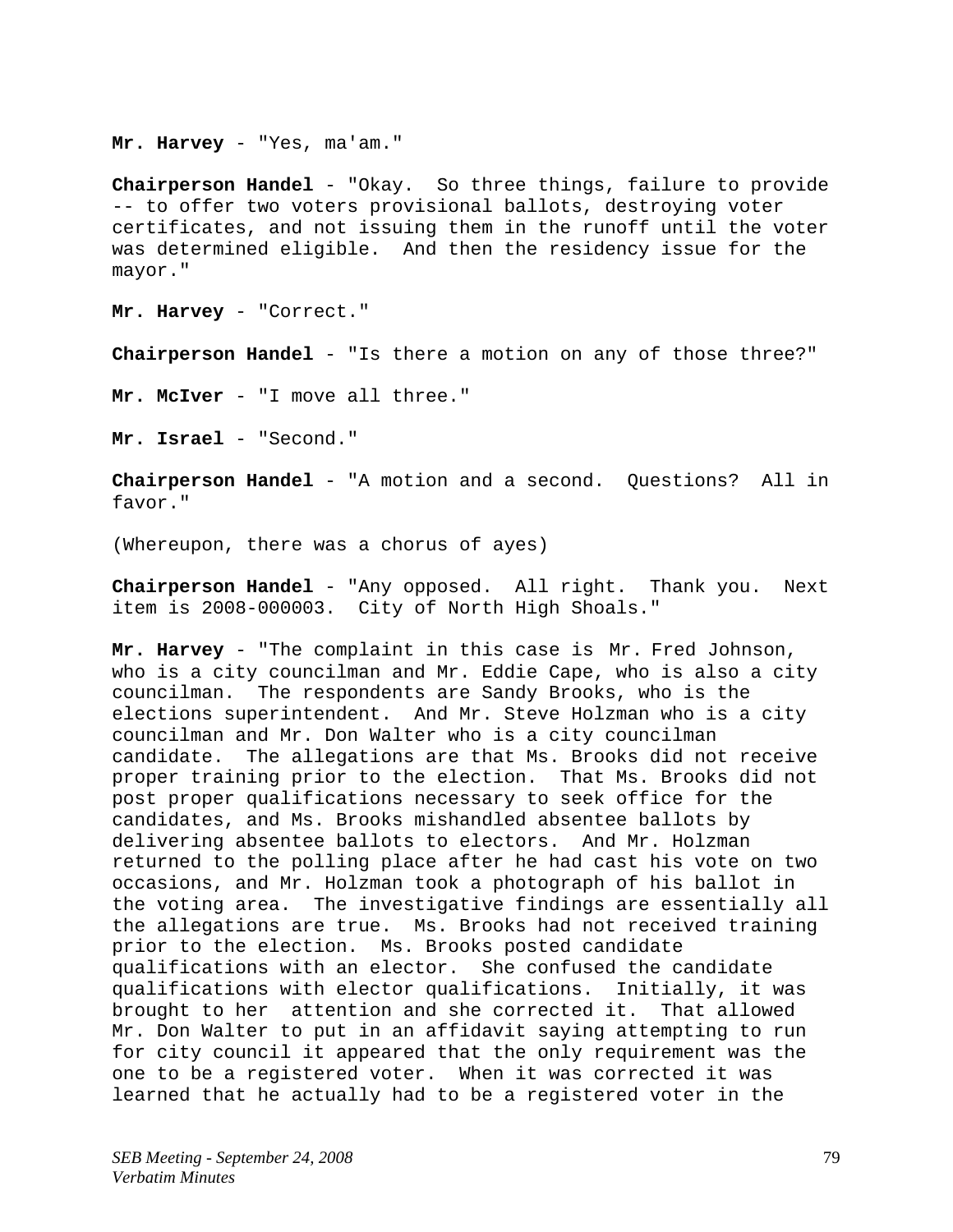**Mr. Harvey** - "Yes, ma'am."

**Chairperson Handel** - "Okay. So three things, failure to provide -- to offer two voters provisional ballots, destroying voter certificates, and not issuing them in the runoff until the voter was determined eligible. And then the residency issue for the mayor."

**Mr. Harvey** - "Correct."

**Chairperson Handel** - "Is there a motion on any of those three?"

**Mr. McIver** - "I move all three."

**Mr. Israel** - "Second."

**Chairperson Handel** - "A motion and a second. Questions? All in favor."

(Whereupon, there was a chorus of ayes)

**Chairperson Handel** - "Any opposed. All right. Thank you. Next item is 2008-000003. City of North High Shoals."

**Mr. Harvey** - "The complaint in this case is Mr. Fred Johnson, who is a city councilman and Mr. Eddie Cape, who is also a city councilman. The respondents are Sandy Brooks, who is the elections superintendent. And Mr. Steve Holzman who is a city councilman and Mr. Don Walter who is a city councilman candidate. The allegations are that Ms. Brooks did not receive proper training prior to the election. That Ms. Brooks did not post proper qualifications necessary to seek office for the candidates, and Ms. Brooks mishandled absentee ballots by delivering absentee ballots to electors. And Mr. Holzman returned to the polling place after he had cast his vote on two occasions, and Mr. Holzman took a photograph of his ballot in the voting area. The investigative findings are essentially all the allegations are true. Ms. Brooks had not received training prior to the election. Ms. Brooks posted candidate qualifications with an elector. She confused the candidate qualifications with elector qualifications. Initially, it was brought to her attention and she corrected it. That allowed Mr. Don Walter to put in an affidavit saying attempting to run for city council it appeared that the only requirement was the one to be a registered voter. When it was corrected it was learned that he actually had to be a registered voter in the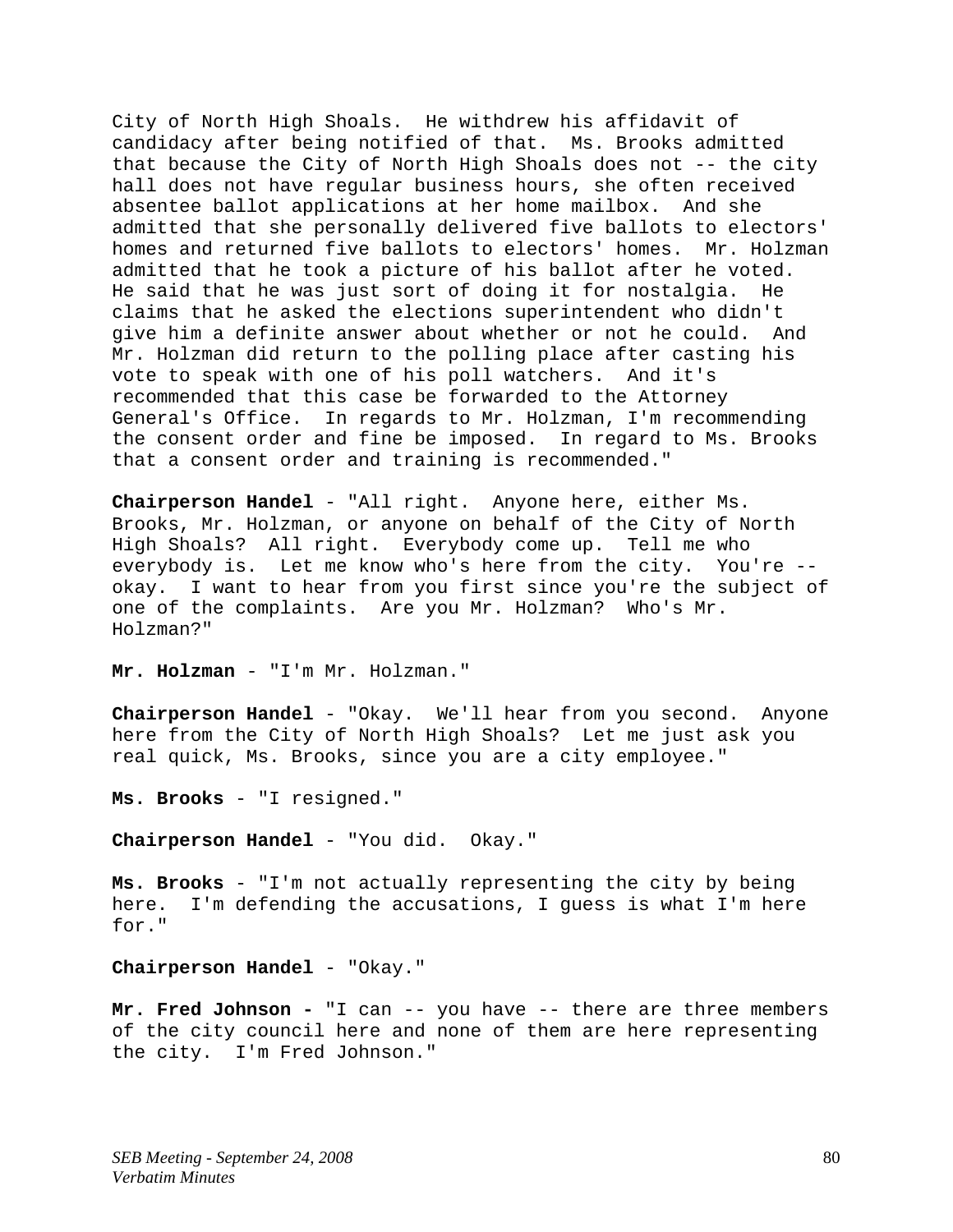City of North High Shoals. He withdrew his affidavit of candidacy after being notified of that. Ms. Brooks admitted that because the City of North High Shoals does not -- the city hall does not have regular business hours, she often received absentee ballot applications at her home mailbox. And she admitted that she personally delivered five ballots to electors' homes and returned five ballots to electors' homes. Mr. Holzman admitted that he took a picture of his ballot after he voted. He said that he was just sort of doing it for nostalgia. He claims that he asked the elections superintendent who didn't give him a definite answer about whether or not he could. And Mr. Holzman did return to the polling place after casting his vote to speak with one of his poll watchers. And it's recommended that this case be forwarded to the Attorney General's Office. In regards to Mr. Holzman, I'm recommending the consent order and fine be imposed. In regard to Ms. Brooks that a consent order and training is recommended."

**Chairperson Handel** - "All right. Anyone here, either Ms. Brooks, Mr. Holzman, or anyone on behalf of the City of North High Shoals? All right. Everybody come up. Tell me who everybody is. Let me know who's here from the city. You're - okay. I want to hear from you first since you're the subject of one of the complaints. Are you Mr. Holzman? Who's Mr. Holzman?"

**Mr. Holzman** - "I'm Mr. Holzman."

**Chairperson Handel** - "Okay. We'll hear from you second. Anyone here from the City of North High Shoals? Let me just ask you real quick, Ms. Brooks, since you are a city employee."

**Ms. Brooks** - "I resigned."

**Chairperson Handel** - "You did. Okay."

**Ms. Brooks** - "I'm not actually representing the city by being here. I'm defending the accusations, I guess is what I'm here for."

**Chairperson Handel** - "Okay."

**Mr. Fred Johnson -** "I can -- you have -- there are three members of the city council here and none of them are here representing the city. I'm Fred Johnson."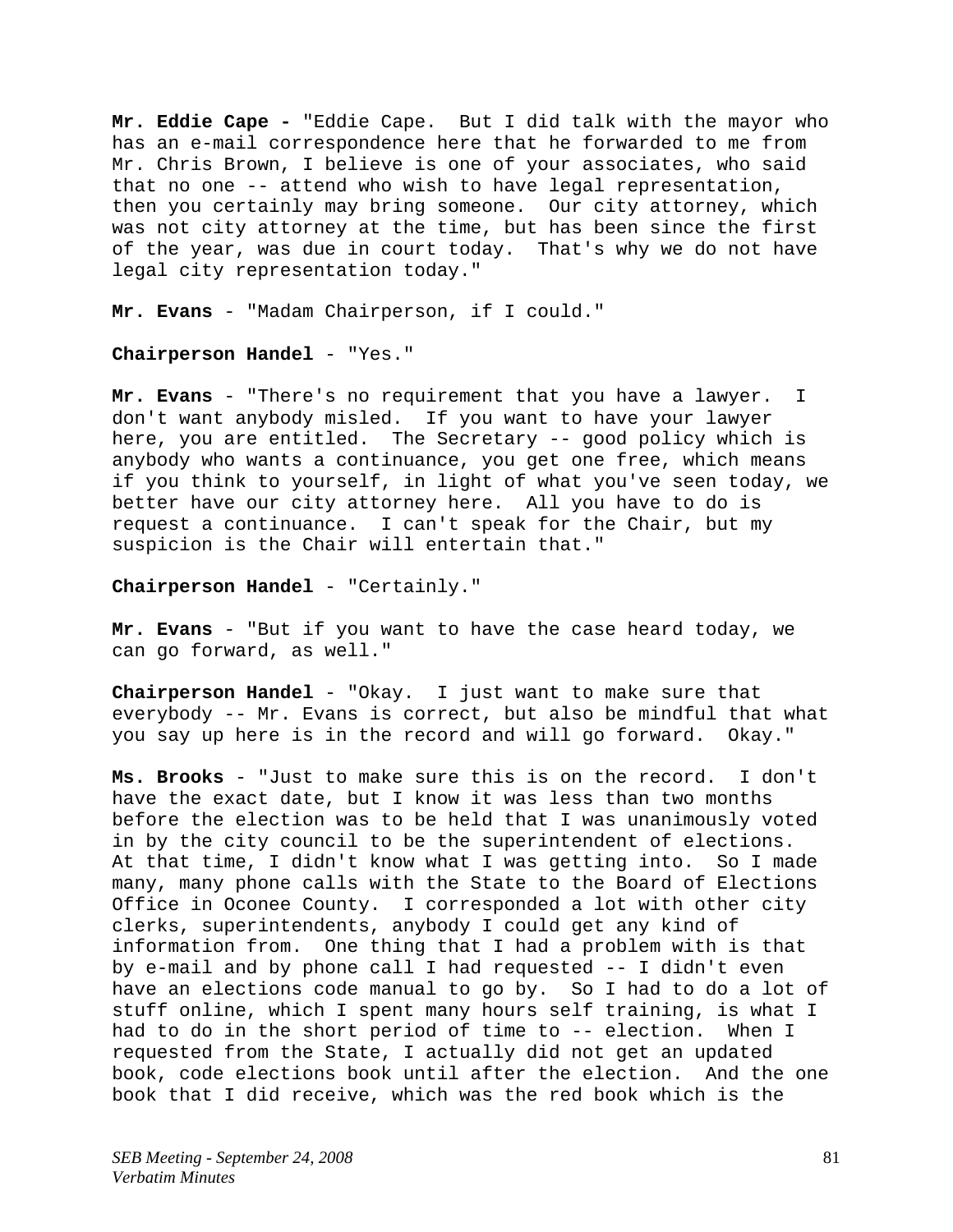**Mr. Eddie Cape -** "Eddie Cape. But I did talk with the mayor who has an e-mail correspondence here that he forwarded to me from Mr. Chris Brown, I believe is one of your associates, who said that no one -- attend who wish to have legal representation, then you certainly may bring someone. Our city attorney, which was not city attorney at the time, but has been since the first of the year, was due in court today. That's why we do not have legal city representation today."

**Mr. Evans** - "Madam Chairperson, if I could."

**Chairperson Handel** - "Yes."

**Mr. Evans** - "There's no requirement that you have a lawyer. I don't want anybody misled. If you want to have your lawyer here, you are entitled. The Secretary -- good policy which is anybody who wants a continuance, you get one free, which means if you think to yourself, in light of what you've seen today, we better have our city attorney here. All you have to do is request a continuance. I can't speak for the Chair, but my suspicion is the Chair will entertain that."

**Chairperson Handel** - "Certainly."

**Mr. Evans** - "But if you want to have the case heard today, we can go forward, as well."

**Chairperson Handel** - "Okay. I just want to make sure that everybody -- Mr. Evans is correct, but also be mindful that what you say up here is in the record and will go forward. Okay."

**Ms. Brooks** - "Just to make sure this is on the record. I don't have the exact date, but I know it was less than two months before the election was to be held that I was unanimously voted in by the city council to be the superintendent of elections. At that time, I didn't know what I was getting into. So I made many, many phone calls with the State to the Board of Elections Office in Oconee County. I corresponded a lot with other city clerks, superintendents, anybody I could get any kind of information from. One thing that I had a problem with is that by e-mail and by phone call I had requested -- I didn't even have an elections code manual to go by. So I had to do a lot of stuff online, which I spent many hours self training, is what I had to do in the short period of time to -- election. When I requested from the State, I actually did not get an updated book, code elections book until after the election. And the one book that I did receive, which was the red book which is the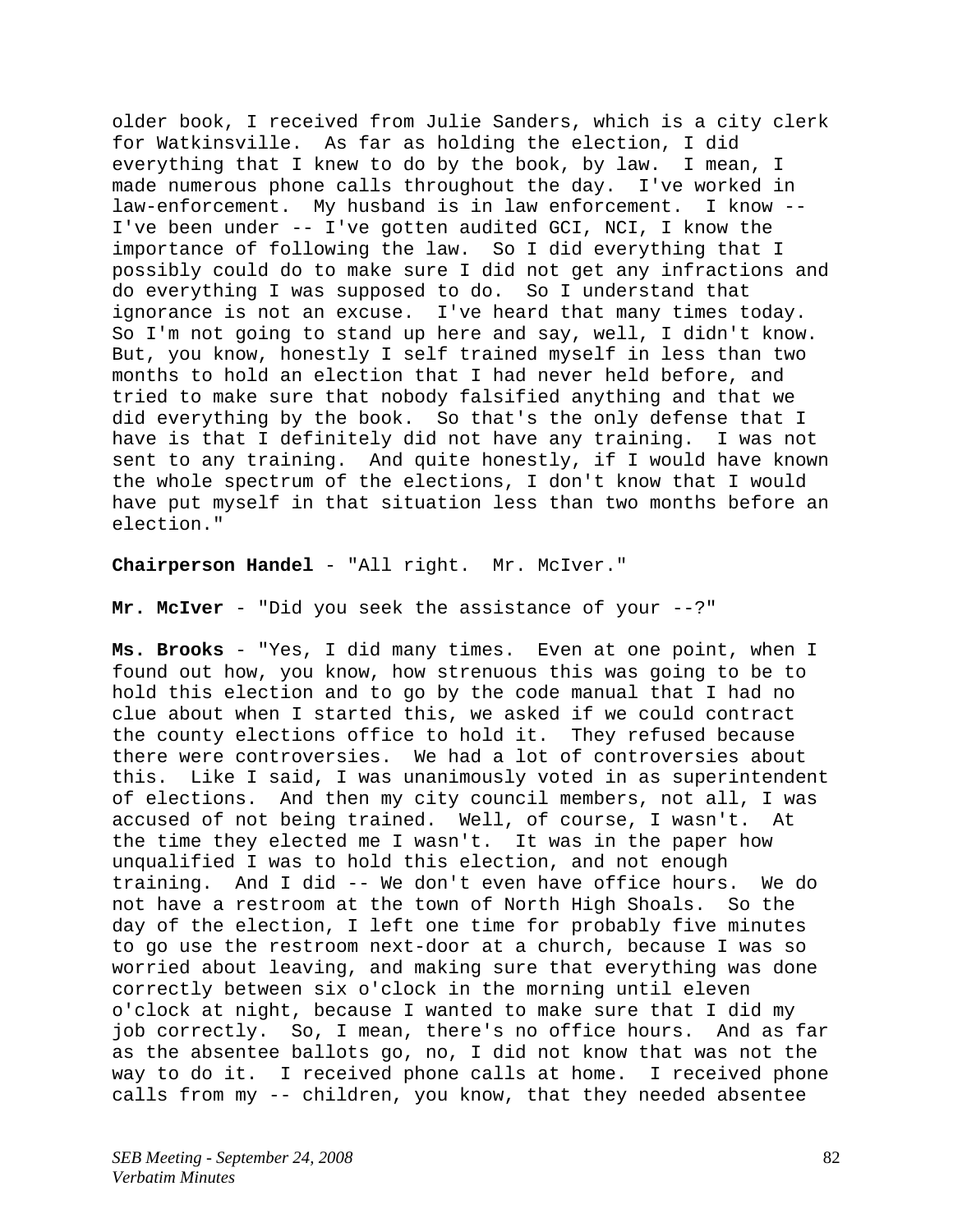older book, I received from Julie Sanders, which is a city clerk for Watkinsville. As far as holding the election, I did everything that I knew to do by the book, by law. I mean, I made numerous phone calls throughout the day. I've worked in law-enforcement. My husband is in law enforcement. I know -- I've been under -- I've gotten audited GCI, NCI, I know the importance of following the law. So I did everything that I possibly could do to make sure I did not get any infractions and do everything I was supposed to do. So I understand that ignorance is not an excuse. I've heard that many times today. So I'm not going to stand up here and say, well, I didn't know. But, you know, honestly I self trained myself in less than two months to hold an election that I had never held before, and tried to make sure that nobody falsified anything and that we did everything by the book. So that's the only defense that I have is that I definitely did not have any training. I was not sent to any training. And quite honestly, if I would have known the whole spectrum of the elections, I don't know that I would have put myself in that situation less than two months before an election."

# **Chairperson Handel** - "All right. Mr. McIver."

**Mr. McIver** - "Did you seek the assistance of your --?"

**Ms. Brooks** - "Yes, I did many times. Even at one point, when I found out how, you know, how strenuous this was going to be to hold this election and to go by the code manual that I had no clue about when I started this, we asked if we could contract the county elections office to hold it. They refused because there were controversies. We had a lot of controversies about this. Like I said, I was unanimously voted in as superintendent of elections. And then my city council members, not all, I was accused of not being trained. Well, of course, I wasn't. At the time they elected me I wasn't. It was in the paper how unqualified I was to hold this election, and not enough training. And I did -- We don't even have office hours. We do not have a restroom at the town of North High Shoals. So the day of the election, I left one time for probably five minutes to go use the restroom next-door at a church, because I was so worried about leaving, and making sure that everything was done correctly between six o'clock in the morning until eleven o'clock at night, because I wanted to make sure that I did my job correctly. So, I mean, there's no office hours. And as far as the absentee ballots go, no, I did not know that was not the way to do it. I received phone calls at home. I received phone calls from my -- children, you know, that they needed absentee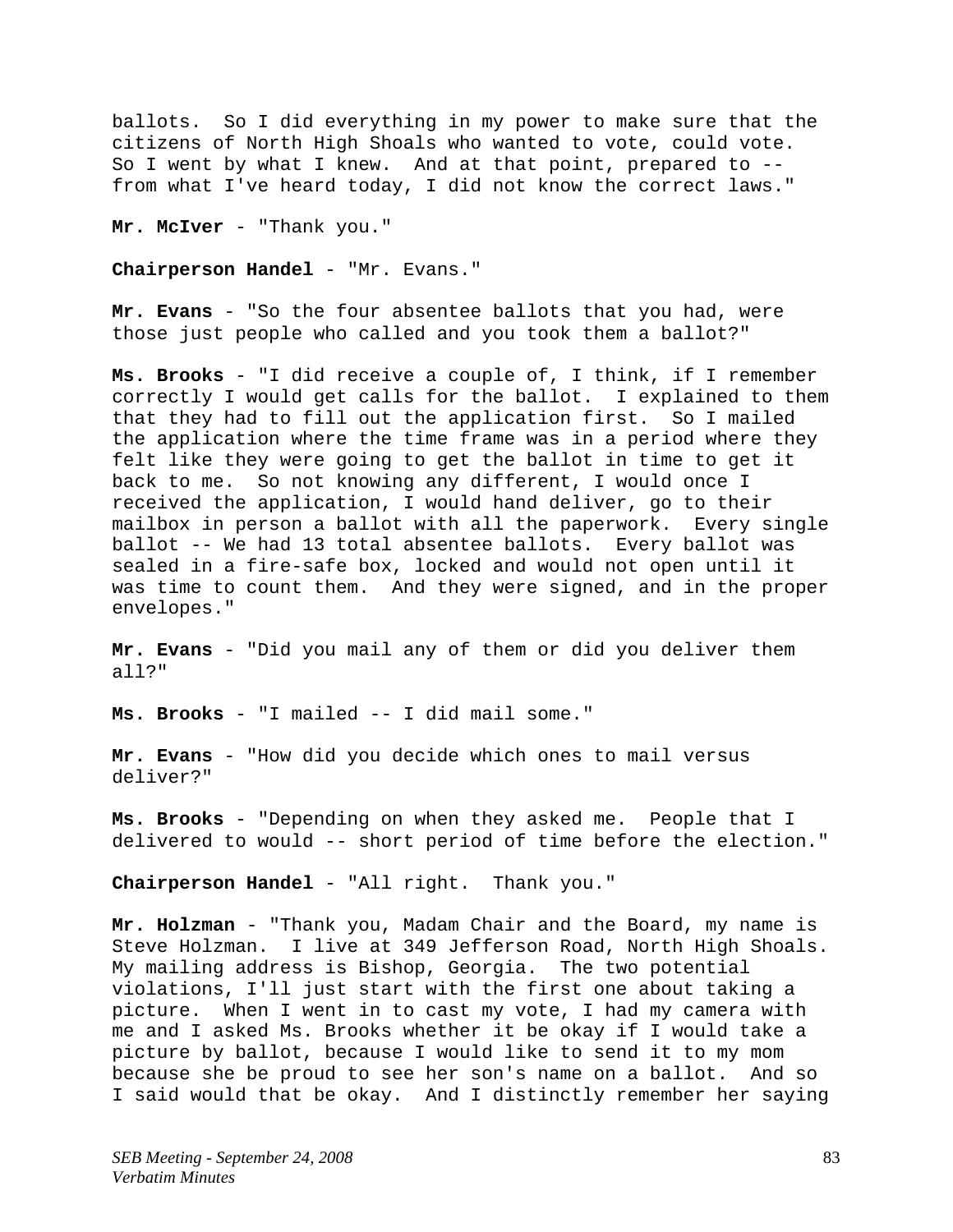ballots. So I did everything in my power to make sure that the citizens of North High Shoals who wanted to vote, could vote. So I went by what I knew. And at that point, prepared to - from what I've heard today, I did not know the correct laws."

**Mr. McIver** - "Thank you."

**Chairperson Handel** - "Mr. Evans."

**Mr. Evans** - "So the four absentee ballots that you had, were those just people who called and you took them a ballot?"

**Ms. Brooks** - "I did receive a couple of, I think, if I remember correctly I would get calls for the ballot. I explained to them that they had to fill out the application first. So I mailed the application where the time frame was in a period where they felt like they were going to get the ballot in time to get it back to me. So not knowing any different, I would once I received the application, I would hand deliver, go to their mailbox in person a ballot with all the paperwork. Every single ballot -- We had 13 total absentee ballots. Every ballot was sealed in a fire-safe box, locked and would not open until it was time to count them. And they were signed, and in the proper envelopes."

**Mr. Evans** - "Did you mail any of them or did you deliver them all?"

**Ms. Brooks** - "I mailed -- I did mail some."

**Mr. Evans** - "How did you decide which ones to mail versus deliver?"

**Ms. Brooks** - "Depending on when they asked me. People that I delivered to would -- short period of time before the election."

**Chairperson Handel** - "All right. Thank you."

**Mr. Holzman** - "Thank you, Madam Chair and the Board, my name is Steve Holzman. I live at 349 Jefferson Road, North High Shoals. My mailing address is Bishop, Georgia. The two potential violations, I'll just start with the first one about taking a picture. When I went in to cast my vote, I had my camera with me and I asked Ms. Brooks whether it be okay if I would take a picture by ballot, because I would like to send it to my mom because she be proud to see her son's name on a ballot. And so I said would that be okay. And I distinctly remember her saying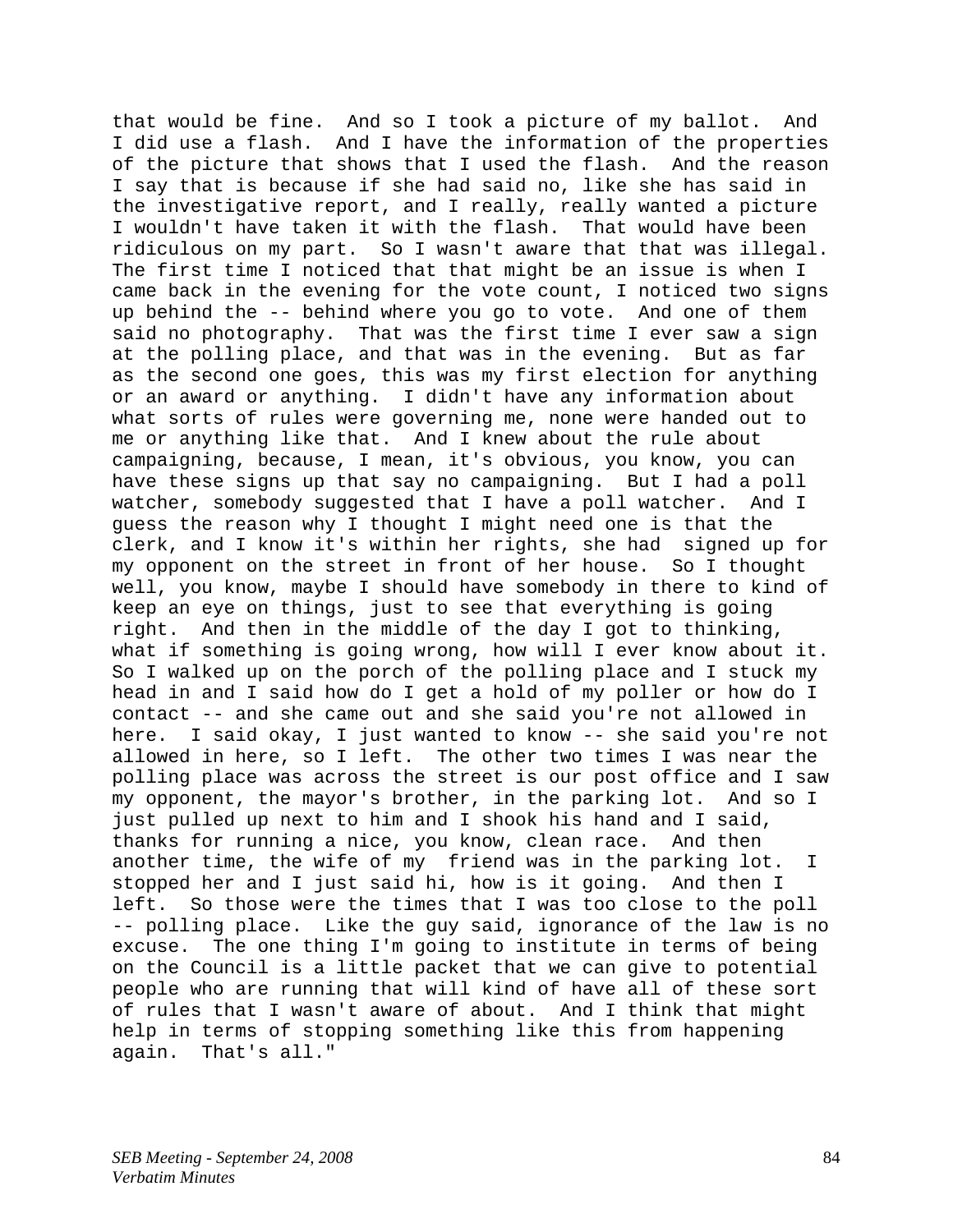that would be fine. And so I took a picture of my ballot. And I did use a flash. And I have the information of the properties of the picture that shows that I used the flash. And the reason I say that is because if she had said no, like she has said in the investigative report, and I really, really wanted a picture I wouldn't have taken it with the flash. That would have been ridiculous on my part. So I wasn't aware that that was illegal. The first time I noticed that that might be an issue is when I came back in the evening for the vote count, I noticed two signs up behind the -- behind where you go to vote. And one of them said no photography. That was the first time I ever saw a sign at the polling place, and that was in the evening. But as far as the second one goes, this was my first election for anything or an award or anything. I didn't have any information about what sorts of rules were governing me, none were handed out to me or anything like that. And I knew about the rule about campaigning, because, I mean, it's obvious, you know, you can have these signs up that say no campaigning. But I had a poll watcher, somebody suggested that I have a poll watcher. And I guess the reason why I thought I might need one is that the clerk, and I know it's within her rights, she had signed up for my opponent on the street in front of her house. So I thought well, you know, maybe I should have somebody in there to kind of keep an eye on things, just to see that everything is going right. And then in the middle of the day I got to thinking, what if something is going wrong, how will I ever know about it. So I walked up on the porch of the polling place and I stuck my head in and I said how do I get a hold of my poller or how do I contact -- and she came out and she said you're not allowed in here. I said okay, I just wanted to know -- she said you're not allowed in here, so I left. The other two times I was near the polling place was across the street is our post office and I saw my opponent, the mayor's brother, in the parking lot. And so I just pulled up next to him and I shook his hand and I said, thanks for running a nice, you know, clean race. And then another time, the wife of my friend was in the parking lot. I stopped her and I just said hi, how is it going. And then I left. So those were the times that I was too close to the poll -- polling place. Like the guy said, ignorance of the law is no excuse. The one thing I'm going to institute in terms of being on the Council is a little packet that we can give to potential people who are running that will kind of have all of these sort of rules that I wasn't aware of about. And I think that might help in terms of stopping something like this from happening again. That's all."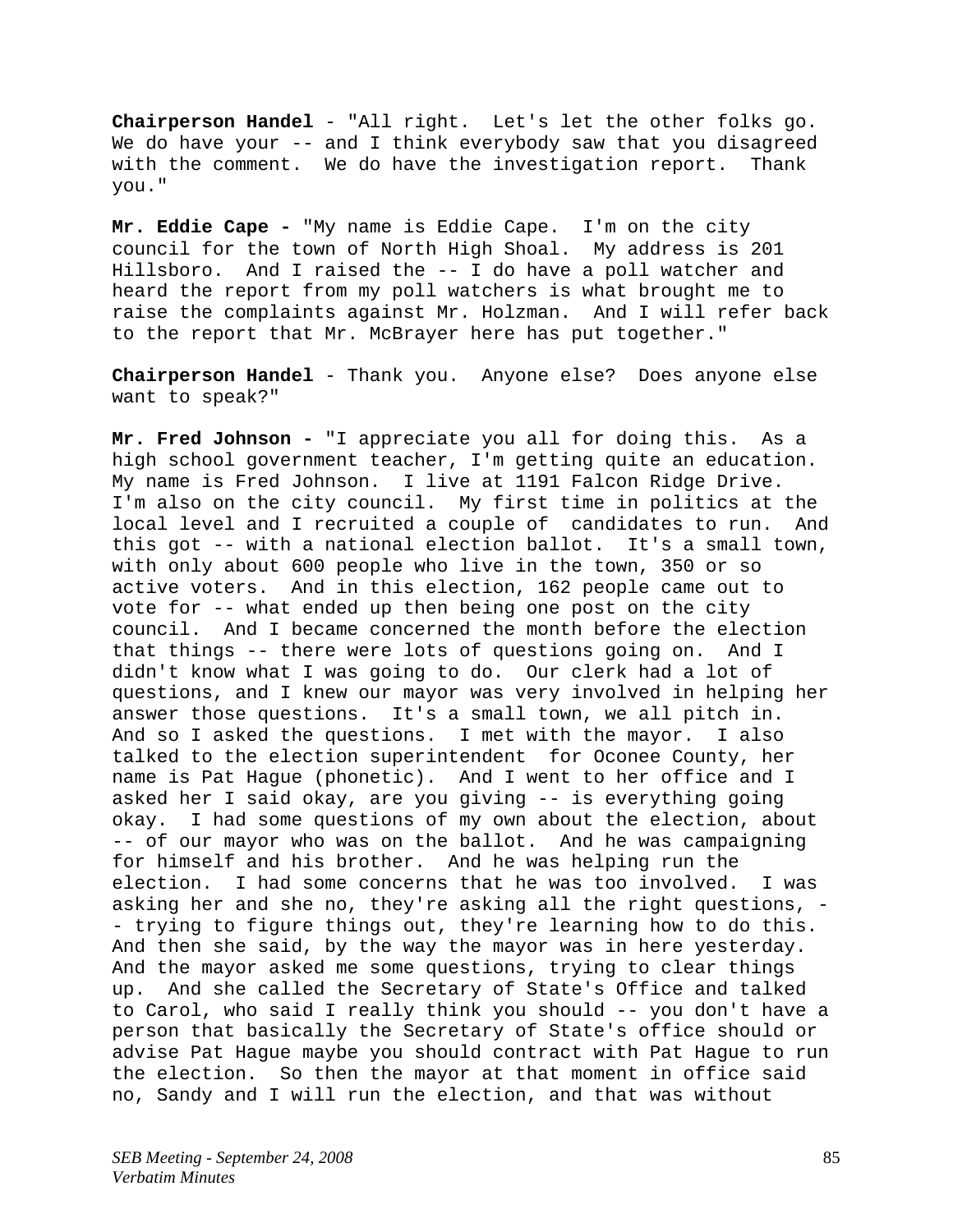**Chairperson Handel** - "All right. Let's let the other folks go. We do have your -- and I think everybody saw that you disagreed with the comment. We do have the investigation report. Thank you."

**Mr. Eddie Cape -** "My name is Eddie Cape. I'm on the city council for the town of North High Shoal. My address is 201 Hillsboro. And I raised the -- I do have a poll watcher and heard the report from my poll watchers is what brought me to raise the complaints against Mr. Holzman. And I will refer back to the report that Mr. McBrayer here has put together."

**Chairperson Handel** - Thank you. Anyone else? Does anyone else want to speak?"

**Mr. Fred Johnson -** "I appreciate you all for doing this. As a high school government teacher, I'm getting quite an education. My name is Fred Johnson. I live at 1191 Falcon Ridge Drive. I'm also on the city council. My first time in politics at the local level and I recruited a couple of candidates to run. And this got -- with a national election ballot. It's a small town, with only about 600 people who live in the town, 350 or so active voters. And in this election, 162 people came out to vote for -- what ended up then being one post on the city council. And I became concerned the month before the election that things -- there were lots of questions going on. And I didn't know what I was going to do. Our clerk had a lot of questions, and I knew our mayor was very involved in helping her answer those questions. It's a small town, we all pitch in. And so I asked the questions. I met with the mayor. I also talked to the election superintendent for Oconee County, her name is Pat Hague (phonetic). And I went to her office and I asked her I said okay, are you giving -- is everything going okay. I had some questions of my own about the election, about -- of our mayor who was on the ballot. And he was campaigning for himself and his brother. And he was helping run the election. I had some concerns that he was too involved. I was asking her and she no, they're asking all the right questions, - - trying to figure things out, they're learning how to do this. And then she said, by the way the mayor was in here yesterday. And the mayor asked me some questions, trying to clear things up. And she called the Secretary of State's Office and talked to Carol, who said I really think you should -- you don't have a person that basically the Secretary of State's office should or advise Pat Hague maybe you should contract with Pat Hague to run the election. So then the mayor at that moment in office said no, Sandy and I will run the election, and that was without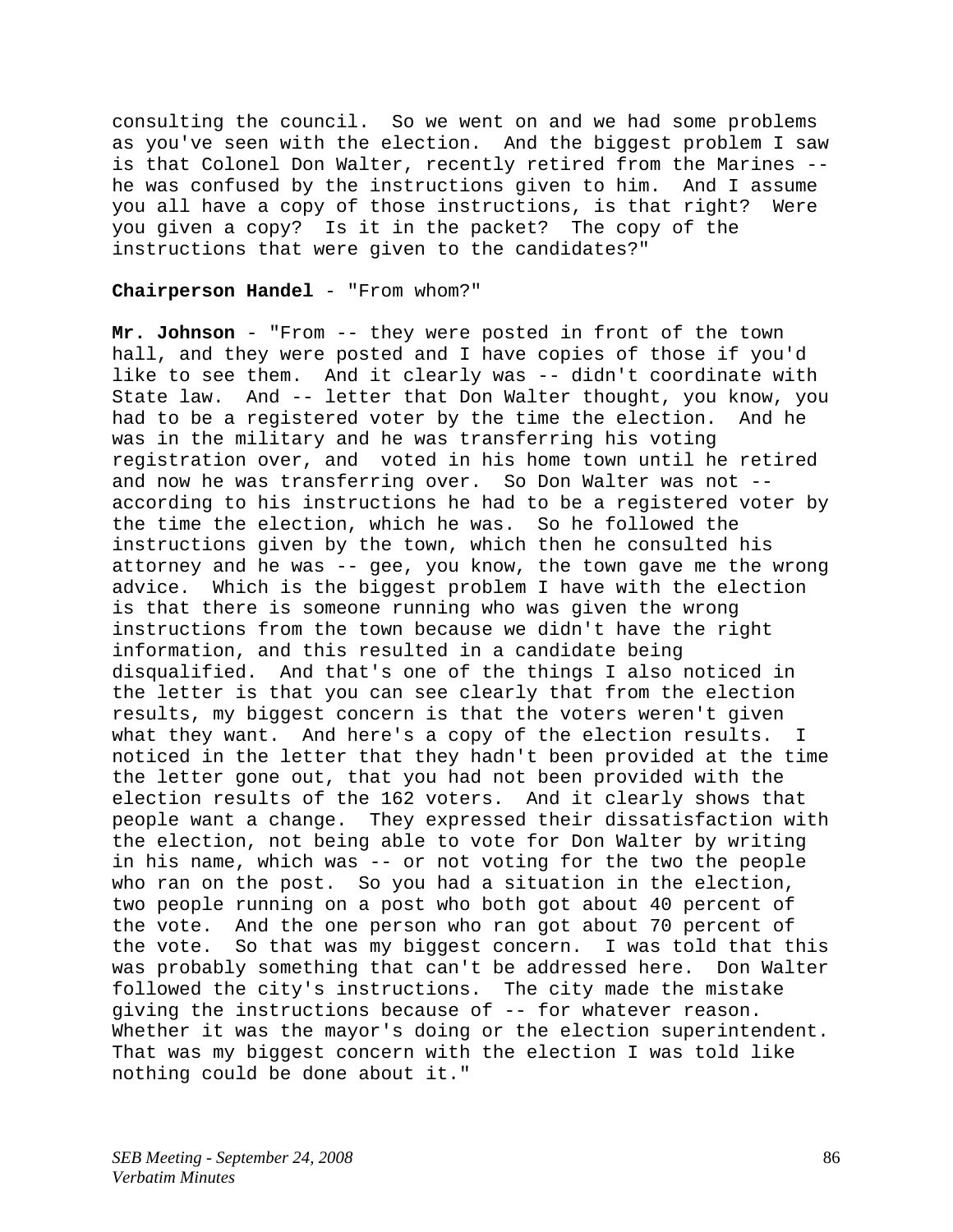consulting the council. So we went on and we had some problems as you've seen with the election. And the biggest problem I saw is that Colonel Don Walter, recently retired from the Marines - he was confused by the instructions given to him. And I assume you all have a copy of those instructions, is that right? Were you given a copy? Is it in the packet? The copy of the instructions that were given to the candidates?"

# **Chairperson Handel** - "From whom?"

Mr. Johnson - "From -- they were posted in front of the town hall, and they were posted and I have copies of those if you'd like to see them. And it clearly was -- didn't coordinate with State law. And -- letter that Don Walter thought, you know, you had to be a registered voter by the time the election. And he was in the military and he was transferring his voting registration over, and voted in his home town until he retired and now he was transferring over. So Don Walter was not - according to his instructions he had to be a registered voter by the time the election, which he was. So he followed the instructions given by the town, which then he consulted his attorney and he was -- gee, you know, the town gave me the wrong advice. Which is the biggest problem I have with the election is that there is someone running who was given the wrong instructions from the town because we didn't have the right information, and this resulted in a candidate being disqualified. And that's one of the things I also noticed in the letter is that you can see clearly that from the election results, my biggest concern is that the voters weren't given what they want. And here's a copy of the election results. I noticed in the letter that they hadn't been provided at the time the letter gone out, that you had not been provided with the election results of the 162 voters. And it clearly shows that people want a change. They expressed their dissatisfaction with the election, not being able to vote for Don Walter by writing in his name, which was -- or not voting for the two the people who ran on the post. So you had a situation in the election, two people running on a post who both got about 40 percent of the vote. And the one person who ran got about 70 percent of the vote. So that was my biggest concern. I was told that this was probably something that can't be addressed here. Don Walter followed the city's instructions. The city made the mistake giving the instructions because of -- for whatever reason. Whether it was the mayor's doing or the election superintendent. That was my biggest concern with the election I was told like nothing could be done about it."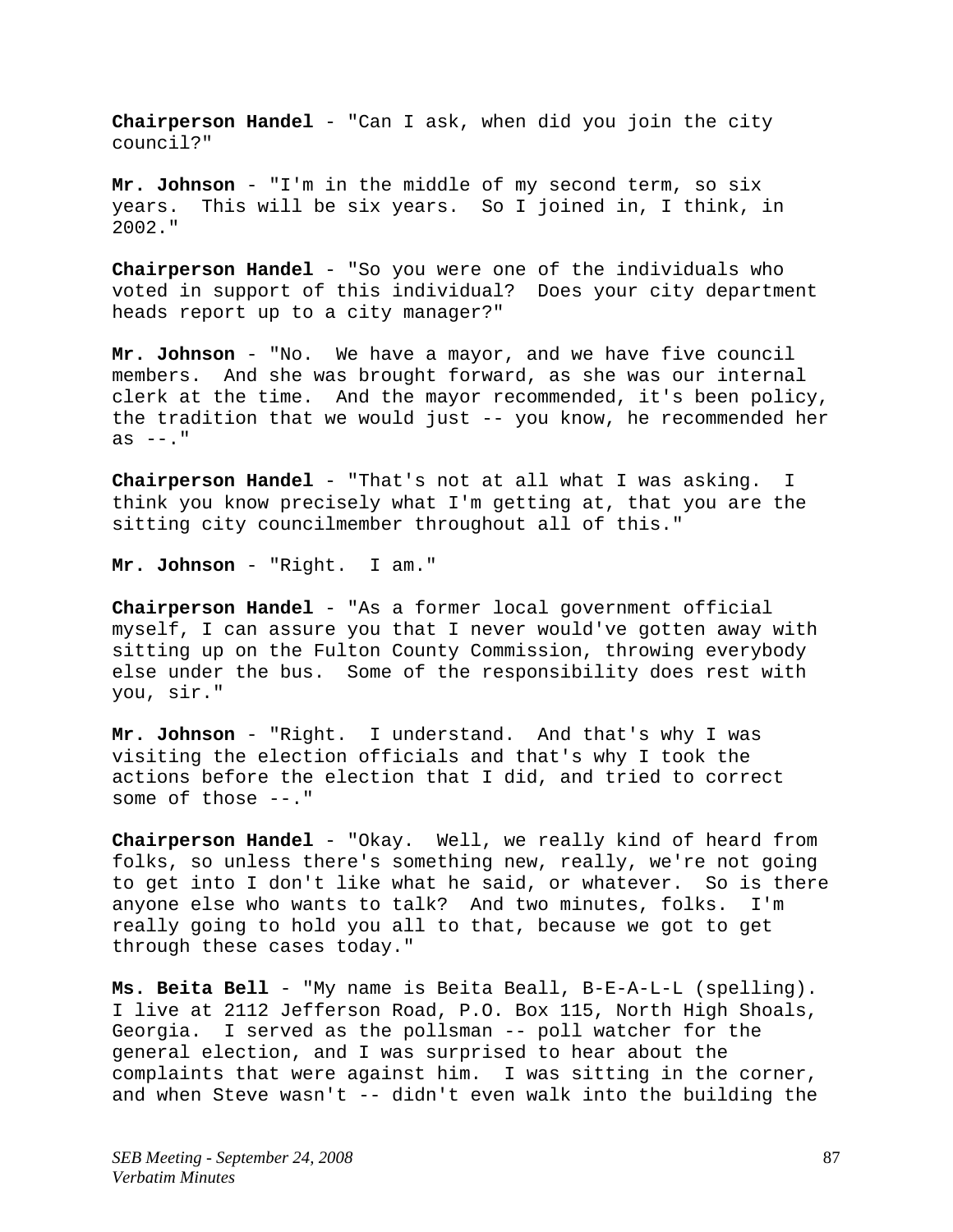**Chairperson Handel** - "Can I ask, when did you join the city council?"

**Mr. Johnson** - "I'm in the middle of my second term, so six years. This will be six years. So I joined in, I think, in 2002."

**Chairperson Handel** - "So you were one of the individuals who voted in support of this individual? Does your city department heads report up to a city manager?"

**Mr. Johnson** - "No. We have a mayor, and we have five council members. And she was brought forward, as she was our internal clerk at the time. And the mayor recommended, it's been policy, the tradition that we would just -- you know, he recommended her as  $--$ ."

**Chairperson Handel** - "That's not at all what I was asking. I think you know precisely what I'm getting at, that you are the sitting city councilmember throughout all of this."

**Mr. Johnson** - "Right. I am."

**Chairperson Handel** - "As a former local government official myself, I can assure you that I never would've gotten away with sitting up on the Fulton County Commission, throwing everybody else under the bus. Some of the responsibility does rest with you, sir."

**Mr. Johnson** - "Right. I understand. And that's why I was visiting the election officials and that's why I took the actions before the election that I did, and tried to correct some of those --."

**Chairperson Handel** - "Okay. Well, we really kind of heard from folks, so unless there's something new, really, we're not going to get into I don't like what he said, or whatever. So is there anyone else who wants to talk? And two minutes, folks. I'm really going to hold you all to that, because we got to get through these cases today."

**Ms. Beita Bell** - "My name is Beita Beall, B-E-A-L-L (spelling). I live at 2112 Jefferson Road, P.O. Box 115, North High Shoals, Georgia. I served as the pollsman -- poll watcher for the general election, and I was surprised to hear about the complaints that were against him. I was sitting in the corner, and when Steve wasn't -- didn't even walk into the building the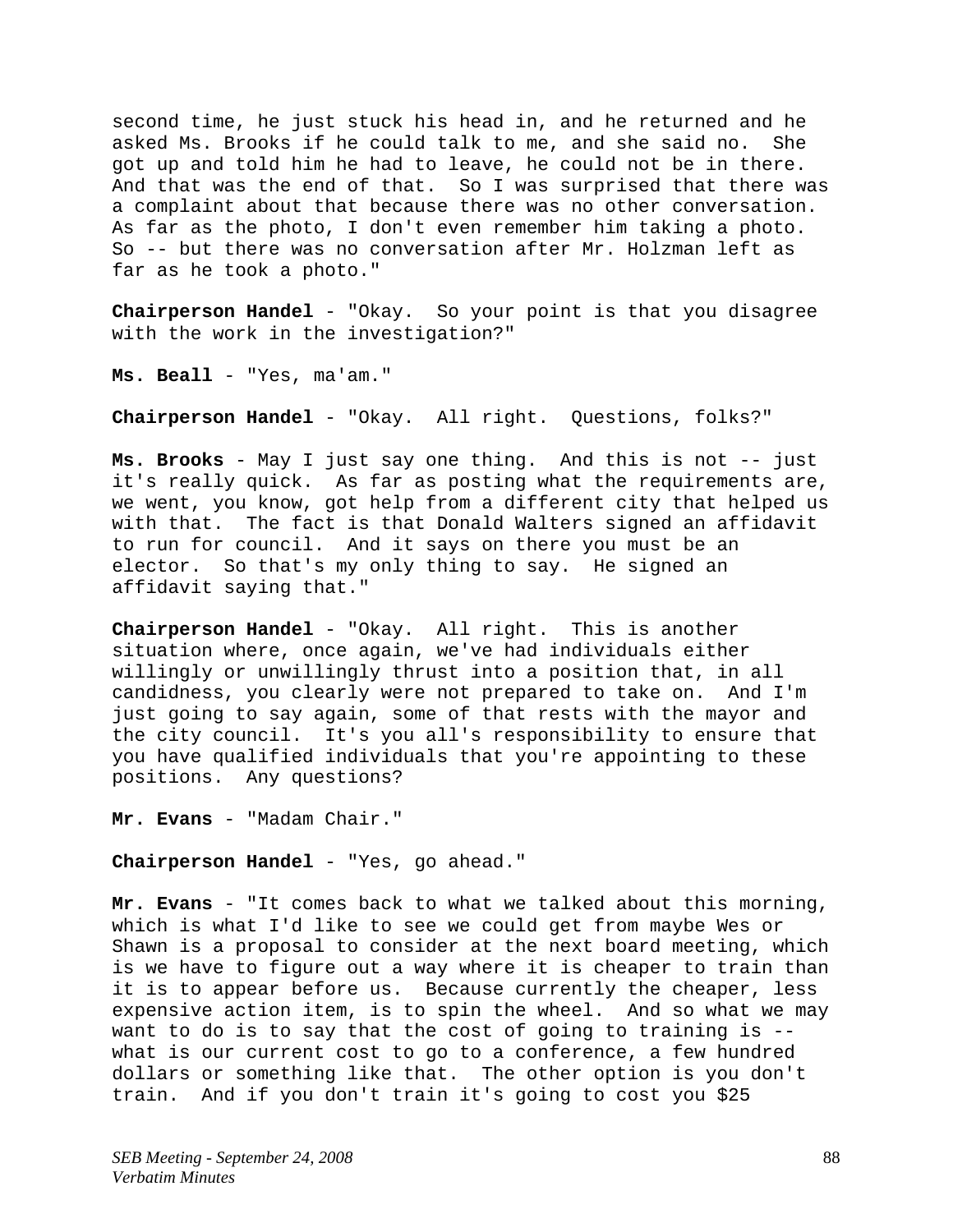second time, he just stuck his head in, and he returned and he asked Ms. Brooks if he could talk to me, and she said no. She got up and told him he had to leave, he could not be in there. And that was the end of that. So I was surprised that there was a complaint about that because there was no other conversation. As far as the photo, I don't even remember him taking a photo. So -- but there was no conversation after Mr. Holzman left as far as he took a photo."

**Chairperson Handel** - "Okay. So your point is that you disagree with the work in the investigation?"

**Ms. Beall** - "Yes, ma'am."

**Chairperson Handel** - "Okay. All right. Questions, folks?"

**Ms. Brooks** - May I just say one thing. And this is not -- just it's really quick. As far as posting what the requirements are, we went, you know, got help from a different city that helped us with that. The fact is that Donald Walters signed an affidavit to run for council. And it says on there you must be an elector. So that's my only thing to say. He signed an affidavit saying that."

**Chairperson Handel** - "Okay. All right. This is another situation where, once again, we've had individuals either willingly or unwillingly thrust into a position that, in all candidness, you clearly were not prepared to take on. And I'm just going to say again, some of that rests with the mayor and the city council. It's you all's responsibility to ensure that you have qualified individuals that you're appointing to these positions. Any questions?

**Mr. Evans** - "Madam Chair."

**Chairperson Handel** - "Yes, go ahead."

**Mr. Evans** - "It comes back to what we talked about this morning, which is what I'd like to see we could get from maybe Wes or Shawn is a proposal to consider at the next board meeting, which is we have to figure out a way where it is cheaper to train than it is to appear before us. Because currently the cheaper, less expensive action item, is to spin the wheel. And so what we may want to do is to say that the cost of going to training is - what is our current cost to go to a conference, a few hundred dollars or something like that. The other option is you don't train. And if you don't train it's going to cost you \$25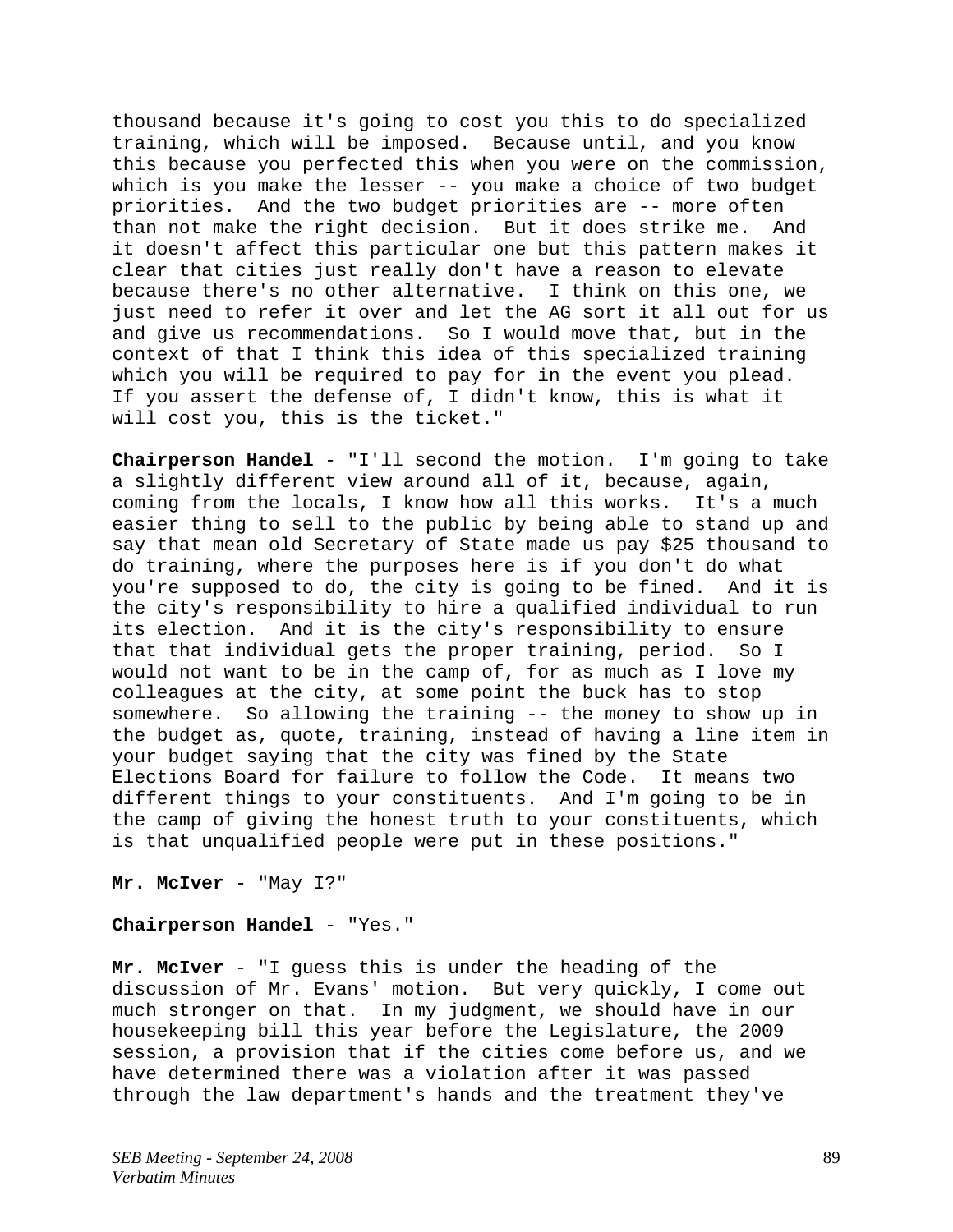thousand because it's going to cost you this to do specialized training, which will be imposed. Because until, and you know this because you perfected this when you were on the commission, which is you make the lesser -- you make a choice of two budget priorities. And the two budget priorities are -- more often than not make the right decision. But it does strike me. And it doesn't affect this particular one but this pattern makes it clear that cities just really don't have a reason to elevate because there's no other alternative. I think on this one, we just need to refer it over and let the AG sort it all out for us and give us recommendations. So I would move that, but in the context of that I think this idea of this specialized training which you will be required to pay for in the event you plead. If you assert the defense of, I didn't know, this is what it will cost you, this is the ticket."

**Chairperson Handel** - "I'll second the motion. I'm going to take a slightly different view around all of it, because, again, coming from the locals, I know how all this works. It's a much easier thing to sell to the public by being able to stand up and say that mean old Secretary of State made us pay \$25 thousand to do training, where the purposes here is if you don't do what you're supposed to do, the city is going to be fined. And it is the city's responsibility to hire a qualified individual to run its election. And it is the city's responsibility to ensure that that individual gets the proper training, period. So I would not want to be in the camp of, for as much as I love my colleagues at the city, at some point the buck has to stop somewhere. So allowing the training -- the money to show up in the budget as, quote, training, instead of having a line item in your budget saying that the city was fined by the State Elections Board for failure to follow the Code. It means two different things to your constituents. And I'm going to be in the camp of giving the honest truth to your constituents, which is that unqualified people were put in these positions."

**Mr. McIver** - "May I?"

**Chairperson Handel** - "Yes."

**Mr. McIver** - "I guess this is under the heading of the discussion of Mr. Evans' motion. But very quickly, I come out much stronger on that. In my judgment, we should have in our housekeeping bill this year before the Legislature, the 2009 session, a provision that if the cities come before us, and we have determined there was a violation after it was passed through the law department's hands and the treatment they've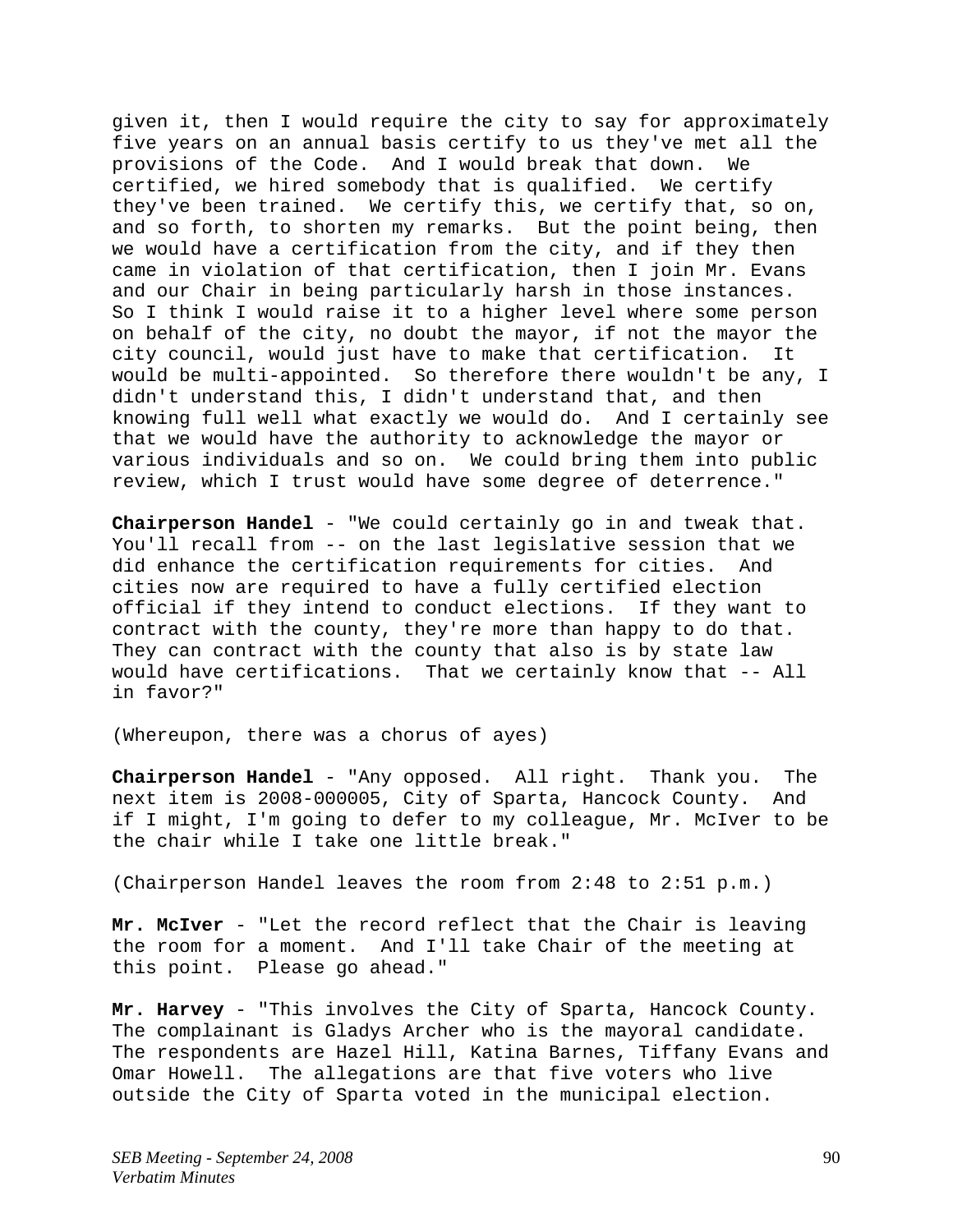given it, then I would require the city to say for approximately five years on an annual basis certify to us they've met all the provisions of the Code. And I would break that down. We certified, we hired somebody that is qualified. We certify they've been trained. We certify this, we certify that, so on, and so forth, to shorten my remarks. But the point being, then we would have a certification from the city, and if they then came in violation of that certification, then I join Mr. Evans and our Chair in being particularly harsh in those instances. So I think I would raise it to a higher level where some person on behalf of the city, no doubt the mayor, if not the mayor the city council, would just have to make that certification. It would be multi-appointed. So therefore there wouldn't be any, I didn't understand this, I didn't understand that, and then knowing full well what exactly we would do. And I certainly see that we would have the authority to acknowledge the mayor or various individuals and so on. We could bring them into public review, which I trust would have some degree of deterrence."

**Chairperson Handel** - "We could certainly go in and tweak that. You'll recall from -- on the last legislative session that we did enhance the certification requirements for cities. And cities now are required to have a fully certified election official if they intend to conduct elections. If they want to contract with the county, they're more than happy to do that. They can contract with the county that also is by state law would have certifications. That we certainly know that -- All in favor?"

(Whereupon, there was a chorus of ayes)

**Chairperson Handel** - "Any opposed. All right. Thank you. The next item is 2008-000005, City of Sparta, Hancock County. And if I might, I'm going to defer to my colleague, Mr. McIver to be the chair while I take one little break."

(Chairperson Handel leaves the room from 2:48 to 2:51 p.m.)

**Mr. McIver** - "Let the record reflect that the Chair is leaving the room for a moment. And I'll take Chair of the meeting at this point. Please go ahead."

**Mr. Harvey** - "This involves the City of Sparta, Hancock County. The complainant is Gladys Archer who is the mayoral candidate. The respondents are Hazel Hill, Katina Barnes, Tiffany Evans and Omar Howell. The allegations are that five voters who live outside the City of Sparta voted in the municipal election.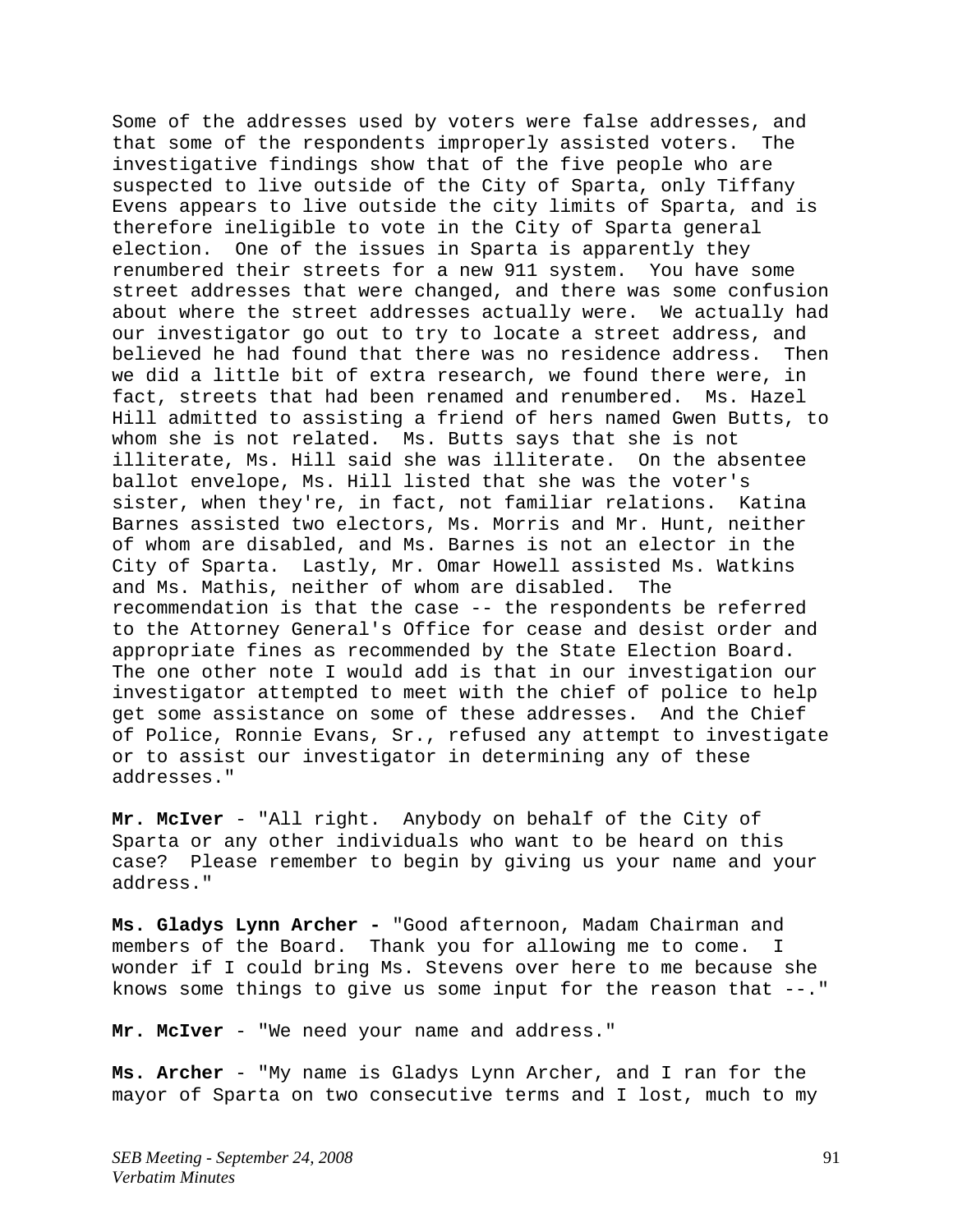Some of the addresses used by voters were false addresses, and that some of the respondents improperly assisted voters. The investigative findings show that of the five people who are suspected to live outside of the City of Sparta, only Tiffany Evens appears to live outside the city limits of Sparta, and is therefore ineligible to vote in the City of Sparta general election. One of the issues in Sparta is apparently they renumbered their streets for a new 911 system. You have some street addresses that were changed, and there was some confusion about where the street addresses actually were. We actually had our investigator go out to try to locate a street address, and believed he had found that there was no residence address. Then we did a little bit of extra research, we found there were, in fact, streets that had been renamed and renumbered. Ms. Hazel Hill admitted to assisting a friend of hers named Gwen Butts, to whom she is not related. Ms. Butts says that she is not illiterate, Ms. Hill said she was illiterate. On the absentee ballot envelope, Ms. Hill listed that she was the voter's sister, when they're, in fact, not familiar relations. Katina Barnes assisted two electors, Ms. Morris and Mr. Hunt, neither of whom are disabled, and Ms. Barnes is not an elector in the City of Sparta. Lastly, Mr. Omar Howell assisted Ms. Watkins and Ms. Mathis, neither of whom are disabled. The recommendation is that the case -- the respondents be referred to the Attorney General's Office for cease and desist order and appropriate fines as recommended by the State Election Board. The one other note I would add is that in our investigation our investigator attempted to meet with the chief of police to help get some assistance on some of these addresses. And the Chief of Police, Ronnie Evans, Sr., refused any attempt to investigate or to assist our investigator in determining any of these addresses."

**Mr. McIver** - "All right. Anybody on behalf of the City of Sparta or any other individuals who want to be heard on this case? Please remember to begin by giving us your name and your address."

**Ms. Gladys Lynn Archer -** "Good afternoon, Madam Chairman and members of the Board. Thank you for allowing me to come. I wonder if I could bring Ms. Stevens over here to me because she knows some things to give us some input for the reason that --."

**Mr. McIver** - "We need your name and address."

**Ms. Archer** - "My name is Gladys Lynn Archer, and I ran for the mayor of Sparta on two consecutive terms and I lost, much to my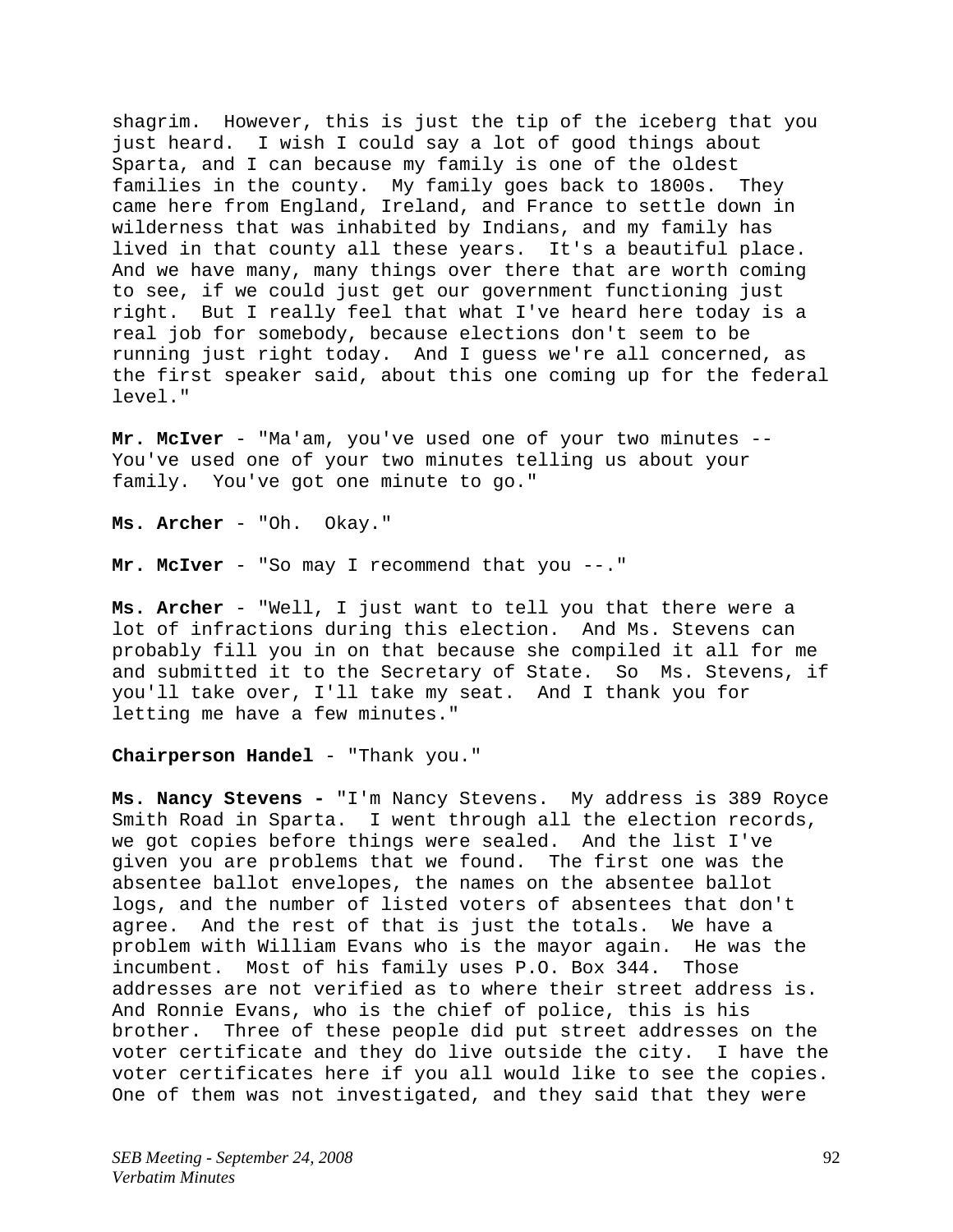shagrim. However, this is just the tip of the iceberg that you just heard. I wish I could say a lot of good things about Sparta, and I can because my family is one of the oldest families in the county. My family goes back to 1800s. They came here from England, Ireland, and France to settle down in wilderness that was inhabited by Indians, and my family has lived in that county all these years. It's a beautiful place. And we have many, many things over there that are worth coming to see, if we could just get our government functioning just right. But I really feel that what I've heard here today is a real job for somebody, because elections don't seem to be running just right today. And I guess we're all concerned, as the first speaker said, about this one coming up for the federal level."

**Mr. McIver** - "Ma'am, you've used one of your two minutes -- You've used one of your two minutes telling us about your family. You've got one minute to go."

**Ms. Archer** - "Oh. Okay."

**Mr. McIver** - "So may I recommend that you --."

**Ms. Archer** - "Well, I just want to tell you that there were a lot of infractions during this election. And Ms. Stevens can probably fill you in on that because she compiled it all for me and submitted it to the Secretary of State. So Ms. Stevens, if you'll take over, I'll take my seat. And I thank you for letting me have a few minutes."

## **Chairperson Handel** - "Thank you."

**Ms. Nancy Stevens -** "I'm Nancy Stevens. My address is 389 Royce Smith Road in Sparta. I went through all the election records, we got copies before things were sealed. And the list I've given you are problems that we found. The first one was the absentee ballot envelopes, the names on the absentee ballot logs, and the number of listed voters of absentees that don't agree. And the rest of that is just the totals. We have a problem with William Evans who is the mayor again. He was the incumbent. Most of his family uses P.O. Box 344. Those addresses are not verified as to where their street address is. And Ronnie Evans, who is the chief of police, this is his brother. Three of these people did put street addresses on the voter certificate and they do live outside the city. I have the voter certificates here if you all would like to see the copies. One of them was not investigated, and they said that they were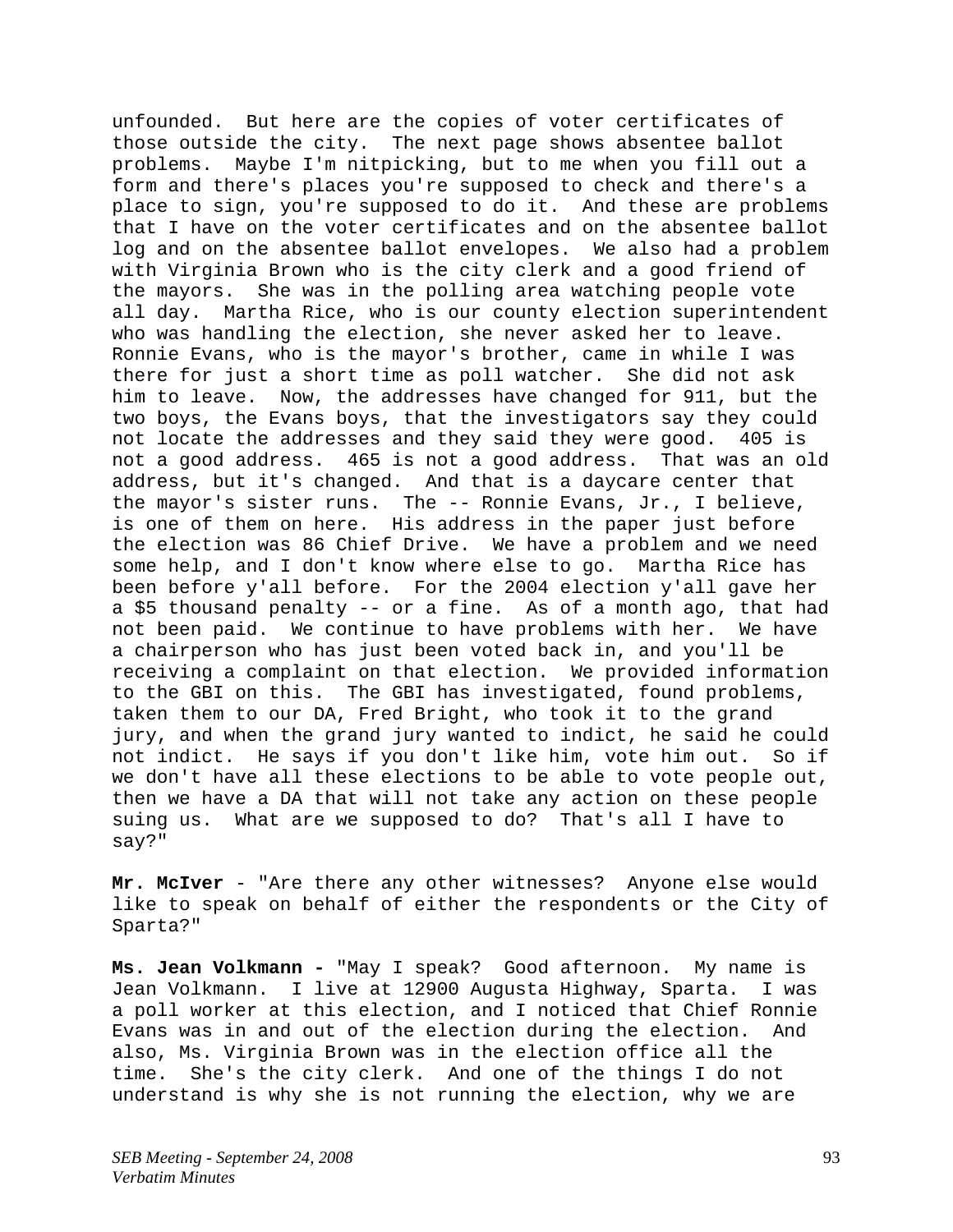unfounded. But here are the copies of voter certificates of those outside the city. The next page shows absentee ballot problems. Maybe I'm nitpicking, but to me when you fill out a form and there's places you're supposed to check and there's a place to sign, you're supposed to do it. And these are problems that I have on the voter certificates and on the absentee ballot log and on the absentee ballot envelopes. We also had a problem with Virginia Brown who is the city clerk and a good friend of the mayors. She was in the polling area watching people vote all day. Martha Rice, who is our county election superintendent who was handling the election, she never asked her to leave. Ronnie Evans, who is the mayor's brother, came in while I was there for just a short time as poll watcher. She did not ask him to leave. Now, the addresses have changed for 911, but the two boys, the Evans boys, that the investigators say they could not locate the addresses and they said they were good. 405 is not a good address. 465 is not a good address. That was an old address, but it's changed. And that is a daycare center that the mayor's sister runs. The -- Ronnie Evans, Jr., I believe, is one of them on here. His address in the paper just before the election was 86 Chief Drive. We have a problem and we need some help, and I don't know where else to go. Martha Rice has been before y'all before. For the 2004 election y'all gave her a \$5 thousand penalty -- or a fine. As of a month ago, that had not been paid. We continue to have problems with her. We have a chairperson who has just been voted back in, and you'll be receiving a complaint on that election. We provided information to the GBI on this. The GBI has investigated, found problems, taken them to our DA, Fred Bright, who took it to the grand jury, and when the grand jury wanted to indict, he said he could not indict. He says if you don't like him, vote him out. So if we don't have all these elections to be able to vote people out, then we have a DA that will not take any action on these people suing us. What are we supposed to do? That's all I have to say?"

**Mr. McIver** - "Are there any other witnesses? Anyone else would like to speak on behalf of either the respondents or the City of Sparta?"

**Ms. Jean Volkmann -** "May I speak? Good afternoon. My name is Jean Volkmann. I live at 12900 Augusta Highway, Sparta. I was a poll worker at this election, and I noticed that Chief Ronnie Evans was in and out of the election during the election. And also, Ms. Virginia Brown was in the election office all the time. She's the city clerk. And one of the things I do not understand is why she is not running the election, why we are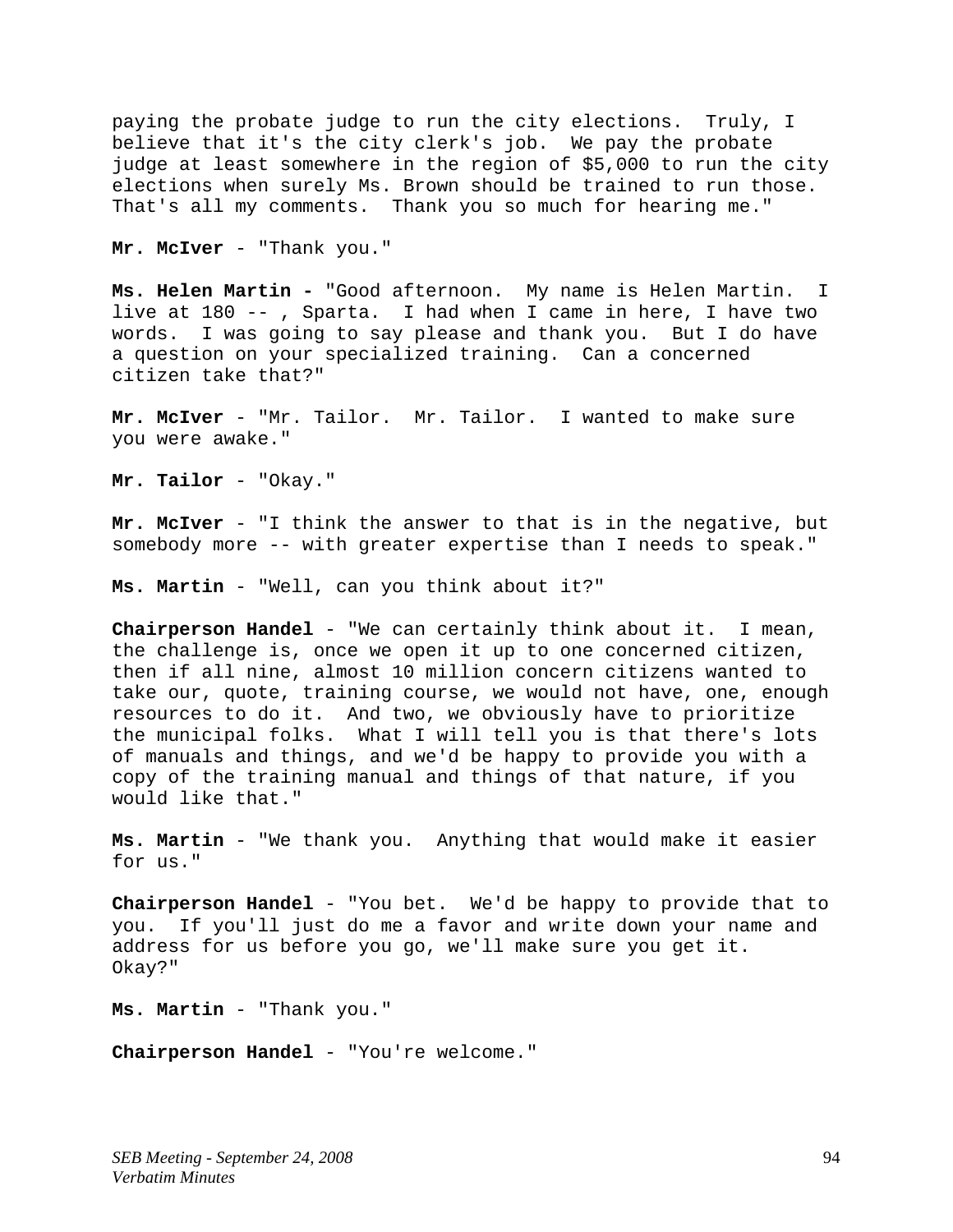paying the probate judge to run the city elections. Truly, I believe that it's the city clerk's job. We pay the probate judge at least somewhere in the region of \$5,000 to run the city elections when surely Ms. Brown should be trained to run those. That's all my comments. Thank you so much for hearing me."

**Mr. McIver** - "Thank you."

**Ms. Helen Martin -** "Good afternoon. My name is Helen Martin. I live at 180 -- , Sparta. I had when I came in here, I have two words. I was going to say please and thank you. But I do have a question on your specialized training. Can a concerned citizen take that?"

**Mr. McIver** - "Mr. Tailor. Mr. Tailor. I wanted to make sure you were awake."

**Mr. Tailor** - "Okay."

**Mr. McIver** - "I think the answer to that is in the negative, but somebody more -- with greater expertise than I needs to speak."

**Ms. Martin** - "Well, can you think about it?"

**Chairperson Handel** - "We can certainly think about it. I mean, the challenge is, once we open it up to one concerned citizen, then if all nine, almost 10 million concern citizens wanted to take our, quote, training course, we would not have, one, enough resources to do it. And two, we obviously have to prioritize the municipal folks. What I will tell you is that there's lots of manuals and things, and we'd be happy to provide you with a copy of the training manual and things of that nature, if you would like that."

**Ms. Martin** - "We thank you. Anything that would make it easier for us."

**Chairperson Handel** - "You bet. We'd be happy to provide that to you. If you'll just do me a favor and write down your name and address for us before you go, we'll make sure you get it. Okay?"

**Ms. Martin** - "Thank you."

**Chairperson Handel** - "You're welcome."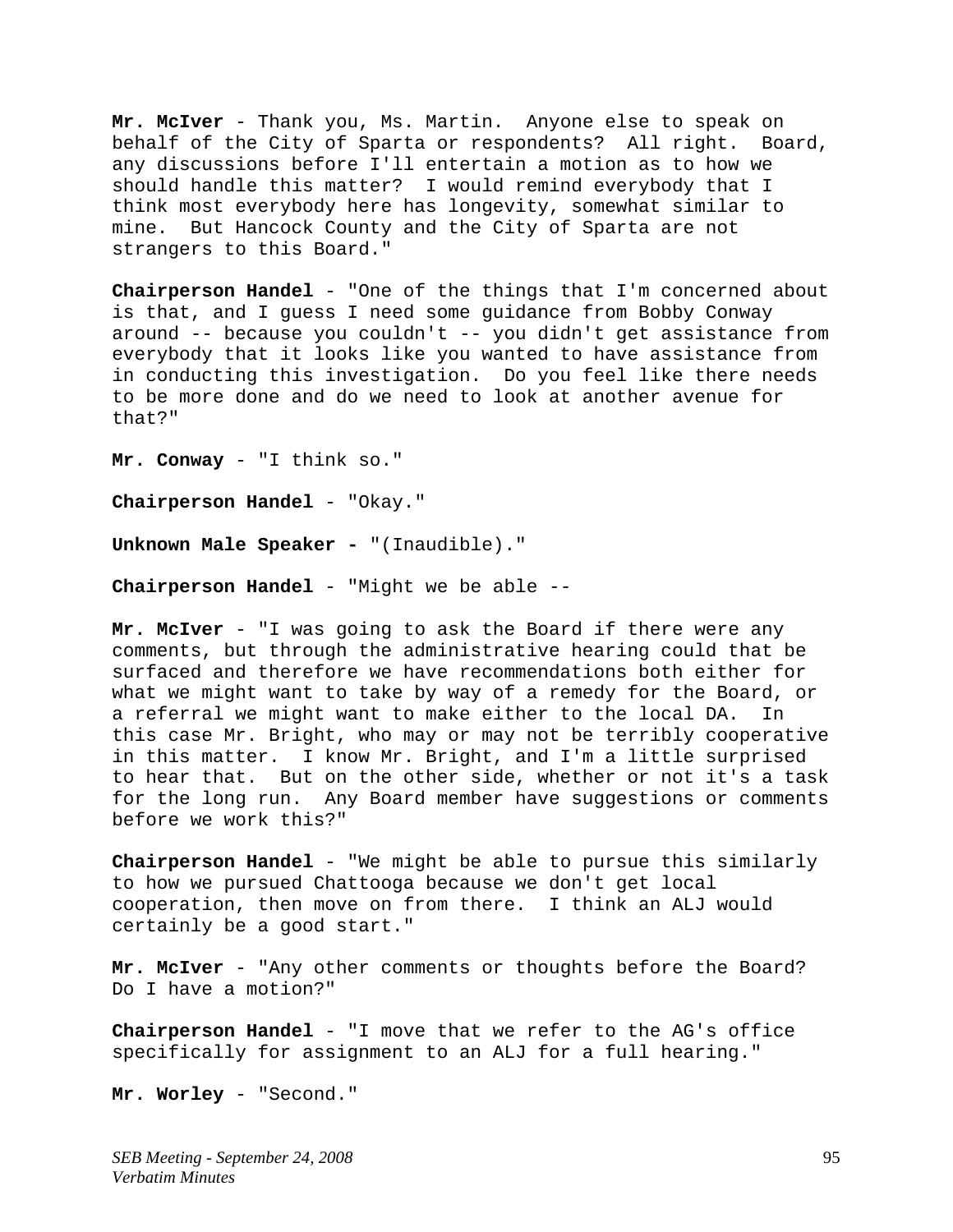**Mr. McIver** - Thank you, Ms. Martin. Anyone else to speak on behalf of the City of Sparta or respondents? All right. Board, any discussions before I'll entertain a motion as to how we should handle this matter? I would remind everybody that I think most everybody here has longevity, somewhat similar to mine. But Hancock County and the City of Sparta are not strangers to this Board."

**Chairperson Handel** - "One of the things that I'm concerned about is that, and I guess I need some guidance from Bobby Conway around -- because you couldn't -- you didn't get assistance from everybody that it looks like you wanted to have assistance from in conducting this investigation. Do you feel like there needs to be more done and do we need to look at another avenue for that?"

**Mr. Conway** - "I think so."

**Chairperson Handel** - "Okay."

**Unknown Male Speaker -** "(Inaudible)."

**Chairperson Handel** - "Might we be able --

**Mr. McIver** - "I was going to ask the Board if there were any comments, but through the administrative hearing could that be surfaced and therefore we have recommendations both either for what we might want to take by way of a remedy for the Board, or a referral we might want to make either to the local DA. In this case Mr. Bright, who may or may not be terribly cooperative in this matter. I know Mr. Bright, and I'm a little surprised to hear that. But on the other side, whether or not it's a task for the long run. Any Board member have suggestions or comments before we work this?"

**Chairperson Handel** - "We might be able to pursue this similarly to how we pursued Chattooga because we don't get local cooperation, then move on from there. I think an ALJ would certainly be a good start."

**Mr. McIver** - "Any other comments or thoughts before the Board? Do I have a motion?"

**Chairperson Handel** - "I move that we refer to the AG's office specifically for assignment to an ALJ for a full hearing."

**Mr. Worley** - "Second."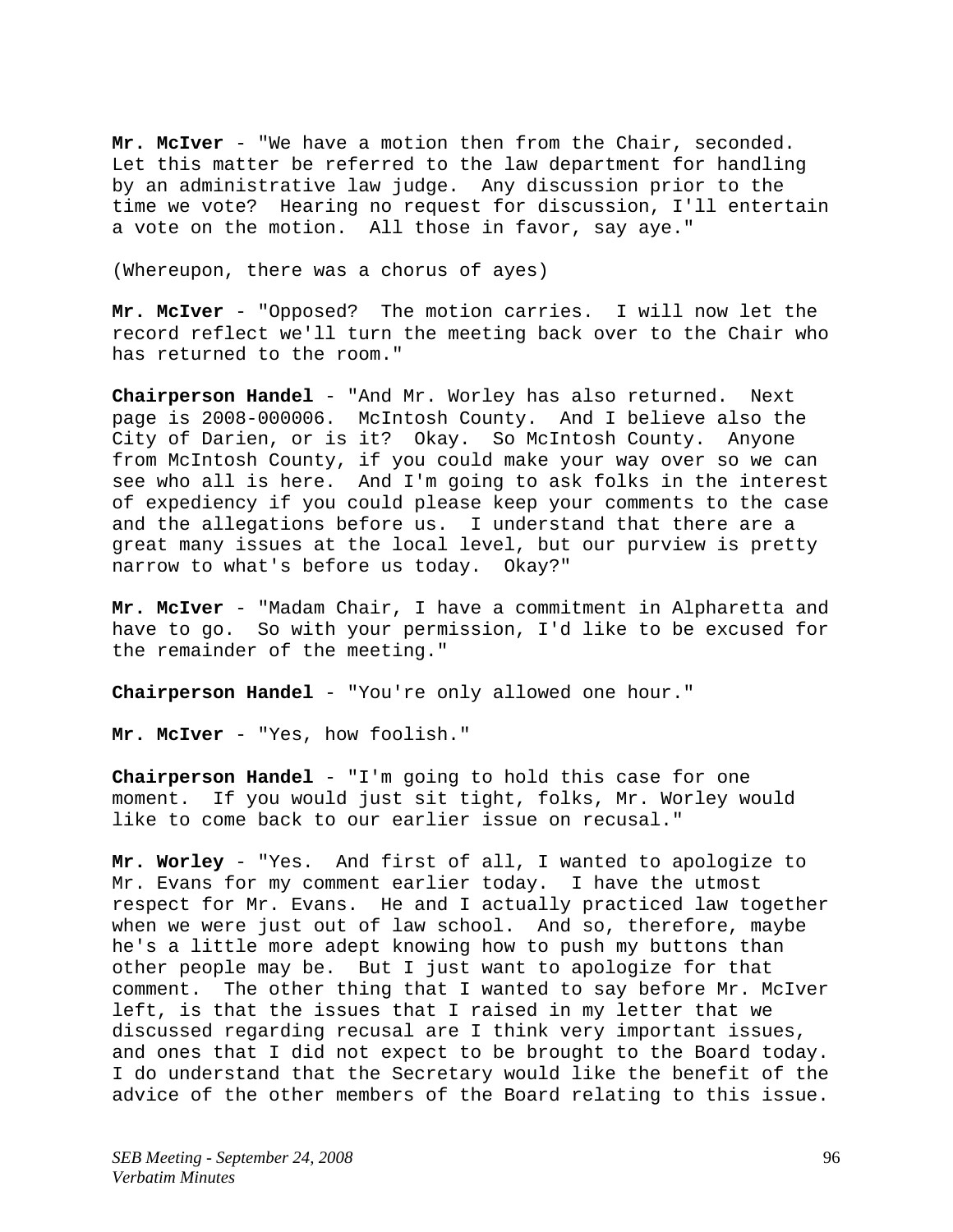**Mr. McIver** - "We have a motion then from the Chair, seconded. Let this matter be referred to the law department for handling by an administrative law judge. Any discussion prior to the time we vote? Hearing no request for discussion, I'll entertain a vote on the motion. All those in favor, say aye."

(Whereupon, there was a chorus of ayes)

**Mr. McIver** - "Opposed? The motion carries. I will now let the record reflect we'll turn the meeting back over to the Chair who has returned to the room."

**Chairperson Handel** - "And Mr. Worley has also returned. Next page is 2008-000006. McIntosh County. And I believe also the City of Darien, or is it? Okay. So McIntosh County. Anyone from McIntosh County, if you could make your way over so we can see who all is here. And I'm going to ask folks in the interest of expediency if you could please keep your comments to the case and the allegations before us. I understand that there are a great many issues at the local level, but our purview is pretty narrow to what's before us today. Okay?"

**Mr. McIver** - "Madam Chair, I have a commitment in Alpharetta and have to go. So with your permission, I'd like to be excused for the remainder of the meeting."

**Chairperson Handel** - "You're only allowed one hour."

**Mr. McIver** - "Yes, how foolish."

**Chairperson Handel** - "I'm going to hold this case for one moment. If you would just sit tight, folks, Mr. Worley would like to come back to our earlier issue on recusal."

**Mr. Worley** - "Yes. And first of all, I wanted to apologize to Mr. Evans for my comment earlier today. I have the utmost respect for Mr. Evans. He and I actually practiced law together when we were just out of law school. And so, therefore, maybe he's a little more adept knowing how to push my buttons than other people may be. But I just want to apologize for that comment. The other thing that I wanted to say before Mr. McIver left, is that the issues that I raised in my letter that we discussed regarding recusal are I think very important issues, and ones that I did not expect to be brought to the Board today. I do understand that the Secretary would like the benefit of the advice of the other members of the Board relating to this issue.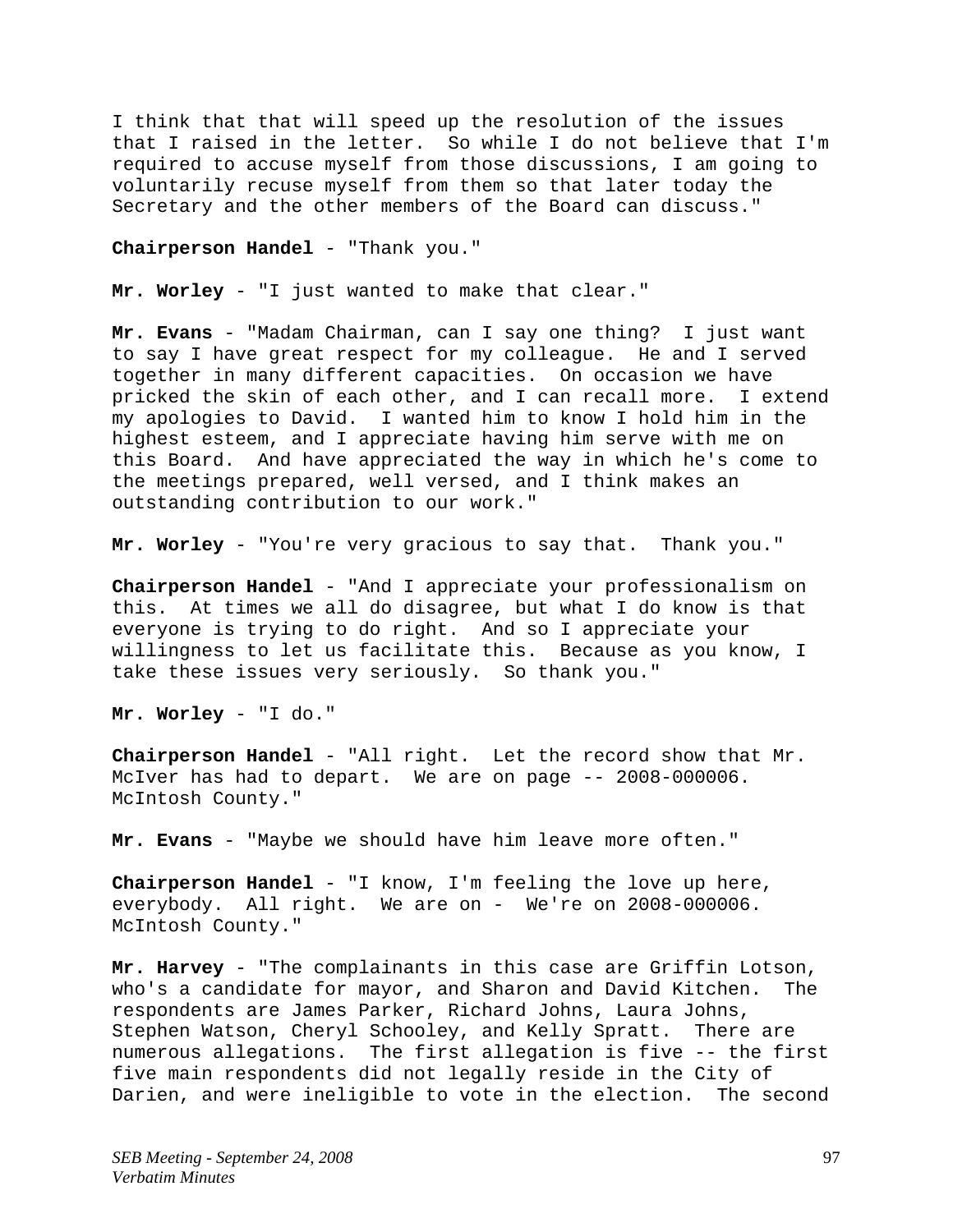I think that that will speed up the resolution of the issues that I raised in the letter. So while I do not believe that I'm required to accuse myself from those discussions, I am going to voluntarily recuse myself from them so that later today the Secretary and the other members of the Board can discuss."

### **Chairperson Handel** - "Thank you."

**Mr. Worley** - "I just wanted to make that clear."

**Mr. Evans** - "Madam Chairman, can I say one thing? I just want to say I have great respect for my colleague. He and I served together in many different capacities. On occasion we have pricked the skin of each other, and I can recall more. I extend my apologies to David. I wanted him to know I hold him in the highest esteem, and I appreciate having him serve with me on this Board. And have appreciated the way in which he's come to the meetings prepared, well versed, and I think makes an outstanding contribution to our work."

**Mr. Worley** - "You're very gracious to say that. Thank you."

**Chairperson Handel** - "And I appreciate your professionalism on this. At times we all do disagree, but what I do know is that everyone is trying to do right. And so I appreciate your willingness to let us facilitate this. Because as you know, I take these issues very seriously. So thank you."

**Mr. Worley** - "I do."

**Chairperson Handel** - "All right. Let the record show that Mr. McIver has had to depart. We are on page -- 2008-000006. McIntosh County."

**Mr. Evans** - "Maybe we should have him leave more often."

**Chairperson Handel** - "I know, I'm feeling the love up here, everybody. All right. We are on - We're on 2008-000006. McIntosh County."

**Mr. Harvey** - "The complainants in this case are Griffin Lotson, who's a candidate for mayor, and Sharon and David Kitchen. The respondents are James Parker, Richard Johns, Laura Johns, Stephen Watson, Cheryl Schooley, and Kelly Spratt. There are numerous allegations. The first allegation is five -- the first five main respondents did not legally reside in the City of Darien, and were ineligible to vote in the election. The second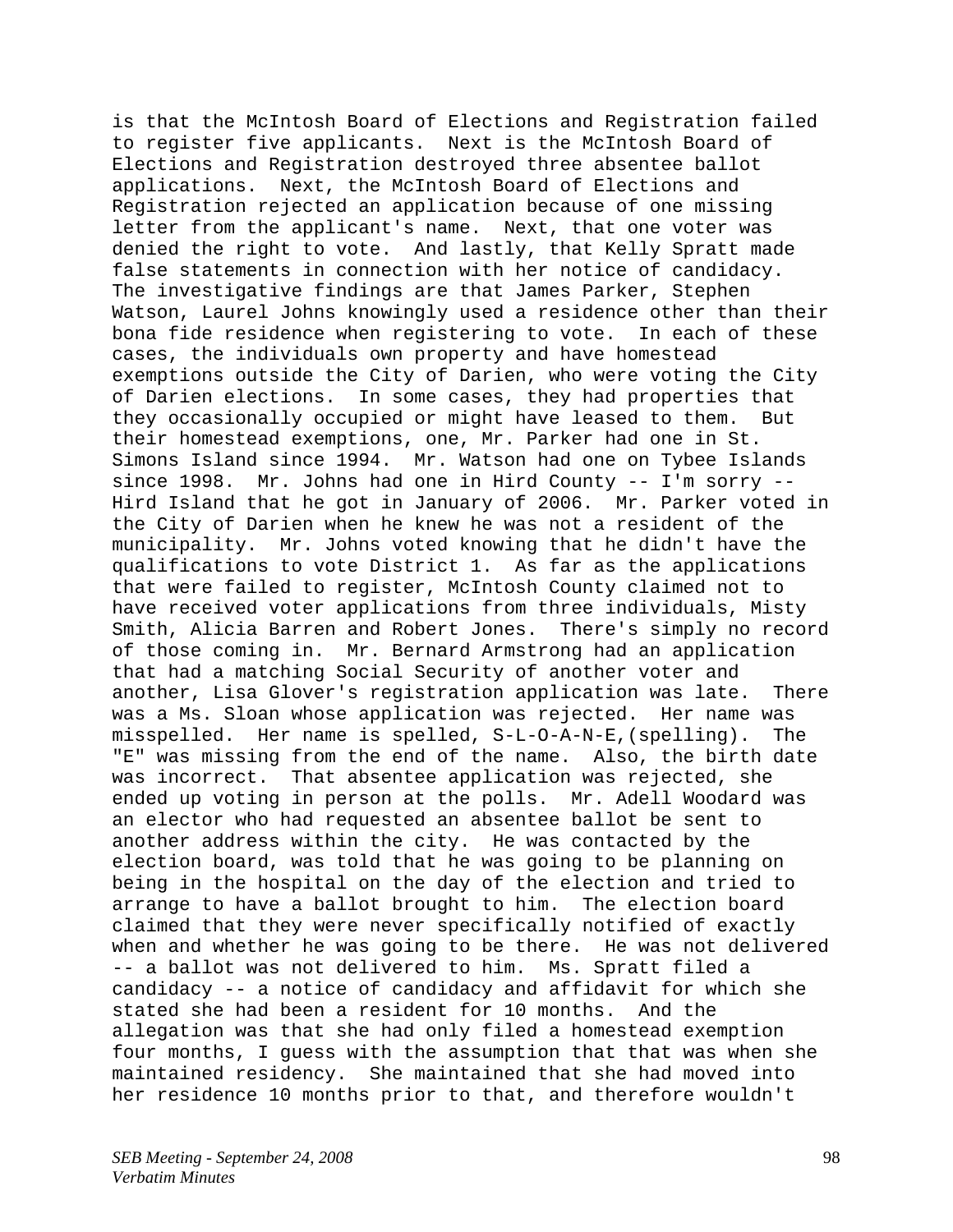is that the McIntosh Board of Elections and Registration failed to register five applicants. Next is the McIntosh Board of Elections and Registration destroyed three absentee ballot applications. Next, the McIntosh Board of Elections and Registration rejected an application because of one missing letter from the applicant's name. Next, that one voter was denied the right to vote. And lastly, that Kelly Spratt made false statements in connection with her notice of candidacy. The investigative findings are that James Parker, Stephen Watson, Laurel Johns knowingly used a residence other than their bona fide residence when registering to vote. In each of these cases, the individuals own property and have homestead exemptions outside the City of Darien, who were voting the City of Darien elections. In some cases, they had properties that they occasionally occupied or might have leased to them. But their homestead exemptions, one, Mr. Parker had one in St. Simons Island since 1994. Mr. Watson had one on Tybee Islands since 1998. Mr. Johns had one in Hird County -- I'm sorry -- Hird Island that he got in January of 2006. Mr. Parker voted in the City of Darien when he knew he was not a resident of the municipality. Mr. Johns voted knowing that he didn't have the qualifications to vote District 1. As far as the applications that were failed to register, McIntosh County claimed not to have received voter applications from three individuals, Misty Smith, Alicia Barren and Robert Jones. There's simply no record of those coming in. Mr. Bernard Armstrong had an application that had a matching Social Security of another voter and another, Lisa Glover's registration application was late. There was a Ms. Sloan whose application was rejected. Her name was misspelled. Her name is spelled, S-L-O-A-N-E,(spelling). The "E" was missing from the end of the name. Also, the birth date was incorrect. That absentee application was rejected, she ended up voting in person at the polls. Mr. Adell Woodard was an elector who had requested an absentee ballot be sent to another address within the city. He was contacted by the election board, was told that he was going to be planning on being in the hospital on the day of the election and tried to arrange to have a ballot brought to him. The election board claimed that they were never specifically notified of exactly when and whether he was going to be there. He was not delivered -- a ballot was not delivered to him. Ms. Spratt filed a candidacy -- a notice of candidacy and affidavit for which she stated she had been a resident for 10 months. And the allegation was that she had only filed a homestead exemption four months, I guess with the assumption that that was when she maintained residency. She maintained that she had moved into her residence 10 months prior to that, and therefore wouldn't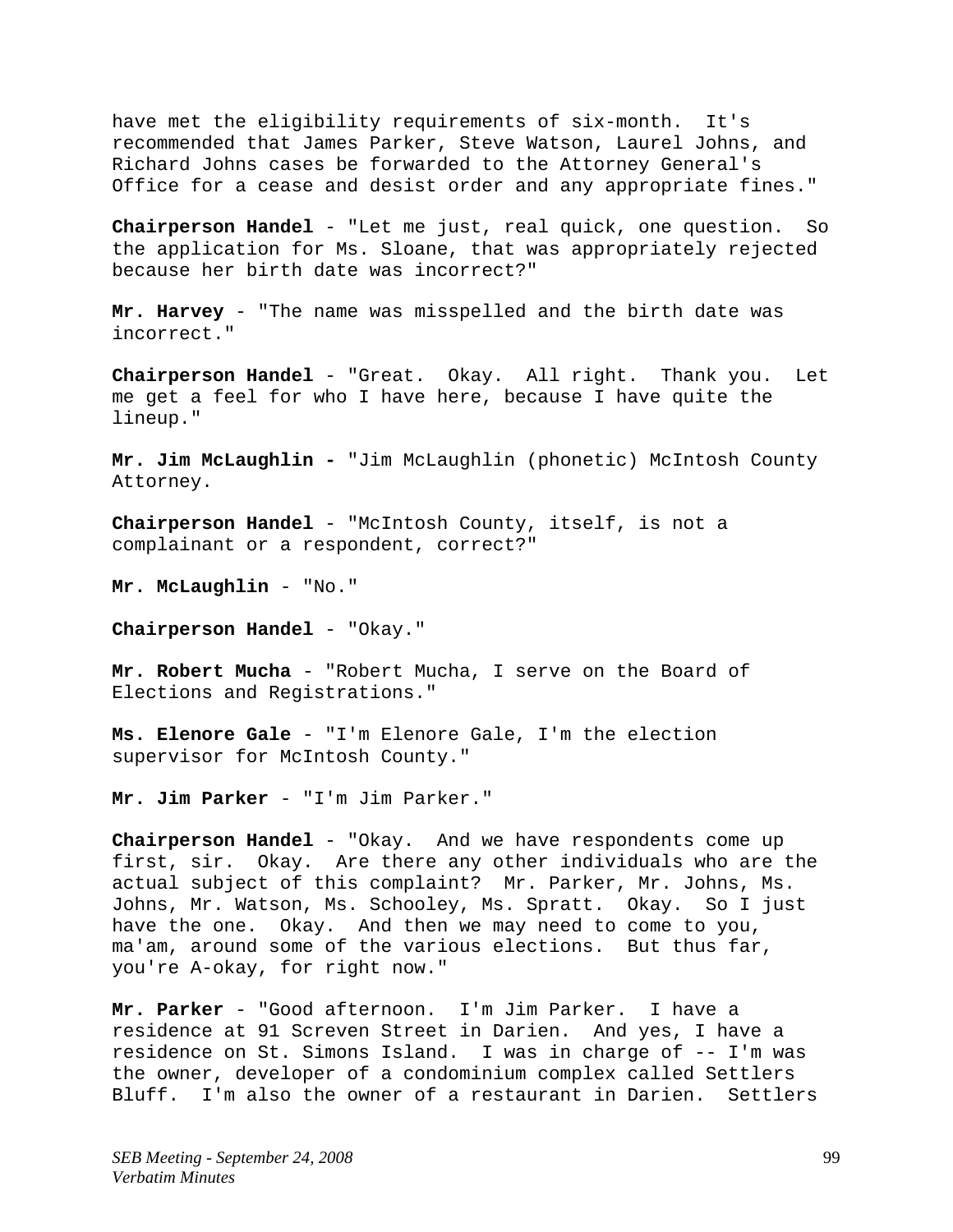have met the eligibility requirements of six-month. It's recommended that James Parker, Steve Watson, Laurel Johns, and Richard Johns cases be forwarded to the Attorney General's Office for a cease and desist order and any appropriate fines."

**Chairperson Handel** - "Let me just, real quick, one question. So the application for Ms. Sloane, that was appropriately rejected because her birth date was incorrect?"

**Mr. Harvey** - "The name was misspelled and the birth date was incorrect."

**Chairperson Handel** - "Great. Okay. All right. Thank you. Let me get a feel for who I have here, because I have quite the lineup."

**Mr. Jim McLaughlin -** "Jim McLaughlin (phonetic) McIntosh County Attorney.

**Chairperson Handel** - "McIntosh County, itself, is not a complainant or a respondent, correct?"

**Mr. McLaughlin** - "No."

**Chairperson Handel** - "Okay."

**Mr. Robert Mucha** - "Robert Mucha, I serve on the Board of Elections and Registrations."

**Ms. Elenore Gale** - "I'm Elenore Gale, I'm the election supervisor for McIntosh County."

**Mr. Jim Parker** - "I'm Jim Parker."

**Chairperson Handel** - "Okay. And we have respondents come up first, sir. Okay. Are there any other individuals who are the actual subject of this complaint? Mr. Parker, Mr. Johns, Ms. Johns, Mr. Watson, Ms. Schooley, Ms. Spratt. Okay. So I just have the one. Okay. And then we may need to come to you, ma'am, around some of the various elections. But thus far, you're A-okay, for right now."

**Mr. Parker** - "Good afternoon. I'm Jim Parker. I have a residence at 91 Screven Street in Darien. And yes, I have a residence on St. Simons Island. I was in charge of -- I'm was the owner, developer of a condominium complex called Settlers Bluff. I'm also the owner of a restaurant in Darien. Settlers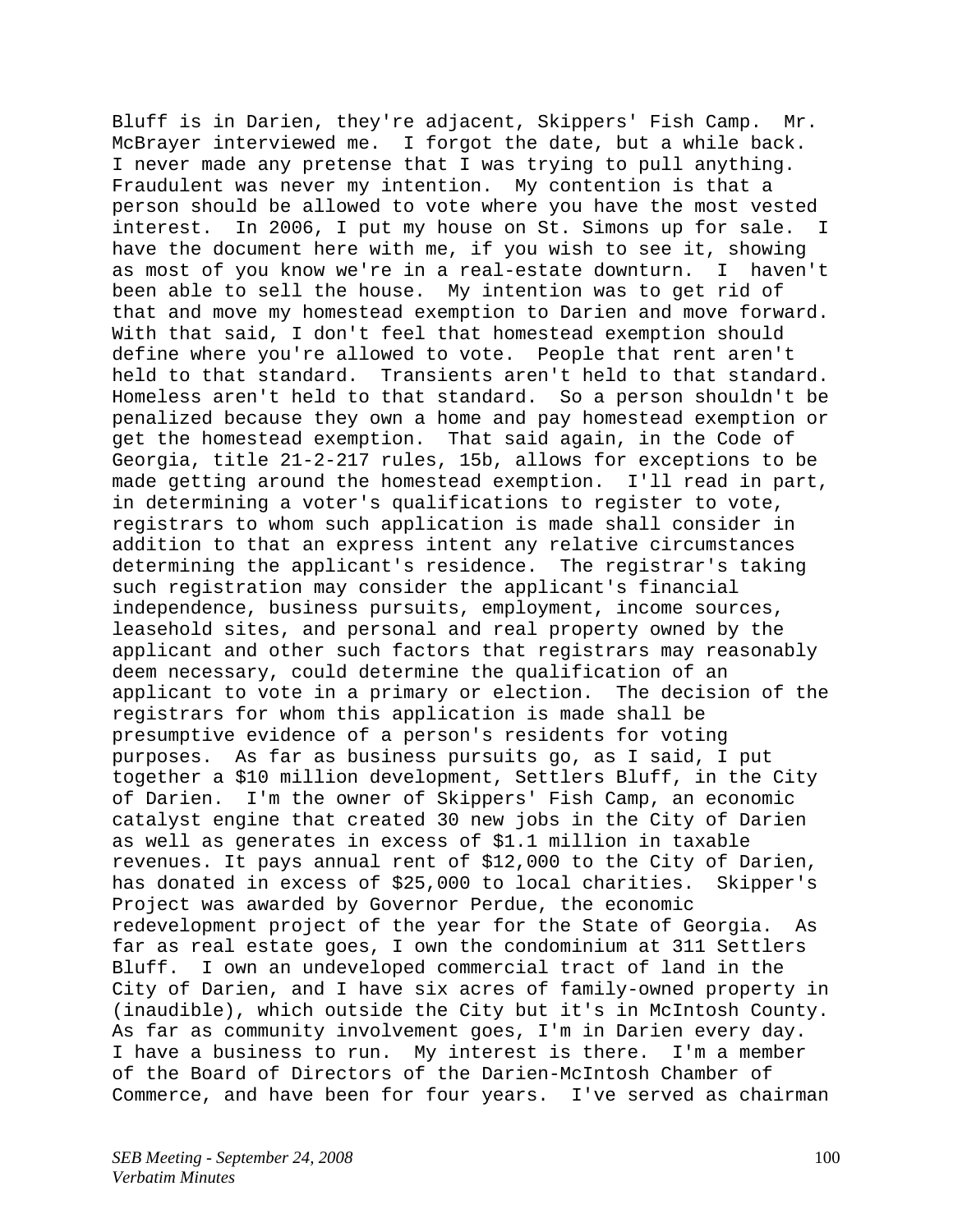Bluff is in Darien, they're adjacent, Skippers' Fish Camp. Mr. McBrayer interviewed me. I forgot the date, but a while back. I never made any pretense that I was trying to pull anything. Fraudulent was never my intention. My contention is that a person should be allowed to vote where you have the most vested interest. In 2006, I put my house on St. Simons up for sale. I have the document here with me, if you wish to see it, showing as most of you know we're in a real-estate downturn. I haven't been able to sell the house. My intention was to get rid of that and move my homestead exemption to Darien and move forward. With that said, I don't feel that homestead exemption should define where you're allowed to vote. People that rent aren't held to that standard. Transients aren't held to that standard. Homeless aren't held to that standard. So a person shouldn't be penalized because they own a home and pay homestead exemption or get the homestead exemption. That said again, in the Code of Georgia, title 21-2-217 rules, 15b, allows for exceptions to be made getting around the homestead exemption. I'll read in part, in determining a voter's qualifications to register to vote, registrars to whom such application is made shall consider in addition to that an express intent any relative circumstances determining the applicant's residence. The registrar's taking such registration may consider the applicant's financial independence, business pursuits, employment, income sources, leasehold sites, and personal and real property owned by the applicant and other such factors that registrars may reasonably deem necessary, could determine the qualification of an applicant to vote in a primary or election. The decision of the registrars for whom this application is made shall be presumptive evidence of a person's residents for voting purposes. As far as business pursuits go, as I said, I put together a \$10 million development, Settlers Bluff, in the City of Darien. I'm the owner of Skippers' Fish Camp, an economic catalyst engine that created 30 new jobs in the City of Darien as well as generates in excess of \$1.1 million in taxable revenues. It pays annual rent of \$12,000 to the City of Darien, has donated in excess of \$25,000 to local charities. Skipper's Project was awarded by Governor Perdue, the economic redevelopment project of the year for the State of Georgia. As far as real estate goes, I own the condominium at 311 Settlers Bluff. I own an undeveloped commercial tract of land in the City of Darien, and I have six acres of family-owned property in (inaudible), which outside the City but it's in McIntosh County. As far as community involvement goes, I'm in Darien every day. I have a business to run. My interest is there. I'm a member of the Board of Directors of the Darien-McIntosh Chamber of Commerce, and have been for four years. I've served as chairman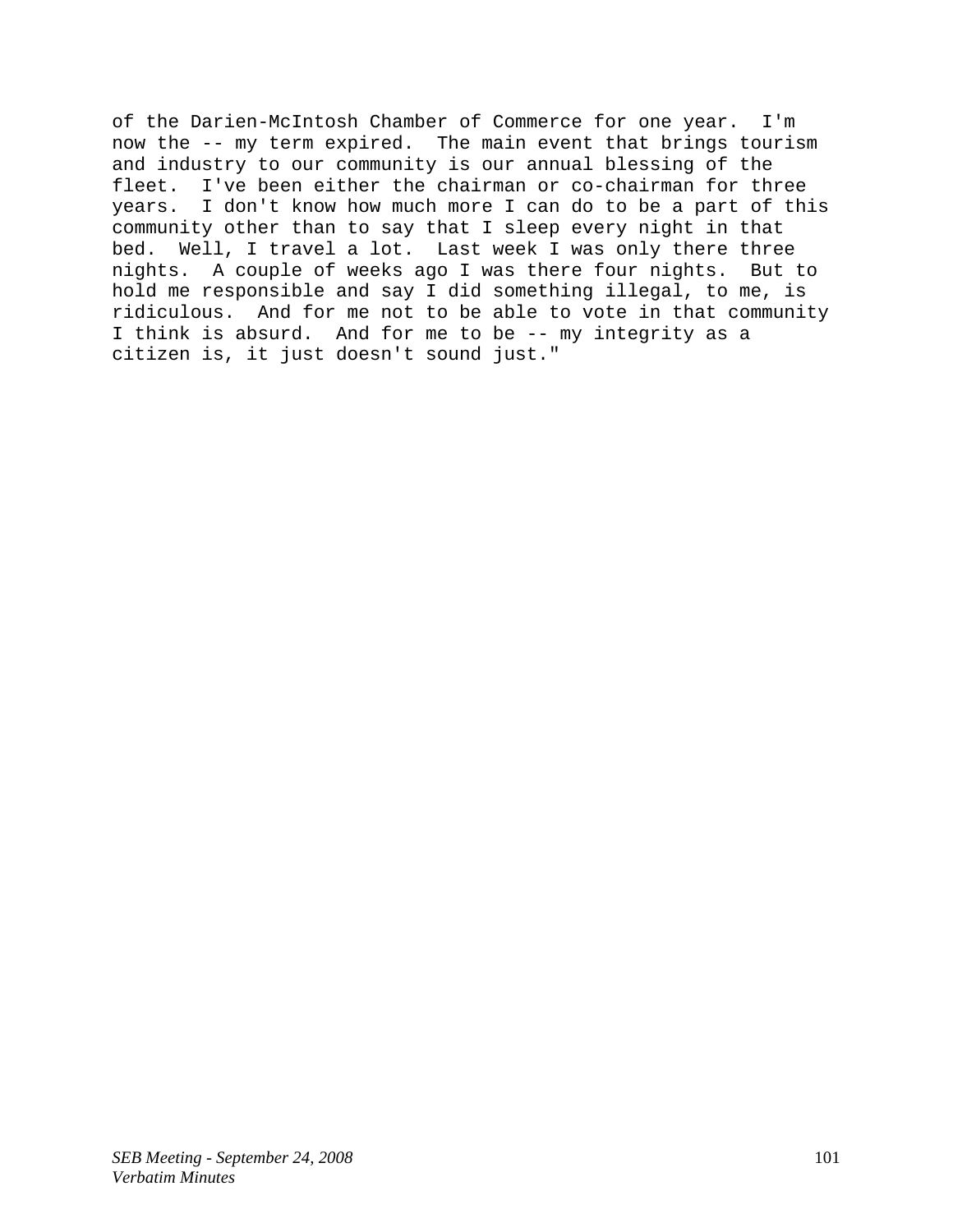of the Darien-McIntosh Chamber of Commerce for one year. I'm now the -- my term expired. The main event that brings tourism and industry to our community is our annual blessing of the fleet. I've been either the chairman or co-chairman for three years. I don't know how much more I can do to be a part of this community other than to say that I sleep every night in that bed. Well, I travel a lot. Last week I was only there three nights. A couple of weeks ago I was there four nights. But to hold me responsible and say I did something illegal, to me, is ridiculous. And for me not to be able to vote in that community I think is absurd. And for me to be -- my integrity as a citizen is, it just doesn't sound just."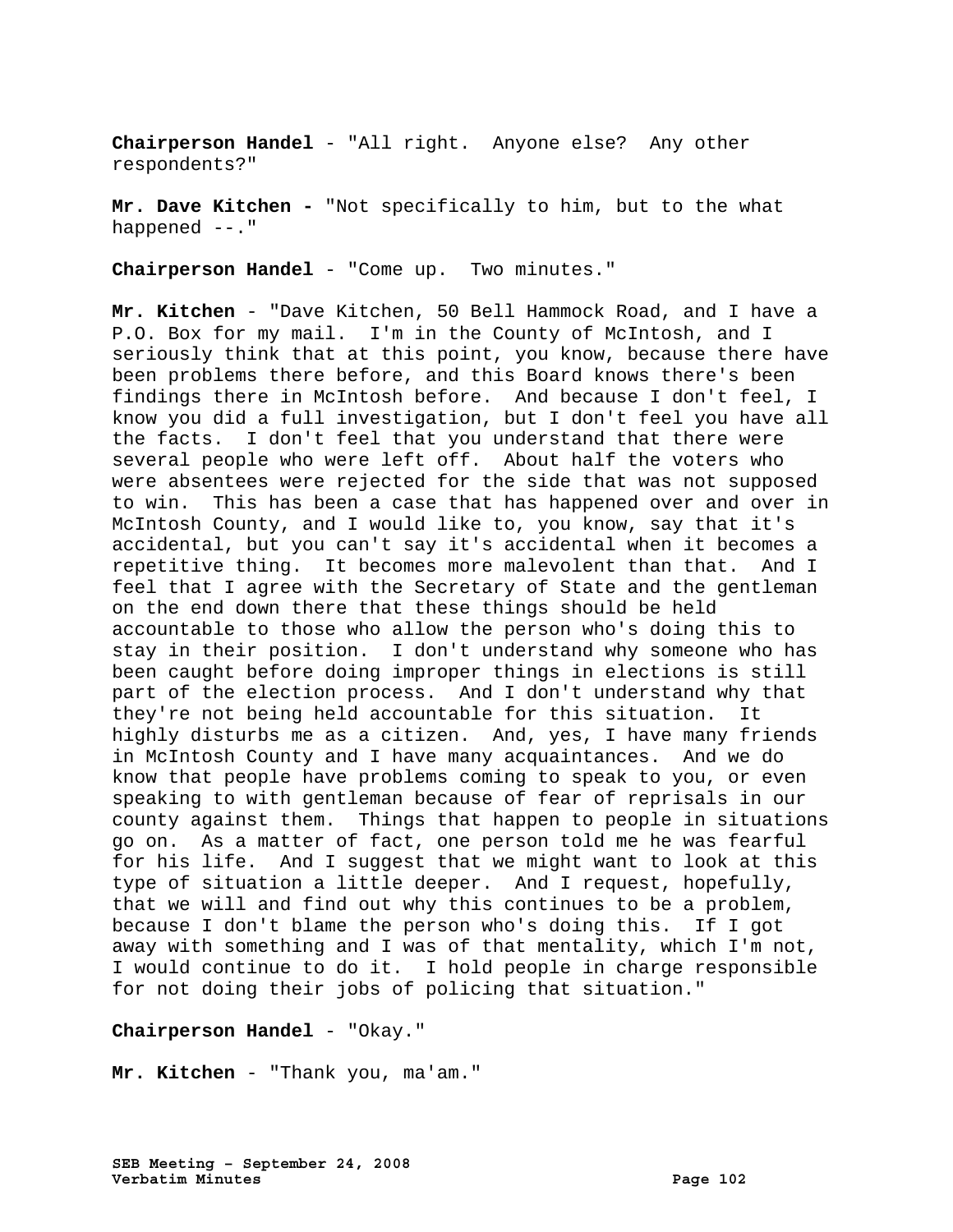**Chairperson Handel** - "All right. Anyone else? Any other respondents?"

**Mr. Dave Kitchen -** "Not specifically to him, but to the what happened --."

**Chairperson Handel** - "Come up. Two minutes."

**Mr. Kitchen** - "Dave Kitchen, 50 Bell Hammock Road, and I have a P.O. Box for my mail. I'm in the County of McIntosh, and I seriously think that at this point, you know, because there have been problems there before, and this Board knows there's been findings there in McIntosh before. And because I don't feel, I know you did a full investigation, but I don't feel you have all the facts. I don't feel that you understand that there were several people who were left off. About half the voters who were absentees were rejected for the side that was not supposed to win. This has been a case that has happened over and over in McIntosh County, and I would like to, you know, say that it's accidental, but you can't say it's accidental when it becomes a repetitive thing. It becomes more malevolent than that. And I feel that I agree with the Secretary of State and the gentleman on the end down there that these things should be held accountable to those who allow the person who's doing this to stay in their position. I don't understand why someone who has been caught before doing improper things in elections is still part of the election process. And I don't understand why that they're not being held accountable for this situation. It highly disturbs me as a citizen. And, yes, I have many friends in McIntosh County and I have many acquaintances. And we do know that people have problems coming to speak to you, or even speaking to with gentleman because of fear of reprisals in our county against them. Things that happen to people in situations go on. As a matter of fact, one person told me he was fearful for his life. And I suggest that we might want to look at this type of situation a little deeper. And I request, hopefully, that we will and find out why this continues to be a problem, because I don't blame the person who's doing this. If I got away with something and I was of that mentality, which I'm not, I would continue to do it. I hold people in charge responsible for not doing their jobs of policing that situation."

**Chairperson Handel** - "Okay."

**Mr. Kitchen** - "Thank you, ma'am."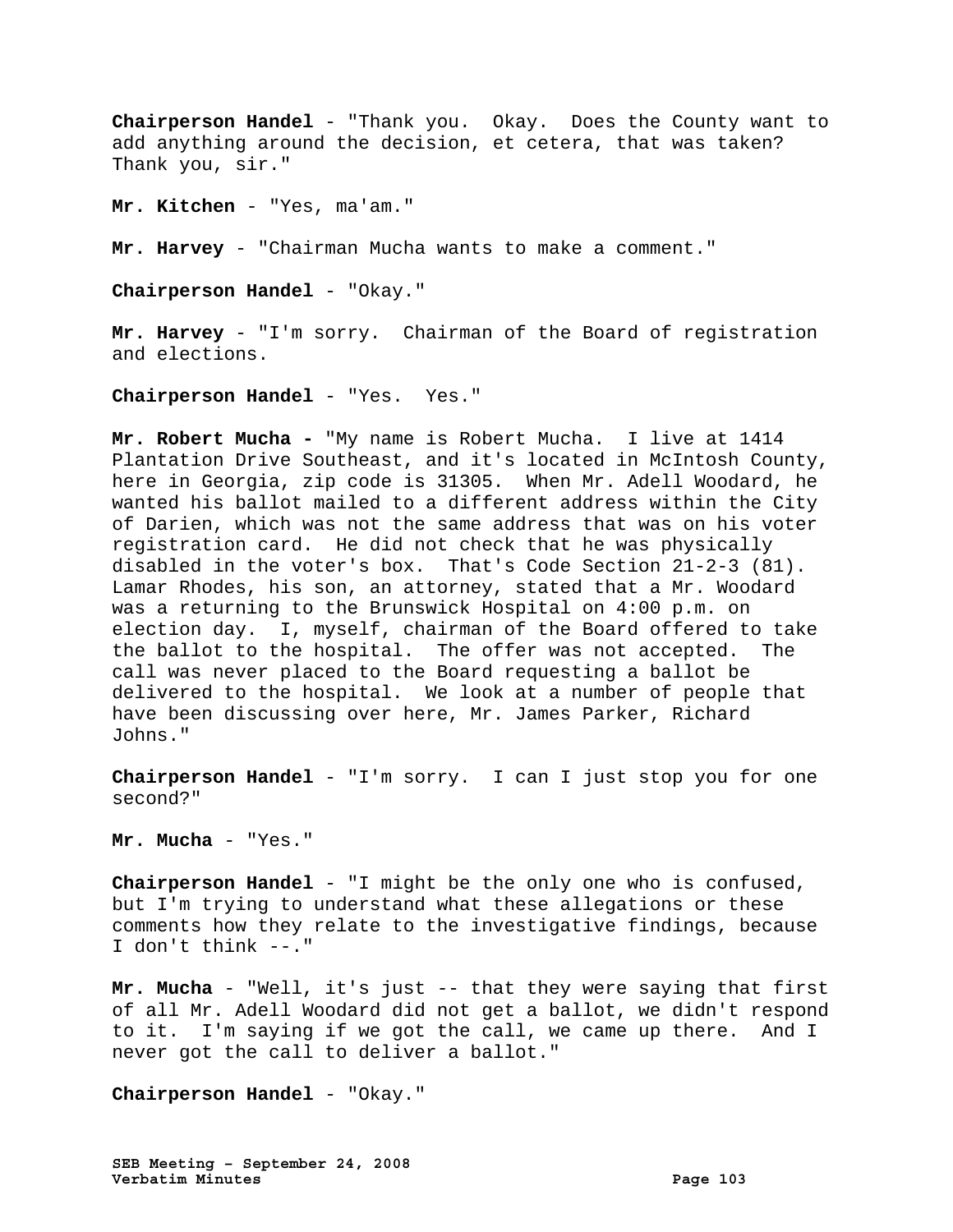**Chairperson Handel** - "Thank you. Okay. Does the County want to add anything around the decision, et cetera, that was taken? Thank you, sir."

**Mr. Kitchen** - "Yes, ma'am."

**Mr. Harvey** - "Chairman Mucha wants to make a comment."

**Chairperson Handel** - "Okay."

**Mr. Harvey** - "I'm sorry. Chairman of the Board of registration and elections.

**Chairperson Handel** - "Yes. Yes."

**Mr. Robert Mucha -** "My name is Robert Mucha. I live at 1414 Plantation Drive Southeast, and it's located in McIntosh County, here in Georgia, zip code is 31305. When Mr. Adell Woodard, he wanted his ballot mailed to a different address within the City of Darien, which was not the same address that was on his voter registration card. He did not check that he was physically disabled in the voter's box. That's Code Section 21-2-3 (81). Lamar Rhodes, his son, an attorney, stated that a Mr. Woodard was a returning to the Brunswick Hospital on 4:00 p.m. on election day. I, myself, chairman of the Board offered to take the ballot to the hospital. The offer was not accepted. The call was never placed to the Board requesting a ballot be delivered to the hospital. We look at a number of people that have been discussing over here, Mr. James Parker, Richard Johns."

**Chairperson Handel** - "I'm sorry. I can I just stop you for one second?"

**Mr. Mucha** - "Yes."

**Chairperson Handel** - "I might be the only one who is confused, but I'm trying to understand what these allegations or these comments how they relate to the investigative findings, because I don't think --."

**Mr. Mucha** - "Well, it's just -- that they were saying that first of all Mr. Adell Woodard did not get a ballot, we didn't respond to it. I'm saying if we got the call, we came up there. And I never got the call to deliver a ballot."

**Chairperson Handel** - "Okay."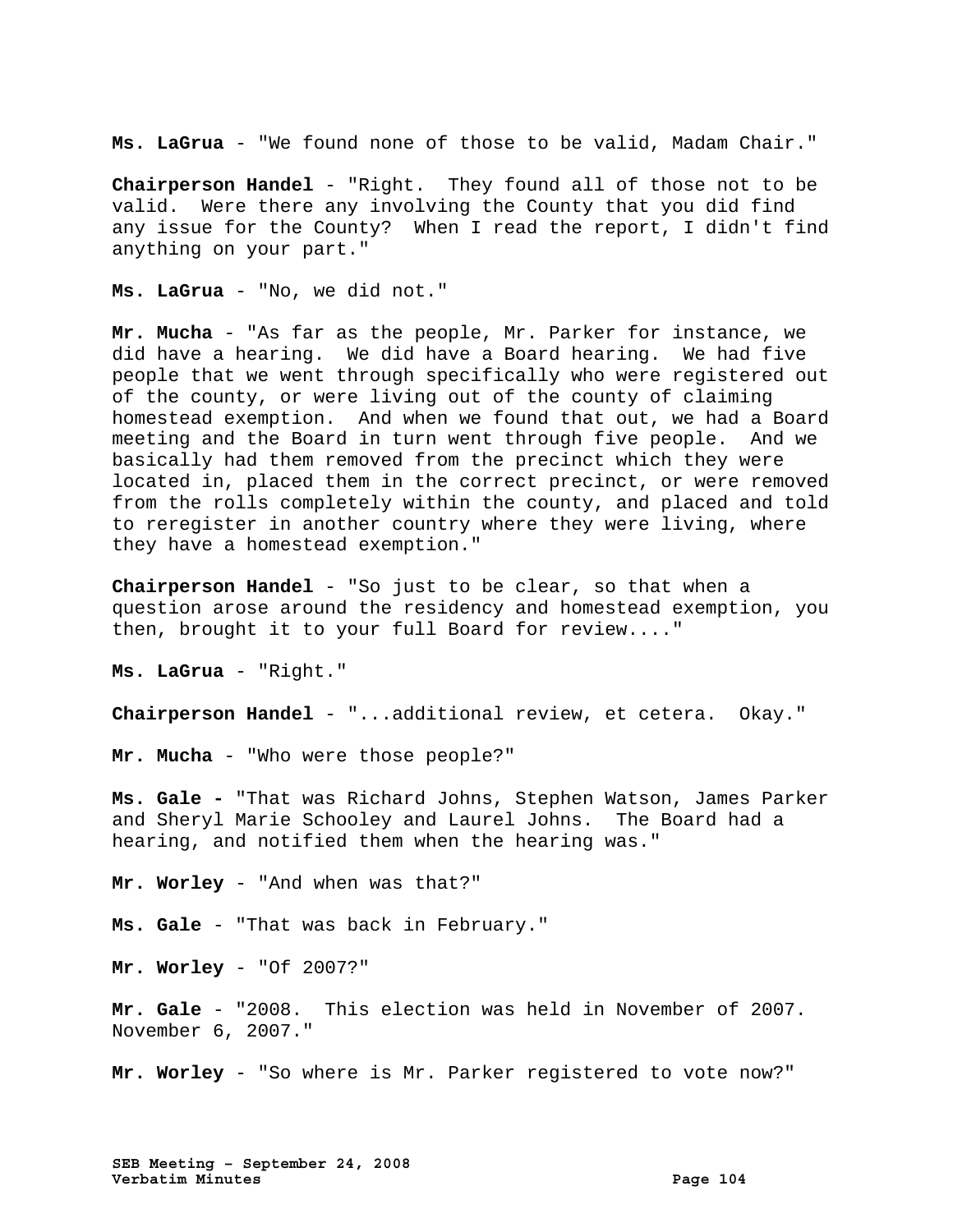**Ms. LaGrua** - "We found none of those to be valid, Madam Chair."

**Chairperson Handel** - "Right. They found all of those not to be valid. Were there any involving the County that you did find any issue for the County? When I read the report, I didn't find anything on your part."

**Ms. LaGrua** - "No, we did not."

**Mr. Mucha** - "As far as the people, Mr. Parker for instance, we did have a hearing. We did have a Board hearing. We had five people that we went through specifically who were registered out of the county, or were living out of the county of claiming homestead exemption. And when we found that out, we had a Board meeting and the Board in turn went through five people. And we basically had them removed from the precinct which they were located in, placed them in the correct precinct, or were removed from the rolls completely within the county, and placed and told to reregister in another country where they were living, where they have a homestead exemption."

**Chairperson Handel** - "So just to be clear, so that when a question arose around the residency and homestead exemption, you then, brought it to your full Board for review...."

**Ms. LaGrua** - "Right."

**Chairperson Handel** - "...additional review, et cetera. Okay."

**Mr. Mucha** - "Who were those people?"

**Ms. Gale -** "That was Richard Johns, Stephen Watson, James Parker and Sheryl Marie Schooley and Laurel Johns. The Board had a hearing, and notified them when the hearing was."

**Mr. Worley** - "And when was that?"

**Ms. Gale** - "That was back in February."

**Mr. Worley** - "Of 2007?"

**Mr. Gale** - "2008. This election was held in November of 2007. November 6, 2007."

**Mr. Worley** - "So where is Mr. Parker registered to vote now?"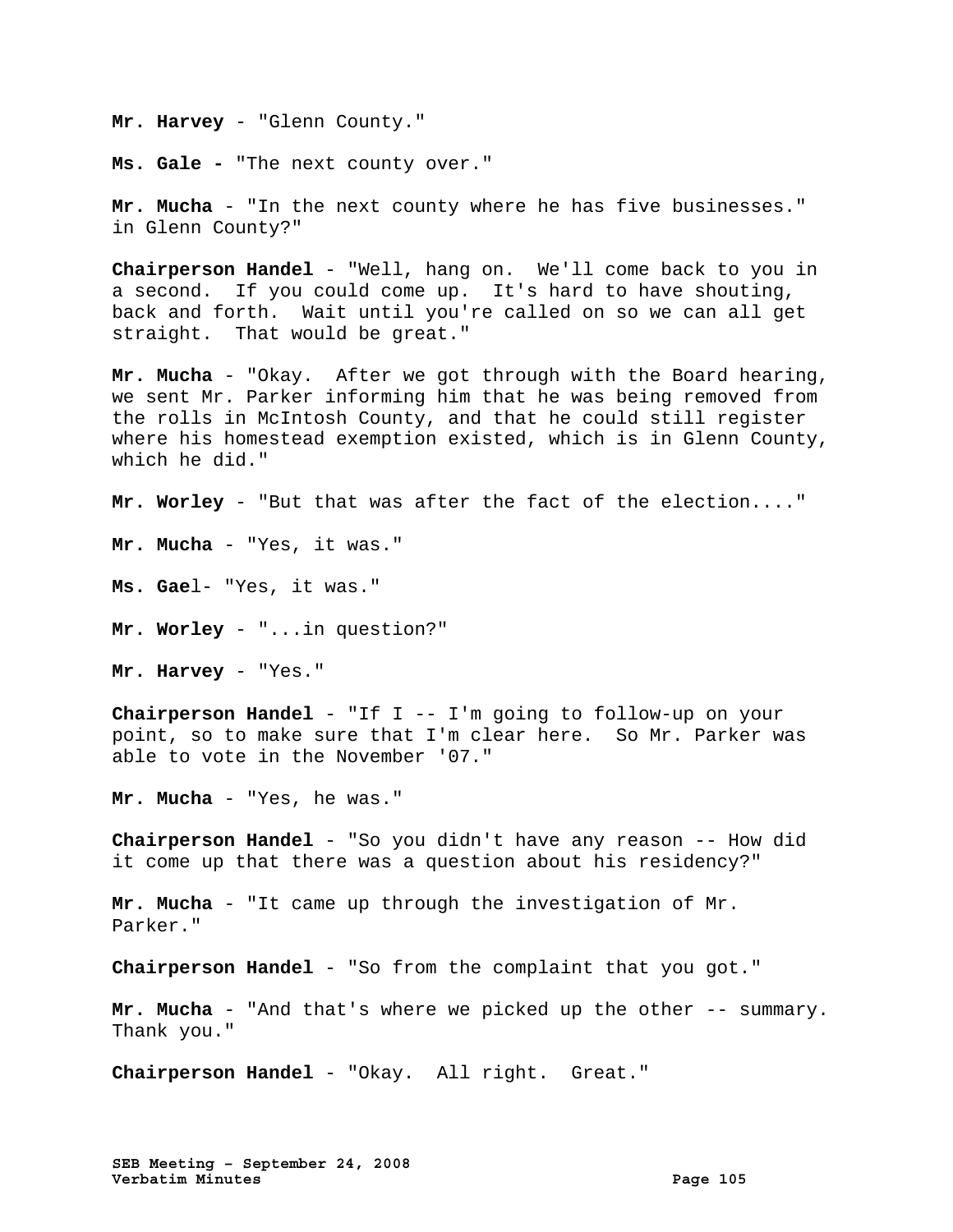**Mr. Harvey** - "Glenn County."

**Ms. Gale -** "The next county over."

**Mr. Mucha** - "In the next county where he has five businesses." in Glenn County?"

**Chairperson Handel** - "Well, hang on. We'll come back to you in a second. If you could come up. It's hard to have shouting, back and forth. Wait until you're called on so we can all get straight. That would be great."

**Mr. Mucha** - "Okay. After we got through with the Board hearing, we sent Mr. Parker informing him that he was being removed from the rolls in McIntosh County, and that he could still register where his homestead exemption existed, which is in Glenn County, which he did."

**Mr. Worley** - "But that was after the fact of the election...."

**Mr. Mucha** - "Yes, it was."

**Ms. Gae**l- "Yes, it was."

**Mr. Worley** - "...in question?"

**Mr. Harvey** - "Yes."

**Chairperson Handel** - "If I -- I'm going to follow-up on your point, so to make sure that I'm clear here. So Mr. Parker was able to vote in the November '07."

**Mr. Mucha** - "Yes, he was."

**Chairperson Handel** - "So you didn't have any reason -- How did it come up that there was a question about his residency?"

**Mr. Mucha** - "It came up through the investigation of Mr. Parker."

**Chairperson Handel** - "So from the complaint that you got."

**Mr. Mucha** - "And that's where we picked up the other -- summary. Thank you."

**Chairperson Handel** - "Okay. All right. Great."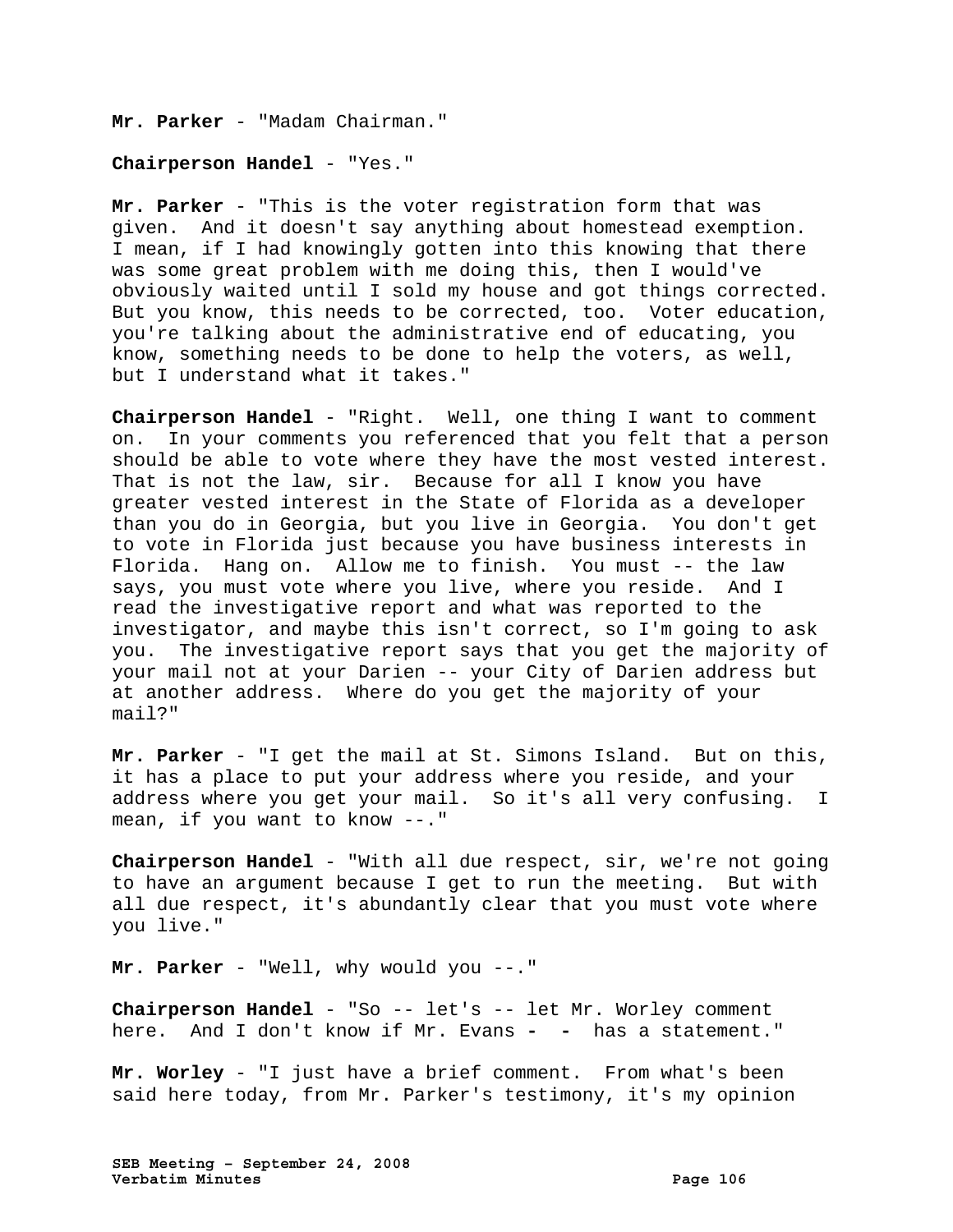**Mr. Parker** - "Madam Chairman."

#### **Chairperson Handel** - "Yes."

**Mr. Parker** - "This is the voter registration form that was given. And it doesn't say anything about homestead exemption. I mean, if I had knowingly gotten into this knowing that there was some great problem with me doing this, then I would've obviously waited until I sold my house and got things corrected. But you know, this needs to be corrected, too. Voter education, you're talking about the administrative end of educating, you know, something needs to be done to help the voters, as well, but I understand what it takes."

**Chairperson Handel** - "Right. Well, one thing I want to comment on. In your comments you referenced that you felt that a person should be able to vote where they have the most vested interest. That is not the law, sir. Because for all I know you have greater vested interest in the State of Florida as a developer than you do in Georgia, but you live in Georgia. You don't get to vote in Florida just because you have business interests in Florida. Hang on. Allow me to finish. You must -- the law says, you must vote where you live, where you reside. And I read the investigative report and what was reported to the investigator, and maybe this isn't correct, so I'm going to ask you. The investigative report says that you get the majority of your mail not at your Darien -- your City of Darien address but at another address. Where do you get the majority of your mail?"

**Mr. Parker** - "I get the mail at St. Simons Island. But on this, it has a place to put your address where you reside, and your address where you get your mail. So it's all very confusing. I mean, if you want to know --."

**Chairperson Handel** - "With all due respect, sir, we're not going to have an argument because I get to run the meeting. But with all due respect, it's abundantly clear that you must vote where you live."

**Mr. Parker** - "Well, why would you --."

**Chairperson Handel** - "So -- let's -- let Mr. Worley comment here. And I don't know if Mr. Evans **- -** has a statement."

**Mr. Worley** - "I just have a brief comment. From what's been said here today, from Mr. Parker's testimony, it's my opinion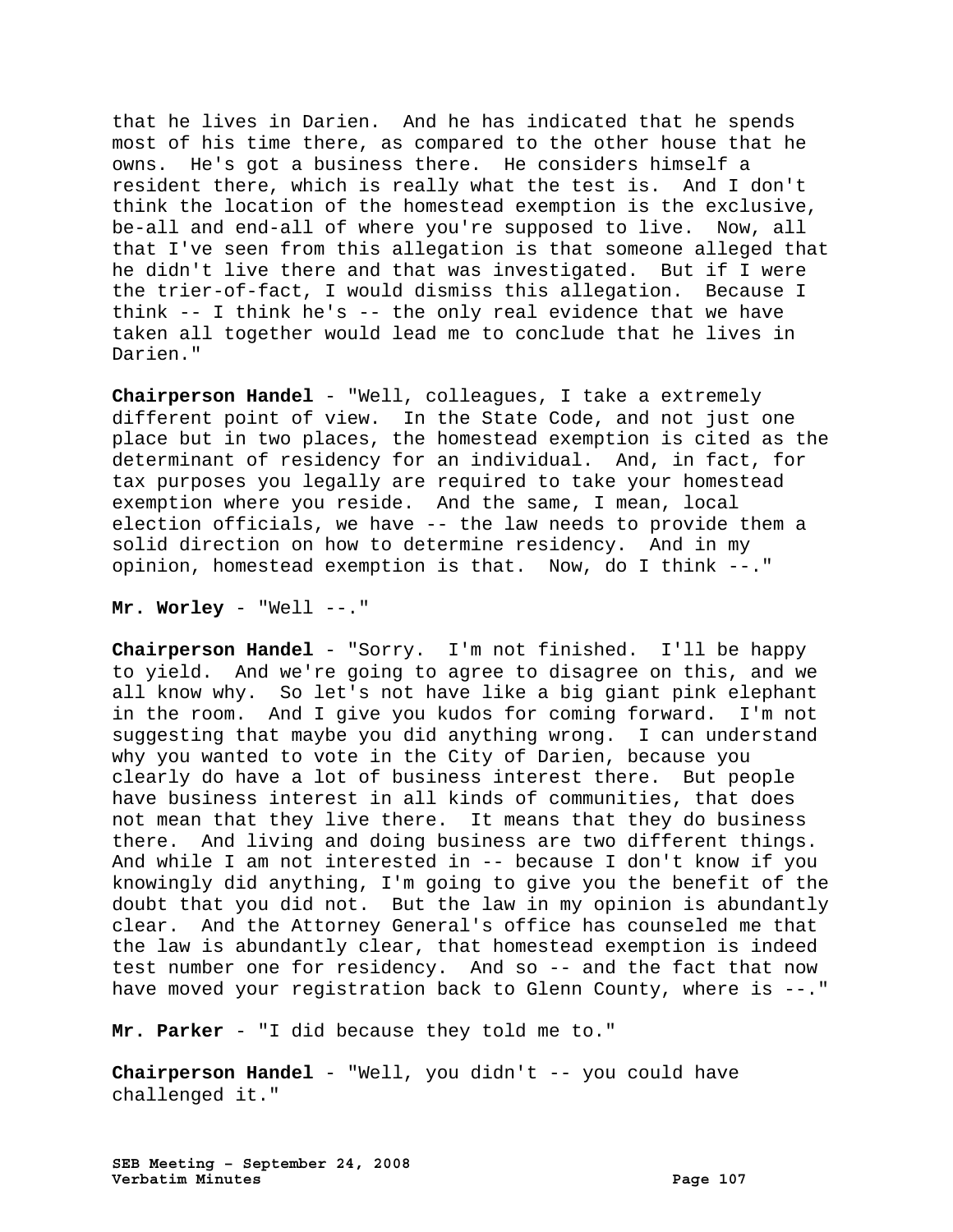that he lives in Darien. And he has indicated that he spends most of his time there, as compared to the other house that he owns. He's got a business there. He considers himself a resident there, which is really what the test is. And I don't think the location of the homestead exemption is the exclusive, be-all and end-all of where you're supposed to live. Now, all that I've seen from this allegation is that someone alleged that he didn't live there and that was investigated. But if I were the trier-of-fact, I would dismiss this allegation. Because I think -- I think he's -- the only real evidence that we have taken all together would lead me to conclude that he lives in Darien."

**Chairperson Handel** - "Well, colleagues, I take a extremely different point of view. In the State Code, and not just one place but in two places, the homestead exemption is cited as the determinant of residency for an individual. And, in fact, for tax purposes you legally are required to take your homestead exemption where you reside. And the same, I mean, local election officials, we have -- the law needs to provide them a solid direction on how to determine residency. And in my opinion, homestead exemption is that. Now, do I think --."

**Mr. Worley** - "Well --."

**Chairperson Handel** - "Sorry. I'm not finished. I'll be happy to yield. And we're going to agree to disagree on this, and we all know why. So let's not have like a big giant pink elephant in the room. And I give you kudos for coming forward. I'm not suggesting that maybe you did anything wrong. I can understand why you wanted to vote in the City of Darien, because you clearly do have a lot of business interest there. But people have business interest in all kinds of communities, that does not mean that they live there. It means that they do business there. And living and doing business are two different things. And while I am not interested in -- because I don't know if you knowingly did anything, I'm going to give you the benefit of the doubt that you did not. But the law in my opinion is abundantly clear. And the Attorney General's office has counseled me that the law is abundantly clear, that homestead exemption is indeed test number one for residency. And so -- and the fact that now have moved your registration back to Glenn County, where is --."

**Mr. Parker** - "I did because they told me to."

**Chairperson Handel** - "Well, you didn't -- you could have challenged it."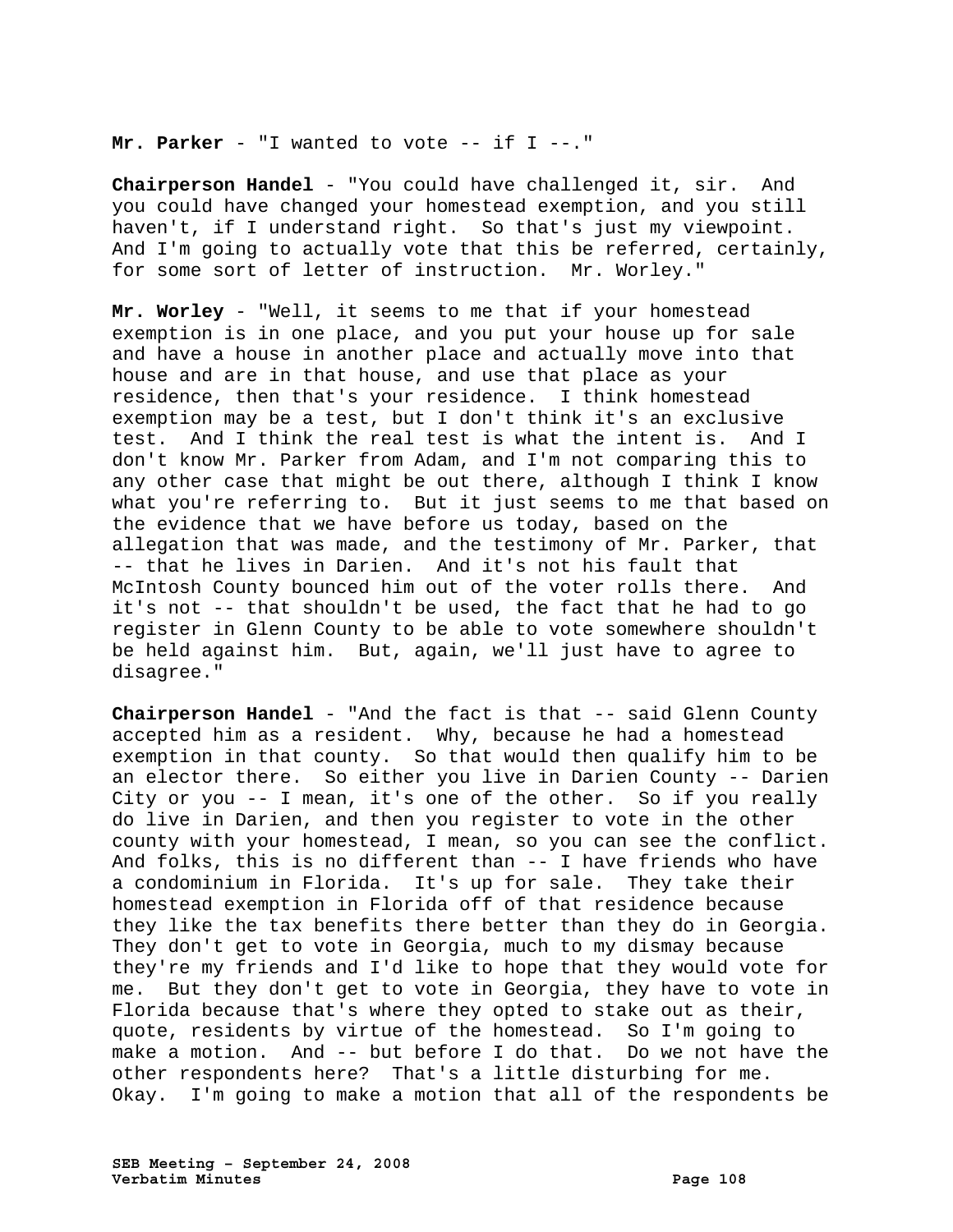### **Mr. Parker** - "I wanted to vote -- if I --."

**Chairperson Handel** - "You could have challenged it, sir. And you could have changed your homestead exemption, and you still haven't, if I understand right. So that's just my viewpoint. And I'm going to actually vote that this be referred, certainly, for some sort of letter of instruction. Mr. Worley."

**Mr. Worley** - "Well, it seems to me that if your homestead exemption is in one place, and you put your house up for sale and have a house in another place and actually move into that house and are in that house, and use that place as your residence, then that's your residence. I think homestead exemption may be a test, but I don't think it's an exclusive test. And I think the real test is what the intent is. And I don't know Mr. Parker from Adam, and I'm not comparing this to any other case that might be out there, although I think I know what you're referring to. But it just seems to me that based on the evidence that we have before us today, based on the allegation that was made, and the testimony of Mr. Parker, that -- that he lives in Darien. And it's not his fault that McIntosh County bounced him out of the voter rolls there. And it's not -- that shouldn't be used, the fact that he had to go register in Glenn County to be able to vote somewhere shouldn't be held against him. But, again, we'll just have to agree to disagree."

**Chairperson Handel** - "And the fact is that -- said Glenn County accepted him as a resident. Why, because he had a homestead exemption in that county. So that would then qualify him to be an elector there. So either you live in Darien County -- Darien City or you -- I mean, it's one of the other. So if you really do live in Darien, and then you register to vote in the other county with your homestead, I mean, so you can see the conflict. And folks, this is no different than -- I have friends who have a condominium in Florida. It's up for sale. They take their homestead exemption in Florida off of that residence because they like the tax benefits there better than they do in Georgia. They don't get to vote in Georgia, much to my dismay because they're my friends and I'd like to hope that they would vote for me. But they don't get to vote in Georgia, they have to vote in Florida because that's where they opted to stake out as their, quote, residents by virtue of the homestead. So I'm going to make a motion. And -- but before I do that. Do we not have the other respondents here? That's a little disturbing for me. Okay. I'm going to make a motion that all of the respondents be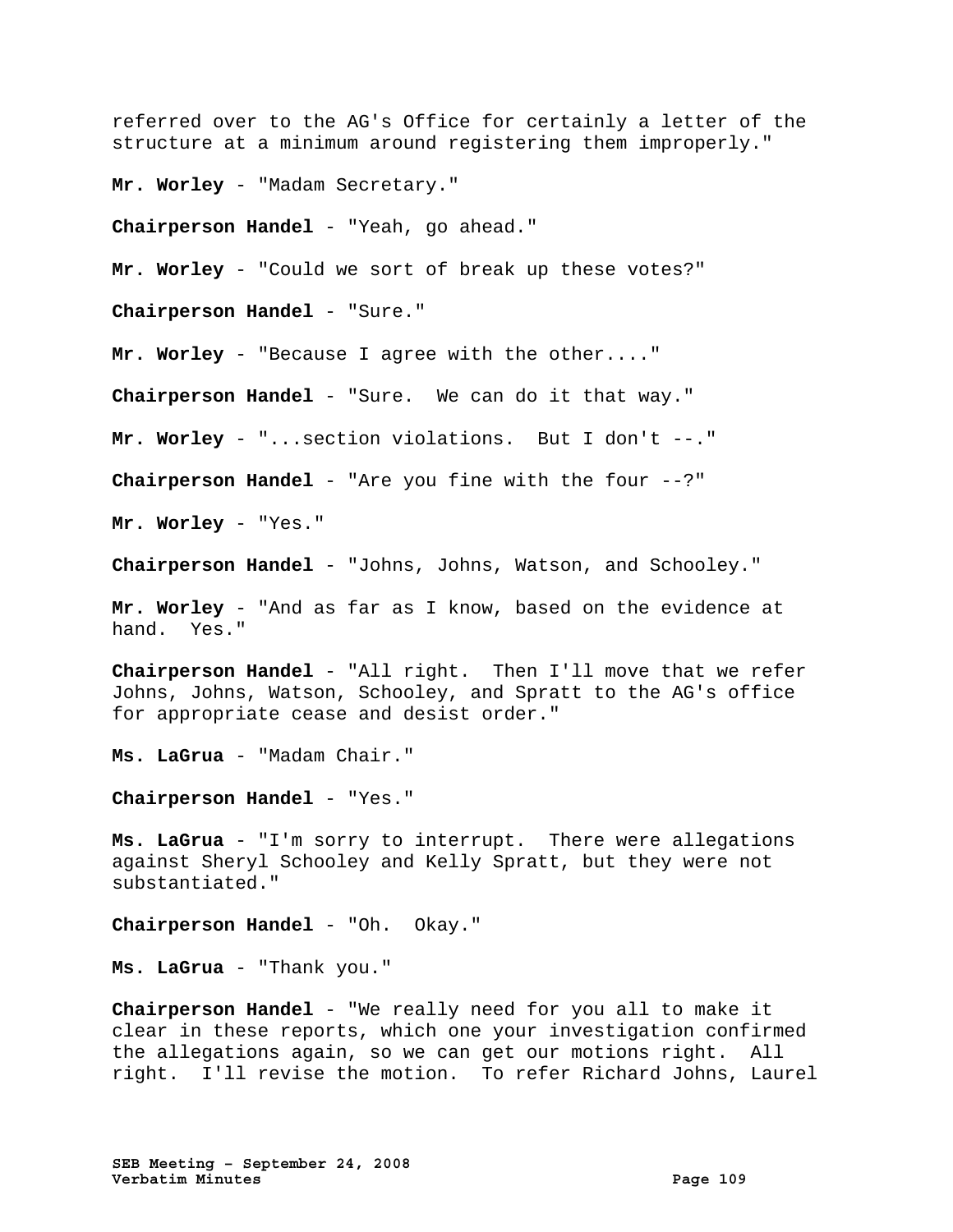referred over to the AG's Office for certainly a letter of the structure at a minimum around registering them improperly."

**Mr. Worley** - "Madam Secretary."

**Chairperson Handel** - "Yeah, go ahead."

**Mr. Worley** - "Could we sort of break up these votes?"

**Chairperson Handel** - "Sure."

**Mr. Worley** - "Because I agree with the other...."

**Chairperson Handel** - "Sure. We can do it that way."

**Mr. Worley** - "...section violations. But I don't --."

**Chairperson Handel** - "Are you fine with the four --?"

**Mr. Worley** - "Yes."

**Chairperson Handel** - "Johns, Johns, Watson, and Schooley."

**Mr. Worley** - "And as far as I know, based on the evidence at hand. Yes."

**Chairperson Handel** - "All right. Then I'll move that we refer Johns, Johns, Watson, Schooley, and Spratt to the AG's office for appropriate cease and desist order."

**Ms. LaGrua** - "Madam Chair."

**Chairperson Handel** - "Yes."

**Ms. LaGrua** - "I'm sorry to interrupt. There were allegations against Sheryl Schooley and Kelly Spratt, but they were not substantiated."

**Chairperson Handel** - "Oh. Okay."

**Ms. LaGrua** - "Thank you."

**Chairperson Handel** - "We really need for you all to make it clear in these reports, which one your investigation confirmed the allegations again, so we can get our motions right. All right. I'll revise the motion. To refer Richard Johns, Laurel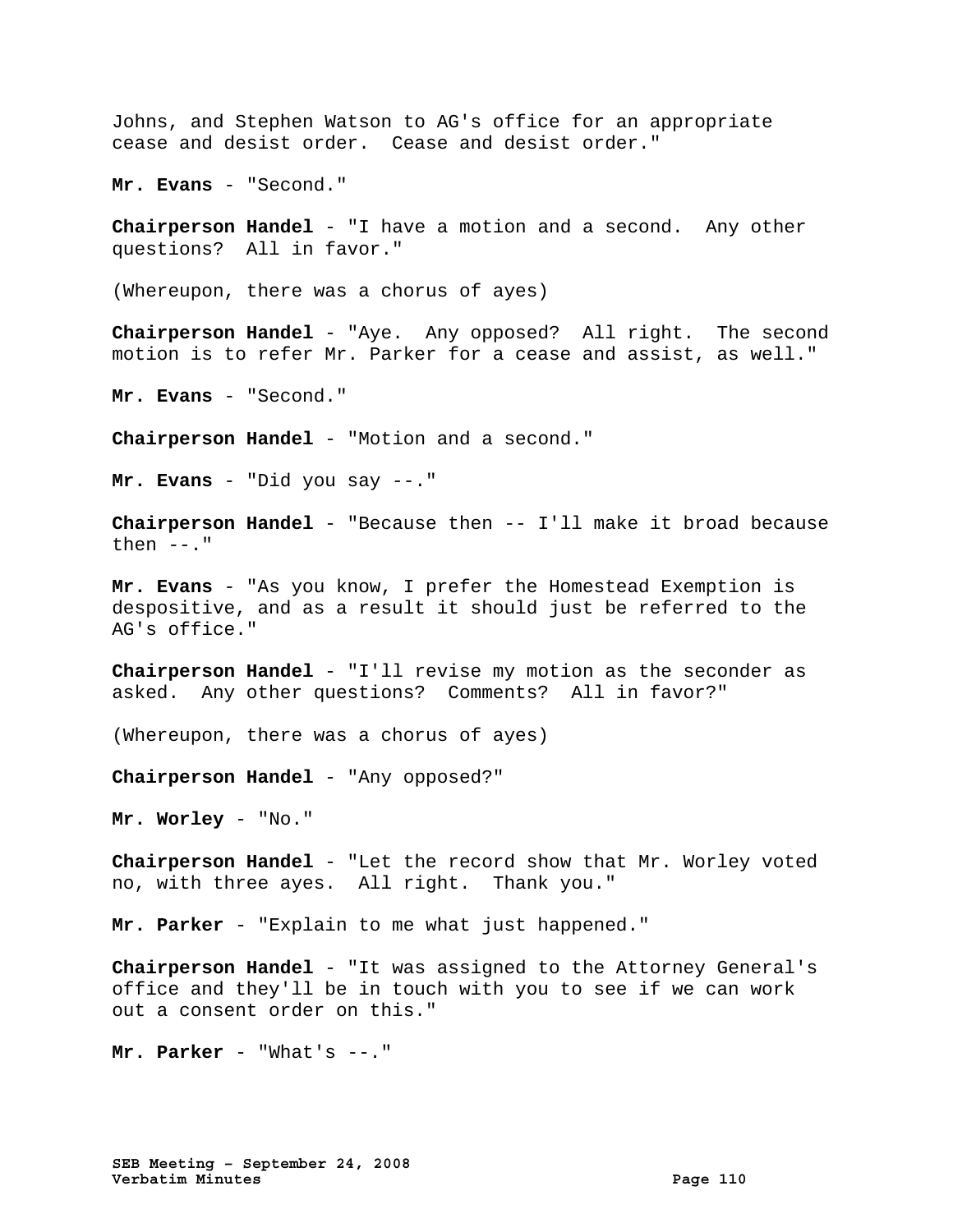Johns, and Stephen Watson to AG's office for an appropriate cease and desist order. Cease and desist order."

**Mr. Evans** - "Second."

**Chairperson Handel** - "I have a motion and a second. Any other questions? All in favor."

(Whereupon, there was a chorus of ayes)

**Chairperson Handel** - "Aye. Any opposed? All right. The second motion is to refer Mr. Parker for a cease and assist, as well."

**Mr. Evans** - "Second."

**Chairperson Handel** - "Motion and a second."

**Mr. Evans** - "Did you say --."

**Chairperson Handel** - "Because then -- I'll make it broad because then  $--$ ."

**Mr. Evans** - "As you know, I prefer the Homestead Exemption is despositive, and as a result it should just be referred to the AG's office."

**Chairperson Handel** - "I'll revise my motion as the seconder as asked. Any other questions? Comments? All in favor?"

(Whereupon, there was a chorus of ayes)

**Chairperson Handel** - "Any opposed?"

**Mr. Worley** - "No."

**Chairperson Handel** - "Let the record show that Mr. Worley voted no, with three ayes. All right. Thank you."

**Mr. Parker** - "Explain to me what just happened."

**Chairperson Handel** - "It was assigned to the Attorney General's office and they'll be in touch with you to see if we can work out a consent order on this."

**Mr. Parker** - "What's --."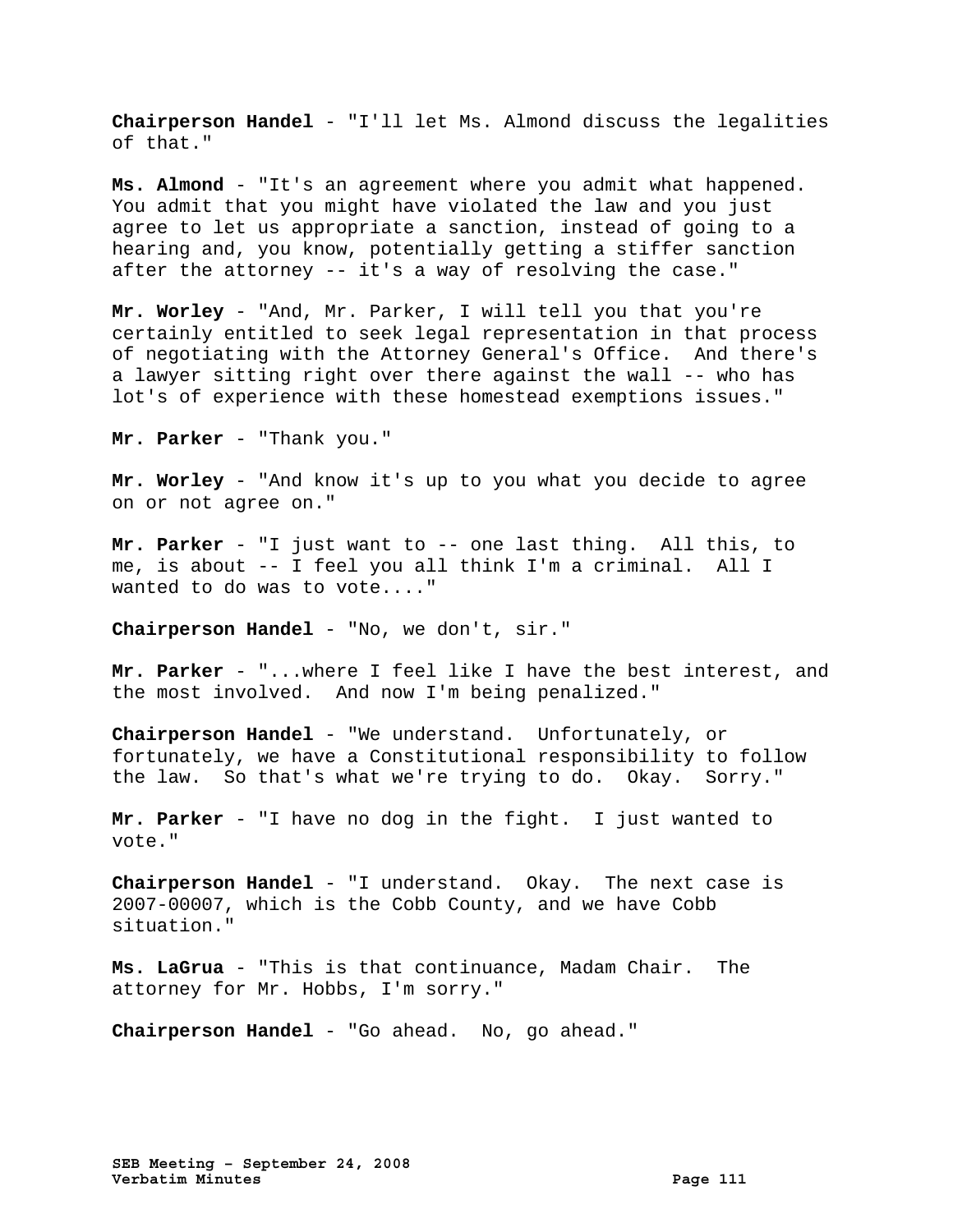**Chairperson Handel** - "I'll let Ms. Almond discuss the legalities of that."

**Ms. Almond** - "It's an agreement where you admit what happened. You admit that you might have violated the law and you just agree to let us appropriate a sanction, instead of going to a hearing and, you know, potentially getting a stiffer sanction after the attorney -- it's a way of resolving the case."

**Mr. Worley** - "And, Mr. Parker, I will tell you that you're certainly entitled to seek legal representation in that process of negotiating with the Attorney General's Office. And there's a lawyer sitting right over there against the wall -- who has lot's of experience with these homestead exemptions issues."

**Mr. Parker** - "Thank you."

**Mr. Worley** - "And know it's up to you what you decide to agree on or not agree on."

**Mr. Parker** - "I just want to -- one last thing. All this, to me, is about -- I feel you all think I'm a criminal. All I wanted to do was to vote...."

**Chairperson Handel** - "No, we don't, sir."

**Mr. Parker** - "...where I feel like I have the best interest, and the most involved. And now I'm being penalized."

**Chairperson Handel** - "We understand. Unfortunately, or fortunately, we have a Constitutional responsibility to follow the law. So that's what we're trying to do. Okay. Sorry."

**Mr. Parker** - "I have no dog in the fight. I just wanted to vote."

**Chairperson Handel** - "I understand. Okay. The next case is 2007-00007, which is the Cobb County, and we have Cobb situation."

**Ms. LaGrua** - "This is that continuance, Madam Chair. The attorney for Mr. Hobbs, I'm sorry."

**Chairperson Handel** - "Go ahead. No, go ahead."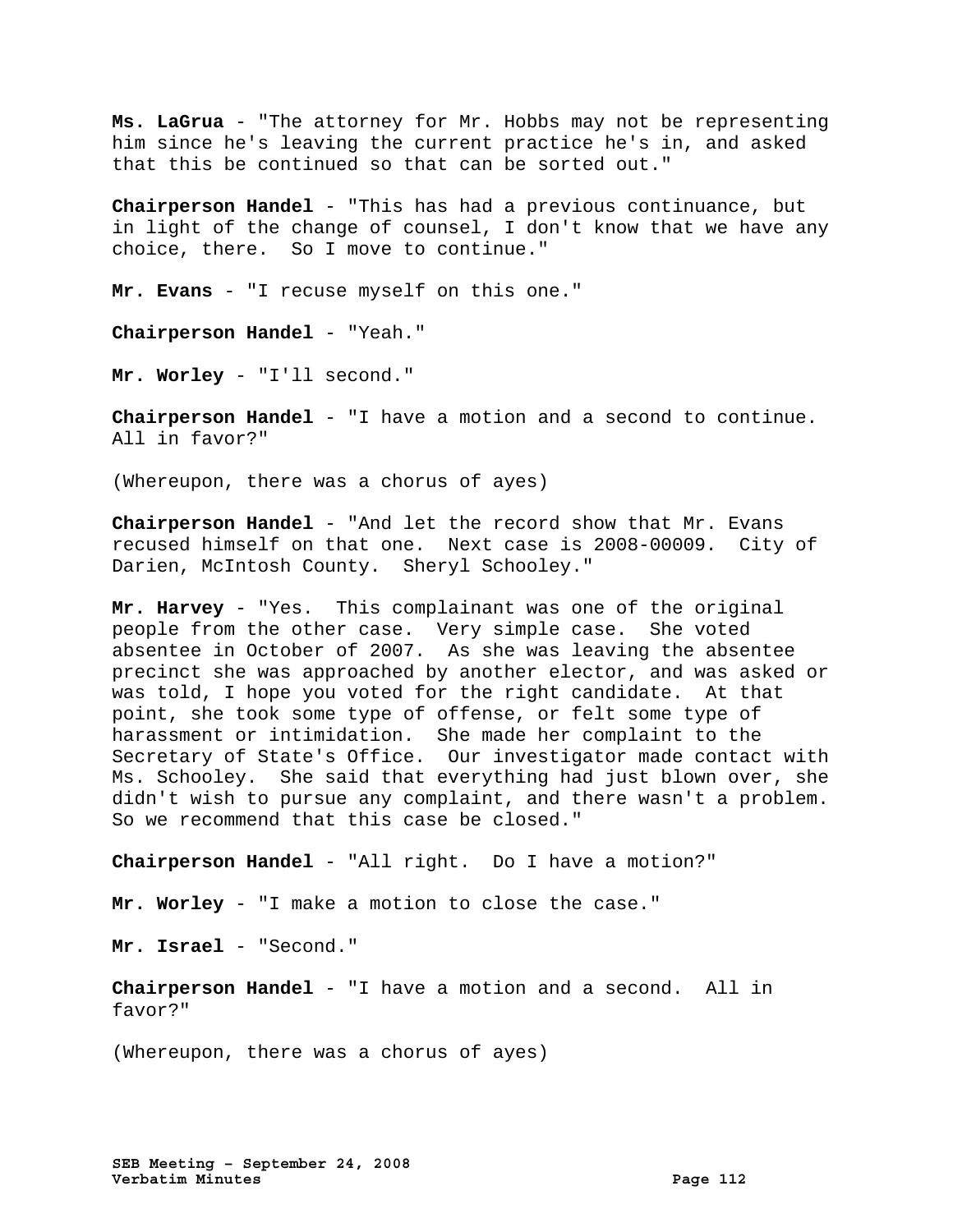**Ms. LaGrua** - "The attorney for Mr. Hobbs may not be representing him since he's leaving the current practice he's in, and asked that this be continued so that can be sorted out."

**Chairperson Handel** - "This has had a previous continuance, but in light of the change of counsel, I don't know that we have any choice, there. So I move to continue."

**Mr. Evans** - "I recuse myself on this one."

**Chairperson Handel** - "Yeah."

**Mr. Worley** - "I'll second."

**Chairperson Handel** - "I have a motion and a second to continue. All in favor?"

(Whereupon, there was a chorus of ayes)

**Chairperson Handel** - "And let the record show that Mr. Evans recused himself on that one. Next case is 2008-00009. City of Darien, McIntosh County. Sheryl Schooley."

**Mr. Harvey** - "Yes. This complainant was one of the original people from the other case. Very simple case. She voted absentee in October of 2007. As she was leaving the absentee precinct she was approached by another elector, and was asked or was told, I hope you voted for the right candidate. At that point, she took some type of offense, or felt some type of harassment or intimidation. She made her complaint to the Secretary of State's Office. Our investigator made contact with Ms. Schooley. She said that everything had just blown over, she didn't wish to pursue any complaint, and there wasn't a problem. So we recommend that this case be closed."

**Chairperson Handel** - "All right. Do I have a motion?"

**Mr. Worley** - "I make a motion to close the case."

**Mr. Israel** - "Second."

**Chairperson Handel** - "I have a motion and a second. All in favor?"

(Whereupon, there was a chorus of ayes)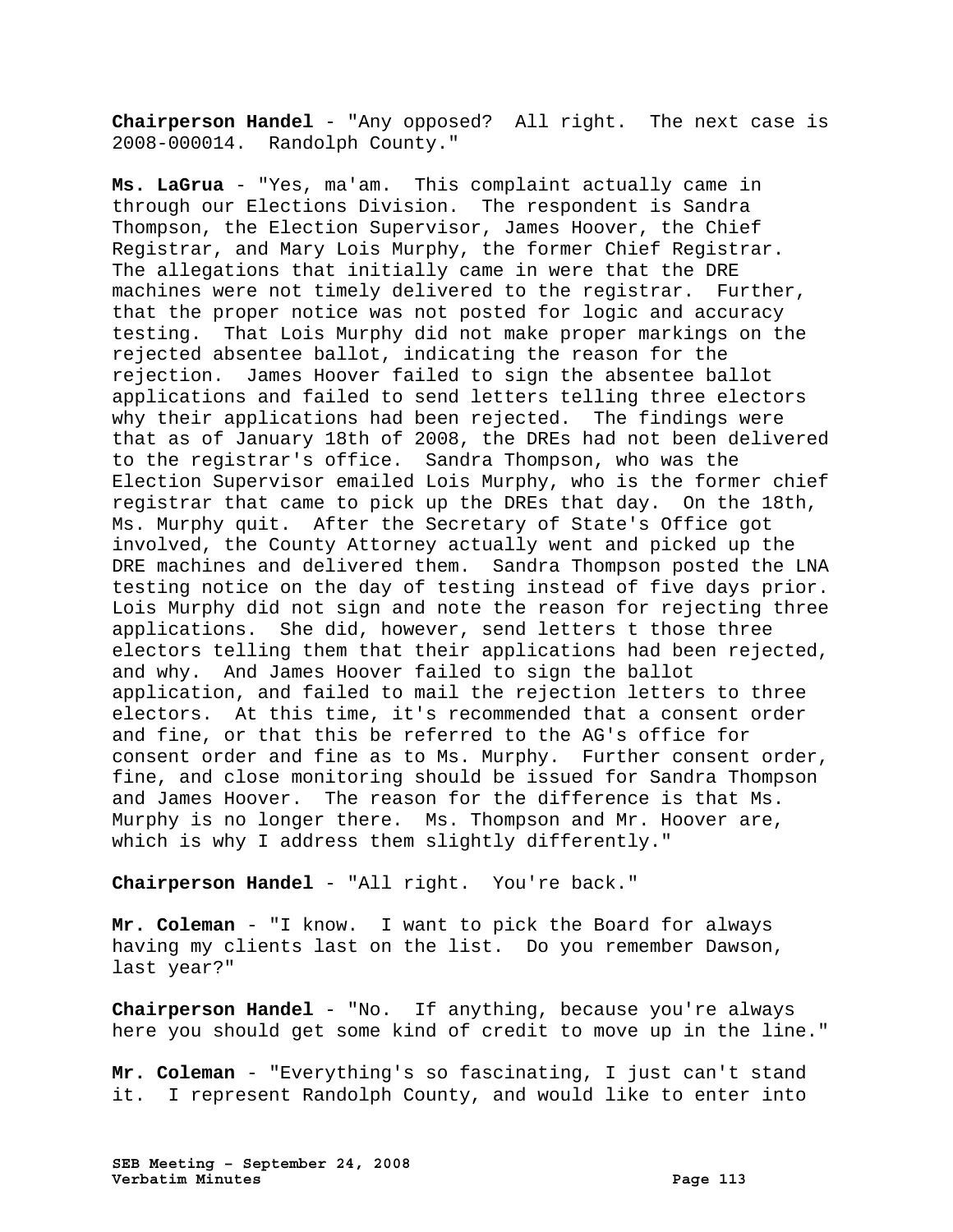**Chairperson Handel** - "Any opposed? All right. The next case is 2008-000014. Randolph County."

**Ms. LaGrua** - "Yes, ma'am. This complaint actually came in through our Elections Division. The respondent is Sandra Thompson, the Election Supervisor, James Hoover, the Chief Registrar, and Mary Lois Murphy, the former Chief Registrar. The allegations that initially came in were that the DRE machines were not timely delivered to the registrar. Further, that the proper notice was not posted for logic and accuracy testing. That Lois Murphy did not make proper markings on the rejected absentee ballot, indicating the reason for the rejection. James Hoover failed to sign the absentee ballot applications and failed to send letters telling three electors why their applications had been rejected. The findings were that as of January 18th of 2008, the DREs had not been delivered to the registrar's office. Sandra Thompson, who was the Election Supervisor emailed Lois Murphy, who is the former chief registrar that came to pick up the DREs that day. On the 18th, Ms. Murphy quit. After the Secretary of State's Office got involved, the County Attorney actually went and picked up the DRE machines and delivered them. Sandra Thompson posted the LNA testing notice on the day of testing instead of five days prior. Lois Murphy did not sign and note the reason for rejecting three applications. She did, however, send letters t those three electors telling them that their applications had been rejected, and why. And James Hoover failed to sign the ballot application, and failed to mail the rejection letters to three electors. At this time, it's recommended that a consent order and fine, or that this be referred to the AG's office for consent order and fine as to Ms. Murphy. Further consent order, fine, and close monitoring should be issued for Sandra Thompson and James Hoover. The reason for the difference is that Ms. Murphy is no longer there. Ms. Thompson and Mr. Hoover are, which is why I address them slightly differently."

**Chairperson Handel** - "All right. You're back."

**Mr. Coleman** - "I know. I want to pick the Board for always having my clients last on the list. Do you remember Dawson, last year?"

**Chairperson Handel** - "No. If anything, because you're always here you should get some kind of credit to move up in the line."

**Mr. Coleman** - "Everything's so fascinating, I just can't stand it. I represent Randolph County, and would like to enter into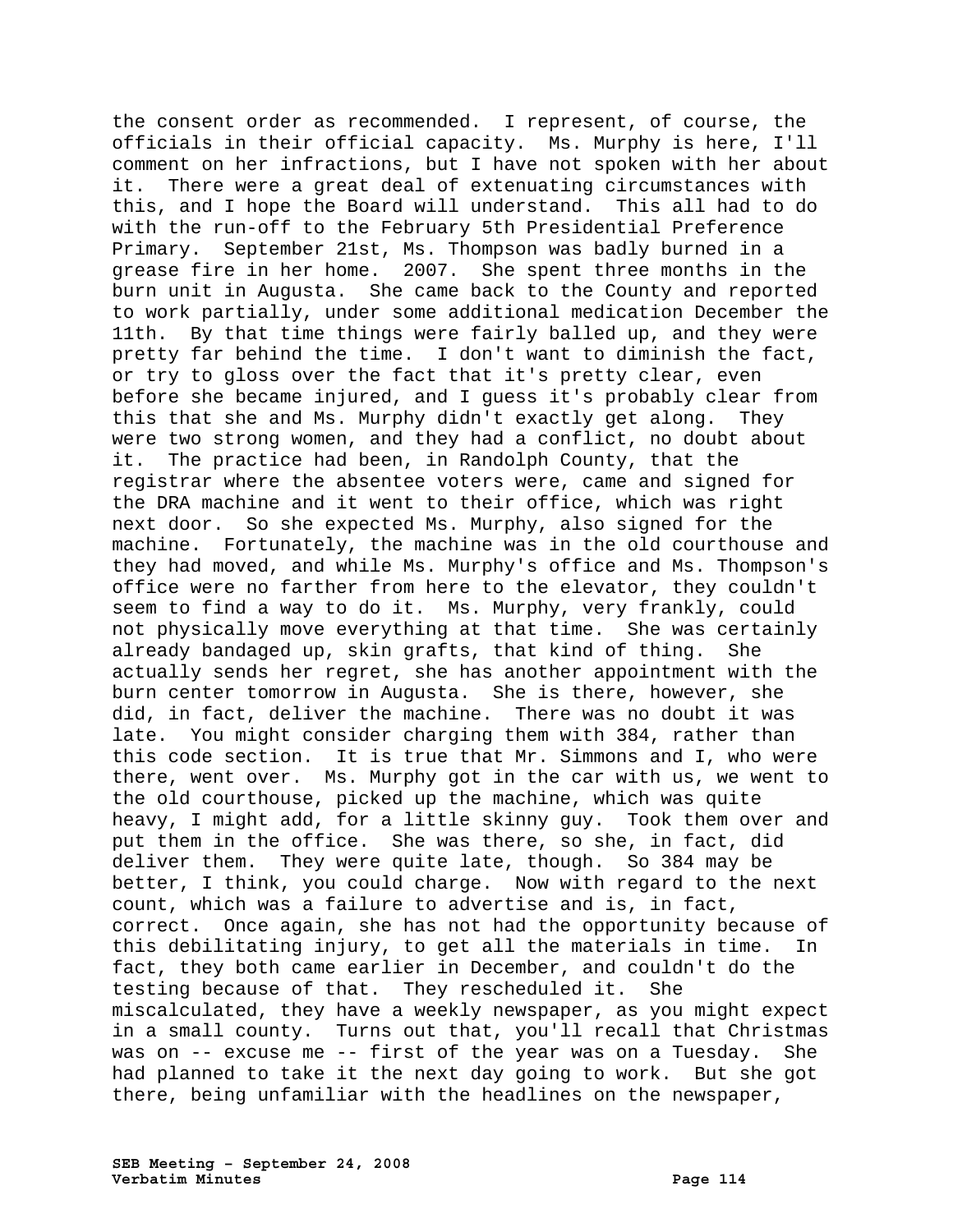the consent order as recommended. I represent, of course, the officials in their official capacity. Ms. Murphy is here, I'll comment on her infractions, but I have not spoken with her about it. There were a great deal of extenuating circumstances with this, and I hope the Board will understand. This all had to do with the run-off to the February 5th Presidential Preference Primary. September 21st, Ms. Thompson was badly burned in a grease fire in her home. 2007. She spent three months in the burn unit in Augusta. She came back to the County and reported to work partially, under some additional medication December the 11th. By that time things were fairly balled up, and they were pretty far behind the time. I don't want to diminish the fact, or try to gloss over the fact that it's pretty clear, even before she became injured, and I guess it's probably clear from this that she and Ms. Murphy didn't exactly get along. They were two strong women, and they had a conflict, no doubt about it. The practice had been, in Randolph County, that the registrar where the absentee voters were, came and signed for the DRA machine and it went to their office, which was right next door. So she expected Ms. Murphy, also signed for the machine. Fortunately, the machine was in the old courthouse and they had moved, and while Ms. Murphy's office and Ms. Thompson's office were no farther from here to the elevator, they couldn't seem to find a way to do it. Ms. Murphy, very frankly, could not physically move everything at that time. She was certainly already bandaged up, skin grafts, that kind of thing. She actually sends her regret, she has another appointment with the burn center tomorrow in Augusta. She is there, however, she did, in fact, deliver the machine. There was no doubt it was late. You might consider charging them with 384, rather than this code section. It is true that Mr. Simmons and I, who were there, went over. Ms. Murphy got in the car with us, we went to the old courthouse, picked up the machine, which was quite heavy, I might add, for a little skinny guy. Took them over and put them in the office. She was there, so she, in fact, did deliver them. They were quite late, though. So 384 may be better, I think, you could charge. Now with regard to the next count, which was a failure to advertise and is, in fact, correct. Once again, she has not had the opportunity because of this debilitating injury, to get all the materials in time. In fact, they both came earlier in December, and couldn't do the testing because of that. They rescheduled it. She miscalculated, they have a weekly newspaper, as you might expect in a small county. Turns out that, you'll recall that Christmas was on -- excuse me -- first of the year was on a Tuesday. She had planned to take it the next day going to work. But she got there, being unfamiliar with the headlines on the newspaper,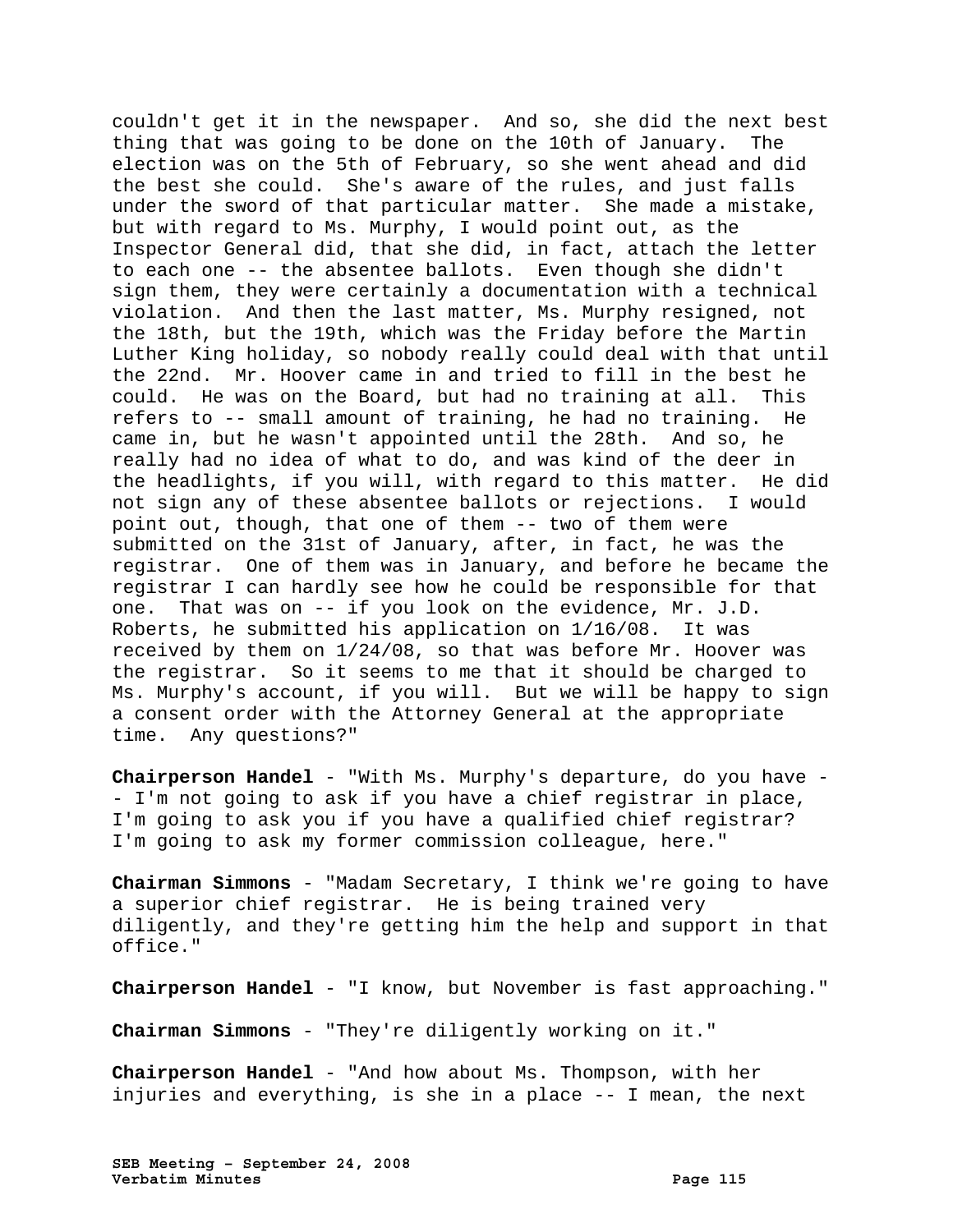couldn't get it in the newspaper. And so, she did the next best thing that was going to be done on the 10th of January. The election was on the 5th of February, so she went ahead and did the best she could. She's aware of the rules, and just falls under the sword of that particular matter. She made a mistake, but with regard to Ms. Murphy, I would point out, as the Inspector General did, that she did, in fact, attach the letter to each one -- the absentee ballots. Even though she didn't sign them, they were certainly a documentation with a technical violation. And then the last matter, Ms. Murphy resigned, not the 18th, but the 19th, which was the Friday before the Martin Luther King holiday, so nobody really could deal with that until the 22nd. Mr. Hoover came in and tried to fill in the best he could. He was on the Board, but had no training at all. This refers to -- small amount of training, he had no training. He came in, but he wasn't appointed until the 28th. And so, he really had no idea of what to do, and was kind of the deer in the headlights, if you will, with regard to this matter. He did not sign any of these absentee ballots or rejections. I would point out, though, that one of them -- two of them were submitted on the 31st of January, after, in fact, he was the registrar. One of them was in January, and before he became the registrar I can hardly see how he could be responsible for that one. That was on -- if you look on the evidence, Mr. J.D. Roberts, he submitted his application on 1/16/08. It was received by them on  $1/24/08$ , so that was before Mr. Hoover was the registrar. So it seems to me that it should be charged to Ms. Murphy's account, if you will. But we will be happy to sign a consent order with the Attorney General at the appropriate time. Any questions?"

**Chairperson Handel** - "With Ms. Murphy's departure, do you have - - I'm not going to ask if you have a chief registrar in place, I'm going to ask you if you have a qualified chief registrar? I'm going to ask my former commission colleague, here."

**Chairman Simmons** - "Madam Secretary, I think we're going to have a superior chief registrar. He is being trained very diligently, and they're getting him the help and support in that office."

**Chairperson Handel** - "I know, but November is fast approaching."

**Chairman Simmons** - "They're diligently working on it."

**Chairperson Handel** - "And how about Ms. Thompson, with her injuries and everything, is she in a place -- I mean, the next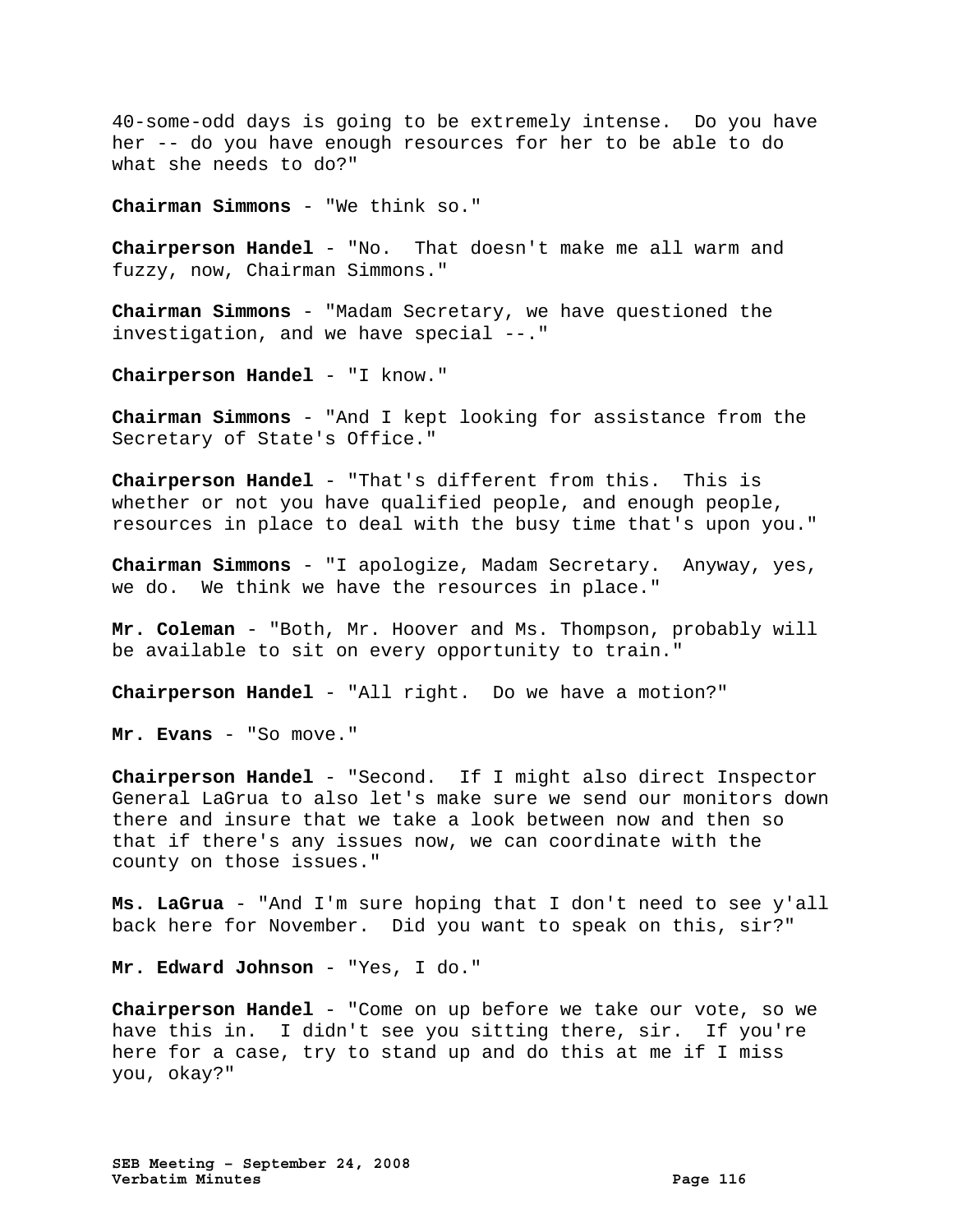40-some-odd days is going to be extremely intense. Do you have her -- do you have enough resources for her to be able to do what she needs to do?"

**Chairman Simmons** - "We think so."

**Chairperson Handel** - "No. That doesn't make me all warm and fuzzy, now, Chairman Simmons."

**Chairman Simmons** - "Madam Secretary, we have questioned the investigation, and we have special --."

**Chairperson Handel** - "I know."

**Chairman Simmons** - "And I kept looking for assistance from the Secretary of State's Office."

**Chairperson Handel** - "That's different from this. This is whether or not you have qualified people, and enough people, resources in place to deal with the busy time that's upon you."

**Chairman Simmons** - "I apologize, Madam Secretary. Anyway, yes, we do. We think we have the resources in place."

**Mr. Coleman** - "Both, Mr. Hoover and Ms. Thompson, probably will be available to sit on every opportunity to train."

**Chairperson Handel** - "All right. Do we have a motion?"

Mr. Evans - "So move."

**Chairperson Handel** - "Second. If I might also direct Inspector General LaGrua to also let's make sure we send our monitors down there and insure that we take a look between now and then so that if there's any issues now, we can coordinate with the county on those issues."

**Ms. LaGrua** - "And I'm sure hoping that I don't need to see y'all back here for November. Did you want to speak on this, sir?"

**Mr. Edward Johnson** - "Yes, I do."

**Chairperson Handel** - "Come on up before we take our vote, so we have this in. I didn't see you sitting there, sir. If you're here for a case, try to stand up and do this at me if I miss you, okay?"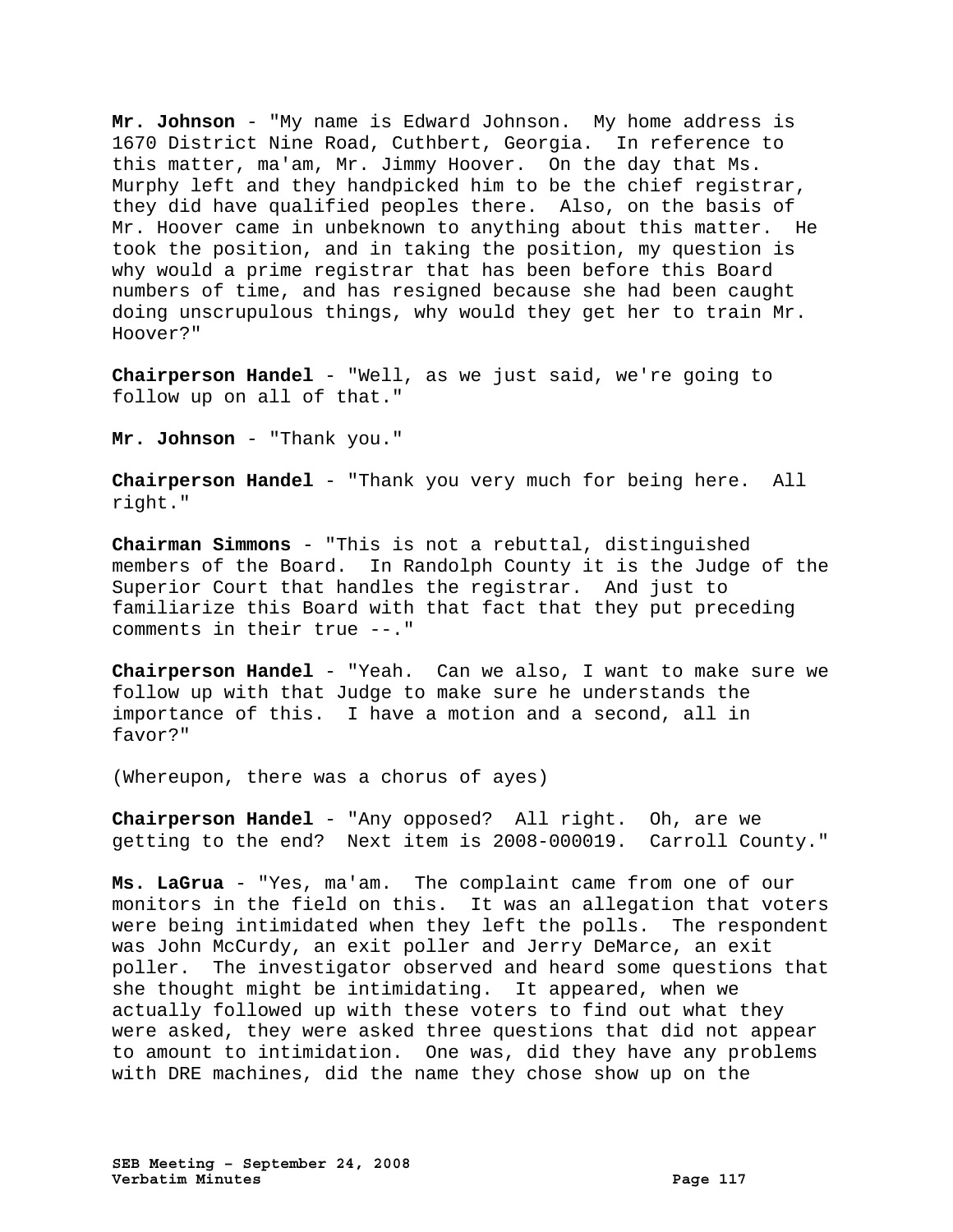**Mr. Johnson** - "My name is Edward Johnson. My home address is 1670 District Nine Road, Cuthbert, Georgia. In reference to this matter, ma'am, Mr. Jimmy Hoover. On the day that Ms. Murphy left and they handpicked him to be the chief registrar, they did have qualified peoples there. Also, on the basis of Mr. Hoover came in unbeknown to anything about this matter. He took the position, and in taking the position, my question is why would a prime registrar that has been before this Board numbers of time, and has resigned because she had been caught doing unscrupulous things, why would they get her to train Mr. Hoover?"

**Chairperson Handel** - "Well, as we just said, we're going to follow up on all of that."

**Mr. Johnson** - "Thank you."

**Chairperson Handel** - "Thank you very much for being here. All right."

**Chairman Simmons** - "This is not a rebuttal, distinguished members of the Board. In Randolph County it is the Judge of the Superior Court that handles the registrar. And just to familiarize this Board with that fact that they put preceding comments in their true --."

**Chairperson Handel** - "Yeah. Can we also, I want to make sure we follow up with that Judge to make sure he understands the importance of this. I have a motion and a second, all in favor?"

(Whereupon, there was a chorus of ayes)

**Chairperson Handel** - "Any opposed? All right. Oh, are we getting to the end? Next item is 2008-000019. Carroll County."

**Ms. LaGrua** - "Yes, ma'am. The complaint came from one of our monitors in the field on this. It was an allegation that voters were being intimidated when they left the polls. The respondent was John McCurdy, an exit poller and Jerry DeMarce, an exit poller. The investigator observed and heard some questions that she thought might be intimidating. It appeared, when we actually followed up with these voters to find out what they were asked, they were asked three questions that did not appear to amount to intimidation. One was, did they have any problems with DRE machines, did the name they chose show up on the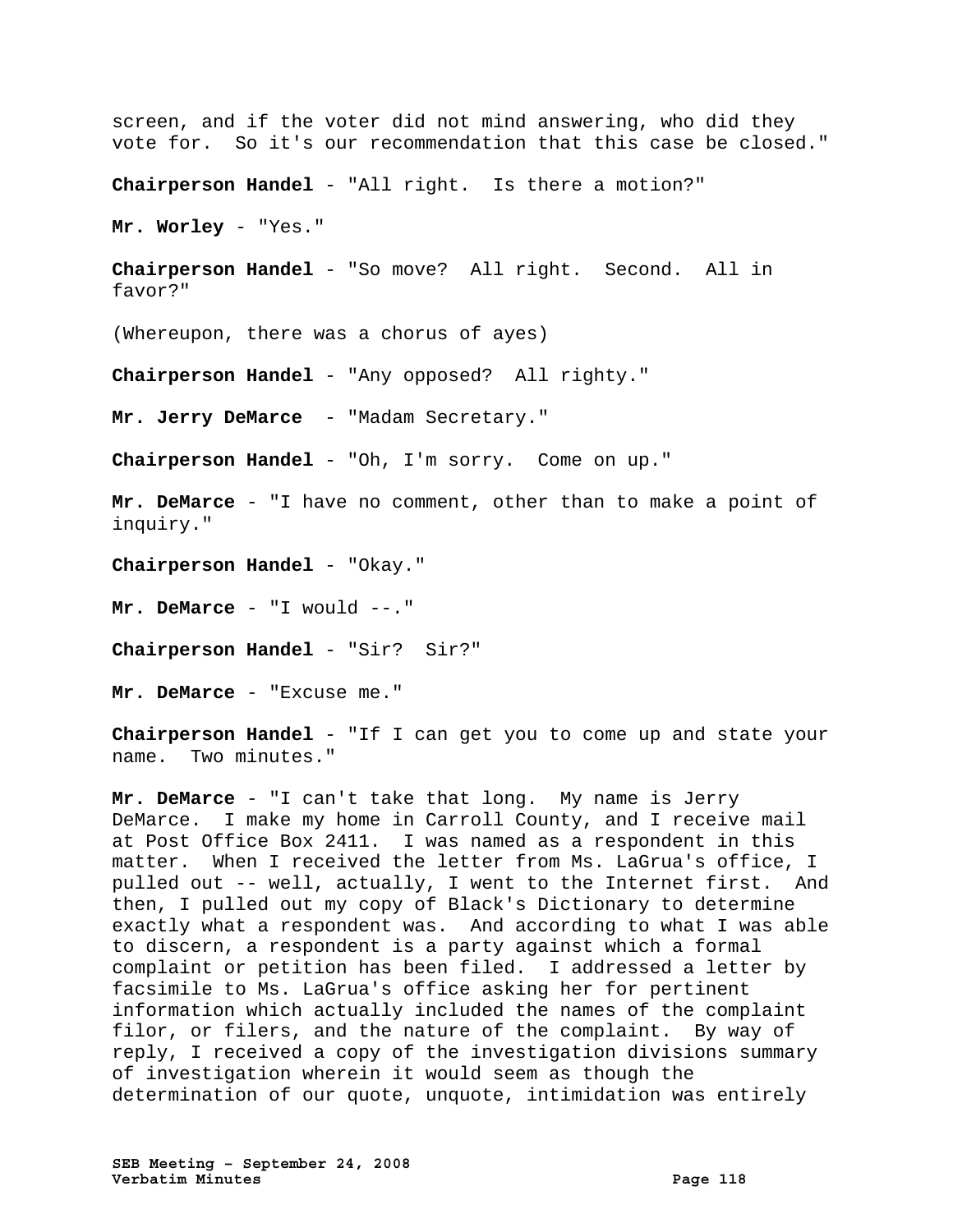screen, and if the voter did not mind answering, who did they vote for. So it's our recommendation that this case be closed."

**Chairperson Handel** - "All right. Is there a motion?"

**Mr. Worley** - "Yes."

**Chairperson Handel** - "So move? All right. Second. All in favor?"

(Whereupon, there was a chorus of ayes)

**Chairperson Handel** - "Any opposed? All righty."

**Mr. Jerry DeMarce** - "Madam Secretary."

**Chairperson Handel** - "Oh, I'm sorry. Come on up."

**Mr. DeMarce** - "I have no comment, other than to make a point of inquiry."

**Chairperson Handel** - "Okay."

**Mr. DeMarce** - "I would --."

**Chairperson Handel** - "Sir? Sir?"

**Mr. DeMarce** - "Excuse me."

**Chairperson Handel** - "If I can get you to come up and state your name. Two minutes."

**Mr. DeMarce** - "I can't take that long. My name is Jerry DeMarce. I make my home in Carroll County, and I receive mail at Post Office Box 2411. I was named as a respondent in this matter. When I received the letter from Ms. LaGrua's office, I pulled out -- well, actually, I went to the Internet first. And then, I pulled out my copy of Black's Dictionary to determine exactly what a respondent was. And according to what I was able to discern, a respondent is a party against which a formal complaint or petition has been filed. I addressed a letter by facsimile to Ms. LaGrua's office asking her for pertinent information which actually included the names of the complaint filor, or filers, and the nature of the complaint. By way of reply, I received a copy of the investigation divisions summary of investigation wherein it would seem as though the determination of our quote, unquote, intimidation was entirely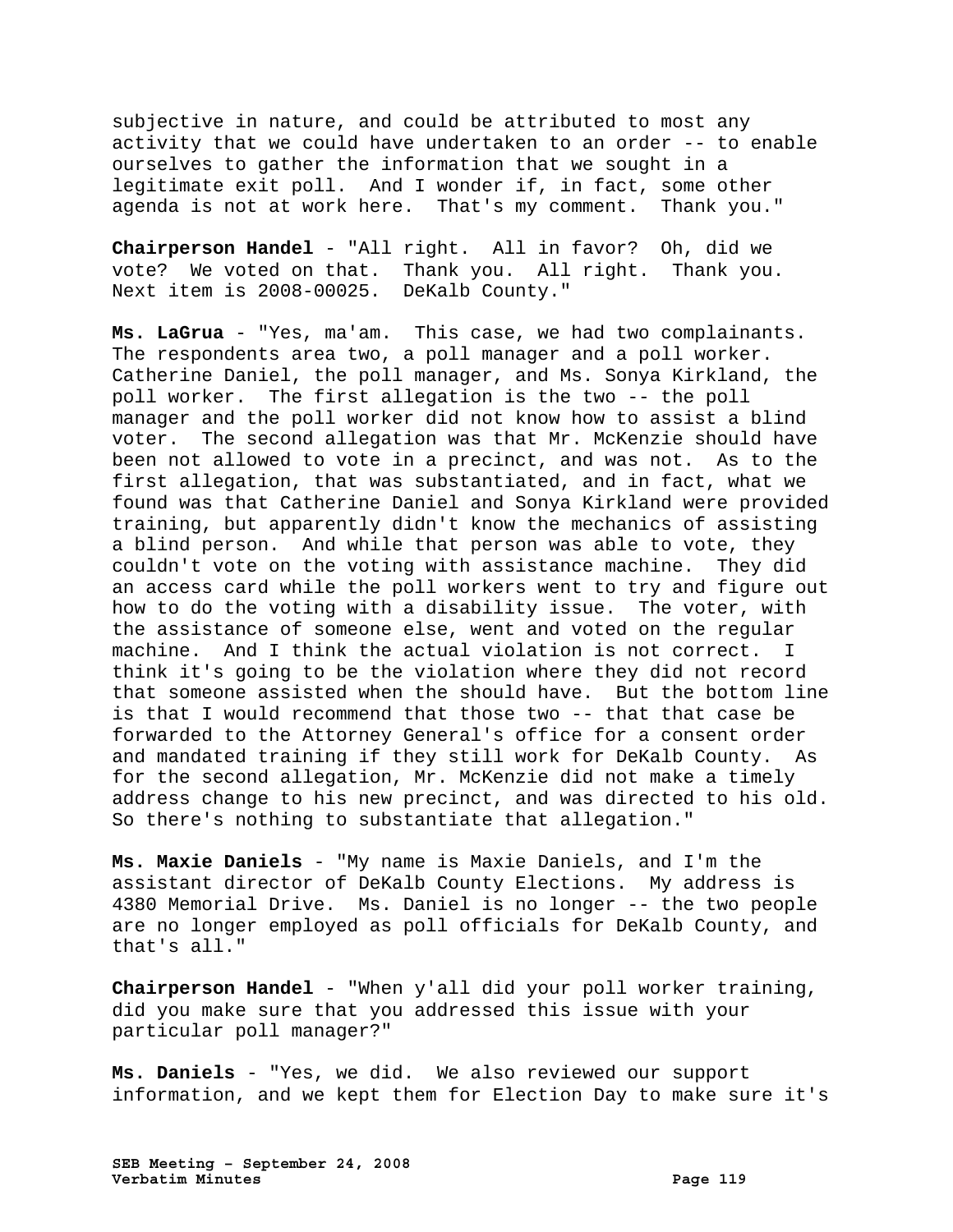subjective in nature, and could be attributed to most any activity that we could have undertaken to an order -- to enable ourselves to gather the information that we sought in a legitimate exit poll. And I wonder if, in fact, some other agenda is not at work here. That's my comment. Thank you."

**Chairperson Handel** - "All right. All in favor? Oh, did we vote? We voted on that. Thank you. All right. Thank you. Next item is 2008-00025. DeKalb County."

**Ms. LaGrua** - "Yes, ma'am. This case, we had two complainants. The respondents area two, a poll manager and a poll worker. Catherine Daniel, the poll manager, and Ms. Sonya Kirkland, the poll worker. The first allegation is the two -- the poll manager and the poll worker did not know how to assist a blind voter. The second allegation was that Mr. McKenzie should have been not allowed to vote in a precinct, and was not. As to the first allegation, that was substantiated, and in fact, what we found was that Catherine Daniel and Sonya Kirkland were provided training, but apparently didn't know the mechanics of assisting a blind person. And while that person was able to vote, they couldn't vote on the voting with assistance machine. They did an access card while the poll workers went to try and figure out how to do the voting with a disability issue. The voter, with the assistance of someone else, went and voted on the regular machine. And I think the actual violation is not correct. I think it's going to be the violation where they did not record that someone assisted when the should have. But the bottom line is that I would recommend that those two -- that that case be forwarded to the Attorney General's office for a consent order and mandated training if they still work for DeKalb County. As for the second allegation, Mr. McKenzie did not make a timely address change to his new precinct, and was directed to his old. So there's nothing to substantiate that allegation."

**Ms. Maxie Daniels** - "My name is Maxie Daniels, and I'm the assistant director of DeKalb County Elections. My address is 4380 Memorial Drive. Ms. Daniel is no longer -- the two people are no longer employed as poll officials for DeKalb County, and that's all."

**Chairperson Handel** - "When y'all did your poll worker training, did you make sure that you addressed this issue with your particular poll manager?"

**Ms. Daniels** - "Yes, we did. We also reviewed our support information, and we kept them for Election Day to make sure it's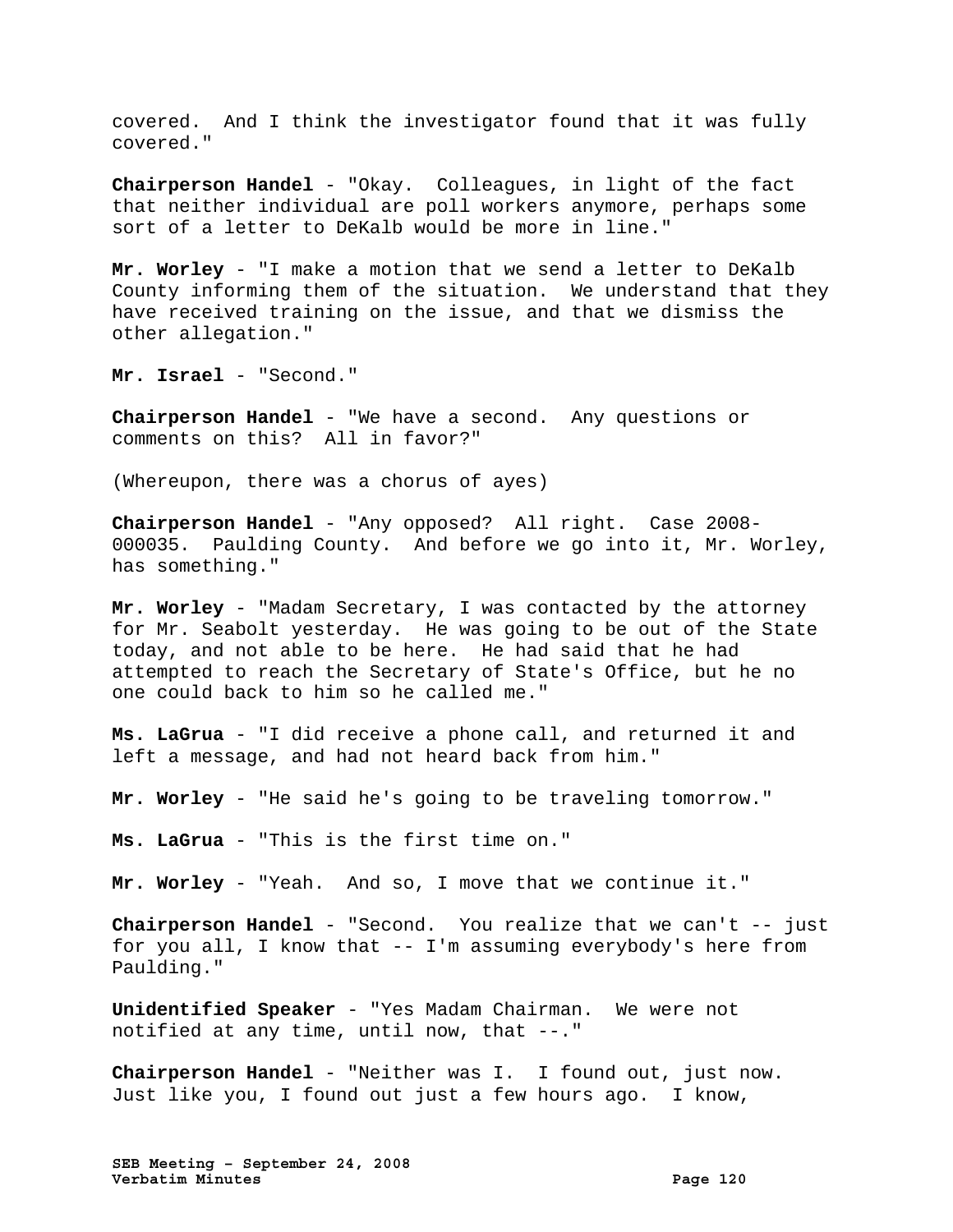covered. And I think the investigator found that it was fully covered."

**Chairperson Handel** - "Okay. Colleagues, in light of the fact that neither individual are poll workers anymore, perhaps some sort of a letter to DeKalb would be more in line."

**Mr. Worley** - "I make a motion that we send a letter to DeKalb County informing them of the situation. We understand that they have received training on the issue, and that we dismiss the other allegation."

Mr. Israel - "Second."

**Chairperson Handel** - "We have a second. Any questions or comments on this? All in favor?"

(Whereupon, there was a chorus of ayes)

**Chairperson Handel** - "Any opposed? All right. Case 2008- 000035. Paulding County. And before we go into it, Mr. Worley, has something."

**Mr. Worley** - "Madam Secretary, I was contacted by the attorney for Mr. Seabolt yesterday. He was going to be out of the State today, and not able to be here. He had said that he had attempted to reach the Secretary of State's Office, but he no one could back to him so he called me."

**Ms. LaGrua** - "I did receive a phone call, and returned it and left a message, and had not heard back from him."

**Mr. Worley** - "He said he's going to be traveling tomorrow."

**Ms. LaGrua** - "This is the first time on."

**Mr. Worley** - "Yeah. And so, I move that we continue it."

**Chairperson Handel** - "Second. You realize that we can't -- just for you all, I know that -- I'm assuming everybody's here from Paulding."

**Unidentified Speaker** - "Yes Madam Chairman. We were not notified at any time, until now, that --."

**Chairperson Handel** - "Neither was I. I found out, just now. Just like you, I found out just a few hours ago. I know,

**SEB Meeting – September 24, 2008 Verbatim Minutes Page 120**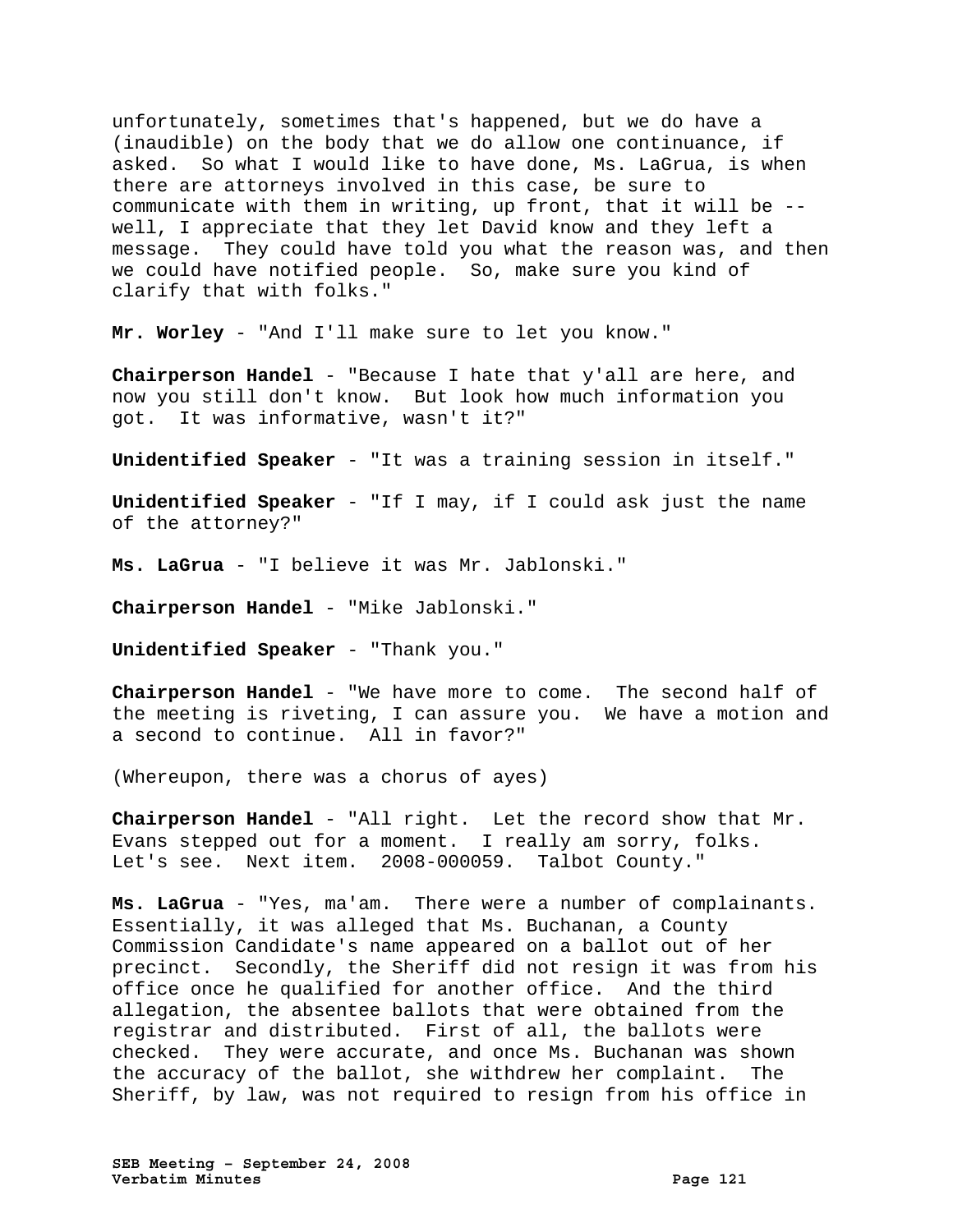unfortunately, sometimes that's happened, but we do have a (inaudible) on the body that we do allow one continuance, if asked. So what I would like to have done, Ms. LaGrua, is when there are attorneys involved in this case, be sure to communicate with them in writing, up front, that it will be - well, I appreciate that they let David know and they left a message. They could have told you what the reason was, and then we could have notified people. So, make sure you kind of clarify that with folks."

**Mr. Worley** - "And I'll make sure to let you know."

**Chairperson Handel** - "Because I hate that y'all are here, and now you still don't know. But look how much information you got. It was informative, wasn't it?"

**Unidentified Speaker** - "It was a training session in itself."

**Unidentified Speaker** - "If I may, if I could ask just the name of the attorney?"

**Ms. LaGrua** - "I believe it was Mr. Jablonski."

**Chairperson Handel** - "Mike Jablonski."

**Unidentified Speaker** - "Thank you."

**Chairperson Handel** - "We have more to come. The second half of the meeting is riveting, I can assure you. We have a motion and a second to continue. All in favor?"

(Whereupon, there was a chorus of ayes)

**Chairperson Handel** - "All right. Let the record show that Mr. Evans stepped out for a moment. I really am sorry, folks. Let's see. Next item. 2008-000059. Talbot County."

**Ms. LaGrua** - "Yes, ma'am. There were a number of complainants. Essentially, it was alleged that Ms. Buchanan, a County Commission Candidate's name appeared on a ballot out of her precinct. Secondly, the Sheriff did not resign it was from his office once he qualified for another office. And the third allegation, the absentee ballots that were obtained from the registrar and distributed. First of all, the ballots were checked. They were accurate, and once Ms. Buchanan was shown the accuracy of the ballot, she withdrew her complaint. The Sheriff, by law, was not required to resign from his office in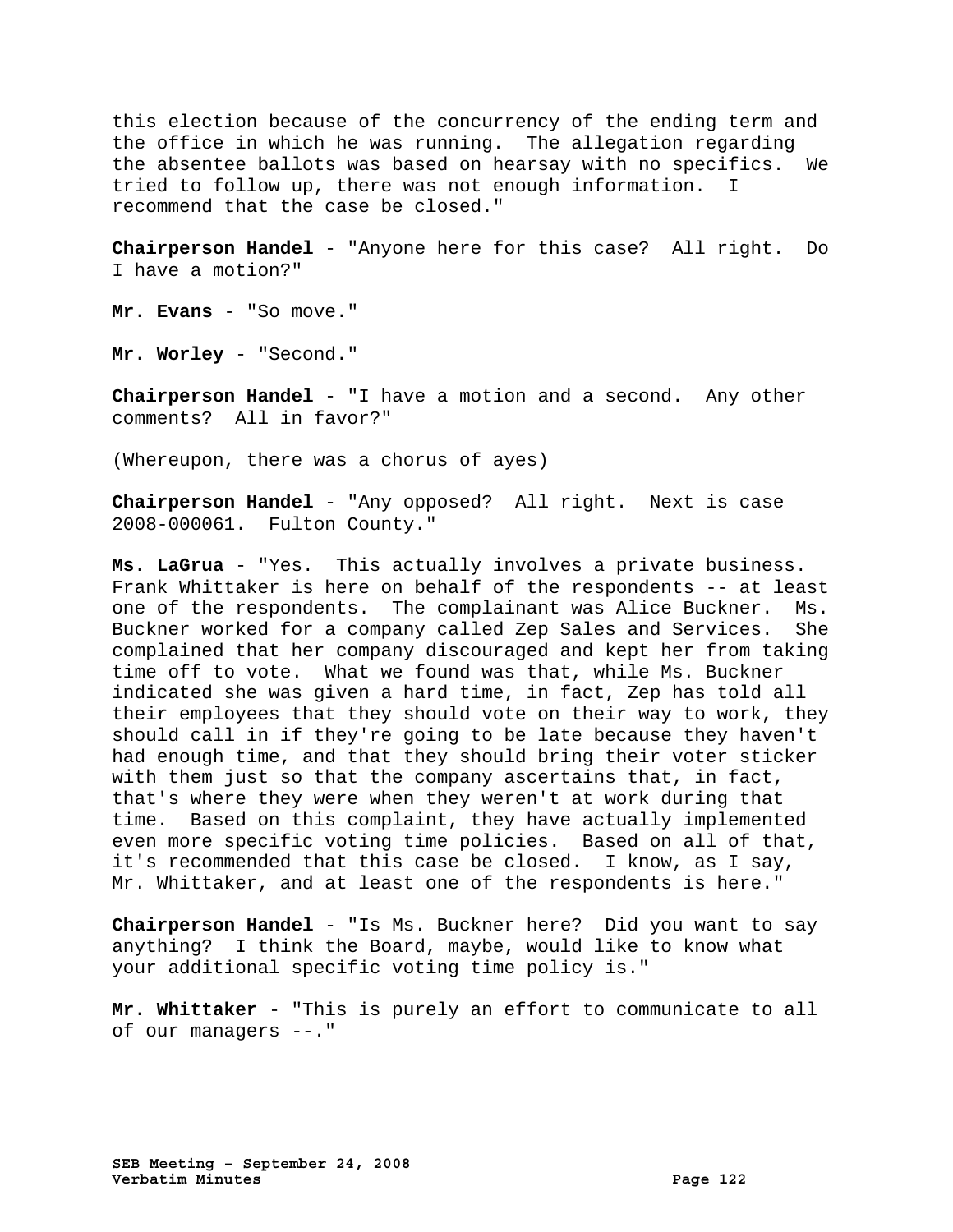this election because of the concurrency of the ending term and the office in which he was running. The allegation regarding the absentee ballots was based on hearsay with no specifics. We tried to follow up, there was not enough information. I recommend that the case be closed."

**Chairperson Handel** - "Anyone here for this case? All right. Do I have a motion?"

**Mr. Evans** - "So move."

**Mr. Worley** - "Second."

**Chairperson Handel** - "I have a motion and a second. Any other comments? All in favor?"

(Whereupon, there was a chorus of ayes)

**Chairperson Handel** - "Any opposed? All right. Next is case 2008-000061. Fulton County."

**Ms. LaGrua** - "Yes. This actually involves a private business. Frank Whittaker is here on behalf of the respondents -- at least one of the respondents. The complainant was Alice Buckner. Ms. Buckner worked for a company called Zep Sales and Services. She complained that her company discouraged and kept her from taking time off to vote. What we found was that, while Ms. Buckner indicated she was given a hard time, in fact, Zep has told all their employees that they should vote on their way to work, they should call in if they're going to be late because they haven't had enough time, and that they should bring their voter sticker with them just so that the company ascertains that, in fact, that's where they were when they weren't at work during that time. Based on this complaint, they have actually implemented even more specific voting time policies. Based on all of that, it's recommended that this case be closed. I know, as I say, Mr. Whittaker, and at least one of the respondents is here."

**Chairperson Handel** - "Is Ms. Buckner here? Did you want to say anything? I think the Board, maybe, would like to know what your additional specific voting time policy is."

**Mr. Whittaker** - "This is purely an effort to communicate to all of our managers --."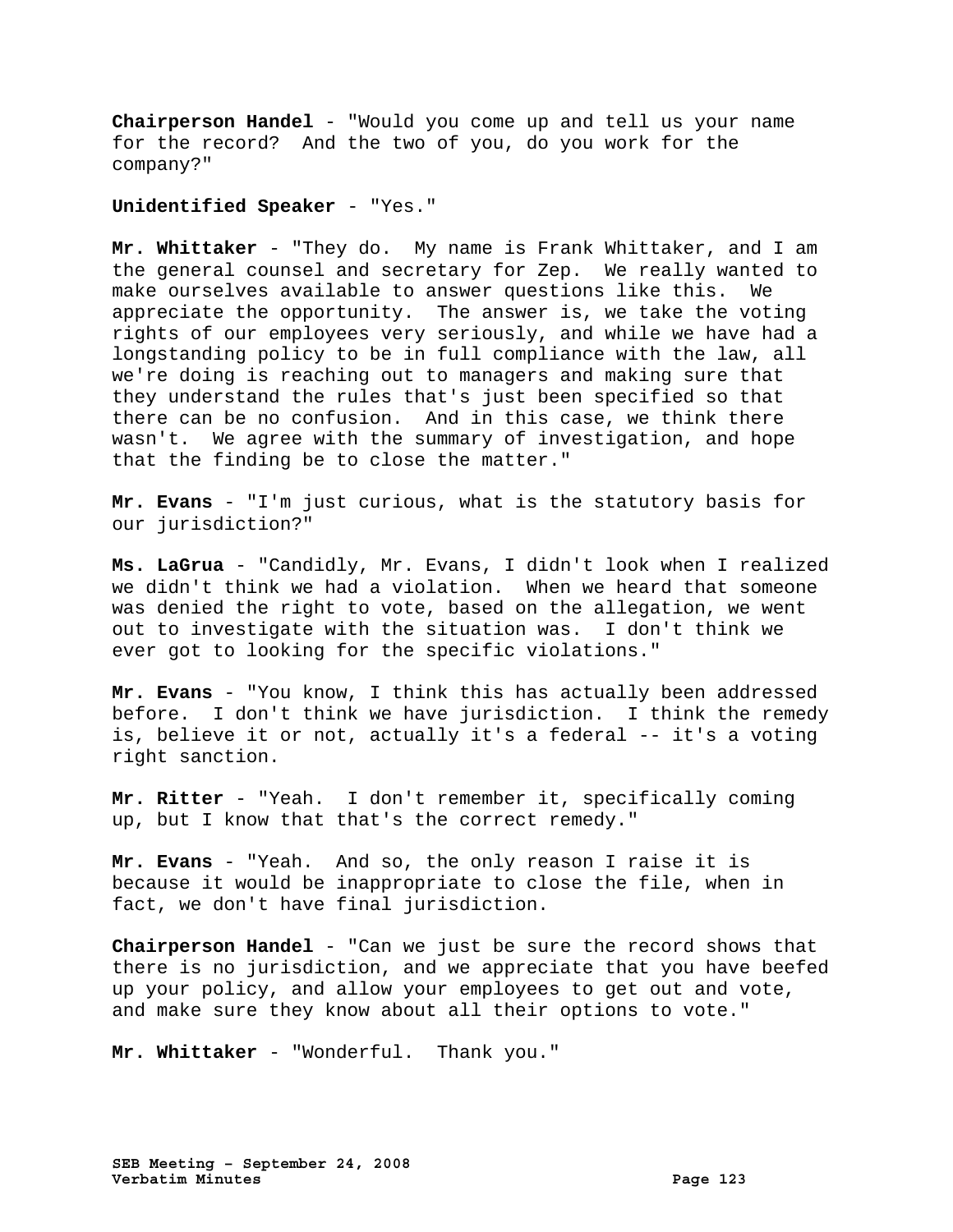**Chairperson Handel** - "Would you come up and tell us your name for the record? And the two of you, do you work for the company?"

## **Unidentified Speaker** - "Yes."

**Mr. Whittaker** - "They do. My name is Frank Whittaker, and I am the general counsel and secretary for Zep. We really wanted to make ourselves available to answer questions like this. We appreciate the opportunity. The answer is, we take the voting rights of our employees very seriously, and while we have had a longstanding policy to be in full compliance with the law, all we're doing is reaching out to managers and making sure that they understand the rules that's just been specified so that there can be no confusion. And in this case, we think there wasn't. We agree with the summary of investigation, and hope that the finding be to close the matter."

**Mr. Evans** - "I'm just curious, what is the statutory basis for our jurisdiction?"

**Ms. LaGrua** - "Candidly, Mr. Evans, I didn't look when I realized we didn't think we had a violation. When we heard that someone was denied the right to vote, based on the allegation, we went out to investigate with the situation was. I don't think we ever got to looking for the specific violations."

**Mr. Evans** - "You know, I think this has actually been addressed before. I don't think we have jurisdiction. I think the remedy is, believe it or not, actually it's a federal -- it's a voting right sanction.

**Mr. Ritter** - "Yeah. I don't remember it, specifically coming up, but I know that that's the correct remedy."

**Mr. Evans** - "Yeah. And so, the only reason I raise it is because it would be inappropriate to close the file, when in fact, we don't have final jurisdiction.

**Chairperson Handel** - "Can we just be sure the record shows that there is no jurisdiction, and we appreciate that you have beefed up your policy, and allow your employees to get out and vote, and make sure they know about all their options to vote."

**Mr. Whittaker** - "Wonderful. Thank you."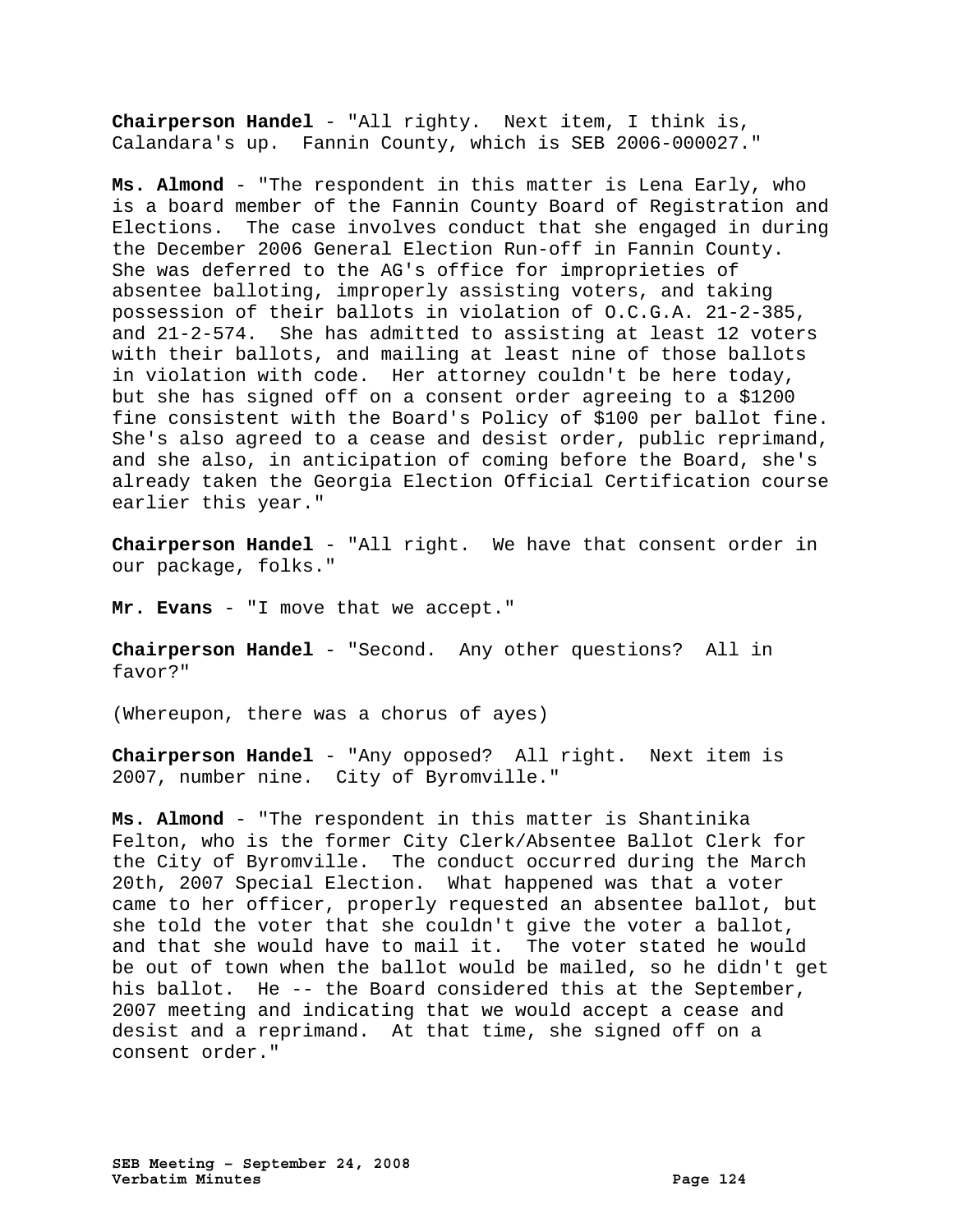**Chairperson Handel** - "All righty. Next item, I think is, Calandara's up. Fannin County, which is SEB 2006-000027."

**Ms. Almond** - "The respondent in this matter is Lena Early, who is a board member of the Fannin County Board of Registration and Elections. The case involves conduct that she engaged in during the December 2006 General Election Run-off in Fannin County. She was deferred to the AG's office for improprieties of absentee balloting, improperly assisting voters, and taking possession of their ballots in violation of O.C.G.A. 21-2-385, and 21-2-574. She has admitted to assisting at least 12 voters with their ballots, and mailing at least nine of those ballots in violation with code. Her attorney couldn't be here today, but she has signed off on a consent order agreeing to a \$1200 fine consistent with the Board's Policy of \$100 per ballot fine. She's also agreed to a cease and desist order, public reprimand, and she also, in anticipation of coming before the Board, she's already taken the Georgia Election Official Certification course earlier this year."

**Chairperson Handel** - "All right. We have that consent order in our package, folks."

**Mr. Evans** - "I move that we accept."

**Chairperson Handel** - "Second. Any other questions? All in favor?"

(Whereupon, there was a chorus of ayes)

**Chairperson Handel** - "Any opposed? All right. Next item is 2007, number nine. City of Byromville."

**Ms. Almond** - "The respondent in this matter is Shantinika Felton, who is the former City Clerk/Absentee Ballot Clerk for the City of Byromville. The conduct occurred during the March 20th, 2007 Special Election. What happened was that a voter came to her officer, properly requested an absentee ballot, but she told the voter that she couldn't give the voter a ballot, and that she would have to mail it. The voter stated he would be out of town when the ballot would be mailed, so he didn't get his ballot. He -- the Board considered this at the September, 2007 meeting and indicating that we would accept a cease and desist and a reprimand. At that time, she signed off on a consent order."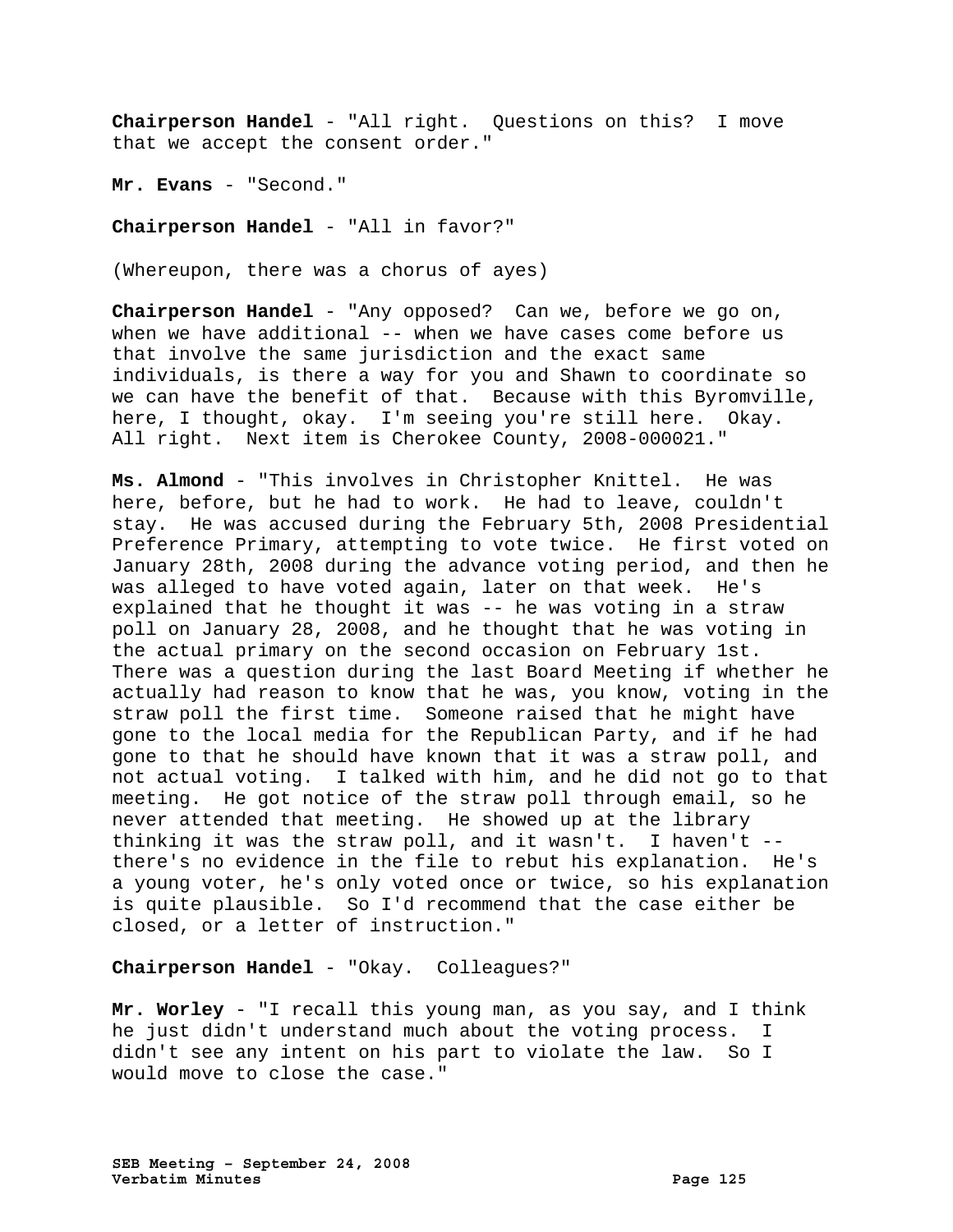**Chairperson Handel** - "All right. Questions on this? I move that we accept the consent order."

**Mr. Evans** - "Second."

**Chairperson Handel** - "All in favor?"

(Whereupon, there was a chorus of ayes)

**Chairperson Handel** - "Any opposed? Can we, before we go on, when we have additional -- when we have cases come before us that involve the same jurisdiction and the exact same individuals, is there a way for you and Shawn to coordinate so we can have the benefit of that. Because with this Byromville, here, I thought, okay. I'm seeing you're still here. Okay. All right. Next item is Cherokee County, 2008-000021."

**Ms. Almond** - "This involves in Christopher Knittel. He was here, before, but he had to work. He had to leave, couldn't stay. He was accused during the February 5th, 2008 Presidential Preference Primary, attempting to vote twice. He first voted on January 28th, 2008 during the advance voting period, and then he was alleged to have voted again, later on that week. He's explained that he thought it was -- he was voting in a straw poll on January 28, 2008, and he thought that he was voting in the actual primary on the second occasion on February 1st. There was a question during the last Board Meeting if whether he actually had reason to know that he was, you know, voting in the straw poll the first time. Someone raised that he might have gone to the local media for the Republican Party, and if he had gone to that he should have known that it was a straw poll, and not actual voting. I talked with him, and he did not go to that meeting. He got notice of the straw poll through email, so he never attended that meeting. He showed up at the library thinking it was the straw poll, and it wasn't. I haven't - there's no evidence in the file to rebut his explanation. He's a young voter, he's only voted once or twice, so his explanation is quite plausible. So I'd recommend that the case either be closed, or a letter of instruction."

## **Chairperson Handel** - "Okay. Colleagues?"

**Mr. Worley** - "I recall this young man, as you say, and I think he just didn't understand much about the voting process. I didn't see any intent on his part to violate the law. So I would move to close the case."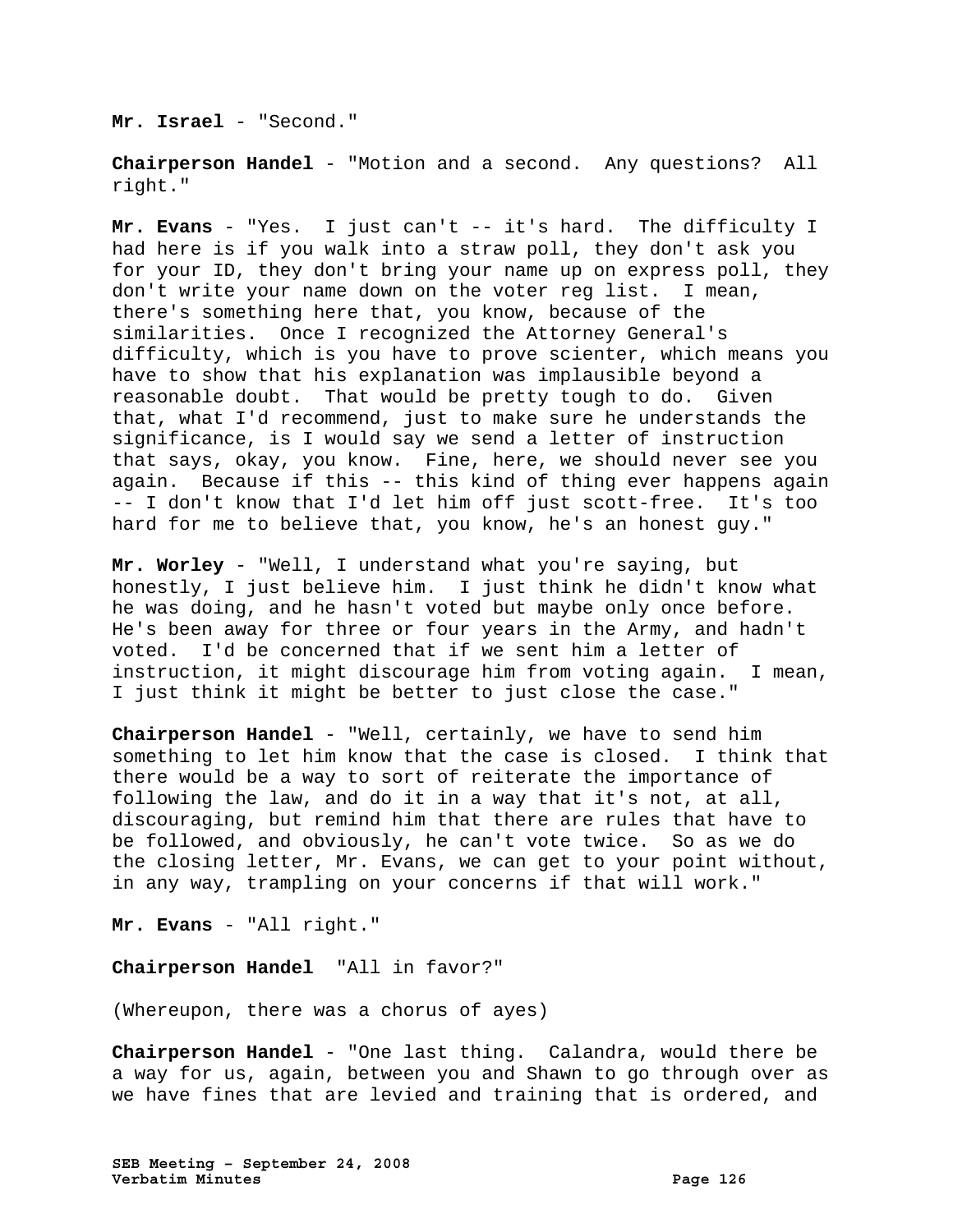Mr. Israel - "Second."

**Chairperson Handel** - "Motion and a second. Any questions? All right."

**Mr. Evans** - "Yes. I just can't -- it's hard. The difficulty I had here is if you walk into a straw poll, they don't ask you for your ID, they don't bring your name up on express poll, they don't write your name down on the voter reg list. I mean, there's something here that, you know, because of the similarities. Once I recognized the Attorney General's difficulty, which is you have to prove scienter, which means you have to show that his explanation was implausible beyond a reasonable doubt. That would be pretty tough to do. Given that, what I'd recommend, just to make sure he understands the significance, is I would say we send a letter of instruction that says, okay, you know. Fine, here, we should never see you again. Because if this -- this kind of thing ever happens again -- I don't know that I'd let him off just scott-free. It's too hard for me to believe that, you know, he's an honest guy."

**Mr. Worley** - "Well, I understand what you're saying, but honestly, I just believe him. I just think he didn't know what he was doing, and he hasn't voted but maybe only once before. He's been away for three or four years in the Army, and hadn't voted. I'd be concerned that if we sent him a letter of instruction, it might discourage him from voting again. I mean, I just think it might be better to just close the case."

**Chairperson Handel** - "Well, certainly, we have to send him something to let him know that the case is closed. I think that there would be a way to sort of reiterate the importance of following the law, and do it in a way that it's not, at all, discouraging, but remind him that there are rules that have to be followed, and obviously, he can't vote twice. So as we do the closing letter, Mr. Evans, we can get to your point without, in any way, trampling on your concerns if that will work."

**Mr. Evans** - "All right."

## **Chairperson Handel** "All in favor?"

(Whereupon, there was a chorus of ayes)

**Chairperson Handel** - "One last thing. Calandra, would there be a way for us, again, between you and Shawn to go through over as we have fines that are levied and training that is ordered, and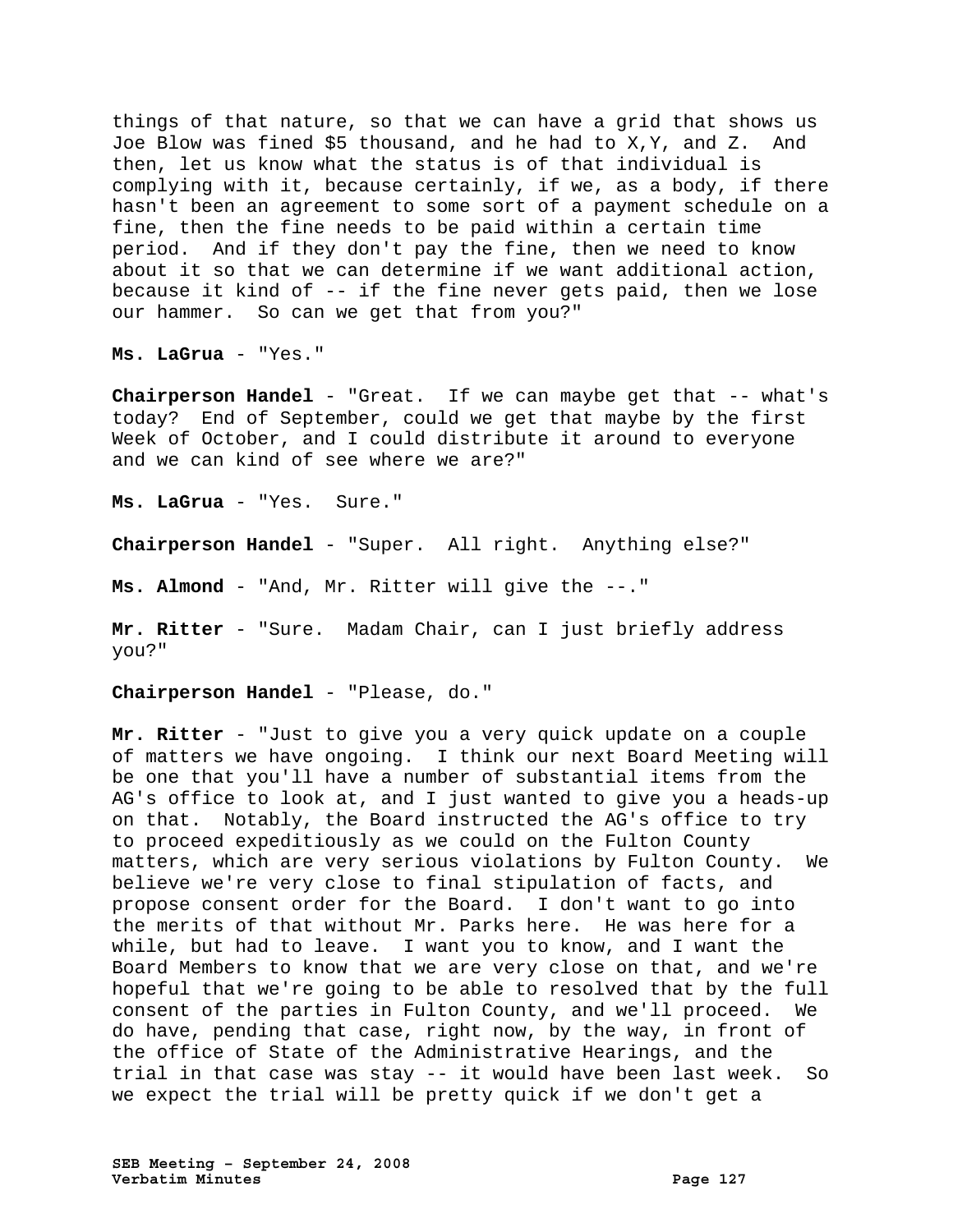things of that nature, so that we can have a grid that shows us Joe Blow was fined \$5 thousand, and he had to X,Y, and Z. And then, let us know what the status is of that individual is complying with it, because certainly, if we, as a body, if there hasn't been an agreement to some sort of a payment schedule on a fine, then the fine needs to be paid within a certain time period. And if they don't pay the fine, then we need to know about it so that we can determine if we want additional action, because it kind of -- if the fine never gets paid, then we lose our hammer. So can we get that from you?"

**Ms. LaGrua** - "Yes."

**Chairperson Handel** - "Great. If we can maybe get that -- what's today? End of September, could we get that maybe by the first Week of October, and I could distribute it around to everyone and we can kind of see where we are?"

**Ms. LaGrua** - "Yes. Sure."

**Chairperson Handel** - "Super. All right. Anything else?"

**Ms. Almond** - "And, Mr. Ritter will give the --."

**Mr. Ritter** - "Sure. Madam Chair, can I just briefly address you?"

**Chairperson Handel** - "Please, do."

**Mr. Ritter** - "Just to give you a very quick update on a couple of matters we have ongoing. I think our next Board Meeting will be one that you'll have a number of substantial items from the AG's office to look at, and I just wanted to give you a heads-up on that. Notably, the Board instructed the AG's office to try to proceed expeditiously as we could on the Fulton County matters, which are very serious violations by Fulton County. We believe we're very close to final stipulation of facts, and propose consent order for the Board. I don't want to go into the merits of that without Mr. Parks here. He was here for a while, but had to leave. I want you to know, and I want the Board Members to know that we are very close on that, and we're hopeful that we're going to be able to resolved that by the full consent of the parties in Fulton County, and we'll proceed. We do have, pending that case, right now, by the way, in front of the office of State of the Administrative Hearings, and the trial in that case was stay -- it would have been last week. So we expect the trial will be pretty quick if we don't get a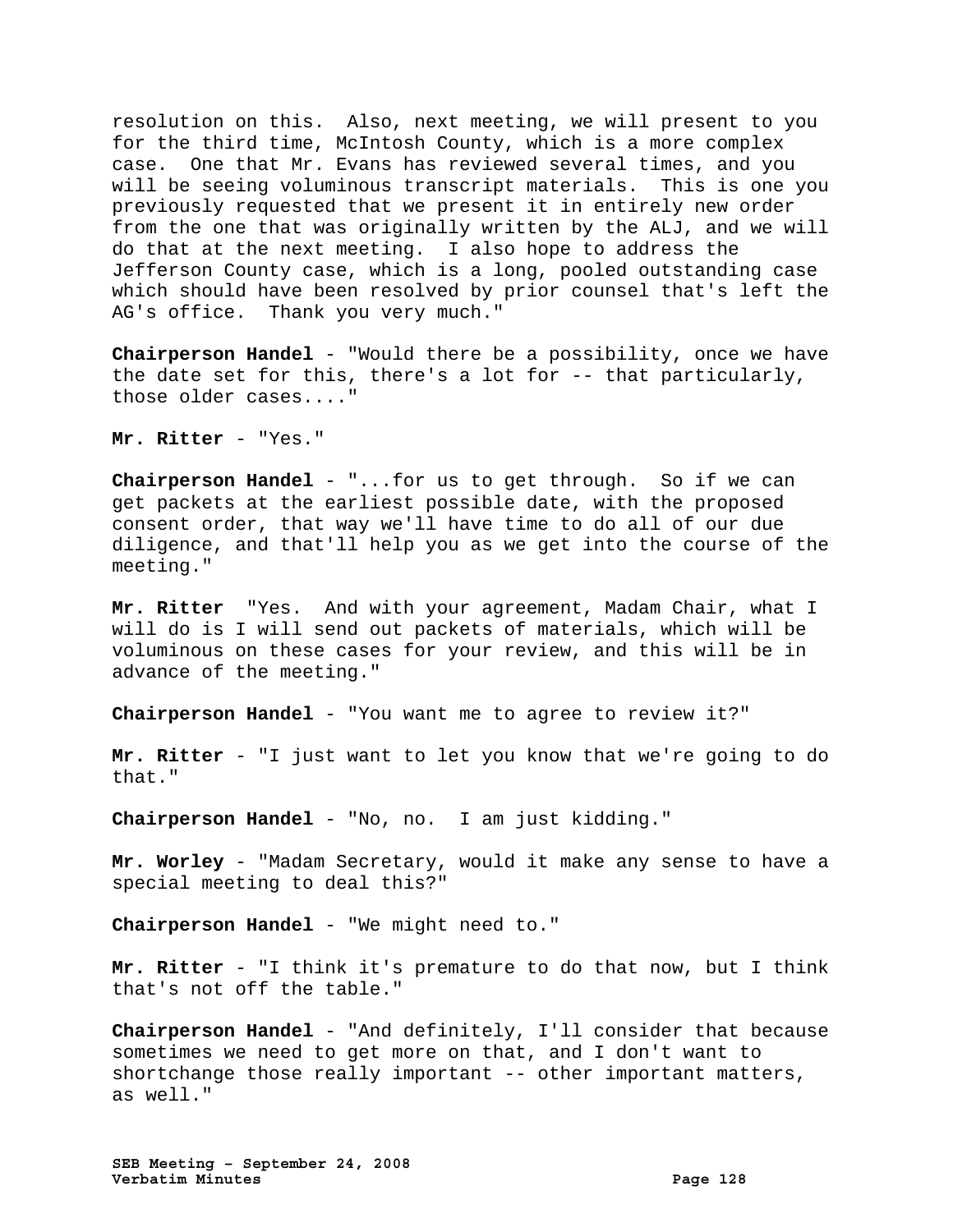resolution on this. Also, next meeting, we will present to you for the third time, McIntosh County, which is a more complex case. One that Mr. Evans has reviewed several times, and you will be seeing voluminous transcript materials. This is one you previously requested that we present it in entirely new order from the one that was originally written by the ALJ, and we will do that at the next meeting. I also hope to address the Jefferson County case, which is a long, pooled outstanding case which should have been resolved by prior counsel that's left the AG's office. Thank you very much."

**Chairperson Handel** - "Would there be a possibility, once we have the date set for this, there's a lot for -- that particularly, those older cases...."

**Mr. Ritter** - "Yes."

**Chairperson Handel** - "...for us to get through. So if we can get packets at the earliest possible date, with the proposed consent order, that way we'll have time to do all of our due diligence, and that'll help you as we get into the course of the meeting."

**Mr. Ritter** "Yes. And with your agreement, Madam Chair, what I will do is I will send out packets of materials, which will be voluminous on these cases for your review, and this will be in advance of the meeting."

**Chairperson Handel** - "You want me to agree to review it?"

**Mr. Ritter** - "I just want to let you know that we're going to do that."

**Chairperson Handel** - "No, no. I am just kidding."

**Mr. Worley** - "Madam Secretary, would it make any sense to have a special meeting to deal this?"

**Chairperson Handel** - "We might need to."

**Mr. Ritter** - "I think it's premature to do that now, but I think that's not off the table."

**Chairperson Handel** - "And definitely, I'll consider that because sometimes we need to get more on that, and I don't want to shortchange those really important -- other important matters, as well."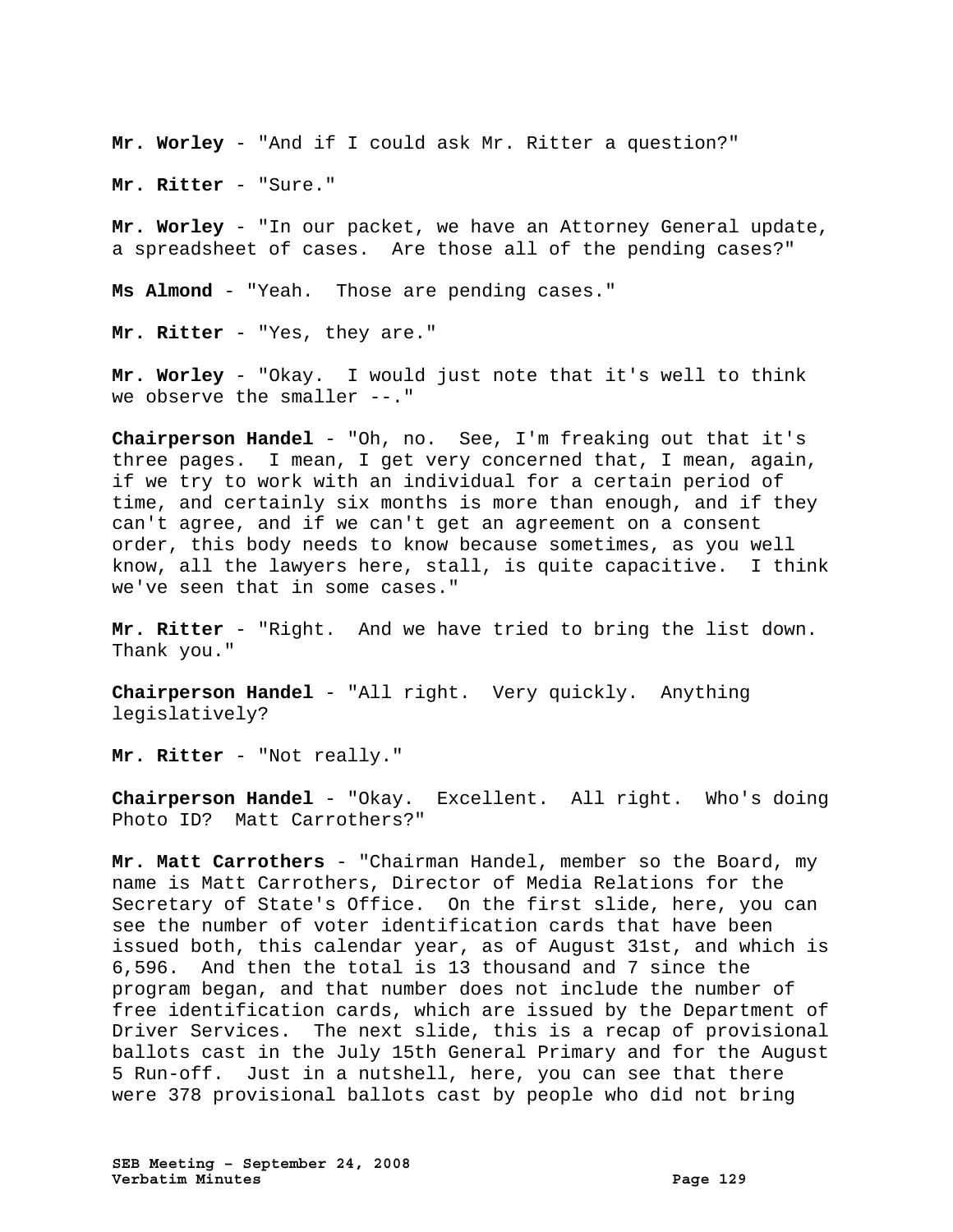**Mr. Worley** - "And if I could ask Mr. Ritter a question?"

**Mr. Ritter** - "Sure."

**Mr. Worley** - "In our packet, we have an Attorney General update, a spreadsheet of cases. Are those all of the pending cases?"

**Ms Almond** - "Yeah. Those are pending cases."

**Mr. Ritter** - "Yes, they are."

**Mr. Worley** - "Okay. I would just note that it's well to think we observe the smaller --."

**Chairperson Handel** - "Oh, no. See, I'm freaking out that it's three pages. I mean, I get very concerned that, I mean, again, if we try to work with an individual for a certain period of time, and certainly six months is more than enough, and if they can't agree, and if we can't get an agreement on a consent order, this body needs to know because sometimes, as you well know, all the lawyers here, stall, is quite capacitive. I think we've seen that in some cases."

**Mr. Ritter** - "Right. And we have tried to bring the list down. Thank you."

**Chairperson Handel** - "All right. Very quickly. Anything legislatively?

**Mr. Ritter** - "Not really."

**Chairperson Handel** - "Okay. Excellent. All right. Who's doing Photo ID? Matt Carrothers?"

**Mr. Matt Carrothers** - "Chairman Handel, member so the Board, my name is Matt Carrothers, Director of Media Relations for the Secretary of State's Office. On the first slide, here, you can see the number of voter identification cards that have been issued both, this calendar year, as of August 31st, and which is 6,596. And then the total is 13 thousand and 7 since the program began, and that number does not include the number of free identification cards, which are issued by the Department of Driver Services. The next slide, this is a recap of provisional ballots cast in the July 15th General Primary and for the August 5 Run-off. Just in a nutshell, here, you can see that there were 378 provisional ballots cast by people who did not bring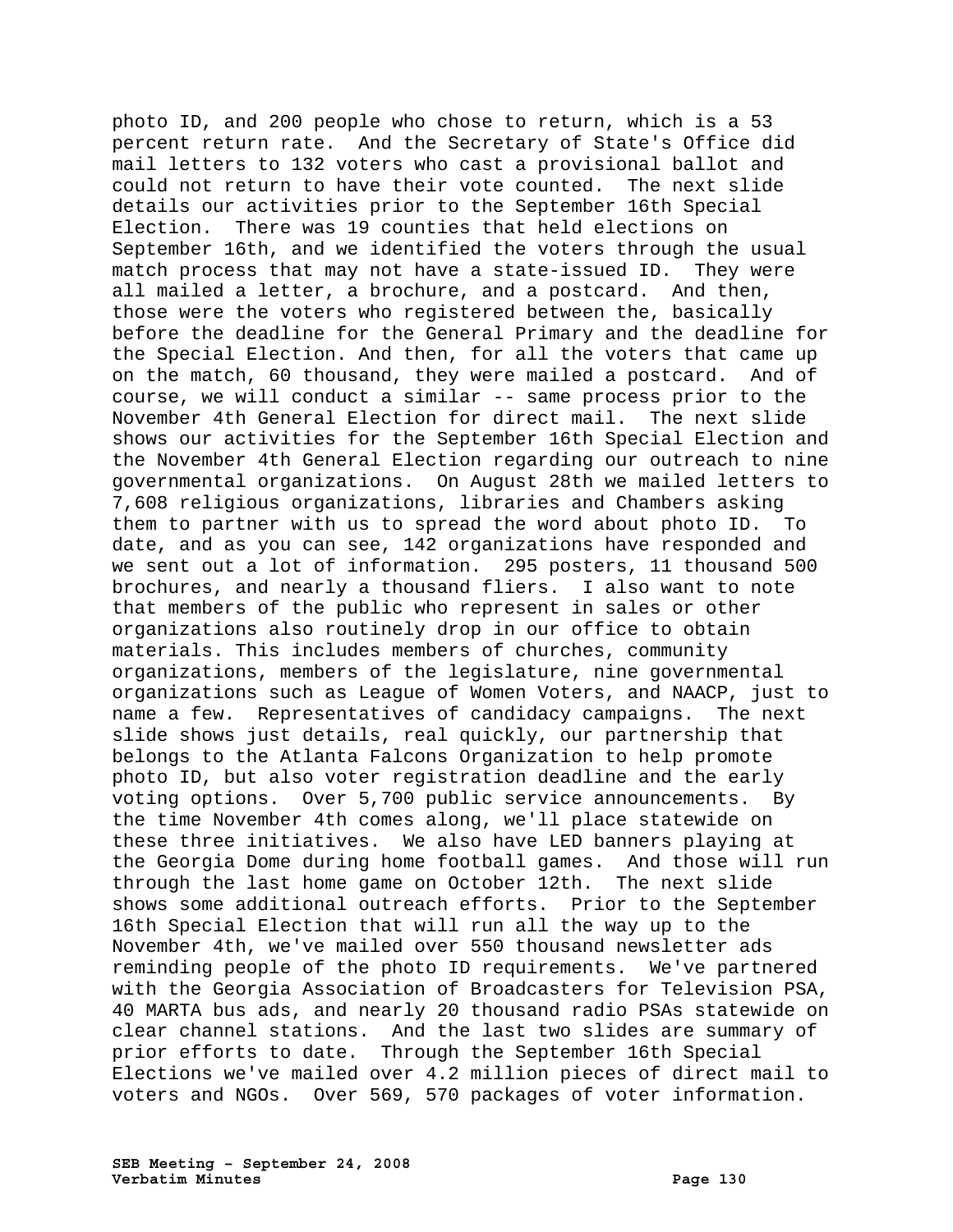photo ID, and 200 people who chose to return, which is a 53 percent return rate. And the Secretary of State's Office did mail letters to 132 voters who cast a provisional ballot and could not return to have their vote counted. The next slide details our activities prior to the September 16th Special Election. There was 19 counties that held elections on September 16th, and we identified the voters through the usual match process that may not have a state-issued ID. They were all mailed a letter, a brochure, and a postcard. And then, those were the voters who registered between the, basically before the deadline for the General Primary and the deadline for the Special Election. And then, for all the voters that came up on the match, 60 thousand, they were mailed a postcard. And of course, we will conduct a similar -- same process prior to the November 4th General Election for direct mail. The next slide shows our activities for the September 16th Special Election and the November 4th General Election regarding our outreach to nine governmental organizations. On August 28th we mailed letters to 7,608 religious organizations, libraries and Chambers asking them to partner with us to spread the word about photo ID. To date, and as you can see, 142 organizations have responded and we sent out a lot of information. 295 posters, 11 thousand 500 brochures, and nearly a thousand fliers. I also want to note that members of the public who represent in sales or other organizations also routinely drop in our office to obtain materials. This includes members of churches, community organizations, members of the legislature, nine governmental organizations such as League of Women Voters, and NAACP, just to name a few. Representatives of candidacy campaigns. The next slide shows just details, real quickly, our partnership that belongs to the Atlanta Falcons Organization to help promote photo ID, but also voter registration deadline and the early voting options. Over 5,700 public service announcements. By the time November 4th comes along, we'll place statewide on these three initiatives. We also have LED banners playing at the Georgia Dome during home football games. And those will run through the last home game on October 12th. The next slide shows some additional outreach efforts. Prior to the September 16th Special Election that will run all the way up to the November 4th, we've mailed over 550 thousand newsletter ads reminding people of the photo ID requirements. We've partnered with the Georgia Association of Broadcasters for Television PSA, 40 MARTA bus ads, and nearly 20 thousand radio PSAs statewide on clear channel stations. And the last two slides are summary of prior efforts to date. Through the September 16th Special Elections we've mailed over 4.2 million pieces of direct mail to voters and NGOs. Over 569, 570 packages of voter information.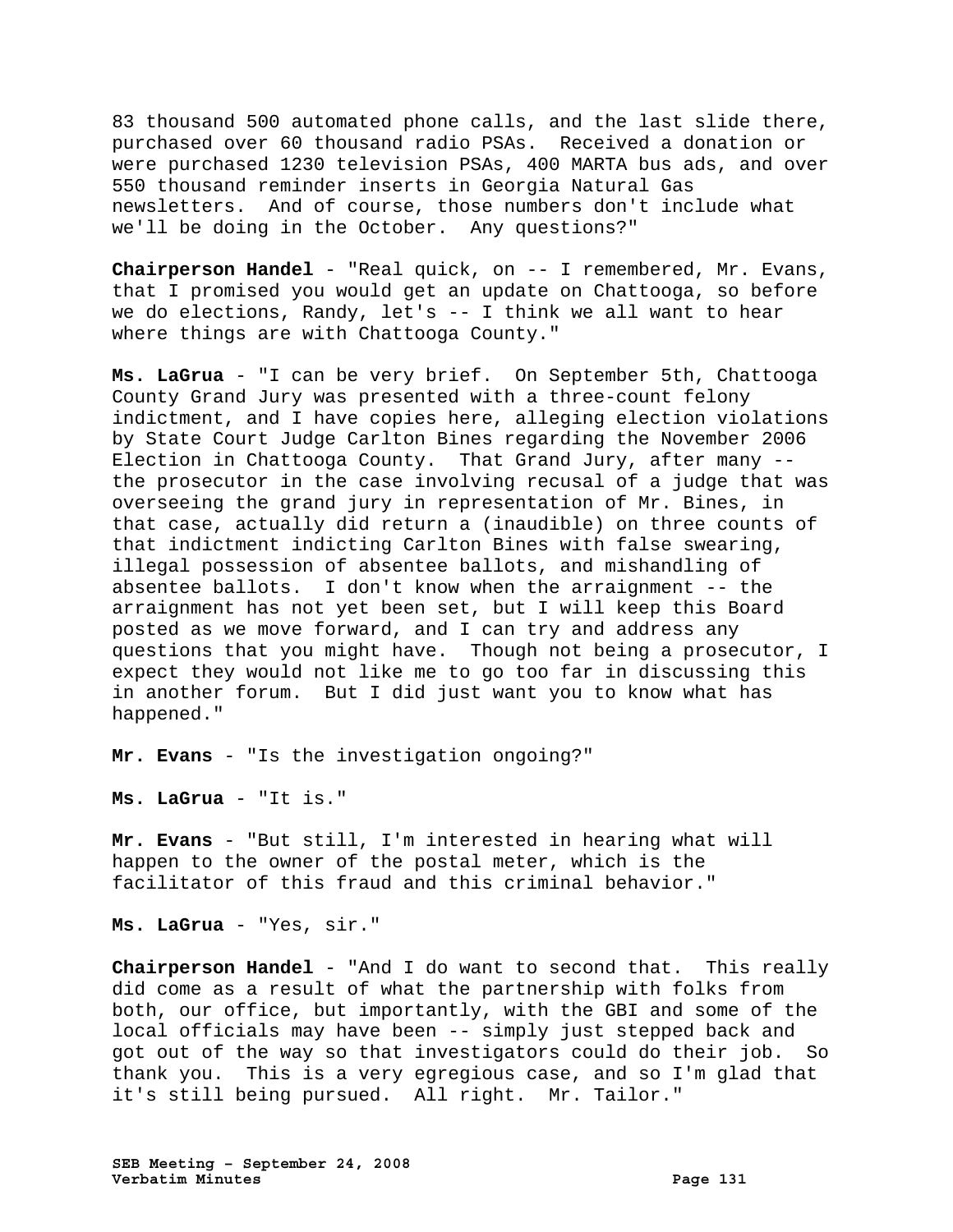83 thousand 500 automated phone calls, and the last slide there, purchased over 60 thousand radio PSAs. Received a donation or were purchased 1230 television PSAs, 400 MARTA bus ads, and over 550 thousand reminder inserts in Georgia Natural Gas newsletters. And of course, those numbers don't include what we'll be doing in the October. Any questions?"

**Chairperson Handel** - "Real quick, on -- I remembered, Mr. Evans, that I promised you would get an update on Chattooga, so before we do elections, Randy, let's -- I think we all want to hear where things are with Chattooga County."

**Ms. LaGrua** - "I can be very brief. On September 5th, Chattooga County Grand Jury was presented with a three-count felony indictment, and I have copies here, alleging election violations by State Court Judge Carlton Bines regarding the November 2006 Election in Chattooga County. That Grand Jury, after many - the prosecutor in the case involving recusal of a judge that was overseeing the grand jury in representation of Mr. Bines, in that case, actually did return a (inaudible) on three counts of that indictment indicting Carlton Bines with false swearing, illegal possession of absentee ballots, and mishandling of absentee ballots. I don't know when the arraignment -- the arraignment has not yet been set, but I will keep this Board posted as we move forward, and I can try and address any questions that you might have. Though not being a prosecutor, I expect they would not like me to go too far in discussing this in another forum. But I did just want you to know what has happened."

**Mr. Evans** - "Is the investigation ongoing?"

**Ms. LaGrua** - "It is."

**Mr. Evans** - "But still, I'm interested in hearing what will happen to the owner of the postal meter, which is the facilitator of this fraud and this criminal behavior."

**Ms. LaGrua** - "Yes, sir."

**Chairperson Handel** - "And I do want to second that. This really did come as a result of what the partnership with folks from both, our office, but importantly, with the GBI and some of the local officials may have been -- simply just stepped back and got out of the way so that investigators could do their job. So thank you. This is a very egregious case, and so I'm glad that it's still being pursued. All right. Mr. Tailor."

**SEB Meeting – September 24, 2008 Verbatim Minutes Page 131**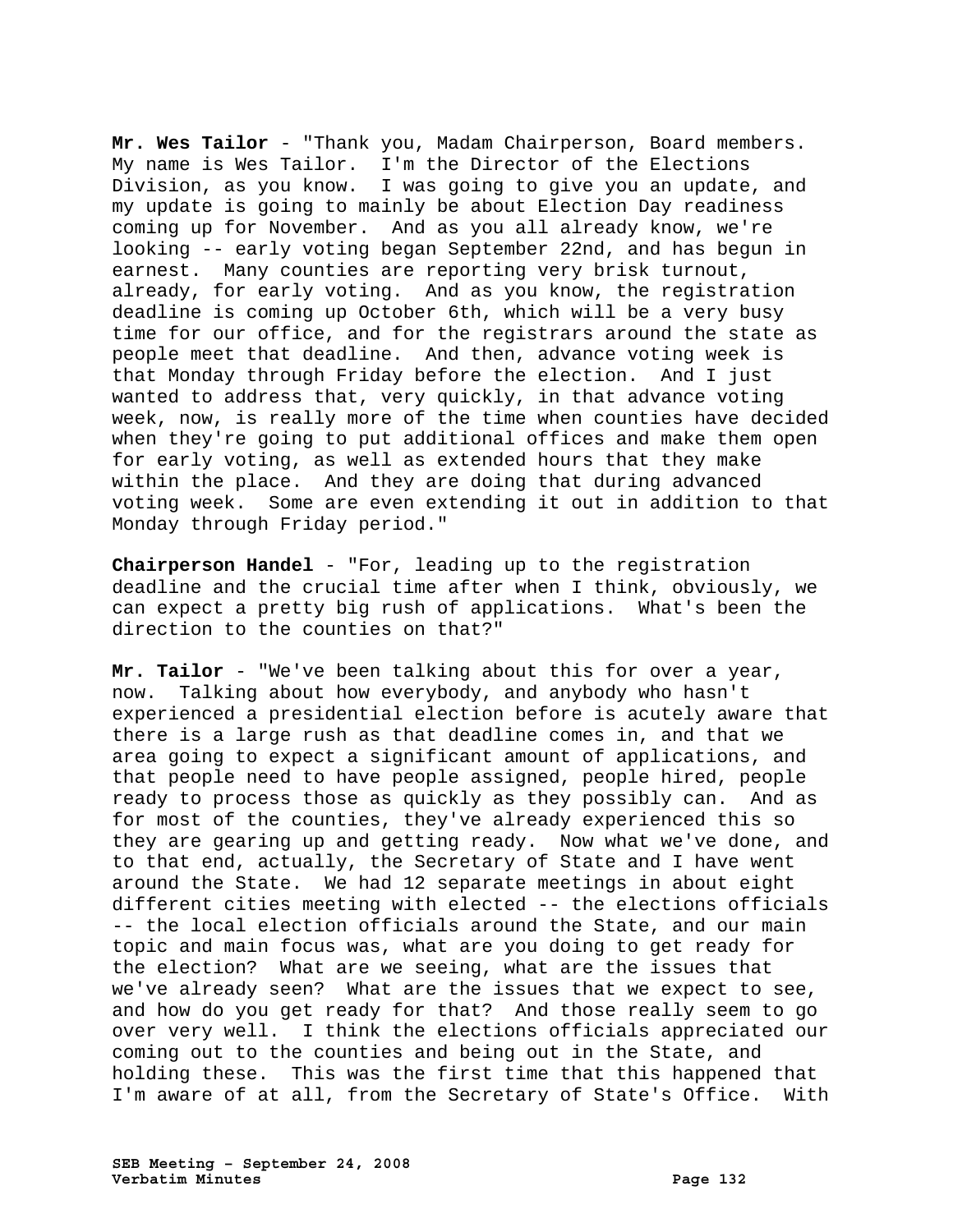**Mr. Wes Tailor** - "Thank you, Madam Chairperson, Board members. My name is Wes Tailor. I'm the Director of the Elections Division, as you know. I was going to give you an update, and my update is going to mainly be about Election Day readiness coming up for November. And as you all already know, we're looking -- early voting began September 22nd, and has begun in earnest. Many counties are reporting very brisk turnout, already, for early voting. And as you know, the registration deadline is coming up October 6th, which will be a very busy time for our office, and for the registrars around the state as people meet that deadline. And then, advance voting week is that Monday through Friday before the election. And I just wanted to address that, very quickly, in that advance voting week, now, is really more of the time when counties have decided when they're going to put additional offices and make them open for early voting, as well as extended hours that they make within the place. And they are doing that during advanced voting week. Some are even extending it out in addition to that Monday through Friday period."

**Chairperson Handel** - "For, leading up to the registration deadline and the crucial time after when I think, obviously, we can expect a pretty big rush of applications. What's been the direction to the counties on that?"

**Mr. Tailor** - "We've been talking about this for over a year, now. Talking about how everybody, and anybody who hasn't experienced a presidential election before is acutely aware that there is a large rush as that deadline comes in, and that we area going to expect a significant amount of applications, and that people need to have people assigned, people hired, people ready to process those as quickly as they possibly can. And as for most of the counties, they've already experienced this so they are gearing up and getting ready. Now what we've done, and to that end, actually, the Secretary of State and I have went around the State. We had 12 separate meetings in about eight different cities meeting with elected -- the elections officials -- the local election officials around the State, and our main topic and main focus was, what are you doing to get ready for the election? What are we seeing, what are the issues that we've already seen? What are the issues that we expect to see, and how do you get ready for that? And those really seem to go over very well. I think the elections officials appreciated our coming out to the counties and being out in the State, and holding these. This was the first time that this happened that I'm aware of at all, from the Secretary of State's Office. With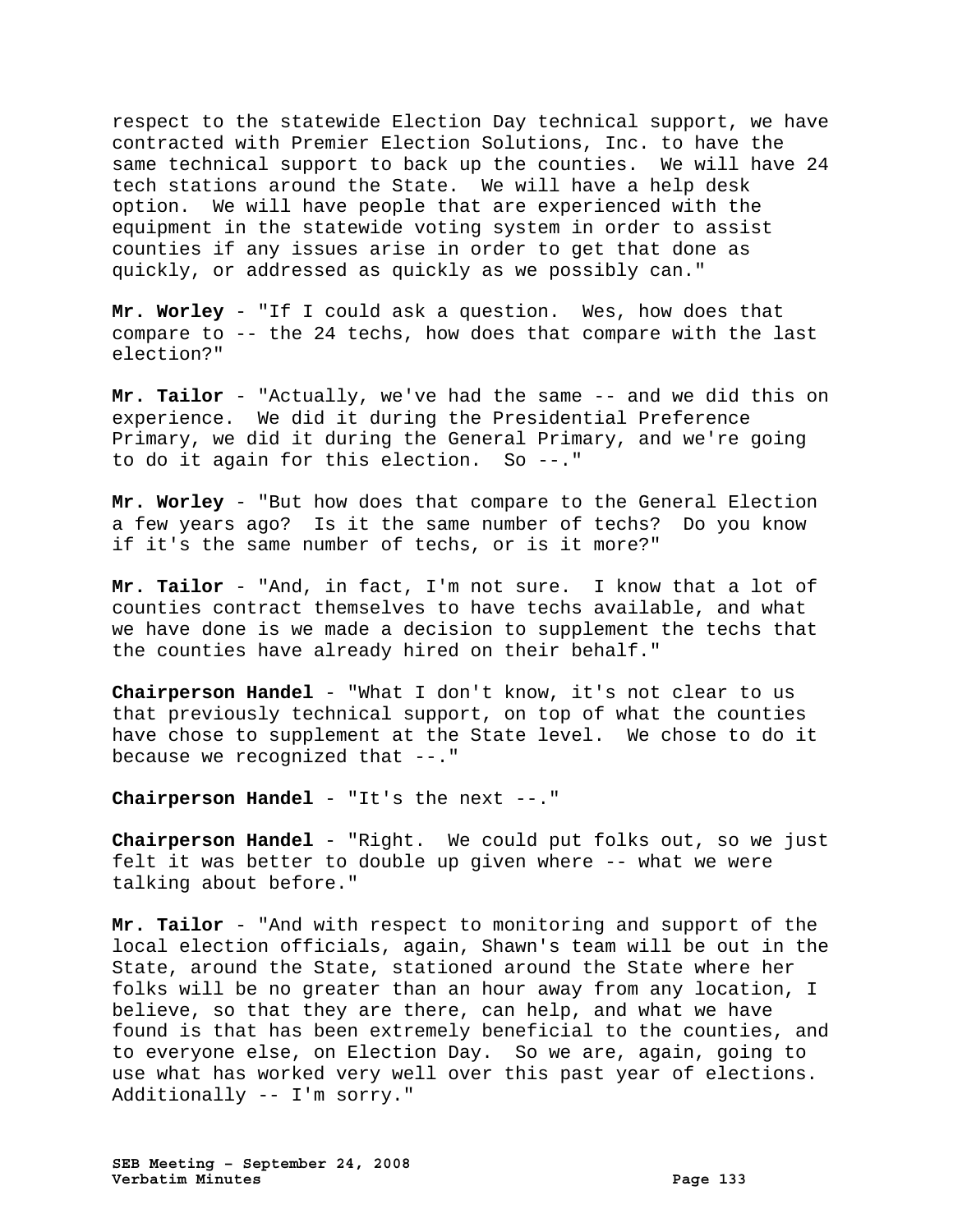respect to the statewide Election Day technical support, we have contracted with Premier Election Solutions, Inc. to have the same technical support to back up the counties. We will have 24 tech stations around the State. We will have a help desk option. We will have people that are experienced with the equipment in the statewide voting system in order to assist counties if any issues arise in order to get that done as quickly, or addressed as quickly as we possibly can."

**Mr. Worley** - "If I could ask a question. Wes, how does that compare to -- the 24 techs, how does that compare with the last election?"

**Mr. Tailor** - "Actually, we've had the same -- and we did this on experience. We did it during the Presidential Preference Primary, we did it during the General Primary, and we're going to do it again for this election. So --."

**Mr. Worley** - "But how does that compare to the General Election a few years ago? Is it the same number of techs? Do you know if it's the same number of techs, or is it more?"

**Mr. Tailor** - "And, in fact, I'm not sure. I know that a lot of counties contract themselves to have techs available, and what we have done is we made a decision to supplement the techs that the counties have already hired on their behalf."

**Chairperson Handel** - "What I don't know, it's not clear to us that previously technical support, on top of what the counties have chose to supplement at the State level. We chose to do it because we recognized that --."

**Chairperson Handel** - "It's the next --."

**Chairperson Handel** - "Right. We could put folks out, so we just felt it was better to double up given where -- what we were talking about before."

**Mr. Tailor** - "And with respect to monitoring and support of the local election officials, again, Shawn's team will be out in the State, around the State, stationed around the State where her folks will be no greater than an hour away from any location, I believe, so that they are there, can help, and what we have found is that has been extremely beneficial to the counties, and to everyone else, on Election Day. So we are, again, going to use what has worked very well over this past year of elections. Additionally -- I'm sorry."

**SEB Meeting – September 24, 2008 Verbatim Minutes Page 133**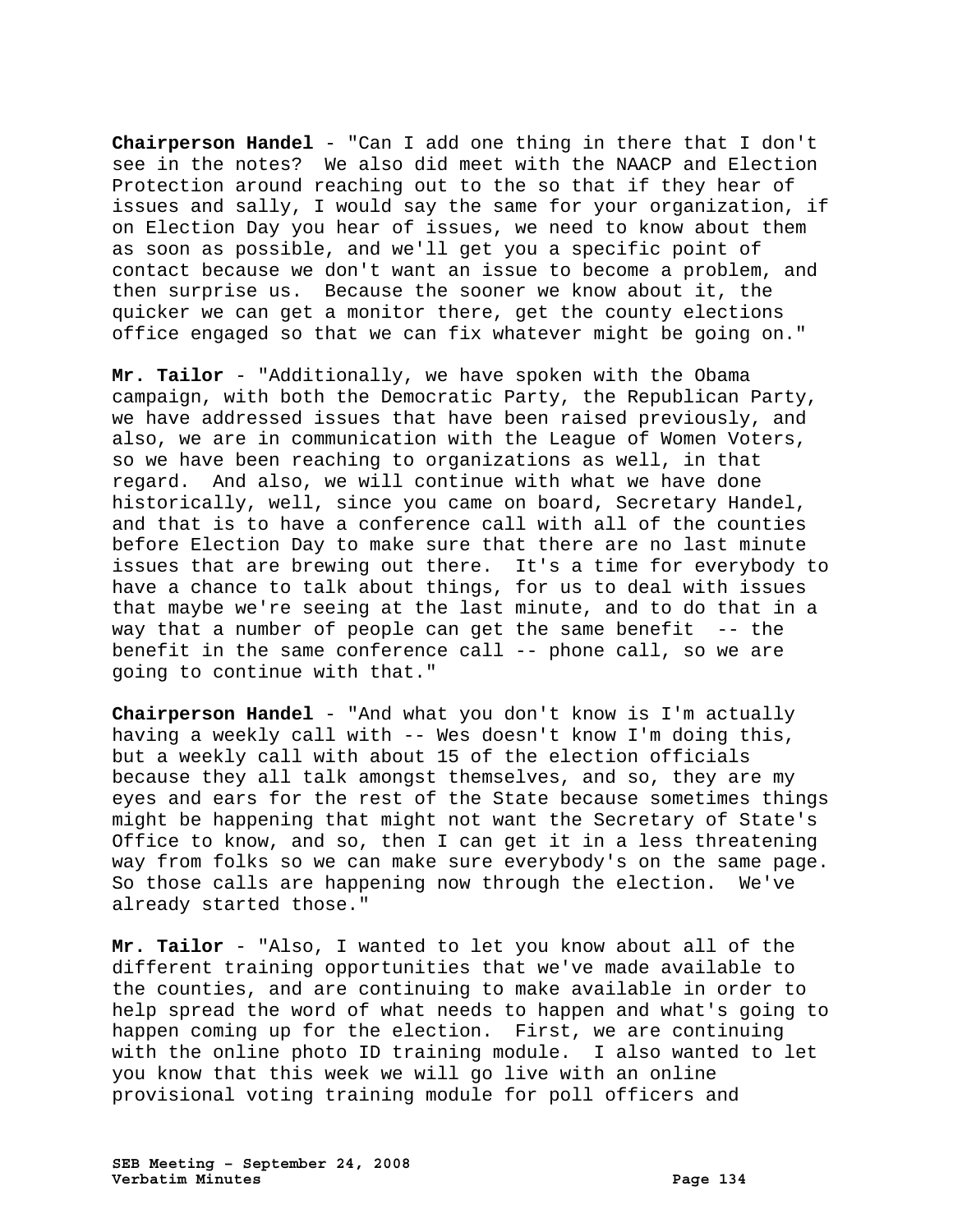**Chairperson Handel** - "Can I add one thing in there that I don't see in the notes? We also did meet with the NAACP and Election Protection around reaching out to the so that if they hear of issues and sally, I would say the same for your organization, if on Election Day you hear of issues, we need to know about them as soon as possible, and we'll get you a specific point of contact because we don't want an issue to become a problem, and then surprise us. Because the sooner we know about it, the quicker we can get a monitor there, get the county elections office engaged so that we can fix whatever might be going on."

**Mr. Tailor** - "Additionally, we have spoken with the Obama campaign, with both the Democratic Party, the Republican Party, we have addressed issues that have been raised previously, and also, we are in communication with the League of Women Voters, so we have been reaching to organizations as well, in that regard. And also, we will continue with what we have done historically, well, since you came on board, Secretary Handel, and that is to have a conference call with all of the counties before Election Day to make sure that there are no last minute issues that are brewing out there. It's a time for everybody to have a chance to talk about things, for us to deal with issues that maybe we're seeing at the last minute, and to do that in a way that a number of people can get the same benefit -- the benefit in the same conference call -- phone call, so we are going to continue with that."

**Chairperson Handel** - "And what you don't know is I'm actually having a weekly call with -- Wes doesn't know I'm doing this, but a weekly call with about 15 of the election officials because they all talk amongst themselves, and so, they are my eyes and ears for the rest of the State because sometimes things might be happening that might not want the Secretary of State's Office to know, and so, then I can get it in a less threatening way from folks so we can make sure everybody's on the same page. So those calls are happening now through the election. We've already started those."

**Mr. Tailor** - "Also, I wanted to let you know about all of the different training opportunities that we've made available to the counties, and are continuing to make available in order to help spread the word of what needs to happen and what's going to happen coming up for the election. First, we are continuing with the online photo ID training module. I also wanted to let you know that this week we will go live with an online provisional voting training module for poll officers and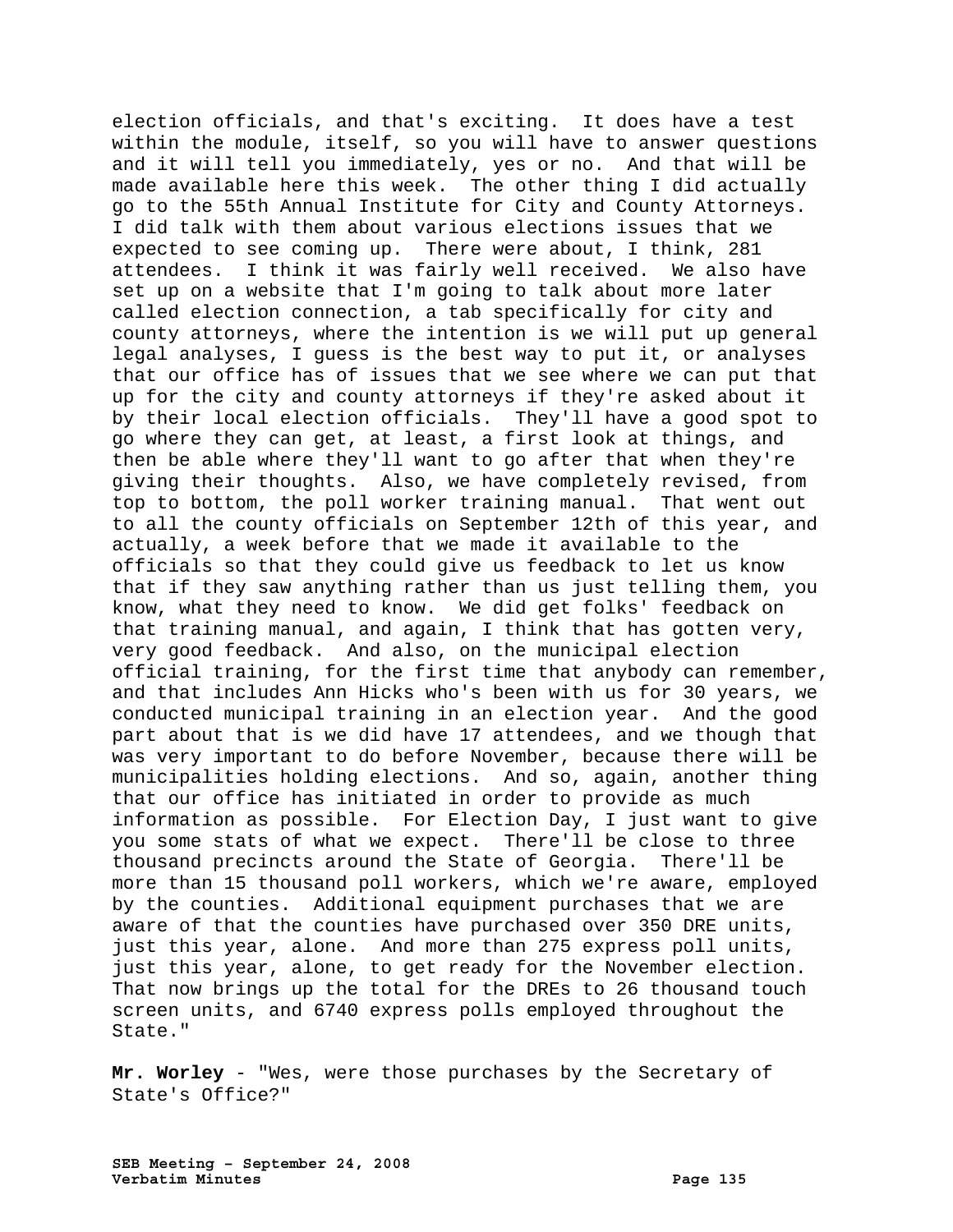election officials, and that's exciting. It does have a test within the module, itself, so you will have to answer questions and it will tell you immediately, yes or no. And that will be made available here this week. The other thing I did actually go to the 55th Annual Institute for City and County Attorneys. I did talk with them about various elections issues that we expected to see coming up. There were about, I think, 281 attendees. I think it was fairly well received. We also have set up on a website that I'm going to talk about more later called election connection, a tab specifically for city and county attorneys, where the intention is we will put up general legal analyses, I guess is the best way to put it, or analyses that our office has of issues that we see where we can put that up for the city and county attorneys if they're asked about it by their local election officials. They'll have a good spot to go where they can get, at least, a first look at things, and then be able where they'll want to go after that when they're giving their thoughts. Also, we have completely revised, from top to bottom, the poll worker training manual. That went out to all the county officials on September 12th of this year, and actually, a week before that we made it available to the officials so that they could give us feedback to let us know that if they saw anything rather than us just telling them, you know, what they need to know. We did get folks' feedback on that training manual, and again, I think that has gotten very, very good feedback. And also, on the municipal election official training, for the first time that anybody can remember, and that includes Ann Hicks who's been with us for 30 years, we conducted municipal training in an election year. And the good part about that is we did have 17 attendees, and we though that was very important to do before November, because there will be municipalities holding elections. And so, again, another thing that our office has initiated in order to provide as much information as possible. For Election Day, I just want to give you some stats of what we expect. There'll be close to three thousand precincts around the State of Georgia. There'll be more than 15 thousand poll workers, which we're aware, employed by the counties. Additional equipment purchases that we are aware of that the counties have purchased over 350 DRE units, just this year, alone. And more than 275 express poll units, just this year, alone, to get ready for the November election. That now brings up the total for the DREs to 26 thousand touch screen units, and 6740 express polls employed throughout the State."

**Mr. Worley** - "Wes, were those purchases by the Secretary of State's Office?"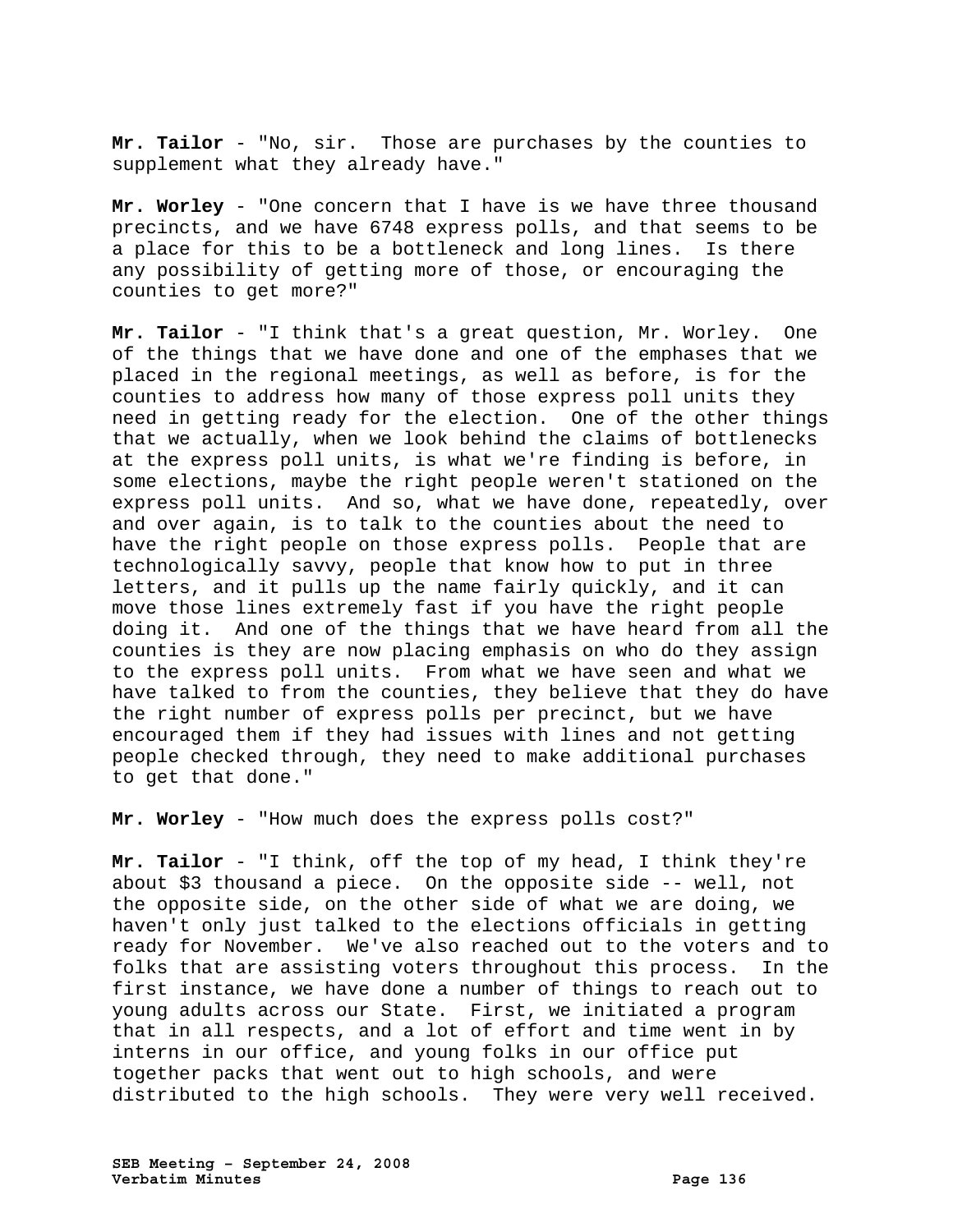**Mr. Tailor** - "No, sir. Those are purchases by the counties to supplement what they already have."

**Mr. Worley** - "One concern that I have is we have three thousand precincts, and we have 6748 express polls, and that seems to be a place for this to be a bottleneck and long lines. Is there any possibility of getting more of those, or encouraging the counties to get more?"

**Mr. Tailor** - "I think that's a great question, Mr. Worley. One of the things that we have done and one of the emphases that we placed in the regional meetings, as well as before, is for the counties to address how many of those express poll units they need in getting ready for the election. One of the other things that we actually, when we look behind the claims of bottlenecks at the express poll units, is what we're finding is before, in some elections, maybe the right people weren't stationed on the express poll units. And so, what we have done, repeatedly, over and over again, is to talk to the counties about the need to have the right people on those express polls. People that are technologically savvy, people that know how to put in three letters, and it pulls up the name fairly quickly, and it can move those lines extremely fast if you have the right people doing it. And one of the things that we have heard from all the counties is they are now placing emphasis on who do they assign to the express poll units. From what we have seen and what we have talked to from the counties, they believe that they do have the right number of express polls per precinct, but we have encouraged them if they had issues with lines and not getting people checked through, they need to make additional purchases to get that done."

**Mr. Worley** - "How much does the express polls cost?"

**Mr. Tailor** - "I think, off the top of my head, I think they're about \$3 thousand a piece. On the opposite side -- well, not the opposite side, on the other side of what we are doing, we haven't only just talked to the elections officials in getting ready for November. We've also reached out to the voters and to folks that are assisting voters throughout this process. In the first instance, we have done a number of things to reach out to young adults across our State. First, we initiated a program that in all respects, and a lot of effort and time went in by interns in our office, and young folks in our office put together packs that went out to high schools, and were distributed to the high schools. They were very well received.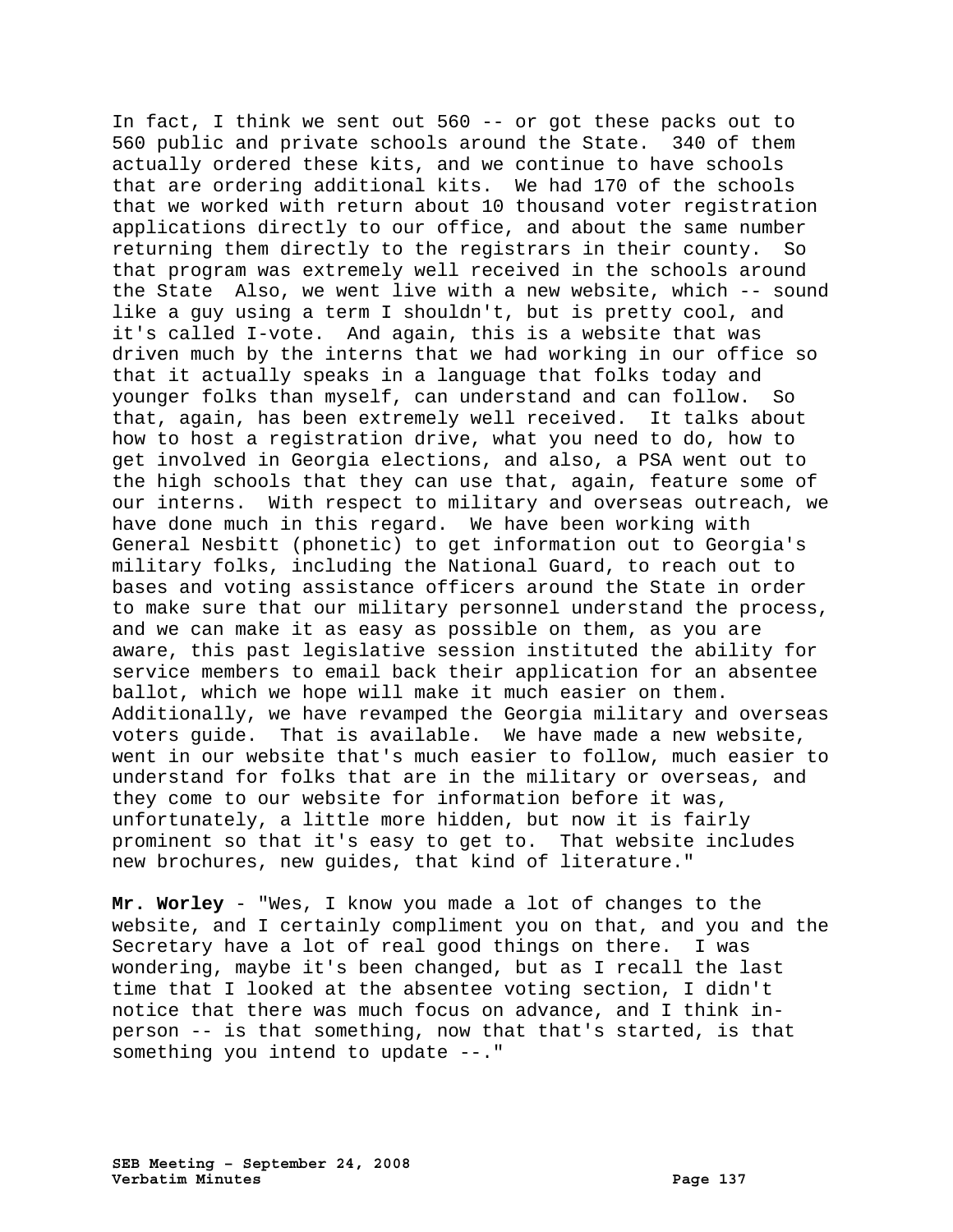In fact, I think we sent out 560 -- or got these packs out to 560 public and private schools around the State. 340 of them actually ordered these kits, and we continue to have schools that are ordering additional kits. We had 170 of the schools that we worked with return about 10 thousand voter registration applications directly to our office, and about the same number returning them directly to the registrars in their county. So that program was extremely well received in the schools around the State Also, we went live with a new website, which -- sound like a guy using a term I shouldn't, but is pretty cool, and it's called I-vote. And again, this is a website that was driven much by the interns that we had working in our office so that it actually speaks in a language that folks today and younger folks than myself, can understand and can follow. So that, again, has been extremely well received. It talks about how to host a registration drive, what you need to do, how to get involved in Georgia elections, and also, a PSA went out to the high schools that they can use that, again, feature some of our interns. With respect to military and overseas outreach, we have done much in this regard. We have been working with General Nesbitt (phonetic) to get information out to Georgia's military folks, including the National Guard, to reach out to bases and voting assistance officers around the State in order to make sure that our military personnel understand the process, and we can make it as easy as possible on them, as you are aware, this past legislative session instituted the ability for service members to email back their application for an absentee ballot, which we hope will make it much easier on them. Additionally, we have revamped the Georgia military and overseas voters guide. That is available. We have made a new website, went in our website that's much easier to follow, much easier to understand for folks that are in the military or overseas, and they come to our website for information before it was, unfortunately, a little more hidden, but now it is fairly prominent so that it's easy to get to. That website includes new brochures, new guides, that kind of literature."

**Mr. Worley** - "Wes, I know you made a lot of changes to the website, and I certainly compliment you on that, and you and the Secretary have a lot of real good things on there. I was wondering, maybe it's been changed, but as I recall the last time that I looked at the absentee voting section, I didn't notice that there was much focus on advance, and I think inperson -- is that something, now that that's started, is that something you intend to update --."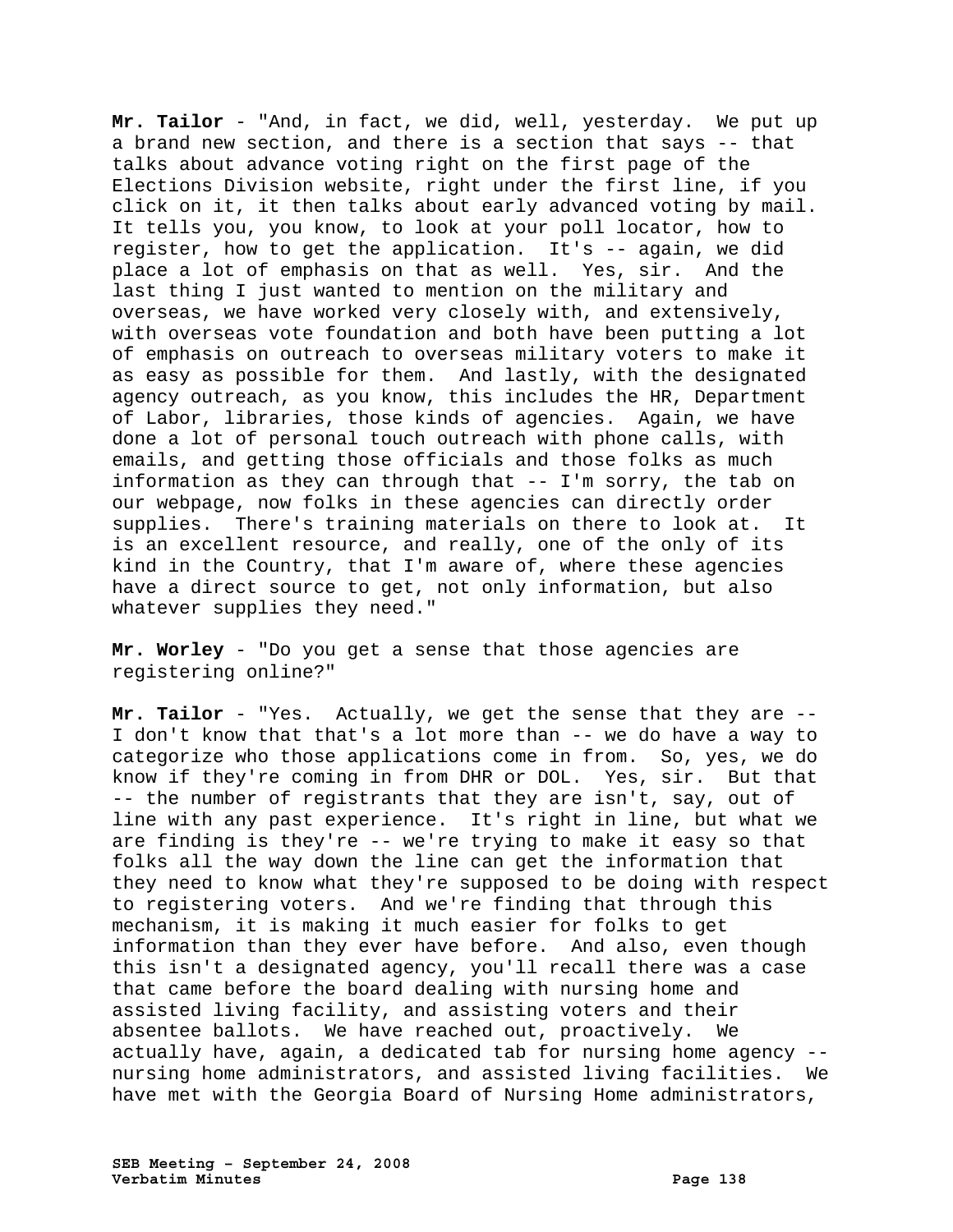**Mr. Tailor** - "And, in fact, we did, well, yesterday. We put up a brand new section, and there is a section that says -- that talks about advance voting right on the first page of the Elections Division website, right under the first line, if you click on it, it then talks about early advanced voting by mail. It tells you, you know, to look at your poll locator, how to register, how to get the application. It's -- again, we did place a lot of emphasis on that as well. Yes, sir. And the last thing I just wanted to mention on the military and overseas, we have worked very closely with, and extensively, with overseas vote foundation and both have been putting a lot of emphasis on outreach to overseas military voters to make it as easy as possible for them. And lastly, with the designated agency outreach, as you know, this includes the HR, Department of Labor, libraries, those kinds of agencies. Again, we have done a lot of personal touch outreach with phone calls, with emails, and getting those officials and those folks as much information as they can through that -- I'm sorry, the tab on our webpage, now folks in these agencies can directly order supplies. There's training materials on there to look at. It is an excellent resource, and really, one of the only of its kind in the Country, that I'm aware of, where these agencies have a direct source to get, not only information, but also whatever supplies they need."

**Mr. Worley** - "Do you get a sense that those agencies are registering online?"

**Mr. Tailor** - "Yes. Actually, we get the sense that they are -- I don't know that that's a lot more than -- we do have a way to categorize who those applications come in from. So, yes, we do know if they're coming in from DHR or DOL. Yes, sir. But that -- the number of registrants that they are isn't, say, out of line with any past experience. It's right in line, but what we are finding is they're -- we're trying to make it easy so that folks all the way down the line can get the information that they need to know what they're supposed to be doing with respect to registering voters. And we're finding that through this mechanism, it is making it much easier for folks to get information than they ever have before. And also, even though this isn't a designated agency, you'll recall there was a case that came before the board dealing with nursing home and assisted living facility, and assisting voters and their absentee ballots. We have reached out, proactively. We actually have, again, a dedicated tab for nursing home agency - nursing home administrators, and assisted living facilities. We have met with the Georgia Board of Nursing Home administrators,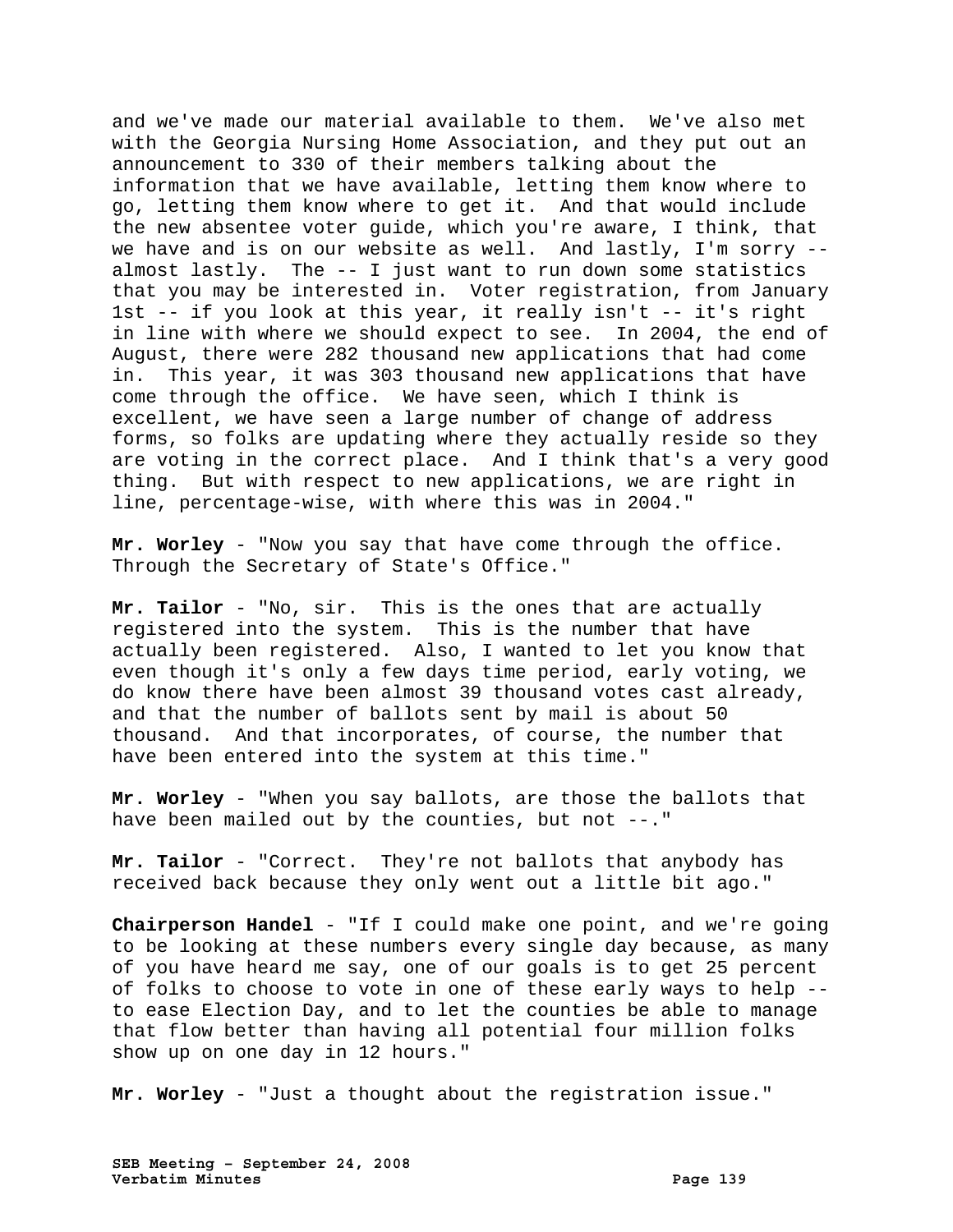and we've made our material available to them. We've also met with the Georgia Nursing Home Association, and they put out an announcement to 330 of their members talking about the information that we have available, letting them know where to go, letting them know where to get it. And that would include the new absentee voter guide, which you're aware, I think, that we have and is on our website as well. And lastly, I'm sorry - almost lastly. The -- I just want to run down some statistics that you may be interested in. Voter registration, from January 1st -- if you look at this year, it really isn't -- it's right in line with where we should expect to see. In 2004, the end of August, there were 282 thousand new applications that had come in. This year, it was 303 thousand new applications that have come through the office. We have seen, which I think is excellent, we have seen a large number of change of address forms, so folks are updating where they actually reside so they are voting in the correct place. And I think that's a very good thing. But with respect to new applications, we are right in line, percentage-wise, with where this was in 2004."

**Mr. Worley** - "Now you say that have come through the office. Through the Secretary of State's Office."

**Mr. Tailor** - "No, sir. This is the ones that are actually registered into the system. This is the number that have actually been registered. Also, I wanted to let you know that even though it's only a few days time period, early voting, we do know there have been almost 39 thousand votes cast already, and that the number of ballots sent by mail is about 50 thousand. And that incorporates, of course, the number that have been entered into the system at this time."

**Mr. Worley** - "When you say ballots, are those the ballots that have been mailed out by the counties, but not --."

**Mr. Tailor** - "Correct. They're not ballots that anybody has received back because they only went out a little bit ago."

**Chairperson Handel** - "If I could make one point, and we're going to be looking at these numbers every single day because, as many of you have heard me say, one of our goals is to get 25 percent of folks to choose to vote in one of these early ways to help - to ease Election Day, and to let the counties be able to manage that flow better than having all potential four million folks show up on one day in 12 hours."

**Mr. Worley** - "Just a thought about the registration issue."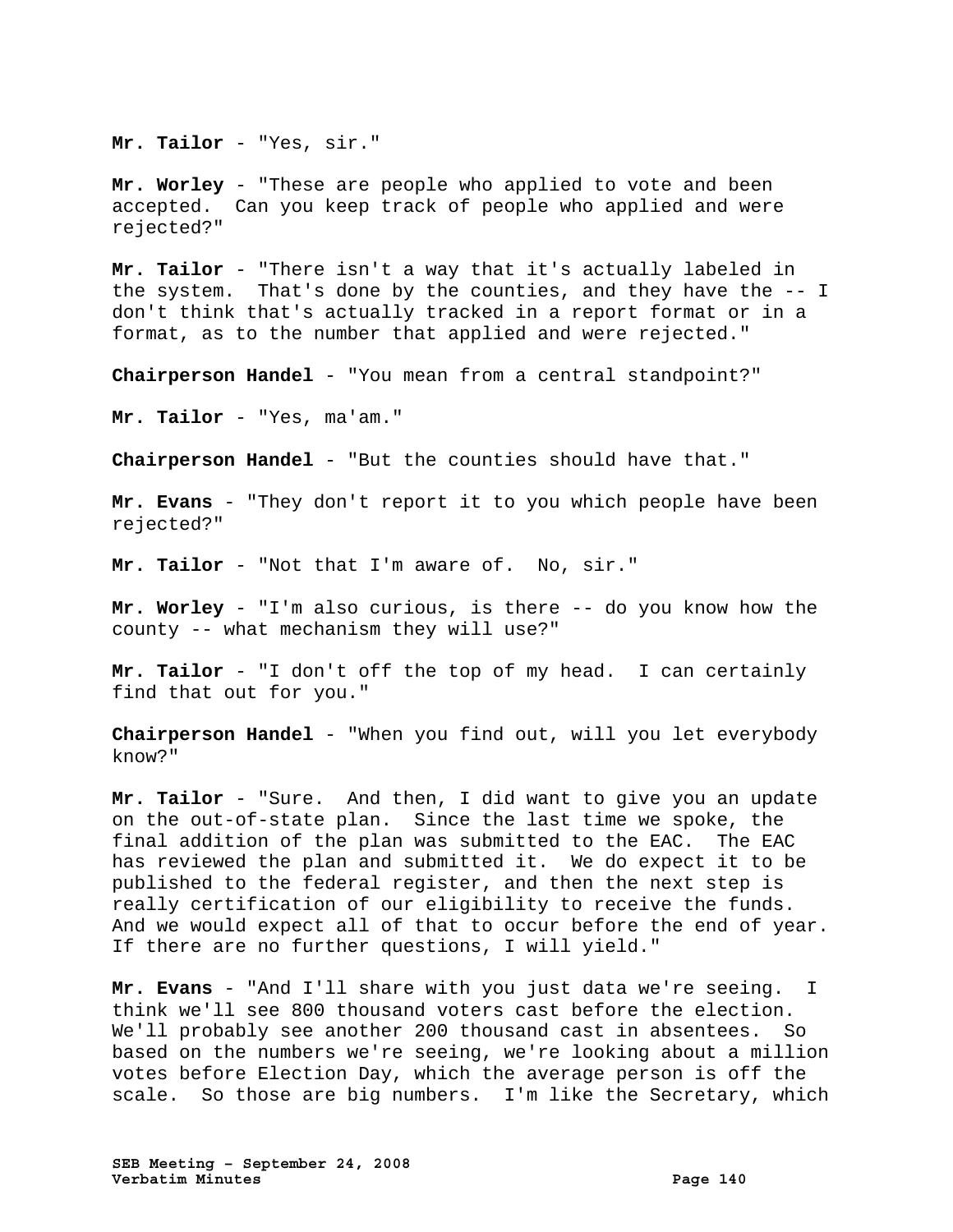**Mr. Tailor** - "Yes, sir."

**Mr. Worley** - "These are people who applied to vote and been accepted. Can you keep track of people who applied and were rejected?"

**Mr. Tailor** - "There isn't a way that it's actually labeled in the system. That's done by the counties, and they have the -- I don't think that's actually tracked in a report format or in a format, as to the number that applied and were rejected."

**Chairperson Handel** - "You mean from a central standpoint?"

**Mr. Tailor** - "Yes, ma'am."

**Chairperson Handel** - "But the counties should have that."

**Mr. Evans** - "They don't report it to you which people have been rejected?"

**Mr. Tailor** - "Not that I'm aware of. No, sir."

**Mr. Worley** - "I'm also curious, is there -- do you know how the county -- what mechanism they will use?"

**Mr. Tailor** - "I don't off the top of my head. I can certainly find that out for you."

**Chairperson Handel** - "When you find out, will you let everybody know?"

**Mr. Tailor** - "Sure. And then, I did want to give you an update on the out-of-state plan. Since the last time we spoke, the final addition of the plan was submitted to the EAC. The EAC has reviewed the plan and submitted it. We do expect it to be published to the federal register, and then the next step is really certification of our eligibility to receive the funds. And we would expect all of that to occur before the end of year. If there are no further questions, I will yield."

**Mr. Evans** - "And I'll share with you just data we're seeing. I think we'll see 800 thousand voters cast before the election. We'll probably see another 200 thousand cast in absentees. So based on the numbers we're seeing, we're looking about a million votes before Election Day, which the average person is off the scale. So those are big numbers. I'm like the Secretary, which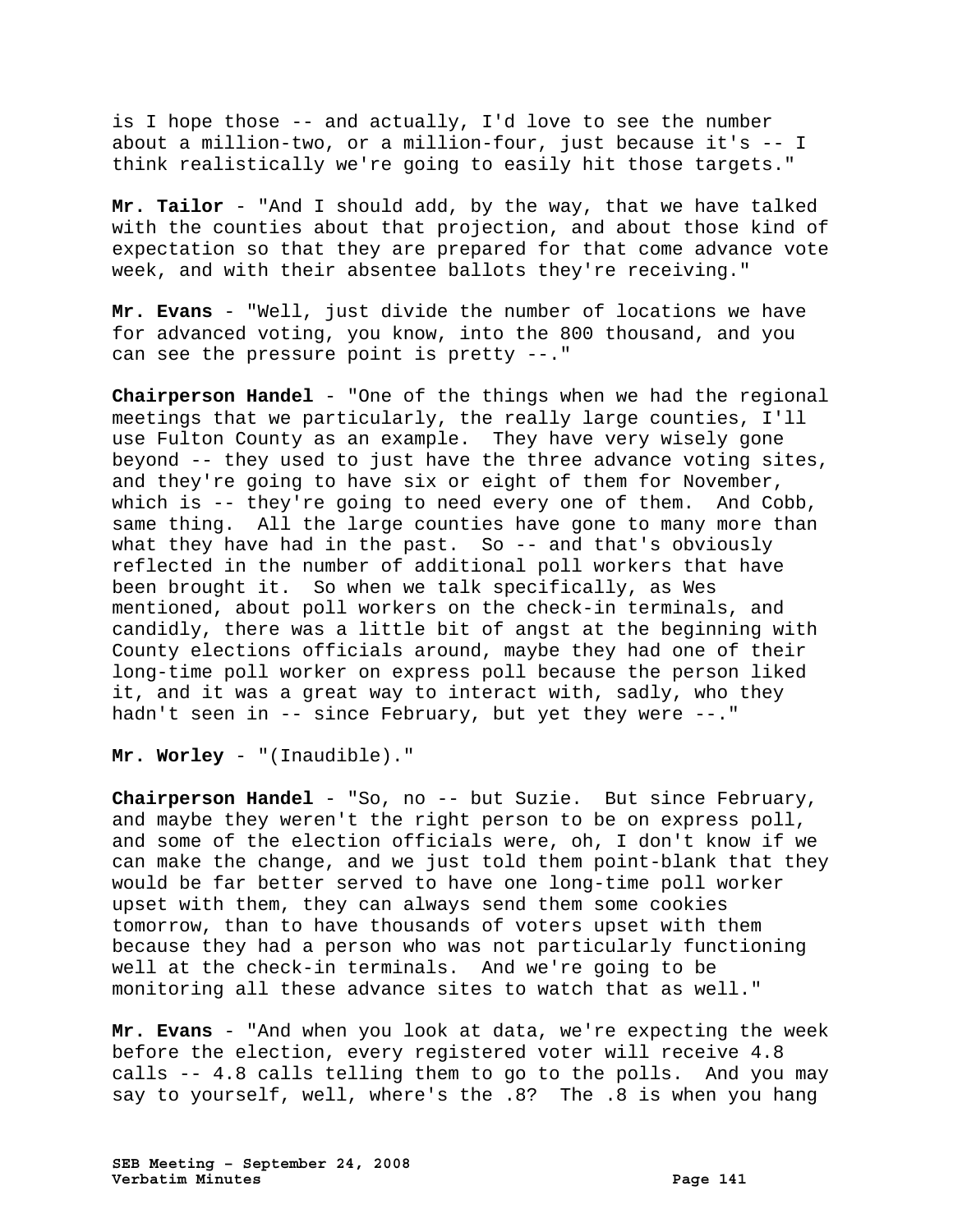is I hope those -- and actually, I'd love to see the number about a million-two, or a million-four, just because it's -- I think realistically we're going to easily hit those targets."

**Mr. Tailor** - "And I should add, by the way, that we have talked with the counties about that projection, and about those kind of expectation so that they are prepared for that come advance vote week, and with their absentee ballots they're receiving."

**Mr. Evans** - "Well, just divide the number of locations we have for advanced voting, you know, into the 800 thousand, and you can see the pressure point is pretty --."

**Chairperson Handel** - "One of the things when we had the regional meetings that we particularly, the really large counties, I'll use Fulton County as an example. They have very wisely gone beyond -- they used to just have the three advance voting sites, and they're going to have six or eight of them for November, which is -- they're going to need every one of them. And Cobb, same thing. All the large counties have gone to many more than what they have had in the past. So -- and that's obviously reflected in the number of additional poll workers that have been brought it. So when we talk specifically, as Wes mentioned, about poll workers on the check-in terminals, and candidly, there was a little bit of angst at the beginning with County elections officials around, maybe they had one of their long-time poll worker on express poll because the person liked it, and it was a great way to interact with, sadly, who they hadn't seen in -- since February, but yet they were --."

**Mr. Worley** - "(Inaudible)."

**Chairperson Handel** - "So, no -- but Suzie. But since February, and maybe they weren't the right person to be on express poll, and some of the election officials were, oh, I don't know if we can make the change, and we just told them point-blank that they would be far better served to have one long-time poll worker upset with them, they can always send them some cookies tomorrow, than to have thousands of voters upset with them because they had a person who was not particularly functioning well at the check-in terminals. And we're going to be monitoring all these advance sites to watch that as well."

**Mr. Evans** - "And when you look at data, we're expecting the week before the election, every registered voter will receive 4.8 calls -- 4.8 calls telling them to go to the polls. And you may say to yourself, well, where's the .8? The .8 is when you hang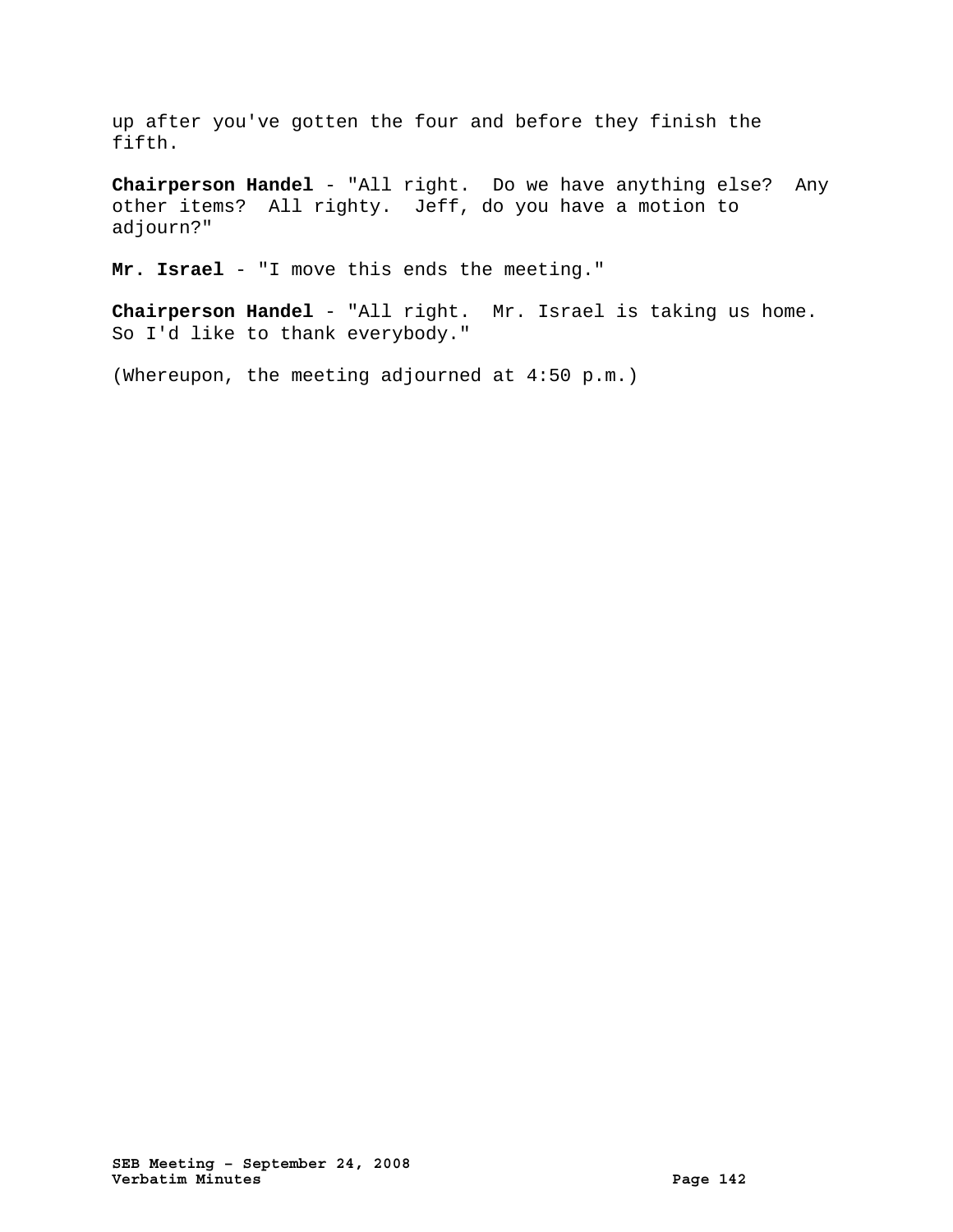up after you've gotten the four and before they finish the fifth.

**Chairperson Handel** - "All right. Do we have anything else? Any other items? All righty. Jeff, do you have a motion to adjourn?"

**Mr. Israel** - "I move this ends the meeting."

**Chairperson Handel** - "All right. Mr. Israel is taking us home. So I'd like to thank everybody."

(Whereupon, the meeting adjourned at 4:50 p.m.)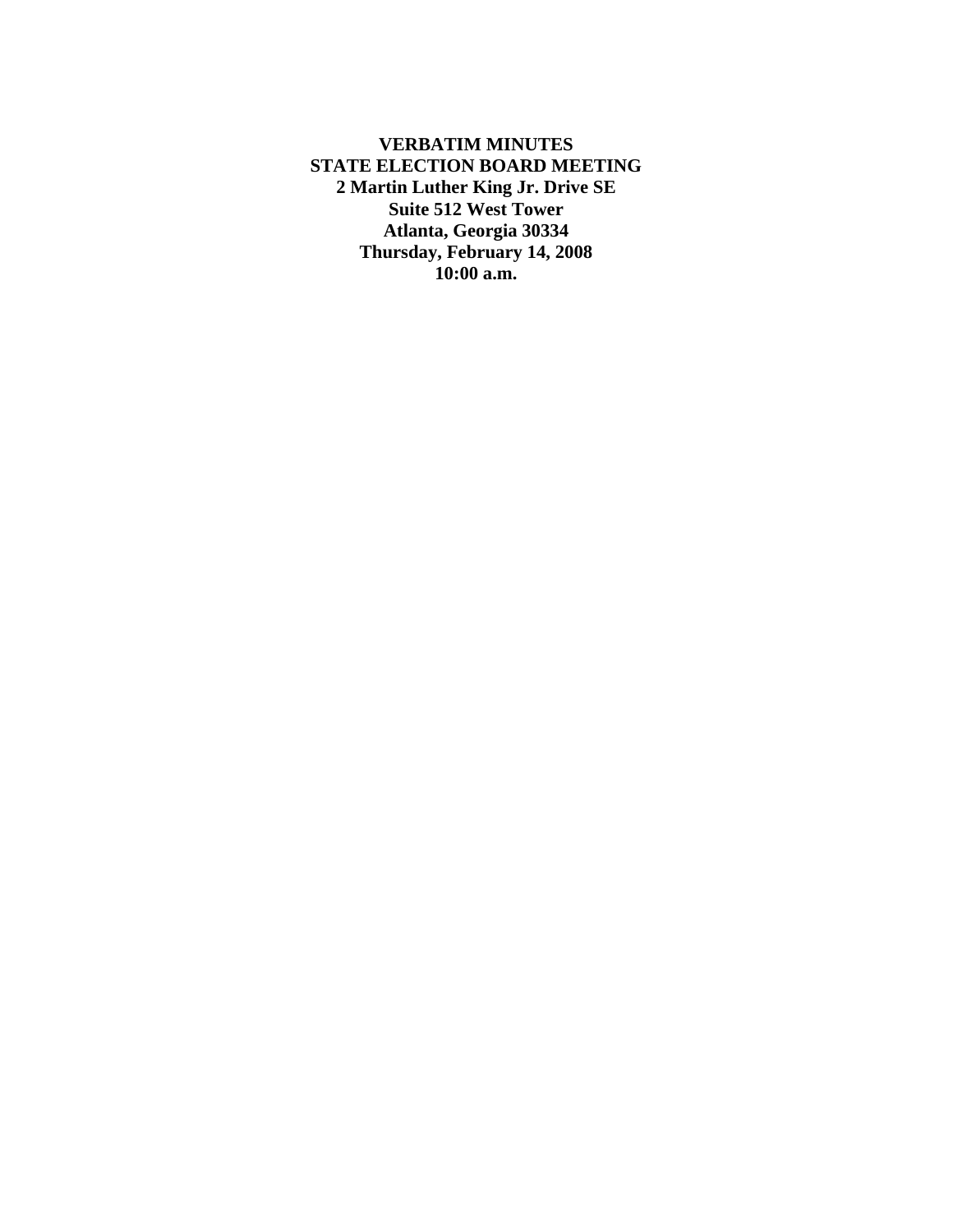**VERBATIM MINUTES STATE ELECTION BOARD MEETING 2 Martin Luther King Jr. Drive SE Suite 512 West Tower Atlanta, Georgia 30334 Thursday, February 14, 2008 10:00 a.m.**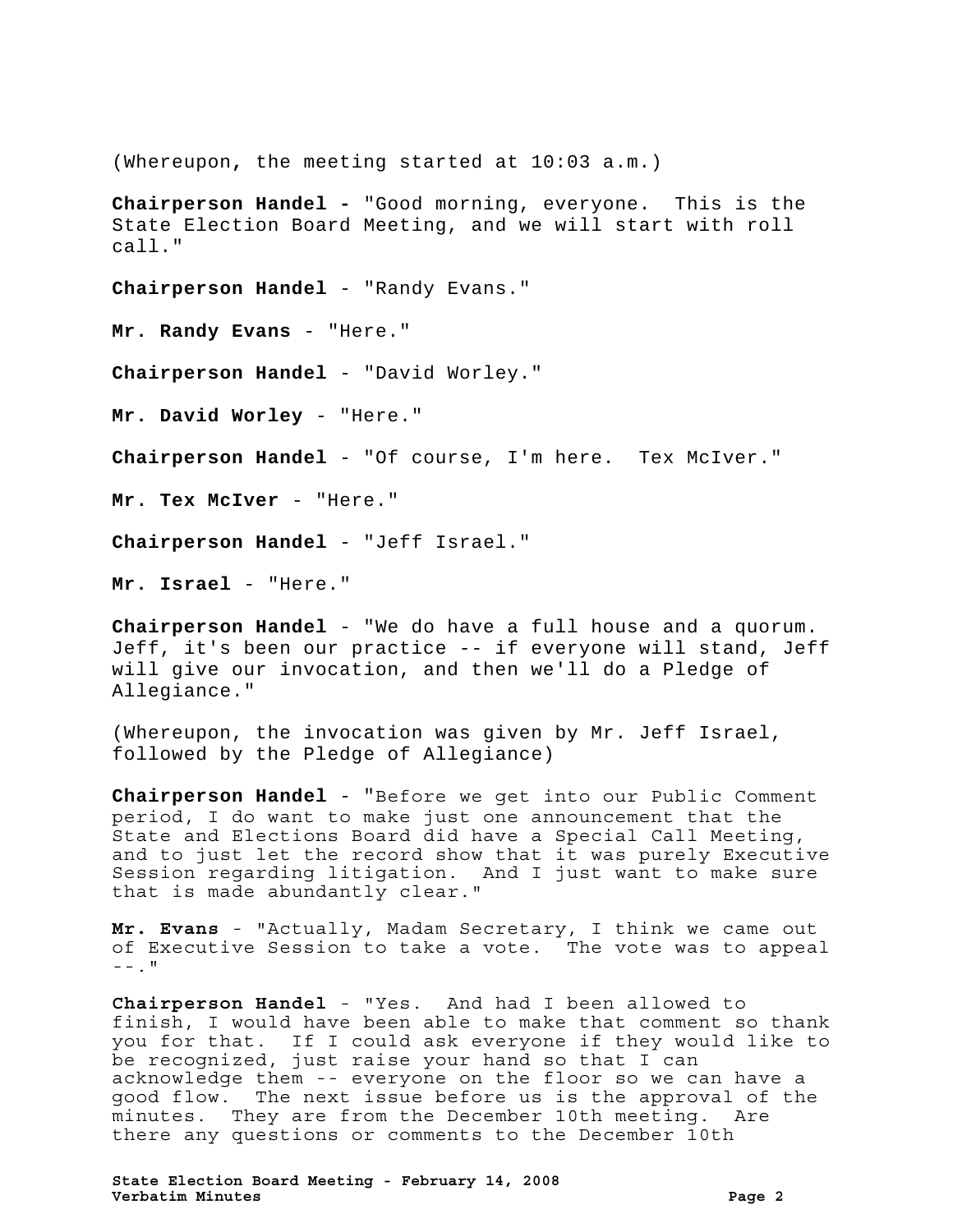(Whereupon**,** the meeting started at 10:03 a.m.)

**Chairperson Handel -** "Good morning, everyone. This is the State Election Board Meeting, and we will start with roll call."

**Chairperson Handel** - "Randy Evans."

**Mr. Randy Evans** - "Here."

**Chairperson Handel** - "David Worley."

**Mr. David Worley** - "Here."

**Chairperson Handel** - "Of course, I'm here. Tex McIver."

**Mr. Tex McIver** - "Here."

**Chairperson Handel** - "Jeff Israel."

**Mr. Israel** - "Here."

**Chairperson Handel** - "We do have a full house and a quorum. Jeff, it's been our practice -- if everyone will stand, Jeff will give our invocation, and then we'll do a Pledge of Allegiance."

(Whereupon, the invocation was given by Mr. Jeff Israel, followed by the Pledge of Allegiance)

**Chairperson Handel** - "Before we get into our Public Comment period, I do want to make just one announcement that the State and Elections Board did have a Special Call Meeting, and to just let the record show that it was purely Executive Session regarding litigation. And I just want to make sure that is made abundantly clear."

**Mr. Evans** - "Actually, Madam Secretary, I think we came out of Executive Session to take a vote. The vote was to appeal  $-$ .  $\blacksquare$ 

**Chairperson Handel** - "Yes. And had I been allowed to finish, I would have been able to make that comment so thank you for that. If I could ask everyone if they would like to be recognized, just raise your hand so that I can acknowledge them -- everyone on the floor so we can have a good flow. The next issue before us is the approval of the minutes. They are from the December 10th meeting. Are there any questions or comments to the December 10th

**State Election Board Meeting - February 14, 2008 Verbatim Minutes Page 2**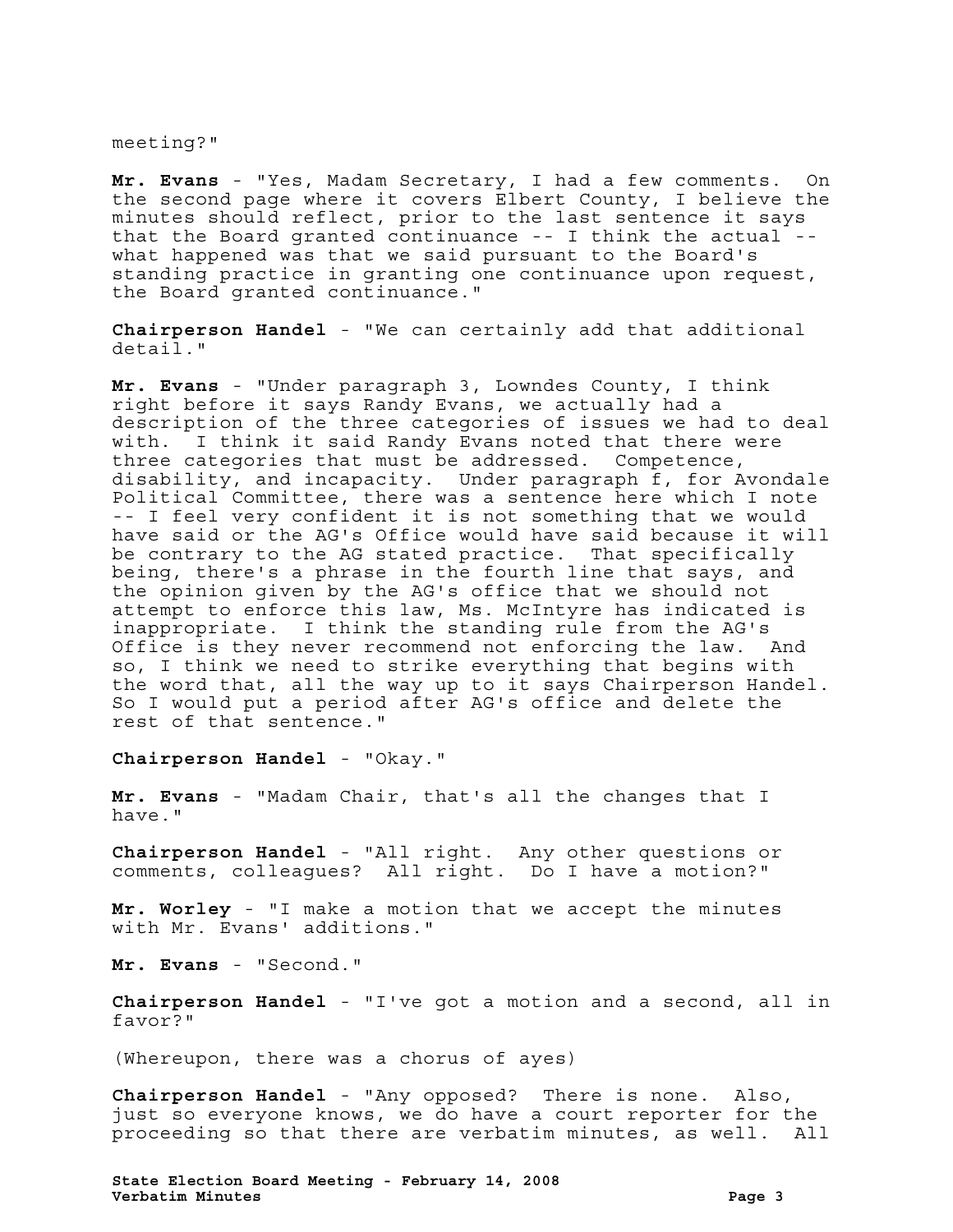meeting?"

**Mr. Evans** - "Yes, Madam Secretary, I had a few comments. On the second page where it covers Elbert County, I believe the minutes should reflect, prior to the last sentence it says that the Board granted continuance -- I think the actual - what happened was that we said pursuant to the Board's standing practice in granting one continuance upon request, the Board granted continuance."

**Chairperson Handel** - "We can certainly add that additional detail."

**Mr. Evans** - "Under paragraph 3, Lowndes County, I think right before it says Randy Evans, we actually had a description of the three categories of issues we had to deal with. I think it said Randy Evans noted that there were three categories that must be addressed. Competence, disability, and incapacity. Under paragraph f, for Avondale Political Committee, there was a sentence here which I note -- I feel very confident it is not something that we would have said or the AG's Office would have said because it will be contrary to the AG stated practice. That specifically being, there's a phrase in the fourth line that says, and the opinion given by the AG's office that we should not attempt to enforce this law, Ms. McIntyre has indicated is inappropriate. I think the standing rule from the AG's Office is they never recommend not enforcing the law. And so, I think we need to strike everything that begins with the word that, all the way up to it says Chairperson Handel. So I would put a period after AG's office and delete the rest of that sentence."

**Chairperson Handel** - "Okay."

**Mr. Evans** - "Madam Chair, that's all the changes that I have."

**Chairperson Handel** - "All right. Any other questions or comments, colleagues? All right. Do I have a motion?"

**Mr. Worley** - "I make a motion that we accept the minutes with Mr. Evans' additions."

**Mr. Evans** - "Second."

**Chairperson Handel** - "I've got a motion and a second, all in favor?"

(Whereupon, there was a chorus of ayes)

**Chairperson Handel** - "Any opposed? There is none. Also, just so everyone knows, we do have a court reporter for the proceeding so that there are verbatim minutes, as well. All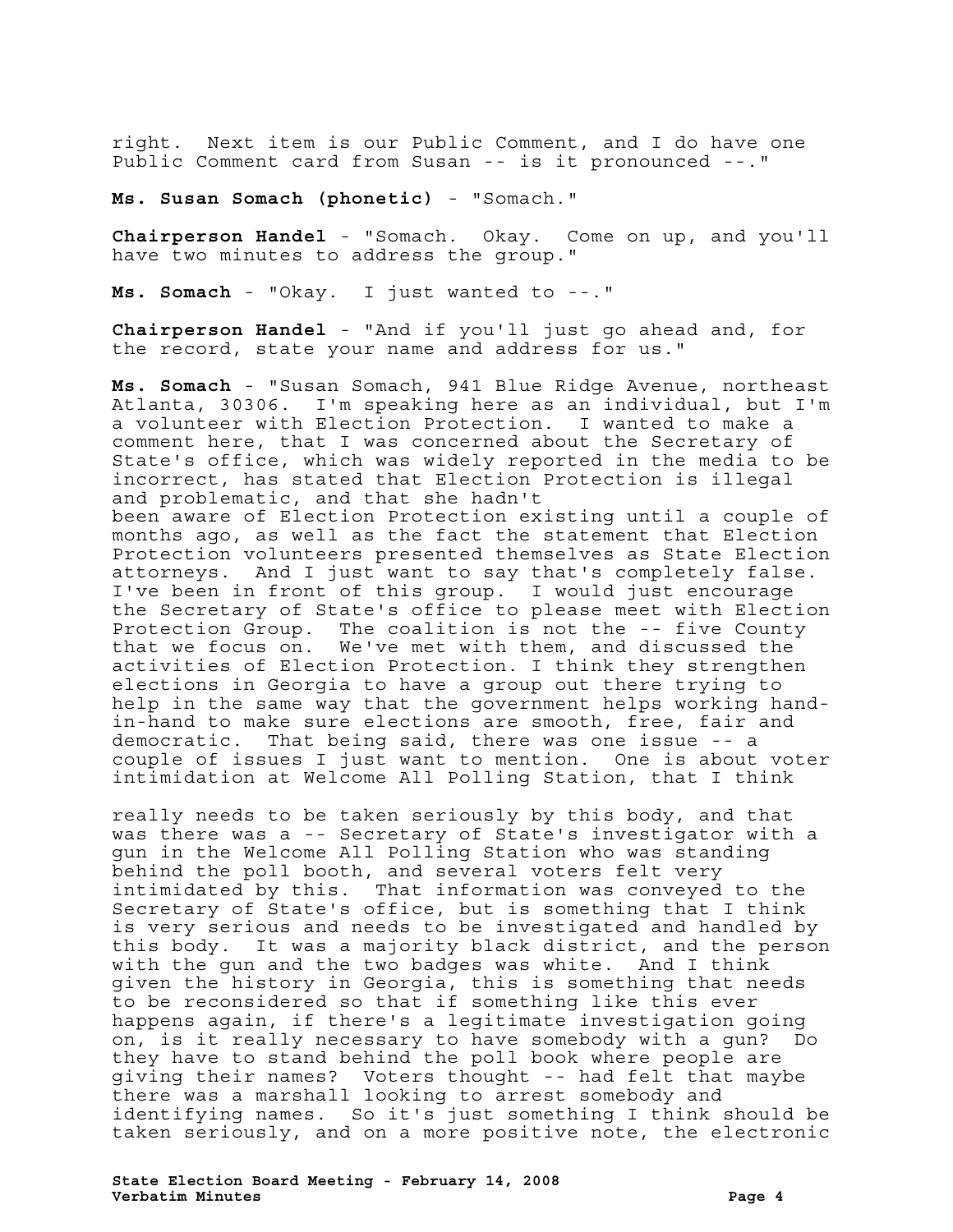right. Next item is our Public Comment, and I do have one Public Comment card from Susan -- is it pronounced --."

**Ms. Susan Somach (phonetic)** - "Somach."

**Chairperson Handel** - "Somach. Okay. Come on up, and you'll have two minutes to address the group."

**Ms. Somach** - "Okay. I just wanted to --."

**Chairperson Handel** - "And if you'll just go ahead and, for the record, state your name and address for us."

**Ms. Somach** - "Susan Somach, 941 Blue Ridge Avenue, northeast Atlanta, 30306. I'm speaking here as an individual, but I'm a volunteer with Election Protection. I wanted to make a comment here, that I was concerned about the Secretary of State's office, which was widely reported in the media to be incorrect, has stated that Election Protection is illegal and problematic, and that she hadn't been aware of Election Protection existing until a couple of months ago, as well as the fact the statement that Election Protection volunteers presented themselves as State Election attorneys. And I just want to say that's completely false. I've been in front of this group. I would just encourage the Secretary of State's office to please meet with Election Protection Group. The coalition is not the -- five County that we focus on. We've met with them, and discussed the activities of Election Protection. I think they strengthen elections in Georgia to have a group out there trying to help in the same way that the government helps working handin-hand to make sure elections are smooth, free, fair and democratic. That being said, there was one issue -- a couple of issues I just want to mention. One is about voter intimidation at Welcome All Polling Station, that I think

really needs to be taken seriously by this body, and that was there was a -- Secretary of State's investigator with a gun in the Welcome All Polling Station who was standing behind the poll booth, and several voters felt very intimidated by this. That information was conveyed to the Secretary of State's office, but is something that I think is very serious and needs to be investigated and handled by this body. It was a majority black district, and the person with the gun and the two badges was white. And I think given the history in Georgia, this is something that needs to be reconsidered so that if something like this ever happens again, if there's a legitimate investigation going on, is it really necessary to have somebody with a gun? Do they have to stand behind the poll book where people are giving their names? Voters thought -- had felt that maybe there was a marshall looking to arrest somebody and identifying names. So it's just something I think should be taken seriously, and on a more positive note, the electronic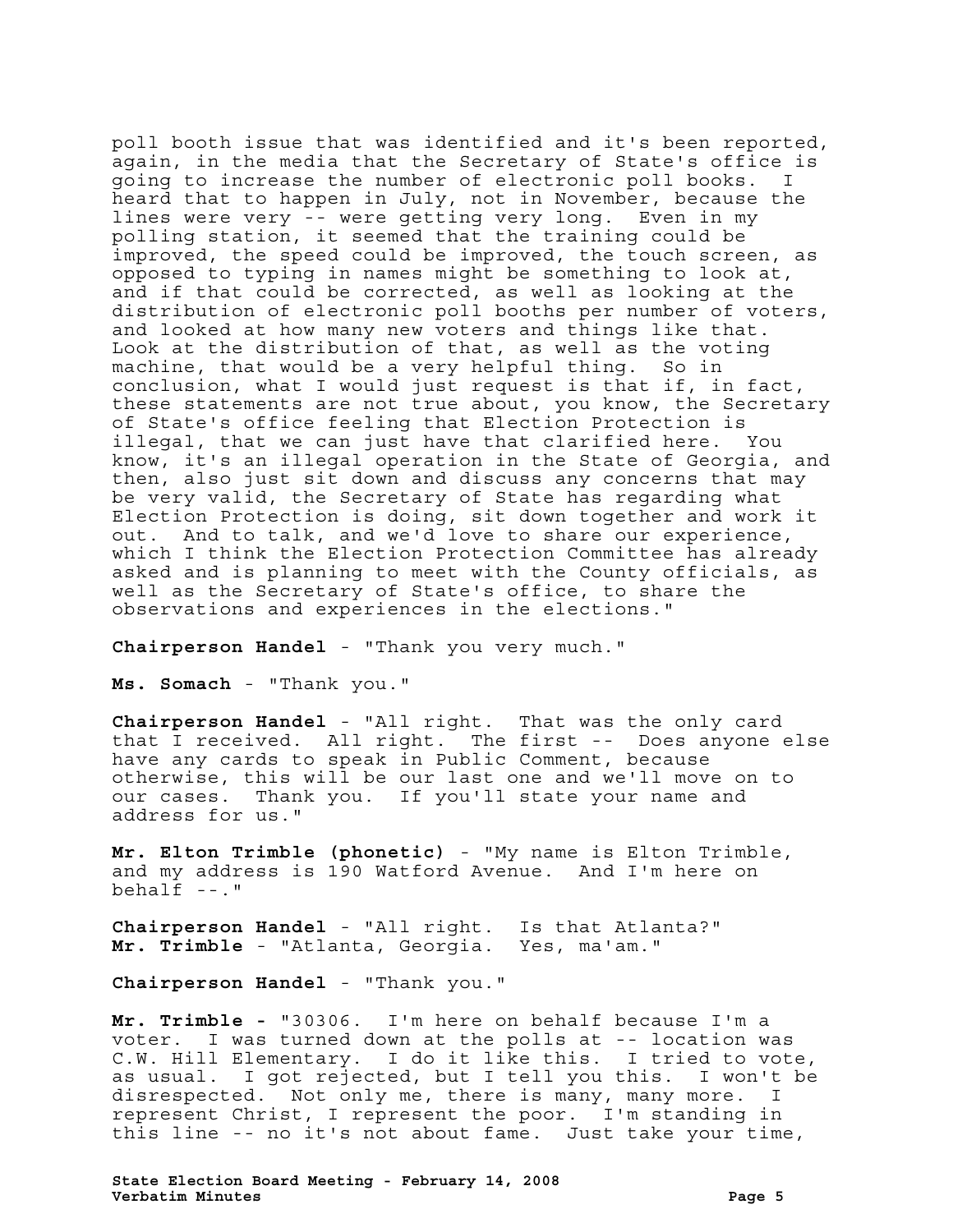poll booth issue that was identified and it's been reported, again, in the media that the Secretary of State's office is going to increase the number of electronic poll books. heard that to happen in July, not in November, because the lines were very -- were getting very long. Even in my polling station, it seemed that the training could be improved, the speed could be improved, the touch screen, as opposed to typing in names might be something to look at, and if that could be corrected, as well as looking at the distribution of electronic poll booths per number of voters, and looked at how many new voters and things like that. Look at the distribution of that, as well as the voting machine, that would be a very helpful thing. So in conclusion, what I would just request is that if, in fact, these statements are not true about, you know, the Secretary of State's office feeling that Election Protection is illegal, that we can just have that clarified here. You know, it's an illegal operation in the State of Georgia, and then, also just sit down and discuss any concerns that may be very valid, the Secretary of State has regarding what Election Protection is doing, sit down together and work it out. And to talk, and we'd love to share our experience, which I think the Election Protection Committee has already asked and is planning to meet with the County officials, as well as the Secretary of State's office, to share the observations and experiences in the elections."

**Chairperson Handel** - "Thank you very much."

**Ms. Somach** - "Thank you."

**Chairperson Handel** - "All right. That was the only card that I received. All right. The first -- Does anyone else have any cards to speak in Public Comment, because otherwise, this will be our last one and we'll move on to our cases. Thank you. If you'll state your name and address for us."

**Mr. Elton Trimble (phonetic)** - "My name is Elton Trimble, and my address is 190 Watford Avenue. And I'm here on behalf --."

**Chairperson Handel** - "All right. Is that Atlanta?" **Mr. Trimble** - "Atlanta, Georgia. Yes, ma'am."

**Chairperson Handel** - "Thank you."

**Mr. Trimble -** "30306. I'm here on behalf because I'm a voter. I was turned down at the polls at -- location was C.W. Hill Elementary. I do it like this. I tried to vote, as usual. I got rejected, but I tell you this. I won't be disrespected. Not only me, there is many, many more. I represent Christ, I represent the poor. I'm standing in this line -- no it's not about fame. Just take your time,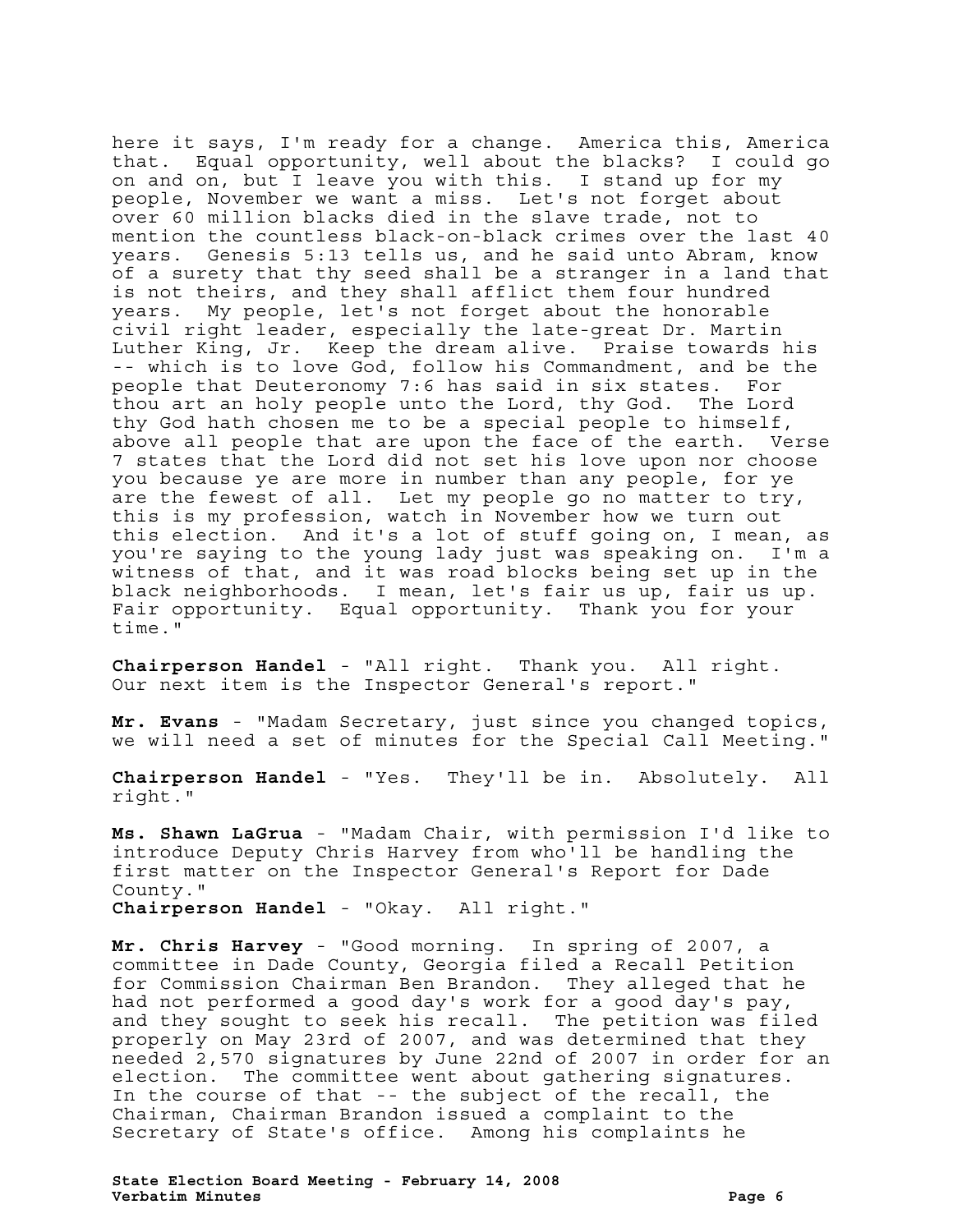here it says, I'm ready for a change. America this, America that. Equal opportunity, well about the blacks? I could go on and on, but I leave you with this. I stand up for my people, November we want a miss. Let's not forget about over 60 million blacks died in the slave trade, not to mention the countless black-on-black crimes over the last 40 years. Genesis 5:13 tells us, and he said unto Abram, know of a surety that thy seed shall be a stranger in a land that is not theirs, and they shall afflict them four hundred years. My people, let's not forget about the honorable civil right leader, especially the late-great Dr. Martin Luther King, Jr. Keep the dream alive. Praise towards his -- which is to love God, follow his Commandment, and be the people that Deuteronomy 7:6 has said in six states. For thou art an holy people unto the Lord, thy God. The Lord thy God hath chosen me to be a special people to himself, above all people that are upon the face of the earth. Verse 7 states that the Lord did not set his love upon nor choose you because ye are more in number than any people, for ye are the fewest of all. Let my people go no matter to try, this is my profession, watch in November how we turn out this election. And it's a lot of stuff going on, I mean, as you're saying to the young lady just was speaking on. I'm a witness of that, and it was road blocks being set up in the black neighborhoods. I mean, let's fair us up, fair us up. Fair opportunity. Equal opportunity. Thank you for your time."

**Chairperson Handel** - "All right. Thank you. All right. Our next item is the Inspector General's report."

**Mr. Evans** - "Madam Secretary, just since you changed topics, we will need a set of minutes for the Special Call Meeting."

**Chairperson Handel** - "Yes. They'll be in. Absolutely. All right."

**Ms. Shawn LaGrua** - "Madam Chair, with permission I'd like to introduce Deputy Chris Harvey from who'll be handling the first matter on the Inspector General's Report for Dade County." **Chairperson Handel** - "Okay. All right."

**Mr. Chris Harvey** - "Good morning. In spring of 2007, a committee in Dade County, Georgia filed a Recall Petition for Commission Chairman Ben Brandon. They alleged that he had not performed a good day's work for a good day's pay, and they sought to seek his recall. The petition was filed properly on May 23rd of 2007, and was determined that they needed 2,570 signatures by June 22nd of 2007 in order for an election. The committee went about gathering signatures. In the course of that -- the subject of the recall, the Chairman, Chairman Brandon issued a complaint to the Secretary of State's office. Among his complaints he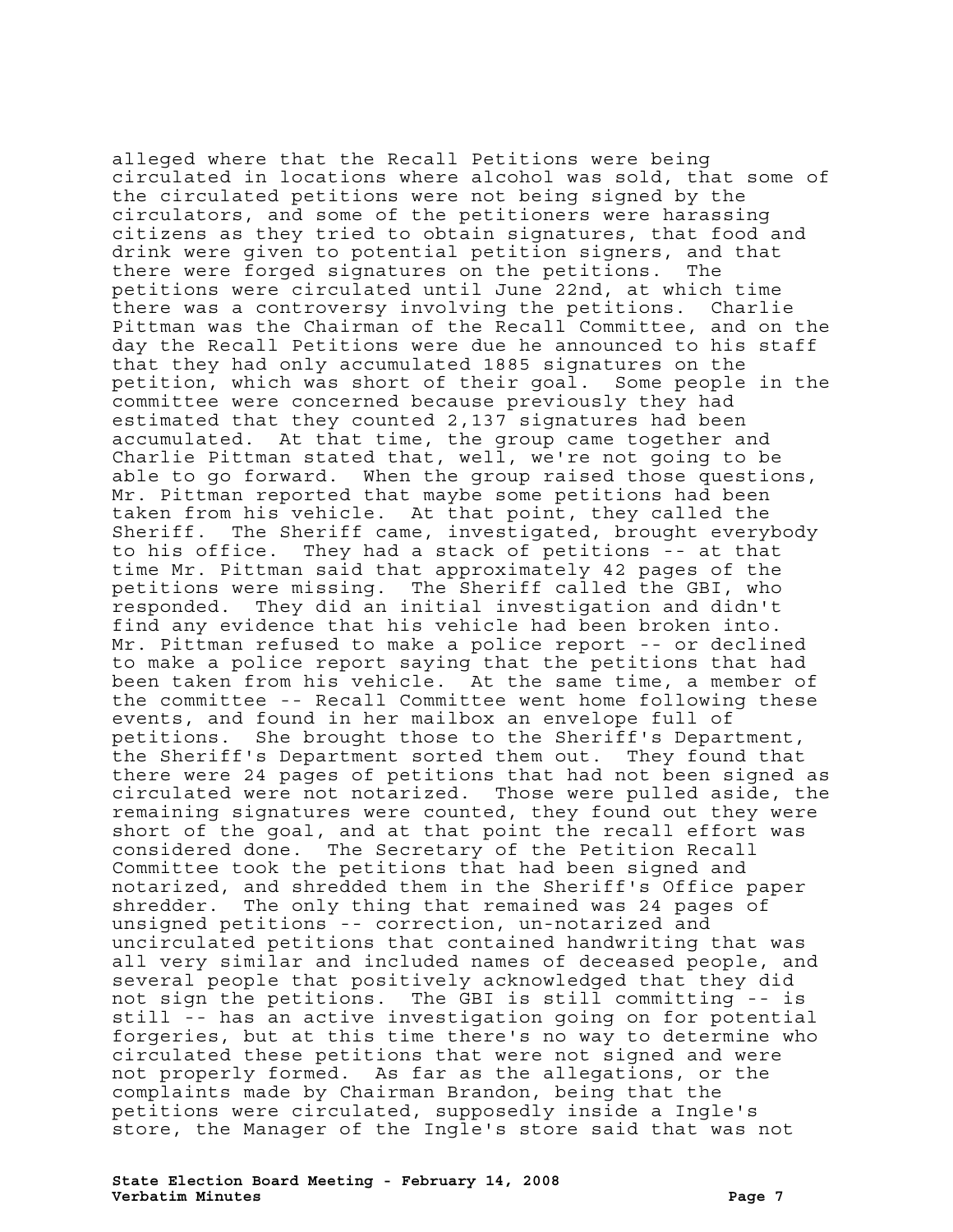alleged where that the Recall Petitions were being circulated in locations where alcohol was sold, that some of the circulated petitions were not being signed by the circulators, and some of the petitioners were harassing citizens as they tried to obtain signatures, that food and drink were given to potential petition signers, and that there were forged signatures on the petitions. The petitions were circulated until June 22nd, at which time there was a controversy involving the petitions. Charlie Pittman was the Chairman of the Recall Committee, and on the day the Recall Petitions were due he announced to his staff that they had only accumulated 1885 signatures on the petition, which was short of their goal. Some people in the committee were concerned because previously they had estimated that they counted 2,137 signatures had been accumulated. At that time, the group came together and Charlie Pittman stated that, well, we're not going to be able to go forward. When the group raised those questions, Mr. Pittman reported that maybe some petitions had been taken from his vehicle. At that point, they called the Sheriff. The Sheriff came, investigated, brought everybody to his office. They had a stack of petitions -- at that time Mr. Pittman said that approximately 42 pages of the petitions were missing. The Sheriff called the GBI, who responded. They did an initial investigation and didn't find any evidence that his vehicle had been broken into. Mr. Pittman refused to make a police report -- or declined to make a police report saying that the petitions that had been taken from his vehicle. At the same time, a member of the committee -- Recall Committee went home following these events, and found in her mailbox an envelope full of petitions. She brought those to the Sheriff's Department, the Sheriff's Department sorted them out. They found that there were 24 pages of petitions that had not been signed as circulated were not notarized. Those were pulled aside, the remaining signatures were counted, they found out they were short of the goal, and at that point the recall effort was considered done. The Secretary of the Petition Recall Committee took the petitions that had been signed and notarized, and shredded them in the Sheriff's Office paper shredder. The only thing that remained was 24 pages of unsigned petitions -- correction, un-notarized and uncirculated petitions that contained handwriting that was all very similar and included names of deceased people, and several people that positively acknowledged that they did not sign the petitions. The GBI is still committing -- is still -- has an active investigation going on for potential forgeries, but at this time there's no way to determine who circulated these petitions that were not signed and were not properly formed. As far as the allegations, or the complaints made by Chairman Brandon, being that the petitions were circulated, supposedly inside a Ingle's store, the Manager of the Ingle's store said that was not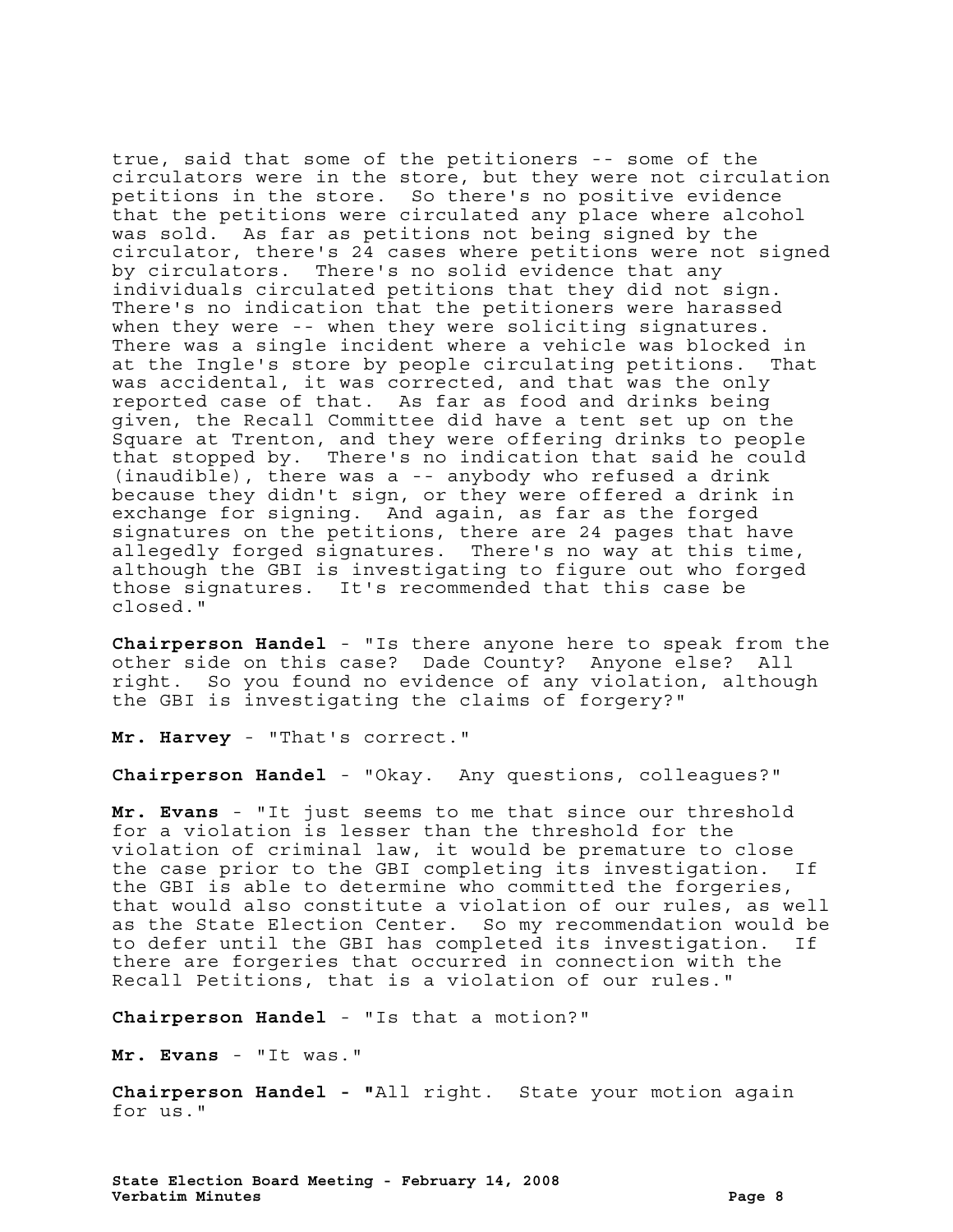true, said that some of the petitioners -- some of the circulators were in the store, but they were not circulation petitions in the store. So there's no positive evidence that the petitions were circulated any place where alcohol was sold. As far as petitions not being signed by the circulator, there's 24 cases where petitions were not signed by circulators. There's no solid evidence that any individuals circulated petitions that they did not sign. There's no indication that the petitioners were harassed when they were -- when they were soliciting signatures. There was a single incident where a vehicle was blocked in at the Ingle's store by people circulating petitions. That was accidental, it was corrected, and that was the only reported case of that. As far as food and drinks being given, the Recall Committee did have a tent set up on the Square at Trenton, and they were offering drinks to people that stopped by. There's no indication that said he could (inaudible), there was a -- anybody who refused a drink because they didn't sign, or they were offered a drink in exchange for signing. And again, as far as the forged signatures on the petitions, there are 24 pages that have allegedly forged signatures. There's no way at this time, although the GBI is investigating to figure out who forged those signatures. It's recommended that this case be closed."

**Chairperson Handel** - "Is there anyone here to speak from the other side on this case? Dade County? Anyone else? All right. So you found no evidence of any violation, although the GBI is investigating the claims of forgery?"

**Mr. Harvey** - "That's correct."

**Chairperson Handel** - "Okay. Any questions, colleagues?"

**Mr. Evans** - "It just seems to me that since our threshold for a violation is lesser than the threshold for the violation of criminal law, it would be premature to close the case prior to the GBI completing its investigation. If the GBI is able to determine who committed the forgeries, that would also constitute a violation of our rules, as well as the State Election Center. So my recommendation would be to defer until the GBI has completed its investigation. If there are forgeries that occurred in connection with the Recall Petitions, that is a violation of our rules."

**Chairperson Handel** - "Is that a motion?"

**Mr. Evans** - "It was."

**Chairperson Handel - "**All right. State your motion again for us."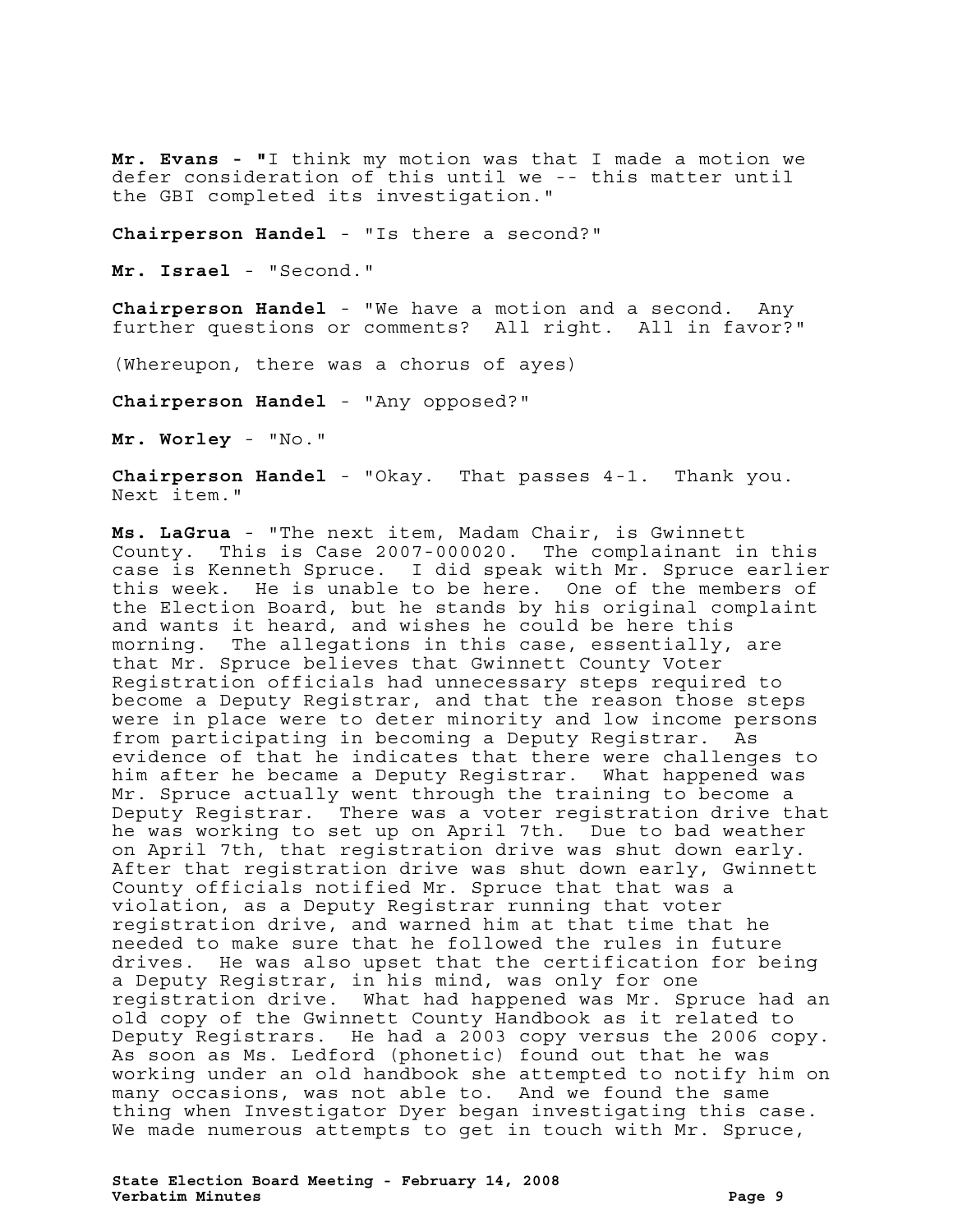**Mr. Evans - "**I think my motion was that I made a motion we defer consideration of this until we -- this matter until the GBI completed its investigation."

**Chairperson Handel** - "Is there a second?"

**Mr. Israel** - "Second."

**Chairperson Handel** - "We have a motion and a second. Any further questions or comments? All right. All in favor?"

(Whereupon, there was a chorus of ayes)

**Chairperson Handel** - "Any opposed?"

**Mr. Worley** - "No."

**Chairperson Handel** - "Okay. That passes 4-1. Thank you. Next item."

**Ms. LaGrua** - "The next item, Madam Chair, is Gwinnett County. This is Case 2007-000020. The complainant in this case is Kenneth Spruce. I did speak with Mr. Spruce earlier this week. He is unable to be here. One of the members of the Election Board, but he stands by his original complaint and wants it heard, and wishes he could be here this morning. The allegations in this case, essentially, are that Mr. Spruce believes that Gwinnett County Voter Registration officials had unnecessary steps required to become a Deputy Registrar, and that the reason those steps were in place were to deter minority and low income persons from participating in becoming a Deputy Registrar. As evidence of that he indicates that there were challenges to him after he became a Deputy Registrar. What happened was Mr. Spruce actually went through the training to become a Deputy Registrar. There was a voter registration drive that he was working to set up on April 7th. Due to bad weather on April 7th, that registration drive was shut down early. After that registration drive was shut down early, Gwinnett County officials notified Mr. Spruce that that was a violation, as a Deputy Registrar running that voter registration drive, and warned him at that time that he needed to make sure that he followed the rules in future drives. He was also upset that the certification for being a Deputy Registrar, in his mind, was only for one registration drive. What had happened was Mr. Spruce had an old copy of the Gwinnett County Handbook as it related to Deputy Registrars. He had a 2003 copy versus the 2006 copy. As soon as Ms. Ledford (phonetic) found out that he was working under an old handbook she attempted to notify him on many occasions, was not able to. And we found the same thing when Investigator Dyer began investigating this case. We made numerous attempts to get in touch with Mr. Spruce,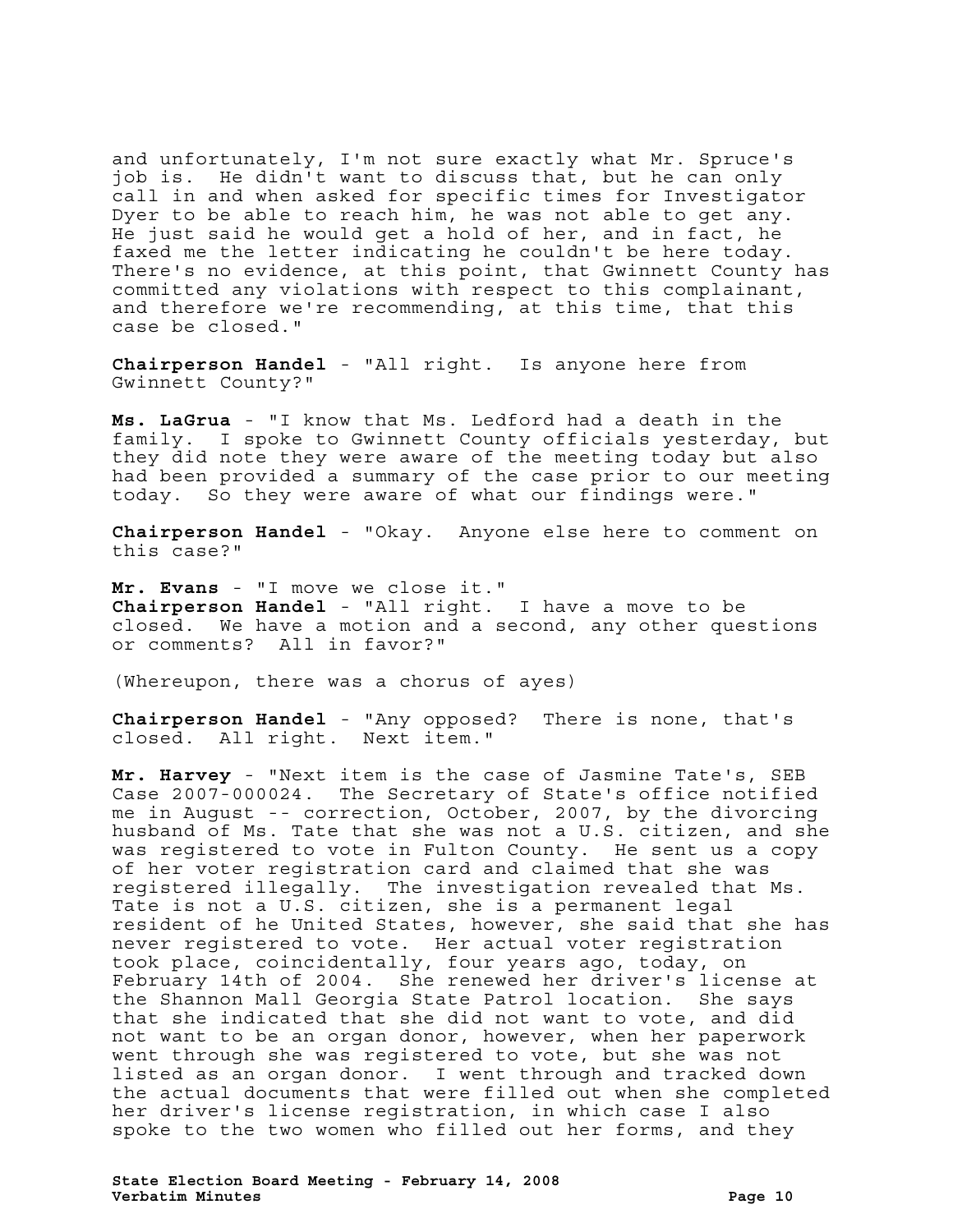and unfortunately, I'm not sure exactly what Mr. Spruce's job is. He didn't want to discuss that, but he can only call in and when asked for specific times for Investigator Dyer to be able to reach him, he was not able to get any. He just said he would get a hold of her, and in fact, he faxed me the letter indicating he couldn't be here today. There's no evidence, at this point, that Gwinnett County has committed any violations with respect to this complainant, and therefore we're recommending, at this time, that this case be closed."

**Chairperson Handel** - "All right. Is anyone here from Gwinnett County?"

**Ms. LaGrua** - "I know that Ms. Ledford had a death in the family. I spoke to Gwinnett County officials yesterday, but they did note they were aware of the meeting today but also had been provided a summary of the case prior to our meeting today. So they were aware of what our findings were."

**Chairperson Handel** - "Okay. Anyone else here to comment on this case?"

**Mr. Evans** - "I move we close it." **Chairperson Handel** - "All right. I have a move to be closed. We have a motion and a second, any other questions or comments? All in favor?"

(Whereupon, there was a chorus of ayes)

**Chairperson Handel** - "Any opposed? There is none, that's closed. All right. Next item."

**Mr. Harvey** - "Next item is the case of Jasmine Tate's, SEB Case 2007-000024. The Secretary of State's office notified me in August -- correction, October, 2007, by the divorcing husband of Ms. Tate that she was not a U.S. citizen, and she was registered to vote in Fulton County. He sent us a copy of her voter registration card and claimed that she was registered illegally. The investigation revealed that Ms. Tate is not a U.S. citizen, she is a permanent legal resident of he United States, however, she said that she has never registered to vote. Her actual voter registration took place, coincidentally, four years ago, today, on February 14th of 2004. She renewed her driver's license at the Shannon Mall Georgia State Patrol location. She says that she indicated that she did not want to vote, and did not want to be an organ donor, however, when her paperwork went through she was registered to vote, but she was not listed as an organ donor. I went through and tracked down the actual documents that were filled out when she completed her driver's license registration, in which case I also spoke to the two women who filled out her forms, and they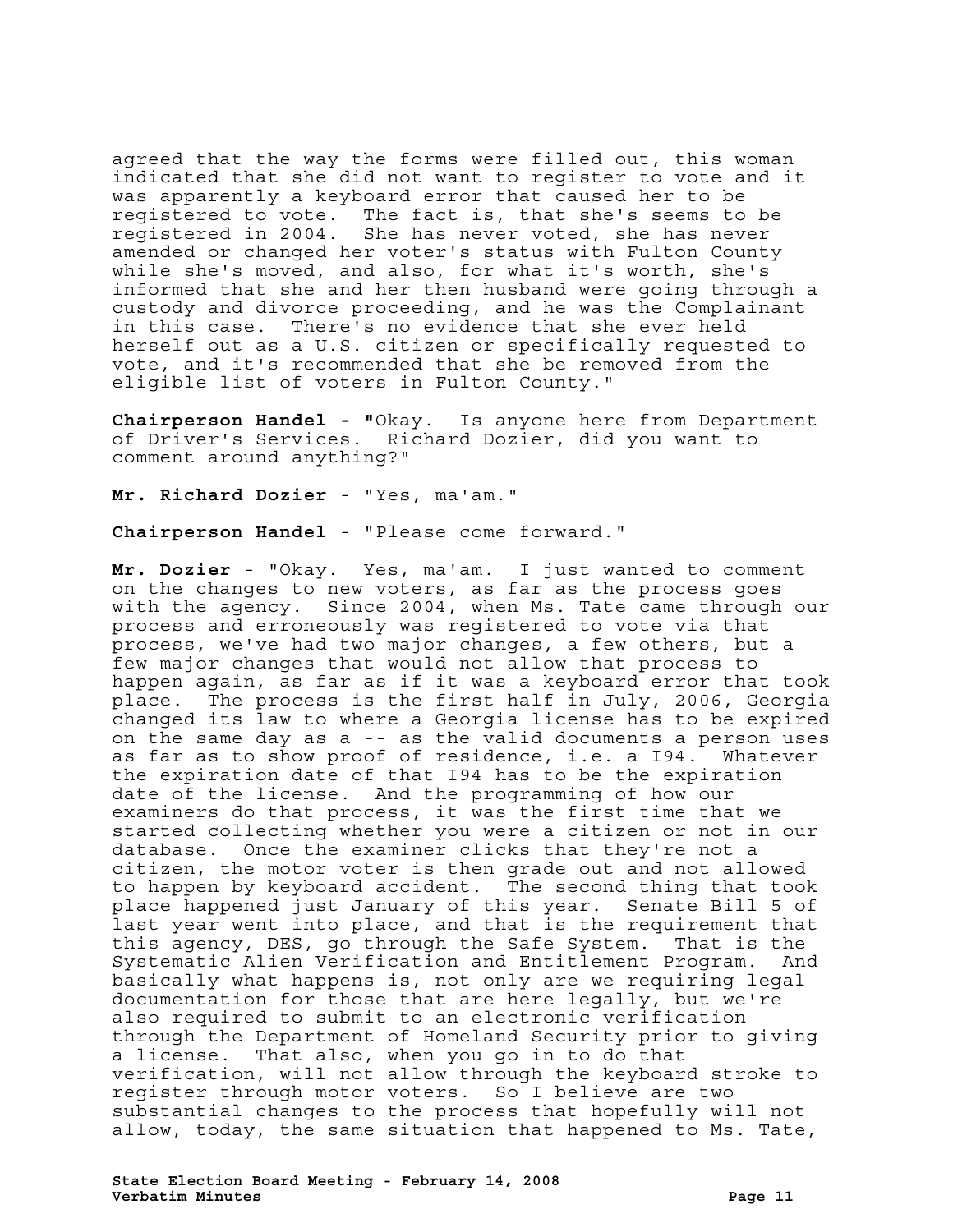agreed that the way the forms were filled out, this woman indicated that she did not want to register to vote and it was apparently a keyboard error that caused her to be registered to vote. The fact is, that she's seems to be registered in 2004. She has never voted, she has never amended or changed her voter's status with Fulton County while she's moved, and also, for what it's worth, she's informed that she and her then husband were going through a custody and divorce proceeding, and he was the Complainant in this case. There's no evidence that she ever held herself out as a U.S. citizen or specifically requested to vote, and it's recommended that she be removed from the eligible list of voters in Fulton County."

**Chairperson Handel - "**Okay. Is anyone here from Department of Driver's Services. Richard Dozier, did you want to comment around anything?"

**Mr. Richard Dozier** - "Yes, ma'am."

**Chairperson Handel** - "Please come forward."

**Mr. Dozier** - "Okay. Yes, ma'am. I just wanted to comment on the changes to new voters, as far as the process goes with the agency. Since 2004, when Ms. Tate came through our process and erroneously was registered to vote via that process, we've had two major changes, a few others, but a few major changes that would not allow that process to happen again, as far as if it was a keyboard error that took place. The process is the first half in July, 2006, Georgia changed its law to where a Georgia license has to be expired on the same day as a -- as the valid documents a person uses as far as to show proof of residence, i.e. a I94. Whatever the expiration date of that I94 has to be the expiration date of the license. And the programming of how our examiners do that process, it was the first time that we started collecting whether you were a citizen or not in our database. Once the examiner clicks that they're not a citizen, the motor voter is then grade out and not allowed to happen by keyboard accident. The second thing that took place happened just January of this year. Senate Bill 5 of last year went into place, and that is the requirement that this agency, DES, go through the Safe System. That is the Systematic Alien Verification and Entitlement Program. And basically what happens is, not only are we requiring legal documentation for those that are here legally, but we're also required to submit to an electronic verification through the Department of Homeland Security prior to giving a license. That also, when you go in to do that verification, will not allow through the keyboard stroke to register through motor voters. So I believe are two substantial changes to the process that hopefully will not allow, today, the same situation that happened to Ms. Tate,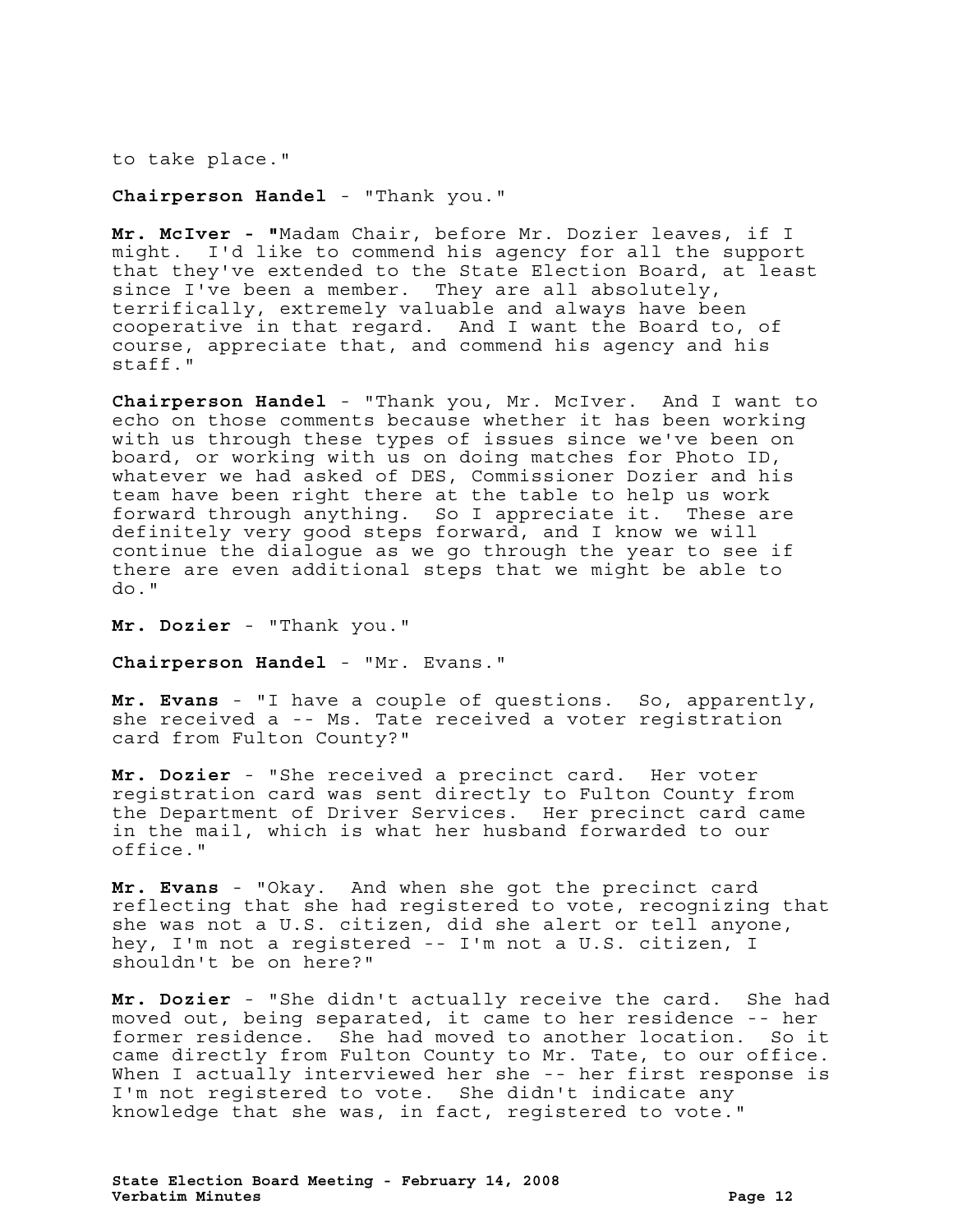to take place."

## **Chairperson Handel** - "Thank you."

**Mr. McIver - "**Madam Chair, before Mr. Dozier leaves, if I might. I'd like to commend his agency for all the support that they've extended to the State Election Board, at least since I've been a member. They are all absolutely, terrifically, extremely valuable and always have been cooperative in that regard. And I want the Board to, of course, appreciate that, and commend his agency and his staff."

**Chairperson Handel** - "Thank you, Mr. McIver. And I want to echo on those comments because whether it has been working with us through these types of issues since we've been on board, or working with us on doing matches for Photo ID, whatever we had asked of DES, Commissioner Dozier and his team have been right there at the table to help us work forward through anything. So I appreciate it. These are definitely very good steps forward, and I know we will continue the dialogue as we go through the year to see if there are even additional steps that we might be able to do."

**Mr. Dozier** - "Thank you."

**Chairperson Handel** - "Mr. Evans."

**Mr. Evans** - "I have a couple of questions. So, apparently, she received a -- Ms. Tate received a voter registration card from Fulton County?"

**Mr. Dozier** - "She received a precinct card. Her voter registration card was sent directly to Fulton County from the Department of Driver Services. Her precinct card came in the mail, which is what her husband forwarded to our office."

**Mr. Evans** - "Okay. And when she got the precinct card reflecting that she had registered to vote, recognizing that she was not a U.S. citizen, did she alert or tell anyone, hey, I'm not a registered -- I'm not a U.S. citizen, I shouldn't be on here?"

**Mr. Dozier** - "She didn't actually receive the card. She had moved out, being separated, it came to her residence -- her former residence. She had moved to another location. So it came directly from Fulton County to Mr. Tate, to our office. When I actually interviewed her she -- her first response is I'm not registered to vote. She didn't indicate any knowledge that she was, in fact, registered to vote."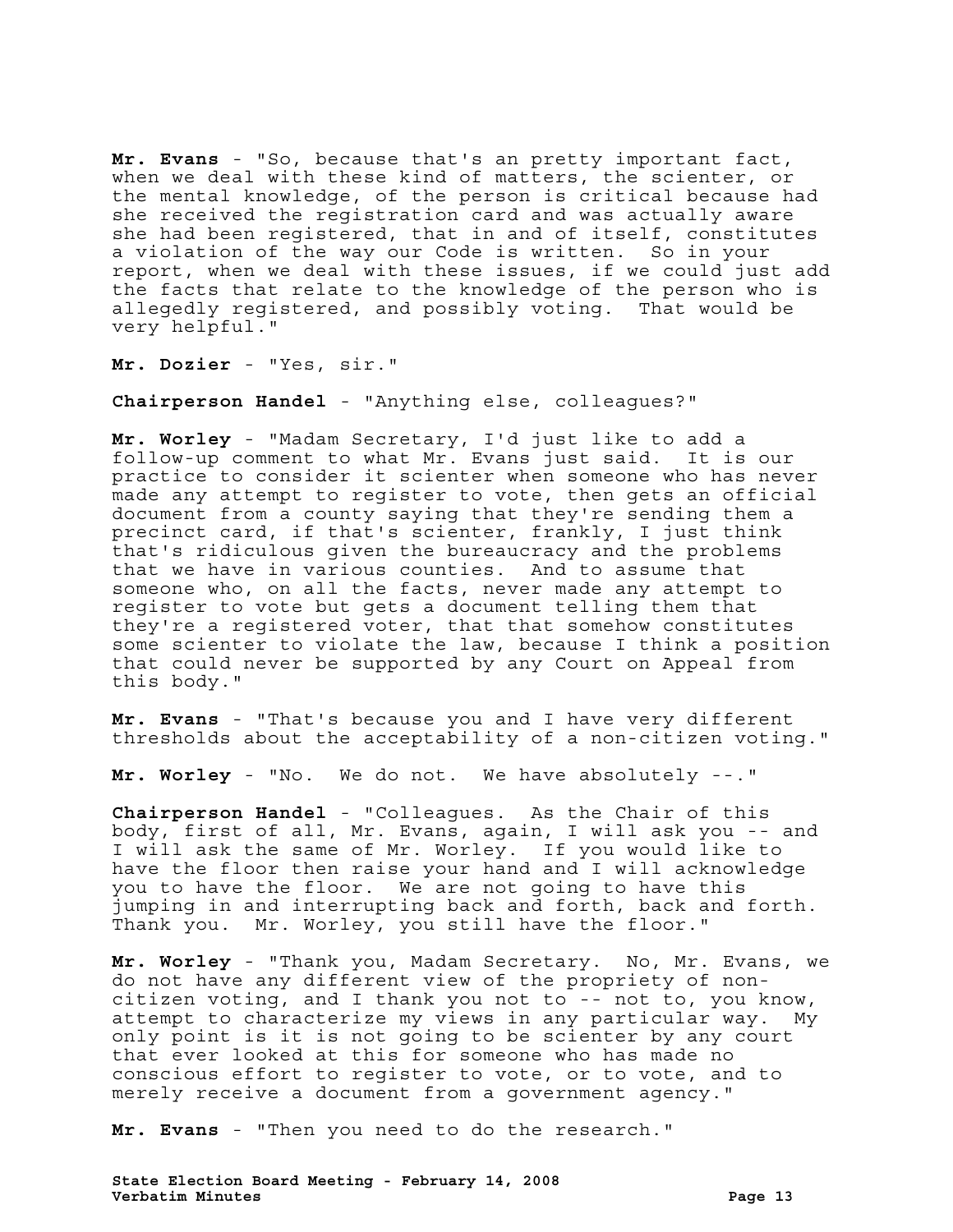**Mr. Evans** - "So, because that's an pretty important fact, when we deal with these kind of matters, the scienter, or the mental knowledge, of the person is critical because had she received the registration card and was actually aware she had been registered, that in and of itself, constitutes a violation of the way our Code is written. So in your report, when we deal with these issues, if we could just add the facts that relate to the knowledge of the person who is allegedly registered, and possibly voting. That would be very helpful."

**Mr. Dozier** - "Yes, sir."

**Chairperson Handel** - "Anything else, colleagues?"

**Mr. Worley** - "Madam Secretary, I'd just like to add a follow-up comment to what Mr. Evans just said. It is our practice to consider it scienter when someone who has never made any attempt to register to vote, then gets an official document from a county saying that they're sending them a precinct card, if that's scienter, frankly, I just think that's ridiculous given the bureaucracy and the problems that we have in various counties. And to assume that someone who, on all the facts, never made any attempt to register to vote but gets a document telling them that they're a registered voter, that that somehow constitutes some scienter to violate the law, because I think a position that could never be supported by any Court on Appeal from this body."

**Mr. Evans** - "That's because you and I have very different thresholds about the acceptability of a non-citizen voting."

**Mr. Worley** - "No. We do not. We have absolutely --."

**Chairperson Handel** - "Colleagues. As the Chair of this body, first of all, Mr. Evans, again, I will ask you -- and I will ask the same of Mr. Worley. If you would like to have the floor then raise your hand and I will acknowledge you to have the floor. We are not going to have this jumping in and interrupting back and forth, back and forth. Thank you. Mr. Worley, you still have the floor."

**Mr. Worley** - "Thank you, Madam Secretary. No, Mr. Evans, we do not have any different view of the propriety of noncitizen voting, and I thank you not to -- not to, you know, attempt to characterize my views in any particular way. My only point is it is not going to be scienter by any court that ever looked at this for someone who has made no conscious effort to register to vote, or to vote, and to merely receive a document from a government agency."

**Mr. Evans** - "Then you need to do the research."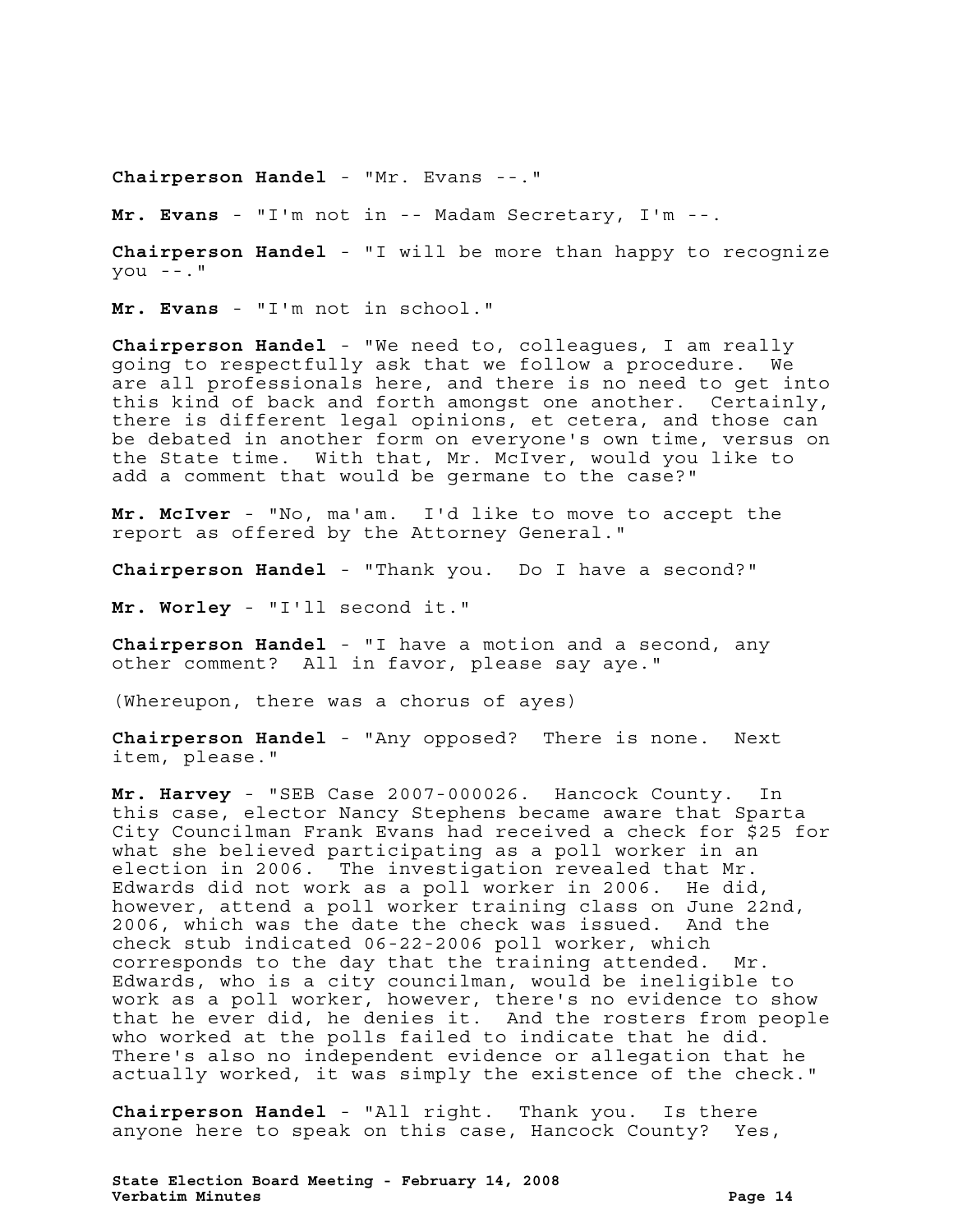**Chairperson Handel** - "Mr. Evans --."

**Mr. Evans** - "I'm not in -- Madam Secretary, I'm --.

**Chairperson Handel** - "I will be more than happy to recognize  $you --.$ "

**Mr. Evans** - "I'm not in school."

**Chairperson Handel** - "We need to, colleagues, I am really going to respectfully ask that we follow a procedure. We are all professionals here, and there is no need to get into this kind of back and forth amongst one another. Certainly, there is different legal opinions, et cetera, and those can be debated in another form on everyone's own time, versus on the State time. With that, Mr. McIver, would you like to add a comment that would be germane to the case?"

**Mr. McIver** - "No, ma'am. I'd like to move to accept the report as offered by the Attorney General."

**Chairperson Handel** - "Thank you. Do I have a second?"

**Mr. Worley** - "I'll second it."

**Chairperson Handel** - "I have a motion and a second, any other comment? All in favor, please say aye."

(Whereupon, there was a chorus of ayes)

**Chairperson Handel** - "Any opposed? There is none. Next item, please."

**Mr. Harvey** - "SEB Case 2007-000026. Hancock County. In this case, elector Nancy Stephens became aware that Sparta City Councilman Frank Evans had received a check for \$25 for what she believed participating as a poll worker in an election in 2006. The investigation revealed that Mr. Edwards did not work as a poll worker in 2006. He did, however, attend a poll worker training class on June 22nd, 2006, which was the date the check was issued. And the check stub indicated 06-22-2006 poll worker, which corresponds to the day that the training attended. Mr. Edwards, who is a city councilman, would be ineligible to work as a poll worker, however, there's no evidence to show that he ever did, he denies it. And the rosters from people who worked at the polls failed to indicate that he did. There's also no independent evidence or allegation that he actually worked, it was simply the existence of the check."

**Chairperson Handel** - "All right. Thank you. Is there anyone here to speak on this case, Hancock County? Yes,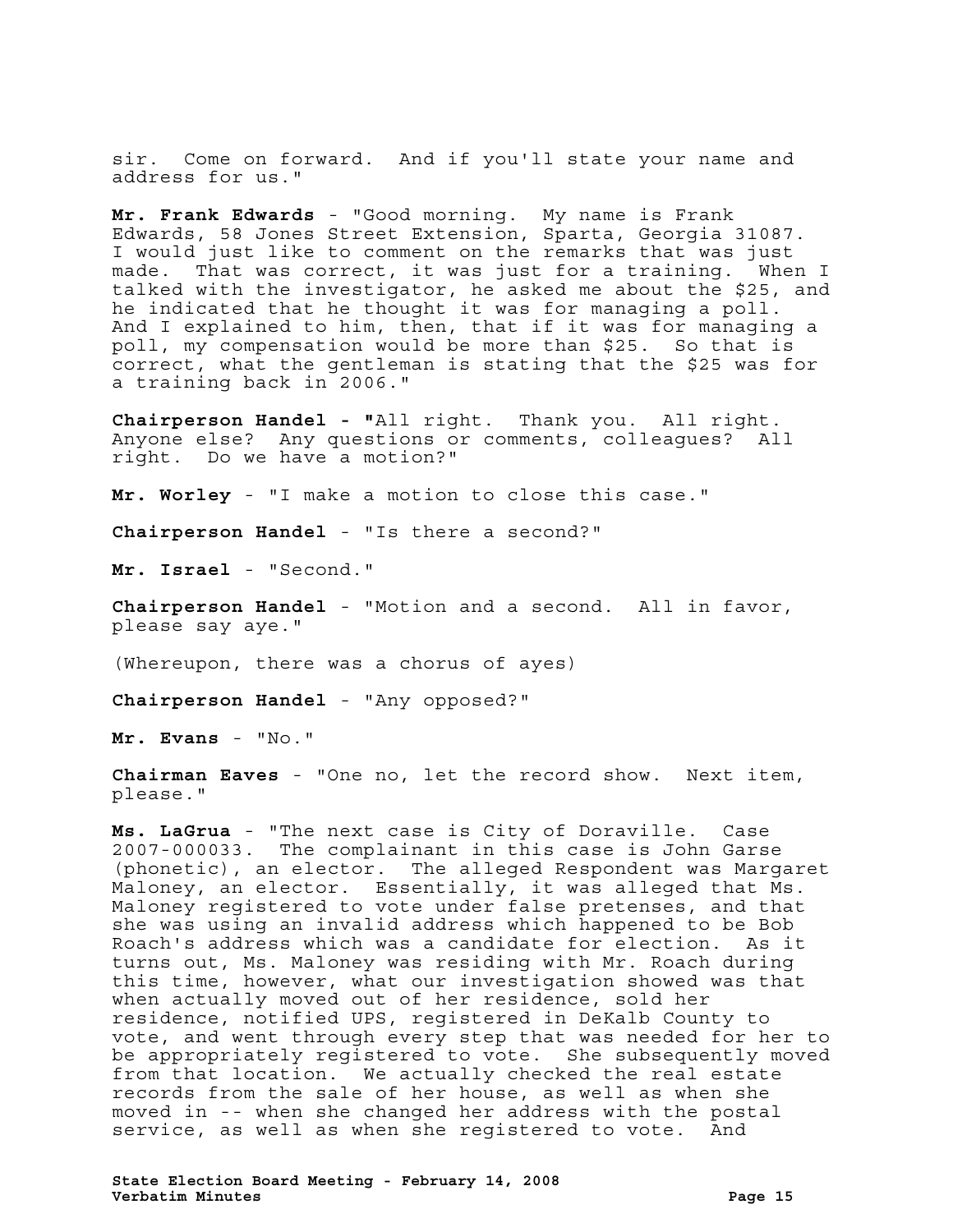sir. Come on forward. And if you'll state your name and address for us."

**Mr. Frank Edwards** - "Good morning. My name is Frank Edwards, 58 Jones Street Extension, Sparta, Georgia 31087. I would just like to comment on the remarks that was just made. That was correct, it was just for a training. When I talked with the investigator, he asked me about the \$25, and he indicated that he thought it was for managing a poll. And I explained to him, then, that if it was for managing a poll, my compensation would be more than \$25. So that is correct, what the gentleman is stating that the \$25 was for a training back in 2006."

**Chairperson Handel - "**All right. Thank you. All right. Anyone else? Any questions or comments, colleagues? All right. Do we have a motion?"

**Mr. Worley** - "I make a motion to close this case."

**Chairperson Handel** - "Is there a second?"

**Mr. Israel** - "Second."

**Chairperson Handel** - "Motion and a second. All in favor, please say aye."

(Whereupon, there was a chorus of ayes)

**Chairperson Handel** - "Any opposed?"

**Mr. Evans** - "No."

**Chairman Eaves** - "One no, let the record show. Next item, please."

**Ms. LaGrua** - "The next case is City of Doraville. Case 2007-000033. The complainant in this case is John Garse (phonetic), an elector. The alleged Respondent was Margaret Maloney, an elector. Essentially, it was alleged that Ms. Maloney registered to vote under false pretenses, and that she was using an invalid address which happened to be Bob Roach's address which was a candidate for election. As it turns out, Ms. Maloney was residing with Mr. Roach during this time, however, what our investigation showed was that when actually moved out of her residence, sold her residence, notified UPS, registered in DeKalb County to vote, and went through every step that was needed for her to be appropriately registered to vote. She subsequently moved from that location. We actually checked the real estate records from the sale of her house, as well as when she moved in -- when she changed her address with the postal service, as well as when she registered to vote. And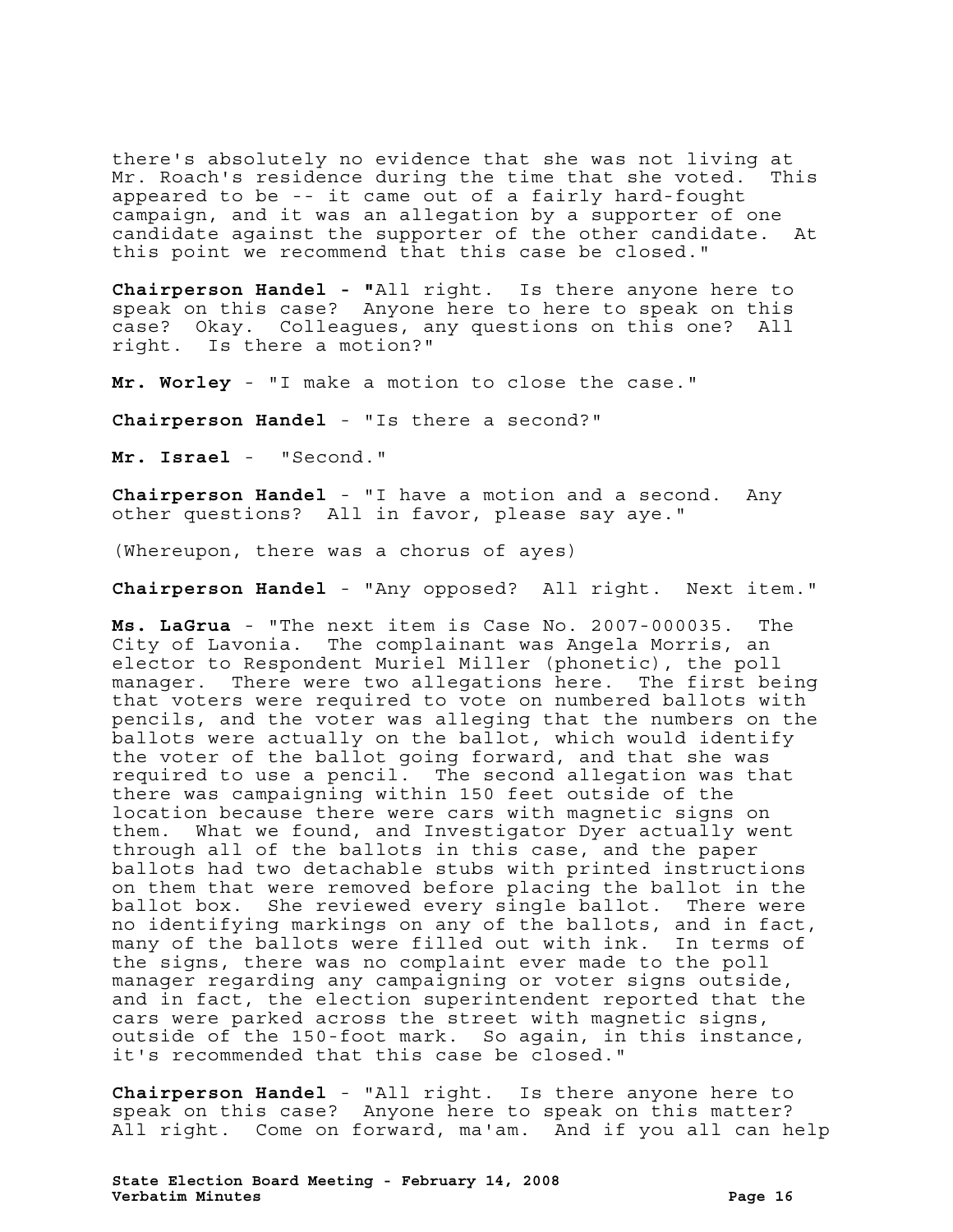there's absolutely no evidence that she was not living at Mr. Roach's residence during the time that she voted. This appeared to be -- it came out of a fairly hard-fought campaign, and it was an allegation by a supporter of one candidate against the supporter of the other candidate. At this point we recommend that this case be closed."

**Chairperson Handel - "**All right. Is there anyone here to speak on this case? Anyone here to here to speak on this case? Okay. Colleagues, any questions on this one? All right. Is there a motion?"

**Mr. Worley** - "I make a motion to close the case."

**Chairperson Handel** - "Is there a second?"

**Mr. Israel** - "Second."

**Chairperson Handel** - "I have a motion and a second. Any other questions? All in favor, please say aye."

(Whereupon, there was a chorus of ayes)

**Chairperson Handel** - "Any opposed? All right. Next item."

**Ms. LaGrua** - "The next item is Case No. 2007-000035. The City of Lavonia. The complainant was Angela Morris, an elector to Respondent Muriel Miller (phonetic), the poll manager. There were two allegations here. The first being that voters were required to vote on numbered ballots with pencils, and the voter was alleging that the numbers on the ballots were actually on the ballot, which would identify the voter of the ballot going forward, and that she was required to use a pencil. The second allegation was that there was campaigning within 150 feet outside of the location because there were cars with magnetic signs on them. What we found, and Investigator Dyer actually went through all of the ballots in this case, and the paper ballots had two detachable stubs with printed instructions on them that were removed before placing the ballot in the ballot box. She reviewed every single ballot. There were no identifying markings on any of the ballots, and in fact, many of the ballots were filled out with ink. In terms of the signs, there was no complaint ever made to the poll manager regarding any campaigning or voter signs outside, and in fact, the election superintendent reported that the cars were parked across the street with magnetic signs, outside of the 150-foot mark. So again, in this instance, it's recommended that this case be closed."

**Chairperson Handel** - "All right. Is there anyone here to speak on this case? Anyone here to speak on this matter? All right. Come on forward, ma'am. And if you all can help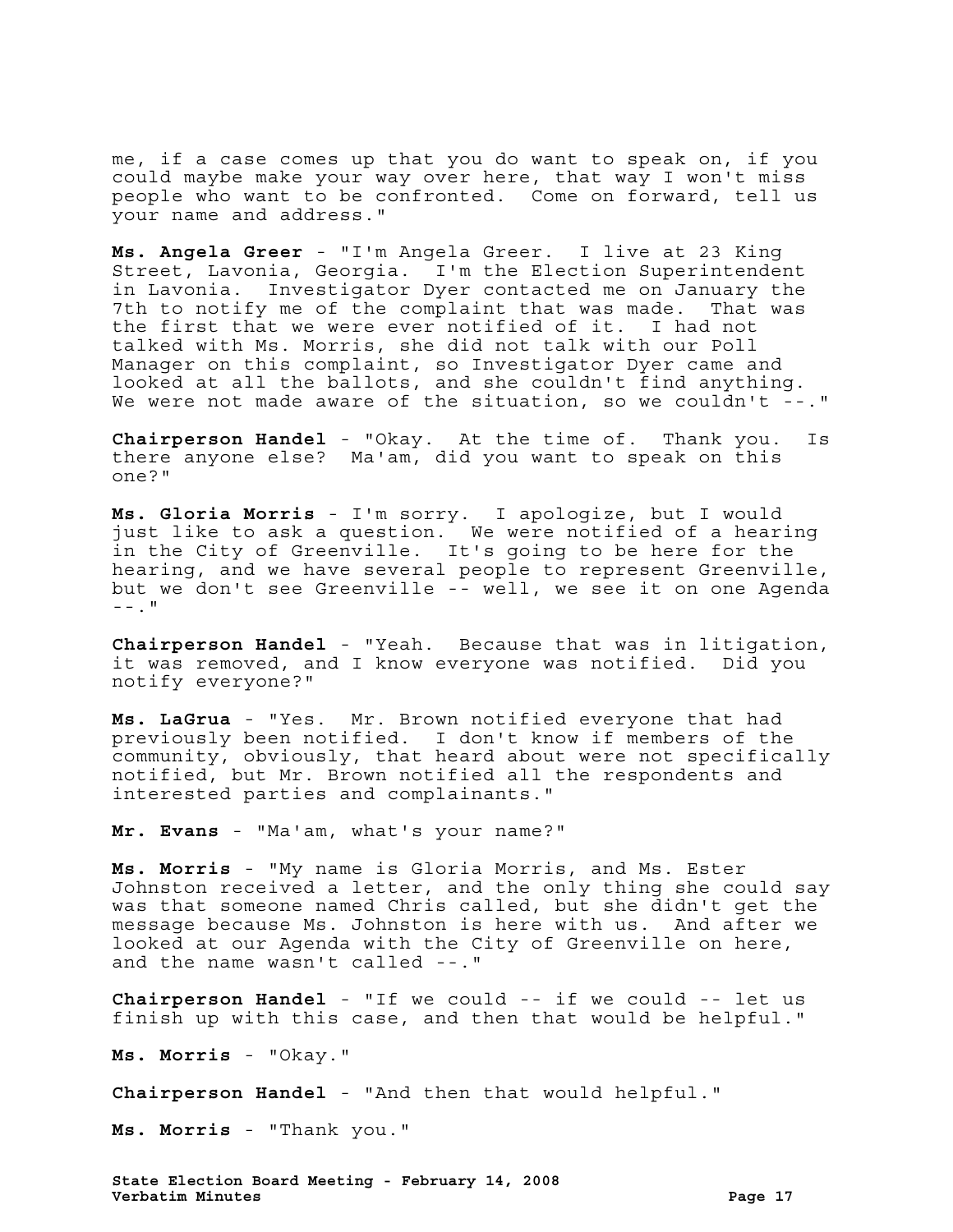me, if a case comes up that you do want to speak on, if you could maybe make your way over here, that way I won't miss people who want to be confronted. Come on forward, tell us your name and address."

**Ms. Angela Greer** - "I'm Angela Greer. I live at 23 King Street, Lavonia, Georgia. I'm the Election Superintendent in Lavonia. Investigator Dyer contacted me on January the 7th to notify me of the complaint that was made. That was the first that we were ever notified of it. I had not talked with Ms. Morris, she did not talk with our Poll Manager on this complaint, so Investigator Dyer came and looked at all the ballots, and she couldn't find anything. We were not made aware of the situation, so we couldn't --."

**Chairperson Handel** - "Okay. At the time of. Thank you. Is there anyone else? Ma'am, did you want to speak on this one?"

**Ms. Gloria Morris** - I'm sorry. I apologize, but I would just like to ask a question. We were notified of a hearing in the City of Greenville. It's going to be here for the hearing, and we have several people to represent Greenville, but we don't see Greenville -- well, we see it on one Agenda  $---$ .  $\blacksquare$ 

**Chairperson Handel** - "Yeah. Because that was in litigation, it was removed, and I know everyone was notified. Did you notify everyone?"

**Ms. LaGrua** - "Yes. Mr. Brown notified everyone that had previously been notified. I don't know if members of the community, obviously, that heard about were not specifically notified, but Mr. Brown notified all the respondents and interested parties and complainants."

**Mr. Evans** - "Ma'am, what's your name?"

**Ms. Morris** - "My name is Gloria Morris, and Ms. Ester Johnston received a letter, and the only thing she could say was that someone named Chris called, but she didn't get the message because Ms. Johnston is here with us. And after we looked at our Agenda with the City of Greenville on here, and the name wasn't called --."

**Chairperson Handel** - "If we could -- if we could -- let us finish up with this case, and then that would be helpful."

**Ms. Morris** - "Okay."

**Chairperson Handel** - "And then that would helpful."

**Ms. Morris** - "Thank you."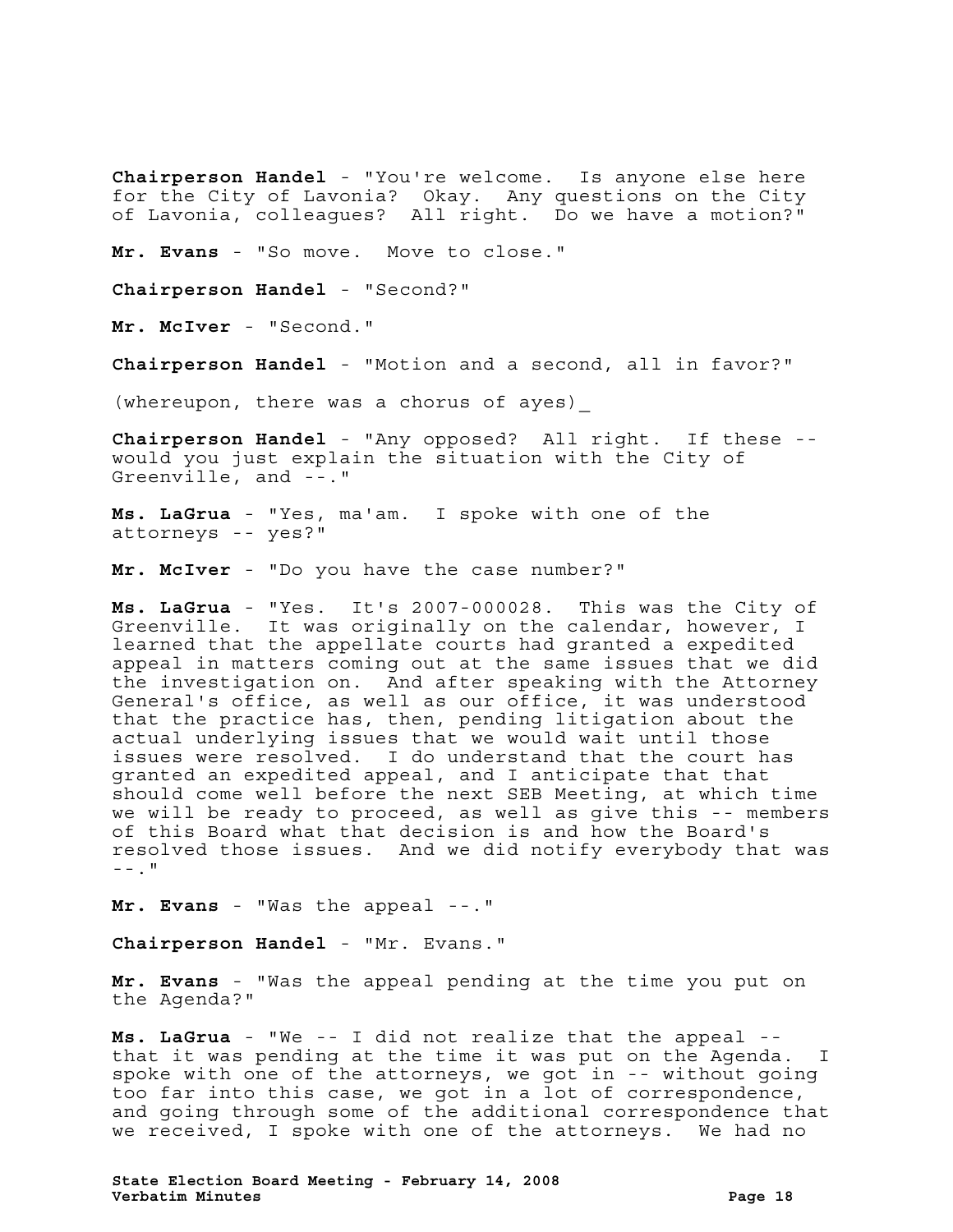**Chairperson Handel** - "You're welcome. Is anyone else here for the City of Lavonia? Okay. Any questions on the City of Lavonia, colleagues? All right. Do we have a motion?"

**Mr. Evans** - "So move. Move to close."

**Chairperson Handel** - "Second?"

**Mr. McIver** - "Second."

**Chairperson Handel** - "Motion and a second, all in favor?"

(whereupon, there was a chorus of ayes)\_

**Chairperson Handel** - "Any opposed? All right. If these - would you just explain the situation with the City of Greenville, and --."

**Ms. LaGrua** - "Yes, ma'am. I spoke with one of the attorneys -- yes?"

**Mr. McIver** - "Do you have the case number?"

**Ms. LaGrua** - "Yes. It's 2007-000028. This was the City of Greenville. It was originally on the calendar, however, I learned that the appellate courts had granted a expedited appeal in matters coming out at the same issues that we did the investigation on. And after speaking with the Attorney General's office, as well as our office, it was understood that the practice has, then, pending litigation about the actual underlying issues that we would wait until those issues were resolved. I do understand that the court has granted an expedited appeal, and I anticipate that that should come well before the next SEB Meeting, at which time we will be ready to proceed, as well as give this -- members of this Board what that decision is and how the Board's resolved those issues. And we did notify everybody that was  $-$ .  $\blacksquare$ 

**Mr. Evans** - "Was the appeal --."

**Chairperson Handel** - "Mr. Evans."

**Mr. Evans** - "Was the appeal pending at the time you put on the Agenda?"

**Ms. LaGrua** - "We -- I did not realize that the appeal - that it was pending at the time it was put on the Agenda. I spoke with one of the attorneys, we got in -- without going too far into this case, we got in a lot of correspondence, and going through some of the additional correspondence that we received, I spoke with one of the attorneys. We had no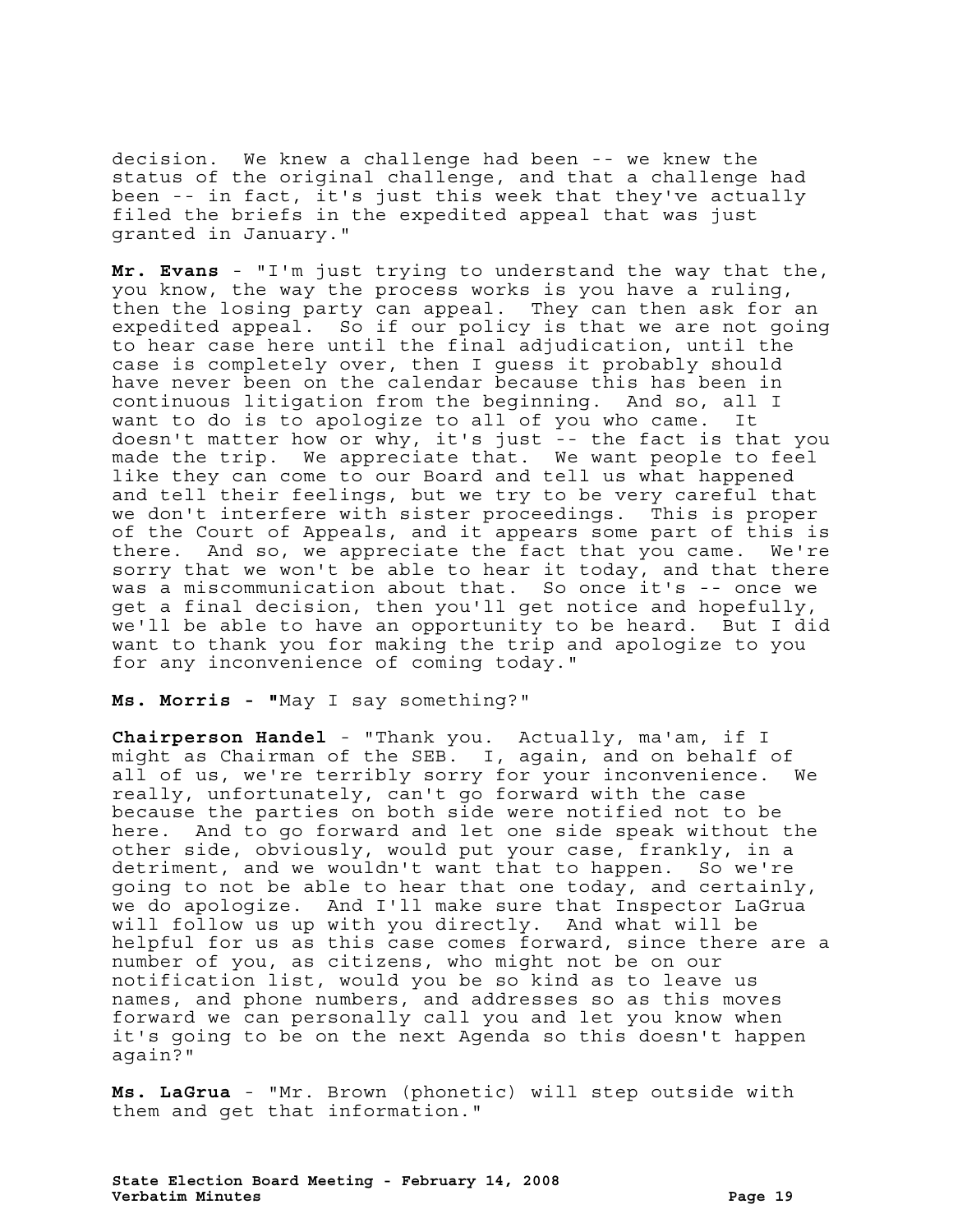decision. We knew a challenge had been -- we knew the status of the original challenge, and that a challenge had been -- in fact, it's just this week that they've actually filed the briefs in the expedited appeal that was just granted in January."

**Mr. Evans** - "I'm just trying to understand the way that the, you know, the way the process works is you have a ruling, then the losing party can appeal. They can then ask for an expedited appeal. So if our policy is that we are not going to hear case here until the final adjudication, until the case is completely over, then I guess it probably should have never been on the calendar because this has been in continuous litigation from the beginning. And so, all I want to do is to apologize to all of you who came. It doesn't matter how or why, it's just -- the fact is that you made the trip. We appreciate that. We want people to feel like they can come to our Board and tell us what happened and tell their feelings, but we try to be very careful that we don't interfere with sister proceedings. This is proper of the Court of Appeals, and it appears some part of this is there. And so, we appreciate the fact that you came. We're sorry that we won't be able to hear it today, and that there was a miscommunication about that. So once it's -- once we get a final decision, then you'll get notice and hopefully, we'll be able to have an opportunity to be heard. But I did want to thank you for making the trip and apologize to you for any inconvenience of coming today."

## **Ms. Morris - "**May I say something?"

**Chairperson Handel** - "Thank you. Actually, ma'am, if I might as Chairman of the SEB. I, again, and on behalf of all of us, we're terribly sorry for your inconvenience. We really, unfortunately, can't go forward with the case because the parties on both side were notified not to be here. And to go forward and let one side speak without the other side, obviously, would put your case, frankly, in a detriment, and we wouldn't want that to happen. So we're going to not be able to hear that one today, and certainly, we do apologize. And I'll make sure that Inspector LaGrua will follow us up with you directly. And what will be helpful for us as this case comes forward, since there are a number of you, as citizens, who might not be on our notification list, would you be so kind as to leave us names, and phone numbers, and addresses so as this moves forward we can personally call you and let you know when it's going to be on the next Agenda so this doesn't happen again?"

**Ms. LaGrua** - "Mr. Brown (phonetic) will step outside with them and get that information."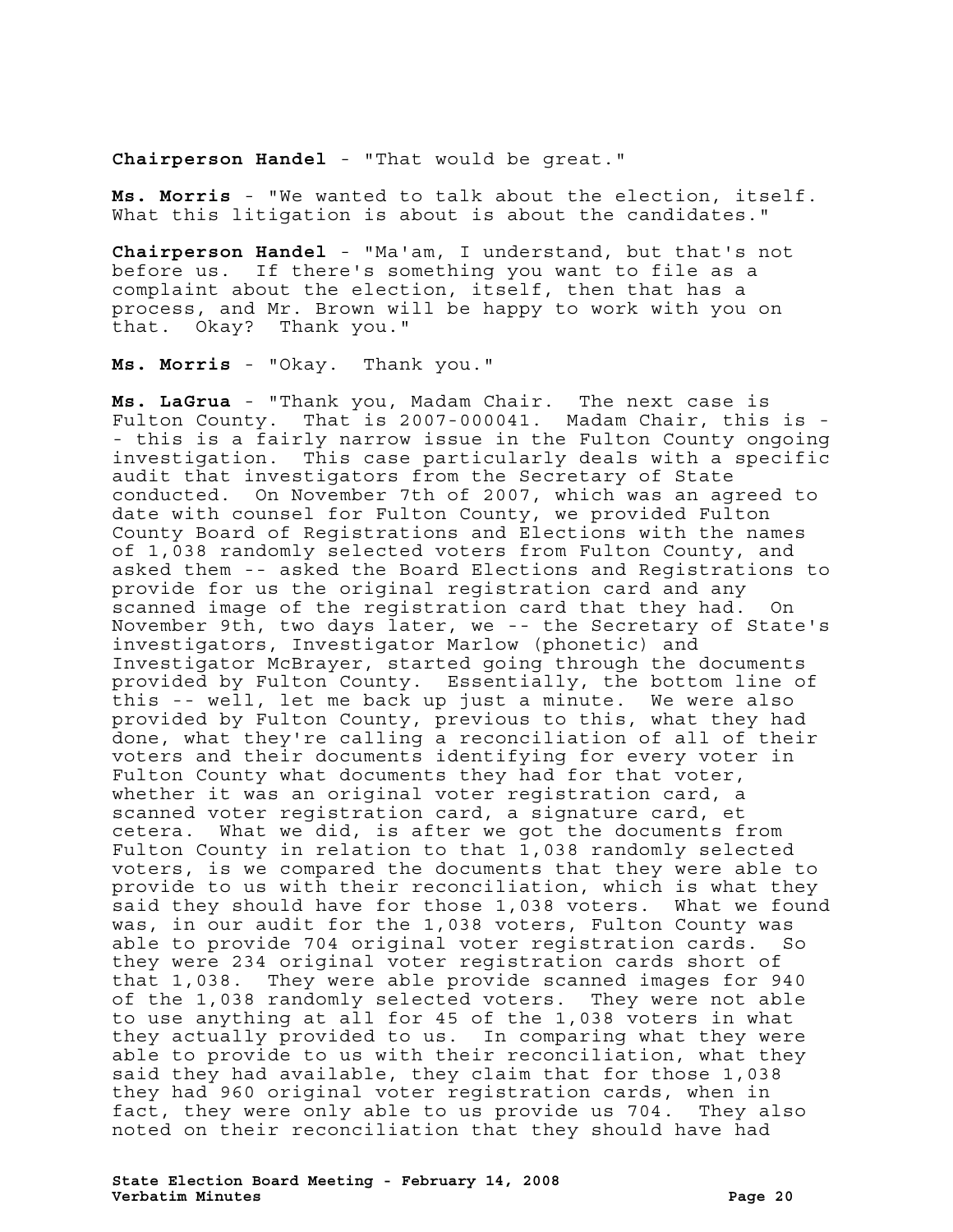**Chairperson Handel** - "That would be great."

**Ms. Morris** - "We wanted to talk about the election, itself. What this litigation is about is about the candidates."

**Chairperson Handel** - "Ma'am, I understand, but that's not before us. If there's something you want to file as a complaint about the election, itself, then that has a process, and Mr. Brown will be happy to work with you on that. Okay? Thank you."

**Ms. Morris** - "Okay.Thank you."

**Ms. LaGrua** - "Thank you, Madam Chair. The next case is Fulton County. That is 2007-000041. Madam Chair, this is - - this is a fairly narrow issue in the Fulton County ongoing investigation. This case particularly deals with a specific audit that investigators from the Secretary of State conducted. On November 7th of 2007, which was an agreed to date with counsel for Fulton County, we provided Fulton County Board of Registrations and Elections with the names of 1,038 randomly selected voters from Fulton County, and asked them -- asked the Board Elections and Registrations to provide for us the original registration card and any scanned image of the registration card that they had. On November 9th, two days later, we -- the Secretary of State's investigators, Investigator Marlow (phonetic) and Investigator McBrayer, started going through the documents provided by Fulton County. Essentially, the bottom line of this -- well, let me back up just a minute. We were also provided by Fulton County, previous to this, what they had done, what they're calling a reconciliation of all of their voters and their documents identifying for every voter in Fulton County what documents they had for that voter, whether it was an original voter registration card, a scanned voter registration card, a signature card, et cetera. What we did, is after we got the documents from Fulton County in relation to that 1,038 randomly selected voters, is we compared the documents that they were able to provide to us with their reconciliation, which is what they said they should have for those 1,038 voters. What we found was, in our audit for the 1,038 voters, Fulton County was able to provide 704 original voter registration cards. So they were 234 original voter registration cards short of that 1,038. They were able provide scanned images for 940 of the 1,038 randomly selected voters. They were not able to use anything at all for 45 of the 1,038 voters in what they actually provided to us. In comparing what they were able to provide to us with their reconciliation, what they said they had available, they claim that for those 1,038 they had 960 original voter registration cards, when in fact, they were only able to us provide us 704. They also noted on their reconciliation that they should have had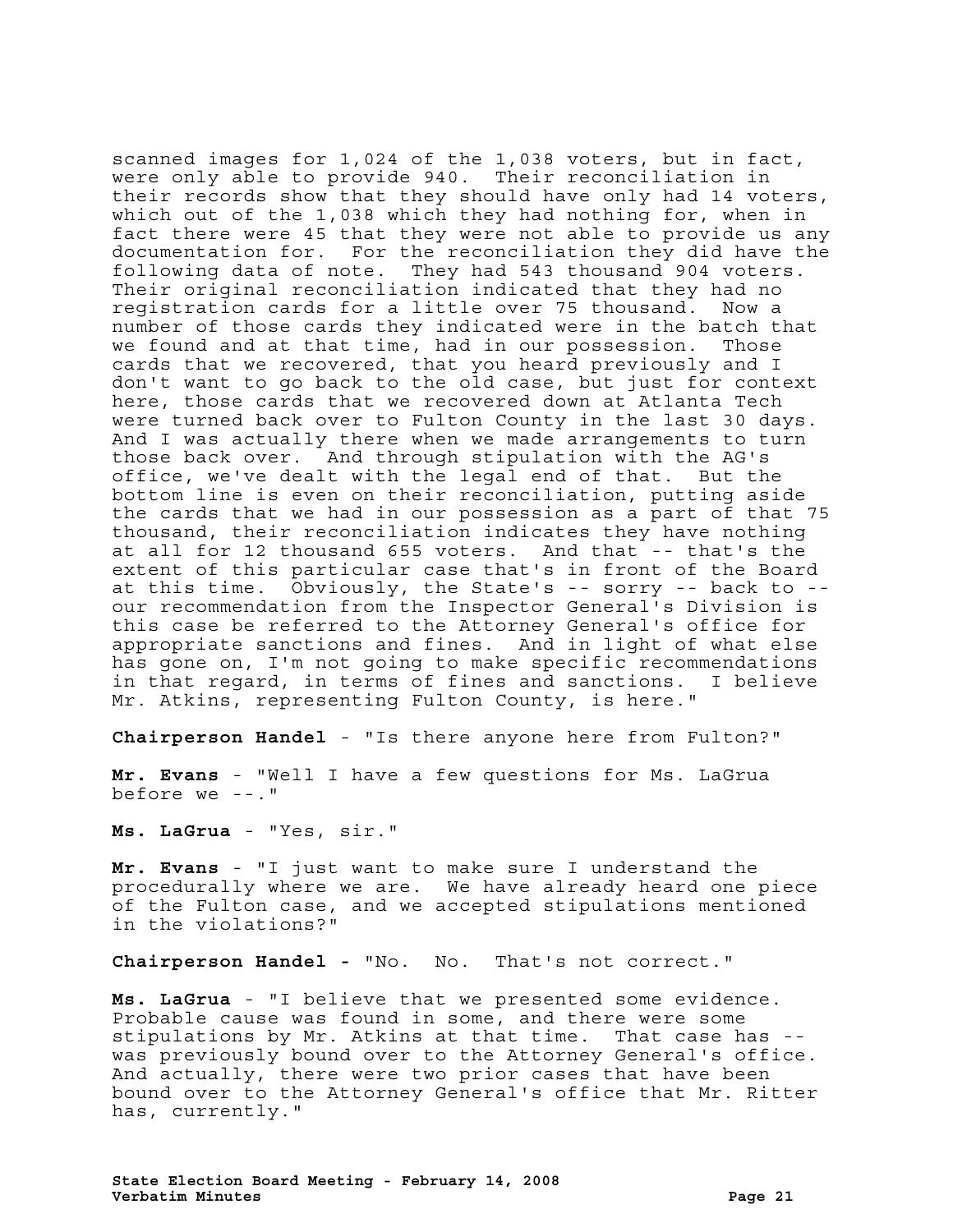scanned images for 1,024 of the 1,038 voters, but in fact, were only able to provide 940. Their reconciliation in their records show that they should have only had 14 voters, which out of the 1,038 which they had nothing for, when in fact there were 45 that they were not able to provide us any documentation for. For the reconciliation they did have the following data of note. They had 543 thousand 904 voters. Their original reconciliation indicated that they had no registration cards for a little over 75 thousand. Now a number of those cards they indicated were in the batch that we found and at that time, had in our possession. Those cards that we recovered, that you heard previously and I don't want to go back to the old case, but just for context here, those cards that we recovered down at Atlanta Tech were turned back over to Fulton County in the last 30 days. And I was actually there when we made arrangements to turn those back over. And through stipulation with the AG's office, we've dealt with the legal end of that. But the bottom line is even on their reconciliation, putting aside the cards that we had in our possession as a part of that 75 thousand, their reconciliation indicates they have nothing at all for 12 thousand 655 voters. And that -- that's the extent of this particular case that's in front of the Board at this time. Obviously, the State's -- sorry -- back to - our recommendation from the Inspector General's Division is this case be referred to the Attorney General's office for appropriate sanctions and fines. And in light of what else has gone on, I'm not going to make specific recommendations in that regard, in terms of fines and sanctions. I believe Mr. Atkins, representing Fulton County, is here."

**Chairperson Handel** - "Is there anyone here from Fulton?"

**Mr. Evans** - "Well I have a few questions for Ms. LaGrua before we --."

**Ms. LaGrua** - "Yes, sir."

**Mr. Evans** - "I just want to make sure I understand the procedurally where we are. We have already heard one piece of the Fulton case, and we accepted stipulations mentioned in the violations?"

**Chairperson Handel -** "No. No. That's not correct."

**Ms. LaGrua** - "I believe that we presented some evidence. Probable cause was found in some, and there were some stipulations by Mr. Atkins at that time. That case has - was previously bound over to the Attorney General's office. And actually, there were two prior cases that have been bound over to the Attorney General's office that Mr. Ritter has, currently."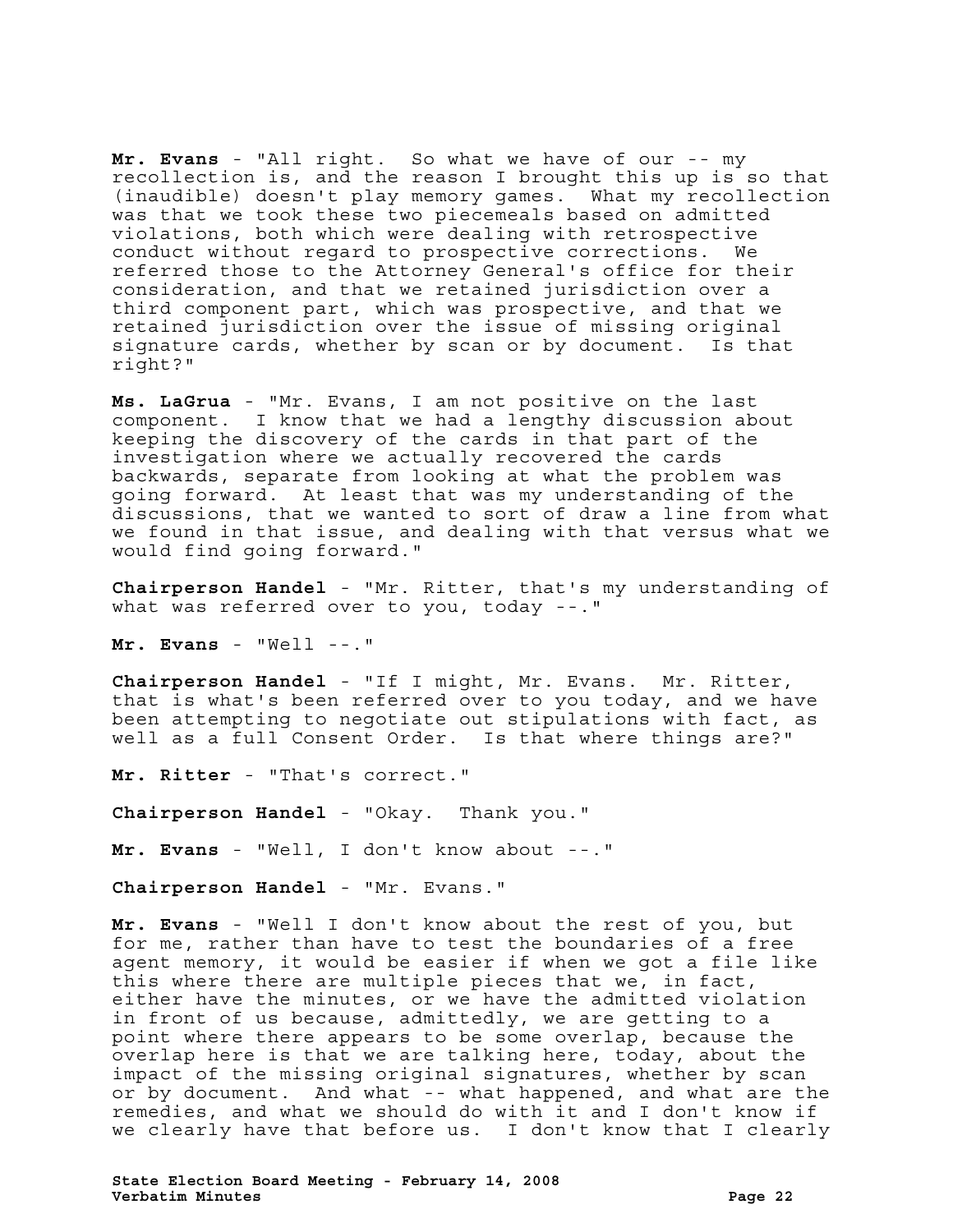**Mr. Evans** - "All right. So what we have of our -- my recollection is, and the reason I brought this up is so that (inaudible) doesn't play memory games. What my recollection was that we took these two piecemeals based on admitted violations, both which were dealing with retrospective conduct without regard to prospective corrections. We referred those to the Attorney General's office for their consideration, and that we retained jurisdiction over a third component part, which was prospective, and that we retained jurisdiction over the issue of missing original signature cards, whether by scan or by document. Is that right?"

**Ms. LaGrua** - "Mr. Evans, I am not positive on the last component. I know that we had a lengthy discussion about keeping the discovery of the cards in that part of the investigation where we actually recovered the cards backwards, separate from looking at what the problem was going forward. At least that was my understanding of the discussions, that we wanted to sort of draw a line from what we found in that issue, and dealing with that versus what we would find going forward."

**Chairperson Handel** - "Mr. Ritter, that's my understanding of what was referred over to you, today --."

**Mr. Evans** - "Well --."

**Chairperson Handel** - "If I might, Mr. Evans. Mr. Ritter, that is what's been referred over to you today, and we have been attempting to negotiate out stipulations with fact, as well as a full Consent Order. Is that where things are?"

**Mr. Ritter** - "That's correct."

**Chairperson Handel** - "Okay. Thank you."

**Mr. Evans** - "Well, I don't know about --."

**Chairperson Handel** - "Mr. Evans."

**Mr. Evans** - "Well I don't know about the rest of you, but for me, rather than have to test the boundaries of a free agent memory, it would be easier if when we got a file like this where there are multiple pieces that we, in fact, either have the minutes, or we have the admitted violation in front of us because, admittedly, we are getting to a point where there appears to be some overlap, because the overlap here is that we are talking here, today, about the impact of the missing original signatures, whether by scan or by document. And what -- what happened, and what are the remedies, and what we should do with it and I don't know if we clearly have that before us. I don't know that I clearly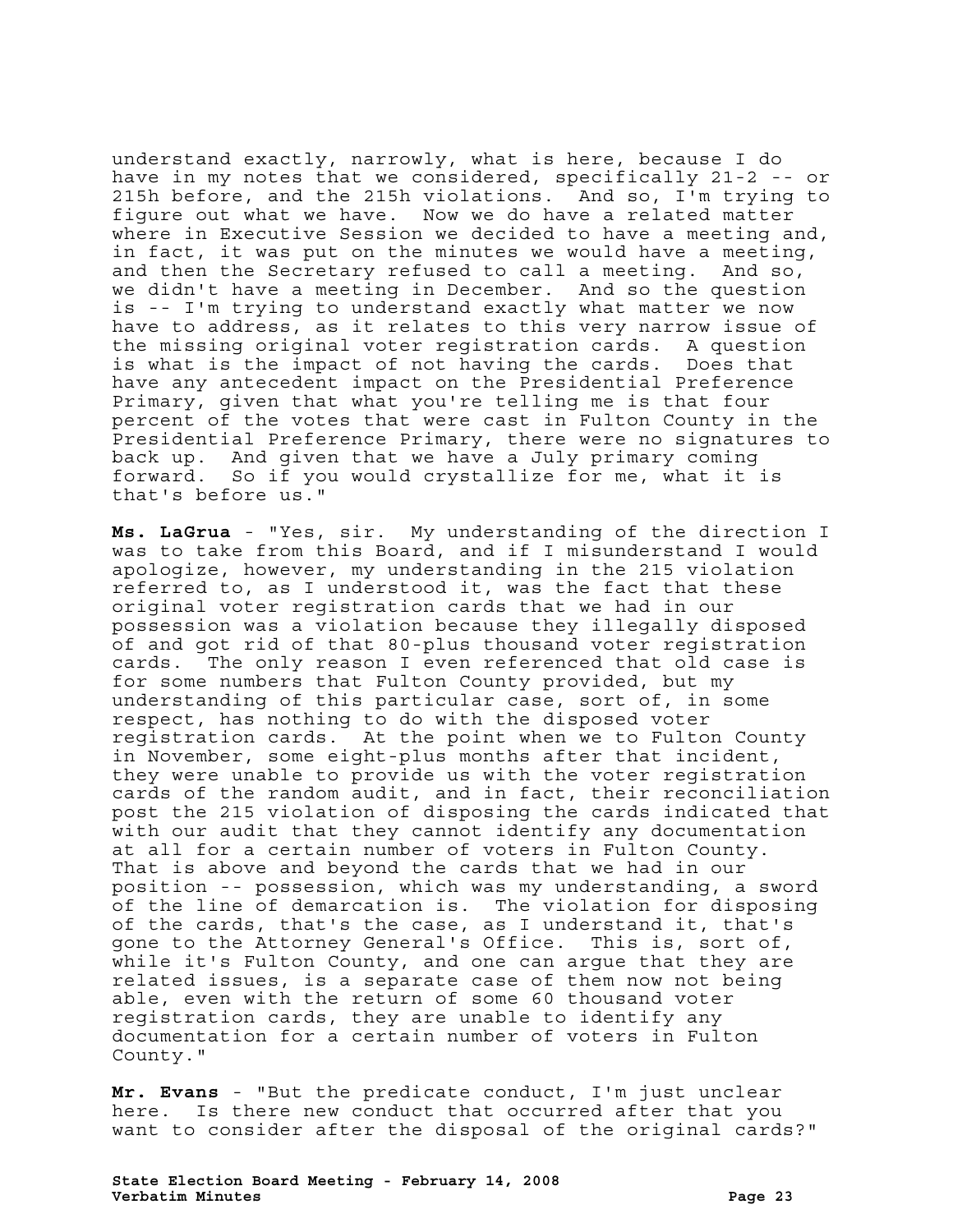understand exactly, narrowly, what is here, because I do have in my notes that we considered, specifically 21-2 -- or 215h before, and the 215h violations. And so, I'm trying to figure out what we have. Now we do have a related matter where in Executive Session we decided to have a meeting and, in fact, it was put on the minutes we would have a meeting, and then the Secretary refused to call a meeting. And so, we didn't have a meeting in December. And so the question is -- I'm trying to understand exactly what matter we now have to address, as it relates to this very narrow issue of the missing original voter registration cards. A question is what is the impact of not having the cards. Does that have any antecedent impact on the Presidential Preference Primary, given that what you're telling me is that four percent of the votes that were cast in Fulton County in the Presidential Preference Primary, there were no signatures to back up. And given that we have a July primary coming forward. So if you would crystallize for me, what it is that's before us."

**Ms. LaGrua** - "Yes, sir. My understanding of the direction I was to take from this Board, and if I misunderstand I would apologize, however, my understanding in the 215 violation referred to, as I understood it, was the fact that these original voter registration cards that we had in our possession was a violation because they illegally disposed of and got rid of that 80-plus thousand voter registration cards. The only reason I even referenced that old case is for some numbers that Fulton County provided, but my understanding of this particular case, sort of, in some respect, has nothing to do with the disposed voter registration cards. At the point when we to Fulton County in November, some eight-plus months after that incident, they were unable to provide us with the voter registration cards of the random audit, and in fact, their reconciliation post the 215 violation of disposing the cards indicated that with our audit that they cannot identify any documentation at all for a certain number of voters in Fulton County. That is above and beyond the cards that we had in our position -- possession, which was my understanding, a sword of the line of demarcation is. The violation for disposing of the cards, that's the case, as I understand it, that's gone to the Attorney General's Office. This is, sort of, while it's Fulton County, and one can argue that they are related issues, is a separate case of them now not being able, even with the return of some 60 thousand voter registration cards, they are unable to identify any documentation for a certain number of voters in Fulton County."

**Mr. Evans** - "But the predicate conduct, I'm just unclear here. Is there new conduct that occurred after that you want to consider after the disposal of the original cards?"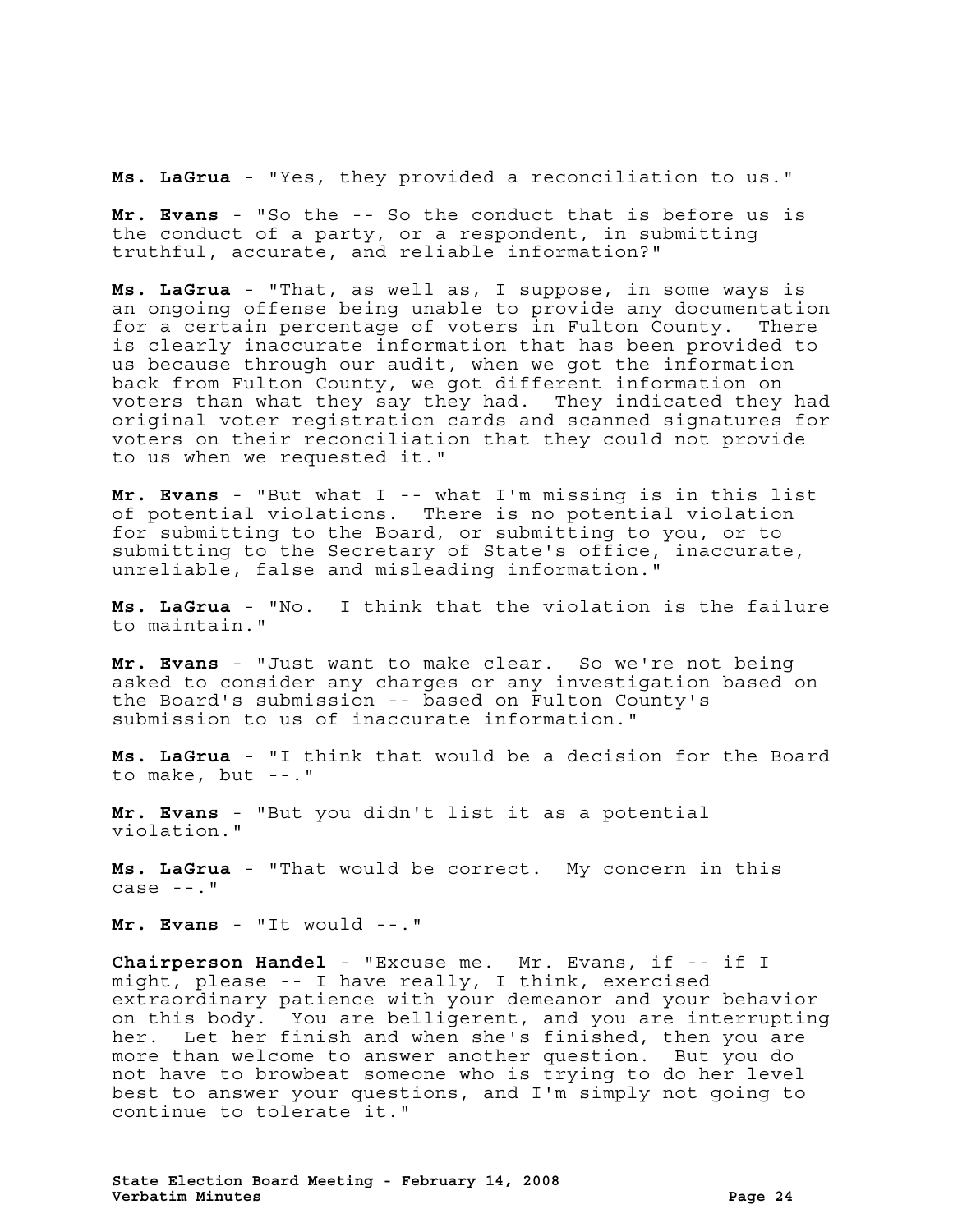**Ms. LaGrua** - "Yes, they provided a reconciliation to us."

**Mr. Evans** - "So the -- So the conduct that is before us is the conduct of a party, or a respondent, in submitting truthful, accurate, and reliable information?"

**Ms. LaGrua** - "That, as well as, I suppose, in some ways is an ongoing offense being unable to provide any documentation for a certain percentage of voters in Fulton County. There is clearly inaccurate information that has been provided to us because through our audit, when we got the information back from Fulton County, we got different information on voters than what they say they had. They indicated they had original voter registration cards and scanned signatures for voters on their reconciliation that they could not provide to us when we requested it."

**Mr. Evans** - "But what I -- what I'm missing is in this list of potential violations. There is no potential violation for submitting to the Board, or submitting to you, or to submitting to the Secretary of State's office, inaccurate, unreliable, false and misleading information."

**Ms. LaGrua** - "No. I think that the violation is the failure to maintain."

**Mr. Evans** - "Just want to make clear. So we're not being asked to consider any charges or any investigation based on the Board's submission -- based on Fulton County's submission to us of inaccurate information."

**Ms. LaGrua** - "I think that would be a decision for the Board to make, but --."

**Mr. Evans** - "But you didn't list it as a potential violation."

**Ms. LaGrua** - "That would be correct. My concern in this case  $--$ ."

**Mr. Evans** - "It would --."

**Chairperson Handel** - "Excuse me. Mr. Evans, if -- if I might, please -- I have really, I think, exercised extraordinary patience with your demeanor and your behavior on this body. You are belligerent, and you are interrupting her. Let her finish and when she's finished, then you are more than welcome to answer another question. But you do not have to browbeat someone who is trying to do her level best to answer your questions, and I'm simply not going to continue to tolerate it."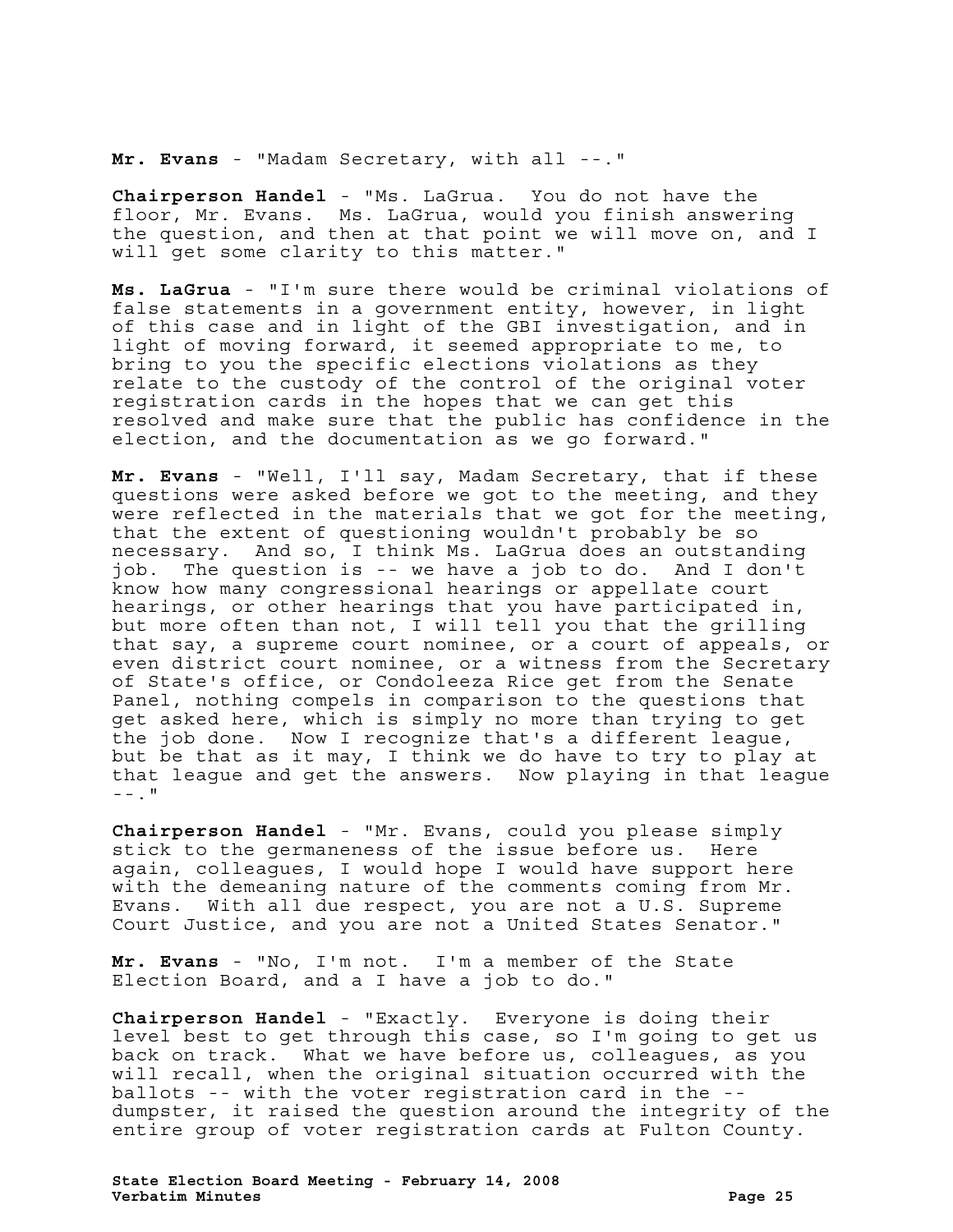**Mr. Evans** - "Madam Secretary, with all --."

**Chairperson Handel** - "Ms. LaGrua. You do not have the floor, Mr. Evans. Ms. LaGrua, would you finish answering the question, and then at that point we will move on, and I will get some clarity to this matter."

**Ms. LaGrua** - "I'm sure there would be criminal violations of false statements in a government entity, however, in light of this case and in light of the GBI investigation, and in light of moving forward, it seemed appropriate to me, to bring to you the specific elections violations as they relate to the custody of the control of the original voter registration cards in the hopes that we can get this resolved and make sure that the public has confidence in the election, and the documentation as we go forward."

**Mr. Evans** - "Well, I'll say, Madam Secretary, that if these questions were asked before we got to the meeting, and they were reflected in the materials that we got for the meeting, that the extent of questioning wouldn't probably be so necessary. And so, I think Ms. LaGrua does an outstanding job. The question is -- we have a job to do. And I don't know how many congressional hearings or appellate court hearings, or other hearings that you have participated in, but more often than not, I will tell you that the grilling that say, a supreme court nominee, or a court of appeals, or even district court nominee, or a witness from the Secretary of State's office, or Condoleeza Rice get from the Senate Panel, nothing compels in comparison to the questions that get asked here, which is simply no more than trying to get the job done. Now I recognize that's a different league, but be that as it may, I think we do have to try to play at that league and get the answers. Now playing in that league  $--$ . "

**Chairperson Handel** - "Mr. Evans, could you please simply stick to the germaneness of the issue before us. Here again, colleagues, I would hope I would have support here with the demeaning nature of the comments coming from Mr. Evans. With all due respect, you are not a U.S. Supreme Court Justice, and you are not a United States Senator."

**Mr. Evans** - "No, I'm not. I'm a member of the State Election Board, and a I have a job to do."

**Chairperson Handel** - "Exactly. Everyone is doing their level best to get through this case, so I'm going to get us back on track. What we have before us, colleagues, as you will recall, when the original situation occurred with the ballots -- with the voter registration card in the - dumpster, it raised the question around the integrity of the entire group of voter registration cards at Fulton County.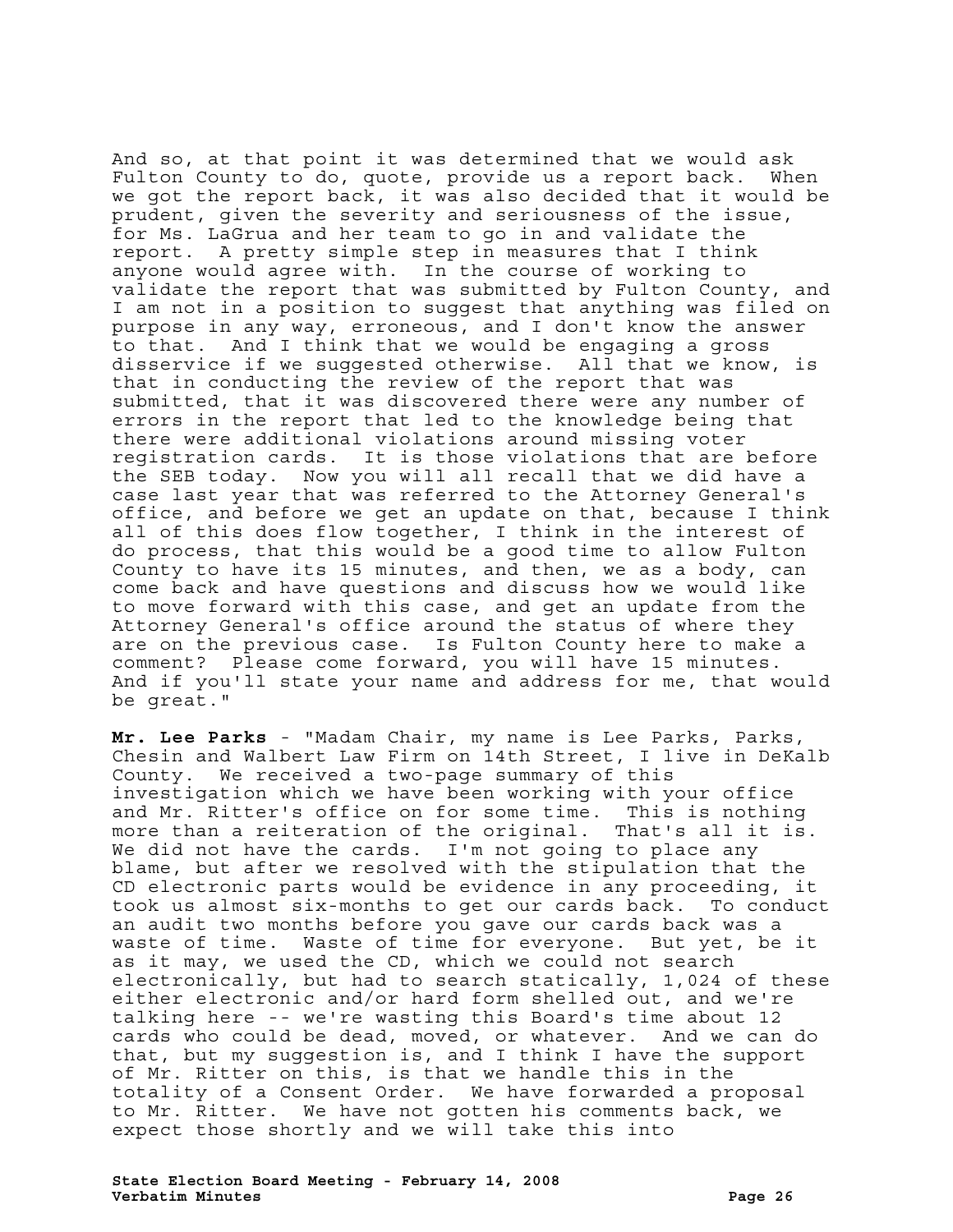And so, at that point it was determined that we would ask Fulton County to do, quote, provide us a report back. When we got the report back, it was also decided that it would be prudent, given the severity and seriousness of the issue, for Ms. LaGrua and her team to go in and validate the report. A pretty simple step in measures that I think anyone would agree with. In the course of working to validate the report that was submitted by Fulton County, and I am not in a position to suggest that anything was filed on purpose in any way, erroneous, and I don't know the answer to that. And I think that we would be engaging a gross disservice if we suggested otherwise. All that we know, is that in conducting the review of the report that was submitted, that it was discovered there were any number of errors in the report that led to the knowledge being that there were additional violations around missing voter registration cards. It is those violations that are before the SEB today. Now you will all recall that we did have a case last year that was referred to the Attorney General's office, and before we get an update on that, because I think all of this does flow together, I think in the interest of do process, that this would be a good time to allow Fulton County to have its 15 minutes, and then, we as a body, can come back and have questions and discuss how we would like to move forward with this case, and get an update from the Attorney General's office around the status of where they are on the previous case. Is Fulton County here to make a comment? Please come forward, you will have 15 minutes. And if you'll state your name and address for me, that would be great."

**Mr. Lee Parks** - "Madam Chair, my name is Lee Parks, Parks, Chesin and Walbert Law Firm on 14th Street, I live in DeKalb County. We received a two-page summary of this investigation which we have been working with your office and Mr. Ritter's office on for some time. This is nothing more than a reiteration of the original. That's all it is. We did not have the cards. I'm not going to place any blame, but after we resolved with the stipulation that the CD electronic parts would be evidence in any proceeding, it took us almost six-months to get our cards back. To conduct an audit two months before you gave our cards back was a waste of time. Waste of time for everyone. But yet, be it as it may, we used the CD, which we could not search electronically, but had to search statically, 1,024 of these either electronic and/or hard form shelled out, and we're talking here -- we're wasting this Board's time about 12 cards who could be dead, moved, or whatever. And we can do that, but my suggestion is, and I think I have the support of Mr. Ritter on this, is that we handle this in the totality of a Consent Order. We have forwarded a proposal to Mr. Ritter. We have not gotten his comments back, we expect those shortly and we will take this into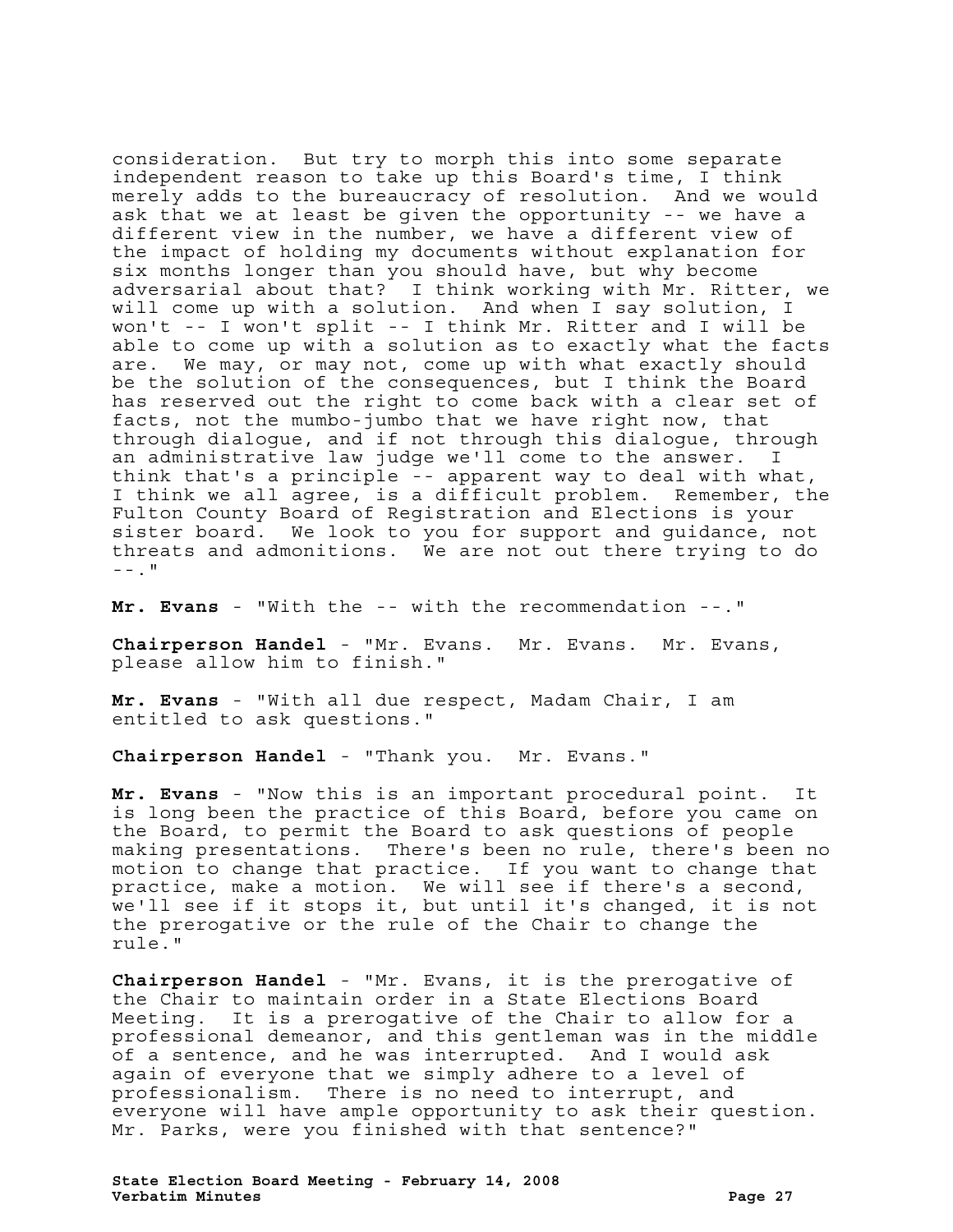consideration. But try to morph this into some separate independent reason to take up this Board's time, I think merely adds to the bureaucracy of resolution. And we would ask that we at least be given the opportunity -- we have a different view in the number, we have a different view of the impact of holding my documents without explanation for six months longer than you should have, but why become adversarial about that? I think working with Mr. Ritter, we will come up with a solution. And when I say solution, I won't -- I won't split -- I think Mr. Ritter and I will be able to come up with a solution as to exactly what the facts are. We may, or may not, come up with what exactly should be the solution of the consequences, but I think the Board has reserved out the right to come back with a clear set of facts, not the mumbo-jumbo that we have right now, that through dialogue, and if not through this dialogue, through an administrative law judge we'll come to the answer. I think that's a principle -- apparent way to deal with what, I think we all agree, is a difficult problem. Remember, the Fulton County Board of Registration and Elections is your sister board. We look to you for support and guidance, not threats and admonitions. We are not out there trying to do  $- "$ 

**Mr. Evans** - "With the -- with the recommendation --."

**Chairperson Handel** - "Mr. Evans. Mr. Evans. Mr. Evans, please allow him to finish."

**Mr. Evans** - "With all due respect, Madam Chair, I am entitled to ask questions."

**Chairperson Handel** - "Thank you. Mr. Evans."

**Mr. Evans** - "Now this is an important procedural point. It is long been the practice of this Board, before you came on the Board, to permit the Board to ask questions of people making presentations. There's been no rule, there's been no motion to change that practice. If you want to change that practice, make a motion. We will see if there's a second, we'll see if it stops it, but until it's changed, it is not the prerogative or the rule of the Chair to change the rule."

**Chairperson Handel** - "Mr. Evans, it is the prerogative of the Chair to maintain order in a State Elections Board Meeting. It is a prerogative of the Chair to allow for a professional demeanor, and this gentleman was in the middle of a sentence, and he was interrupted. And I would ask again of everyone that we simply adhere to a level of professionalism. There is no need to interrupt, and everyone will have ample opportunity to ask their question. Mr. Parks, were you finished with that sentence?"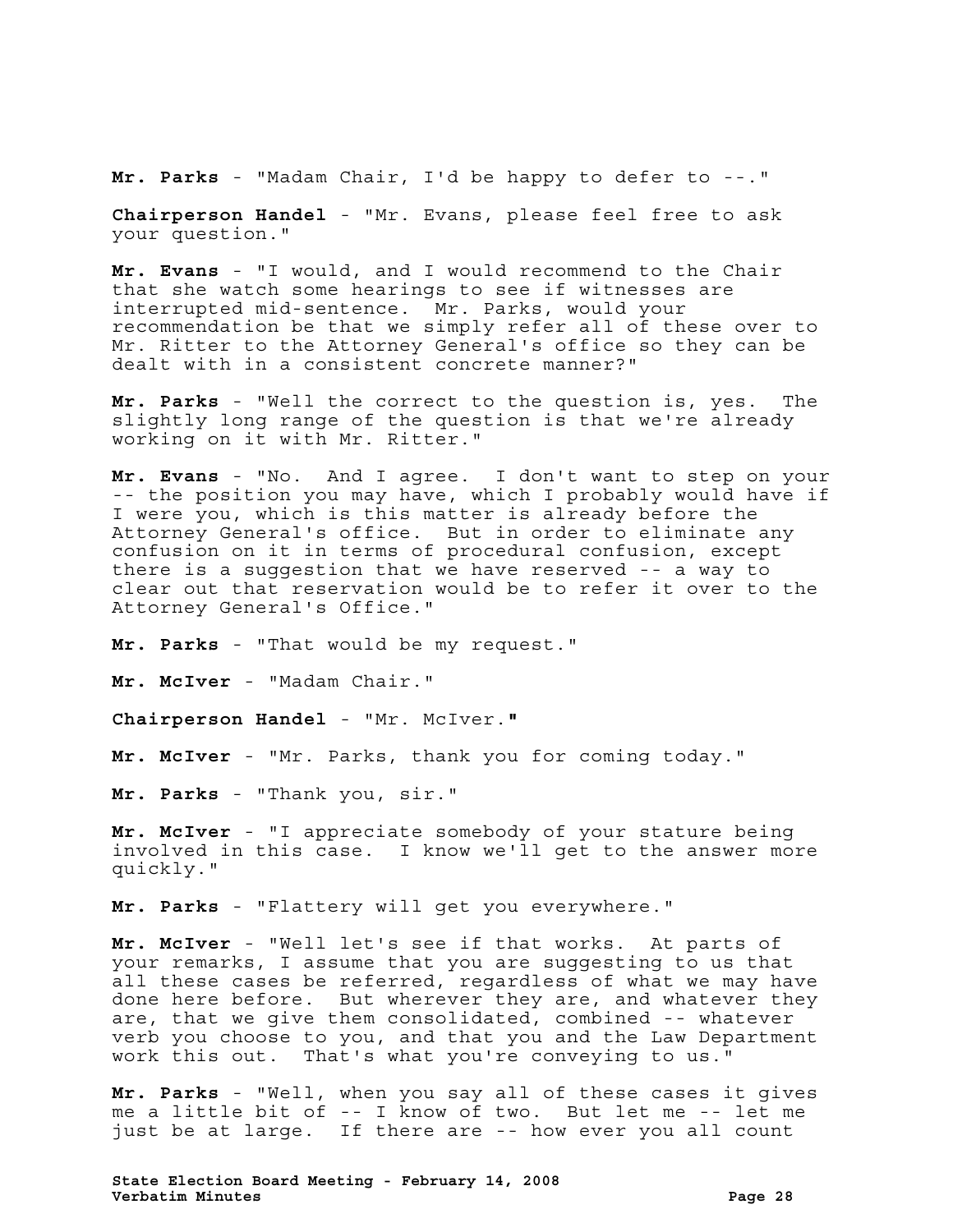**Mr. Parks** - "Madam Chair, I'd be happy to defer to --."

**Chairperson Handel** - "Mr. Evans, please feel free to ask your question."

**Mr. Evans** - "I would, and I would recommend to the Chair that she watch some hearings to see if witnesses are interrupted mid-sentence. Mr. Parks, would your recommendation be that we simply refer all of these over to Mr. Ritter to the Attorney General's office so they can be dealt with in a consistent concrete manner?"

**Mr. Parks** - "Well the correct to the question is, yes. The slightly long range of the question is that we're already working on it with Mr. Ritter."

**Mr. Evans** - "No. And I agree. I don't want to step on your -- the position you may have, which I probably would have if I were you, which is this matter is already before the Attorney General's office. But in order to eliminate any confusion on it in terms of procedural confusion, except there is a suggestion that we have reserved -- a way to clear out that reservation would be to refer it over to the Attorney General's Office."

**Mr. Parks** - "That would be my request."

**Mr. McIver** - "Madam Chair."

**Chairperson Handel** - "Mr. McIver.**"**

**Mr. McIver** - "Mr. Parks, thank you for coming today."

**Mr. Parks** - "Thank you, sir."

**Mr. McIver** - "I appreciate somebody of your stature being involved in this case. I know we'll get to the answer more quickly."

**Mr. Parks** - "Flattery will get you everywhere."

**Mr. McIver** - "Well let's see if that works. At parts of your remarks, I assume that you are suggesting to us that all these cases be referred, regardless of what we may have done here before. But wherever they are, and whatever they are, that we give them consolidated, combined -- whatever verb you choose to you, and that you and the Law Department work this out. That's what you're conveying to us."

**Mr. Parks** - "Well, when you say all of these cases it gives me a little bit of -- I know of two. But let me -- let me just be at large. If there are -- how ever you all count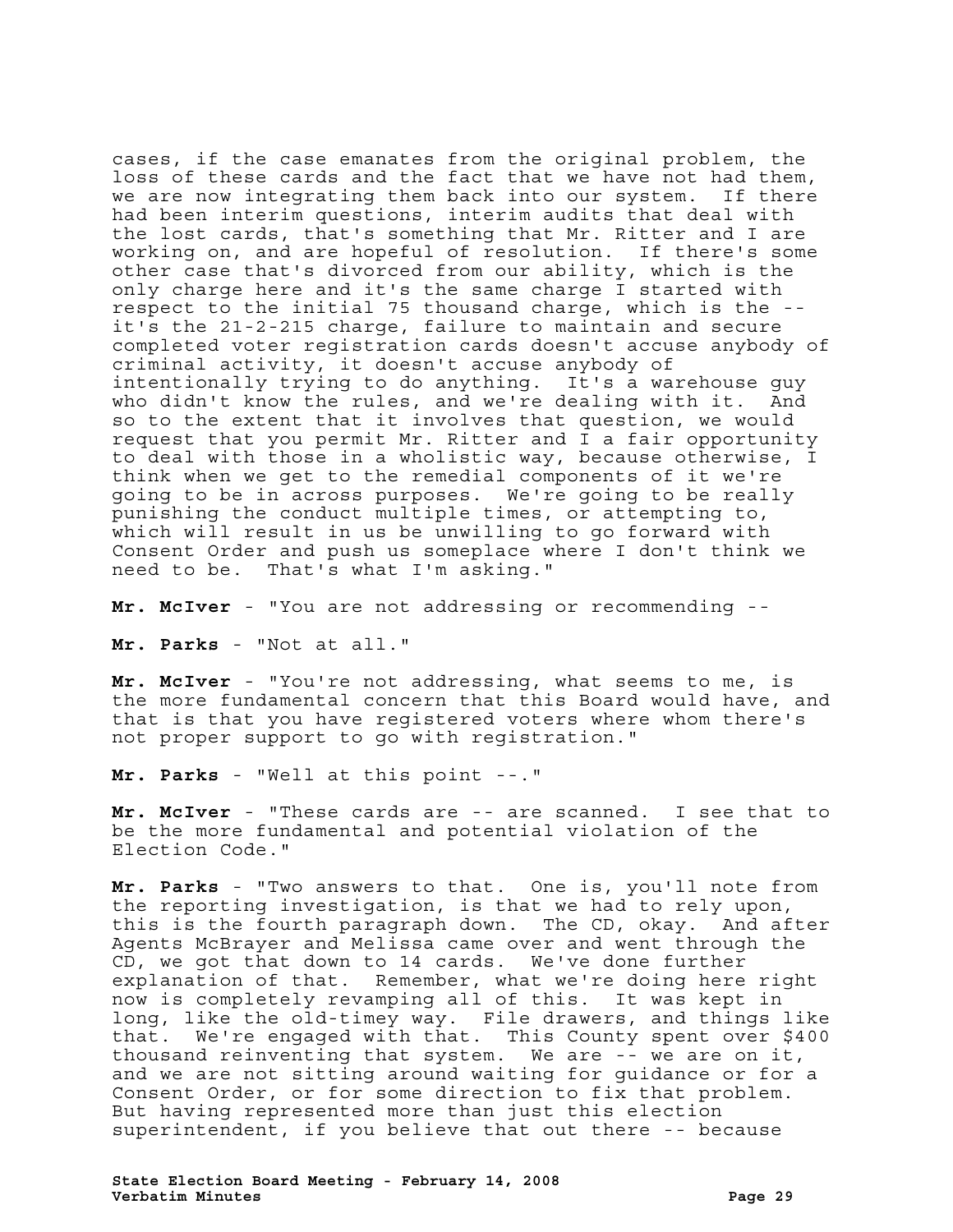cases, if the case emanates from the original problem, the loss of these cards and the fact that we have not had them, we are now integrating them back into our system. If there had been interim questions, interim audits that deal with the lost cards, that's something that Mr. Ritter and I are working on, and are hopeful of resolution. If there's some other case that's divorced from our ability, which is the only charge here and it's the same charge I started with respect to the initial 75 thousand charge, which is the - it's the 21-2-215 charge, failure to maintain and secure completed voter registration cards doesn't accuse anybody of criminal activity, it doesn't accuse anybody of intentionally trying to do anything. It's a warehouse guy who didn't know the rules, and we're dealing with it. And so to the extent that it involves that question, we would request that you permit Mr. Ritter and I a fair opportunity to deal with those in a wholistic way, because otherwise, I think when we get to the remedial components of it we're going to be in across purposes. We're going to be really punishing the conduct multiple times, or attempting to, which will result in us be unwilling to go forward with Consent Order and push us someplace where I don't think we need to be. That's what I'm asking."

**Mr. McIver** - "You are not addressing or recommending --

**Mr. Parks** - "Not at all."

**Mr. McIver** - "You're not addressing, what seems to me, is the more fundamental concern that this Board would have, and that is that you have registered voters where whom there's not proper support to go with registration."

**Mr. Parks** - "Well at this point --."

**Mr. McIver** - "These cards are -- are scanned. I see that to be the more fundamental and potential violation of the Election Code."

**Mr. Parks** - "Two answers to that. One is, you'll note from the reporting investigation, is that we had to rely upon, this is the fourth paragraph down. The CD, okay. And after Agents McBrayer and Melissa came over and went through the CD, we got that down to 14 cards. We've done further explanation of that. Remember, what we're doing here right now is completely revamping all of this. It was kept in long, like the old-timey way. File drawers, and things like that. We're engaged with that. This County spent over \$400 thousand reinventing that system. We are -- we are on it, and we are not sitting around waiting for guidance or for a Consent Order, or for some direction to fix that problem. But having represented more than just this election superintendent, if you believe that out there -- because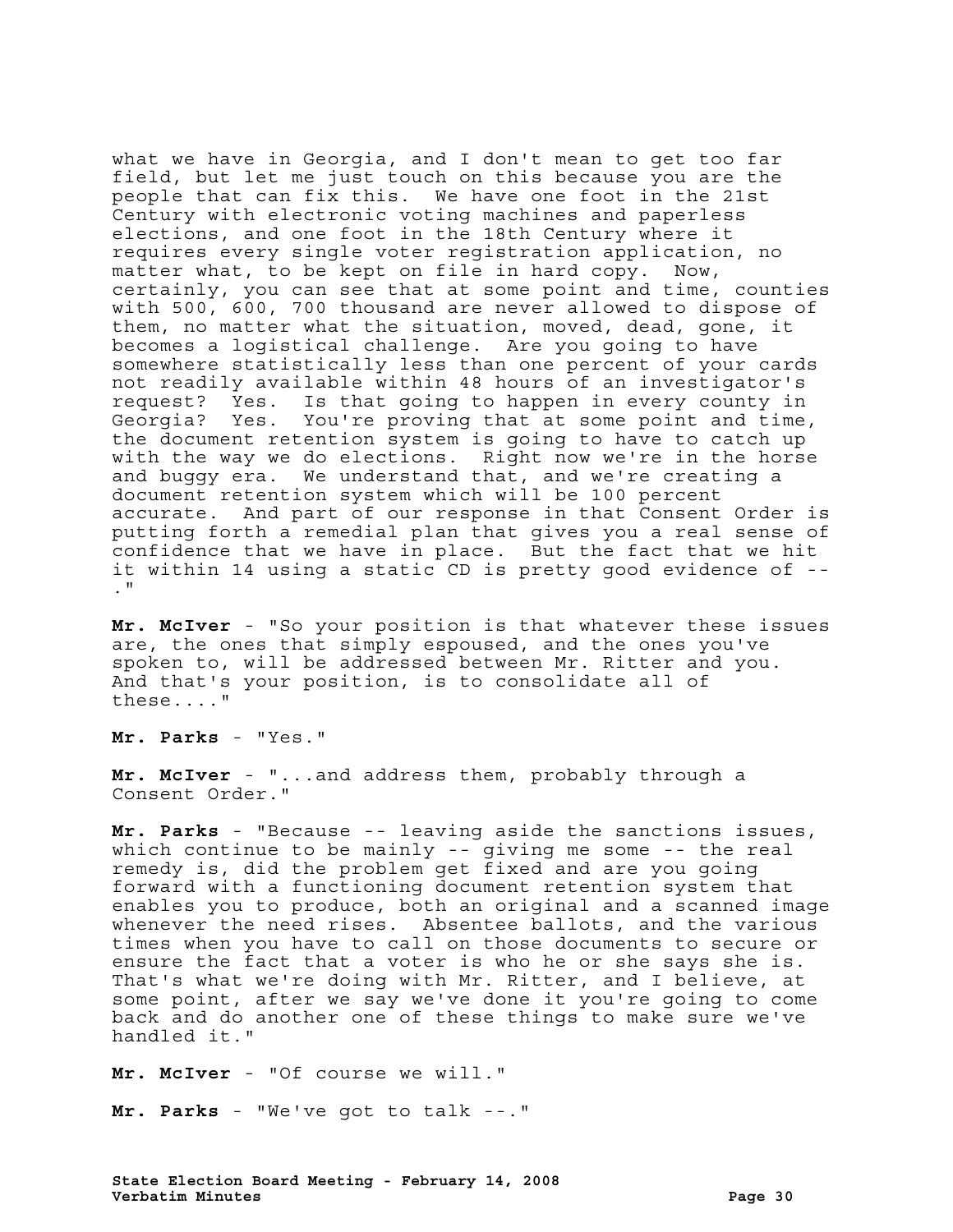what we have in Georgia, and I don't mean to get too far field, but let me just touch on this because you are the people that can fix this. We have one foot in the 21st Century with electronic voting machines and paperless elections, and one foot in the 18th Century where it requires every single voter registration application, no matter what, to be kept on file in hard copy. Now, certainly, you can see that at some point and time, counties with 500, 600, 700 thousand are never allowed to dispose of them, no matter what the situation, moved, dead, gone, it becomes a logistical challenge. Are you going to have somewhere statistically less than one percent of your cards not readily available within 48 hours of an investigator's request? Yes. Is that going to happen in every county in Georgia? Yes. You're proving that at some point and time, the document retention system is going to have to catch up with the way we do elections. Right now we're in the horse and buggy era. We understand that, and we're creating a document retention system which will be 100 percent accurate. And part of our response in that Consent Order is putting forth a remedial plan that gives you a real sense of confidence that we have in place. But the fact that we hit it within 14 using a static CD is pretty good evidence of -- ."

**Mr. McIver** - "So your position is that whatever these issues are, the ones that simply espoused, and the ones you've spoken to, will be addressed between Mr. Ritter and you. And that's your position, is to consolidate all of these...."

**Mr. Parks** - "Yes."

**Mr. McIver** - "...and address them, probably through a Consent Order."

**Mr. Parks** - "Because -- leaving aside the sanctions issues, which continue to be mainly -- giving me some -- the real remedy is, did the problem get fixed and are you going forward with a functioning document retention system that enables you to produce, both an original and a scanned image whenever the need rises. Absentee ballots, and the various times when you have to call on those documents to secure or ensure the fact that a voter is who he or she says she is. That's what we're doing with Mr. Ritter, and I believe, at some point, after we say we've done it you're going to come back and do another one of these things to make sure we've handled it."

**Mr. McIver** - "Of course we will."

**Mr. Parks** - "We've got to talk --."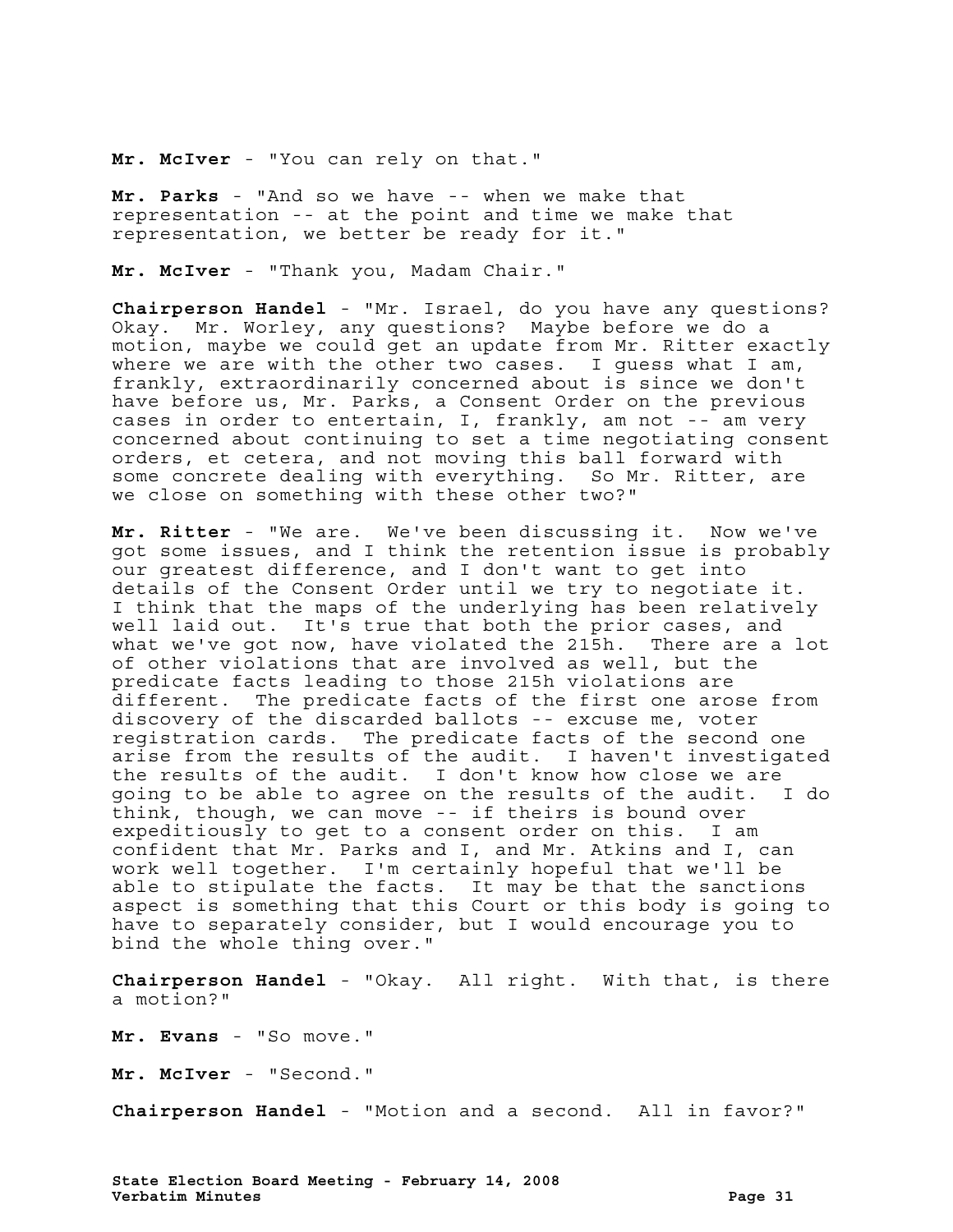**Mr. McIver** - "You can rely on that."

**Mr. Parks** - "And so we have -- when we make that representation -- at the point and time we make that representation, we better be ready for it."

**Mr. McIver** - "Thank you, Madam Chair."

**Chairperson Handel** - "Mr. Israel, do you have any questions? Okay. Mr. Worley, any questions? Maybe before we do a motion, maybe we could get an update from Mr. Ritter exactly where we are with the other two cases. I guess what I am, frankly, extraordinarily concerned about is since we don't have before us, Mr. Parks, a Consent Order on the previous cases in order to entertain, I, frankly, am not -- am very concerned about continuing to set a time negotiating consent orders, et cetera, and not moving this ball forward with some concrete dealing with everything. So Mr. Ritter, are we close on something with these other two?"

**Mr. Ritter** - "We are. We've been discussing it. Now we've got some issues, and I think the retention issue is probably our greatest difference, and I don't want to get into details of the Consent Order until we try to negotiate it. I think that the maps of the underlying has been relatively well laid out. It's true that both the prior cases, and what we've got now, have violated the 215h. There are a lot of other violations that are involved as well, but the predicate facts leading to those 215h violations are different. The predicate facts of the first one arose from discovery of the discarded ballots -- excuse me, voter registration cards. The predicate facts of the second one arise from the results of the audit. I haven't investigated the results of the audit. I don't know how close we are going to be able to agree on the results of the audit. I do think, though, we can move -- if theirs is bound over expeditiously to get to a consent order on this. I am confident that Mr. Parks and I, and Mr. Atkins and I, can work well together. I'm certainly hopeful that we'll be able to stipulate the facts. It may be that the sanctions aspect is something that this Court or this body is going to have to separately consider, but I would encourage you to bind the whole thing over."

**Chairperson Handel** - "Okay. All right. With that, is there a motion?"

**Mr. Evans** - "So move."

**Mr. McIver** - "Second."

**Chairperson Handel** - "Motion and a second. All in favor?"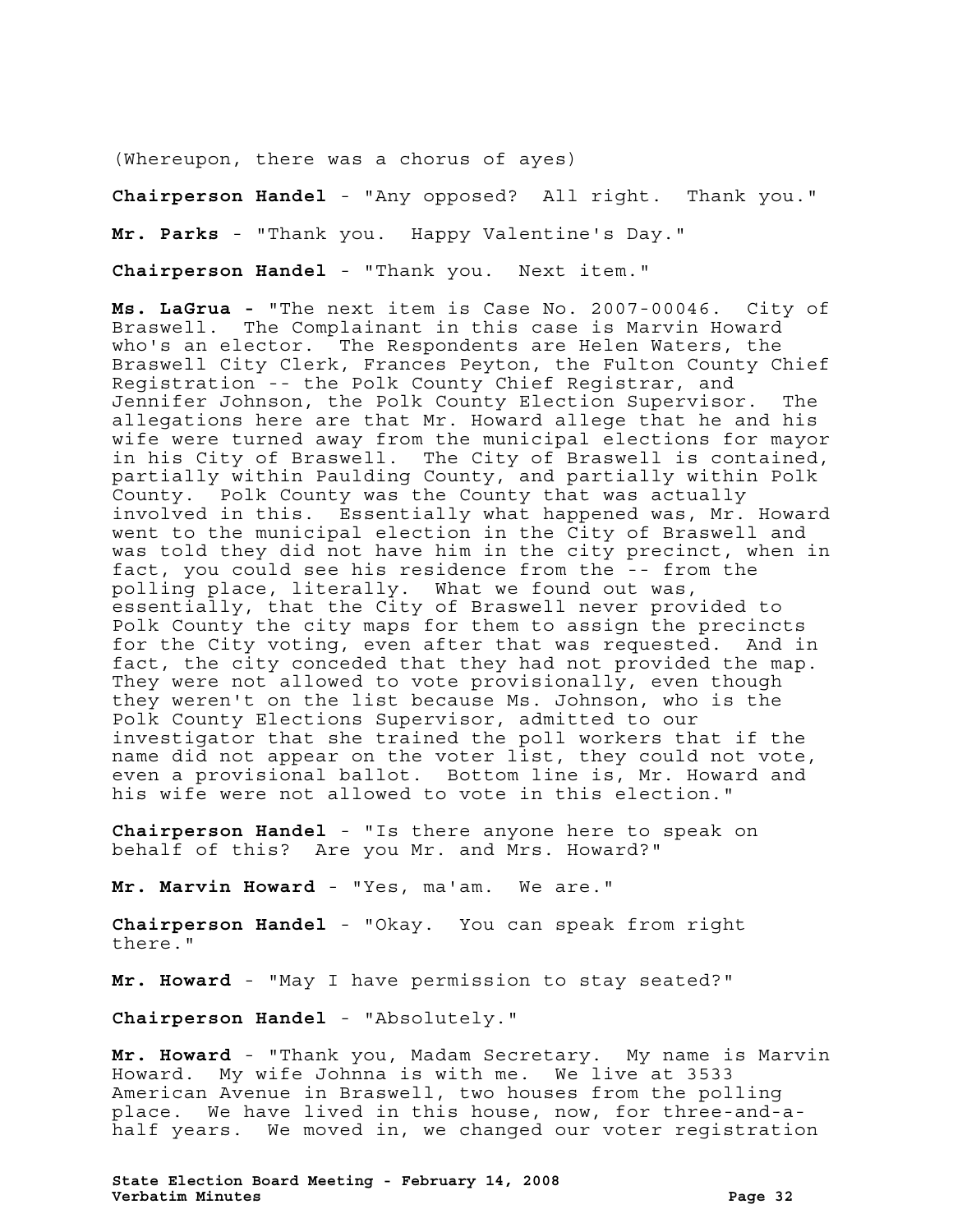(Whereupon, there was a chorus of ayes)

**Chairperson Handel** - "Any opposed? All right. Thank you."

**Mr. Parks** - "Thank you. Happy Valentine's Day."

**Chairperson Handel** - "Thank you. Next item."

**Ms. LaGrua -** "The next item is Case No. 2007-00046. City of Braswell. The Complainant in this case is Marvin Howard who's an elector. The Respondents are Helen Waters, the Braswell City Clerk, Frances Peyton, the Fulton County Chief Registration -- the Polk County Chief Registrar, and Jennifer Johnson, the Polk County Election Supervisor. The allegations here are that Mr. Howard allege that he and his wife were turned away from the municipal elections for mayor in his City of Braswell. The City of Braswell is contained, partially within Paulding County, and partially within Polk County. Polk County was the County that was actually involved in this. Essentially what happened was, Mr. Howard went to the municipal election in the City of Braswell and was told they did not have him in the city precinct, when in fact, you could see his residence from the -- from the polling place, literally. What we found out was, essentially, that the City of Braswell never provided to Polk County the city maps for them to assign the precincts for the City voting, even after that was requested. And in fact, the city conceded that they had not provided the map. They were not allowed to vote provisionally, even though they weren't on the list because Ms. Johnson, who is the Polk County Elections Supervisor, admitted to our investigator that she trained the poll workers that if the name did not appear on the voter list, they could not vote, even a provisional ballot. Bottom line is, Mr. Howard and his wife were not allowed to vote in this election."

**Chairperson Handel** - "Is there anyone here to speak on behalf of this? Are you Mr. and Mrs. Howard?"

**Mr. Marvin Howard** - "Yes, ma'am. We are."

**Chairperson Handel** - "Okay. You can speak from right there."

**Mr. Howard** - "May I have permission to stay seated?"

**Chairperson Handel** - "Absolutely."

**Mr. Howard** - "Thank you, Madam Secretary. My name is Marvin Howard. My wife Johnna is with me. We live at 3533 American Avenue in Braswell, two houses from the polling place. We have lived in this house, now, for three-and-ahalf years. We moved in, we changed our voter registration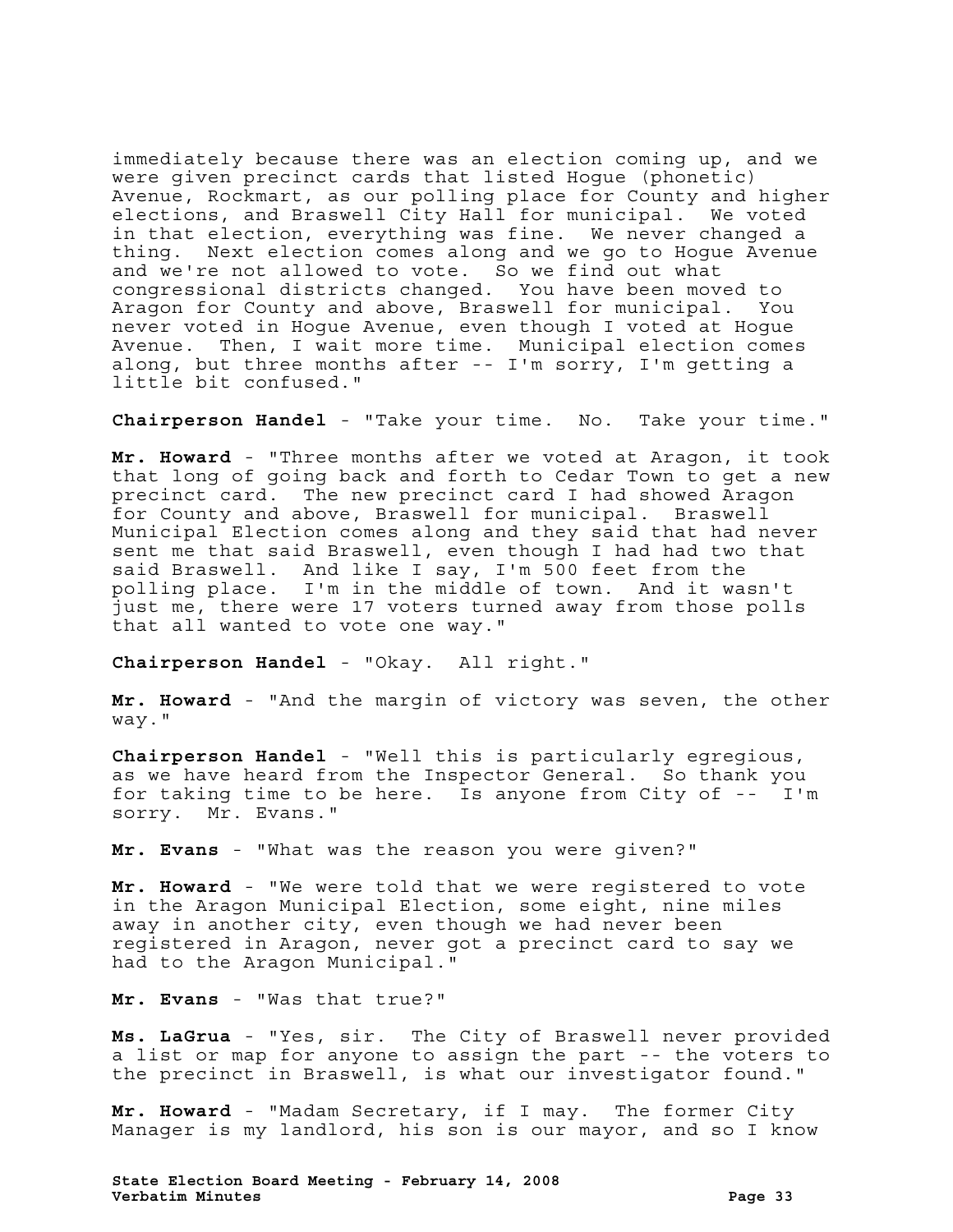immediately because there was an election coming up, and we were given precinct cards that listed Hogue (phonetic) Avenue, Rockmart, as our polling place for County and higher elections, and Braswell City Hall for municipal. We voted in that election, everything was fine. We never changed a thing. Next election comes along and we go to Hogue Avenue and we're not allowed to vote. So we find out what congressional districts changed. You have been moved to Aragon for County and above, Braswell for municipal. You never voted in Hogue Avenue, even though I voted at Hogue Avenue. Then, I wait more time. Municipal election comes along, but three months after -- I'm sorry, I'm getting a little bit confused."

**Chairperson Handel** - "Take your time. No. Take your time."

**Mr. Howard** - "Three months after we voted at Aragon, it took that long of going back and forth to Cedar Town to get a new precinct card. The new precinct card I had showed Aragon for County and above, Braswell for municipal. Braswell Municipal Election comes along and they said that had never sent me that said Braswell, even though I had had two that said Braswell. And like I say, I'm 500 feet from the polling place. I'm in the middle of town. And it wasn't just me, there were 17 voters turned away from those polls that all wanted to vote one way."

**Chairperson Handel** - "Okay. All right."

**Mr. Howard** - "And the margin of victory was seven, the other way."

**Chairperson Handel** - "Well this is particularly egregious, as we have heard from the Inspector General. So thank you for taking time to be here. Is anyone from City of -- I'm sorry. Mr. Evans."

**Mr. Evans** - "What was the reason you were given?"

**Mr. Howard** - "We were told that we were registered to vote in the Aragon Municipal Election, some eight, nine miles away in another city, even though we had never been registered in Aragon, never got a precinct card to say we had to the Aragon Municipal."

**Mr. Evans** - "Was that true?"

**Ms. LaGrua** - "Yes, sir. The City of Braswell never provided a list or map for anyone to assign the part -- the voters to the precinct in Braswell, is what our investigator found."

**Mr. Howard** - "Madam Secretary, if I may. The former City Manager is my landlord, his son is our mayor, and so I know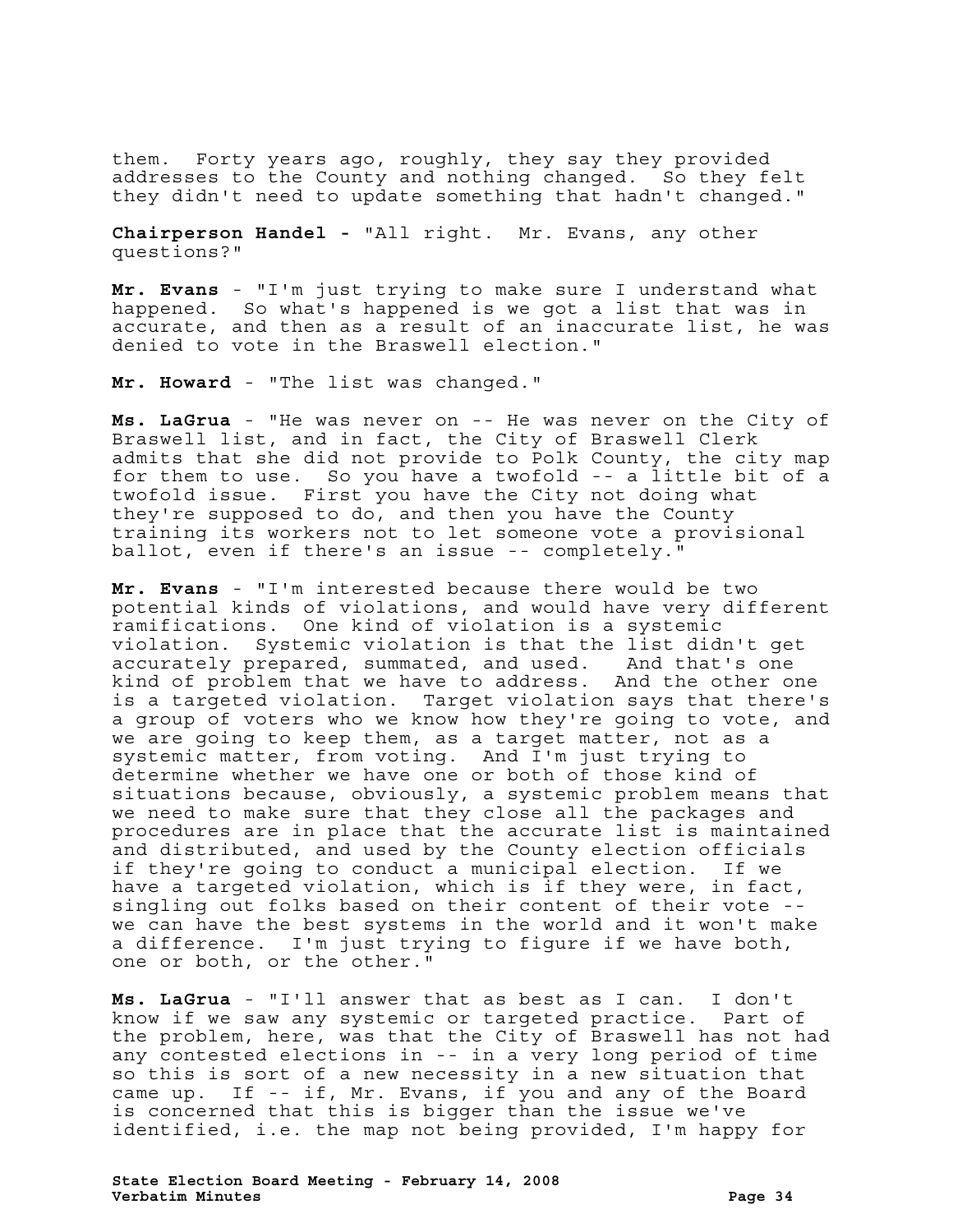them. Forty years ago, roughly, they say they provided addresses to the County and nothing changed. So they felt they didn't need to update something that hadn't changed."

**Chairperson Handel -** "All right. Mr. Evans, any other questions?"

**Mr. Evans** - "I'm just trying to make sure I understand what happened. So what's happened is we got a list that was in accurate, and then as a result of an inaccurate list, he was denied to vote in the Braswell election."

**Mr. Howard** - "The list was changed."

**Ms. LaGrua** - "He was never on -- He was never on the City of Braswell list, and in fact, the City of Braswell Clerk admits that she did not provide to Polk County, the city map for them to use. So you have a twofold -- a little bit of a twofold issue. First you have the City not doing what they're supposed to do, and then you have the County training its workers not to let someone vote a provisional ballot, even if there's an issue -- completely."

**Mr. Evans** - "I'm interested because there would be two potential kinds of violations, and would have very different ramifications. One kind of violation is a systemic violation. Systemic violation is that the list didn't get accurately prepared, summated, and used. And that's one kind of problem that we have to address. And the other one is a targeted violation. Target violation says that there's a group of voters who we know how they're going to vote, and we are going to keep them, as a target matter, not as a systemic matter, from voting. And I'm just trying to determine whether we have one or both of those kind of situations because, obviously, a systemic problem means that we need to make sure that they close all the packages and procedures are in place that the accurate list is maintained and distributed, and used by the County election officials if they're going to conduct a municipal election. If we have a targeted violation, which is if they were, in fact, singling out folks based on their content of their vote - we can have the best systems in the world and it won't make a difference. I'm just trying to figure if we have both, one or both, or the other."

**Ms. LaGrua** - "I'll answer that as best as I can. I don't know if we saw any systemic or targeted practice. Part of the problem, here, was that the City of Braswell has not had any contested elections in -- in a very long period of time so this is sort of a new necessity in a new situation that came up. If -- if, Mr. Evans, if you and any of the Board is concerned that this is bigger than the issue we've identified, i.e. the map not being provided, I'm happy for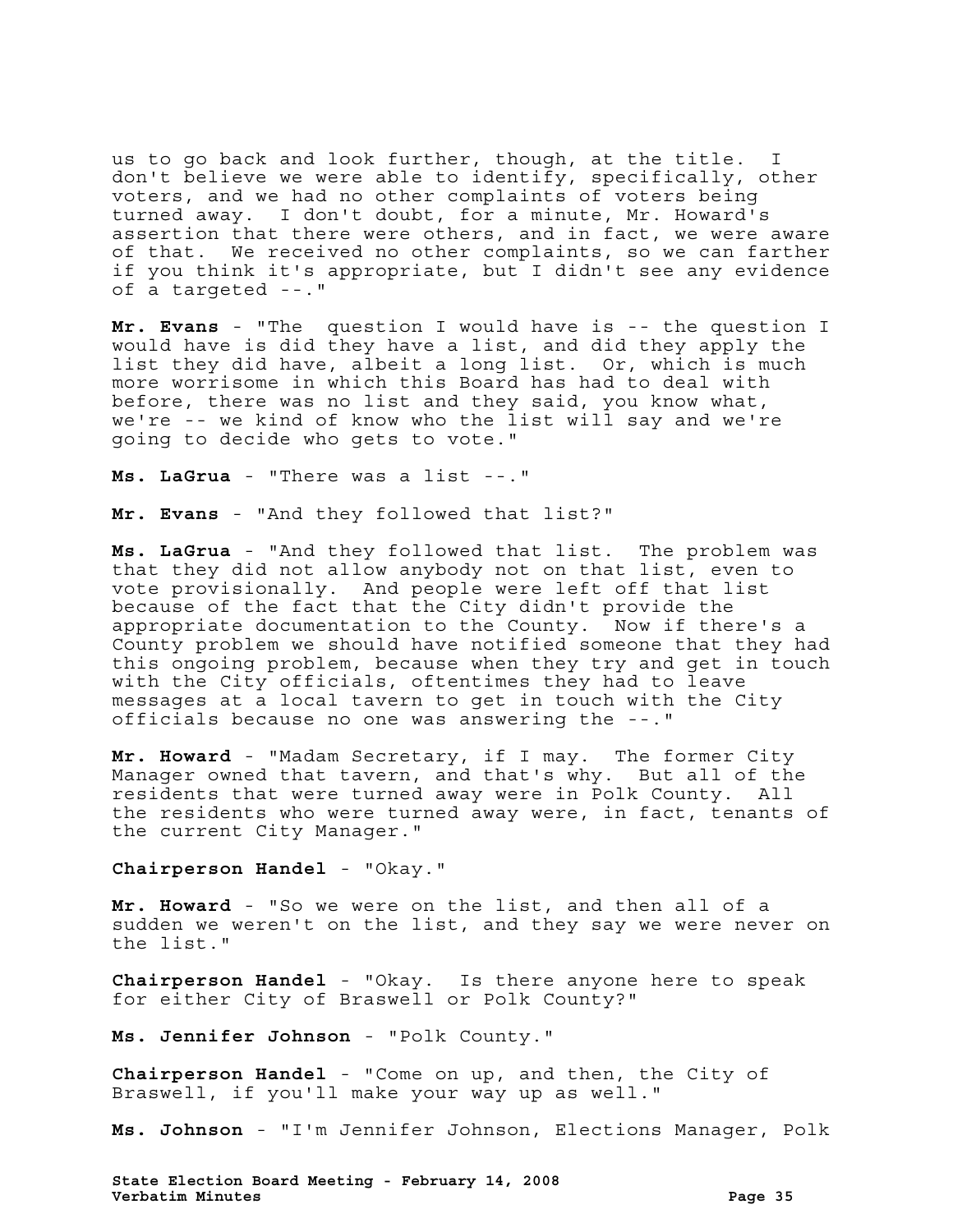us to go back and look further, though, at the title. don't believe we were able to identify, specifically, other voters, and we had no other complaints of voters being turned away. I don't doubt, for a minute, Mr. Howard's assertion that there were others, and in fact, we were aware of that. We received no other complaints, so we can farther if you think it's appropriate, but I didn't see any evidence of a targeted --."

**Mr. Evans** - "The question I would have is -- the question I would have is did they have a list, and did they apply the list they did have, albeit a long list. Or, which is much more worrisome in which this Board has had to deal with before, there was no list and they said, you know what, we're -- we kind of know who the list will say and we're going to decide who gets to vote."

**Ms. LaGrua** - "There was a list --."

**Mr. Evans** - "And they followed that list?"

**Ms. LaGrua** - "And they followed that list. The problem was that they did not allow anybody not on that list, even to vote provisionally. And people were left off that list because of the fact that the City didn't provide the appropriate documentation to the County. Now if there's a County problem we should have notified someone that they had this ongoing problem, because when they try and get in touch with the City officials, oftentimes they had to leave messages at a local tavern to get in touch with the City officials because no one was answering the --."

**Mr. Howard** - "Madam Secretary, if I may. The former City Manager owned that tavern, and that's why. But all of the residents that were turned away were in Polk County. All the residents who were turned away were, in fact, tenants of the current City Manager."

**Chairperson Handel** - "Okay."

**Mr. Howard** - "So we were on the list, and then all of a sudden we weren't on the list, and they say we were never on the list."

**Chairperson Handel** - "Okay. Is there anyone here to speak for either City of Braswell or Polk County?"

**Ms. Jennifer Johnson** - "Polk County."

**Chairperson Handel** - "Come on up, and then, the City of Braswell, if you'll make your way up as well."

**Ms. Johnson** - "I'm Jennifer Johnson, Elections Manager, Polk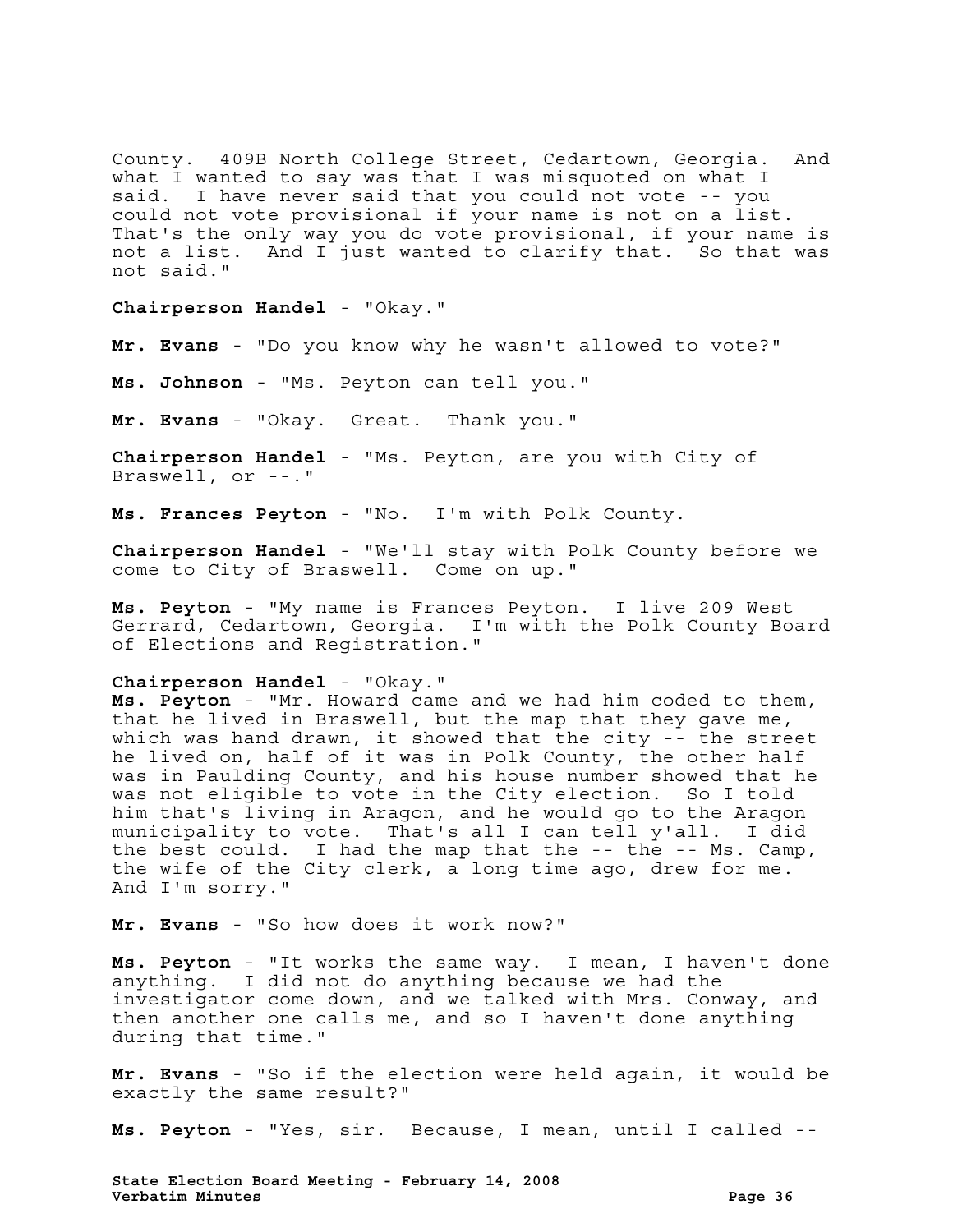County. 409B North College Street, Cedartown, Georgia. And what I wanted to say was that I was misquoted on what I said. I have never said that you could not vote -- you could not vote provisional if your name is not on a list. That's the only way you do vote provisional, if your name is not a list. And I just wanted to clarify that. So that was not said."

**Chairperson Handel** - "Okay."

**Mr. Evans** - "Do you know why he wasn't allowed to vote?"

**Ms. Johnson** - "Ms. Peyton can tell you."

**Mr. Evans** - "Okay. Great. Thank you."

**Chairperson Handel** - "Ms. Peyton, are you with City of Braswell, or --."

**Ms. Frances Peyton** - "No. I'm with Polk County.

**Chairperson Handel** - "We'll stay with Polk County before we come to City of Braswell. Come on up."

**Ms. Peyton** - "My name is Frances Peyton. I live 209 West Gerrard, Cedartown, Georgia. I'm with the Polk County Board of Elections and Registration."

## **Chairperson Handel** - "Okay."

**Ms. Peyton** - "Mr. Howard came and we had him coded to them, that he lived in Braswell, but the map that they gave me, which was hand drawn, it showed that the city -- the street he lived on, half of it was in Polk County, the other half was in Paulding County, and his house number showed that he was not eligible to vote in the City election. So I told him that's living in Aragon, and he would go to the Aragon municipality to vote. That's all I can tell y'all. I did the best could. I had the map that the -- the -- Ms. Camp, the wife of the City clerk, a long time ago, drew for me. And I'm sorry."

**Mr. Evans** - "So how does it work now?"

**Ms. Peyton** - "It works the same way. I mean, I haven't done anything. I did not do anything because we had the investigator come down, and we talked with Mrs. Conway, and then another one calls me, and so I haven't done anything during that time."

**Mr. Evans** - "So if the election were held again, it would be exactly the same result?"

**Ms. Peyton** - "Yes, sir. Because, I mean, until I called --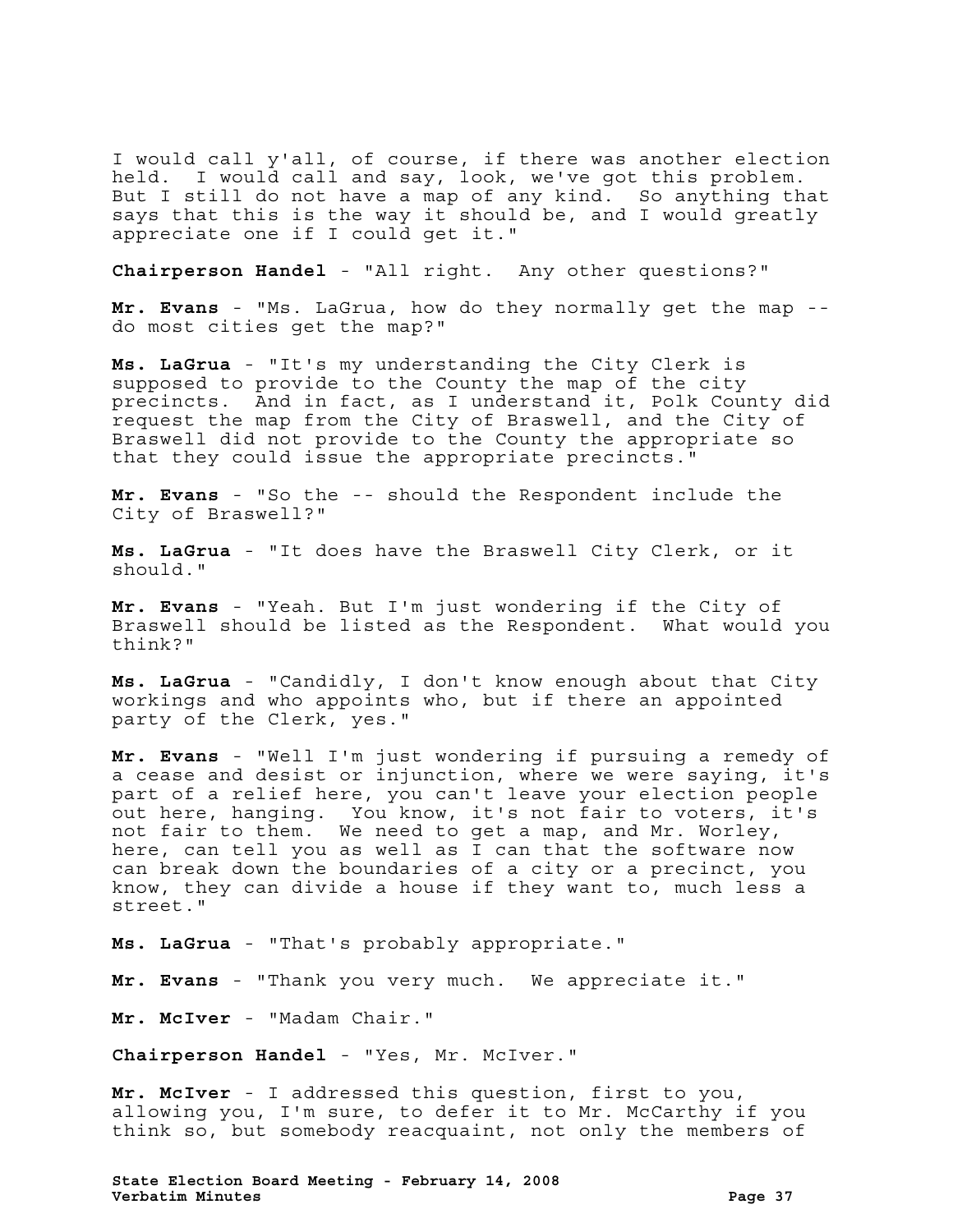I would call y'all, of course, if there was another election held. I would call and say, look, we've got this problem. But I still do not have a map of any kind. So anything that says that this is the way it should be, and I would greatly appreciate one if I could get it."

**Chairperson Handel** - "All right. Any other questions?"

**Mr. Evans** - "Ms. LaGrua, how do they normally get the map - do most cities get the map?"

**Ms. LaGrua** - "It's my understanding the City Clerk is supposed to provide to the County the map of the city precincts. And in fact, as I understand it, Polk County did request the map from the City of Braswell, and the City of Braswell did not provide to the County the appropriate so that they could issue the appropriate precincts."

**Mr. Evans** - "So the -- should the Respondent include the City of Braswell?"

**Ms. LaGrua** - "It does have the Braswell City Clerk, or it should."

**Mr. Evans** - "Yeah. But I'm just wondering if the City of Braswell should be listed as the Respondent. What would you think?"

**Ms. LaGrua** - "Candidly, I don't know enough about that City workings and who appoints who, but if there an appointed party of the Clerk, yes."

**Mr. Evans** - "Well I'm just wondering if pursuing a remedy of a cease and desist or injunction, where we were saying, it's part of a relief here, you can't leave your election people out here, hanging. You know, it's not fair to voters, it's not fair to them. We need to get a map, and Mr. Worley, here, can tell you as well as I can that the software now can break down the boundaries of a city or a precinct, you know, they can divide a house if they want to, much less a street."

**Ms. LaGrua** - "That's probably appropriate."

**Mr. Evans** - "Thank you very much. We appreciate it."

**Mr. McIver** - "Madam Chair."

**Chairperson Handel** - "Yes, Mr. McIver."

**Mr. McIver** - I addressed this question, first to you, allowing you, I'm sure, to defer it to Mr. McCarthy if you think so, but somebody reacquaint, not only the members of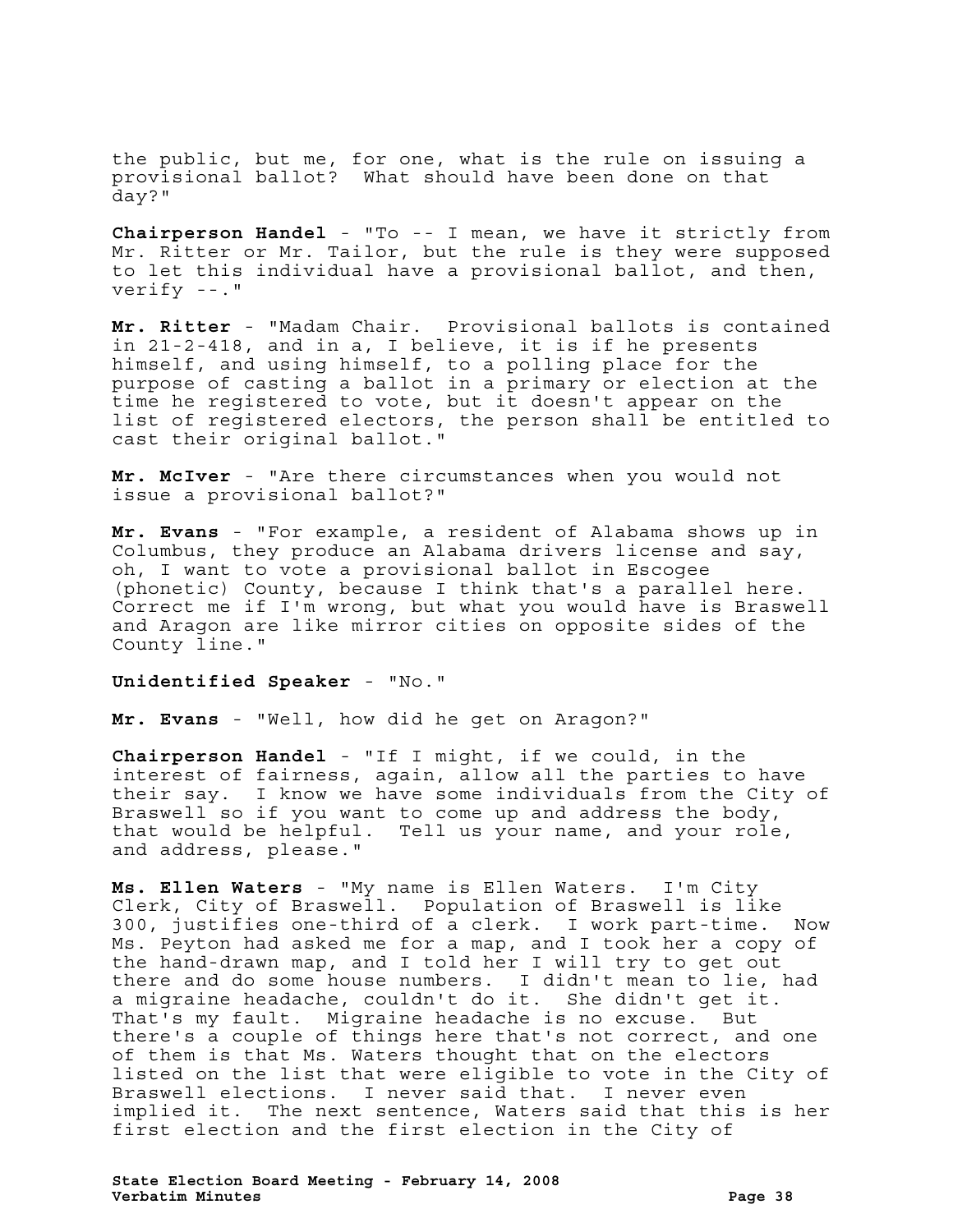the public, but me, for one, what is the rule on issuing a provisional ballot? What should have been done on that day?"

**Chairperson Handel** - "To -- I mean, we have it strictly from Mr. Ritter or Mr. Tailor, but the rule is they were supposed to let this individual have a provisional ballot, and then, verify --."

**Mr. Ritter** - "Madam Chair. Provisional ballots is contained in 21-2-418, and in a, I believe, it is if he presents himself, and using himself, to a polling place for the purpose of casting a ballot in a primary or election at the time he registered to vote, but it doesn't appear on the list of registered electors, the person shall be entitled to cast their original ballot."

**Mr. McIver** - "Are there circumstances when you would not issue a provisional ballot?"

**Mr. Evans** - "For example, a resident of Alabama shows up in Columbus, they produce an Alabama drivers license and say, oh, I want to vote a provisional ballot in Escogee (phonetic) County, because I think that's a parallel here. Correct me if I'm wrong, but what you would have is Braswell and Aragon are like mirror cities on opposite sides of the County line."

## **Unidentified Speaker** - "No."

**Mr. Evans** - "Well, how did he get on Aragon?"

**Chairperson Handel** - "If I might, if we could, in the interest of fairness, again, allow all the parties to have their say. I know we have some individuals from the City of Braswell so if you want to come up and address the body, that would be helpful. Tell us your name, and your role, and address, please."

**Ms. Ellen Waters** - "My name is Ellen Waters. I'm City Clerk, City of Braswell. Population of Braswell is like 300, justifies one-third of a clerk. I work part-time. Now Ms. Peyton had asked me for a map, and I took her a copy of the hand-drawn map, and I told her I will try to get out there and do some house numbers. I didn't mean to lie, had a migraine headache, couldn't do it. She didn't get it. That's my fault. Migraine headache is no excuse. But there's a couple of things here that's not correct, and one of them is that Ms. Waters thought that on the electors listed on the list that were eligible to vote in the City of Braswell elections. I never said that. I never even implied it. The next sentence, Waters said that this is her first election and the first election in the City of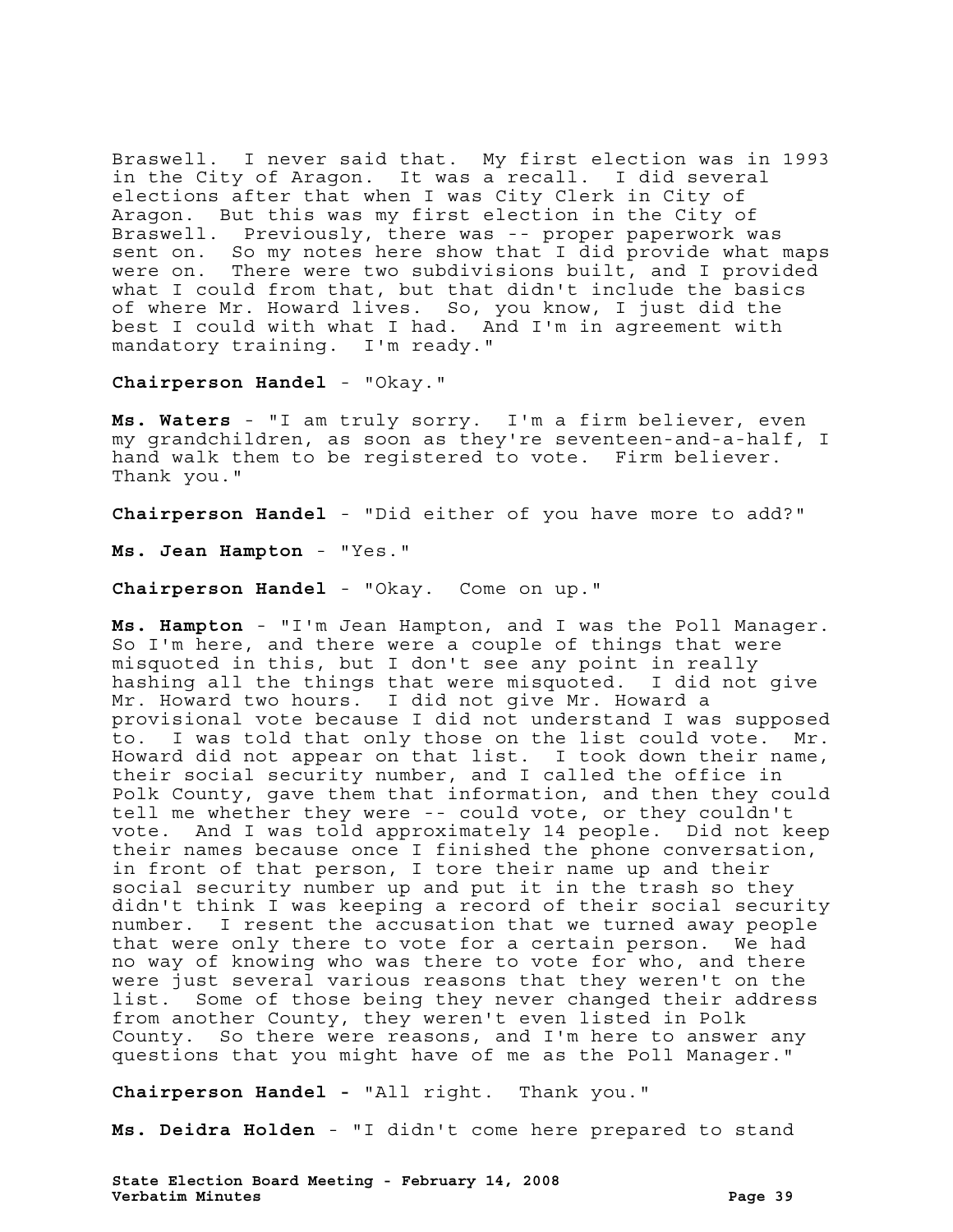Braswell. I never said that. My first election was in 1993 in the City of Aragon. It was a recall. I did several elections after that when I was City Clerk in City of Aragon. But this was my first election in the City of Braswell. Previously, there was -- proper paperwork was sent on. So my notes here show that I did provide what maps were on. There were two subdivisions built, and I provided what I could from that, but that didn't include the basics of where Mr. Howard lives. So, you know, I just did the best I could with what I had. And I'm in agreement with mandatory training. I'm ready."

**Chairperson Handel** - "Okay."

**Ms. Waters** - "I am truly sorry. I'm a firm believer, even my grandchildren, as soon as they're seventeen-and-a-half, I hand walk them to be registered to vote. Firm believer. Thank you."

**Chairperson Handel** - "Did either of you have more to add?"

**Ms. Jean Hampton** - "Yes."

**Chairperson Handel** - "Okay. Come on up."

**Ms. Hampton** - "I'm Jean Hampton, and I was the Poll Manager. So I'm here, and there were a couple of things that were misquoted in this, but I don't see any point in really hashing all the things that were misquoted. I did not give Mr. Howard two hours. I did not give Mr. Howard a provisional vote because I did not understand I was supposed to. I was told that only those on the list could vote. Mr. Howard did not appear on that list. I took down their name, their social security number, and I called the office in Polk County, gave them that information, and then they could tell me whether they were -- could vote, or they couldn't vote. And I was told approximately 14 people. Did not keep their names because once I finished the phone conversation, in front of that person, I tore their name up and their social security number up and put it in the trash so they didn't think I was keeping a record of their social security number. I resent the accusation that we turned away people that were only there to vote for a certain person. We had no way of knowing who was there to vote for who, and there were just several various reasons that they weren't on the list. Some of those being they never changed their address from another County, they weren't even listed in Polk County. So there were reasons, and I'm here to answer any questions that you might have of me as the Poll Manager."

**Chairperson Handel -** "All right. Thank you."

**Ms. Deidra Holden** - "I didn't come here prepared to stand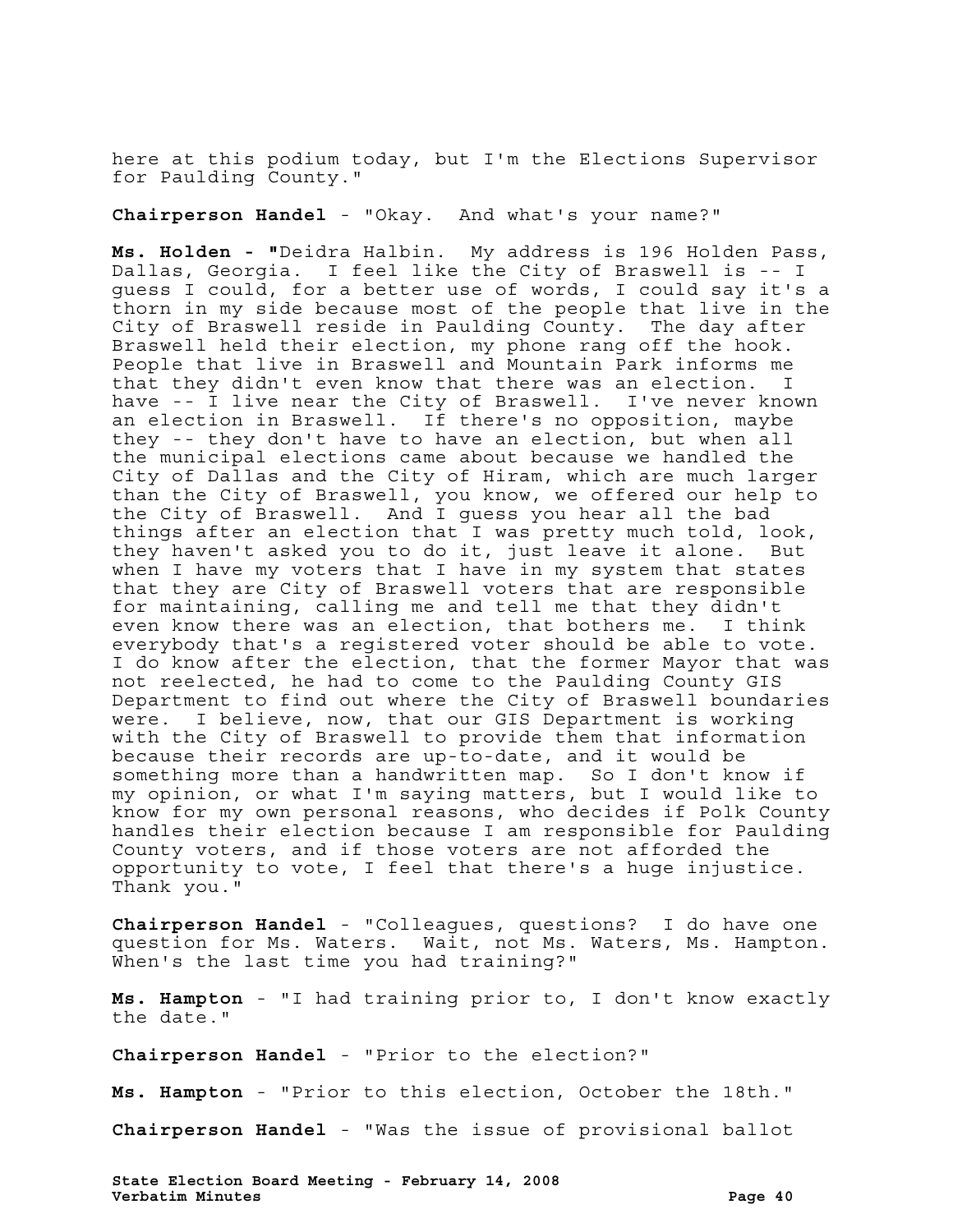here at this podium today, but I'm the Elections Supervisor for Paulding County."

**Chairperson Handel** - "Okay. And what's your name?"

**Ms. Holden - "**Deidra Halbin. My address is 196 Holden Pass, Dallas, Georgia. I feel like the City of Braswell is -- I guess I could, for a better use of words, I could say it's a thorn in my side because most of the people that live in the City of Braswell reside in Paulding County. The day after Braswell held their election, my phone rang off the hook. People that live in Braswell and Mountain Park informs me that they didn't even know that there was an election. I have  $-$  I live near the City of Braswell. I've never known an election in Braswell. If there's no opposition, maybe they -- they don't have to have an election, but when all the municipal elections came about because we handled the City of Dallas and the City of Hiram, which are much larger than the City of Braswell, you know, we offered our help to the City of Braswell. And I guess you hear all the bad things after an election that I was pretty much told, look, they haven't asked you to do it, just leave it alone. But when I have my voters that I have in my system that states that they are City of Braswell voters that are responsible for maintaining, calling me and tell me that they didn't even know there was an election, that bothers me. I think everybody that's a registered voter should be able to vote. I do know after the election, that the former Mayor that was not reelected, he had to come to the Paulding County GIS Department to find out where the City of Braswell boundaries were. I believe, now, that our GIS Department is working with the City of Braswell to provide them that information because their records are up-to-date, and it would be something more than a handwritten map. So I don't know if my opinion, or what I'm saying matters, but I would like to know for my own personal reasons, who decides if Polk County handles their election because I am responsible for Paulding County voters, and if those voters are not afforded the opportunity to vote, I feel that there's a huge injustice. Thank you."

**Chairperson Handel** - "Colleagues, questions? I do have one question for Ms. Waters. Wait, not Ms. Waters, Ms. Hampton. When's the last time you had training?"

**Ms. Hampton** - "I had training prior to, I don't know exactly the date."

**Chairperson Handel** - "Prior to the election?"

**Ms. Hampton** - "Prior to this election, October the 18th."

**Chairperson Handel** - "Was the issue of provisional ballot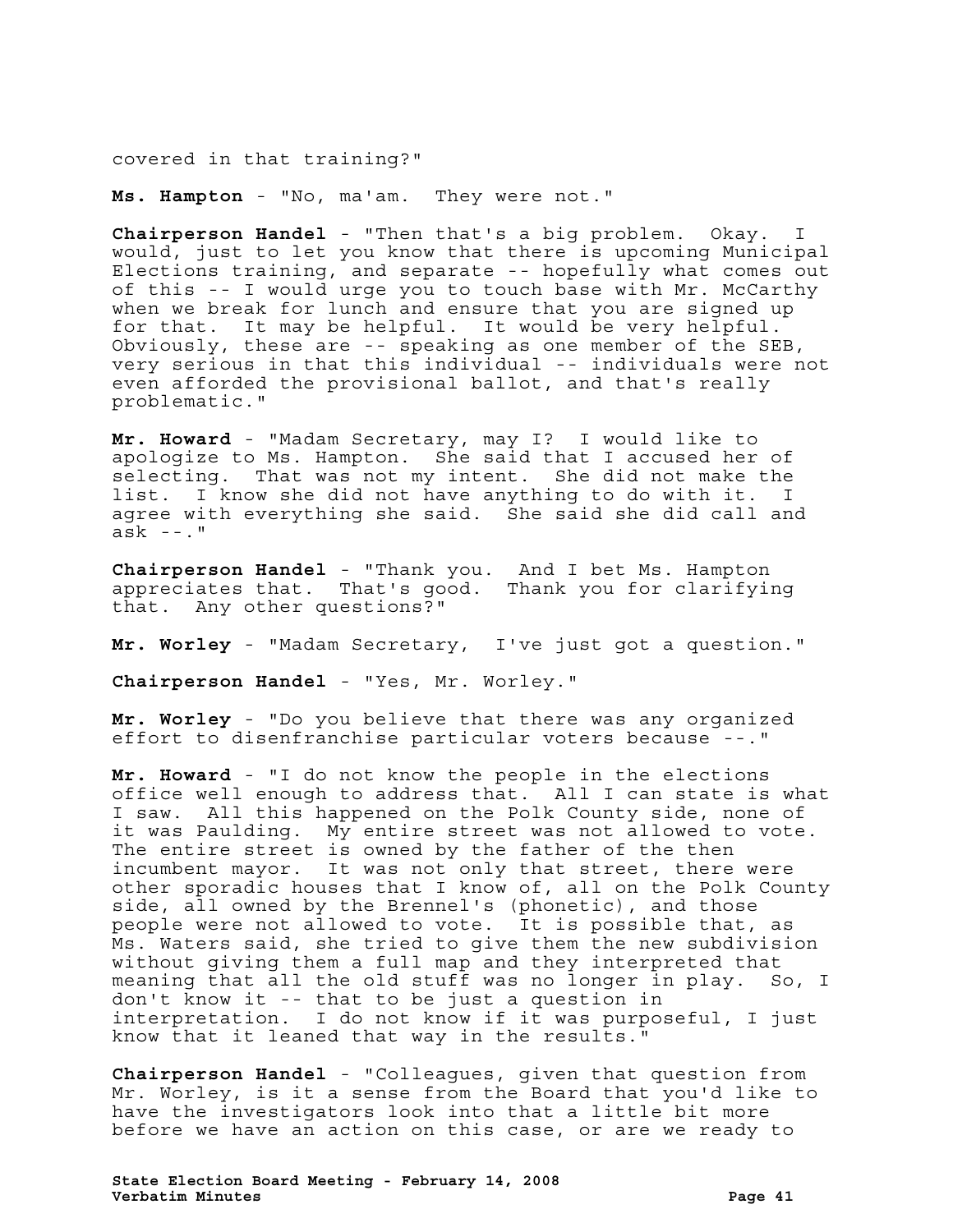covered in that training?"

**Ms. Hampton** - "No, ma'am. They were not."

**Chairperson Handel** - "Then that's a big problem. Okay. I would, just to let you know that there is upcoming Municipal Elections training, and separate -- hopefully what comes out of this -- I would urge you to touch base with Mr. McCarthy when we break for lunch and ensure that you are signed up for that. It may be helpful. It would be very helpful. Obviously, these are -- speaking as one member of the SEB, very serious in that this individual -- individuals were not even afforded the provisional ballot, and that's really problematic."

**Mr. Howard** - "Madam Secretary, may I? I would like to apologize to Ms. Hampton. She said that I accused her of selecting. That was not my intent. She did not make the list. I know she did not have anything to do with it. I agree with everything she said. She said she did call and ask --."

**Chairperson Handel** - "Thank you. And I bet Ms. Hampton appreciates that. That's good. Thank you for clarifying that. Any other questions?"

**Mr. Worley** - "Madam Secretary, I've just got a question."

**Chairperson Handel** - "Yes, Mr. Worley."

**Mr. Worley** - "Do you believe that there was any organized effort to disenfranchise particular voters because --."

**Mr. Howard** - "I do not know the people in the elections office well enough to address that. All I can state is what I saw. All this happened on the Polk County side, none of it was Paulding. My entire street was not allowed to vote. The entire street is owned by the father of the then incumbent mayor. It was not only that street, there were other sporadic houses that I know of, all on the Polk County side, all owned by the Brennel's (phonetic), and those people were not allowed to vote. It is possible that, as Ms. Waters said, she tried to give them the new subdivision without giving them a full map and they interpreted that meaning that all the old stuff was no longer in play. So, I don't know it -- that to be just a question in interpretation. I do not know if it was purposeful, I just know that it leaned that way in the results."

**Chairperson Handel** - "Colleagues, given that question from Mr. Worley, is it a sense from the Board that you'd like to have the investigators look into that a little bit more before we have an action on this case, or are we ready to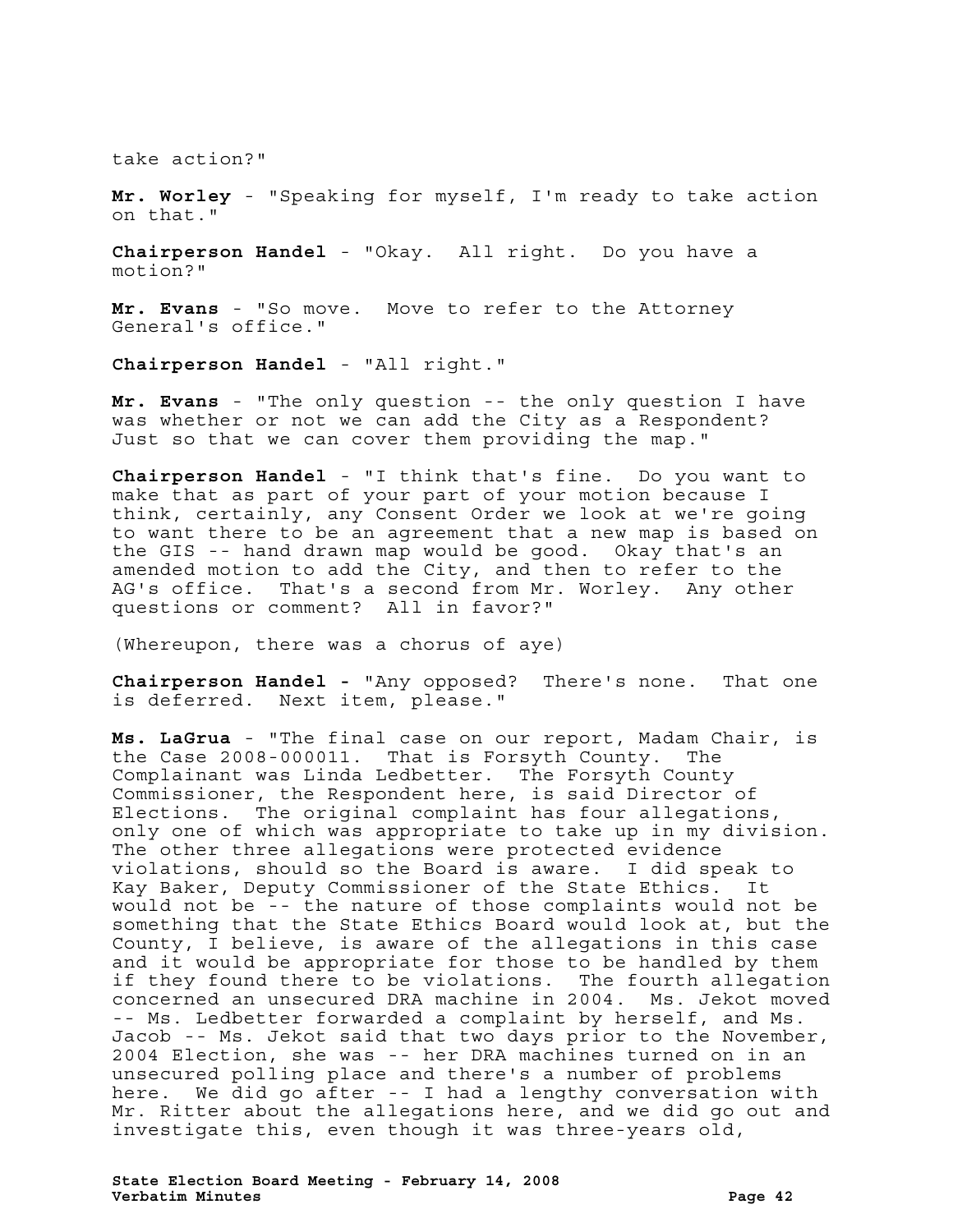take action?"

**Mr. Worley** - "Speaking for myself, I'm ready to take action on that."

**Chairperson Handel** - "Okay. All right. Do you have a motion?"

**Mr. Evans** - "So move. Move to refer to the Attorney General's office."

**Chairperson Handel** - "All right."

**Mr. Evans** - "The only question -- the only question I have was whether or not we can add the City as a Respondent? Just so that we can cover them providing the map."

**Chairperson Handel** - "I think that's fine. Do you want to make that as part of your part of your motion because I think, certainly, any Consent Order we look at we're going to want there to be an agreement that a new map is based on the GIS -- hand drawn map would be good. Okay that's an amended motion to add the City, and then to refer to the AG's office. That's a second from Mr. Worley. Any other questions or comment? All in favor?"

(Whereupon, there was a chorus of aye)

**Chairperson Handel -** "Any opposed? There's none. That one is deferred. Next item, please."

**Ms. LaGrua** - "The final case on our report, Madam Chair, is the Case 2008-000011. That is Forsyth County. The Complainant was Linda Ledbetter. The Forsyth County Commissioner, the Respondent here, is said Director of Elections. The original complaint has four allegations, only one of which was appropriate to take up in my division. The other three allegations were protected evidence violations, should so the Board is aware. I did speak to Kay Baker, Deputy Commissioner of the State Ethics. It would not be -- the nature of those complaints would not be something that the State Ethics Board would look at, but the County, I believe, is aware of the allegations in this case and it would be appropriate for those to be handled by them if they found there to be violations. The fourth allegation concerned an unsecured DRA machine in 2004. Ms. Jekot moved -- Ms. Ledbetter forwarded a complaint by herself, and Ms. Jacob -- Ms. Jekot said that two days prior to the November, 2004 Election, she was -- her DRA machines turned on in an unsecured polling place and there's a number of problems here. We did go after -- I had a lengthy conversation with Mr. Ritter about the allegations here, and we did go out and investigate this, even though it was three-years old,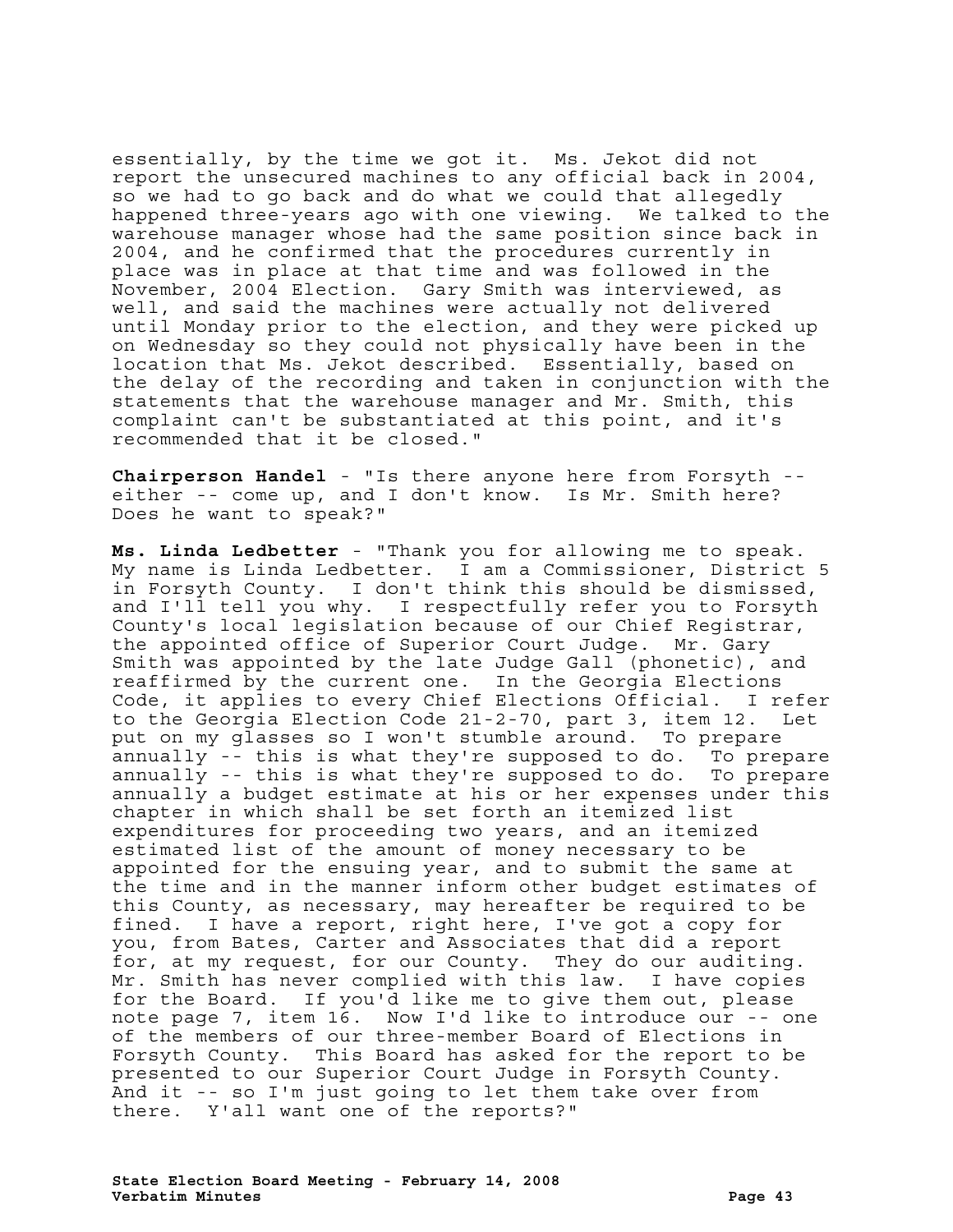essentially, by the time we got it. Ms. Jekot did not report the unsecured machines to any official back in 2004, so we had to go back and do what we could that allegedly happened three-years ago with one viewing. We talked to the warehouse manager whose had the same position since back in 2004, and he confirmed that the procedures currently in place was in place at that time and was followed in the November, 2004 Election. Gary Smith was interviewed, as well, and said the machines were actually not delivered until Monday prior to the election, and they were picked up on Wednesday so they could not physically have been in the location that Ms. Jekot described. Essentially, based on the delay of the recording and taken in conjunction with the statements that the warehouse manager and Mr. Smith, this complaint can't be substantiated at this point, and it's recommended that it be closed."

**Chairperson Handel** - "Is there anyone here from Forsyth - either -- come up, and I don't know. Is Mr. Smith here? Does he want to speak?"

**Ms. Linda Ledbetter** - "Thank you for allowing me to speak. My name is Linda Ledbetter. I am a Commissioner, District 5 in Forsyth County. I don't think this should be dismissed, and I'll tell you why. I respectfully refer you to Forsyth County's local legislation because of our Chief Registrar, the appointed office of Superior Court Judge. Mr. Gary Smith was appointed by the late Judge Gall (phonetic), and reaffirmed by the current one. In the Georgia Elections Code, it applies to every Chief Elections Official. I refer to the Georgia Election Code 21-2-70, part 3, item 12. Let put on my glasses so I won't stumble around. To prepare annually -- this is what they're supposed to do. To prepare annually -- this is what they're supposed to do. To prepare annually a budget estimate at his or her expenses under this chapter in which shall be set forth an itemized list expenditures for proceeding two years, and an itemized estimated list of the amount of money necessary to be appointed for the ensuing year, and to submit the same at the time and in the manner inform other budget estimates of this County, as necessary, may hereafter be required to be fined. I have a report, right here, I've got a copy for you, from Bates, Carter and Associates that did a report for, at my request, for our County. They do our auditing. Mr. Smith has never complied with this law. I have copies for the Board. If you'd like me to give them out, please note page 7, item 16. Now I'd like to introduce our -- one of the members of our three-member Board of Elections in Forsyth County. This Board has asked for the report to be presented to our Superior Court Judge in Forsyth County. And it -- so I'm just going to let them take over from there. Y'all want one of the reports?"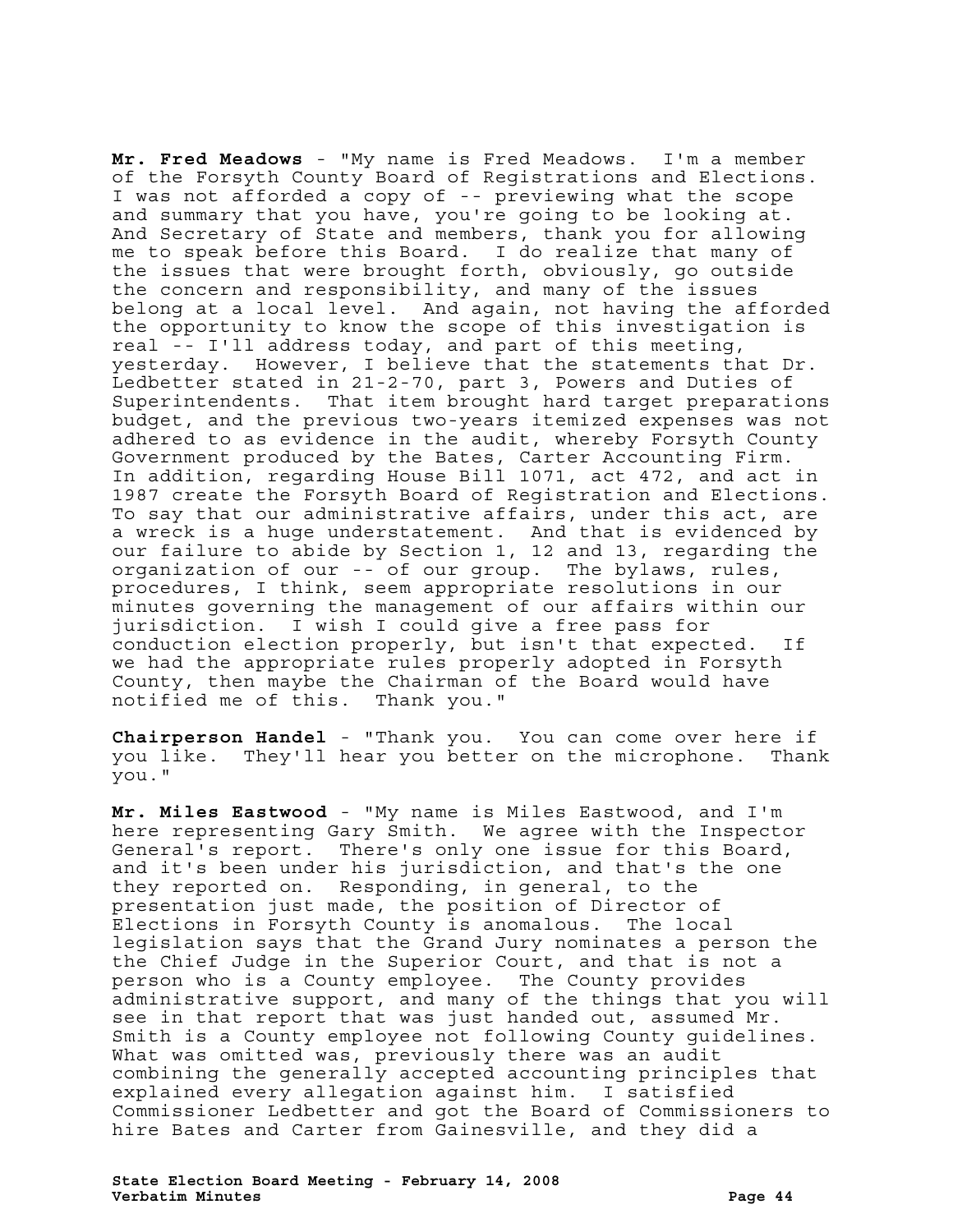**Mr. Fred Meadows** - "My name is Fred Meadows. I'm a member of the Forsyth County Board of Registrations and Elections. I was not afforded a copy of -- previewing what the scope and summary that you have, you're going to be looking at. And Secretary of State and members, thank you for allowing me to speak before this Board. I do realize that many of the issues that were brought forth, obviously, go outside the concern and responsibility, and many of the issues belong at a local level. And again, not having the afforded the opportunity to know the scope of this investigation is real -- I'll address today, and part of this meeting, yesterday. However, I believe that the statements that Dr. Ledbetter stated in 21-2-70, part 3, Powers and Duties of Superintendents. That item brought hard target preparations budget, and the previous two-years itemized expenses was not adhered to as evidence in the audit, whereby Forsyth County Government produced by the Bates, Carter Accounting Firm. In addition, regarding House Bill 1071, act 472, and act in 1987 create the Forsyth Board of Registration and Elections. To say that our administrative affairs, under this act, are a wreck is a huge understatement. And that is evidenced by our failure to abide by Section 1, 12 and 13, regarding the organization of our -- of our group. The bylaws, rules, procedures, I think, seem appropriate resolutions in our minutes governing the management of our affairs within our jurisdiction. I wish I could give a free pass for conduction election properly, but isn't that expected. If we had the appropriate rules properly adopted in Forsyth County, then maybe the Chairman of the Board would have notified me of this. Thank you."

**Chairperson Handel** - "Thank you. You can come over here if you like. They'll hear you better on the microphone. Thank you."

**Mr. Miles Eastwood** - "My name is Miles Eastwood, and I'm here representing Gary Smith. We agree with the Inspector General's report. There's only one issue for this Board, and it's been under his jurisdiction, and that's the one they reported on. Responding, in general, to the presentation just made, the position of Director of Elections in Forsyth County is anomalous. The local legislation says that the Grand Jury nominates a person the the Chief Judge in the Superior Court, and that is not a person who is a County employee. The County provides administrative support, and many of the things that you will see in that report that was just handed out, assumed Mr. Smith is a County employee not following County guidelines. What was omitted was, previously there was an audit combining the generally accepted accounting principles that explained every allegation against him. I satisfied Commissioner Ledbetter and got the Board of Commissioners to hire Bates and Carter from Gainesville, and they did a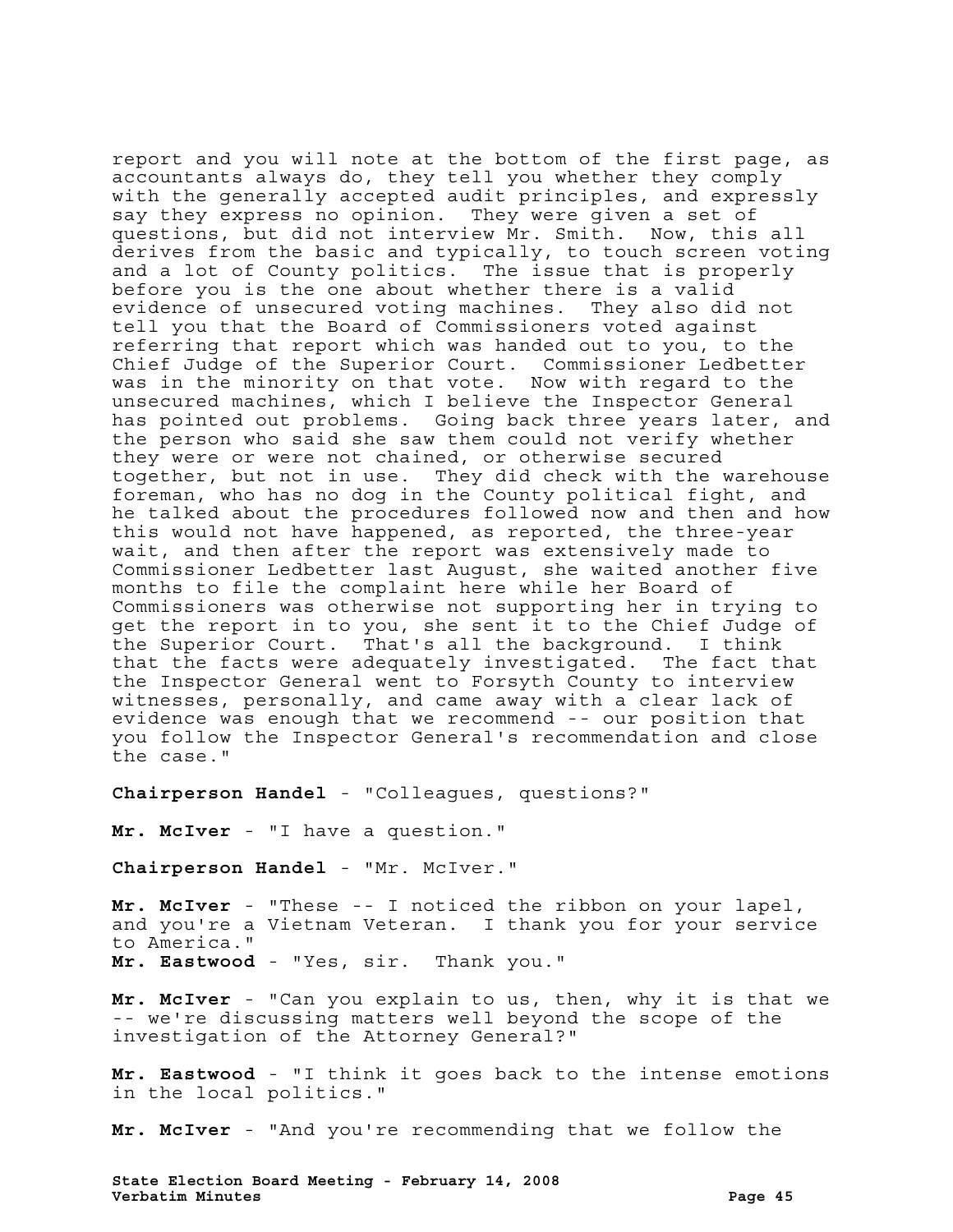report and you will note at the bottom of the first page, as accountants always do, they tell you whether they comply with the generally accepted audit principles, and expressly say they express no opinion. They were given a set of questions, but did not interview Mr. Smith. Now, this all derives from the basic and typically, to touch screen voting and a lot of County politics. The issue that is properly before you is the one about whether there is a valid evidence of unsecured voting machines. They also did not tell you that the Board of Commissioners voted against referring that report which was handed out to you, to the Chief Judge of the Superior Court. Commissioner Ledbetter was in the minority on that vote. Now with regard to the unsecured machines, which I believe the Inspector General has pointed out problems. Going back three years later, and the person who said she saw them could not verify whether they were or were not chained, or otherwise secured together, but not in use. They did check with the warehouse foreman, who has no dog in the County political fight, and he talked about the procedures followed now and then and how this would not have happened, as reported, the three-year wait, and then after the report was extensively made to Commissioner Ledbetter last August, she waited another five months to file the complaint here while her Board of Commissioners was otherwise not supporting her in trying to get the report in to you, she sent it to the Chief Judge of the Superior Court. That's all the background. I think that the facts were adequately investigated. The fact that the Inspector General went to Forsyth County to interview witnesses, personally, and came away with a clear lack of evidence was enough that we recommend -- our position that you follow the Inspector General's recommendation and close the case."

**Chairperson Handel** - "Colleagues, questions?"

**Mr. McIver** - "I have a question."

**Chairperson Handel** - "Mr. McIver."

**Mr. McIver** - "These -- I noticed the ribbon on your lapel, and you're a Vietnam Veteran. I thank you for your service to America." **Mr. Eastwood** - "Yes, sir. Thank you."

**Mr. McIver** - "Can you explain to us, then, why it is that we -- we're discussing matters well beyond the scope of the investigation of the Attorney General?"

**Mr. Eastwood** - "I think it goes back to the intense emotions in the local politics."

**Mr. McIver** - "And you're recommending that we follow the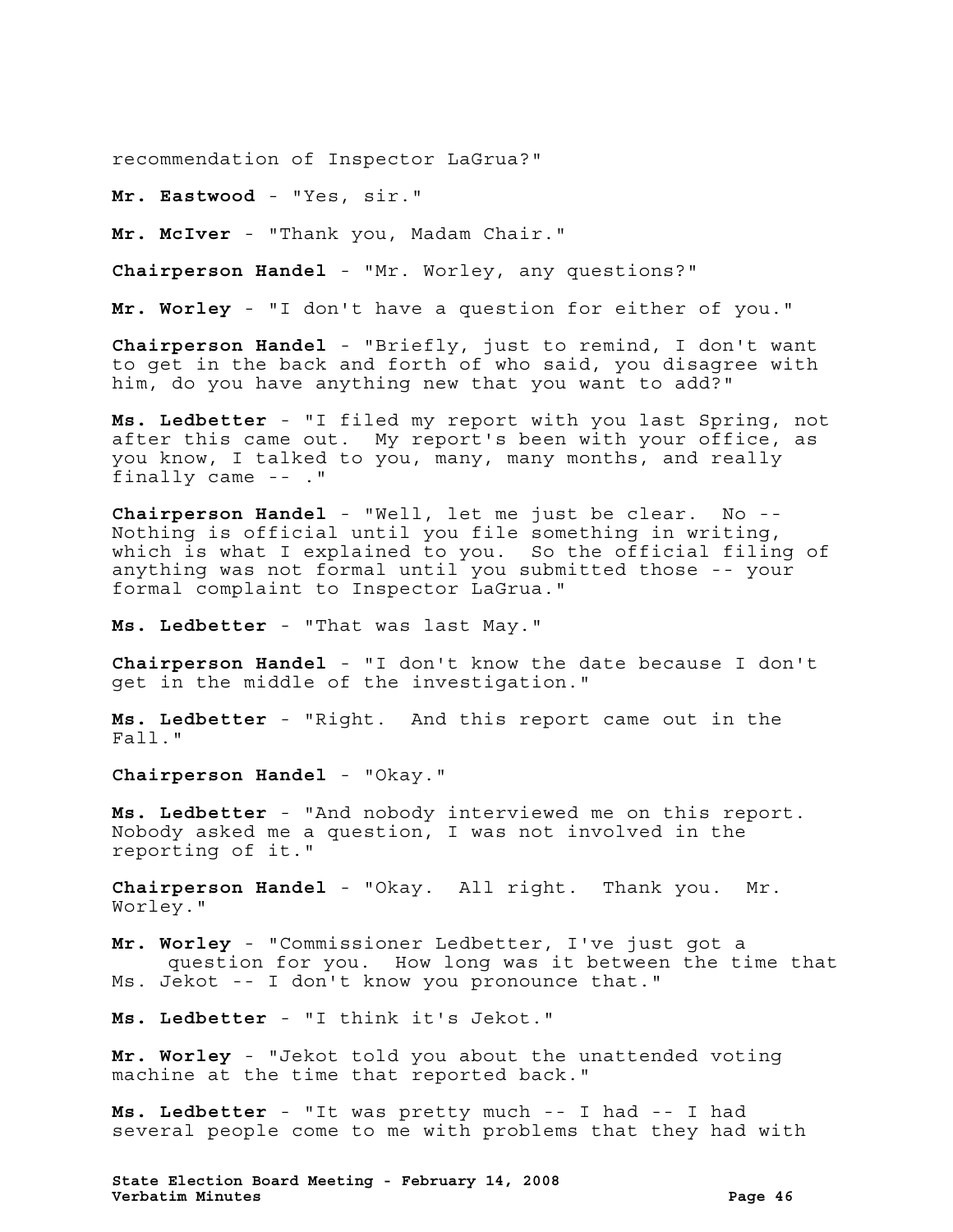recommendation of Inspector LaGrua?"

**Mr. Eastwood** - "Yes, sir."

**Mr. McIver** - "Thank you, Madam Chair."

**Chairperson Handel** - "Mr. Worley, any questions?"

**Mr. Worley** - "I don't have a question for either of you."

**Chairperson Handel** - "Briefly, just to remind, I don't want to get in the back and forth of who said, you disagree with him, do you have anything new that you want to add?"

**Ms. Ledbetter** - "I filed my report with you last Spring, not after this came out. My report's been with your office, as you know, I talked to you, many, many months, and really finally came -- ."

**Chairperson Handel** - "Well, let me just be clear. No -- Nothing is official until you file something in writing, which is what I explained to you. So the official filing of anything was not formal until you submitted those -- your formal complaint to Inspector LaGrua."

**Ms. Ledbetter** - "That was last May."

**Chairperson Handel** - "I don't know the date because I don't get in the middle of the investigation."

**Ms. Ledbetter** - "Right. And this report came out in the Fall."

**Chairperson Handel** - "Okay."

**Ms. Ledbetter** - "And nobody interviewed me on this report. Nobody asked me a question, I was not involved in the reporting of it."

**Chairperson Handel** - "Okay. All right. Thank you. Mr. Worley."

**Mr. Worley** - "Commissioner Ledbetter, I've just got a question for you. How long was it between the time that Ms. Jekot -- I don't know you pronounce that."

**Ms. Ledbetter** - "I think it's Jekot."

**Mr. Worley** - "Jekot told you about the unattended voting machine at the time that reported back."

**Ms. Ledbetter** - "It was pretty much -- I had -- I had several people come to me with problems that they had with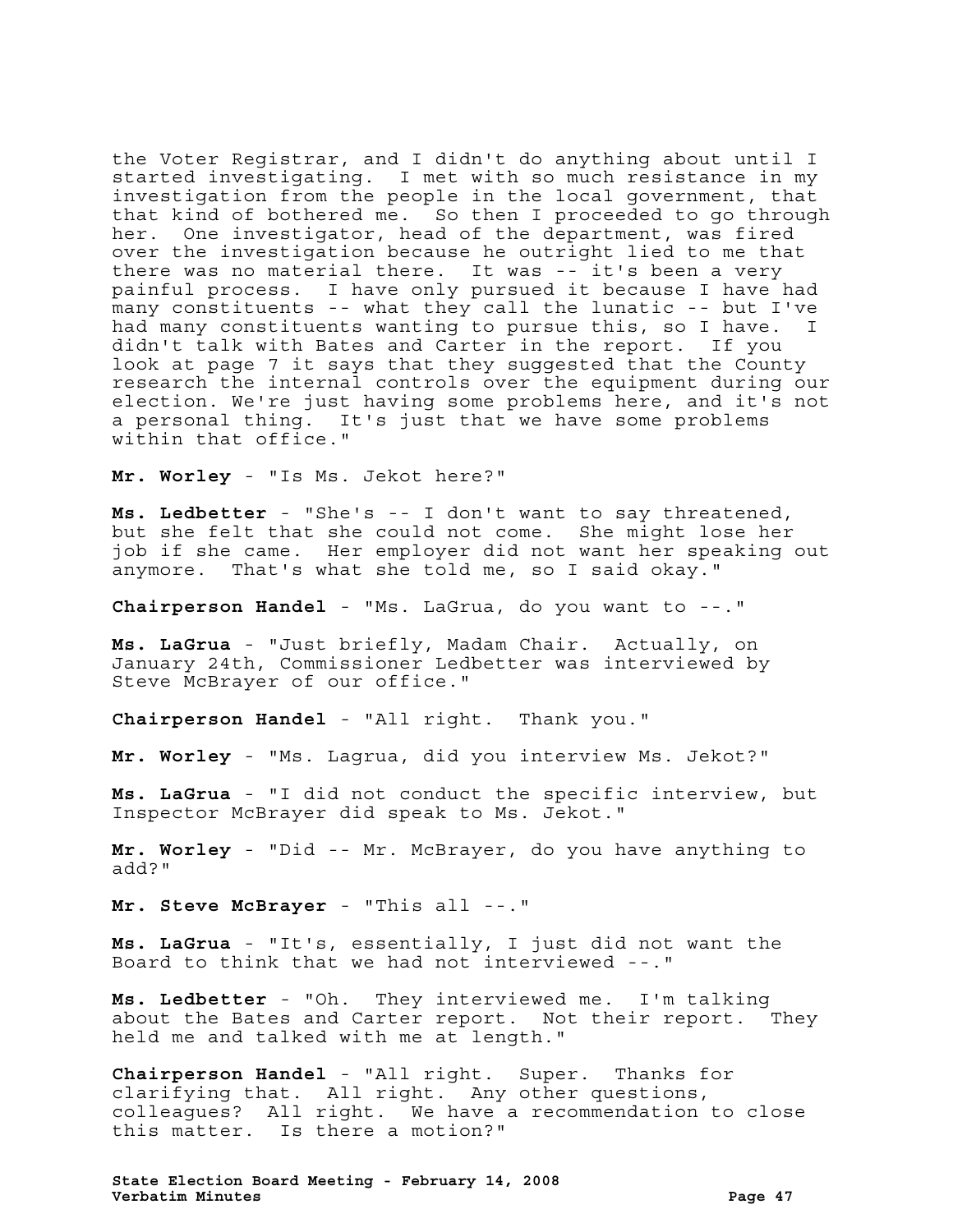the Voter Registrar, and I didn't do anything about until I started investigating. I met with so much resistance in my investigation from the people in the local government, that that kind of bothered me. So then I proceeded to go through her. One investigator, head of the department, was fired over the investigation because he outright lied to me that there was no material there. It was -- it's been a very painful process. I have only pursued it because I have had many constituents -- what they call the lunatic -- but I've had many constituents wanting to pursue this, so I have. I didn't talk with Bates and Carter in the report. If you look at page 7 it says that they suggested that the County research the internal controls over the equipment during our election. We're just having some problems here, and it's not a personal thing. It's just that we have some problems within that office."

**Mr. Worley** - "Is Ms. Jekot here?"

**Ms. Ledbetter** - "She's -- I don't want to say threatened, but she felt that she could not come. She might lose her job if she came. Her employer did not want her speaking out anymore. That's what she told me, so I said okay."

**Chairperson Handel** - "Ms. LaGrua, do you want to --."

**Ms. LaGrua** - "Just briefly, Madam Chair. Actually, on January 24th, Commissioner Ledbetter was interviewed by Steve McBrayer of our office."

**Chairperson Handel** - "All right. Thank you."

**Mr. Worley** - "Ms. Lagrua, did you interview Ms. Jekot?"

**Ms. LaGrua** - "I did not conduct the specific interview, but Inspector McBrayer did speak to Ms. Jekot."

**Mr. Worley** - "Did -- Mr. McBrayer, do you have anything to add?"

**Mr. Steve McBrayer** - "This all --."

**Ms. LaGrua** - "It's, essentially, I just did not want the Board to think that we had not interviewed --."

**Ms. Ledbetter** - "Oh. They interviewed me. I'm talking about the Bates and Carter report. Not their report. They held me and talked with me at length."

**Chairperson Handel** - "All right. Super. Thanks for clarifying that. All right. Any other questions, colleagues? All right. We have a recommendation to close this matter. Is there a motion?"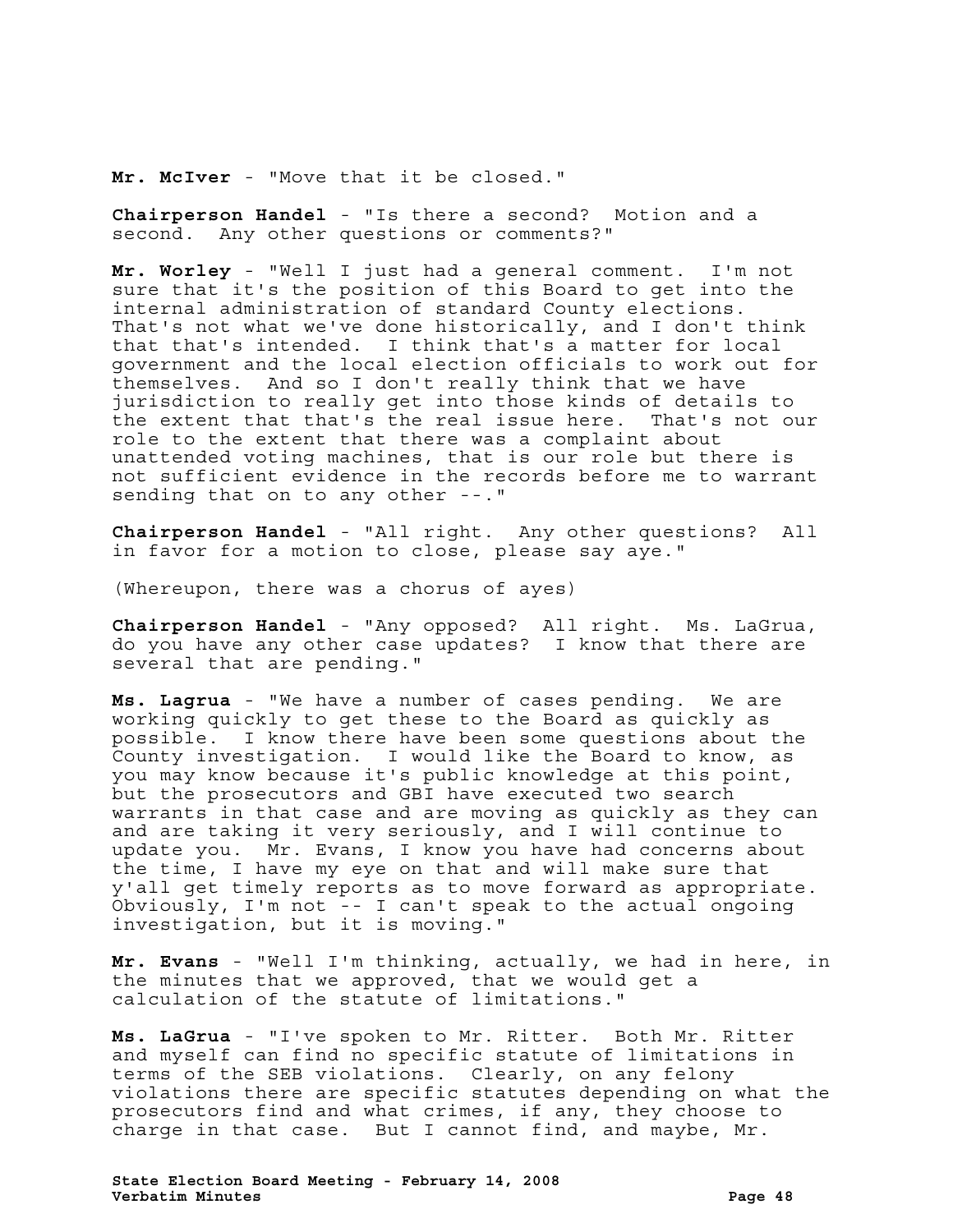**Mr. McIver** - "Move that it be closed."

**Chairperson Handel** - "Is there a second? Motion and a second. Any other questions or comments?"

**Mr. Worley** - "Well I just had a general comment. I'm not sure that it's the position of this Board to get into the internal administration of standard County elections. That's not what we've done historically, and I don't think that that's intended. I think that's a matter for local government and the local election officials to work out for themselves. And so I don't really think that we have jurisdiction to really get into those kinds of details to<br>the extent that that's the real issue here. That's not our the extent that that's the real issue here. role to the extent that there was a complaint about unattended voting machines, that is our role but there is not sufficient evidence in the records before me to warrant sending that on to any other --."

**Chairperson Handel** - "All right. Any other questions? All in favor for a motion to close, please say aye."

(Whereupon, there was a chorus of ayes)

**Chairperson Handel** - "Any opposed? All right. Ms. LaGrua, do you have any other case updates? I know that there are several that are pending."

**Ms. Lagrua** - "We have a number of cases pending. We are working quickly to get these to the Board as quickly as possible. I know there have been some questions about the County investigation. I would like the Board to know, as you may know because it's public knowledge at this point, but the prosecutors and GBI have executed two search warrants in that case and are moving as quickly as they can and are taking it very seriously, and I will continue to update you. Mr. Evans, I know you have had concerns about the time, I have my eye on that and will make sure that y'all get timely reports as to move forward as appropriate. Obviously, I'm not -- I can't speak to the actual ongoing investigation, but it is moving."

**Mr. Evans** - "Well I'm thinking, actually, we had in here, in the minutes that we approved, that we would get a calculation of the statute of limitations."

**Ms. LaGrua** - "I've spoken to Mr. Ritter. Both Mr. Ritter and myself can find no specific statute of limitations in terms of the SEB violations. Clearly, on any felony violations there are specific statutes depending on what the prosecutors find and what crimes, if any, they choose to charge in that case. But I cannot find, and maybe, Mr.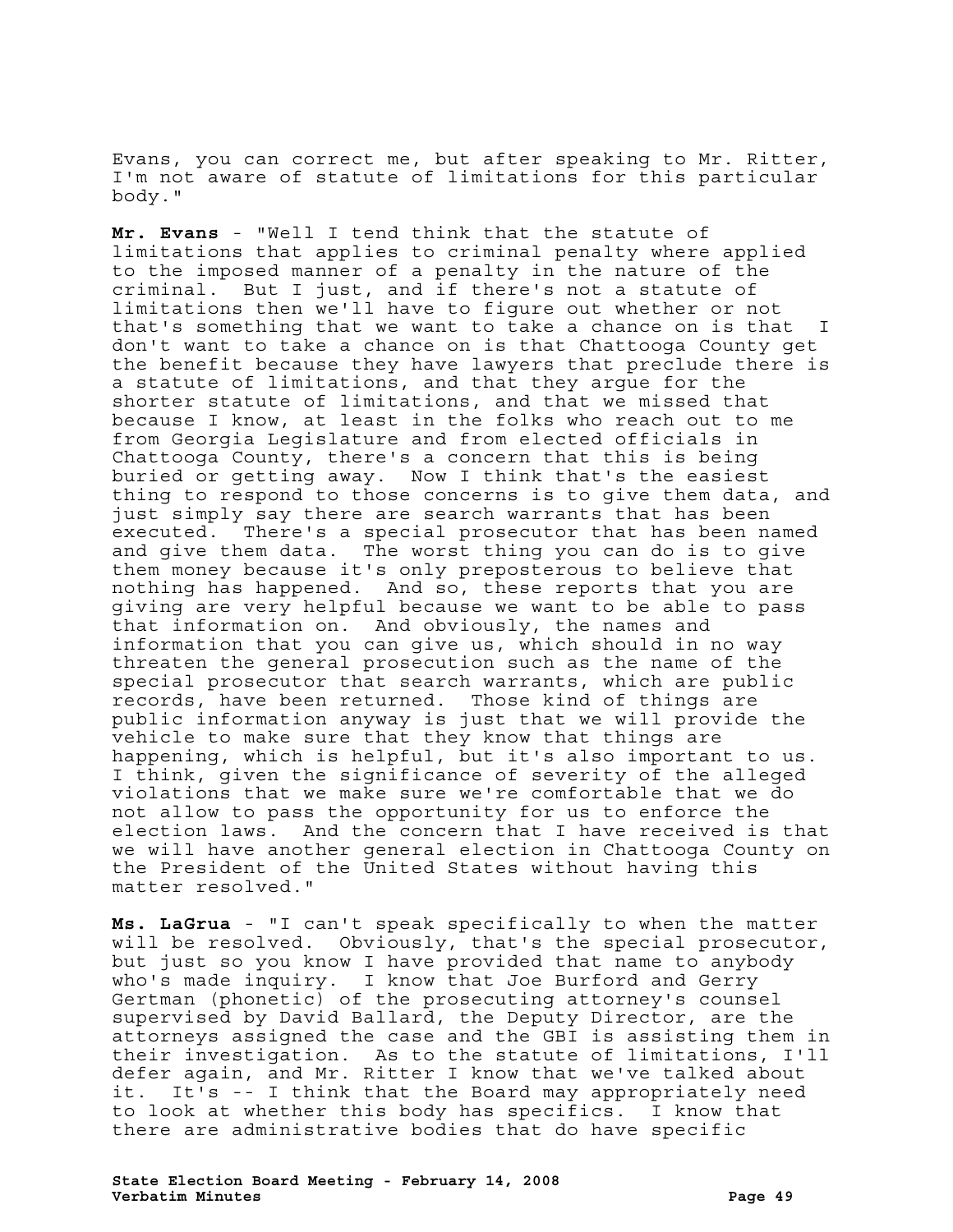Evans, you can correct me, but after speaking to Mr. Ritter, I'm not aware of statute of limitations for this particular body."

**Mr. Evans** - "Well I tend think that the statute of limitations that applies to criminal penalty where applied to the imposed manner of a penalty in the nature of the criminal. But I just, and if there's not a statute of limitations then we'll have to figure out whether or not that's something that we want to take a chance on is that I don't want to take a chance on is that Chattooga County get the benefit because they have lawyers that preclude there is a statute of limitations, and that they argue for the shorter statute of limitations, and that we missed that because I know, at least in the folks who reach out to me from Georgia Legislature and from elected officials in Chattooga County, there's a concern that this is being buried or getting away. Now I think that's the easiest thing to respond to those concerns is to give them data, and just simply say there are search warrants that has been executed. There's a special prosecutor that has been named and give them data. The worst thing you can do is to give them money because it's only preposterous to believe that nothing has happened. And so, these reports that you are giving are very helpful because we want to be able to pass that information on. And obviously, the names and information that you can give us, which should in no way threaten the general prosecution such as the name of the special prosecutor that search warrants, which are public records, have been returned. Those kind of things are public information anyway is just that we will provide the vehicle to make sure that they know that things are happening, which is helpful, but it's also important to us. I think, given the significance of severity of the alleged violations that we make sure we're comfortable that we do not allow to pass the opportunity for us to enforce the election laws. And the concern that I have received is that we will have another general election in Chattooga County on the President of the United States without having this matter resolved."

**Ms. LaGrua** - "I can't speak specifically to when the matter will be resolved. Obviously, that's the special prosecutor, but just so you know I have provided that name to anybody who's made inquiry. I know that Joe Burford and Gerry Gertman (phonetic) of the prosecuting attorney's counsel supervised by David Ballard, the Deputy Director, are the attorneys assigned the case and the GBI is assisting them in their investigation. As to the statute of limitations, I'll defer again, and Mr. Ritter I know that we've talked about it. It's -- I think that the Board may appropriately need to look at whether this body has specifics. I know that there are administrative bodies that do have specific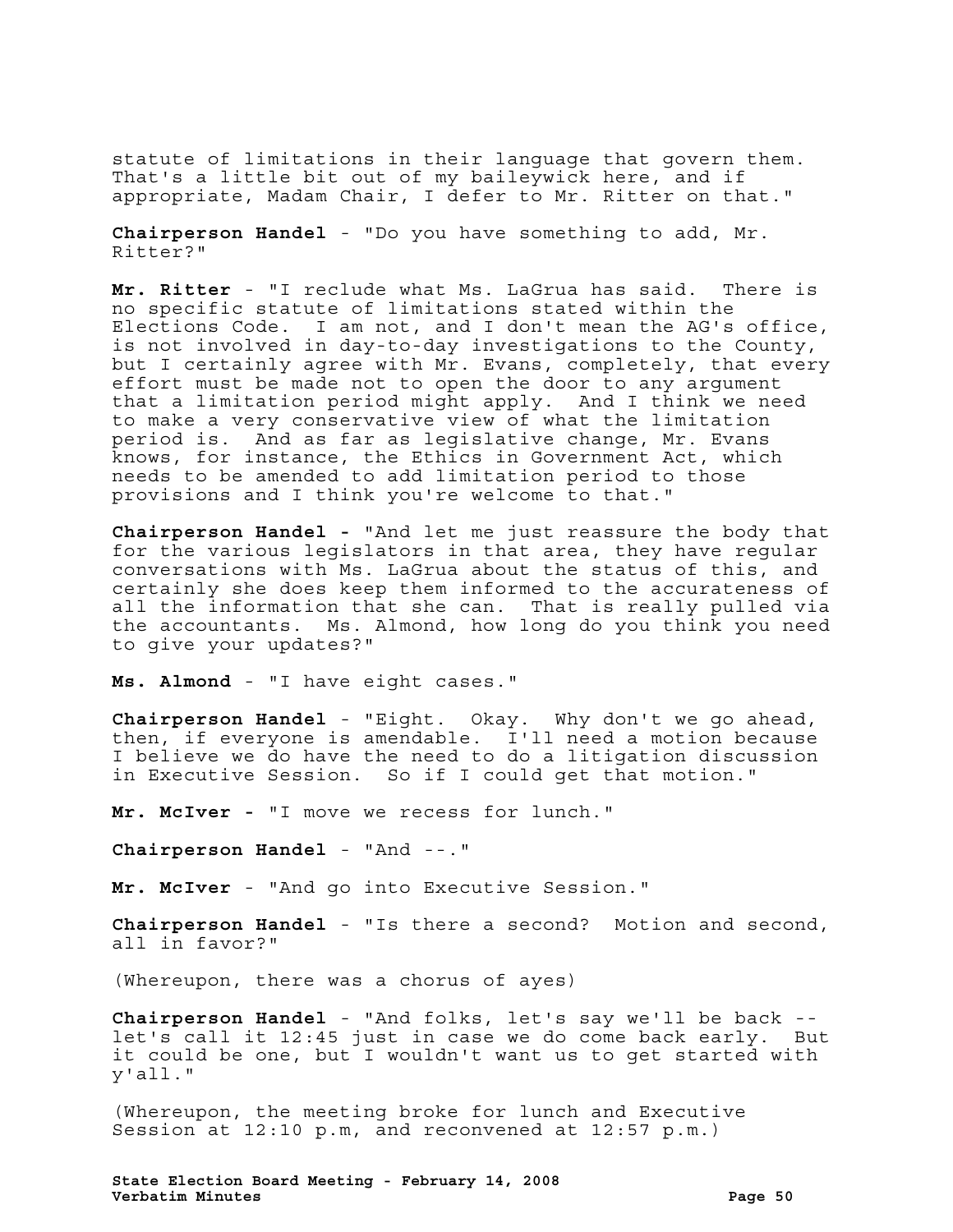statute of limitations in their language that govern them. That's a little bit out of my baileywick here, and if appropriate, Madam Chair, I defer to Mr. Ritter on that."

**Chairperson Handel** - "Do you have something to add, Mr. Ritter?"

**Mr. Ritter** - "I reclude what Ms. LaGrua has said. There is no specific statute of limitations stated within the Elections Code. I am not, and I don't mean the AG's office, is not involved in day-to-day investigations to the County, but I certainly agree with Mr. Evans, completely, that every effort must be made not to open the door to any argument that a limitation period might apply. And I think we need to make a very conservative view of what the limitation period is. And as far as legislative change, Mr. Evans knows, for instance, the Ethics in Government Act, which needs to be amended to add limitation period to those provisions and I think you're welcome to that."

**Chairperson Handel -** "And let me just reassure the body that for the various legislators in that area, they have regular conversations with Ms. LaGrua about the status of this, and certainly she does keep them informed to the accurateness of all the information that she can. That is really pulled via the accountants. Ms. Almond, how long do you think you need to give your updates?"

**Ms. Almond** - "I have eight cases."

**Chairperson Handel** - "Eight. Okay. Why don't we go ahead, then, if everyone is amendable. I'll need a motion because I believe we do have the need to do a litigation discussion in Executive Session. So if I could get that motion."

**Mr. McIver -** "I move we recess for lunch."

**Chairperson Handel** - "And --."

**Mr. McIver** - "And go into Executive Session."

**Chairperson Handel** - "Is there a second? Motion and second, all in favor?"

(Whereupon, there was a chorus of ayes)

**Chairperson Handel** - "And folks, let's say we'll be back - let's call it 12:45 just in case we do come back early. But it could be one, but I wouldn't want us to get started with y'all."

(Whereupon, the meeting broke for lunch and Executive Session at 12:10 p.m, and reconvened at 12:57 p.m.)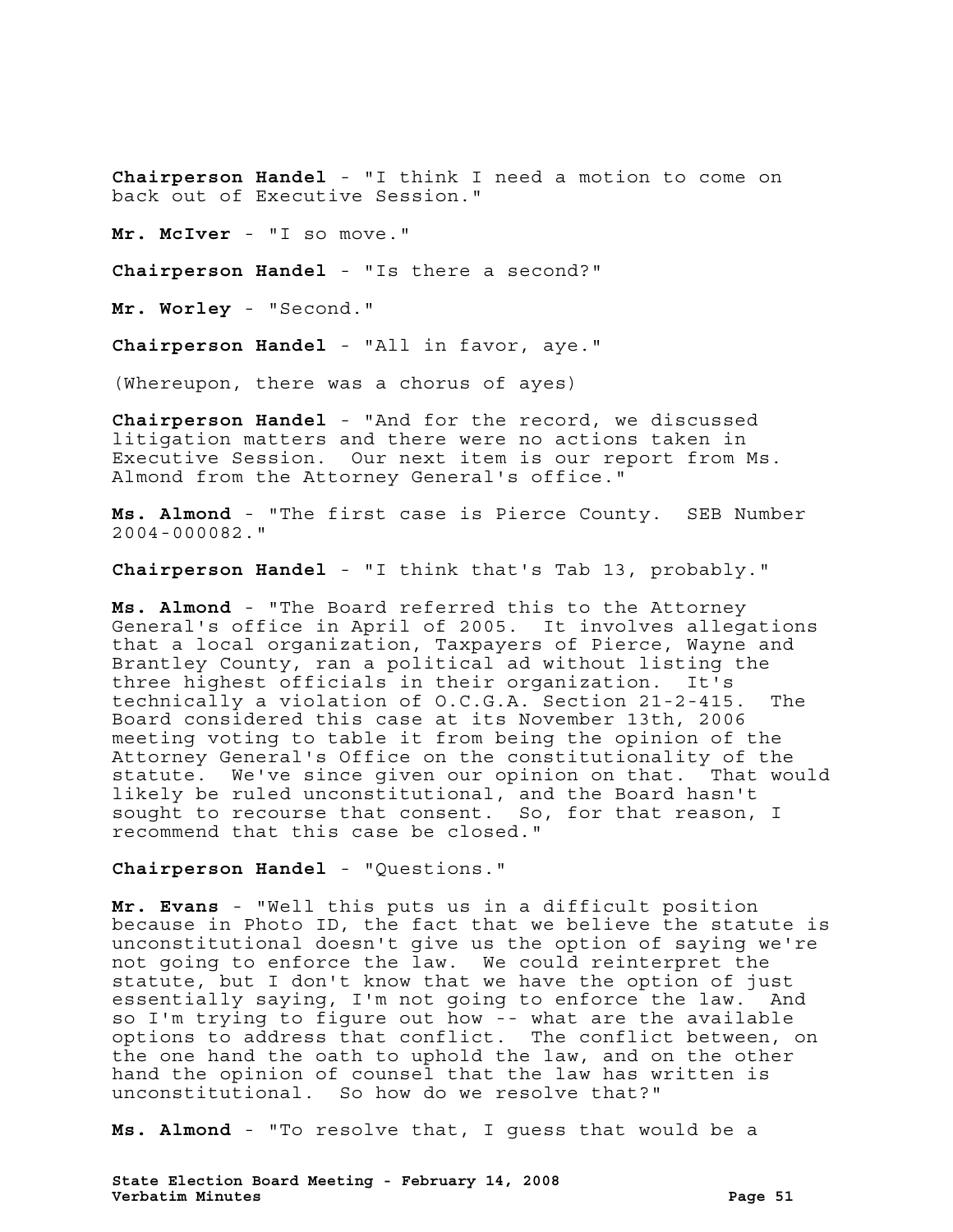**Chairperson Handel** - "I think I need a motion to come on back out of Executive Session."

**Mr. McIver** - "I so move."

**Chairperson Handel** - "Is there a second?"

**Mr. Worley** - "Second."

**Chairperson Handel** - "All in favor, aye."

(Whereupon, there was a chorus of ayes)

**Chairperson Handel** - "And for the record, we discussed litigation matters and there were no actions taken in Executive Session. Our next item is our report from Ms. Almond from the Attorney General's office."

**Ms. Almond** - "The first case is Pierce County. SEB Number 2004-000082."

**Chairperson Handel** - "I think that's Tab 13, probably."

**Ms. Almond** - "The Board referred this to the Attorney General's office in April of 2005. It involves allegations that a local organization, Taxpayers of Pierce, Wayne and Brantley County, ran a political ad without listing the three highest officials in their organization. It's technically a violation of O.C.G.A. Section 21-2-415. The Board considered this case at its November 13th, 2006 meeting voting to table it from being the opinion of the Attorney General's Office on the constitutionality of the statute. We've since given our opinion on that. That would likely be ruled unconstitutional, and the Board hasn't sought to recourse that consent. So, for that reason, I recommend that this case be closed."

**Chairperson Handel** - "Questions."

**Mr. Evans** - "Well this puts us in a difficult position because in Photo ID, the fact that we believe the statute is unconstitutional doesn't give us the option of saying we're not going to enforce the law. We could reinterpret the statute, but I don't know that we have the option of just essentially saying, I'm not going to enforce the law. And so I'm trying to figure out how -- what are the available options to address that conflict. The conflict between, on the one hand the oath to uphold the law, and on the other hand the opinion of counsel that the law has written is unconstitutional. So how do we resolve that?"

**Ms. Almond** - "To resolve that, I guess that would be a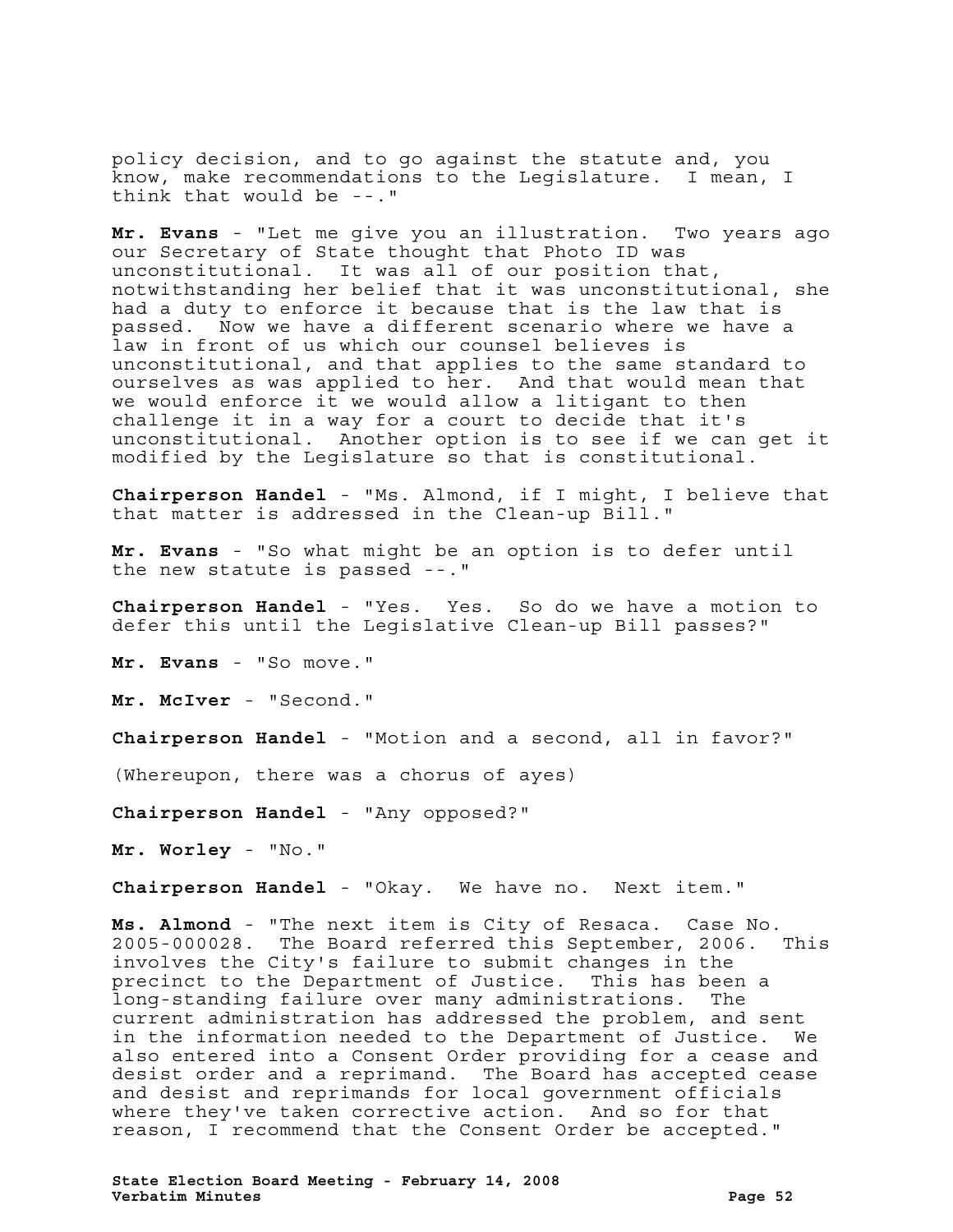policy decision, and to go against the statute and, you know, make recommendations to the Legislature. I mean, I think that would be --."

**Mr. Evans** - "Let me give you an illustration. Two years ago our Secretary of State thought that Photo ID was unconstitutional. It was all of our position that, notwithstanding her belief that it was unconstitutional, she had a duty to enforce it because that is the law that is passed. Now we have a different scenario where we have a law in front of us which our counsel believes is unconstitutional, and that applies to the same standard to ourselves as was applied to her. And that would mean that we would enforce it we would allow a litigant to then challenge it in a way for a court to decide that it's unconstitutional. Another option is to see if we can get it modified by the Legislature so that is constitutional.

**Chairperson Handel** - "Ms. Almond, if I might, I believe that that matter is addressed in the Clean-up Bill."

**Mr. Evans** - "So what might be an option is to defer until the new statute is passed --."

**Chairperson Handel** - "Yes. Yes. So do we have a motion to defer this until the Legislative Clean-up Bill passes?"

**Mr. Evans** - "So move."

**Mr. McIver** - "Second."

**Chairperson Handel** - "Motion and a second, all in favor?"

(Whereupon, there was a chorus of ayes)

**Chairperson Handel** - "Any opposed?"

**Mr. Worley** - "No."

**Chairperson Handel** - "Okay. We have no. Next item."

**Ms. Almond** - "The next item is City of Resaca. Case No. 2005-000028. The Board referred this September, 2006. This involves the City's failure to submit changes in the precinct to the Department of Justice. This has been a long-standing failure over many administrations. The current administration has addressed the problem, and sent in the information needed to the Department of Justice. We also entered into a Consent Order providing for a cease and desist order and a reprimand. The Board has accepted cease and desist and reprimands for local government officials where they've taken corrective action. And so for that reason, I recommend that the Consent Order be accepted."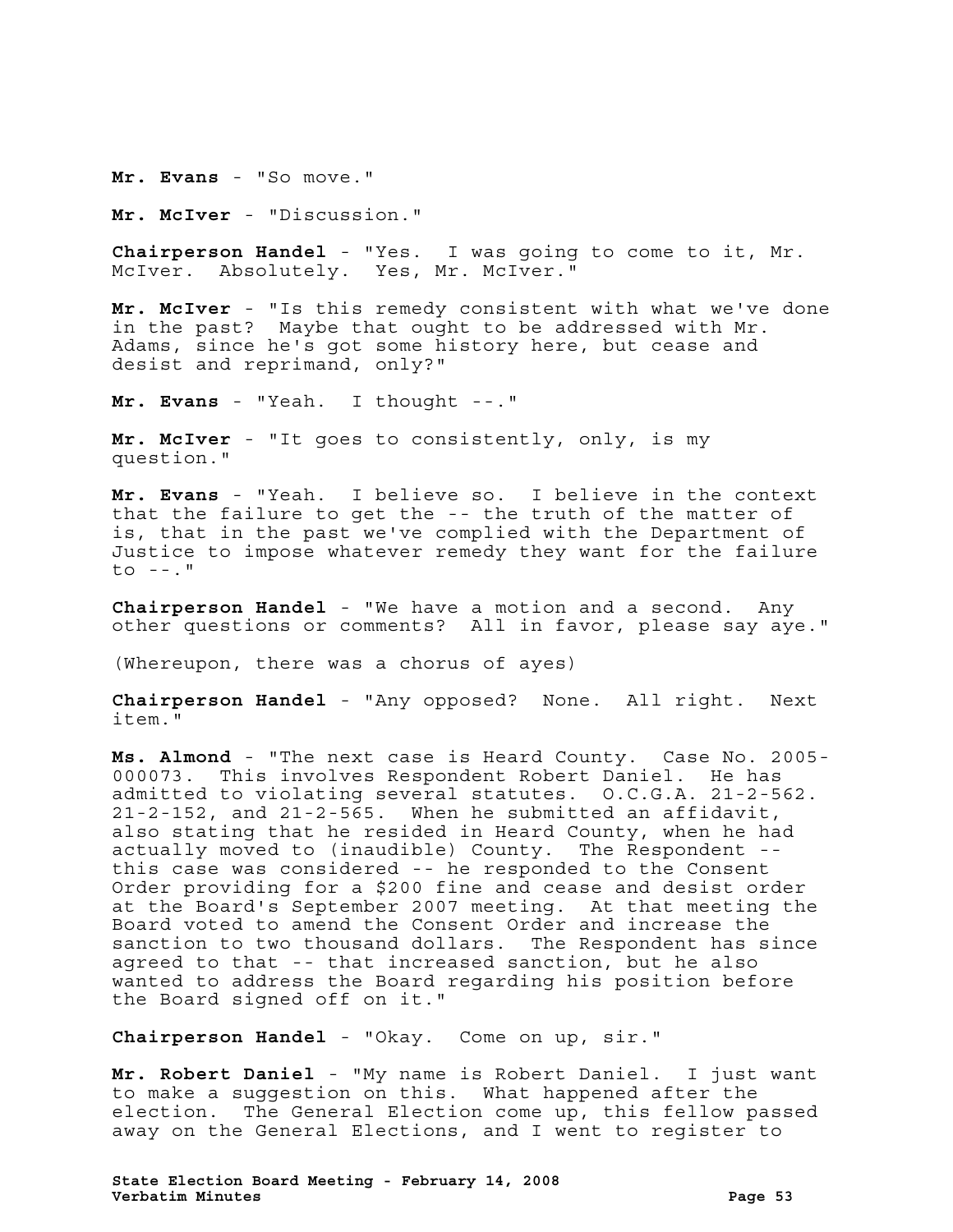**Mr. Evans** - "So move."

**Mr. McIver** - "Discussion."

**Chairperson Handel** - "Yes. I was going to come to it, Mr. McIver. Absolutely. Yes, Mr. McIver."

**Mr. McIver** - "Is this remedy consistent with what we've done in the past? Maybe that ought to be addressed with Mr. Adams, since he's got some history here, but cease and desist and reprimand, only?"

**Mr. Evans** - "Yeah. I thought --."

**Mr. McIver** - "It goes to consistently, only, is my question."

**Mr. Evans** - "Yeah. I believe so. I believe in the context that the failure to get the -- the truth of the matter of is, that in the past we've complied with the Department of Justice to impose whatever remedy they want for the failure  $\text{to} \text{--} \cdot$ "

**Chairperson Handel** - "We have a motion and a second. Any other questions or comments? All in favor, please say aye."

(Whereupon, there was a chorus of ayes)

**Chairperson Handel** - "Any opposed? None. All right. Next item."

**Ms. Almond** - "The next case is Heard County. Case No. 2005- 000073. This involves Respondent Robert Daniel. He has admitted to violating several statutes. O.C.G.A. 21-2-562. 21-2-152, and 21-2-565. When he submitted an affidavit, also stating that he resided in Heard County, when he had actually moved to (inaudible) County. The Respondent - this case was considered -- he responded to the Consent Order providing for a \$200 fine and cease and desist order at the Board's September 2007 meeting. At that meeting the Board voted to amend the Consent Order and increase the sanction to two thousand dollars. The Respondent has since agreed to that -- that increased sanction, but he also wanted to address the Board regarding his position before the Board signed off on it."

**Chairperson Handel** - "Okay. Come on up, sir."

**Mr. Robert Daniel** - "My name is Robert Daniel. I just want to make a suggestion on this. What happened after the election. The General Election come up, this fellow passed away on the General Elections, and I went to register to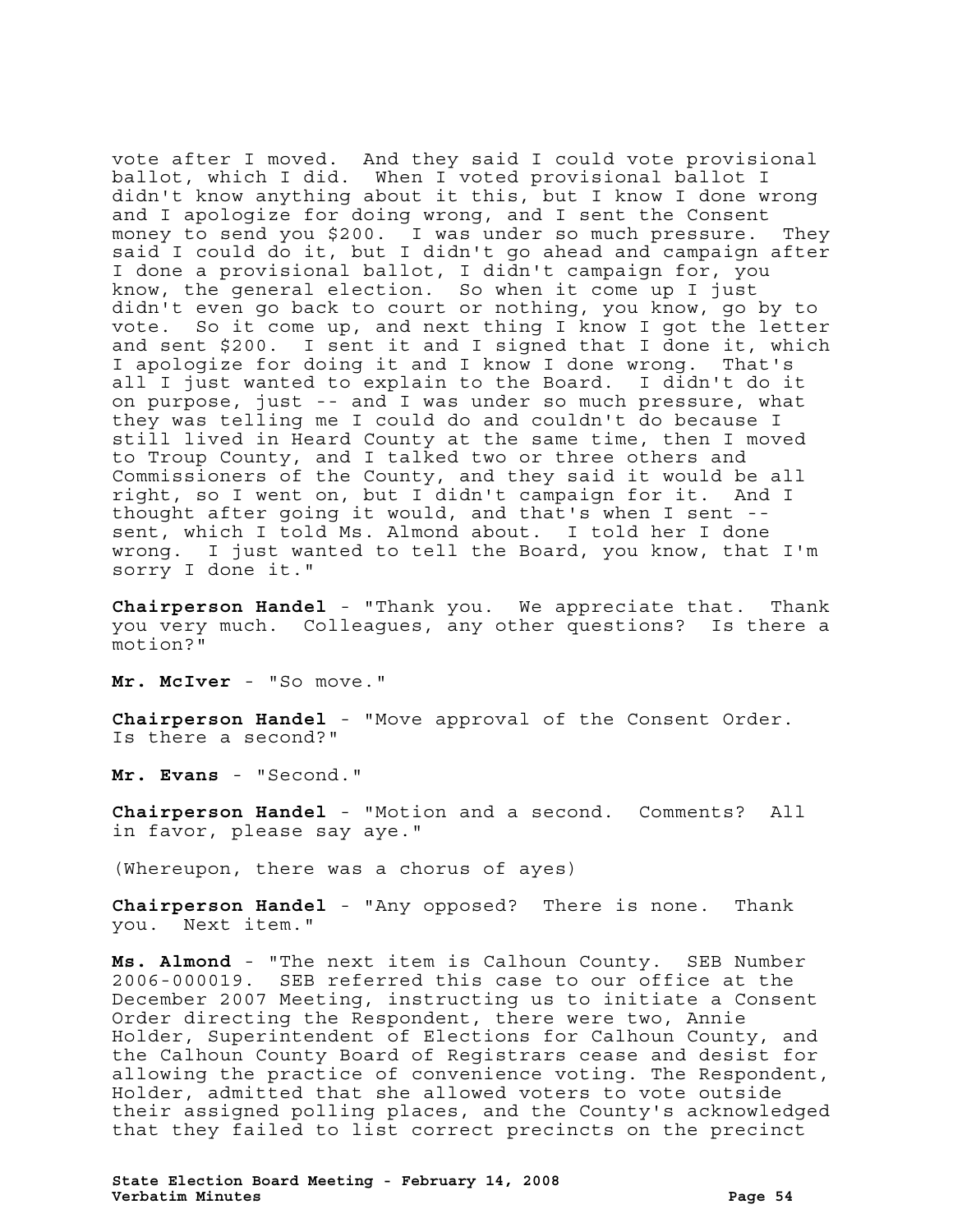vote after I moved. And they said I could vote provisional ballot, which I did. When I voted provisional ballot I didn't know anything about it this, but I know I done wrong and I apologize for doing wrong, and I sent the Consent money to send you \$200. I was under so much pressure. They said I could do it, but I didn't go ahead and campaign after I done a provisional ballot, I didn't campaign for, you know, the general election. So when it come up I just didn't even go back to court or nothing, you know, go by to vote. So it come up, and next thing I know I got the letter and sent \$200. I sent it and I signed that I done it, which I apologize for doing it and I know I done wrong. That's all I just wanted to explain to the Board. I didn't do it on purpose, just -- and I was under so much pressure, what they was telling me I could do and couldn't do because I still lived in Heard County at the same time, then I moved to Troup County, and I talked two or three others and Commissioners of the County, and they said it would be all right, so I went on, but I didn't campaign for it. And I thought after going it would, and that's when I sent - sent, which I told Ms. Almond about. I told her I done wrong. I just wanted to tell the Board, you know, that I'm sorry I done it."

**Chairperson Handel** - "Thank you. We appreciate that. Thank you very much. Colleagues, any other questions? Is there a motion?"

**Mr. McIver** - "So move."

**Chairperson Handel** - "Move approval of the Consent Order. Is there a second?"

**Mr. Evans** - "Second."

**Chairperson Handel** - "Motion and a second. Comments? All in favor, please say aye."

(Whereupon, there was a chorus of ayes)

**Chairperson Handel** - "Any opposed? There is none. Thank you. Next item."

**Ms. Almond** - "The next item is Calhoun County. SEB Number 2006-000019. SEB referred this case to our office at the December 2007 Meeting, instructing us to initiate a Consent Order directing the Respondent, there were two, Annie Holder, Superintendent of Elections for Calhoun County, and the Calhoun County Board of Registrars cease and desist for allowing the practice of convenience voting. The Respondent, Holder, admitted that she allowed voters to vote outside their assigned polling places, and the County's acknowledged that they failed to list correct precincts on the precinct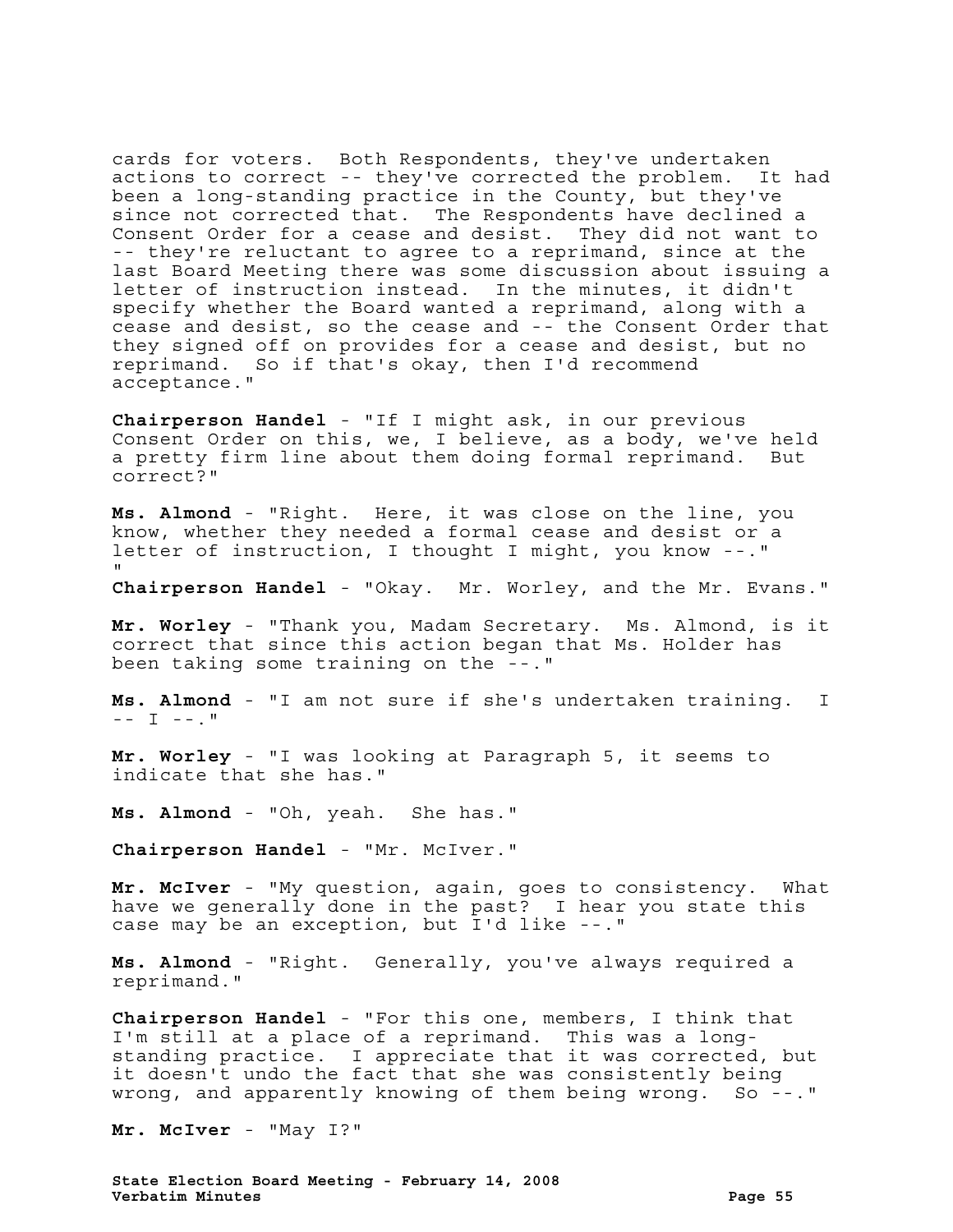cards for voters. Both Respondents, they've undertaken actions to correct -- they've corrected the problem. It had been a long-standing practice in the County, but they've since not corrected that. The Respondents have declined a Consent Order for a cease and desist. They did not want to -- they're reluctant to agree to a reprimand, since at the last Board Meeting there was some discussion about issuing a letter of instruction instead. In the minutes, it didn't specify whether the Board wanted a reprimand, along with a cease and desist, so the cease and -- the Consent Order that they signed off on provides for a cease and desist, but no reprimand. So if that's okay, then I'd recommend acceptance."

**Chairperson Handel** - "If I might ask, in our previous Consent Order on this, we, I believe, as a body, we've held a pretty firm line about them doing formal reprimand. But correct?"

**Ms. Almond** - "Right. Here, it was close on the line, you know, whether they needed a formal cease and desist or a letter of instruction, I thought I might, you know --."

**Chairperson Handel** - "Okay. Mr. Worley, and the Mr. Evans."

**Mr. Worley** - "Thank you, Madam Secretary. Ms. Almond, is it correct that since this action began that Ms. Holder has been taking some training on the --."

**Ms. Almond** - "I am not sure if she's undertaken training. I  $- I$   $--$ ."

**Mr. Worley** - "I was looking at Paragraph 5, it seems to indicate that she has."

**Ms. Almond** - "Oh, yeah. She has."

**Chairperson Handel** - "Mr. McIver."

**Mr. McIver** - "My question, again, goes to consistency. What have we generally done in the past? I hear you state this case may be an exception, but I'd like --."

**Ms. Almond** - "Right. Generally, you've always required a reprimand."

**Chairperson Handel** - "For this one, members, I think that I'm still at a place of a reprimand. This was a longstanding practice. I appreciate that it was corrected, but it doesn't undo the fact that she was consistently being wrong, and apparently knowing of them being wrong. So --."

**Mr. McIver** - "May I?"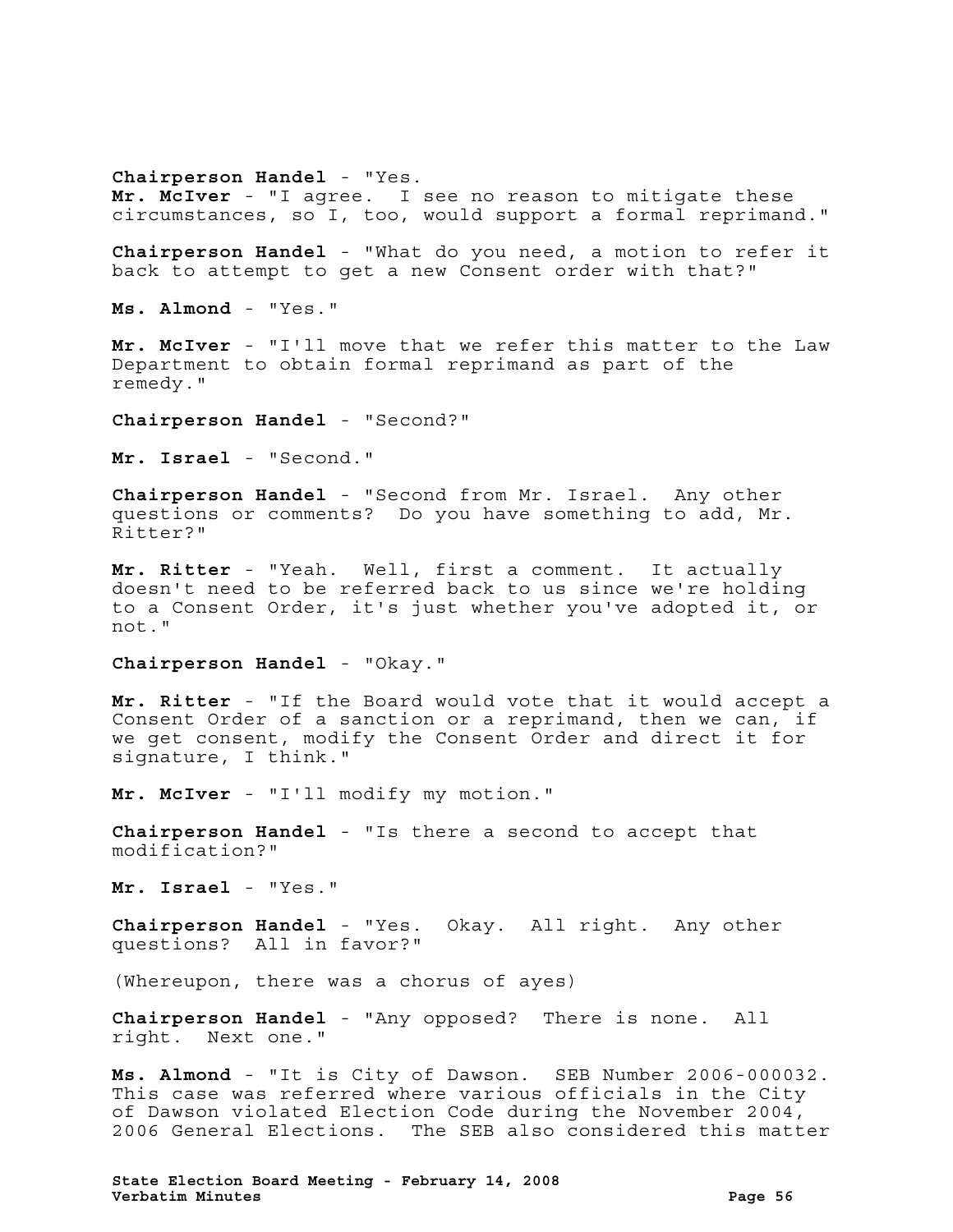## **Chairperson Handel** - "Yes.

**Mr. McIver** - "I agree. I see no reason to mitigate these circumstances, so I, too, would support a formal reprimand."

**Chairperson Handel** - "What do you need, a motion to refer it back to attempt to get a new Consent order with that?"

**Ms. Almond** - "Yes."

**Mr. McIver** - "I'll move that we refer this matter to the Law Department to obtain formal reprimand as part of the remedy."

**Chairperson Handel** - "Second?"

**Mr. Israel** - "Second."

**Chairperson Handel** - "Second from Mr. Israel. Any other questions or comments? Do you have something to add, Mr. Ritter?"

**Mr. Ritter** - "Yeah. Well, first a comment. It actually doesn't need to be referred back to us since we're holding to a Consent Order, it's just whether you've adopted it, or not."

**Chairperson Handel** - "Okay."

**Mr. Ritter** - "If the Board would vote that it would accept a Consent Order of a sanction or a reprimand, then we can, if we get consent, modify the Consent Order and direct it for signature, I think."

**Mr. McIver** - "I'll modify my motion."

**Chairperson Handel** - "Is there a second to accept that modification?"

**Mr. Israel** - "Yes."

**Chairperson Handel** - "Yes. Okay. All right. Any other questions? All in favor?"

(Whereupon, there was a chorus of ayes)

**Chairperson Handel** - "Any opposed? There is none. All right. Next one."

**Ms. Almond** - "It is City of Dawson. SEB Number 2006-000032. This case was referred where various officials in the City of Dawson violated Election Code during the November 2004, 2006 General Elections. The SEB also considered this matter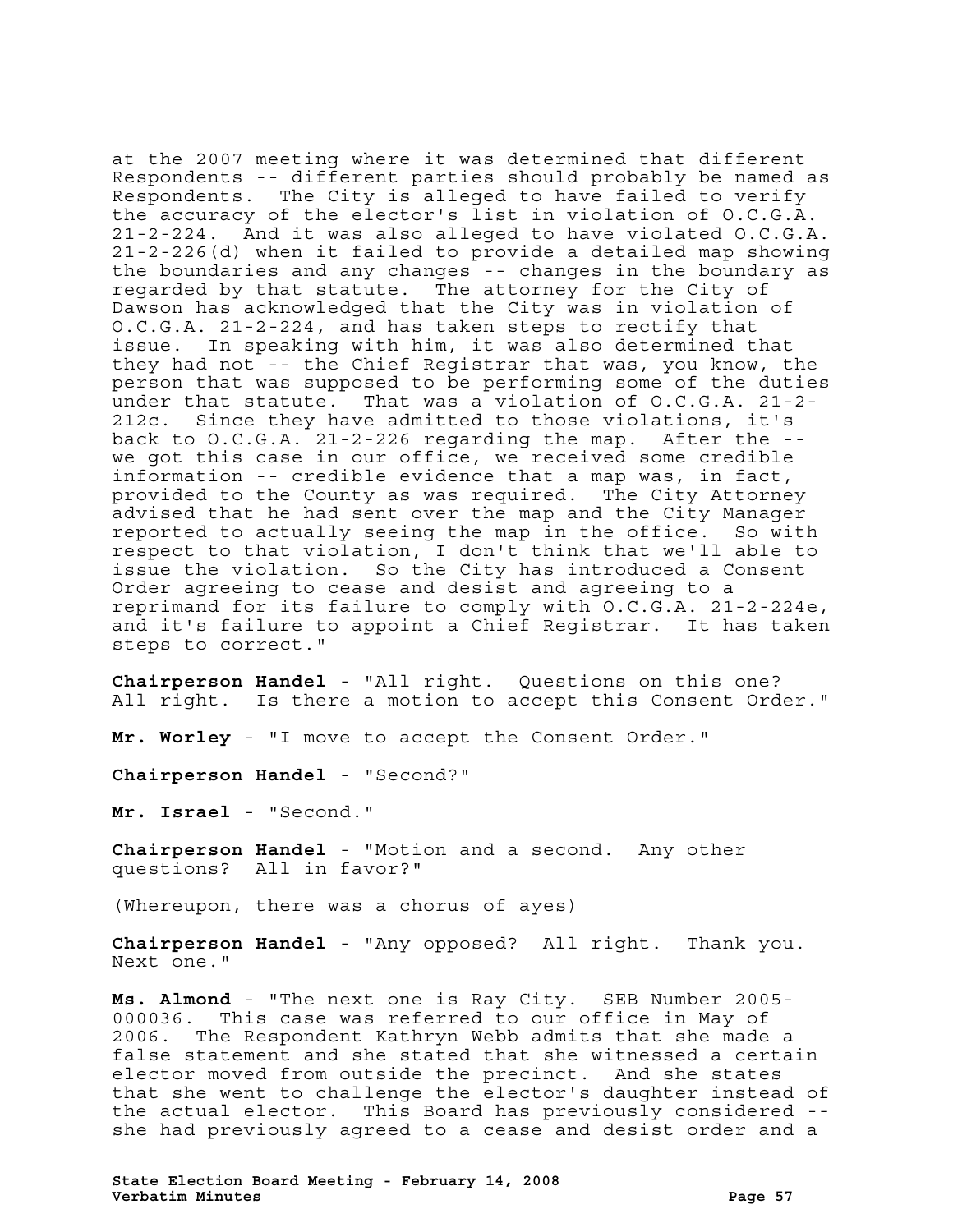at the 2007 meeting where it was determined that different Respondents -- different parties should probably be named as Respondents. The City is alleged to have failed to verify the accuracy of the elector's list in violation of O.C.G.A. 21-2-224. And it was also alleged to have violated O.C.G.A. 21-2-226(d) when it failed to provide a detailed map showing the boundaries and any changes -- changes in the boundary as regarded by that statute. The attorney for the City of Dawson has acknowledged that the City was in violation of O.C.G.A. 21-2-224, and has taken steps to rectify that issue. In speaking with him, it was also determined that they had not -- the Chief Registrar that was, you know, the person that was supposed to be performing some of the duties under that statute. That was a violation of O.C.G.A. 21-2- 212c. Since they have admitted to those violations, it's back to O.C.G.A. 21-2-226 regarding the map. After the - we got this case in our office, we received some credible information -- credible evidence that a map was, in fact, provided to the County as was required. The City Attorney advised that he had sent over the map and the City Manager reported to actually seeing the map in the office. So with respect to that violation, I don't think that we'll able to issue the violation. So the City has introduced a Consent Order agreeing to cease and desist and agreeing to a reprimand for its failure to comply with O.C.G.A. 21-2-224e, and it's failure to appoint a Chief Registrar. It has taken steps to correct."

**Chairperson Handel** - "All right. Questions on this one? All right. Is there a motion to accept this Consent Order."

**Mr. Worley** - "I move to accept the Consent Order."

**Chairperson Handel** - "Second?"

**Mr. Israel** - "Second."

**Chairperson Handel** - "Motion and a second. Any other questions? All in favor?"

(Whereupon, there was a chorus of ayes)

**Chairperson Handel** - "Any opposed? All right. Thank you. Next one."

**Ms. Almond** - "The next one is Ray City. SEB Number 2005- 000036. This case was referred to our office in May of 2006. The Respondent Kathryn Webb admits that she made a false statement and she stated that she witnessed a certain elector moved from outside the precinct. And she states that she went to challenge the elector's daughter instead of the actual elector. This Board has previously considered - she had previously agreed to a cease and desist order and a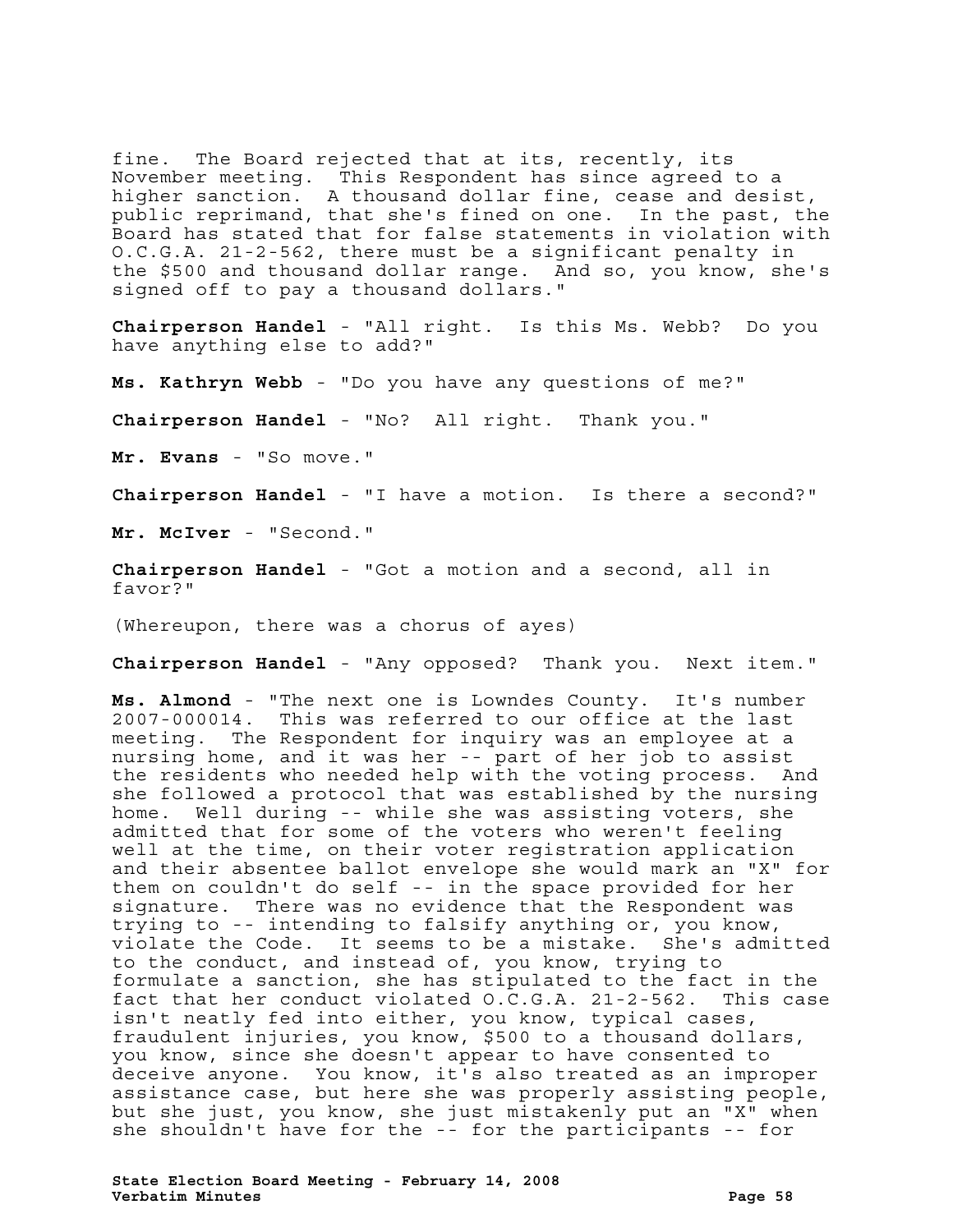fine. The Board rejected that at its, recently, its November meeting. This Respondent has since agreed to a higher sanction. A thousand dollar fine, cease and desist, public reprimand, that she's fined on one. In the past, the Board has stated that for false statements in violation with O.C.G.A. 21-2-562, there must be a significant penalty in the \$500 and thousand dollar range. And so, you know, she's signed off to pay a thousand dollars."

**Chairperson Handel** - "All right. Is this Ms. Webb? Do you have anything else to add?"

**Ms. Kathryn Webb** - "Do you have any questions of me?"

**Chairperson Handel** - "No? All right. Thank you."

**Mr. Evans** - "So move."

**Chairperson Handel** - "I have a motion. Is there a second?"

**Mr. McIver** - "Second."

**Chairperson Handel** - "Got a motion and a second, all in favor?"

(Whereupon, there was a chorus of ayes)

**Chairperson Handel** - "Any opposed? Thank you. Next item."

**Ms. Almond** - "The next one is Lowndes County. It's number 2007-000014. This was referred to our office at the last meeting. The Respondent for inquiry was an employee at a nursing home, and it was her -- part of her job to assist the residents who needed help with the voting process. And she followed a protocol that was established by the nursing home. Well during -- while she was assisting voters, she admitted that for some of the voters who weren't feeling well at the time, on their voter registration application and their absentee ballot envelope she would mark an "X" for them on couldn't do self -- in the space provided for her signature. There was no evidence that the Respondent was trying to -- intending to falsify anything or, you know, violate the Code. It seems to be a mistake. She's admitted to the conduct, and instead of, you know, trying to formulate a sanction, she has stipulated to the fact in the fact that her conduct violated O.C.G.A. 21-2-562. This case isn't neatly fed into either, you know, typical cases, fraudulent injuries, you know, \$500 to a thousand dollars, you know, since she doesn't appear to have consented to deceive anyone. You know, it's also treated as an improper assistance case, but here she was properly assisting people, but she just, you know, she just mistakenly put an "X" when she shouldn't have for the -- for the participants -- for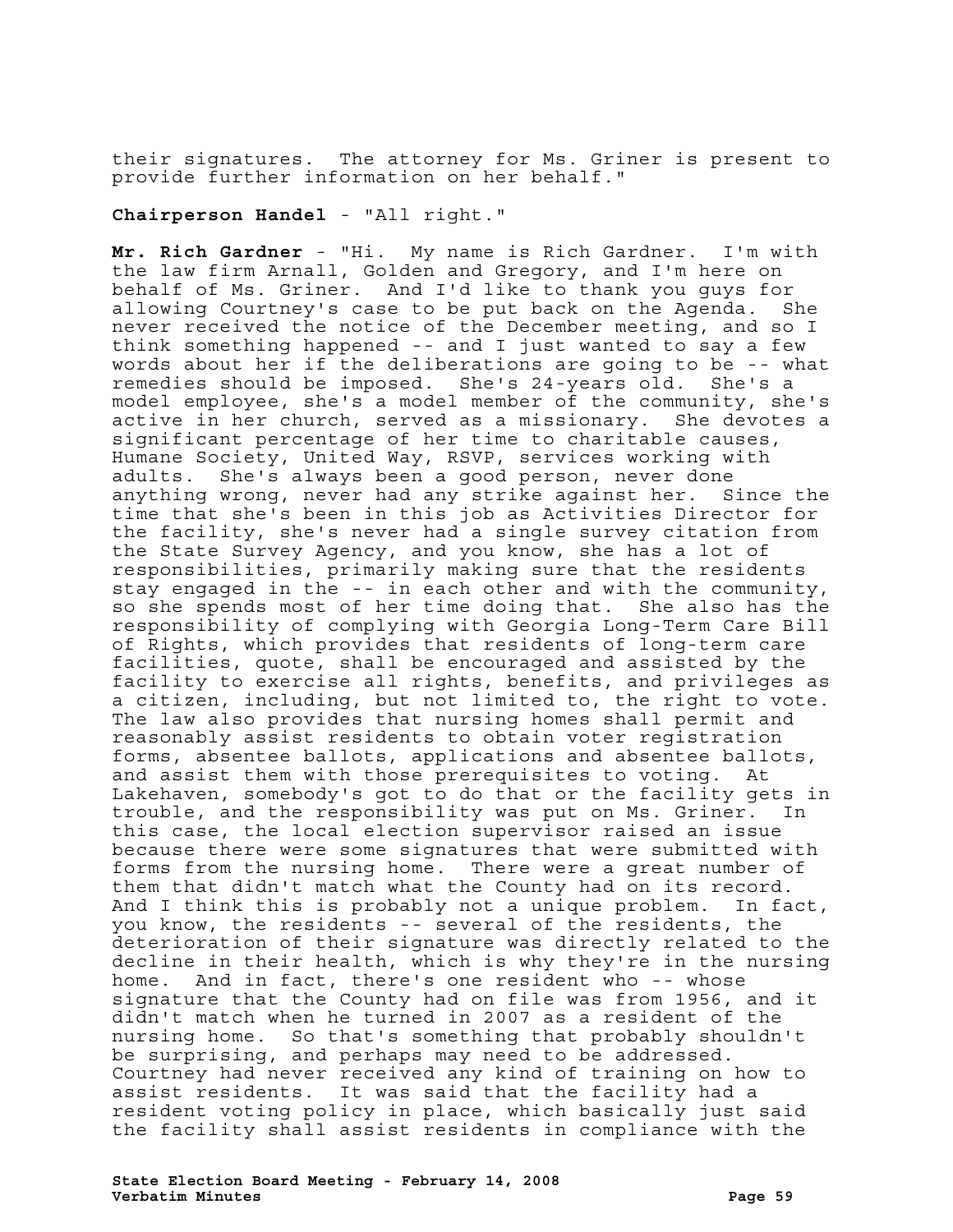their signatures. The attorney for Ms. Griner is present to provide further information on her behalf."

## **Chairperson Handel** - "All right."

**Mr. Rich Gardner** - "Hi. My name is Rich Gardner. I'm with the law firm Arnall, Golden and Gregory, and I'm here on behalf of Ms. Griner. And I'd like to thank you guys for allowing Courtney's case to be put back on the Agenda. She never received the notice of the December meeting, and so I think something happened -- and I just wanted to say a few words about her if the deliberations are going to be -- what remedies should be imposed. She's 24-years old. She's a model employee, she's a model member of the community, she's active in her church, served as a missionary. She devotes a significant percentage of her time to charitable causes, Humane Society, United Way, RSVP, services working with adults. She's always been a good person, never done anything wrong, never had any strike against her. Since the time that she's been in this job as Activities Director for the facility, she's never had a single survey citation from the State Survey Agency, and you know, she has a lot of responsibilities, primarily making sure that the residents stay engaged in the -- in each other and with the community, so she spends most of her time doing that. She also has the responsibility of complying with Georgia Long-Term Care Bill of Rights, which provides that residents of long-term care facilities, quote, shall be encouraged and assisted by the facility to exercise all rights, benefits, and privileges as a citizen, including, but not limited to, the right to vote. The law also provides that nursing homes shall permit and reasonably assist residents to obtain voter registration forms, absentee ballots, applications and absentee ballots, and assist them with those prerequisites to voting. At Lakehaven, somebody's got to do that or the facility gets in trouble, and the responsibility was put on Ms. Griner. In this case, the local election supervisor raised an issue because there were some signatures that were submitted with forms from the nursing home. There were a great number of them that didn't match what the County had on its record. And I think this is probably not a unique problem. In fact, you know, the residents -- several of the residents, the deterioration of their signature was directly related to the decline in their health, which is why they're in the nursing home. And in fact, there's one resident who -- whose signature that the County had on file was from 1956, and it didn't match when he turned in 2007 as a resident of the nursing home. So that's something that probably shouldn't be surprising, and perhaps may need to be addressed. Courtney had never received any kind of training on how to assist residents. It was said that the facility had a resident voting policy in place, which basically just said the facility shall assist residents in compliance with the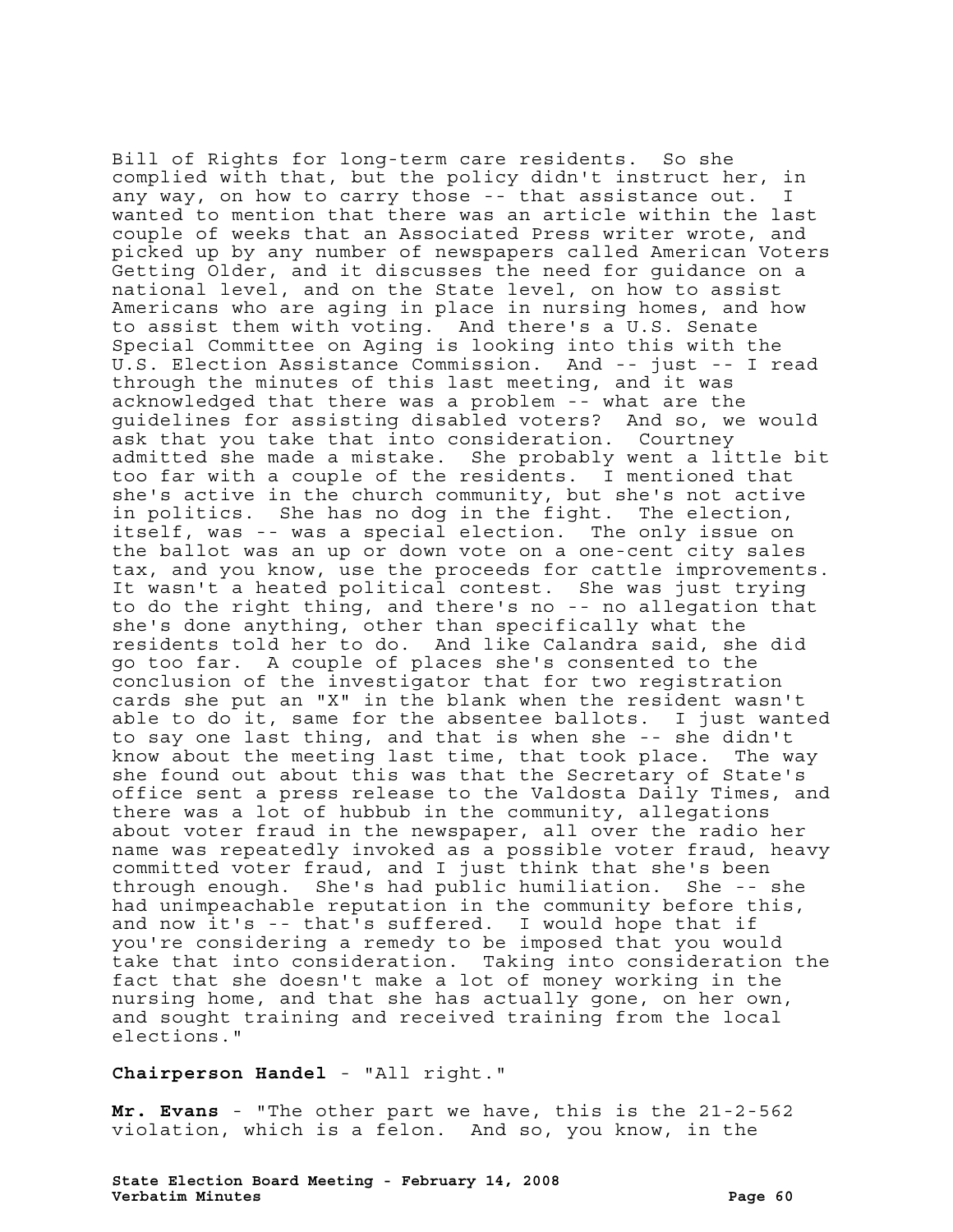Bill of Rights for long-term care residents. So she complied with that, but the policy didn't instruct her, in any way, on how to carry those  $-$  that assistance out. wanted to mention that there was an article within the last couple of weeks that an Associated Press writer wrote, and picked up by any number of newspapers called American Voters Getting Older, and it discusses the need for guidance on a national level, and on the State level, on how to assist Americans who are aging in place in nursing homes, and how to assist them with voting. And there's a U.S. Senate Special Committee on Aging is looking into this with the U.S. Election Assistance Commission. And -- just -- I read through the minutes of this last meeting, and it was acknowledged that there was a problem -- what are the guidelines for assisting disabled voters? And so, we would ask that you take that into consideration. Courtney admitted she made a mistake. She probably went a little bit too far with a couple of the residents. I mentioned that she's active in the church community, but she's not active in politics. She has no dog in the fight. The election, itself, was -- was a special election. The only issue on the ballot was an up or down vote on a one-cent city sales tax, and you know, use the proceeds for cattle improvements. It wasn't a heated political contest. She was just trying to do the right thing, and there's no -- no allegation that she's done anything, other than specifically what the residents told her to do. And like Calandra said, she did go too far. A couple of places she's consented to the conclusion of the investigator that for two registration cards she put an "X" in the blank when the resident wasn't able to do it, same for the absentee ballots. I just wanted to say one last thing, and that is when she -- she didn't know about the meeting last time, that took place. The way she found out about this was that the Secretary of State's office sent a press release to the Valdosta Daily Times, and there was a lot of hubbub in the community, allegations about voter fraud in the newspaper, all over the radio her name was repeatedly invoked as a possible voter fraud, heavy committed voter fraud, and I just think that she's been through enough. She's had public humiliation. She -- she had unimpeachable reputation in the community before this, and now it's -- that's suffered. I would hope that if you're considering a remedy to be imposed that you would take that into consideration. Taking into consideration the fact that she doesn't make a lot of money working in the nursing home, and that she has actually gone, on her own, and sought training and received training from the local elections."

## **Chairperson Handel** - "All right."

**Mr. Evans** - "The other part we have, this is the 21-2-562 violation, which is a felon. And so, you know, in the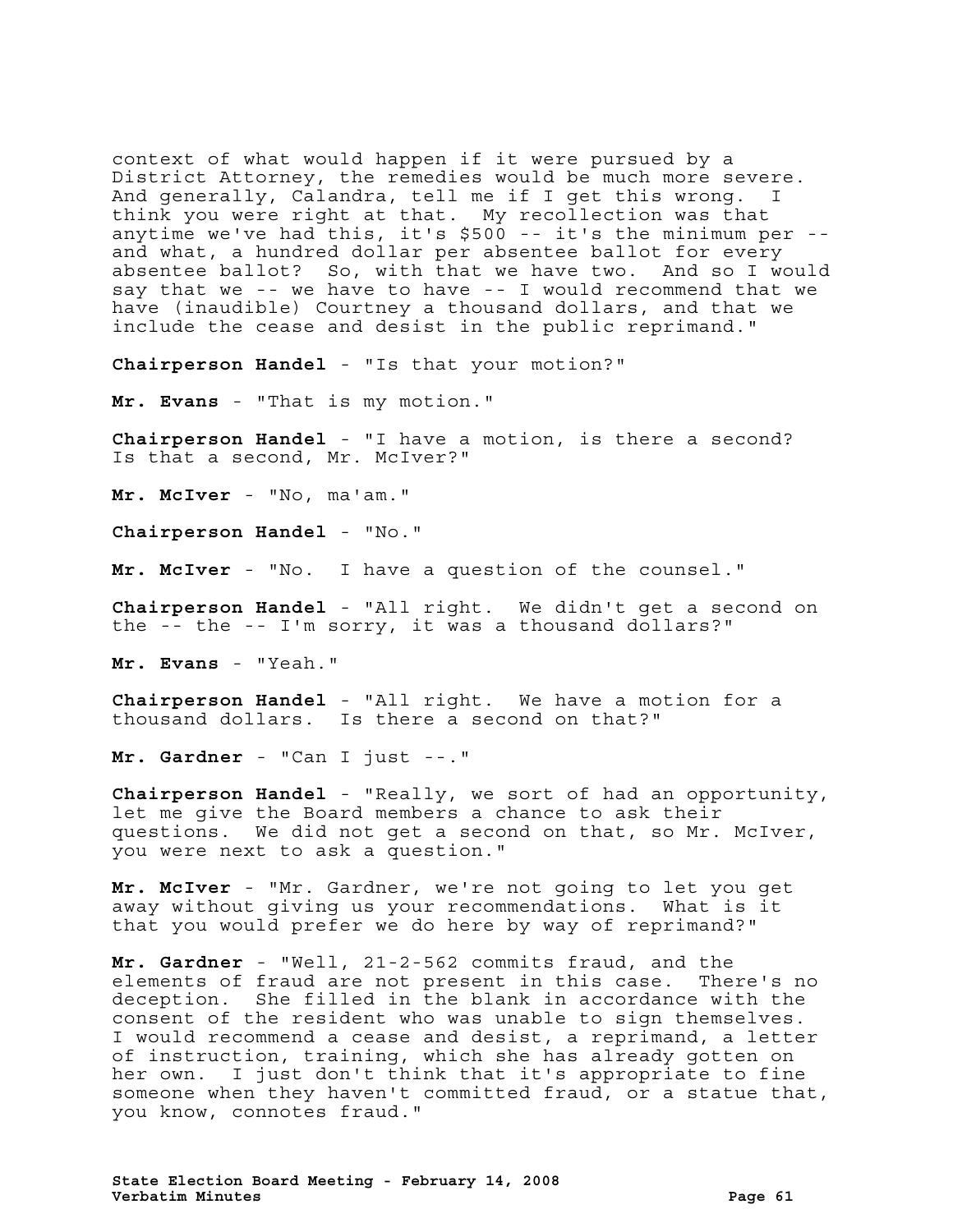context of what would happen if it were pursued by a District Attorney, the remedies would be much more severe. And generally, Calandra, tell me if I get this wrong. I think you were right at that. My recollection was that anytime we've had this, it's \$500 -- it's the minimum per - and what, a hundred dollar per absentee ballot for every absentee ballot? So, with that we have two. And so I would say that we -- we have to have -- I would recommend that we have (inaudible) Courtney a thousand dollars, and that we include the cease and desist in the public reprimand."

**Chairperson Handel** - "Is that your motion?"

**Mr. Evans** - "That is my motion."

**Chairperson Handel** - "I have a motion, is there a second? Is that a second, Mr. McIver?"

**Mr. McIver** - "No, ma'am."

**Chairperson Handel** - "No."

**Mr. McIver** - "No. I have a question of the counsel."

**Chairperson Handel** - "All right. We didn't get a second on the -- the -- I'm sorry, it was a thousand dollars?"

**Mr. Evans** - "Yeah."

**Chairperson Handel** - "All right. We have a motion for a thousand dollars. Is there a second on that?"

**Mr. Gardner** - "Can I just --."

**Chairperson Handel** - "Really, we sort of had an opportunity, let me give the Board members a chance to ask their questions. We did not get a second on that, so Mr. McIver, you were next to ask a question."

**Mr. McIver** - "Mr. Gardner, we're not going to let you get away without giving us your recommendations. What is it that you would prefer we do here by way of reprimand?"

**Mr. Gardner** - "Well, 21-2-562 commits fraud, and the elements of fraud are not present in this case. There's no deception. She filled in the blank in accordance with the consent of the resident who was unable to sign themselves. I would recommend a cease and desist, a reprimand, a letter of instruction, training, which she has already gotten on her own. I just don't think that it's appropriate to fine someone when they haven't committed fraud, or a statue that, you know, connotes fraud."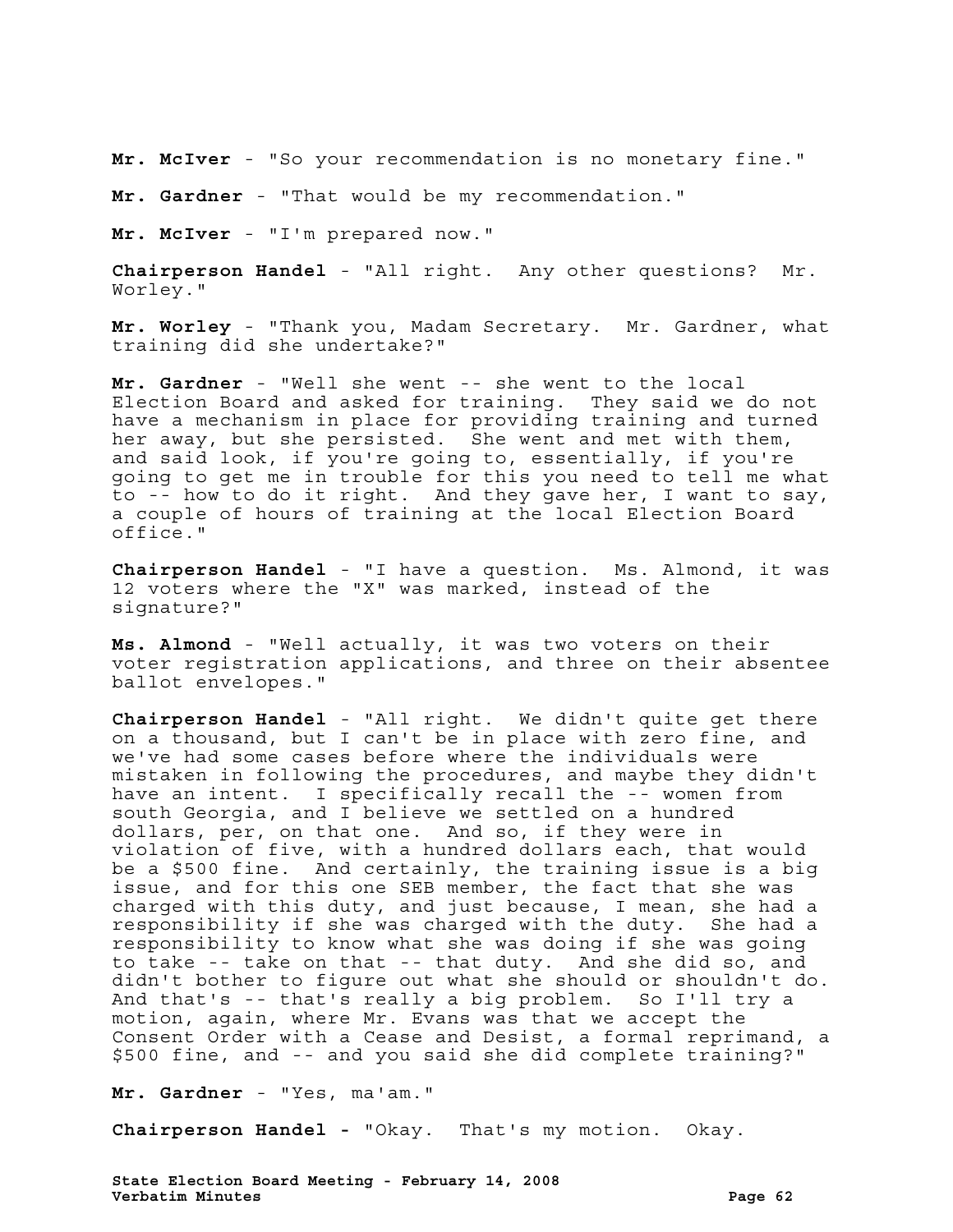**Mr. McIver** - "So your recommendation is no monetary fine."

**Mr. Gardner** - "That would be my recommendation."

**Mr. McIver** - "I'm prepared now."

**Chairperson Handel** - "All right. Any other questions? Mr. Worley."

**Mr. Worley** - "Thank you, Madam Secretary. Mr. Gardner, what training did she undertake?"

**Mr. Gardner** - "Well she went -- she went to the local Election Board and asked for training. They said we do not have a mechanism in place for providing training and turned her away, but she persisted. She went and met with them, and said look, if you're going to, essentially, if you're going to get me in trouble for this you need to tell me what to -- how to do it right. And they gave her, I want to say, a couple of hours of training at the local Election Board office."

**Chairperson Handel** - "I have a question. Ms. Almond, it was 12 voters where the "X" was marked, instead of the signature?"

**Ms. Almond** - "Well actually, it was two voters on their voter registration applications, and three on their absentee ballot envelopes."

**Chairperson Handel** - "All right. We didn't quite get there on a thousand, but I can't be in place with zero fine, and we've had some cases before where the individuals were mistaken in following the procedures, and maybe they didn't have an intent. I specifically recall the -- women from south Georgia, and I believe we settled on a hundred dollars, per, on that one. And so, if they were in violation of five, with a hundred dollars each, that would be a \$500 fine. And certainly, the training issue is a big issue, and for this one SEB member, the fact that she was charged with this duty, and just because, I mean, she had a responsibility if she was charged with the duty. She had a responsibility to know what she was doing if she was going to take -- take on that -- that duty. And she did so, and didn't bother to figure out what she should or shouldn't do. And that's -- that's really a big problem. So I'll try a motion, again, where Mr. Evans was that we accept the Consent Order with a Cease and Desist, a formal reprimand, a \$500 fine, and -- and you said she did complete training?"

**Mr. Gardner** - "Yes, ma'am."

**Chairperson Handel -** "Okay. That's my motion. Okay.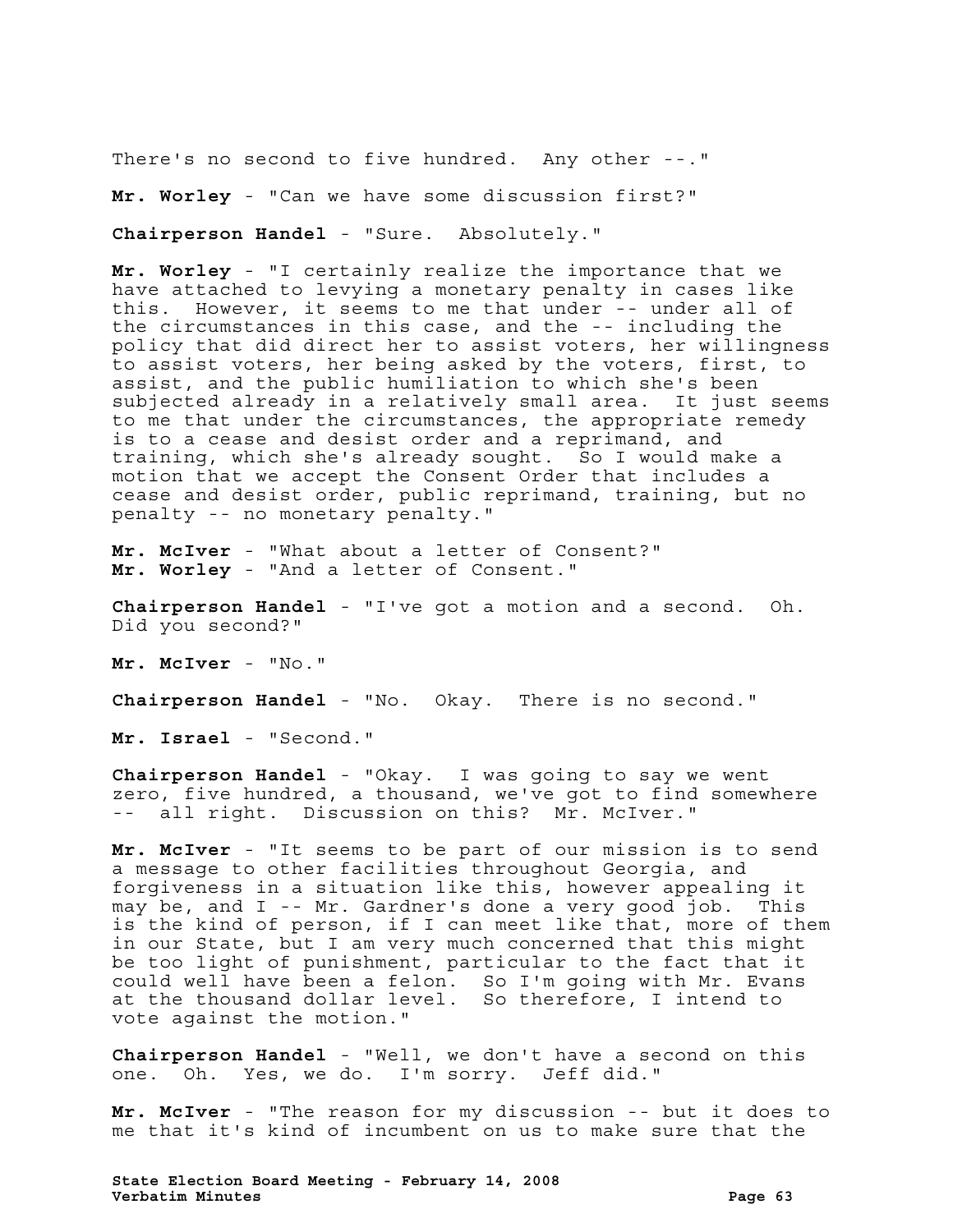There's no second to five hundred. Any other --."

**Mr. Worley** - "Can we have some discussion first?"

**Chairperson Handel** - "Sure. Absolutely."

**Mr. Worley** - "I certainly realize the importance that we have attached to levying a monetary penalty in cases like this. However, it seems to me that under -- under all of the circumstances in this case, and the -- including the policy that did direct her to assist voters, her willingness to assist voters, her being asked by the voters, first, to assist, and the public humiliation to which she's been subjected already in a relatively small area. It just seems to me that under the circumstances, the appropriate remedy is to a cease and desist order and a reprimand, and training, which she's already sought. So I would make a motion that we accept the Consent Order that includes a cease and desist order, public reprimand, training, but no penalty -- no monetary penalty."

**Mr. McIver** - "What about a letter of Consent?" **Mr. Worley** - "And a letter of Consent."

**Chairperson Handel** - "I've got a motion and a second. Oh. Did you second?"

**Mr. McIver** - "No."

**Chairperson Handel** - "No. Okay. There is no second."

**Mr. Israel** - "Second."

**Chairperson Handel** - "Okay. I was going to say we went zero, five hundred, a thousand, we've got to find somewhere all right. Discussion on this? Mr. McIver."

**Mr. McIver** - "It seems to be part of our mission is to send a message to other facilities throughout Georgia, and forgiveness in a situation like this, however appealing it may be, and I -- Mr. Gardner's done a very good job. This is the kind of person, if I can meet like that, more of them in our State, but I am very much concerned that this might be too light of punishment, particular to the fact that it could well have been a felon. So I'm going with Mr. Evans at the thousand dollar level. So therefore, I intend to vote against the motion."

**Chairperson Handel** - "Well, we don't have a second on this one. Oh. Yes, we do. I'm sorry. Jeff did."

**Mr. McIver** - "The reason for my discussion -- but it does to me that it's kind of incumbent on us to make sure that the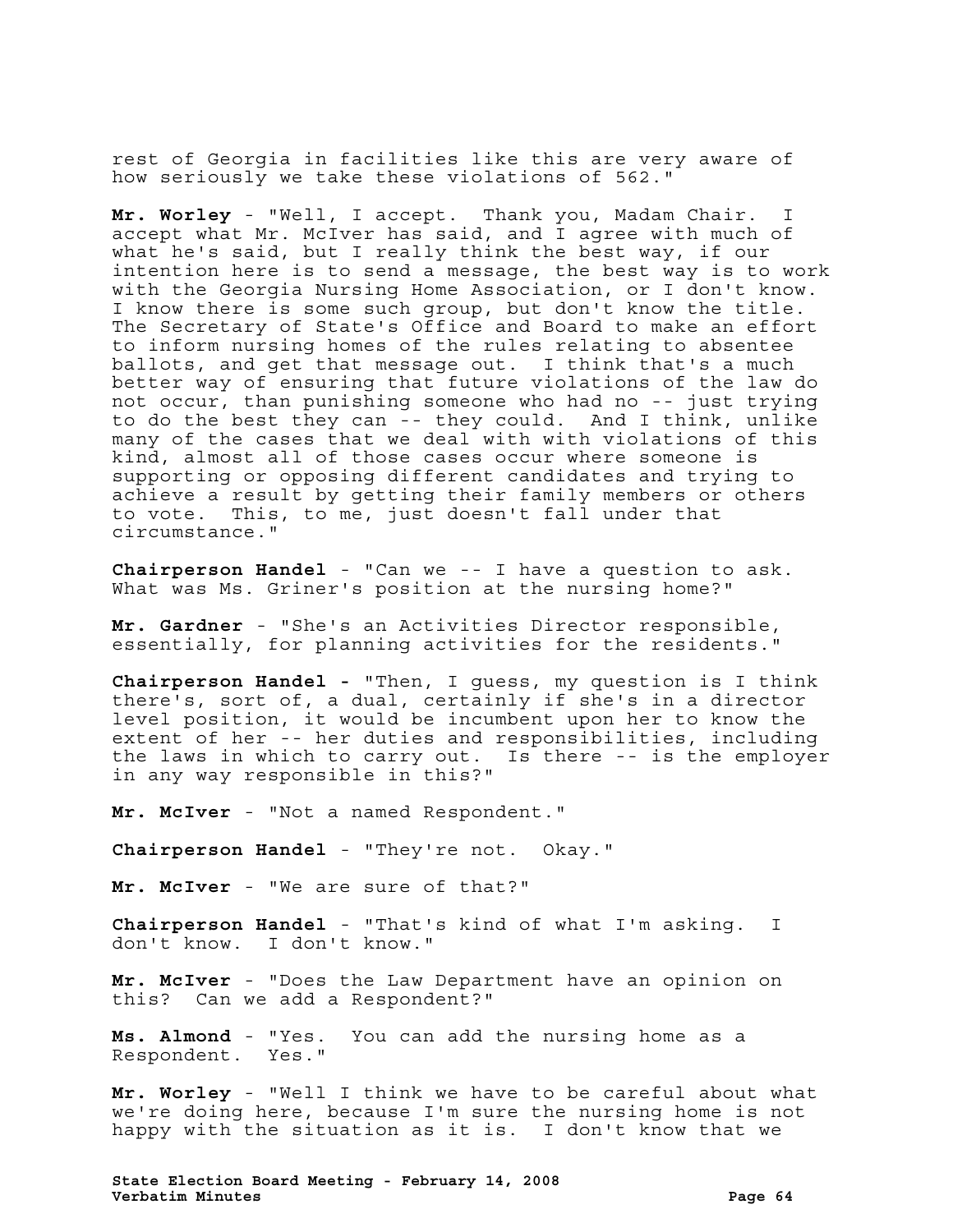rest of Georgia in facilities like this are very aware of how seriously we take these violations of 562."

**Mr. Worley** - "Well, I accept. Thank you, Madam Chair. I accept what Mr. McIver has said, and I agree with much of what he's said, but I really think the best way, if our intention here is to send a message, the best way is to work with the Georgia Nursing Home Association, or I don't know. I know there is some such group, but don't know the title. The Secretary of State's Office and Board to make an effort to inform nursing homes of the rules relating to absentee ballots, and get that message out. I think that's a much better way of ensuring that future violations of the law do not occur, than punishing someone who had no -- just trying to do the best they can -- they could. And I think, unlike many of the cases that we deal with with violations of this kind, almost all of those cases occur where someone is supporting or opposing different candidates and trying to achieve a result by getting their family members or others to vote. This, to me, just doesn't fall under that circumstance."

**Chairperson Handel** - "Can we -- I have a question to ask. What was Ms. Griner's position at the nursing home?"

**Mr. Gardner** - "She's an Activities Director responsible, essentially, for planning activities for the residents."

**Chairperson Handel -** "Then, I guess, my question is I think there's, sort of, a dual, certainly if she's in a director level position, it would be incumbent upon her to know the extent of her -- her duties and responsibilities, including the laws in which to carry out. Is there -- is the employer in any way responsible in this?"

**Mr. McIver** - "Not a named Respondent."

**Chairperson Handel** - "They're not. Okay."

**Mr. McIver** - "We are sure of that?"

**Chairperson Handel** - "That's kind of what I'm asking. I don't know. I don't know."

**Mr. McIver** - "Does the Law Department have an opinion on this? Can we add a Respondent?"

**Ms. Almond** - "Yes. You can add the nursing home as a Respondent. Yes."

**Mr. Worley** - "Well I think we have to be careful about what we're doing here, because I'm sure the nursing home is not happy with the situation as it is. I don't know that we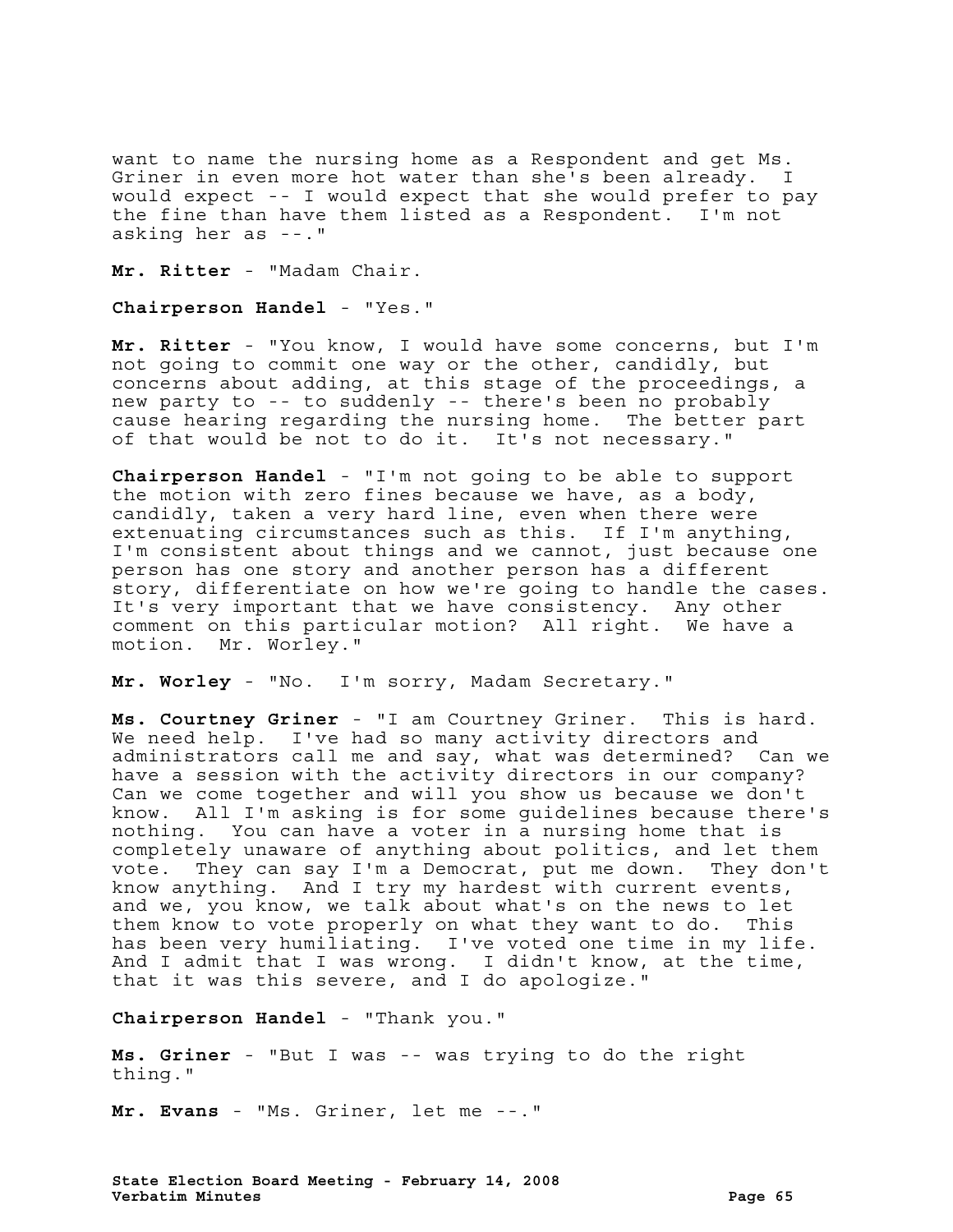want to name the nursing home as a Respondent and get Ms. Griner in even more hot water than she's been already. I would expect -- I would expect that she would prefer to pay the fine than have them listed as a Respondent. I'm not asking her as --."

**Mr. Ritter** - "Madam Chair.

**Chairperson Handel** - "Yes."

**Mr. Ritter** - "You know, I would have some concerns, but I'm not going to commit one way or the other, candidly, but concerns about adding, at this stage of the proceedings, a new party to -- to suddenly -- there's been no probably cause hearing regarding the nursing home. The better part of that would be not to do it. It's not necessary."

**Chairperson Handel** - "I'm not going to be able to support the motion with zero fines because we have, as a body, candidly, taken a very hard line, even when there were extenuating circumstances such as this. If I'm anything, I'm consistent about things and we cannot, just because one person has one story and another person has a different story, differentiate on how we're going to handle the cases. It's very important that we have consistency. Any other comment on this particular motion? All right. We have a motion. Mr. Worley."

**Mr. Worley** - "No. I'm sorry, Madam Secretary."

**Ms. Courtney Griner** - "I am Courtney Griner. This is hard. We need help. I've had so many activity directors and administrators call me and say, what was determined? Can we have a session with the activity directors in our company? Can we come together and will you show us because we don't know. All I'm asking is for some guidelines because there's nothing. You can have a voter in a nursing home that is completely unaware of anything about politics, and let them vote. They can say I'm a Democrat, put me down. They don't know anything. And I try my hardest with current events, and we, you know, we talk about what's on the news to let them know to vote properly on what they want to do. This has been very humiliating. I've voted one time in my life. And I admit that I was wrong. I didn't know, at the time, that it was this severe, and I do apologize."

**Chairperson Handel** - "Thank you."

**Ms. Griner** - "But I was -- was trying to do the right thing."

**Mr. Evans** - "Ms. Griner, let me --."

**State Election Board Meeting - February 14, 2008 Verbatim Minutes Community Community Community Community Community Community Community Community Community Community**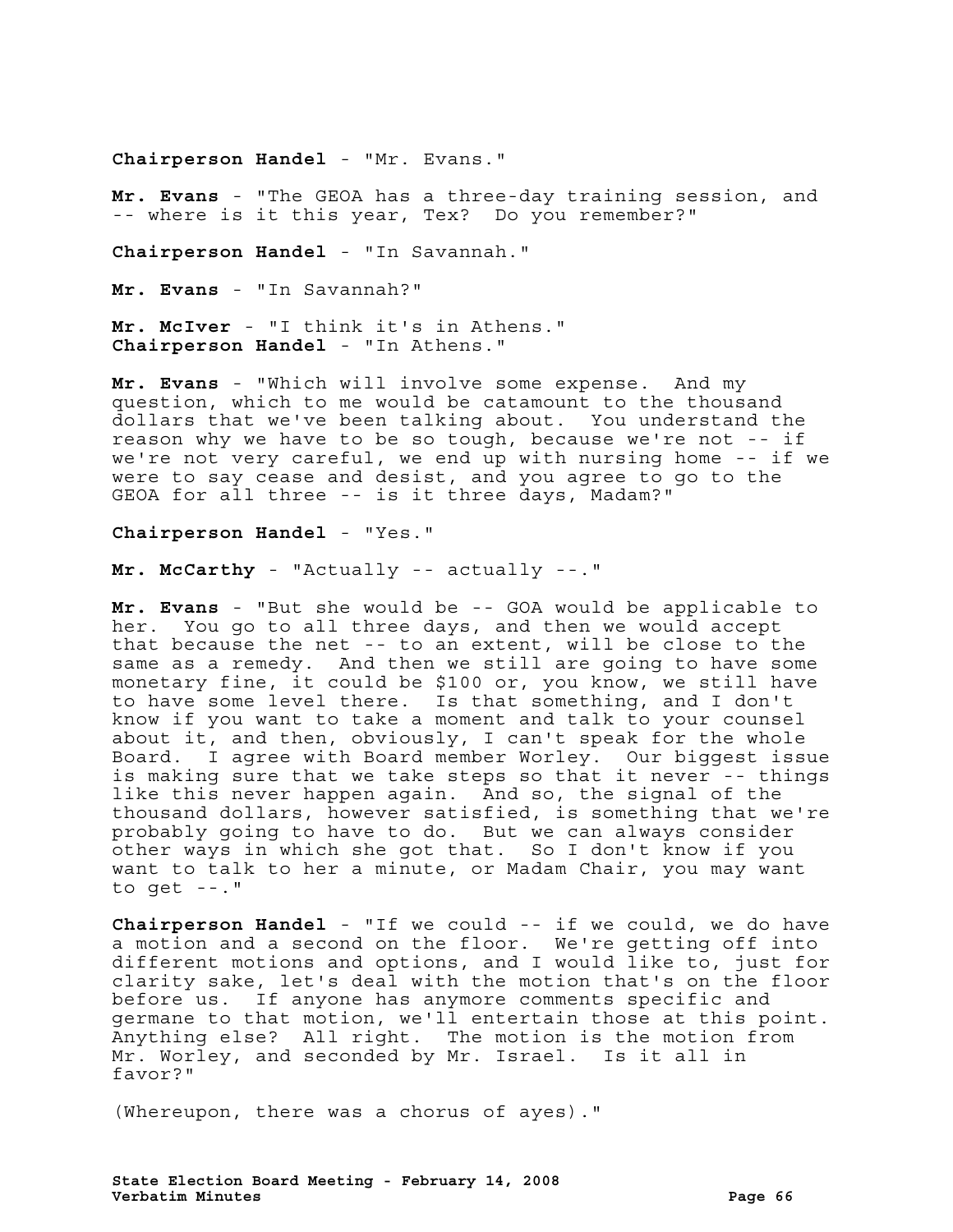**Chairperson Handel** - "Mr. Evans."

**Mr. Evans** - "The GEOA has a three-day training session, and -- where is it this year, Tex? Do you remember?"

**Chairperson Handel** - "In Savannah."

**Mr. Evans** - "In Savannah?"

**Mr. McIver** - "I think it's in Athens." **Chairperson Handel** - "In Athens."

**Mr. Evans** - "Which will involve some expense. And my question, which to me would be catamount to the thousand dollars that we've been talking about. You understand the reason why we have to be so tough, because we're not -- if we're not very careful, we end up with nursing home -- if we were to say cease and desist, and you agree to go to the GEOA for all three -- is it three days, Madam?"

**Chairperson Handel** - "Yes."

**Mr. McCarthy** - "Actually -- actually --."

**Mr. Evans** - "But she would be -- GOA would be applicable to her. You go to all three days, and then we would accept that because the net -- to an extent, will be close to the same as a remedy. And then we still are going to have some monetary fine, it could be \$100 or, you know, we still have to have some level there. Is that something, and I don't know if you want to take a moment and talk to your counsel about it, and then, obviously, I can't speak for the whole Board. I agree with Board member Worley. Our biggest issue is making sure that we take steps so that it never -- things like this never happen again. And so, the signal of the thousand dollars, however satisfied, is something that we're probably going to have to do. But we can always consider other ways in which she got that. So I don't know if you want to talk to her a minute, or Madam Chair, you may want to get --."

**Chairperson Handel** - "If we could -- if we could, we do have a motion and a second on the floor. We're getting off into different motions and options, and I would like to, just for clarity sake, let's deal with the motion that's on the floor before us. If anyone has anymore comments specific and germane to that motion, we'll entertain those at this point. Anything else? All right. The motion is the motion from Mr. Worley, and seconded by Mr. Israel. Is it all in favor?"

(Whereupon, there was a chorus of ayes)."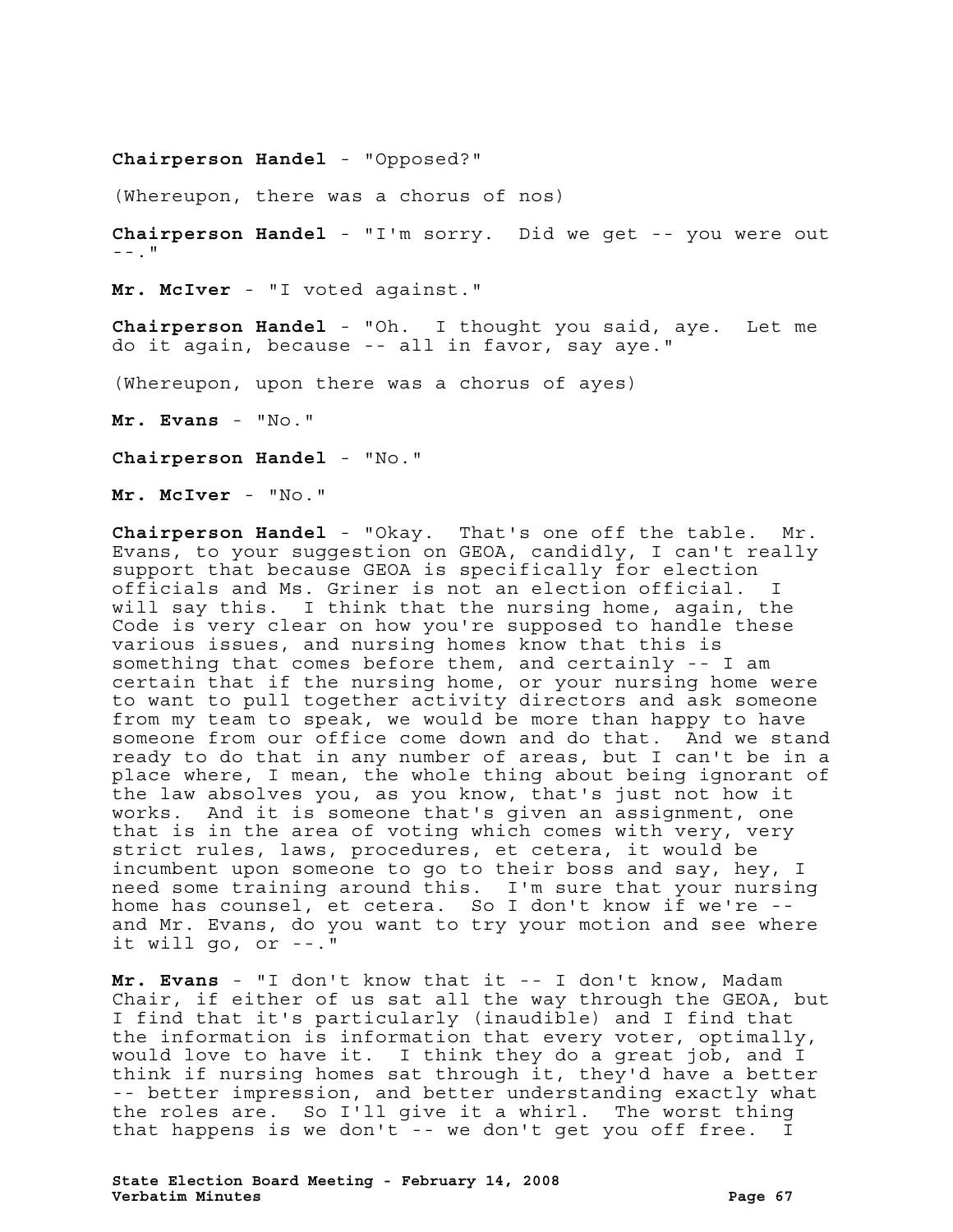## **Chairperson Handel** - "Opposed?"

(Whereupon, there was a chorus of nos)

**Chairperson Handel** - "I'm sorry. Did we get -- you were out  $-$ .  $\blacksquare$ 

**Mr. McIver** - "I voted against."

**Chairperson Handel** - "Oh. I thought you said, aye. Let me do it again, because -- all in favor, say aye."

(Whereupon, upon there was a chorus of ayes)

**Mr. Evans** - "No."

**Chairperson Handel** - "No."

**Mr. McIver** - "No."

**Chairperson Handel** - "Okay. That's one off the table. Mr. Evans, to your suggestion on GEOA, candidly, I can't really support that because GEOA is specifically for election officials and Ms. Griner is not an election official. I will say this. I think that the nursing home, again, the Code is very clear on how you're supposed to handle these various issues, and nursing homes know that this is something that comes before them, and certainly -- I am certain that if the nursing home, or your nursing home were to want to pull together activity directors and ask someone from my team to speak, we would be more than happy to have someone from our office come down and do that. And we stand ready to do that in any number of areas, but I can't be in a place where, I mean, the whole thing about being ignorant of the law absolves you, as you know, that's just not how it works. And it is someone that's given an assignment, one that is in the area of voting which comes with very, very strict rules, laws, procedures, et cetera, it would be incumbent upon someone to go to their boss and say, hey, I need some training around this. I'm sure that your nursing home has counsel, et cetera. So I don't know if we're - and Mr. Evans, do you want to try your motion and see where it will go, or --."

**Mr. Evans** - "I don't know that it -- I don't know, Madam Chair, if either of us sat all the way through the GEOA, but I find that it's particularly (inaudible) and I find that the information is information that every voter, optimally, would love to have it. I think they do a great job, and I think if nursing homes sat through it, they'd have a better -- better impression, and better understanding exactly what the roles are. So I'll give it a whirl. The worst thing that happens is we don't -- we don't get you off free. I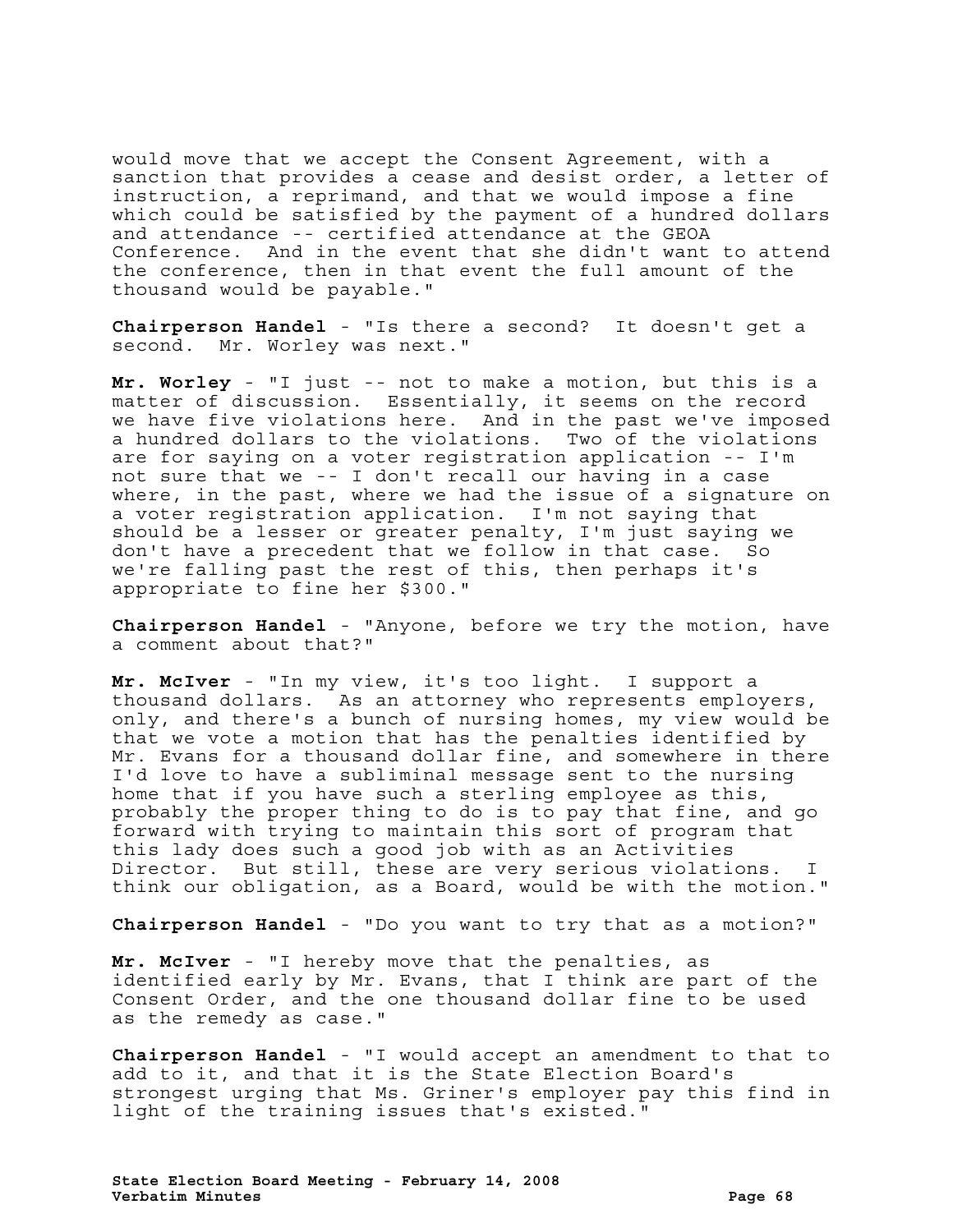would move that we accept the Consent Agreement, with a sanction that provides a cease and desist order, a letter of instruction, a reprimand, and that we would impose a fine which could be satisfied by the payment of a hundred dollars and attendance -- certified attendance at the GEOA Conference. And in the event that she didn't want to attend the conference, then in that event the full amount of the thousand would be payable."

**Chairperson Handel** - "Is there a second? It doesn't get a second. Mr. Worley was next."

**Mr. Worley** - "I just -- not to make a motion, but this is a matter of discussion. Essentially, it seems on the record we have five violations here. And in the past we've imposed a hundred dollars to the violations. Two of the violations are for saying on a voter registration application -- I'm not sure that we -- I don't recall our having in a case where, in the past, where we had the issue of a signature on a voter registration application. I'm not saying that should be a lesser or greater penalty, I'm just saying we don't have a precedent that we follow in that case. So we're falling past the rest of this, then perhaps it's appropriate to fine her \$300."

**Chairperson Handel** - "Anyone, before we try the motion, have a comment about that?"

**Mr. McIver** - "In my view, it's too light. I support a thousand dollars. As an attorney who represents employers, only, and there's a bunch of nursing homes, my view would be that we vote a motion that has the penalties identified by Mr. Evans for a thousand dollar fine, and somewhere in there I'd love to have a subliminal message sent to the nursing home that if you have such a sterling employee as this, probably the proper thing to do is to pay that fine, and go forward with trying to maintain this sort of program that this lady does such a good job with as an Activities Director. But still, these are very serious violations. I think our obligation, as a Board, would be with the motion."

**Chairperson Handel** - "Do you want to try that as a motion?"

**Mr. McIver** - "I hereby move that the penalties, as identified early by Mr. Evans, that I think are part of the Consent Order, and the one thousand dollar fine to be used as the remedy as case."

**Chairperson Handel** - "I would accept an amendment to that to add to it, and that it is the State Election Board's strongest urging that Ms. Griner's employer pay this find in light of the training issues that's existed."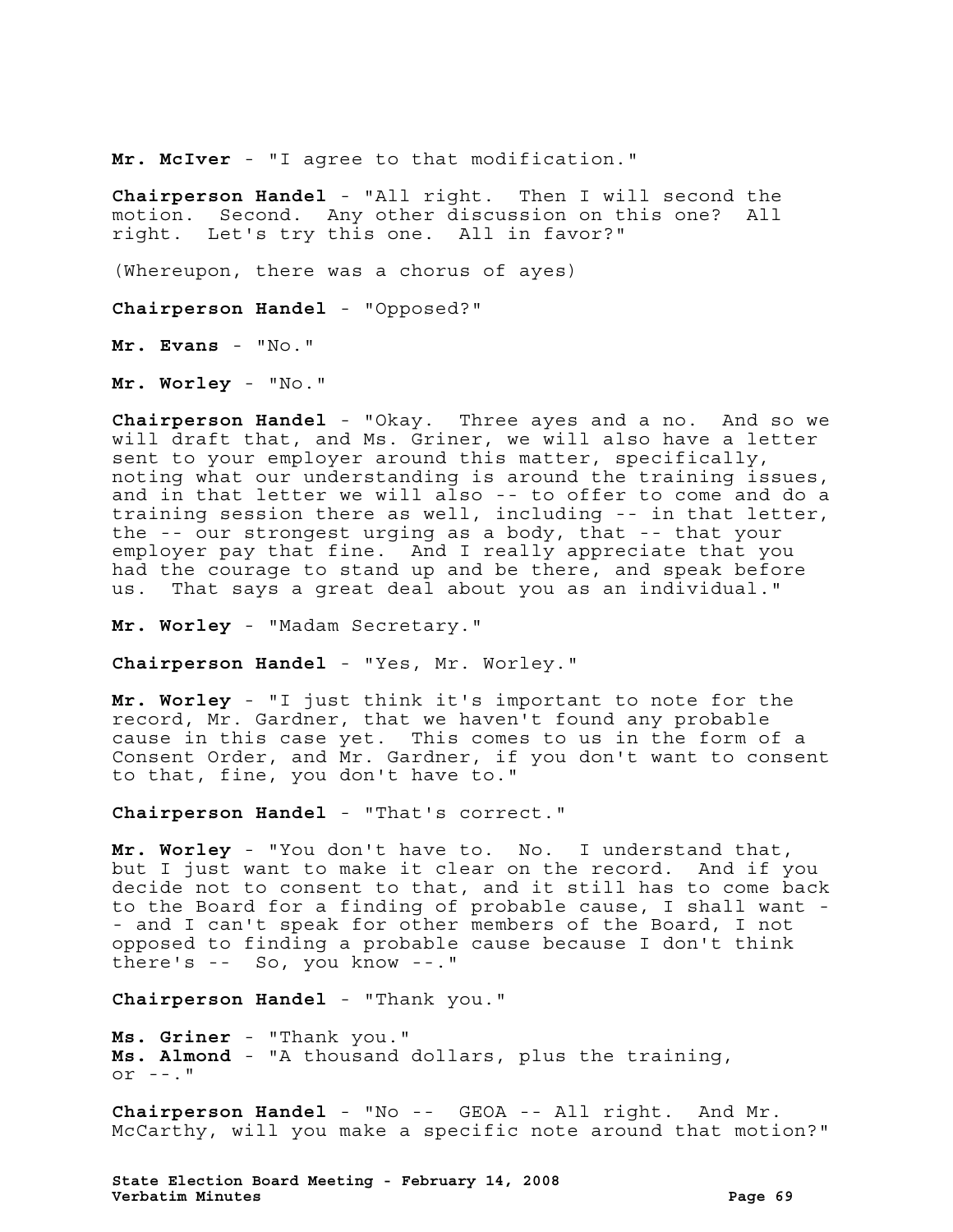**Mr. McIver** - "I agree to that modification."

**Chairperson Handel** - "All right. Then I will second the motion. Second. Any other discussion on this one? All right. Let's try this one. All in favor?"

(Whereupon, there was a chorus of ayes)

**Chairperson Handel** - "Opposed?"

**Mr. Evans** - "No."

**Mr. Worley** - "No."

**Chairperson Handel** - "Okay. Three ayes and a no. And so we will draft that, and Ms. Griner, we will also have a letter sent to your employer around this matter, specifically, noting what our understanding is around the training issues, and in that letter we will also -- to offer to come and do a training session there as well, including -- in that letter, the -- our strongest urging as a body, that -- that your employer pay that fine. And I really appreciate that you had the courage to stand up and be there, and speak before us. That says a great deal about you as an individual."

**Mr. Worley** - "Madam Secretary."

**Chairperson Handel** - "Yes, Mr. Worley."

**Mr. Worley** - "I just think it's important to note for the record, Mr. Gardner, that we haven't found any probable cause in this case yet. This comes to us in the form of a Consent Order, and Mr. Gardner, if you don't want to consent to that, fine, you don't have to."

**Chairperson Handel** - "That's correct."

**Mr. Worley** - "You don't have to. No. I understand that, but I just want to make it clear on the record. And if you decide not to consent to that, and it still has to come back to the Board for a finding of probable cause, I shall want - - and I can't speak for other members of the Board, I not opposed to finding a probable cause because I don't think there's -- So, you know --."

**Chairperson Handel** - "Thank you."

**Ms. Griner** - "Thank you." **Ms. Almond** - "A thousand dollars, plus the training,  $or --.$ "

**Chairperson Handel** - "No -- GEOA -- All right. And Mr. McCarthy, will you make a specific note around that motion?"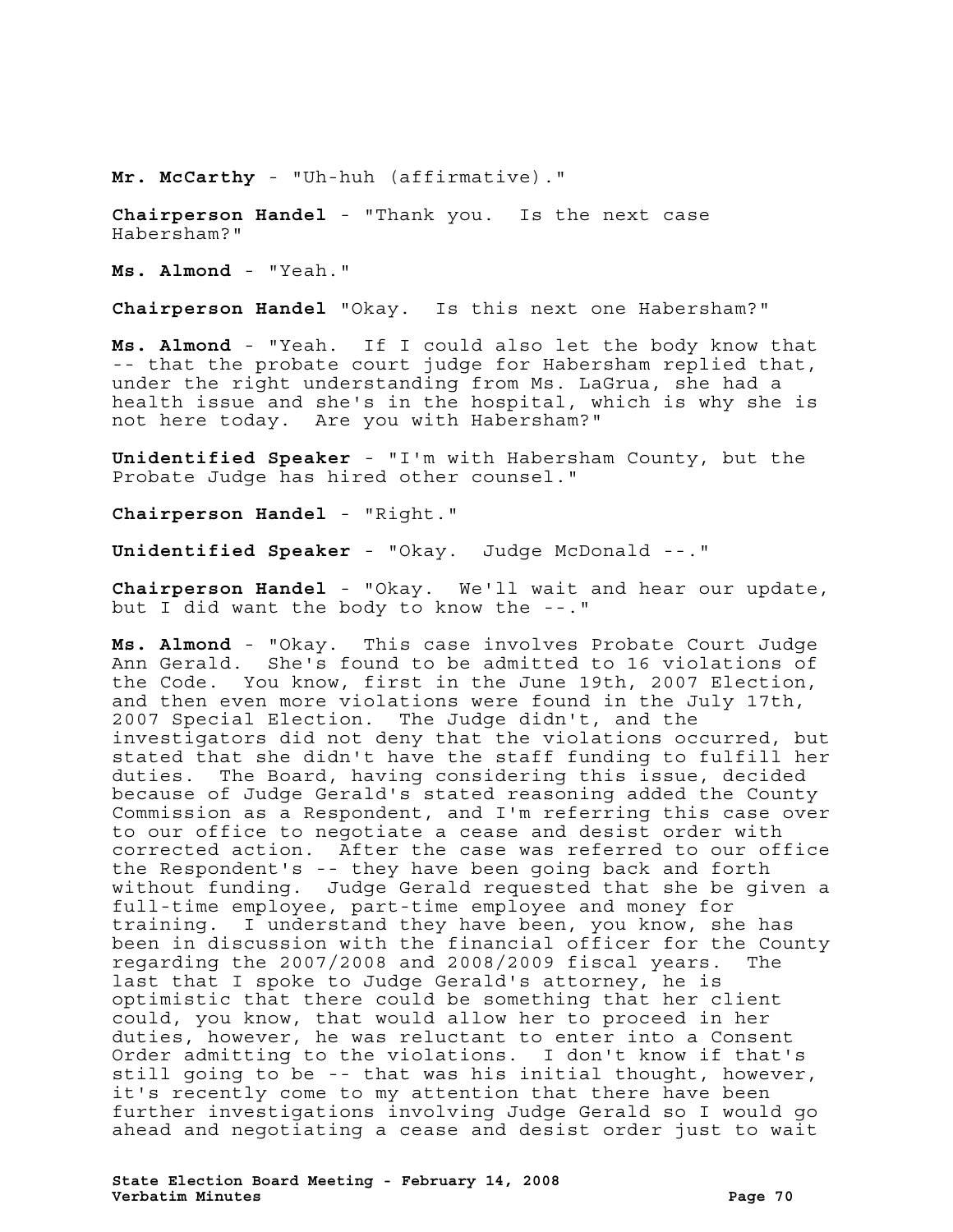**Mr. McCarthy** - "Uh-huh (affirmative)."

**Chairperson Handel** - "Thank you. Is the next case Habersham?"

**Ms. Almond** - "Yeah."

**Chairperson Handel** "Okay. Is this next one Habersham?"

**Ms. Almond** - "Yeah. If I could also let the body know that -- that the probate court judge for Habersham replied that, under the right understanding from Ms. LaGrua, she had a health issue and she's in the hospital, which is why she is not here today. Are you with Habersham?"

**Unidentified Speaker** - "I'm with Habersham County, but the Probate Judge has hired other counsel."

**Chairperson Handel** - "Right."

**Unidentified Speaker** - "Okay. Judge McDonald --."

**Chairperson Handel** - "Okay. We'll wait and hear our update, but I did want the body to know the --."

**Ms. Almond** - "Okay. This case involves Probate Court Judge Ann Gerald. She's found to be admitted to 16 violations of the Code. You know, first in the June 19th, 2007 Election, and then even more violations were found in the July 17th, 2007 Special Election. The Judge didn't, and the investigators did not deny that the violations occurred, but stated that she didn't have the staff funding to fulfill her duties. The Board, having considering this issue, decided because of Judge Gerald's stated reasoning added the County Commission as a Respondent, and I'm referring this case over to our office to negotiate a cease and desist order with corrected action. After the case was referred to our office the Respondent's -- they have been going back and forth without funding. Judge Gerald requested that she be given a full-time employee, part-time employee and money for training. I understand they have been, you know, she has been in discussion with the financial officer for the County regarding the 2007/2008 and 2008/2009 fiscal years. The last that I spoke to Judge Gerald's attorney, he is optimistic that there could be something that her client could, you know, that would allow her to proceed in her duties, however, he was reluctant to enter into a Consent Order admitting to the violations. I don't know if that's still going to be -- that was his initial thought, however, it's recently come to my attention that there have been further investigations involving Judge Gerald so I would go ahead and negotiating a cease and desist order just to wait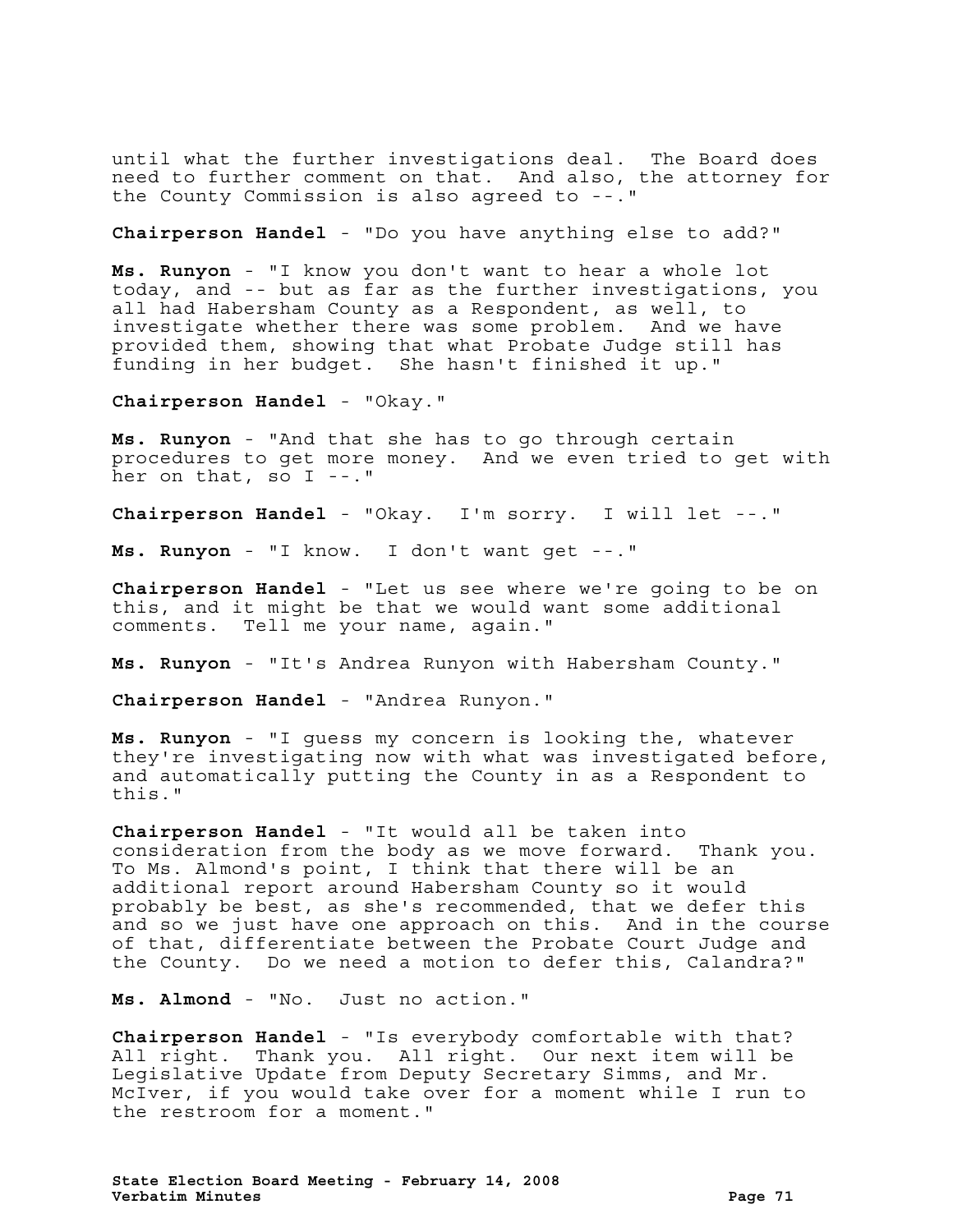until what the further investigations deal. The Board does need to further comment on that. And also, the attorney for the County Commission is also agreed to --."

**Chairperson Handel** - "Do you have anything else to add?"

**Ms. Runyon** - "I know you don't want to hear a whole lot today, and -- but as far as the further investigations, you all had Habersham County as a Respondent, as well, to investigate whether there was some problem. And we have provided them, showing that what Probate Judge still has funding in her budget. She hasn't finished it up."

**Chairperson Handel** - "Okay."

**Ms. Runyon** - "And that she has to go through certain procedures to get more money. And we even tried to get with her on that, so I --."

**Chairperson Handel** - "Okay. I'm sorry. I will let --."

**Ms. Runyon** - "I know. I don't want get --."

**Chairperson Handel** - "Let us see where we're going to be on this, and it might be that we would want some additional comments. Tell me your name, again."

**Ms. Runyon** - "It's Andrea Runyon with Habersham County."

**Chairperson Handel** - "Andrea Runyon."

**Ms. Runyon** - "I guess my concern is looking the, whatever they're investigating now with what was investigated before, and automatically putting the County in as a Respondent to this."

**Chairperson Handel** - "It would all be taken into consideration from the body as we move forward. Thank you. To Ms. Almond's point, I think that there will be an additional report around Habersham County so it would probably be best, as she's recommended, that we defer this and so we just have one approach on this. And in the course of that, differentiate between the Probate Court Judge and the County. Do we need a motion to defer this, Calandra?"

**Ms. Almond** - "No. Just no action."

**Chairperson Handel** - "Is everybody comfortable with that? All right. Thank you. All right. Our next item will be Legislative Update from Deputy Secretary Simms, and Mr. McIver, if you would take over for a moment while I run to the restroom for a moment."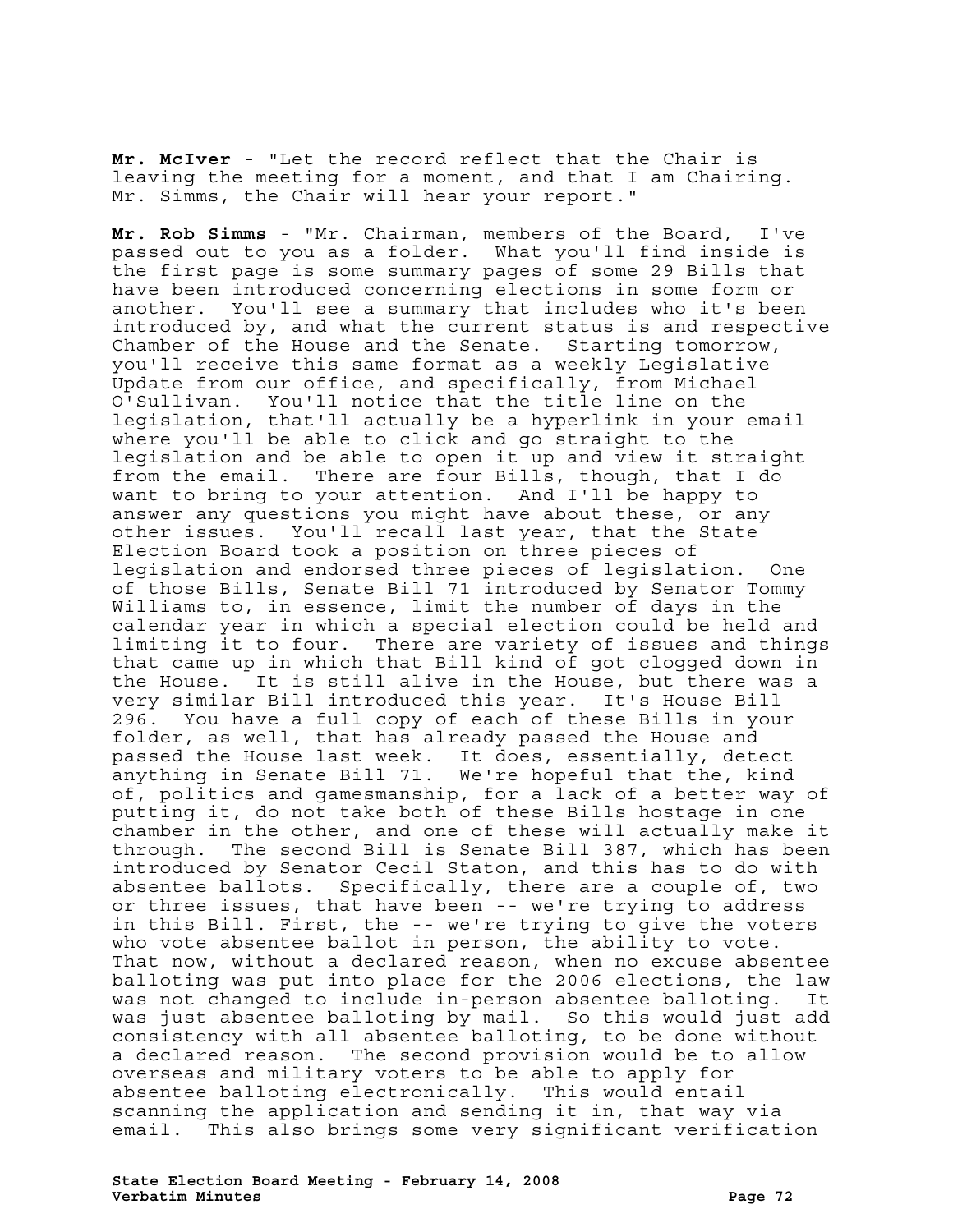**Mr. McIver** - "Let the record reflect that the Chair is leaving the meeting for a moment, and that I am Chairing. Mr. Simms, the Chair will hear your report."

**Mr. Rob Simms** - "Mr. Chairman, members of the Board, I've passed out to you as a folder. What you'll find inside is the first page is some summary pages of some 29 Bills that have been introduced concerning elections in some form or another. You'll see a summary that includes who it's been introduced by, and what the current status is and respective Chamber of the House and the Senate. Starting tomorrow, you'll receive this same format as a weekly Legislative Update from our office, and specifically, from Michael O'Sullivan. You'll notice that the title line on the legislation, that'll actually be a hyperlink in your email where you'll be able to click and go straight to the legislation and be able to open it up and view it straight from the email. There are four Bills, though, that I do want to bring to your attention. And I'll be happy to answer any questions you might have about these, or any other issues. You'll recall last year, that the State Election Board took a position on three pieces of legislation and endorsed three pieces of legislation. One of those Bills, Senate Bill 71 introduced by Senator Tommy Williams to, in essence, limit the number of days in the calendar year in which a special election could be held and limiting it to four. There are variety of issues and things that came up in which that Bill kind of got clogged down in the House. It is still alive in the House, but there was a very similar Bill introduced this year. It's House Bill 296. You have a full copy of each of these Bills in your folder, as well, that has already passed the House and passed the House last week. It does, essentially, detect anything in Senate Bill 71. We're hopeful that the, kind of, politics and gamesmanship, for a lack of a better way of putting it, do not take both of these Bills hostage in one chamber in the other, and one of these will actually make it through. The second Bill is Senate Bill 387, which has been introduced by Senator Cecil Staton, and this has to do with absentee ballots. Specifically, there are a couple of, two or three issues, that have been -- we're trying to address in this Bill. First, the -- we're trying to give the voters who vote absentee ballot in person, the ability to vote. That now, without a declared reason, when no excuse absentee balloting was put into place for the 2006 elections, the law was not changed to include in-person absentee balloting. It was just absentee balloting by mail. So this would just add consistency with all absentee balloting, to be done without a declared reason. The second provision would be to allow overseas and military voters to be able to apply for absentee balloting electronically. This would entail scanning the application and sending it in, that way via email. This also brings some very significant verification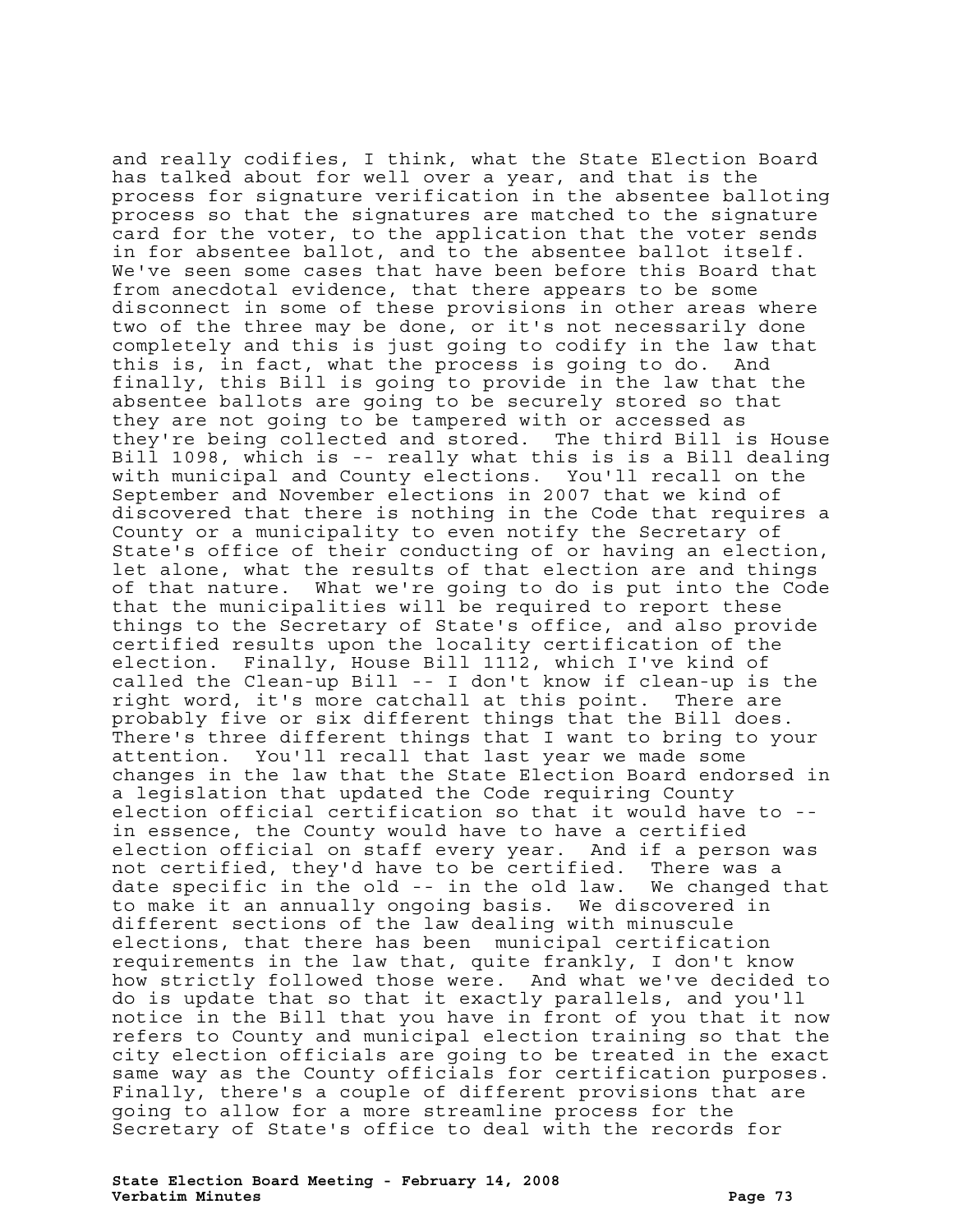and really codifies, I think, what the State Election Board has talked about for well over a year, and that is the process for signature verification in the absentee balloting process so that the signatures are matched to the signature card for the voter, to the application that the voter sends in for absentee ballot, and to the absentee ballot itself. We've seen some cases that have been before this Board that from anecdotal evidence, that there appears to be some disconnect in some of these provisions in other areas where two of the three may be done, or it's not necessarily done completely and this is just going to codify in the law that this is, in fact, what the process is going to do. And finally, this Bill is going to provide in the law that the absentee ballots are going to be securely stored so that they are not going to be tampered with or accessed as they're being collected and stored. The third Bill is House Bill 1098, which is -- really what this is is a Bill dealing with municipal and County elections. You'll recall on the September and November elections in 2007 that we kind of discovered that there is nothing in the Code that requires a County or a municipality to even notify the Secretary of State's office of their conducting of or having an election, let alone, what the results of that election are and things of that nature. What we're going to do is put into the Code that the municipalities will be required to report these things to the Secretary of State's office, and also provide certified results upon the locality certification of the election. Finally, House Bill 1112, which I've kind of called the Clean-up Bill -- I don't know if clean-up is the right word, it's more catchall at this point. There are probably five or six different things that the Bill does. There's three different things that I want to bring to your attention. You'll recall that last year we made some changes in the law that the State Election Board endorsed in a legislation that updated the Code requiring County election official certification so that it would have to - in essence, the County would have to have a certified election official on staff every year. And if a person was not certified, they'd have to be certified. There was a date specific in the old -- in the old law. We changed that to make it an annually ongoing basis. We discovered in different sections of the law dealing with minuscule elections, that there has been municipal certification requirements in the law that, quite frankly, I don't know how strictly followed those were. And what we've decided to do is update that so that it exactly parallels, and you'll notice in the Bill that you have in front of you that it now refers to County and municipal election training so that the city election officials are going to be treated in the exact same way as the County officials for certification purposes. Finally, there's a couple of different provisions that are going to allow for a more streamline process for the Secretary of State's office to deal with the records for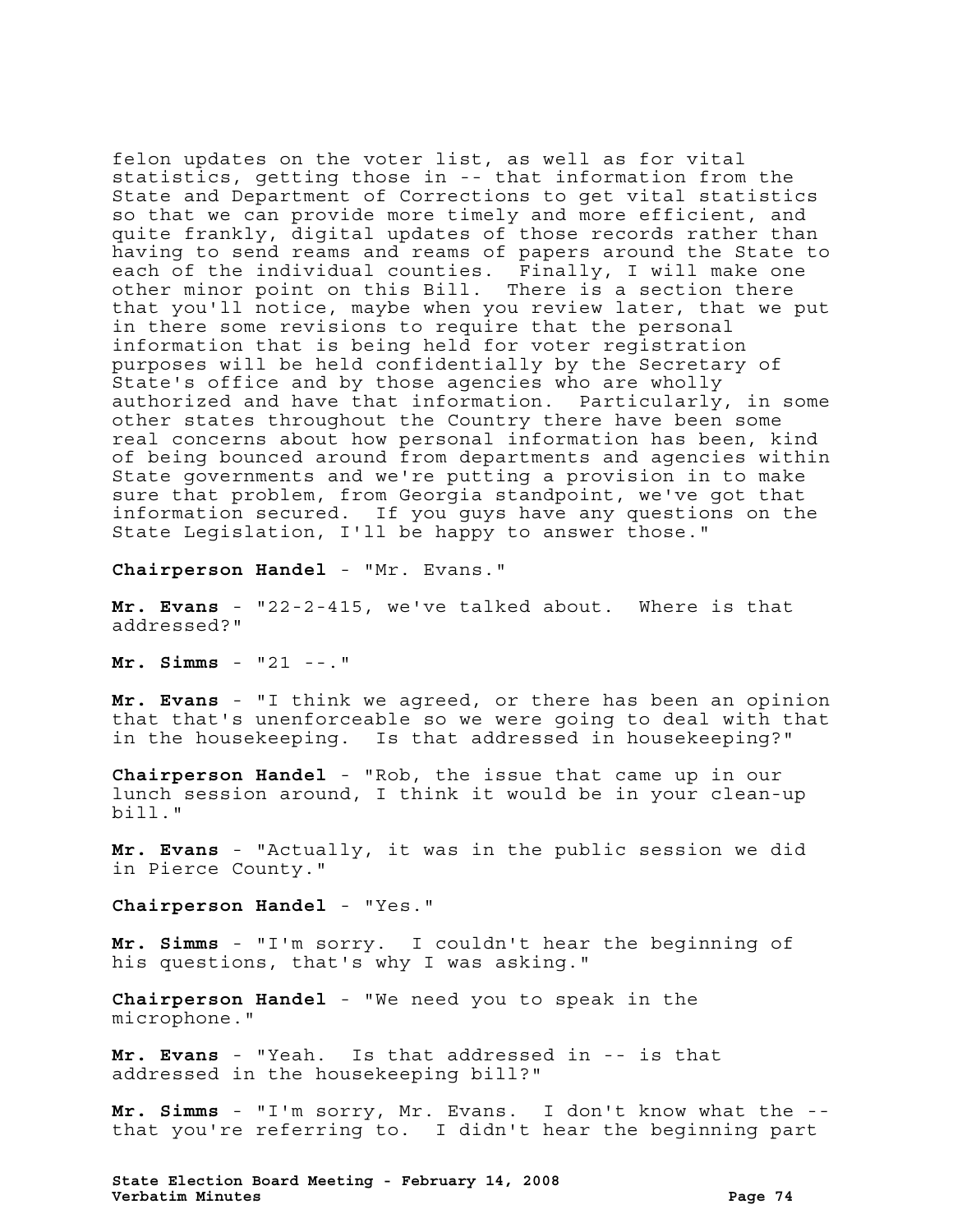felon updates on the voter list, as well as for vital statistics, getting those in -- that information from the State and Department of Corrections to get vital statistics so that we can provide more timely and more efficient, and quite frankly, digital updates of those records rather than having to send reams and reams of papers around the State to each of the individual counties. Finally, I will make one other minor point on this Bill. There is a section there that you'll notice, maybe when you review later, that we put in there some revisions to require that the personal information that is being held for voter registration purposes will be held confidentially by the Secretary of State's office and by those agencies who are wholly authorized and have that information. Particularly, in some other states throughout the Country there have been some real concerns about how personal information has been, kind of being bounced around from departments and agencies within State governments and we're putting a provision in to make sure that problem, from Georgia standpoint, we've got that information secured. If you guys have any questions on the State Legislation, I'll be happy to answer those."

**Chairperson Handel** - "Mr. Evans."

**Mr. Evans** - "22-2-415, we've talked about. Where is that addressed?"

**Mr. Simms** - "21 --."

**Mr. Evans** - "I think we agreed, or there has been an opinion that that's unenforceable so we were going to deal with that in the housekeeping. Is that addressed in housekeeping?"

**Chairperson Handel** - "Rob, the issue that came up in our lunch session around, I think it would be in your clean-up bill."

**Mr. Evans** - "Actually, it was in the public session we did in Pierce County."

**Chairperson Handel** - "Yes."

**Mr. Simms** - "I'm sorry. I couldn't hear the beginning of his questions, that's why I was asking."

**Chairperson Handel** - "We need you to speak in the microphone."

**Mr. Evans** - "Yeah. Is that addressed in -- is that addressed in the housekeeping bill?"

**Mr. Simms** - "I'm sorry, Mr. Evans. I don't know what the - that you're referring to. I didn't hear the beginning part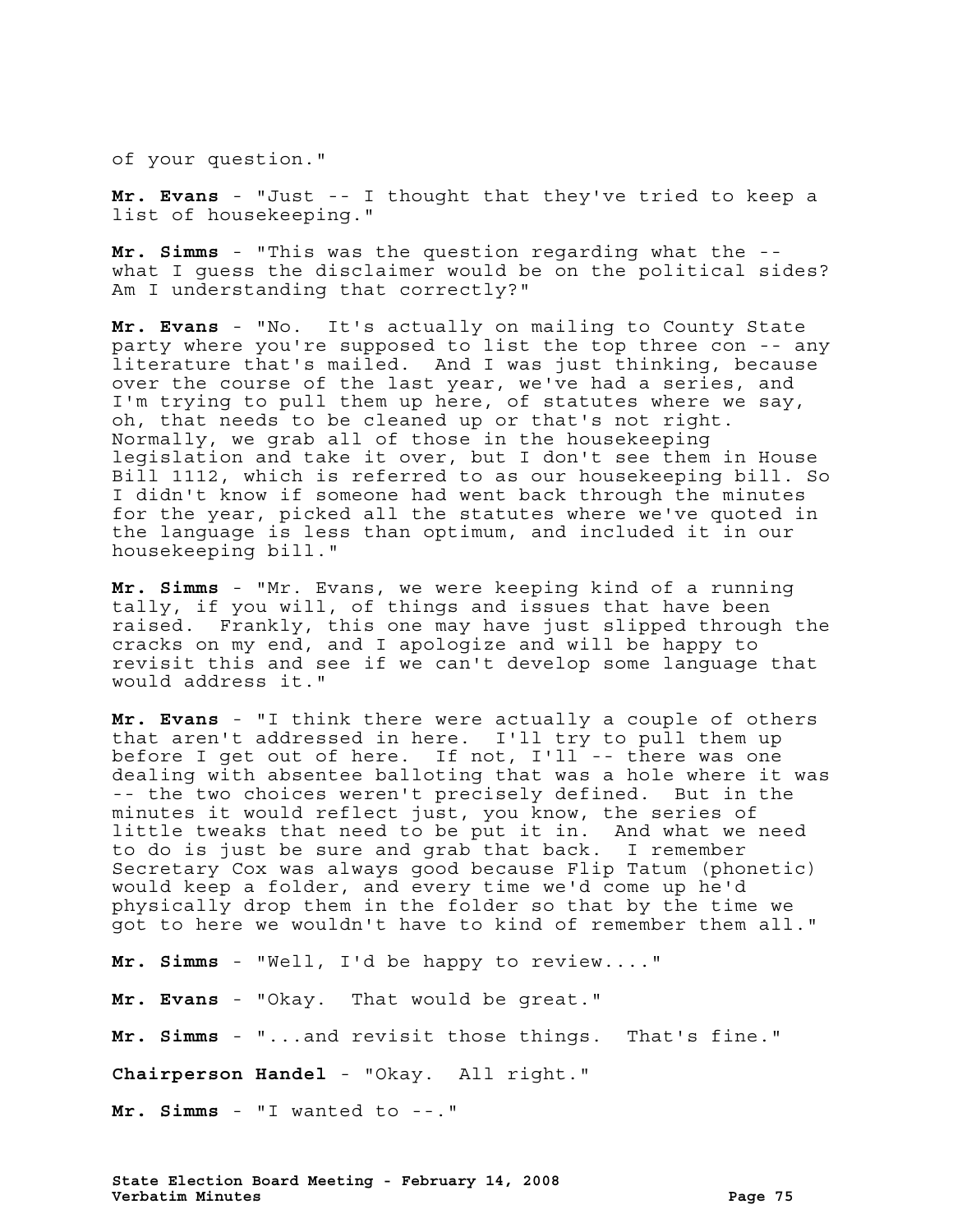of your question."

**Mr. Evans** - "Just -- I thought that they've tried to keep a list of housekeeping."

**Mr. Simms** - "This was the question regarding what the - what I guess the disclaimer would be on the political sides? Am I understanding that correctly?"

**Mr. Evans** - "No. It's actually on mailing to County State party where you're supposed to list the top three con -- any literature that's mailed. And I was just thinking, because over the course of the last year, we've had a series, and I'm trying to pull them up here, of statutes where we say, oh, that needs to be cleaned up or that's not right. Normally, we grab all of those in the housekeeping legislation and take it over, but I don't see them in House Bill 1112, which is referred to as our housekeeping bill. So I didn't know if someone had went back through the minutes for the year, picked all the statutes where we've quoted in the language is less than optimum, and included it in our housekeeping bill."

**Mr. Simms** - "Mr. Evans, we were keeping kind of a running tally, if you will, of things and issues that have been raised. Frankly, this one may have just slipped through the cracks on my end, and I apologize and will be happy to revisit this and see if we can't develop some language that would address it."

**Mr. Evans** - "I think there were actually a couple of others that aren't addressed in here. I'll try to pull them up before I get out of here. If not, I'll<sup>-</sup>-- there was one dealing with absentee balloting that was a hole where it was -- the two choices weren't precisely defined. But in the minutes it would reflect just, you know, the series of little tweaks that need to be put it in. And what we need to do is just be sure and grab that back. I remember Secretary Cox was always good because Flip Tatum (phonetic) would keep a folder, and every time we'd come up he'd physically drop them in the folder so that by the time we got to here we wouldn't have to kind of remember them all."

**Mr. Simms** - "Well, I'd be happy to review...."

**Mr. Evans** - "Okay. That would be great."

**Mr. Simms** - "...and revisit those things. That's fine."

**Chairperson Handel** - "Okay. All right."

**Mr. Simms** - "I wanted to --."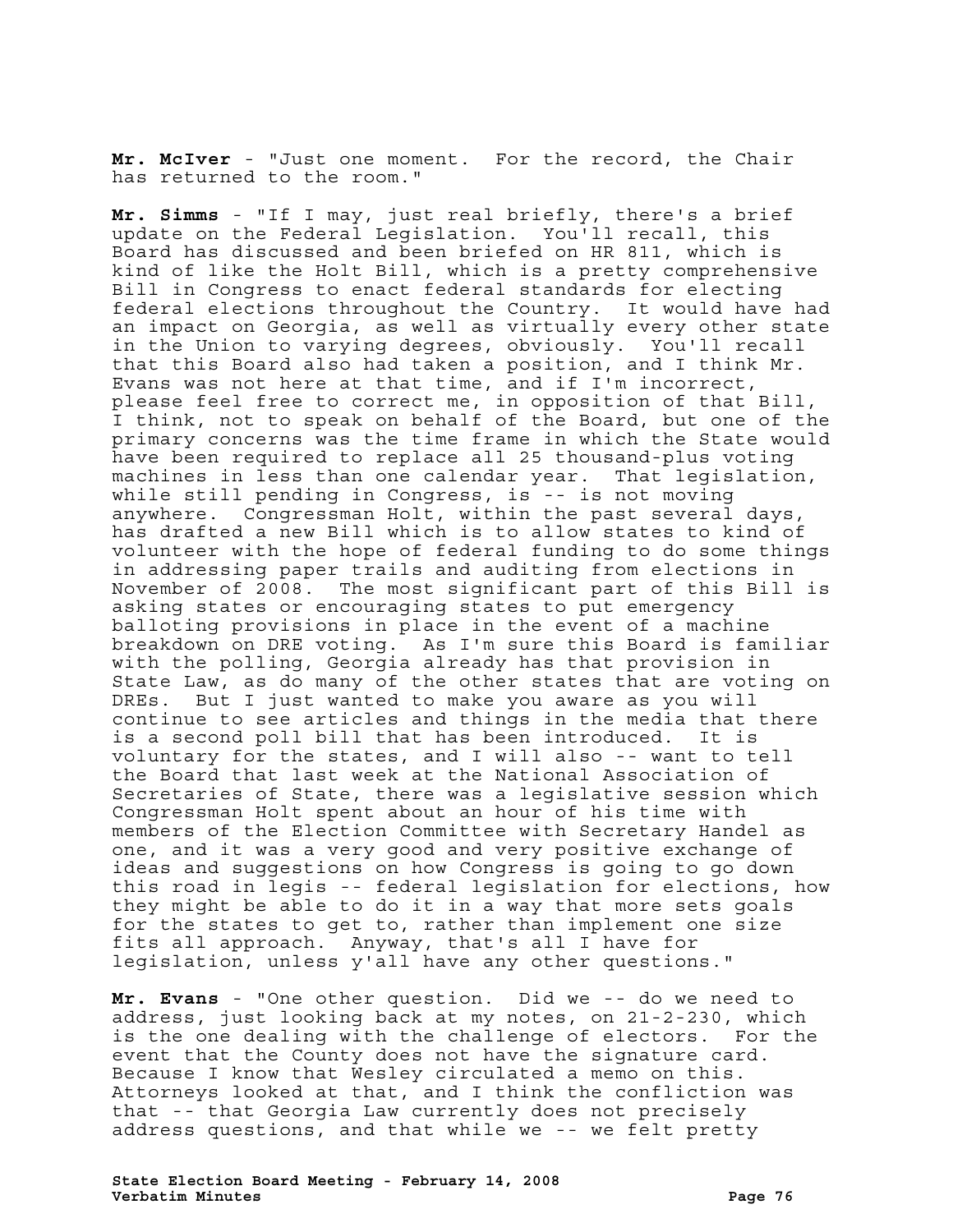**Mr. McIver** - "Just one moment. For the record, the Chair has returned to the room."

**Mr. Simms** - "If I may, just real briefly, there's a brief update on the Federal Legislation. You'll recall, this Board has discussed and been briefed on HR 811, which is kind of like the Holt Bill, which is a pretty comprehensive Bill in Congress to enact federal standards for electing federal elections throughout the Country. It would have had an impact on Georgia, as well as virtually every other state in the Union to varying degrees, obviously. You'll recall that this Board also had taken a position, and I think Mr. Evans was not here at that time, and if I'm incorrect, please feel free to correct me, in opposition of that Bill, I think, not to speak on behalf of the Board, but one of the primary concerns was the time frame in which the State would have been required to replace all 25 thousand-plus voting machines in less than one calendar year. That legislation, while still pending in Congress, is -- is not moving anywhere. Congressman Holt, within the past several days, has drafted a new Bill which is to allow states to kind of volunteer with the hope of federal funding to do some things in addressing paper trails and auditing from elections in November of 2008. The most significant part of this Bill is asking states or encouraging states to put emergency balloting provisions in place in the event of a machine breakdown on DRE voting. As I'm sure this Board is familiar with the polling, Georgia already has that provision in State Law, as do many of the other states that are voting on DREs. But I just wanted to make you aware as you will continue to see articles and things in the media that there is a second poll bill that has been introduced. It is voluntary for the states, and I will also -- want to tell the Board that last week at the National Association of Secretaries of State, there was a legislative session which Congressman Holt spent about an hour of his time with members of the Election Committee with Secretary Handel as one, and it was a very good and very positive exchange of ideas and suggestions on how Congress is going to go down this road in legis -- federal legislation for elections, how they might be able to do it in a way that more sets goals for the states to get to, rather than implement one size fits all approach. Anyway, that's all I have for legislation, unless y'all have any other questions."

**Mr. Evans** - "One other question. Did we -- do we need to address, just looking back at my notes, on 21-2-230, which is the one dealing with the challenge of electors. For the event that the County does not have the signature card. Because I know that Wesley circulated a memo on this. Attorneys looked at that, and I think the confliction was that -- that Georgia Law currently does not precisely address questions, and that while we -- we felt pretty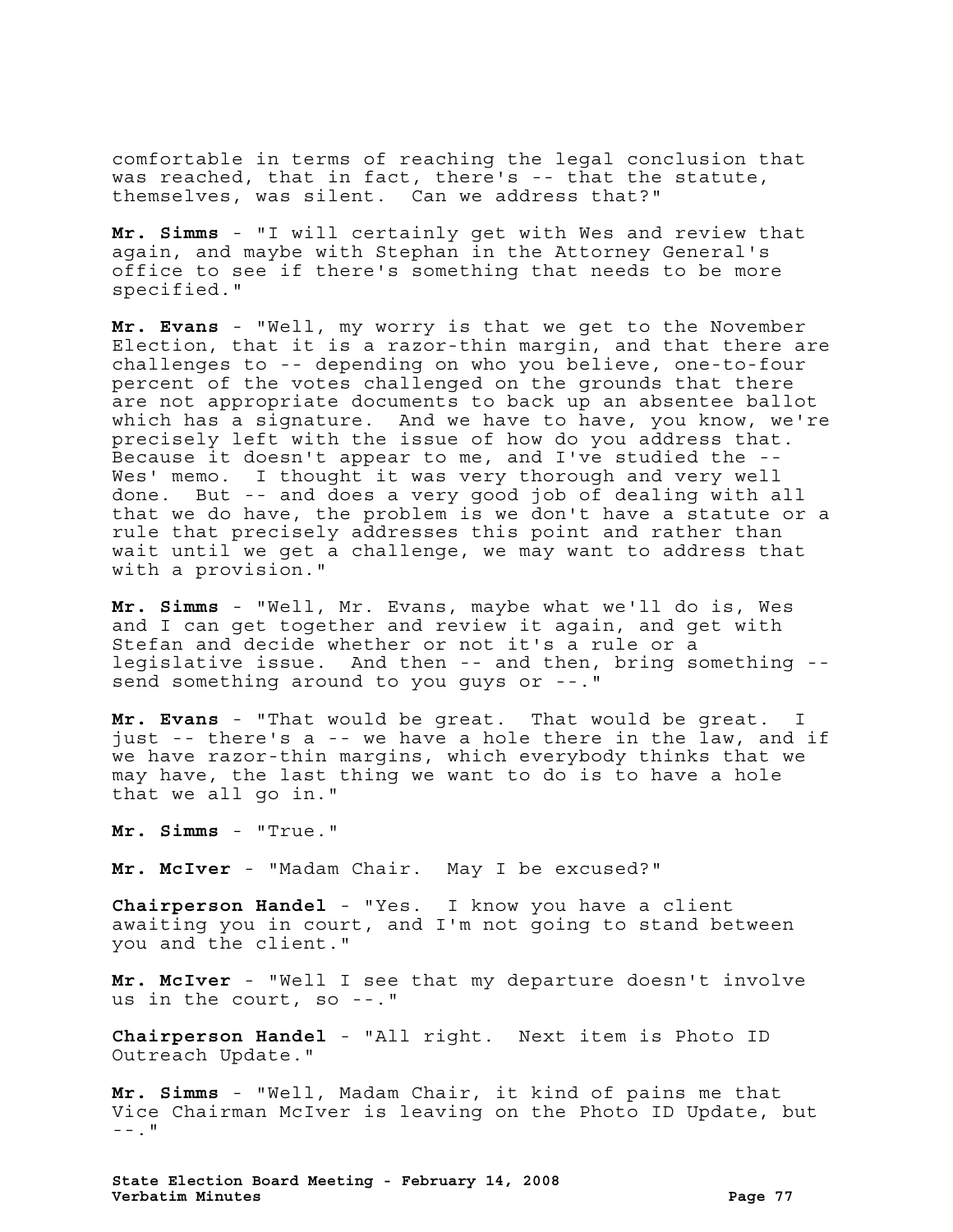comfortable in terms of reaching the legal conclusion that was reached, that in fact, there's -- that the statute, themselves, was silent. Can we address that?"

**Mr. Simms** - "I will certainly get with Wes and review that again, and maybe with Stephan in the Attorney General's office to see if there's something that needs to be more specified."

**Mr. Evans** - "Well, my worry is that we get to the November Election, that it is a razor-thin margin, and that there are challenges to -- depending on who you believe, one-to-four percent of the votes challenged on the grounds that there are not appropriate documents to back up an absentee ballot which has a signature. And we have to have, you know, we're precisely left with the issue of how do you address that. Because it doesn't appear to me, and I've studied the -- Wes' memo. I thought it was very thorough and very well done. But -- and does a very good job of dealing with all that we do have, the problem is we don't have a statute or a rule that precisely addresses this point and rather than wait until we get a challenge, we may want to address that with a provision."

**Mr. Simms** - "Well, Mr. Evans, maybe what we'll do is, Wes and I can get together and review it again, and get with Stefan and decide whether or not it's a rule or a legislative issue. And then -- and then, bring something - send something around to you guys or --."

**Mr. Evans** - "That would be great. That would be great. I just -- there's a -- we have a hole there in the law, and if we have razor-thin margins, which everybody thinks that we may have, the last thing we want to do is to have a hole that we all go in."

**Mr. Simms** - "True."

**Mr. McIver** - "Madam Chair. May I be excused?"

**Chairperson Handel** - "Yes. I know you have a client awaiting you in court, and I'm not going to stand between you and the client."

**Mr. McIver** - "Well I see that my departure doesn't involve us in the court, so --."

**Chairperson Handel** - "All right. Next item is Photo ID Outreach Update."

**Mr. Simms** - "Well, Madam Chair, it kind of pains me that Vice Chairman McIver is leaving on the Photo ID Update, but  $--$ .  $^{\text{II}}$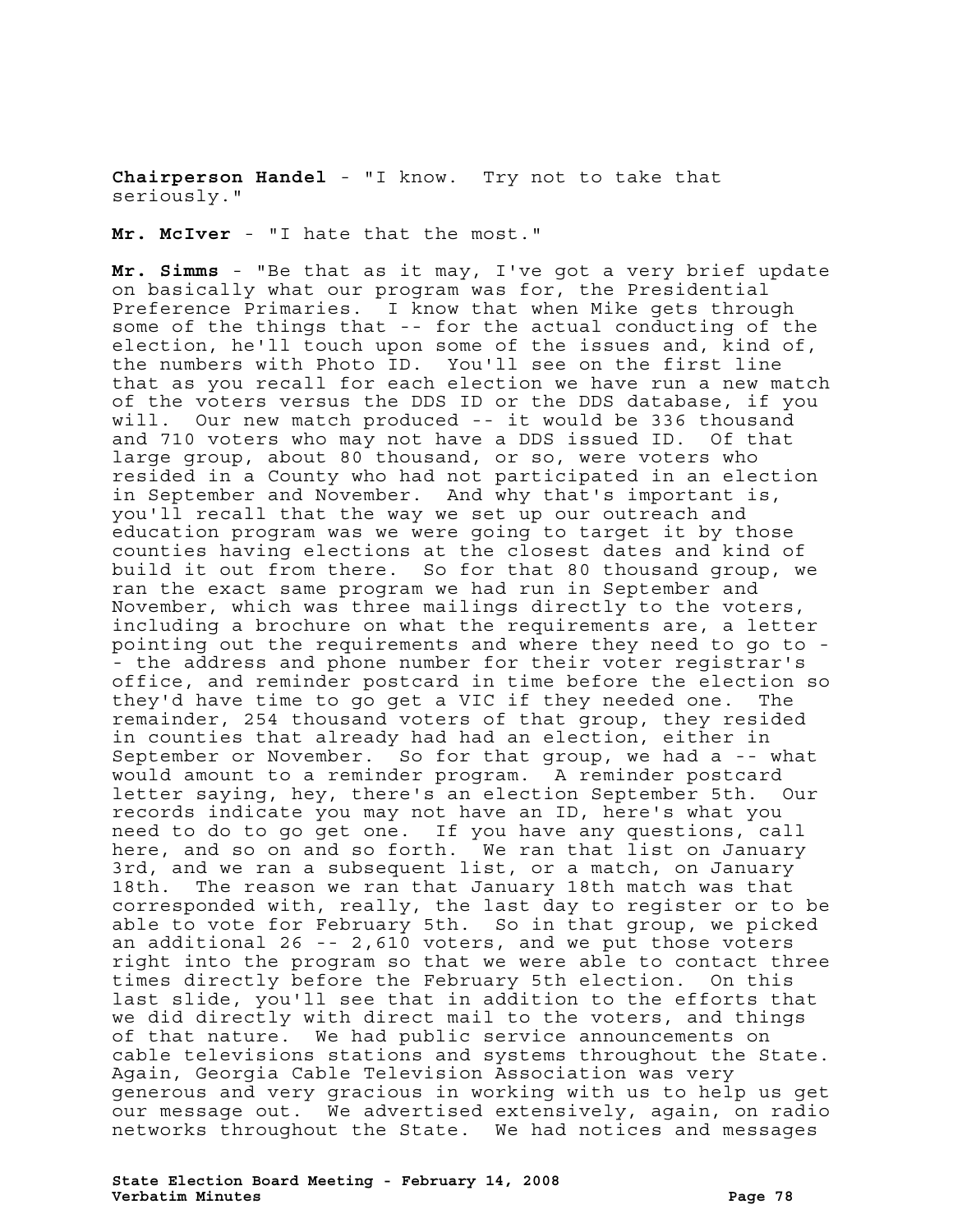**Chairperson Handel** - "I know. Try not to take that seriously."

**Mr. McIver** - "I hate that the most."

**Mr. Simms** - "Be that as it may, I've got a very brief update on basically what our program was for, the Presidential Preference Primaries. I know that when Mike gets through some of the things that -- for the actual conducting of the election, he'll touch upon some of the issues and, kind of, the numbers with Photo ID. You'll see on the first line that as you recall for each election we have run a new match of the voters versus the DDS ID or the DDS database, if you will. Our new match produced -- it would be 336 thousand and 710 voters who may not have a DDS issued ID. Of that large group, about 80 thousand, or so, were voters who resided in a County who had not participated in an election in September and November. And why that's important is, you'll recall that the way we set up our outreach and education program was we were going to target it by those counties having elections at the closest dates and kind of build it out from there. So for that 80 thousand group, we ran the exact same program we had run in September and November, which was three mailings directly to the voters, including a brochure on what the requirements are, a letter pointing out the requirements and where they need to go to - - the address and phone number for their voter registrar's office, and reminder postcard in time before the election so they'd have time to go get a VIC if they needed one. The remainder, 254 thousand voters of that group, they resided in counties that already had had an election, either in September or November. So for that group, we had a -- what would amount to a reminder program. A reminder postcard letter saying, hey, there's an election September 5th. Our records indicate you may not have an ID, here's what you need to do to go get one. If you have any questions, call here, and so on and so forth. We ran that list on January 3rd, and we ran a subsequent list, or a match, on January 18th. The reason we ran that January 18th match was that corresponded with, really, the last day to register or to be able to vote for February 5th. So in that group, we picked an additional 26 -- 2,610 voters, and we put those voters right into the program so that we were able to contact three times directly before the February 5th election. On this last slide, you'll see that in addition to the efforts that we did directly with direct mail to the voters, and things of that nature. We had public service announcements on cable televisions stations and systems throughout the State. Again, Georgia Cable Television Association was very generous and very gracious in working with us to help us get our message out. We advertised extensively, again, on radio networks throughout the State. We had notices and messages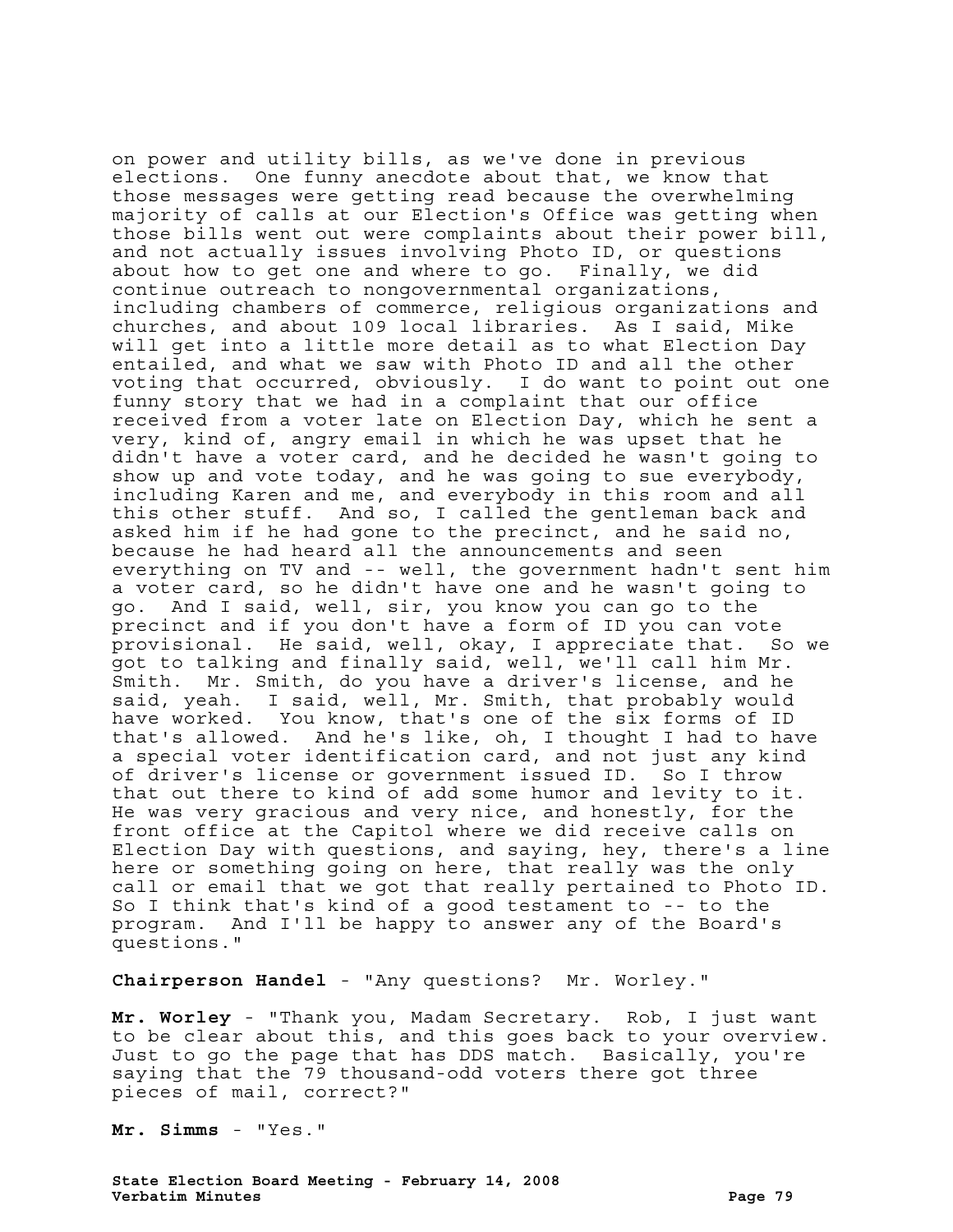on power and utility bills, as we've done in previous elections. One funny anecdote about that, we know that those messages were getting read because the overwhelming majority of calls at our Election's Office was getting when those bills went out were complaints about their power bill, and not actually issues involving Photo ID, or questions about how to get one and where to go. Finally, we did continue outreach to nongovernmental organizations, including chambers of commerce, religious organizations and churches, and about 109 local libraries. As I said, Mike will get into a little more detail as to what Election Day entailed, and what we saw with Photo ID and all the other voting that occurred, obviously. I do want to point out one funny story that we had in a complaint that our office received from a voter late on Election Day, which he sent a very, kind of, angry email in which he was upset that he didn't have a voter card, and he decided he wasn't going to show up and vote today, and he was going to sue everybody, including Karen and me, and everybody in this room and all this other stuff. And so, I called the gentleman back and asked him if he had gone to the precinct, and he said no, because he had heard all the announcements and seen everything on TV and -- well, the government hadn't sent him a voter card, so he didn't have one and he wasn't going to go. And I said, well, sir, you know you can go to the precinct and if you don't have a form of ID you can vote provisional. He said, well, okay, I appreciate that. So we got to talking and finally said, well, we'll call him Mr. Smith. Mr. Smith, do you have a driver's license, and he said, yeah. I said, well, Mr. Smith, that probably would have worked. You know, that's one of the six forms of ID that's allowed. And he's like, oh, I thought I had to have a special voter identification card, and not just any kind of driver's license or government issued ID. So I throw that out there to kind of add some humor and levity to it. He was very gracious and very nice, and honestly, for the front office at the Capitol where we did receive calls on Election Day with questions, and saying, hey, there's a line here or something going on here, that really was the only call or email that we got that really pertained to Photo ID. So I think that's kind of a good testament to -- to the program. And I'll be happy to answer any of the Board's questions."

**Chairperson Handel** - "Any questions? Mr. Worley."

**Mr. Worley** - "Thank you, Madam Secretary. Rob, I just want to be clear about this, and this goes back to your overview. Just to go the page that has DDS match. Basically, you're saying that the 79 thousand-odd voters there got three pieces of mail, correct?"

**Mr. Simms** - "Yes."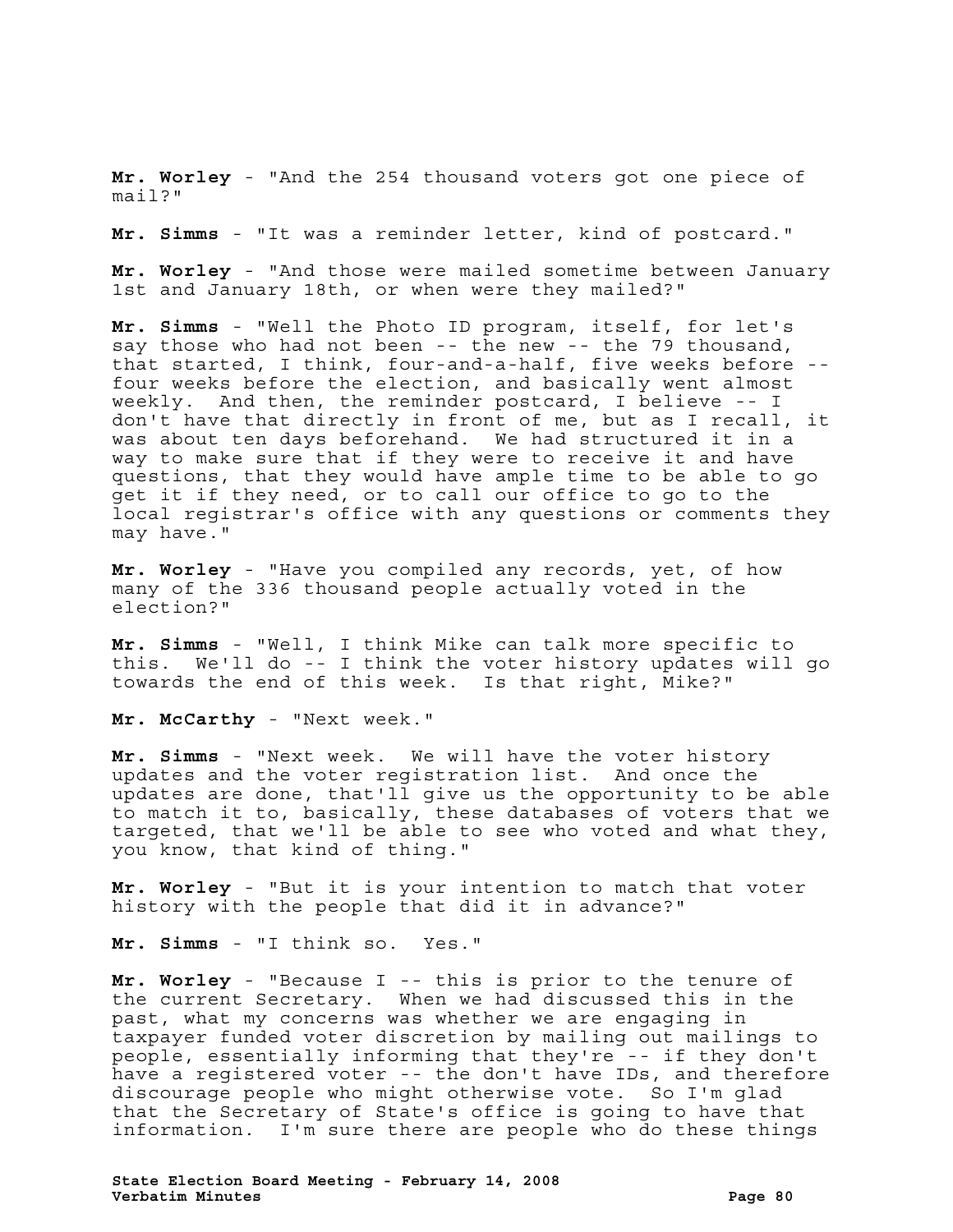**Mr. Worley** - "And the 254 thousand voters got one piece of mail?"

**Mr. Simms** - "It was a reminder letter, kind of postcard."

**Mr. Worley** - "And those were mailed sometime between January 1st and January 18th, or when were they mailed?"

**Mr. Simms** - "Well the Photo ID program, itself, for let's say those who had not been -- the new -- the 79 thousand, that started, I think, four-and-a-half, five weeks before - four weeks before the election, and basically went almost weekly. And then, the reminder postcard, I believe -- I don't have that directly in front of me, but as I recall, it was about ten days beforehand. We had structured it in a way to make sure that if they were to receive it and have questions, that they would have ample time to be able to go get it if they need, or to call our office to go to the local registrar's office with any questions or comments they may have."

**Mr. Worley** - "Have you compiled any records, yet, of how many of the 336 thousand people actually voted in the election?"

**Mr. Simms** - "Well, I think Mike can talk more specific to this. We'll do -- I think the voter history updates will go towards the end of this week. Is that right, Mike?"

**Mr. McCarthy** - "Next week."

**Mr. Simms** - "Next week. We will have the voter history updates and the voter registration list. And once the updates are done, that'll give us the opportunity to be able to match it to, basically, these databases of voters that we targeted, that we'll be able to see who voted and what they, you know, that kind of thing."

**Mr. Worley** - "But it is your intention to match that voter history with the people that did it in advance?"

**Mr. Simms** - "I think so. Yes."

**Mr. Worley** - "Because I -- this is prior to the tenure of the current Secretary. When we had discussed this in the past, what my concerns was whether we are engaging in taxpayer funded voter discretion by mailing out mailings to people, essentially informing that they're -- if they don't have a registered voter -- the don't have IDs, and therefore discourage people who might otherwise vote. So I'm glad that the Secretary of State's office is going to have that information. I'm sure there are people who do these things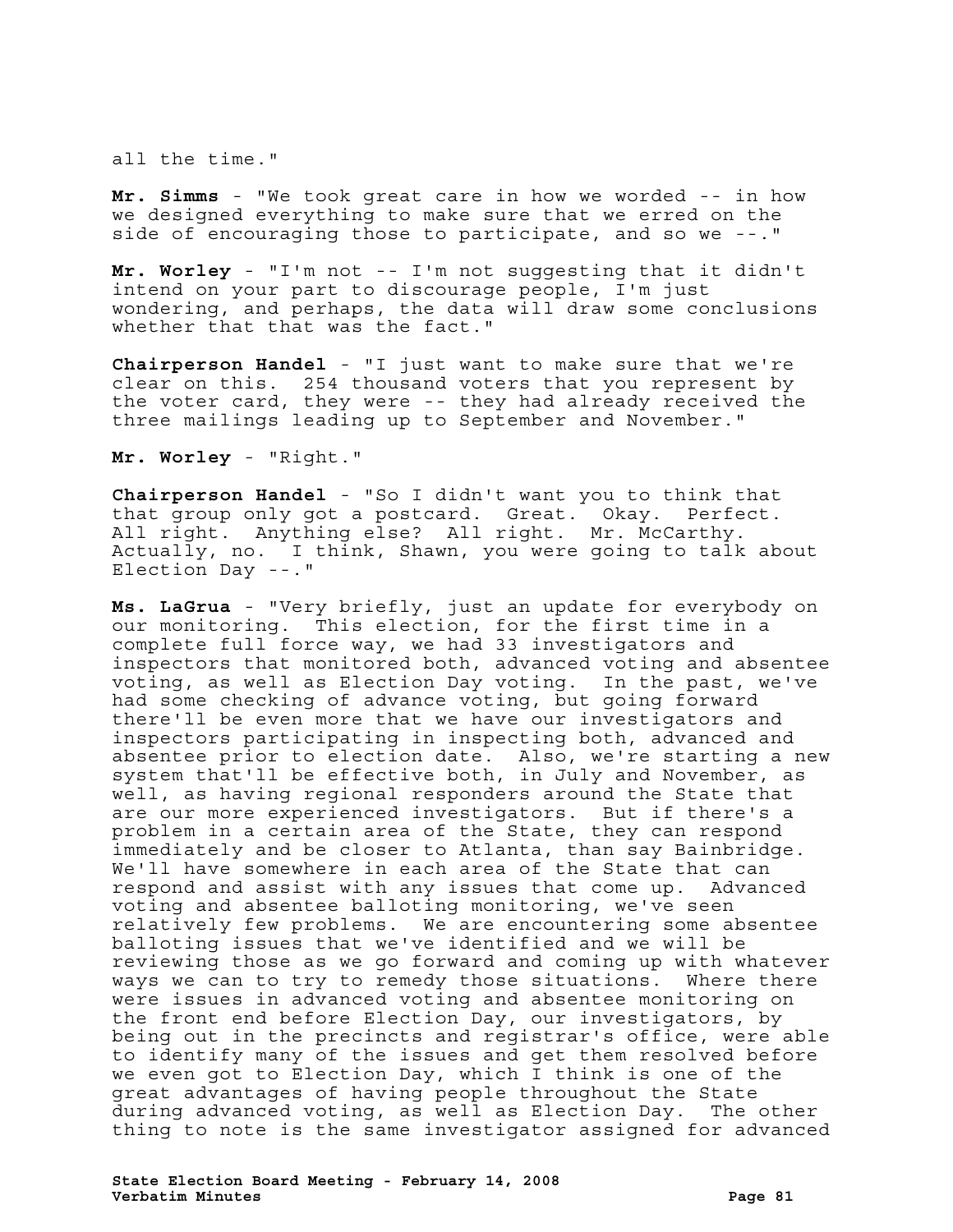all the time."

**Mr. Simms** - "We took great care in how we worded -- in how we designed everything to make sure that we erred on the side of encouraging those to participate, and so we --."

**Mr. Worley** - "I'm not -- I'm not suggesting that it didn't intend on your part to discourage people, I'm just wondering, and perhaps, the data will draw some conclusions whether that that was the fact."

**Chairperson Handel** - "I just want to make sure that we're clear on this. 254 thousand voters that you represent by the voter card, they were -- they had already received the three mailings leading up to September and November."

**Mr. Worley** - "Right."

**Chairperson Handel** - "So I didn't want you to think that that group only got a postcard. Great. Okay. Perfect. All right. Anything else? All right. Mr. McCarthy. Actually, no. I think, Shawn, you were going to talk about Election Day --."

**Ms. LaGrua** - "Very briefly, just an update for everybody on our monitoring. This election, for the first time in a complete full force way, we had 33 investigators and inspectors that monitored both, advanced voting and absentee voting, as well as Election Day voting. In the past, we've had some checking of advance voting, but going forward there'll be even more that we have our investigators and inspectors participating in inspecting both, advanced and absentee prior to election date. Also, we're starting a new system that'll be effective both, in July and November, as well, as having regional responders around the State that are our more experienced investigators. But if there's a problem in a certain area of the State, they can respond immediately and be closer to Atlanta, than say Bainbridge. We'll have somewhere in each area of the State that can respond and assist with any issues that come up. Advanced voting and absentee balloting monitoring, we've seen relatively few problems. We are encountering some absentee balloting issues that we've identified and we will be reviewing those as we go forward and coming up with whatever ways we can to try to remedy those situations. Where there were issues in advanced voting and absentee monitoring on the front end before Election Day, our investigators, by being out in the precincts and registrar's office, were able to identify many of the issues and get them resolved before we even got to Election Day, which I think is one of the great advantages of having people throughout the State during advanced voting, as well as Election Day. The other thing to note is the same investigator assigned for advanced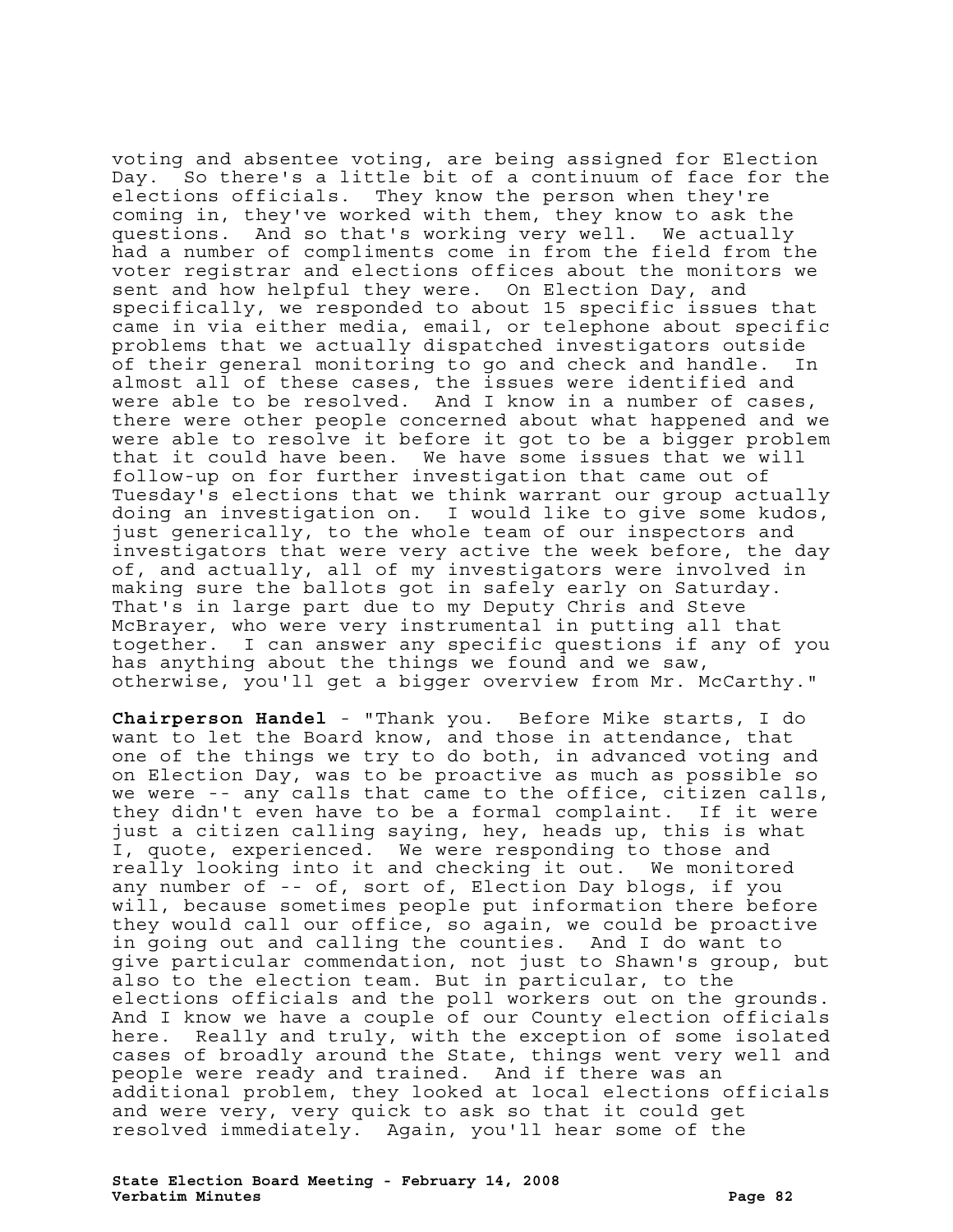voting and absentee voting, are being assigned for Election Day. So there's a little bit of a continuum of face for the elections officials. They know the person when they're coming in, they've worked with them, they know to ask the questions. And so that's working very well. We actually had a number of compliments come in from the field from the voter registrar and elections offices about the monitors we sent and how helpful they were. On Election Day, and specifically, we responded to about 15 specific issues that came in via either media, email, or telephone about specific problems that we actually dispatched investigators outside of their general monitoring to go and check and handle. In almost all of these cases, the issues were identified and were able to be resolved. And I know in a number of cases, there were other people concerned about what happened and we were able to resolve it before it got to be a bigger problem that it could have been. We have some issues that we will follow-up on for further investigation that came out of Tuesday's elections that we think warrant our group actually doing an investigation on. I would like to give some kudos, just generically, to the whole team of our inspectors and investigators that were very active the week before, the day of, and actually, all of my investigators were involved in making sure the ballots got in safely early on Saturday. That's in large part due to my Deputy Chris and Steve McBrayer, who were very instrumental in putting all that together. I can answer any specific questions if any of you has anything about the things we found and we saw, otherwise, you'll get a bigger overview from Mr. McCarthy."

**Chairperson Handel** - "Thank you. Before Mike starts, I do want to let the Board know, and those in attendance, that one of the things we try to do both, in advanced voting and on Election Day, was to be proactive as much as possible so we were -- any calls that came to the office, citizen calls, they didn't even have to be a formal complaint. If it were just a citizen calling saying, hey, heads up, this is what I, quote, experienced. We were responding to those and really looking into it and checking it out. We monitored any number of -- of, sort of, Election Day blogs, if you will, because sometimes people put information there before they would call our office, so again, we could be proactive in going out and calling the counties. And I do want to give particular commendation, not just to Shawn's group, but also to the election team. But in particular, to the elections officials and the poll workers out on the grounds. And I know we have a couple of our County election officials here. Really and truly, with the exception of some isolated cases of broadly around the State, things went very well and people were ready and trained. And if there was an additional problem, they looked at local elections officials and were very, very quick to ask so that it could get resolved immediately. Again, you'll hear some of the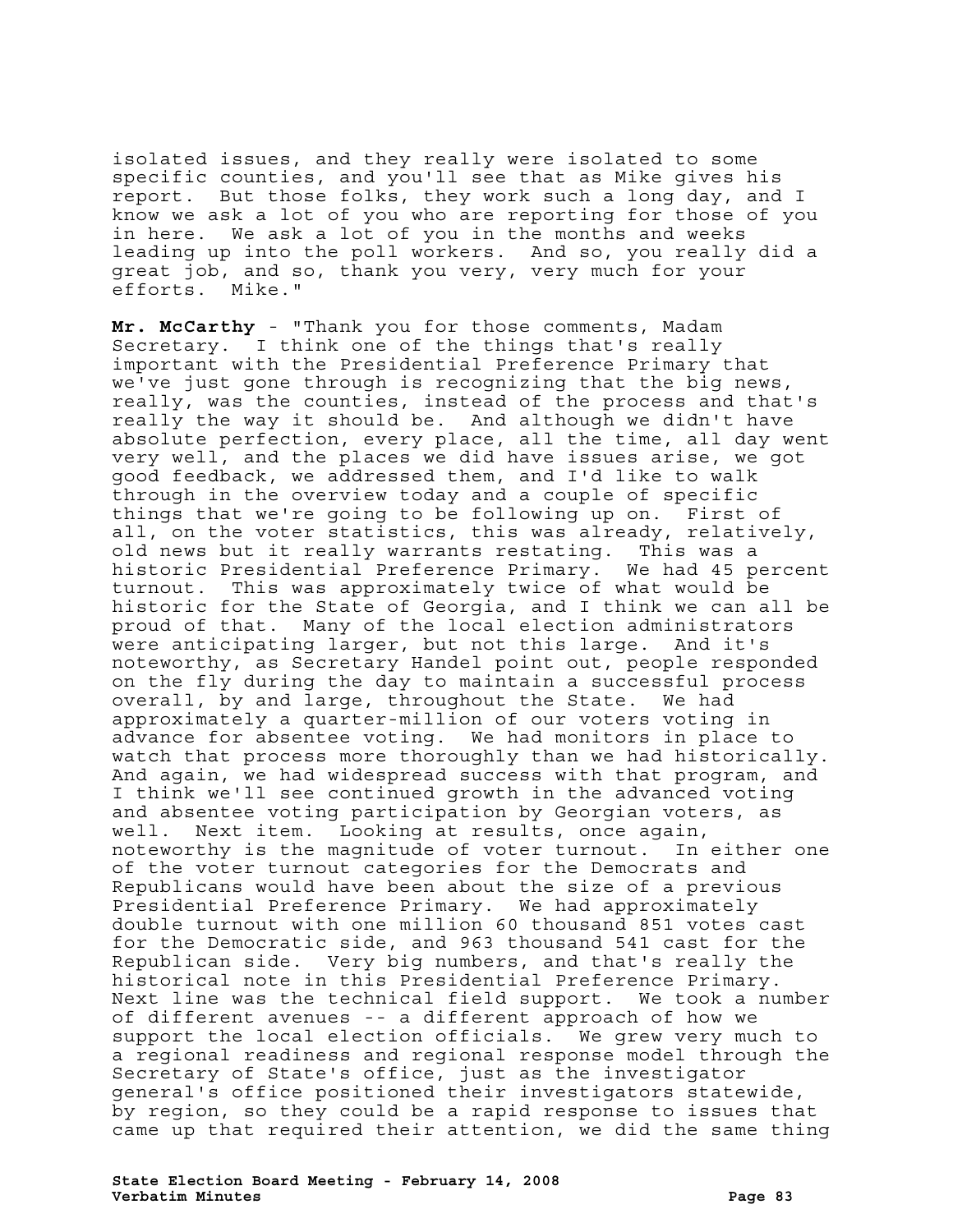isolated issues, and they really were isolated to some specific counties, and you'll see that as Mike gives his report. But those folks, they work such a long day, and I know we ask a lot of you who are reporting for those of you in here. We ask a lot of you in the months and weeks leading up into the poll workers. And so, you really did a great job, and so, thank you very, very much for your efforts. Mike."

**Mr. McCarthy** - "Thank you for those comments, Madam Secretary. I think one of the things that's really important with the Presidential Preference Primary that we've just gone through is recognizing that the big news, really, was the counties, instead of the process and that's really the way it should be. And although we didn't have absolute perfection, every place, all the time, all day went very well, and the places we did have issues arise, we got good feedback, we addressed them, and I'd like to walk through in the overview today and a couple of specific things that we're going to be following up on. First of all, on the voter statistics, this was already, relatively, old news but it really warrants restating. This was a historic Presidential Preference Primary. We had 45 percent turnout. This was approximately twice of what would be historic for the State of Georgia, and I think we can all be proud of that. Many of the local election administrators were anticipating larger, but not this large. And it's noteworthy, as Secretary Handel point out, people responded on the fly during the day to maintain a successful process overall, by and large, throughout the State. We had approximately a quarter-million of our voters voting in advance for absentee voting. We had monitors in place to watch that process more thoroughly than we had historically. And again, we had widespread success with that program, and I think we'll see continued growth in the advanced voting and absentee voting participation by Georgian voters, as well. Next item. Looking at results, once again, noteworthy is the magnitude of voter turnout. In either one of the voter turnout categories for the Democrats and Republicans would have been about the size of a previous Presidential Preference Primary. We had approximately double turnout with one million 60 thousand 851 votes cast for the Democratic side, and 963 thousand 541 cast for the Republican side. Very big numbers, and that's really the historical note in this Presidential Preference Primary. Next line was the technical field support. We took a number of different avenues -- a different approach of how we support the local election officials. We grew very much to a regional readiness and regional response model through the Secretary of State's office, just as the investigator general's office positioned their investigators statewide, by region, so they could be a rapid response to issues that came up that required their attention, we did the same thing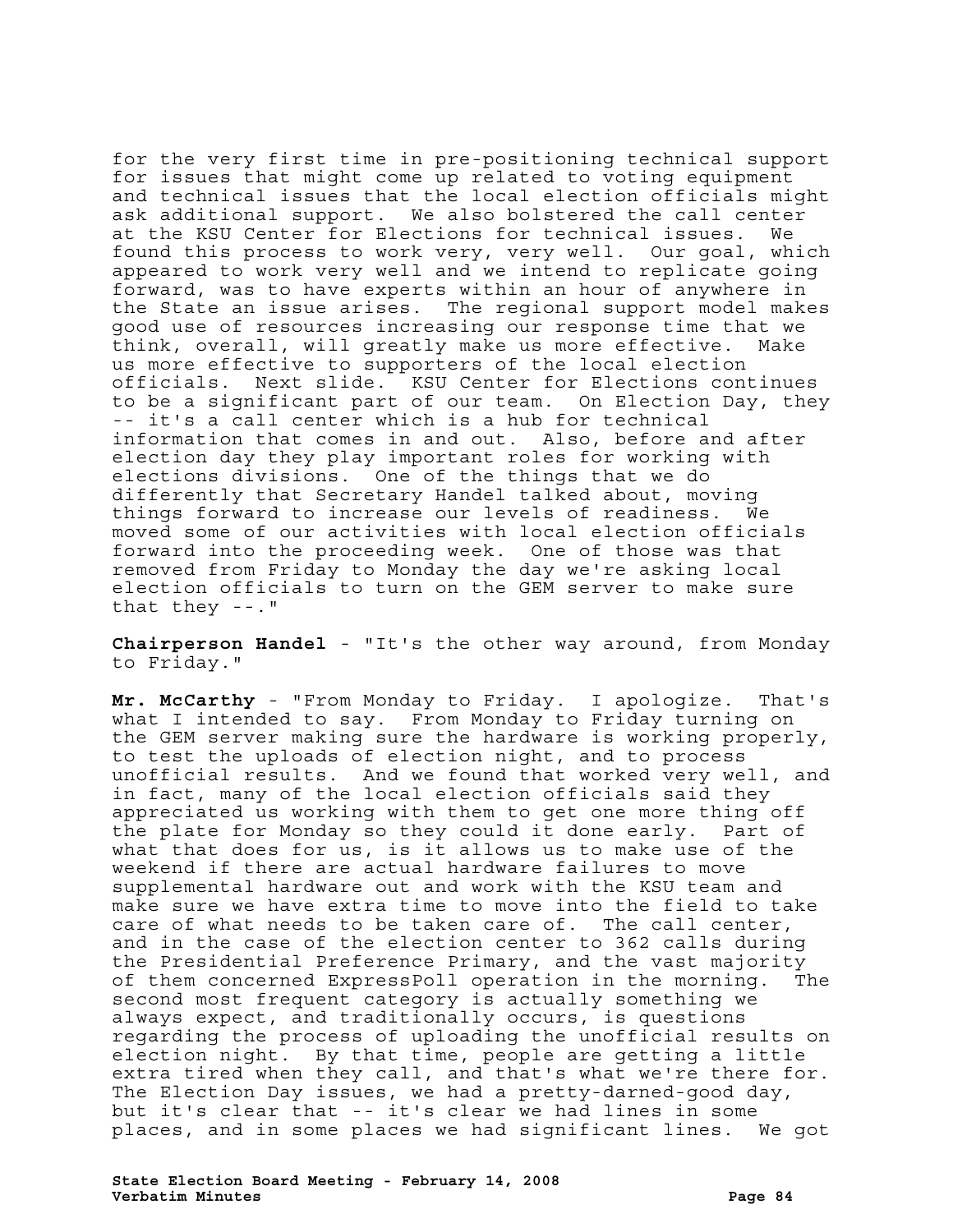for the very first time in pre-positioning technical support for issues that might come up related to voting equipment and technical issues that the local election officials might ask additional support. We also bolstered the call center at the KSU Center for Elections for technical issues. found this process to work very, very well. Our goal, which appeared to work very well and we intend to replicate going forward, was to have experts within an hour of anywhere in the State an issue arises. The regional support model makes good use of resources increasing our response time that we think, overall, will greatly make us more effective. Make us more effective to supporters of the local election officials. Next slide. KSU Center for Elections continues to be a significant part of our team. On Election Day, they -- it's a call center which is a hub for technical information that comes in and out. Also, before and after election day they play important roles for working with elections divisions. One of the things that we do differently that Secretary Handel talked about, moving things forward to increase our levels of readiness. We moved some of our activities with local election officials forward into the proceeding week. One of those was that removed from Friday to Monday the day we're asking local election officials to turn on the GEM server to make sure that they --."

**Chairperson Handel** - "It's the other way around, from Monday to Friday."

**Mr. McCarthy** - "From Monday to Friday. I apologize. That's what I intended to say. From Monday to Friday turning on the GEM server making sure the hardware is working properly, to test the uploads of election night, and to process unofficial results. And we found that worked very well, and in fact, many of the local election officials said they appreciated us working with them to get one more thing off the plate for Monday so they could it done early. Part of what that does for us, is it allows us to make use of the weekend if there are actual hardware failures to move supplemental hardware out and work with the KSU team and make sure we have extra time to move into the field to take care of what needs to be taken care of. The call center, and in the case of the election center to 362 calls during the Presidential Preference Primary, and the vast majority of them concerned ExpressPoll operation in the morning. The second most frequent category is actually something we always expect, and traditionally occurs, is questions regarding the process of uploading the unofficial results on election night. By that time, people are getting a little extra tired when they call, and that's what we're there for. The Election Day issues, we had a pretty-darned-good day, but it's clear that -- it's clear we had lines in some places, and in some places we had significant lines. We got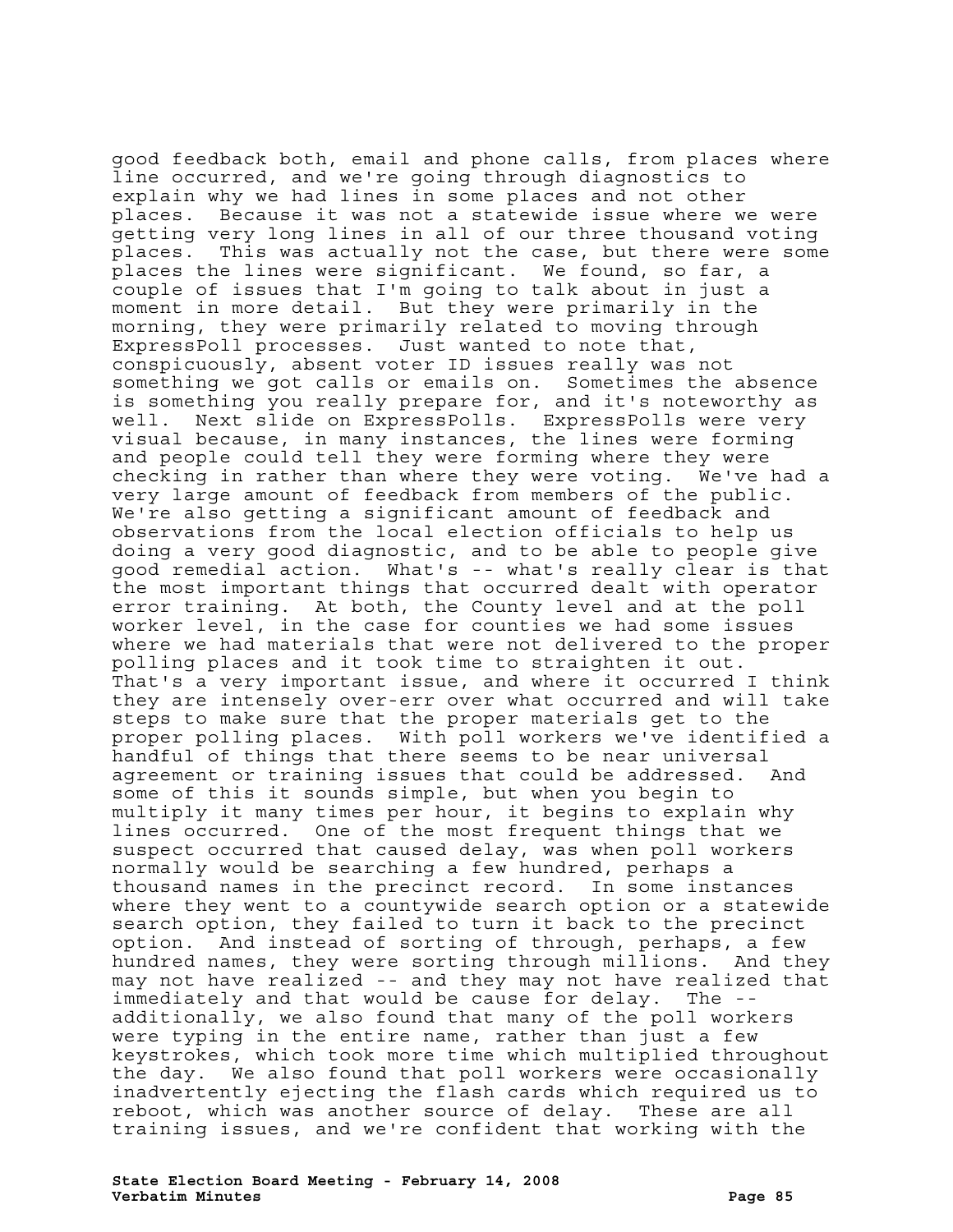good feedback both, email and phone calls, from places where line occurred, and we're going through diagnostics to explain why we had lines in some places and not other places. Because it was not a statewide issue where we were getting very long lines in all of our three thousand voting places. This was actually not the case, but there were some places the lines were significant. We found, so far, a couple of issues that I'm going to talk about in just a moment in more detail. But they were primarily in the morning, they were primarily related to moving through ExpressPoll processes. Just wanted to note that, conspicuously, absent voter ID issues really was not something we got calls or emails on. Sometimes the absence is something you really prepare for, and it's noteworthy as well. Next slide on ExpressPolls. ExpressPolls were very visual because, in many instances, the lines were forming and people could tell they were forming where they were checking in rather than where they were voting. We've had a very large amount of feedback from members of the public. We're also getting a significant amount of feedback and observations from the local election officials to help us doing a very good diagnostic, and to be able to people give good remedial action. What's -- what's really clear is that the most important things that occurred dealt with operator error training. At both, the County level and at the poll worker level, in the case for counties we had some issues where we had materials that were not delivered to the proper polling places and it took time to straighten it out. That's a very important issue, and where it occurred I think they are intensely over-err over what occurred and will take steps to make sure that the proper materials get to the proper polling places. With poll workers we've identified a handful of things that there seems to be near universal agreement or training issues that could be addressed. And some of this it sounds simple, but when you begin to multiply it many times per hour, it begins to explain why lines occurred. One of the most frequent things that we suspect occurred that caused delay, was when poll workers normally would be searching a few hundred, perhaps a thousand names in the precinct record. In some instances where they went to a countywide search option or a statewide search option, they failed to turn it back to the precinct option. And instead of sorting of through, perhaps, a few hundred names, they were sorting through millions. And they may not have realized -- and they may not have realized that immediately and that would be cause for delay. The - additionally, we also found that many of the poll workers were typing in the entire name, rather than just a few keystrokes, which took more time which multiplied throughout the day. We also found that poll workers were occasionally inadvertently ejecting the flash cards which required us to reboot, which was another source of delay. These are all training issues, and we're confident that working with the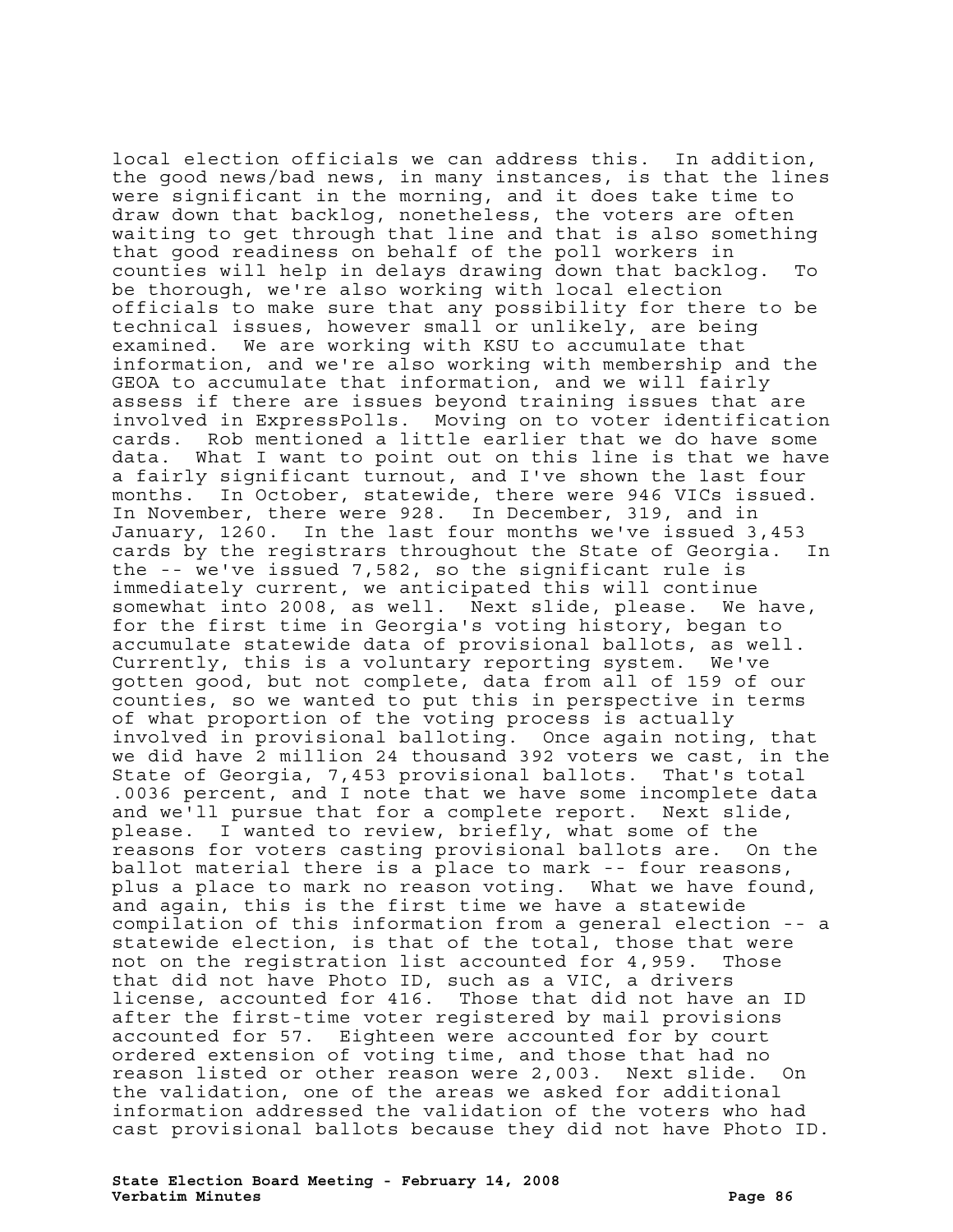local election officials we can address this. In addition, the good news/bad news, in many instances, is that the lines were significant in the morning, and it does take time to draw down that backlog, nonetheless, the voters are often waiting to get through that line and that is also something that good readiness on behalf of the poll workers in counties will help in delays drawing down that backlog. To be thorough, we're also working with local election officials to make sure that any possibility for there to be technical issues, however small or unlikely, are being examined. We are working with KSU to accumulate that information, and we're also working with membership and the GEOA to accumulate that information, and we will fairly assess if there are issues beyond training issues that are involved in ExpressPolls. Moving on to voter identification cards. Rob mentioned a little earlier that we do have some data. What I want to point out on this line is that we have a fairly significant turnout, and I've shown the last four months. In October, statewide, there were 946 VICs issued. In November, there were 928. In December, 319, and in January, 1260. In the last four months we've issued 3,453 cards by the registrars throughout the State of Georgia. In the -- we've issued 7,582, so the significant rule is immediately current, we anticipated this will continue somewhat into 2008, as well. Next slide, please. We have, for the first time in Georgia's voting history, began to accumulate statewide data of provisional ballots, as well. Currently, this is a voluntary reporting system. We've gotten good, but not complete, data from all of 159 of our counties, so we wanted to put this in perspective in terms of what proportion of the voting process is actually involved in provisional balloting. Once again noting, that we did have 2 million 24 thousand 392 voters we cast, in the State of Georgia, 7,453 provisional ballots. That's total .0036 percent, and I note that we have some incomplete data and we'll pursue that for a complete report. Next slide, please. I wanted to review, briefly, what some of the reasons for voters casting provisional ballots are. On the ballot material there is a place to mark -- four reasons, plus a place to mark no reason voting. What we have found, and again, this is the first time we have a statewide compilation of this information from a general election -- a statewide election, is that of the total, those that were not on the registration list accounted for 4,959. Those that did not have Photo ID, such as a VIC, a drivers license, accounted for 416. Those that did not have an ID after the first-time voter registered by mail provisions accounted for 57. Eighteen were accounted for by court ordered extension of voting time, and those that had no reason listed or other reason were 2,003. Next slide. On the validation, one of the areas we asked for additional information addressed the validation of the voters who had cast provisional ballots because they did not have Photo ID.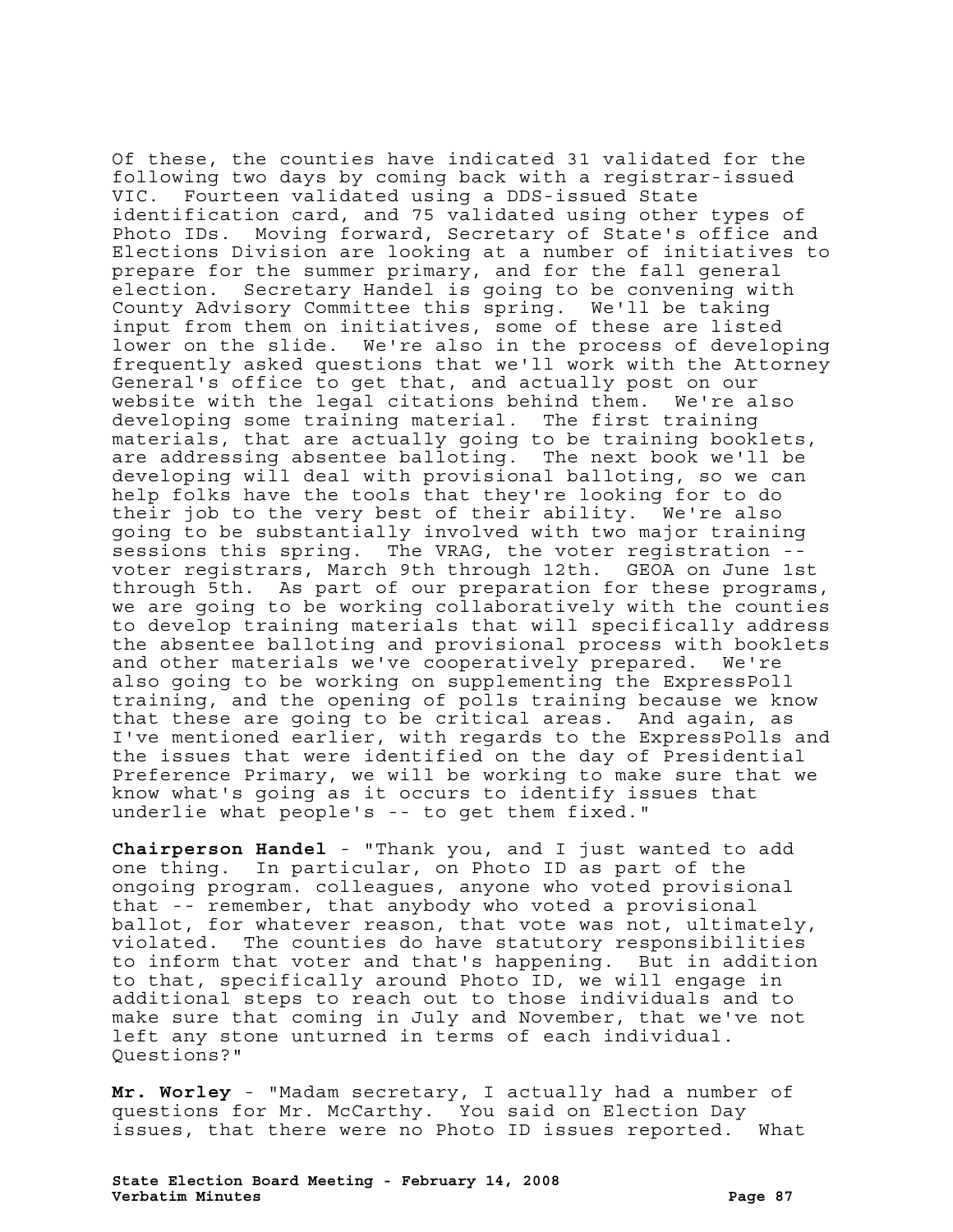Of these, the counties have indicated 31 validated for the following two days by coming back with a registrar-issued VIC. Fourteen validated using a DDS-issued State identification card, and 75 validated using other types of Photo IDs. Moving forward, Secretary of State's office and Elections Division are looking at a number of initiatives to prepare for the summer primary, and for the fall general election. Secretary Handel is going to be convening with County Advisory Committee this spring. We'll be taking input from them on initiatives, some of these are listed lower on the slide. We're also in the process of developing frequently asked questions that we'll work with the Attorney General's office to get that, and actually post on our website with the legal citations behind them. We're also developing some training material. The first training materials, that are actually going to be training booklets, are addressing absentee balloting. The next book we'll be developing will deal with provisional balloting, so we can help folks have the tools that they're looking for to do their job to the very best of their ability. We're also going to be substantially involved with two major training sessions this spring. The VRAG, the voter registration - voter registrars, March 9th through 12th. GEOA on June 1st through 5th. As part of our preparation for these programs, we are going to be working collaboratively with the counties to develop training materials that will specifically address the absentee balloting and provisional process with booklets and other materials we've cooperatively prepared. We're also going to be working on supplementing the ExpressPoll training, and the opening of polls training because we know that these are going to be critical areas. And again, as I've mentioned earlier, with regards to the ExpressPolls and the issues that were identified on the day of Presidential Preference Primary, we will be working to make sure that we know what's going as it occurs to identify issues that underlie what people's -- to get them fixed."

**Chairperson Handel** - "Thank you, and I just wanted to add one thing. In particular, on Photo ID as part of the ongoing program. colleagues, anyone who voted provisional that -- remember, that anybody who voted a provisional ballot, for whatever reason, that vote was not, ultimately, violated. The counties do have statutory responsibilities to inform that voter and that's happening. But in addition to that, specifically around Photo ID, we will engage in additional steps to reach out to those individuals and to make sure that coming in July and November, that we've not left any stone unturned in terms of each individual. Questions?"

**Mr. Worley** - "Madam secretary, I actually had a number of questions for Mr. McCarthy. You said on Election Day issues, that there were no Photo ID issues reported. What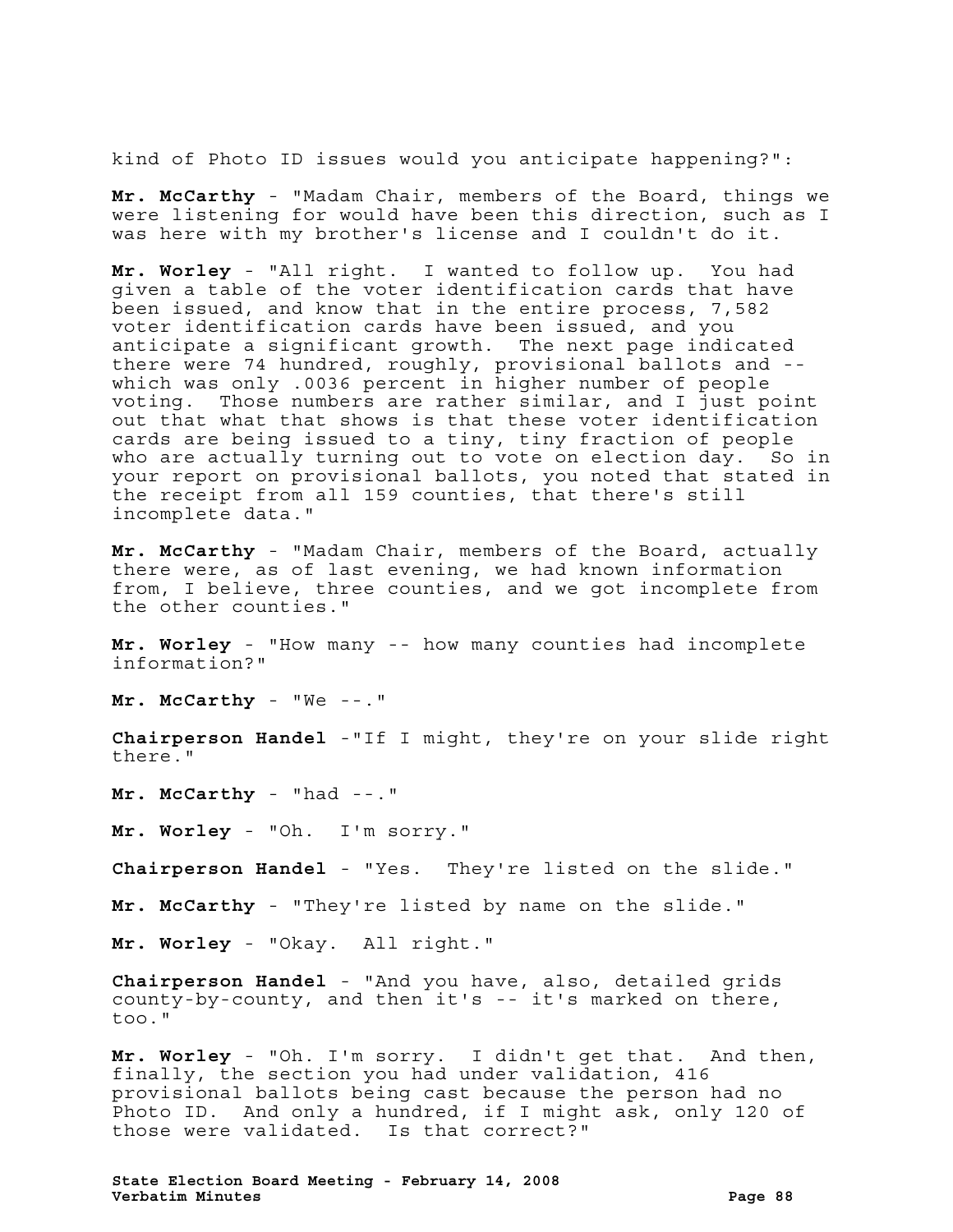kind of Photo ID issues would you anticipate happening?":

**Mr. McCarthy** - "Madam Chair, members of the Board, things we were listening for would have been this direction, such as I was here with my brother's license and I couldn't do it.

**Mr. Worley** - "All right. I wanted to follow up. You had given a table of the voter identification cards that have been issued, and know that in the entire process, 7,582 voter identification cards have been issued, and you anticipate a significant growth. The next page indicated there were 74 hundred, roughly, provisional ballots and - which was only .0036 percent in higher number of people voting. Those numbers are rather similar, and I just point out that what that shows is that these voter identification cards are being issued to a tiny, tiny fraction of people who are actually turning out to vote on election day. So in your report on provisional ballots, you noted that stated in the receipt from all 159 counties, that there's still incomplete data."

**Mr. McCarthy** - "Madam Chair, members of the Board, actually there were, as of last evening, we had known information from, I believe, three counties, and we got incomplete from the other counties."

**Mr. Worley** - "How many -- how many counties had incomplete information?"

**Mr. McCarthy** - "We --."

**Chairperson Handel** -"If I might, they're on your slide right there."

**Mr. McCarthy** - "had --."

**Mr. Worley** - "Oh. I'm sorry."

**Chairperson Handel** - "Yes. They're listed on the slide."

**Mr. McCarthy** - "They're listed by name on the slide."

**Mr. Worley** - "Okay. All right."

**Chairperson Handel** - "And you have, also, detailed grids county-by-county, and then it's -- it's marked on there, too."

**Mr. Worley** - "Oh. I'm sorry. I didn't get that. And then, finally, the section you had under validation, 416 provisional ballots being cast because the person had no Photo ID. And only a hundred, if I might ask, only 120 of those were validated. Is that correct?"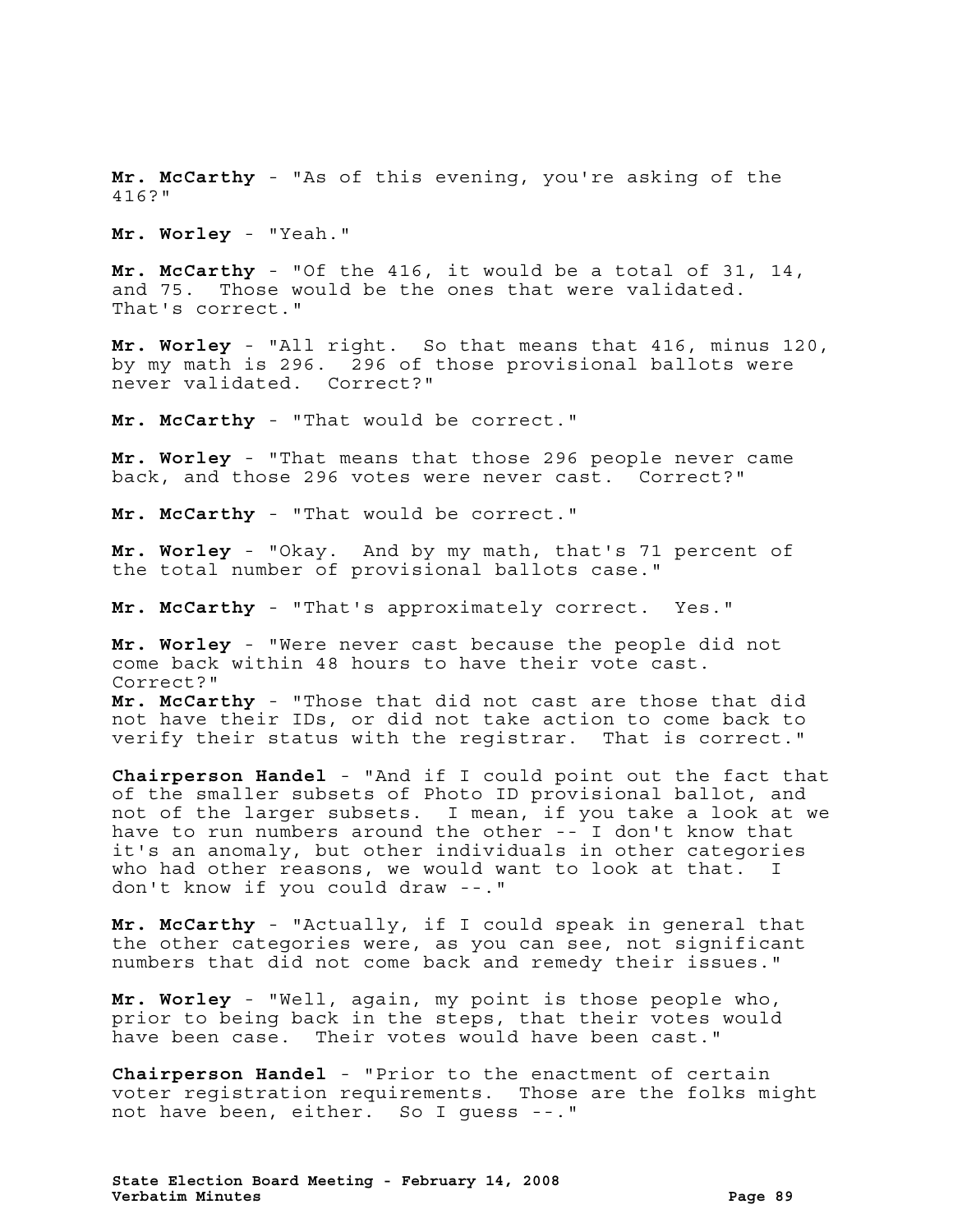**Mr. McCarthy** - "As of this evening, you're asking of the 416?"

**Mr. Worley** - "Yeah."

**Mr. McCarthy** - "Of the 416, it would be a total of 31, 14, and 75. Those would be the ones that were validated. That's correct."

**Mr. Worley** - "All right. So that means that 416, minus 120, by my math is 296. 296 of those provisional ballots were never validated. Correct?"

**Mr. McCarthy** - "That would be correct."

**Mr. Worley** - "That means that those 296 people never came back, and those 296 votes were never cast. Correct?"

**Mr. McCarthy** - "That would be correct."

**Mr. Worley** - "Okay. And by my math, that's 71 percent of the total number of provisional ballots case."

**Mr. McCarthy** - "That's approximately correct. Yes."

**Mr. Worley** - "Were never cast because the people did not come back within 48 hours to have their vote cast. Correct?" **Mr. McCarthy** - "Those that did not cast are those that did not have their IDs, or did not take action to come back to verify their status with the registrar. That is correct."

**Chairperson Handel** - "And if I could point out the fact that of the smaller subsets of Photo ID provisional ballot, and not of the larger subsets. I mean, if you take a look at we have to run numbers around the other -- I don't know that it's an anomaly, but other individuals in other categories who had other reasons, we would want to look at that. I don't know if you could draw --."

**Mr. McCarthy** - "Actually, if I could speak in general that the other categories were, as you can see, not significant numbers that did not come back and remedy their issues."

**Mr. Worley** - "Well, again, my point is those people who, prior to being back in the steps, that their votes would have been case. Their votes would have been cast."

**Chairperson Handel** - "Prior to the enactment of certain voter registration requirements. Those are the folks might not have been, either. So I guess --."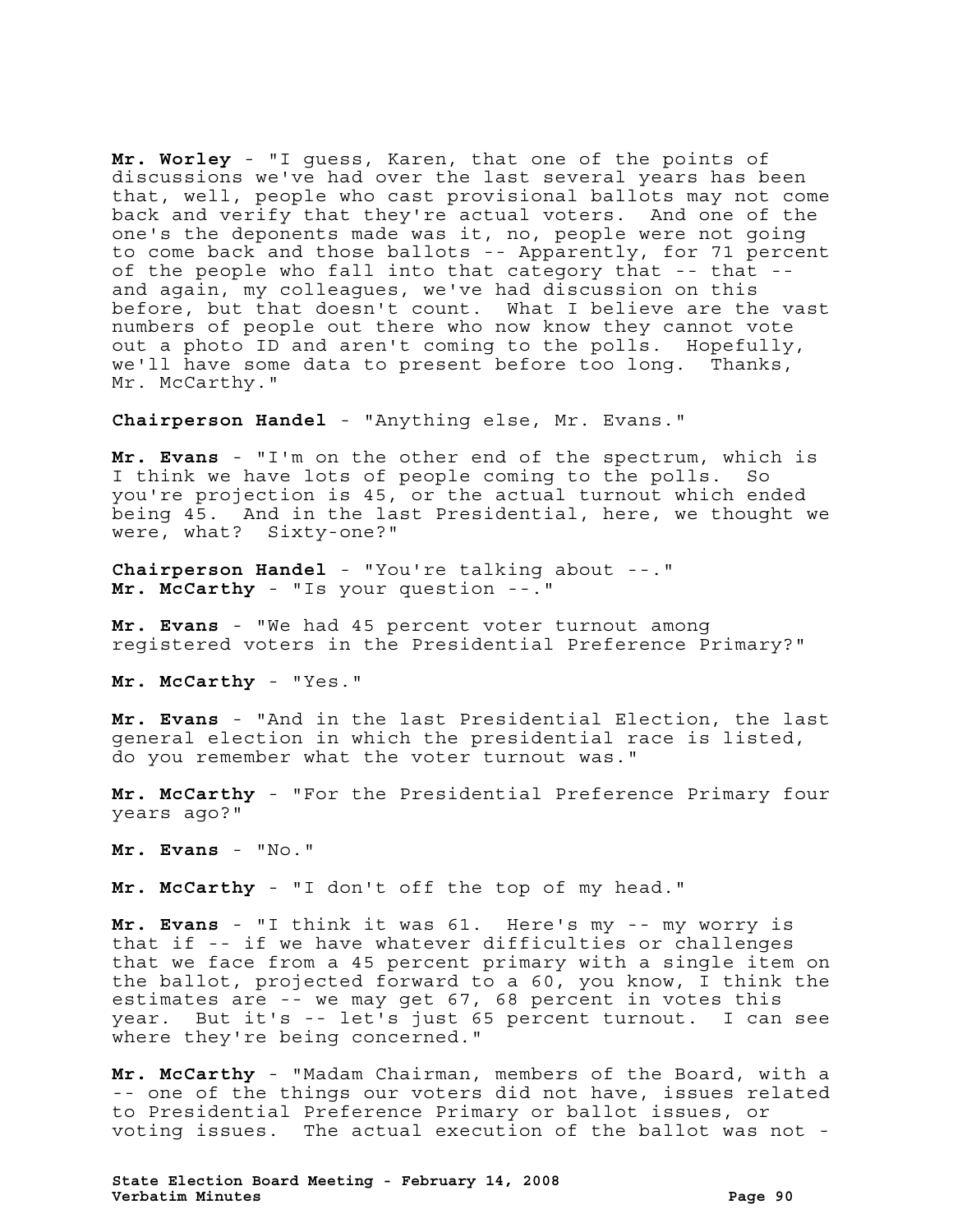**Mr. Worley** - "I guess, Karen, that one of the points of discussions we've had over the last several years has been that, well, people who cast provisional ballots may not come back and verify that they're actual voters. And one of the one's the deponents made was it, no, people were not going to come back and those ballots -- Apparently, for 71 percent of the people who fall into that category that -- that - and again, my colleagues, we've had discussion on this before, but that doesn't count. What I believe are the vast numbers of people out there who now know they cannot vote out a photo ID and aren't coming to the polls. Hopefully, we'll have some data to present before too long. Thanks, Mr. McCarthy."

**Chairperson Handel** - "Anything else, Mr. Evans."

**Mr. Evans** - "I'm on the other end of the spectrum, which is I think we have lots of people coming to the polls. So you're projection is 45, or the actual turnout which ended being 45. And in the last Presidential, here, we thought we were, what? Sixty-one?"

**Chairperson Handel** - "You're talking about --." **Mr. McCarthy** - "Is your question --."

**Mr. Evans** - "We had 45 percent voter turnout among registered voters in the Presidential Preference Primary?"

**Mr. McCarthy** - "Yes."

**Mr. Evans** - "And in the last Presidential Election, the last general election in which the presidential race is listed, do you remember what the voter turnout was."

**Mr. McCarthy** - "For the Presidential Preference Primary four years ago?"

**Mr. Evans** - "No."

**Mr. McCarthy** - "I don't off the top of my head."

**Mr. Evans** - "I think it was 61. Here's my -- my worry is that if -- if we have whatever difficulties or challenges that we face from a 45 percent primary with a single item on the ballot, projected forward to a 60, you know, I think the estimates are -- we may get 67, 68 percent in votes this year. But it's -- let's just 65 percent turnout. I can see where they're being concerned."

**Mr. McCarthy** - "Madam Chairman, members of the Board, with a -- one of the things our voters did not have, issues related to Presidential Preference Primary or ballot issues, or voting issues. The actual execution of the ballot was not -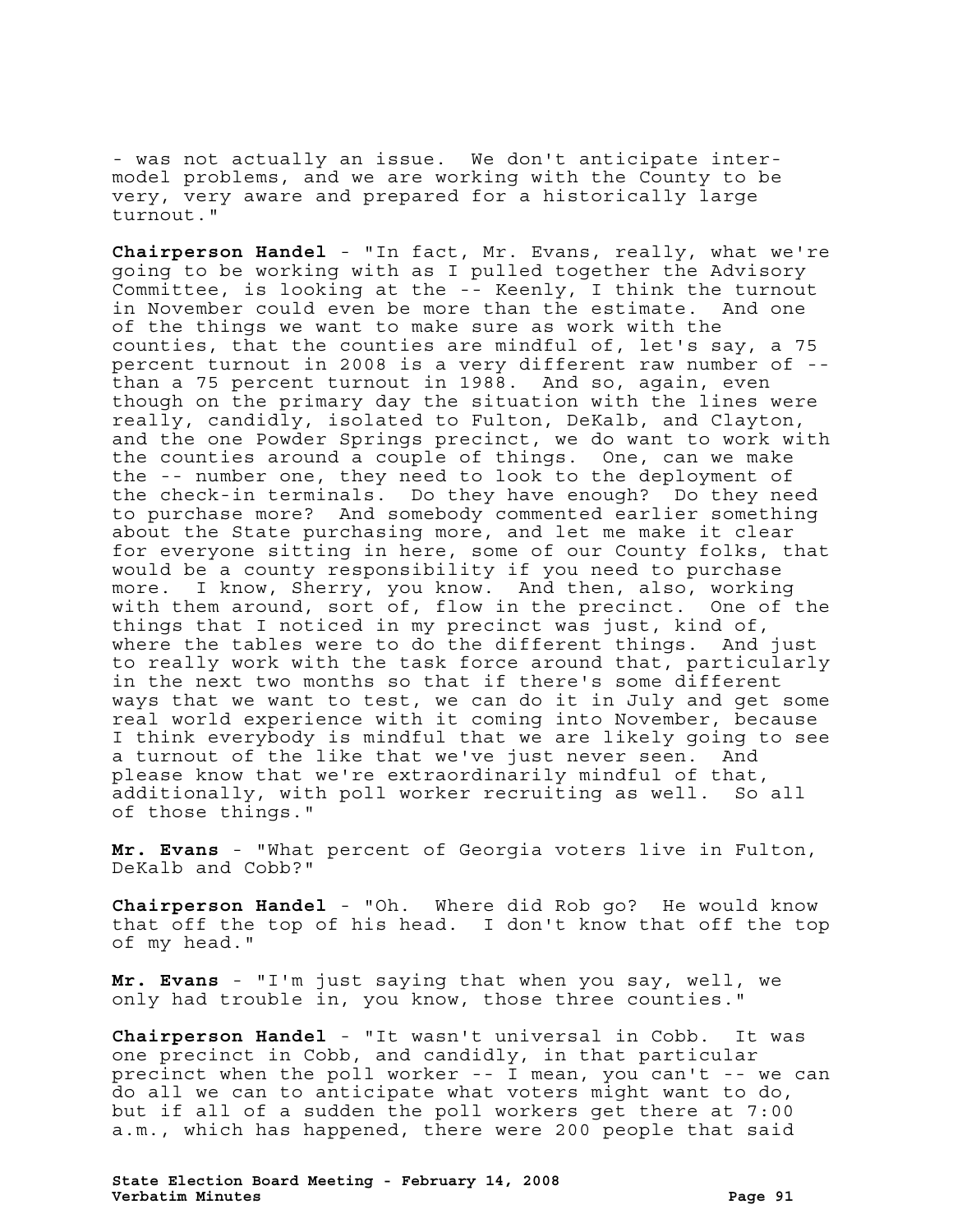- was not actually an issue. We don't anticipate intermodel problems, and we are working with the County to be very, very aware and prepared for a historically large turnout."

**Chairperson Handel** - "In fact, Mr. Evans, really, what we're going to be working with as I pulled together the Advisory Committee, is looking at the -- Keenly, I think the turnout in November could even be more than the estimate. And one of the things we want to make sure as work with the counties, that the counties are mindful of, let's say, a 75 percent turnout in 2008 is a very different raw number of - than a 75 percent turnout in 1988. And so, again, even though on the primary day the situation with the lines were really, candidly, isolated to Fulton, DeKalb, and Clayton, and the one Powder Springs precinct, we do want to work with the counties around a couple of things. One, can we make the -- number one, they need to look to the deployment of the check-in terminals. Do they have enough? Do they need to purchase more? And somebody commented earlier something about the State purchasing more, and let me make it clear for everyone sitting in here, some of our County folks, that would be a county responsibility if you need to purchase more. I know, Sherry, you know. And then, also, working with them around, sort of, flow in the precinct. One of the things that I noticed in my precinct was just, kind of, where the tables were to do the different things. And just to really work with the task force around that, particularly in the next two months so that if there's some different ways that we want to test, we can do it in July and get some real world experience with it coming into November, because I think everybody is mindful that we are likely going to see a turnout of the like that we've just never seen. And please know that we're extraordinarily mindful of that, additionally, with poll worker recruiting as well. So all of those things."

**Mr. Evans** - "What percent of Georgia voters live in Fulton, DeKalb and Cobb?"

**Chairperson Handel** - "Oh. Where did Rob go? He would know that off the top of his head. I don't know that off the top of my head."

**Mr. Evans** - "I'm just saying that when you say, well, we only had trouble in, you know, those three counties."

**Chairperson Handel** - "It wasn't universal in Cobb. It was one precinct in Cobb, and candidly, in that particular precinct when the poll worker -- I mean, you can't -- we can do all we can to anticipate what voters might want to do, but if all of a sudden the poll workers get there at 7:00 a.m., which has happened, there were 200 people that said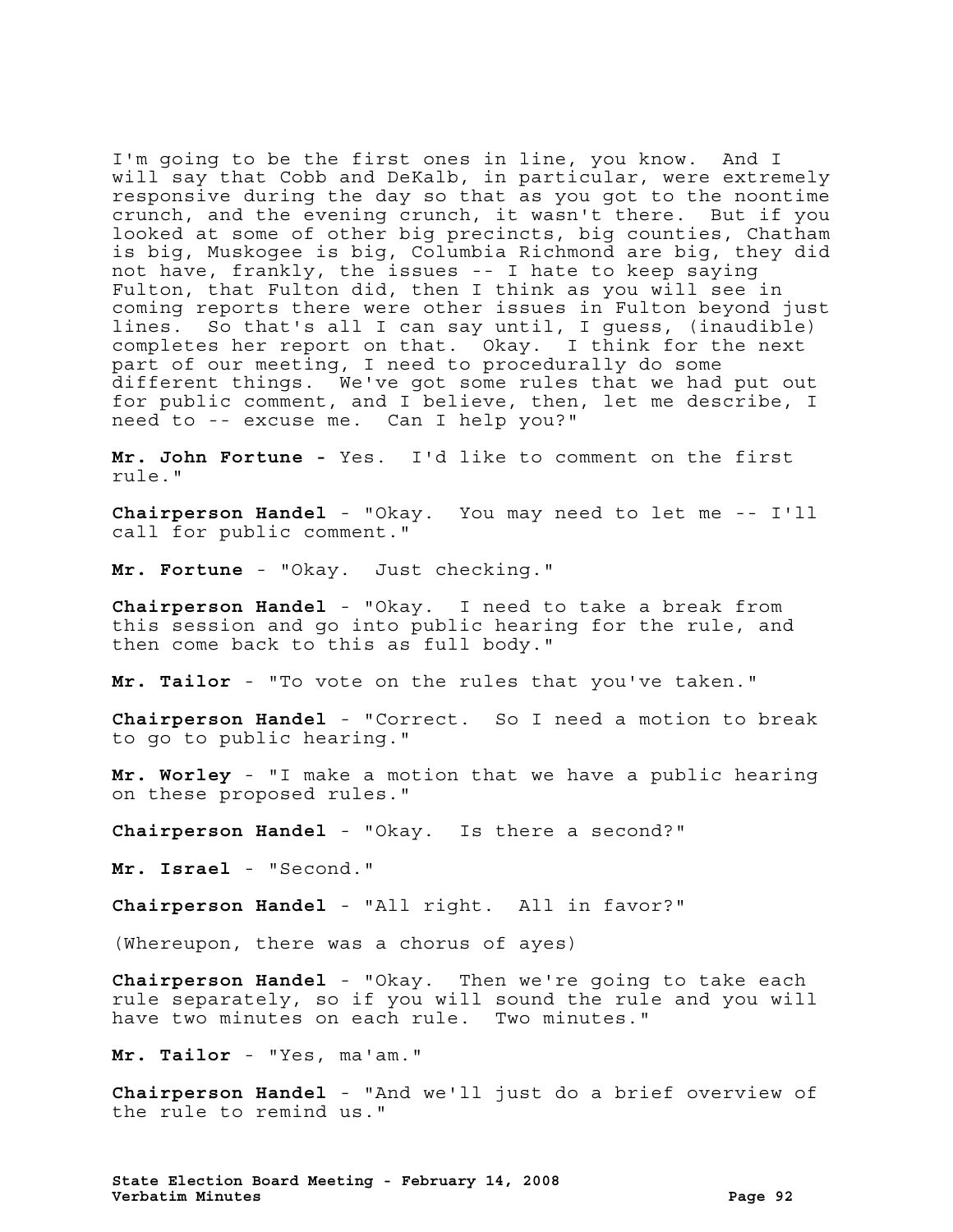I'm going to be the first ones in line, you know. And I will say that Cobb and DeKalb, in particular, were extremely responsive during the day so that as you got to the noontime crunch, and the evening crunch, it wasn't there. But if you looked at some of other big precincts, big counties, Chatham is big, Muskogee is big, Columbia Richmond are big, they did not have, frankly, the issues -- I hate to keep saying Fulton, that Fulton did, then I think as you will see in coming reports there were other issues in Fulton beyond just lines. So that's all I can say until, I guess, (inaudible) completes her report on that. Okay. I think for the next part of our meeting, I need to procedurally do some different things. We've got some rules that we had put out for public comment, and I believe, then, let me describe, I need to -- excuse me. Can I help you?"

**Mr. John Fortune -** Yes. I'd like to comment on the first rule."

**Chairperson Handel** - "Okay. You may need to let me -- I'll call for public comment."

**Mr. Fortune** - "Okay. Just checking."

**Chairperson Handel** - "Okay. I need to take a break from this session and go into public hearing for the rule, and then come back to this as full body."

**Mr. Tailor** - "To vote on the rules that you've taken."

**Chairperson Handel** - "Correct. So I need a motion to break to go to public hearing."

**Mr. Worley** - "I make a motion that we have a public hearing on these proposed rules."

**Chairperson Handel** - "Okay. Is there a second?"

**Mr. Israel** - "Second."

**Chairperson Handel** - "All right. All in favor?"

(Whereupon, there was a chorus of ayes)

**Chairperson Handel** - "Okay. Then we're going to take each rule separately, so if you will sound the rule and you will have two minutes on each rule. Two minutes."

**Mr. Tailor** - "Yes, ma'am."

**Chairperson Handel** - "And we'll just do a brief overview of the rule to remind us."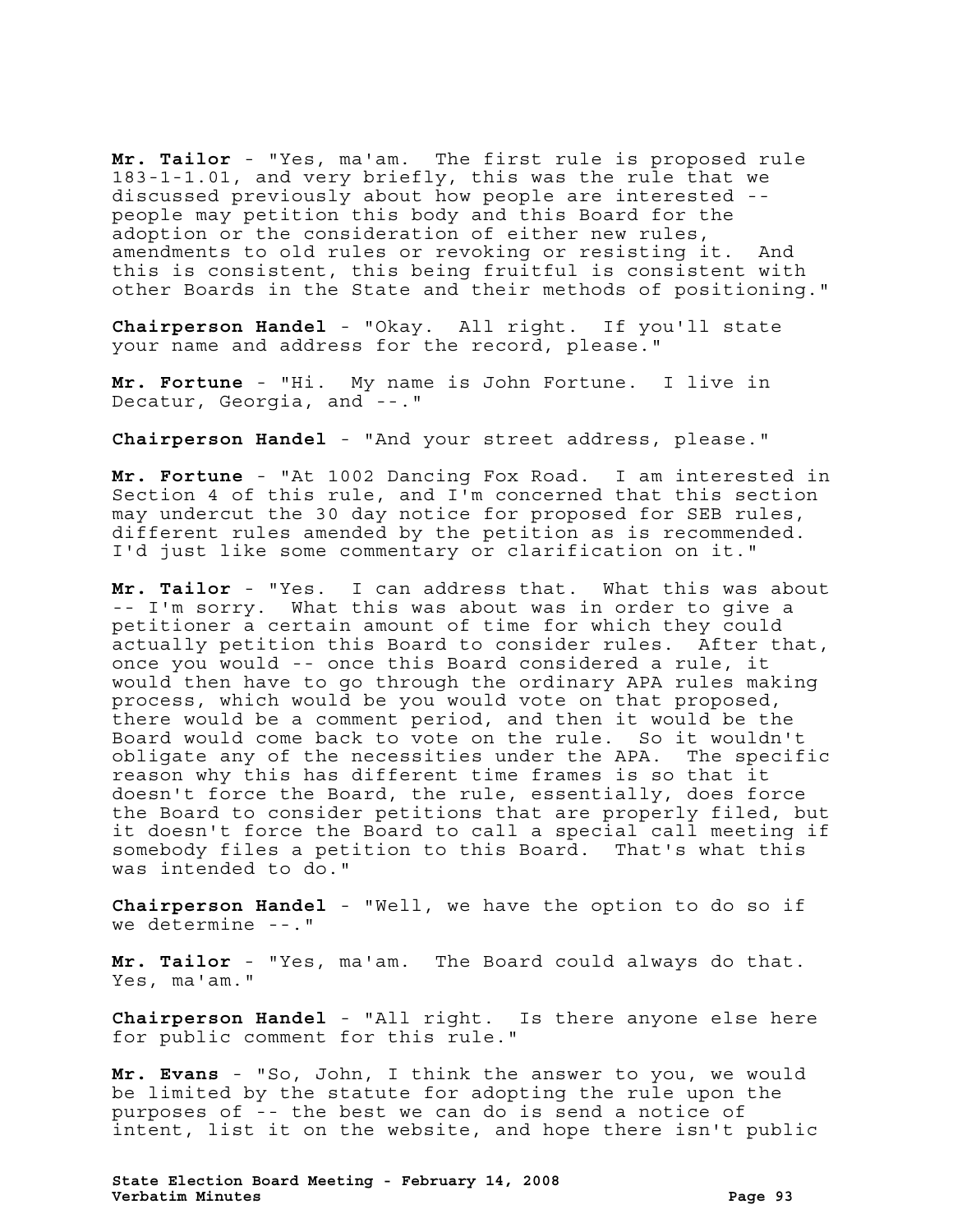**Mr. Tailor** - "Yes, ma'am. The first rule is proposed rule 183-1-1.01, and very briefly, this was the rule that we discussed previously about how people are interested - people may petition this body and this Board for the adoption or the consideration of either new rules, amendments to old rules or revoking or resisting it. And this is consistent, this being fruitful is consistent with other Boards in the State and their methods of positioning."

**Chairperson Handel** - "Okay. All right. If you'll state your name and address for the record, please."

**Mr. Fortune** - "Hi. My name is John Fortune. I live in Decatur, Georgia, and --."

**Chairperson Handel** - "And your street address, please."

**Mr. Fortune** - "At 1002 Dancing Fox Road. I am interested in Section 4 of this rule, and I'm concerned that this section may undercut the 30 day notice for proposed for SEB rules, different rules amended by the petition as is recommended. I'd just like some commentary or clarification on it."

**Mr. Tailor** - "Yes. I can address that. What this was about -- I'm sorry. What this was about was in order to give a petitioner a certain amount of time for which they could actually petition this Board to consider rules. After that, once you would -- once this Board considered a rule, it would then have to go through the ordinary APA rules making process, which would be you would vote on that proposed, there would be a comment period, and then it would be the Board would come back to vote on the rule. So it wouldn't obligate any of the necessities under the APA. The specific reason why this has different time frames is so that it doesn't force the Board, the rule, essentially, does force the Board to consider petitions that are properly filed, but it doesn't force the Board to call a special call meeting if somebody files a petition to this Board. That's what this was intended to do."

**Chairperson Handel** - "Well, we have the option to do so if we determine --."

**Mr. Tailor** - "Yes, ma'am. The Board could always do that. Yes, ma'am."

**Chairperson Handel** - "All right. Is there anyone else here for public comment for this rule."

**Mr. Evans** - "So, John, I think the answer to you, we would be limited by the statute for adopting the rule upon the purposes of -- the best we can do is send a notice of intent, list it on the website, and hope there isn't public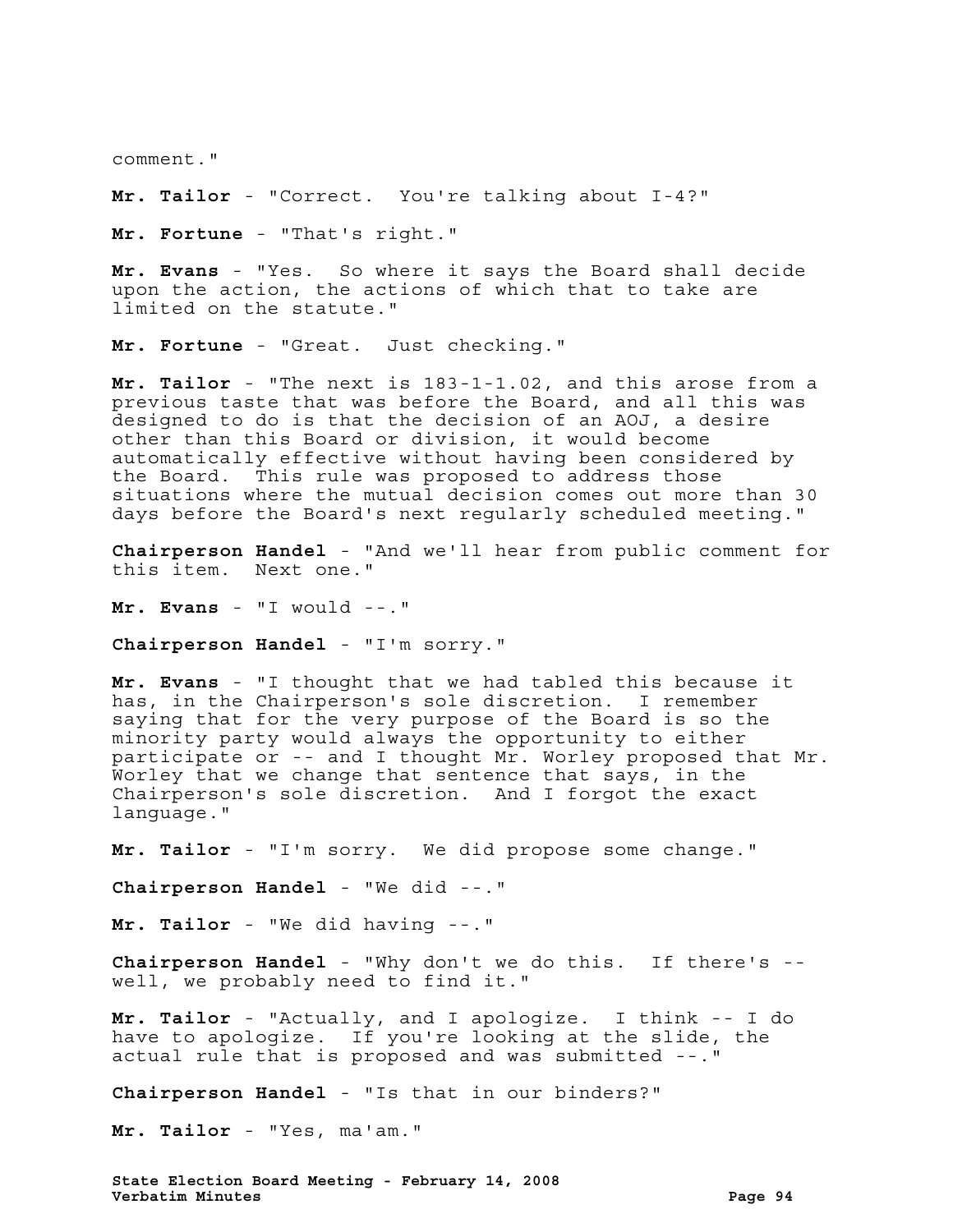comment."

**Mr. Tailor** - "Correct. You're talking about I-4?"

**Mr. Fortune** - "That's right."

**Mr. Evans** - "Yes. So where it says the Board shall decide upon the action, the actions of which that to take are limited on the statute."

**Mr. Fortune** - "Great. Just checking."

**Mr. Tailor** - "The next is 183-1-1.02, and this arose from a previous taste that was before the Board, and all this was designed to do is that the decision of an AOJ, a desire other than this Board or division, it would become automatically effective without having been considered by the Board. This rule was proposed to address those situations where the mutual decision comes out more than 30 days before the Board's next regularly scheduled meeting."

**Chairperson Handel** - "And we'll hear from public comment for this item. Next one."

**Mr. Evans** - "I would --."

**Chairperson Handel** - "I'm sorry."

**Mr. Evans** - "I thought that we had tabled this because it has, in the Chairperson's sole discretion. I remember saying that for the very purpose of the Board is so the minority party would always the opportunity to either participate or -- and I thought Mr. Worley proposed that Mr. Worley that we change that sentence that says, in the Chairperson's sole discretion. And I forgot the exact language."

**Mr. Tailor** - "I'm sorry. We did propose some change."

**Chairperson Handel** - "We did --."

**Mr. Tailor** - "We did having --."

**Chairperson Handel** - "Why don't we do this. If there's - well, we probably need to find it."

**Mr. Tailor** - "Actually, and I apologize. I think -- I do have to apologize. If you're looking at the slide, the actual rule that is proposed and was submitted --."

**Chairperson Handel** - "Is that in our binders?"

**Mr. Tailor** - "Yes, ma'am."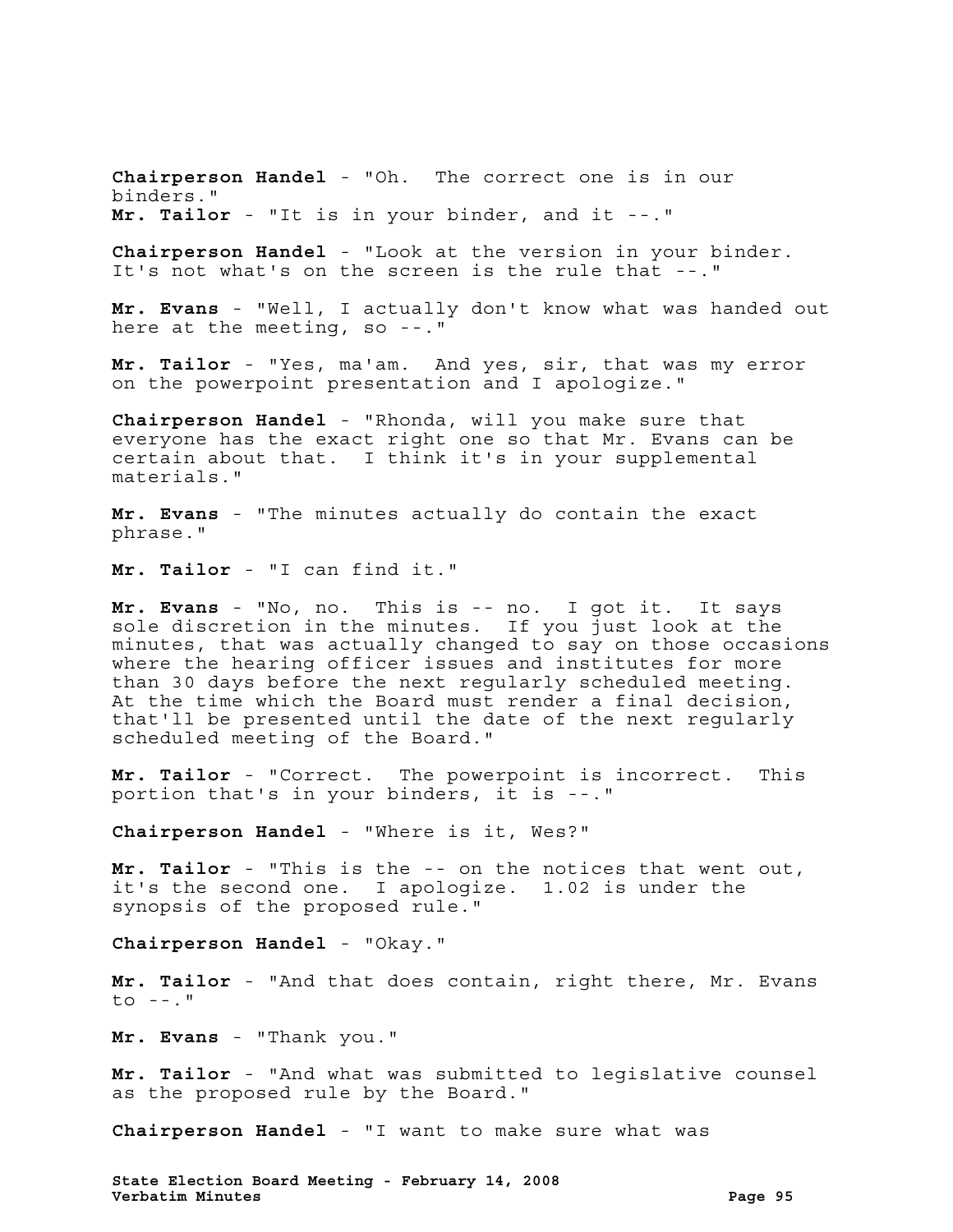**Chairperson Handel** - "Oh. The correct one is in our binders." **Mr. Tailor** - "It is in your binder, and it --."

**Chairperson Handel** - "Look at the version in your binder. It's not what's on the screen is the rule that --."

**Mr. Evans** - "Well, I actually don't know what was handed out here at the meeting, so --."

**Mr. Tailor** - "Yes, ma'am. And yes, sir, that was my error on the powerpoint presentation and I apologize."

**Chairperson Handel** - "Rhonda, will you make sure that everyone has the exact right one so that Mr. Evans can be certain about that. I think it's in your supplemental materials."

**Mr. Evans** - "The minutes actually do contain the exact phrase."

**Mr. Tailor** - "I can find it."

**Mr. Evans** - "No, no. This is -- no. I got it. It says sole discretion in the minutes. If you just look at the minutes, that was actually changed to say on those occasions where the hearing officer issues and institutes for more than 30 days before the next regularly scheduled meeting. At the time which the Board must render a final decision, that'll be presented until the date of the next regularly scheduled meeting of the Board."

**Mr. Tailor** - "Correct. The powerpoint is incorrect. This portion that's in your binders, it is --."

**Chairperson Handel** - "Where is it, Wes?"

**Mr. Tailor** - "This is the -- on the notices that went out, it's the second one. I apologize. 1.02 is under the synopsis of the proposed rule."

**Chairperson Handel** - "Okay."

**Mr. Tailor** - "And that does contain, right there, Mr. Evans to  $--$ ."

**Mr. Evans** - "Thank you."

**Mr. Tailor** - "And what was submitted to legislative counsel as the proposed rule by the Board."

**Chairperson Handel** - "I want to make sure what was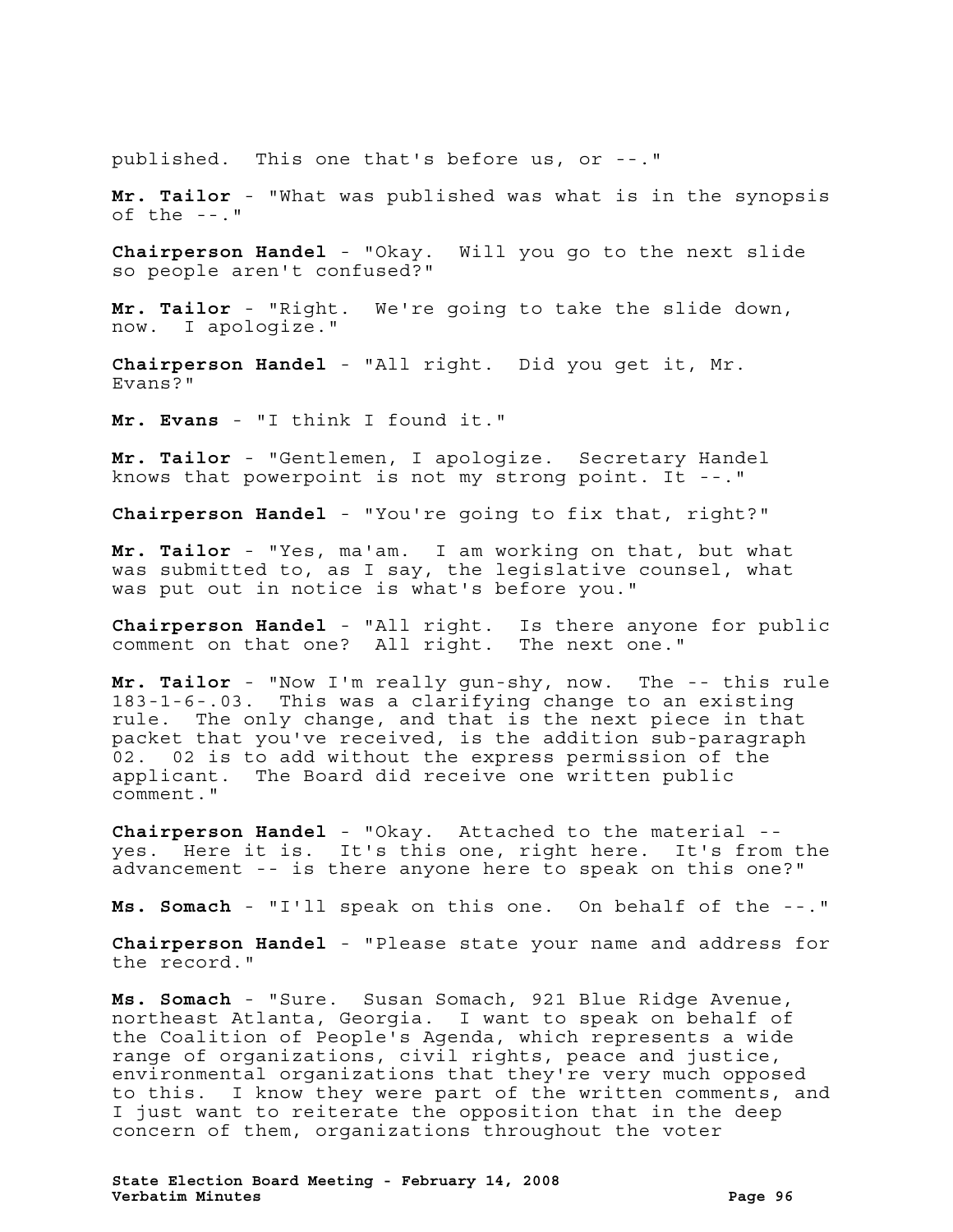published. This one that's before us, or --."

**Mr. Tailor** - "What was published was what is in the synopsis of the --."

**Chairperson Handel** - "Okay. Will you go to the next slide so people aren't confused?"

**Mr. Tailor** - "Right. We're going to take the slide down, now. I apologize."

**Chairperson Handel** - "All right. Did you get it, Mr. Evans?"

**Mr. Evans** - "I think I found it."

**Mr. Tailor** - "Gentlemen, I apologize. Secretary Handel knows that powerpoint is not my strong point. It --."

**Chairperson Handel** - "You're going to fix that, right?"

**Mr. Tailor** - "Yes, ma'am. I am working on that, but what was submitted to, as I say, the legislative counsel, what was put out in notice is what's before you."

**Chairperson Handel** - "All right. Is there anyone for public comment on that one? All right. The next one."

**Mr. Tailor** - "Now I'm really gun-shy, now. The -- this rule 183-1-6-.03. This was a clarifying change to an existing rule. The only change, and that is the next piece in that packet that you've received, is the addition sub-paragraph 02. 02 is to add without the express permission of the applicant. The Board did receive one written public comment."

**Chairperson Handel** - "Okay. Attached to the material - yes. Here it is. It's this one, right here. It's from the advancement -- is there anyone here to speak on this one?"

**Ms. Somach** - "I'll speak on this one. On behalf of the --."

**Chairperson Handel** - "Please state your name and address for the record."

**Ms. Somach** - "Sure. Susan Somach, 921 Blue Ridge Avenue, northeast Atlanta, Georgia. I want to speak on behalf of the Coalition of People's Agenda, which represents a wide range of organizations, civil rights, peace and justice, environmental organizations that they're very much opposed to this. I know they were part of the written comments, and I just want to reiterate the opposition that in the deep concern of them, organizations throughout the voter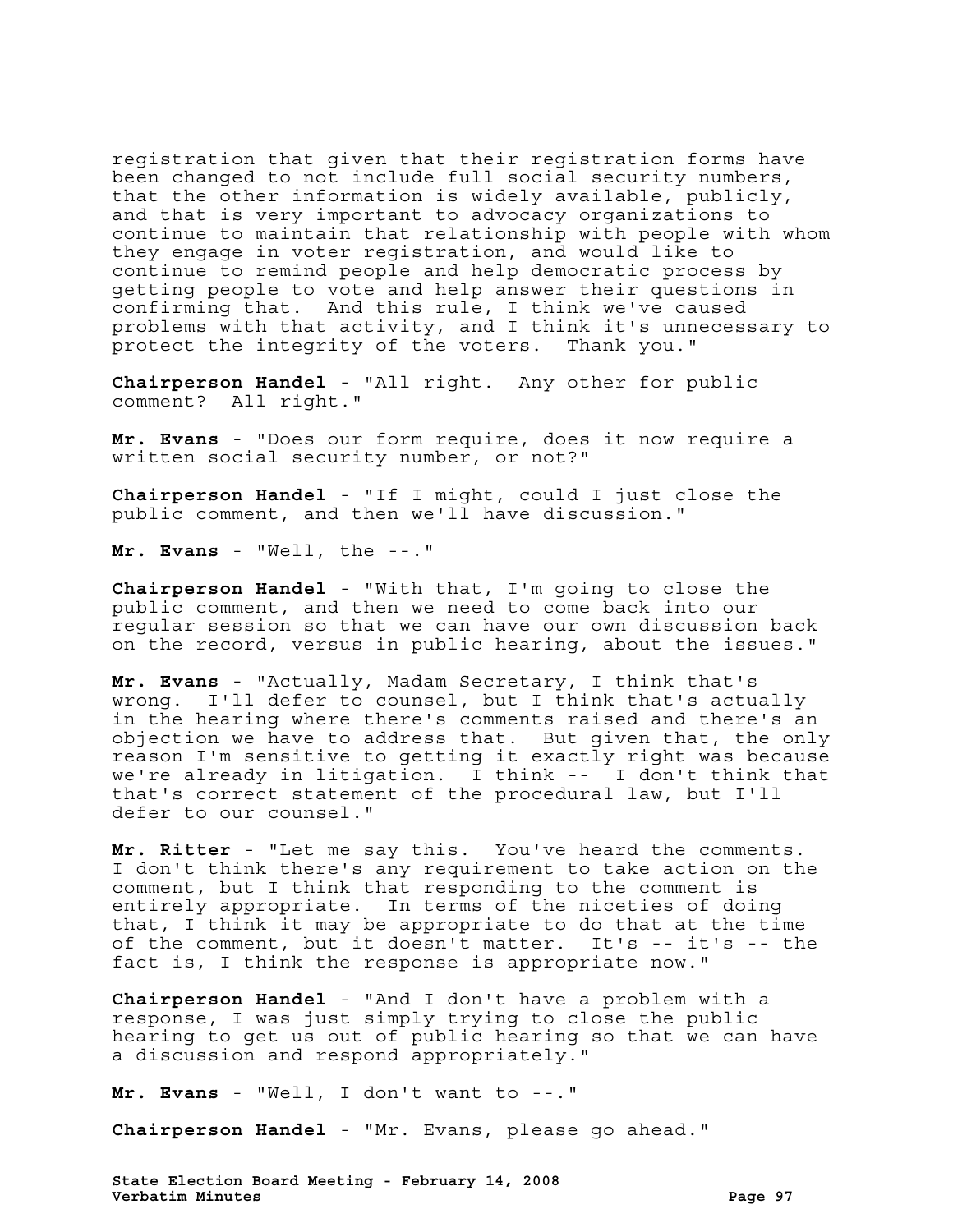registration that given that their registration forms have been changed to not include full social security numbers, that the other information is widely available, publicly, and that is very important to advocacy organizations to continue to maintain that relationship with people with whom they engage in voter registration, and would like to continue to remind people and help democratic process by getting people to vote and help answer their questions in confirming that. And this rule, I think we've caused problems with that activity, and I think it's unnecessary to protect the integrity of the voters. Thank you."

**Chairperson Handel** - "All right. Any other for public comment? All right."

**Mr. Evans** - "Does our form require, does it now require a written social security number, or not?"

**Chairperson Handel** - "If I might, could I just close the public comment, and then we'll have discussion."

**Mr. Evans** - "Well, the --."

**Chairperson Handel** - "With that, I'm going to close the public comment, and then we need to come back into our regular session so that we can have our own discussion back on the record, versus in public hearing, about the issues."

**Mr. Evans** - "Actually, Madam Secretary, I think that's wrong. I'll defer to counsel, but I think that's actually in the hearing where there's comments raised and there's an objection we have to address that. But given that, the only reason I'm sensitive to getting it exactly right was because we're already in litigation. I think -- I don't think that that's correct statement of the procedural law, but I'll defer to our counsel."

**Mr. Ritter** - "Let me say this. You've heard the comments. I don't think there's any requirement to take action on the comment, but I think that responding to the comment is entirely appropriate. In terms of the niceties of doing that, I think it may be appropriate to do that at the time of the comment, but it doesn't matter. It's -- it's -- the fact is, I think the response is appropriate now."

**Chairperson Handel** - "And I don't have a problem with a response, I was just simply trying to close the public hearing to get us out of public hearing so that we can have a discussion and respond appropriately."

**Mr. Evans** - "Well, I don't want to --."

**Chairperson Handel** - "Mr. Evans, please go ahead."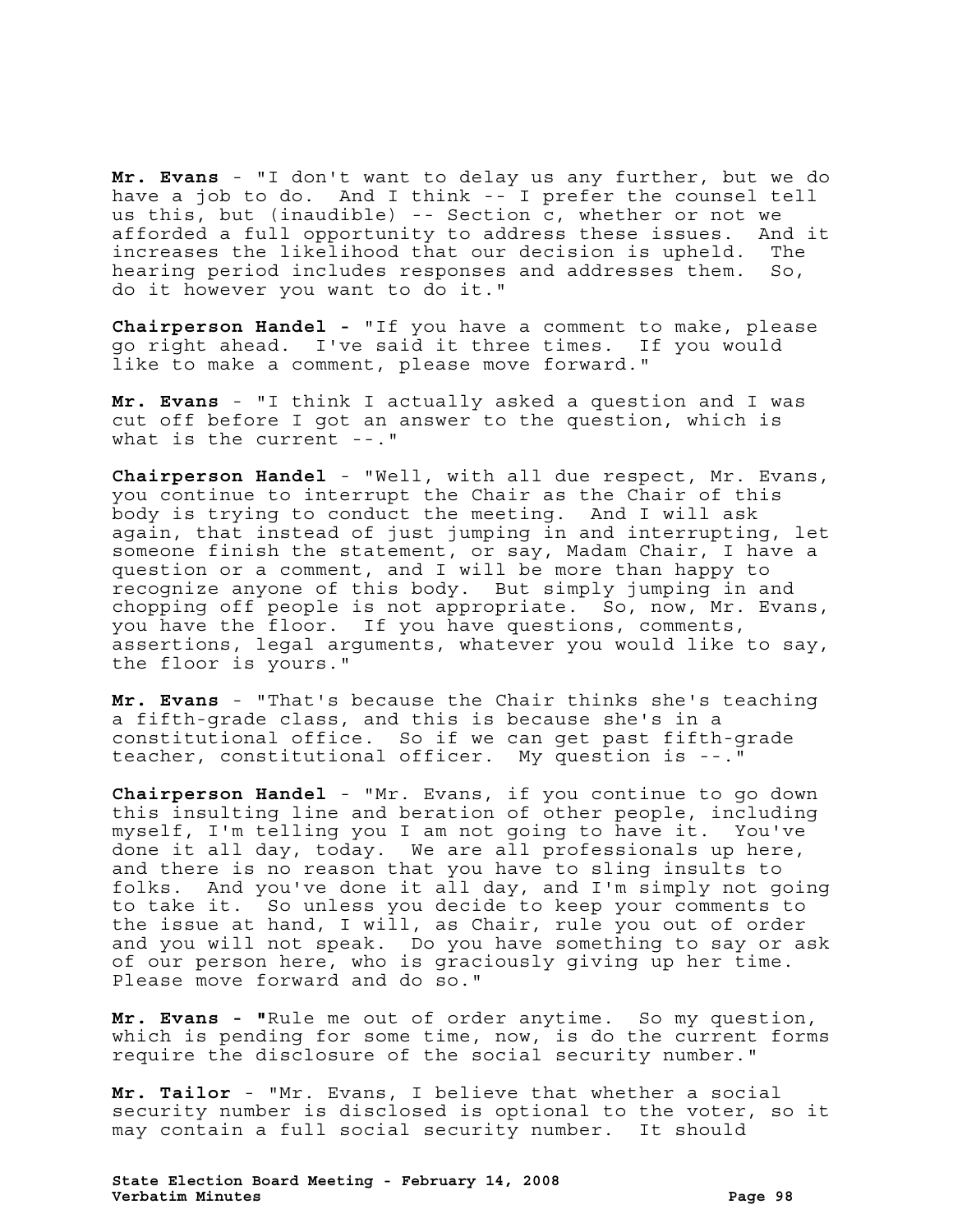**Mr. Evans** - "I don't want to delay us any further, but we do have a job to do. And I think -- I prefer the counsel tell us this, but (inaudible) -- Section c, whether or not we afforded a full opportunity to address these issues. And it increases the likelihood that our decision is upheld. The hearing period includes responses and addresses them. So, do it however you want to do it."

**Chairperson Handel -** "If you have a comment to make, please go right ahead. I've said it three times. If you would like to make a comment, please move forward."

**Mr. Evans** - "I think I actually asked a question and I was cut off before I got an answer to the question, which is what is the current --."

**Chairperson Handel** - "Well, with all due respect, Mr. Evans, you continue to interrupt the Chair as the Chair of this body is trying to conduct the meeting. And I will ask again, that instead of just jumping in and interrupting, let someone finish the statement, or say, Madam Chair, I have a question or a comment, and I will be more than happy to recognize anyone of this body. But simply jumping in and chopping off people is not appropriate. So, now, Mr. Evans, you have the floor. If you have questions, comments, assertions, legal arguments, whatever you would like to say, the floor is yours."

**Mr. Evans** - "That's because the Chair thinks she's teaching a fifth-grade class, and this is because she's in a constitutional office. So if we can get past fifth-grade teacher, constitutional officer. My question is --."

**Chairperson Handel** - "Mr. Evans, if you continue to go down this insulting line and beration of other people, including myself, I'm telling you I am not going to have it. You've done it all day, today. We are all professionals up here, and there is no reason that you have to sling insults to folks. And you've done it all day, and I'm simply not going to take it. So unless you decide to keep your comments to the issue at hand, I will, as Chair, rule you out of order and you will not speak. Do you have something to say or ask of our person here, who is graciously giving up her time. Please move forward and do so."

**Mr. Evans - "**Rule me out of order anytime. So my question, which is pending for some time, now, is do the current forms require the disclosure of the social security number."

**Mr. Tailor** - "Mr. Evans, I believe that whether a social security number is disclosed is optional to the voter, so it may contain a full social security number. It should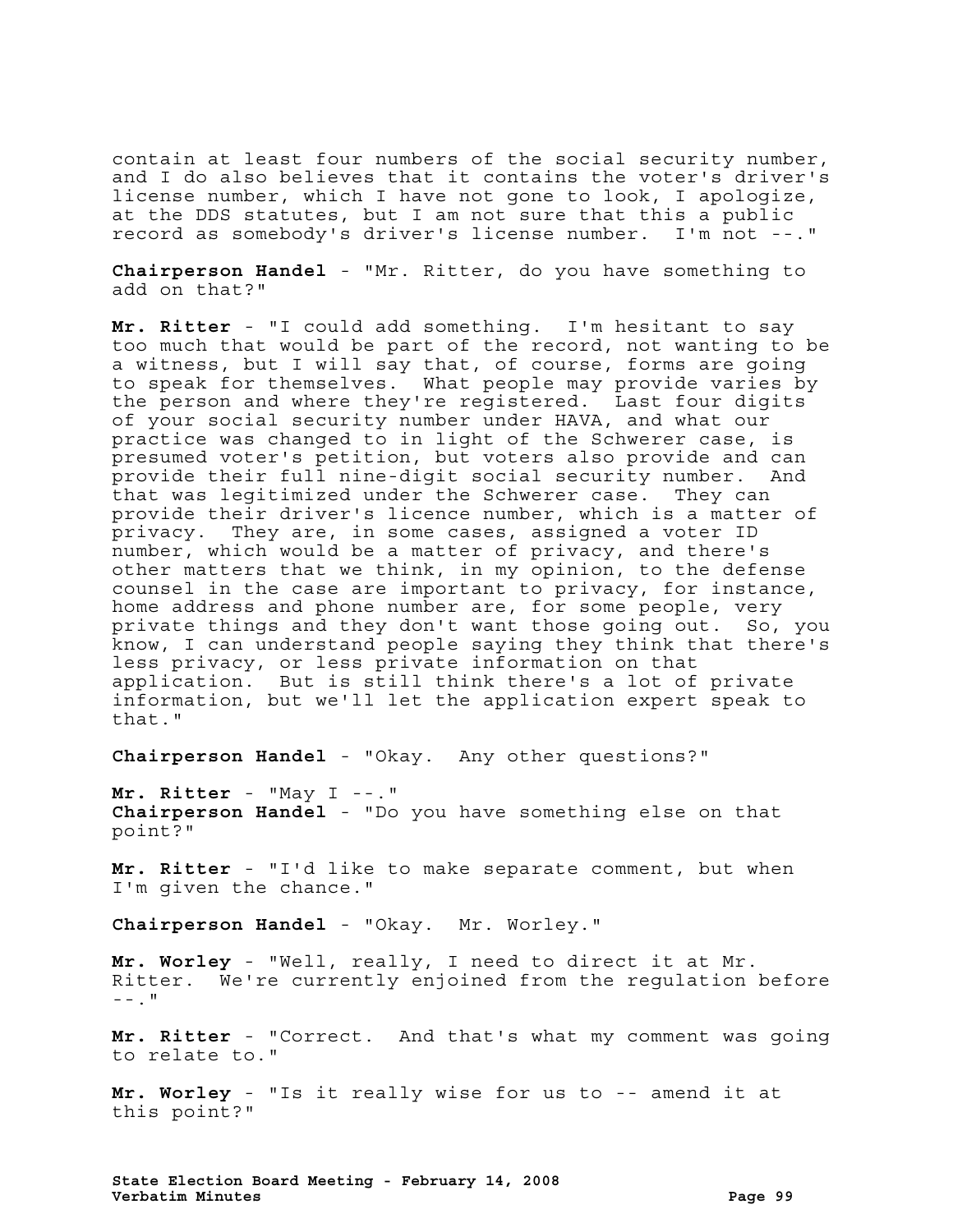contain at least four numbers of the social security number, and I do also believes that it contains the voter's driver's license number, which I have not gone to look, I apologize, at the DDS statutes, but I am not sure that this a public record as somebody's driver's license number. I'm not --."

**Chairperson Handel** - "Mr. Ritter, do you have something to add on that?"

**Mr. Ritter** - "I could add something. I'm hesitant to say too much that would be part of the record, not wanting to be a witness, but I will say that, of course, forms are going to speak for themselves. What people may provide varies by the person and where they're registered. Last four digits of your social security number under HAVA, and what our practice was changed to in light of the Schwerer case, is presumed voter's petition, but voters also provide and can provide their full nine-digit social security number. And that was legitimized under the Schwerer case. They can provide their driver's licence number, which is a matter of privacy. They are, in some cases, assigned a voter ID number, which would be a matter of privacy, and there's other matters that we think, in my opinion, to the defense counsel in the case are important to privacy, for instance, home address and phone number are, for some people, very private things and they don't want those going out. So, you know, I can understand people saying they think that there's less privacy, or less private information on that application. But is still think there's a lot of private information, but we'll let the application expert speak to that."

**Chairperson Handel** - "Okay. Any other questions?"

**Mr. Ritter** - "May I --." **Chairperson Handel** - "Do you have something else on that point?"

**Mr. Ritter** - "I'd like to make separate comment, but when I'm given the chance."

**Chairperson Handel** - "Okay. Mr. Worley."

**Mr. Worley** - "Well, really, I need to direct it at Mr. Ritter. We're currently enjoined from the regulation before  $-$ .  $\blacksquare$ 

**Mr. Ritter** - "Correct. And that's what my comment was going to relate to."

**Mr. Worley** - "Is it really wise for us to -- amend it at this point?"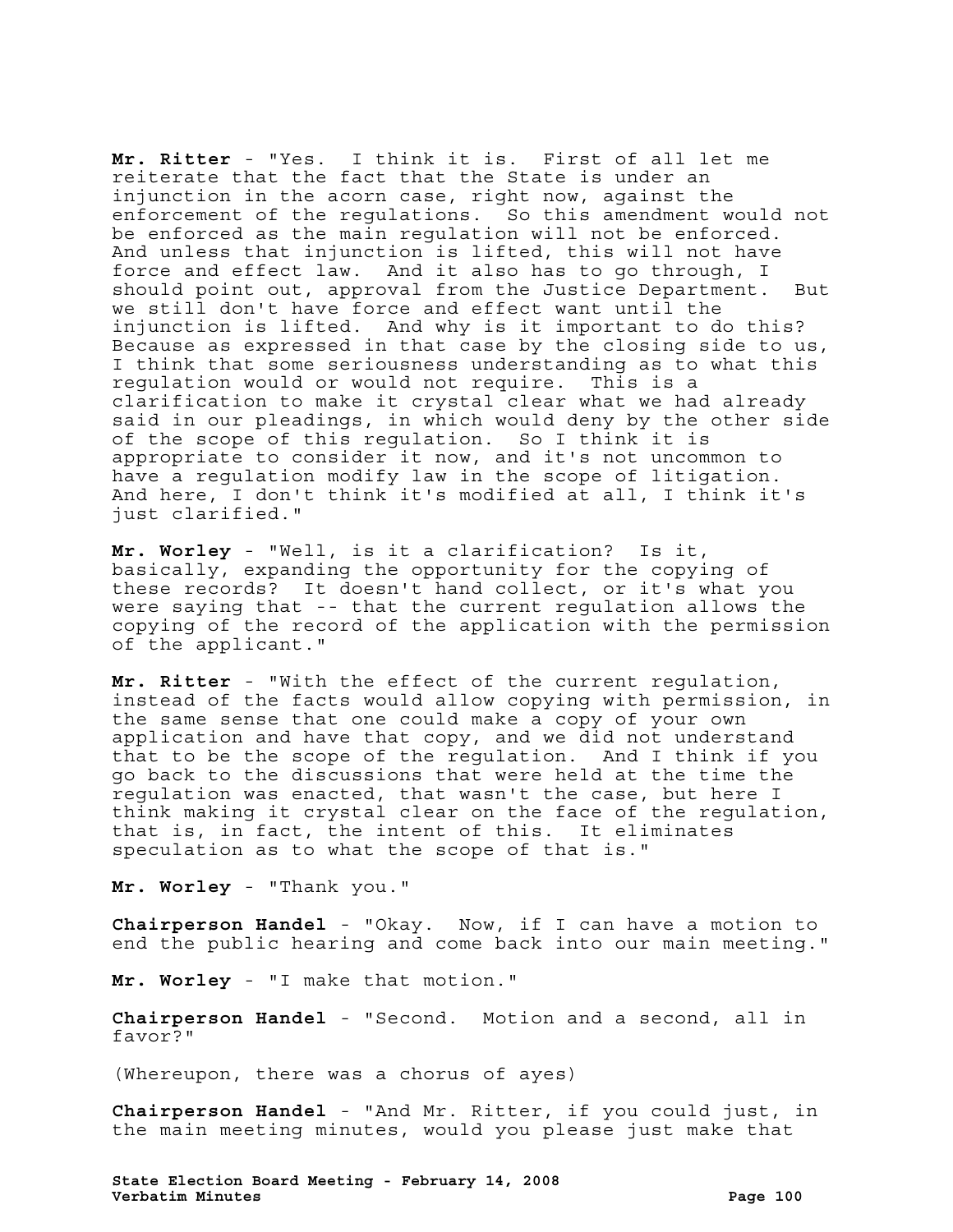**Mr. Ritter** - "Yes. I think it is. First of all let me reiterate that the fact that the State is under an injunction in the acorn case, right now, against the enforcement of the regulations. So this amendment would not be enforced as the main regulation will not be enforced. And unless that injunction is lifted, this will not have force and effect law. And it also has to go through, I should point out, approval from the Justice Department. But we still don't have force and effect want until the injunction is lifted. And why is it important to do this? Because as expressed in that case by the closing side to us, I think that some seriousness understanding as to what this regulation would or would not require. This is a clarification to make it crystal clear what we had already said in our pleadings, in which would deny by the other side of the scope of this regulation. So I think it is appropriate to consider it now, and it's not uncommon to have a regulation modify law in the scope of litigation. And here, I don't think it's modified at all, I think it's just clarified."

**Mr. Worley** - "Well, is it a clarification? Is it, basically, expanding the opportunity for the copying of these records? It doesn't hand collect, or it's what you were saying that -- that the current regulation allows the copying of the record of the application with the permission of the applicant."

**Mr. Ritter** - "With the effect of the current regulation, instead of the facts would allow copying with permission, in the same sense that one could make a copy of your own application and have that copy, and we did not understand that to be the scope of the regulation. And I think if you go back to the discussions that were held at the time the regulation was enacted, that wasn't the case, but here I think making it crystal clear on the face of the regulation, that is, in fact, the intent of this. It eliminates speculation as to what the scope of that is."

**Mr. Worley** - "Thank you."

**Chairperson Handel** - "Okay. Now, if I can have a motion to end the public hearing and come back into our main meeting."

**Mr. Worley** - "I make that motion."

**Chairperson Handel** - "Second. Motion and a second, all in favor?"

(Whereupon, there was a chorus of ayes)

**Chairperson Handel** - "And Mr. Ritter, if you could just, in the main meeting minutes, would you please just make that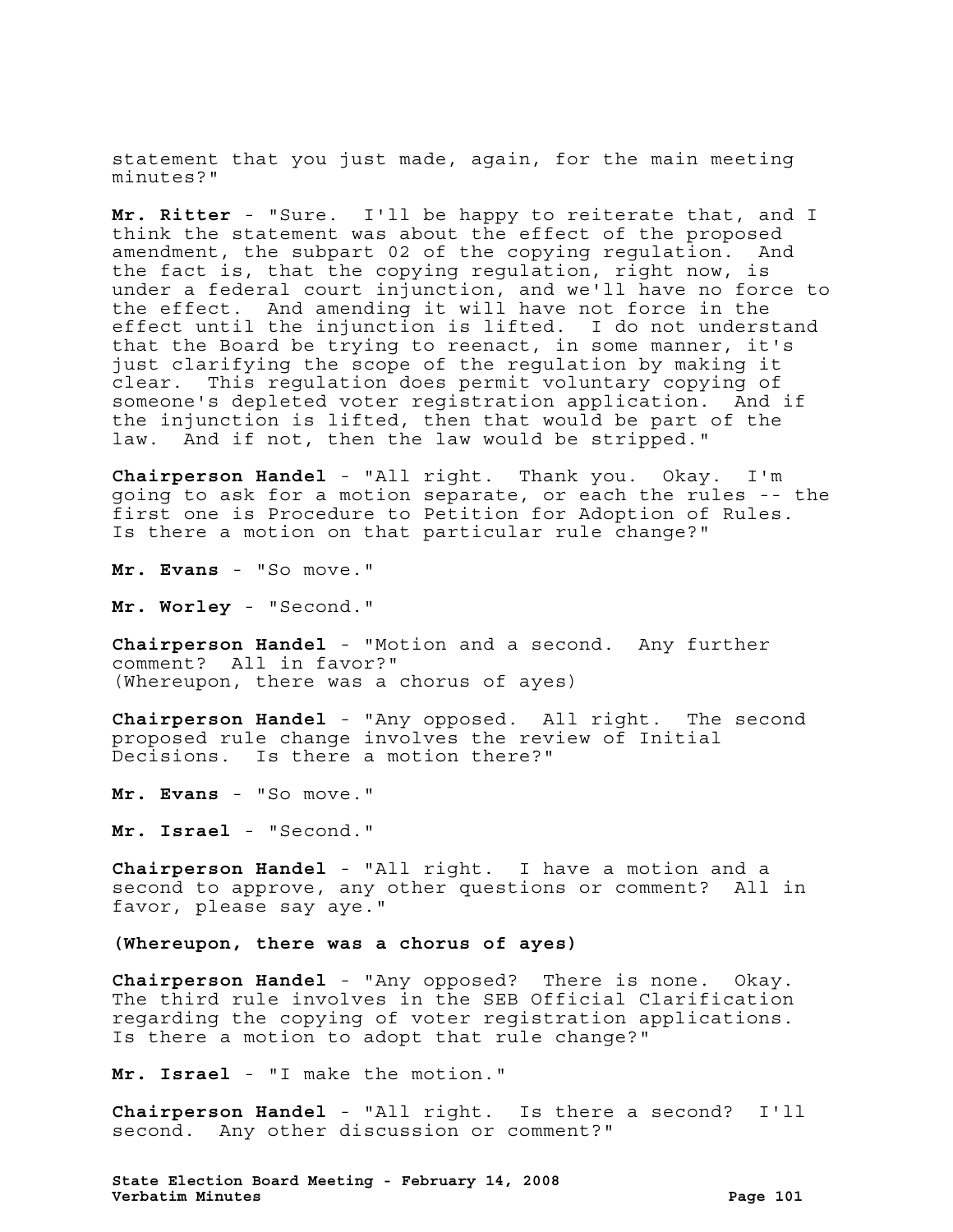statement that you just made, again, for the main meeting minutes?"

**Mr. Ritter** - "Sure. I'll be happy to reiterate that, and I think the statement was about the effect of the proposed amendment, the subpart 02 of the copying regulation. And the fact is, that the copying regulation, right now, is under a federal court injunction, and we'll have no force to the effect. And amending it will have not force in the effect until the injunction is lifted. I do not understand that the Board be trying to reenact, in some manner, it's just clarifying the scope of the regulation by making it clear. This regulation does permit voluntary copying of someone's depleted voter registration application. And if the injunction is lifted, then that would be part of the law. And if not, then the law would be stripped."

**Chairperson Handel** - "All right. Thank you. Okay. I'm going to ask for a motion separate, or each the rules -- the first one is Procedure to Petition for Adoption of Rules. Is there a motion on that particular rule change?"

**Mr. Evans** - "So move."

**Mr. Worley** - "Second."

**Chairperson Handel** - "Motion and a second. Any further comment? All in favor?" (Whereupon, there was a chorus of ayes)

**Chairperson Handel** - "Any opposed. All right. The second proposed rule change involves the review of Initial Decisions. Is there a motion there?"

**Mr. Evans** - "So move."

**Mr. Israel** - "Second."

**Chairperson Handel** - "All right. I have a motion and a second to approve, any other questions or comment? All in favor, please say aye."

**(Whereupon, there was a chorus of ayes)** 

**Chairperson Handel** - "Any opposed? There is none. Okay. The third rule involves in the SEB Official Clarification regarding the copying of voter registration applications. Is there a motion to adopt that rule change?"

**Mr. Israel** - "I make the motion."

**Chairperson Handel** - "All right. Is there a second? I'll second. Any other discussion or comment?"